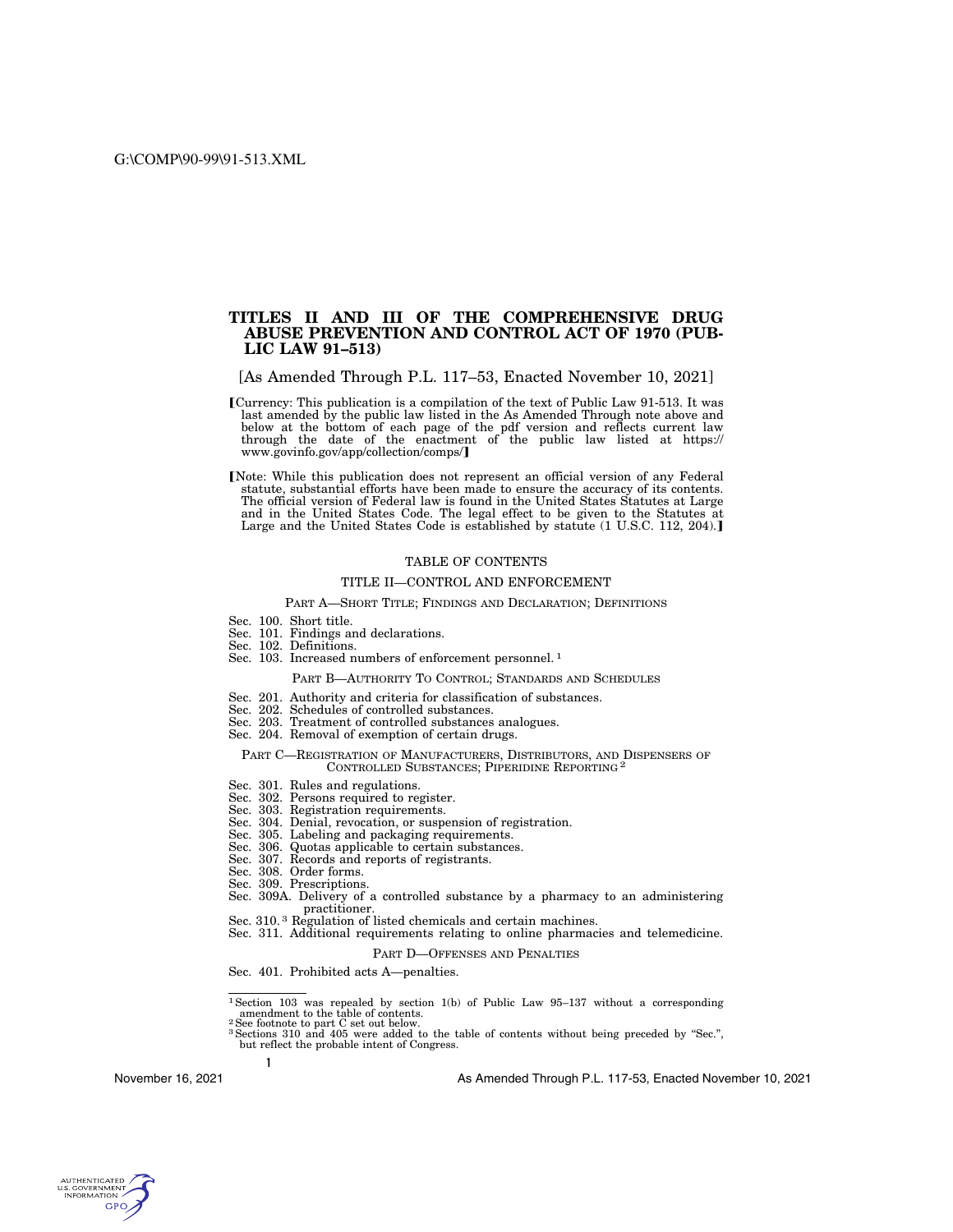# **TITLES II AND III OF THE COMPREHENSIVE DRUG ABUSE PREVENTION AND CONTROL ACT OF 1970 (PUB-LIC LAW 91–513)**

[As Amended Through P.L. 117–53, Enacted November 10, 2021]

- øCurrency: This publication is a compilation of the text of Public Law 91-513. It was last amended by the public law listed in the As Amended Through note above and below at the bottom of each page of the pdf version and reflects current law through the date of the enactment of the public law listed at https:// www.govinfo.gov/app/collection/comps/]
- Note: While this publication does not represent an official version of any Federal statute, substantial efforts have been made to ensure the accuracy of its contents. The official version of Federal law is found in the United States Statutes at Large and in the United States Code. The legal effect to be given to the Statutes at Large and the United States Code is established by statute (1 U.S.C. 112, 204).]

## TABLE OF CONTENTS

## TITLE II—CONTROL AND ENFORCEMENT

#### PART A—SHORT TITLE; FINDINGS AND DECLARATION; DEFINITIONS

- Sec. 100. Short title.
- Sec. 101. Findings and declarations. Sec. 102. Definitions.
- 
- Sec. 103. Increased numbers of enforcement personnel. 1

### PART B—AUTHORITY TO CONTROL; STANDARDS AND SCHEDULES

- Sec. 201. Authority and criteria for classification of substances.
- 
- Sec. 202. Schedules of controlled substances. Sec. 203. Treatment of controlled substances analogues.
- Sec. 204. Removal of exemption of certain drugs.

### PART C—REGISTRATION OF MANUFACTURERS, DISTRIBUTORS, AND DISPENSERS OF CONTROLLED SUBSTANCES; PIPERIDINE REPORTING 2

- Sec. 301. Rules and regulations.
- Sec. 302. Persons required to register.
- Sec. 303. Registration requirements.
- Sec. 304. Denial, revocation, or suspension of registration. Sec. 305. Labeling and packaging requirements.
- 
- Sec. 306. Quotas applicable to certain substances. Sec. 307. Records and reports of registrants.
- 
- Sec. 308. Order forms. Sec. 309. Prescriptions.
- 
- Sec. 309A. Delivery of a controlled substance by a pharmacy to an administering practitioner.
- Sec. 310. 3 Regulation of listed chemicals and certain machines. Sec. 311. Additional requirements relating to online pharmacies and telemedicine.

#### PART D—OFFENSES AND PENALTIES

## Sec. 401. Prohibited acts A—penalties.

November 16, 2021

**1** 



<sup>&</sup>lt;sup>1</sup>Section 103 was repealed by section 1(b) of Public Law 95–137 without a corresponding amendment to the table of contents.<br><sup>2</sup>See footnote to part C set out below.<br><sup>2</sup>Sections 310 and 405 were added to the table of cont

but reflect the probable intent of Congress.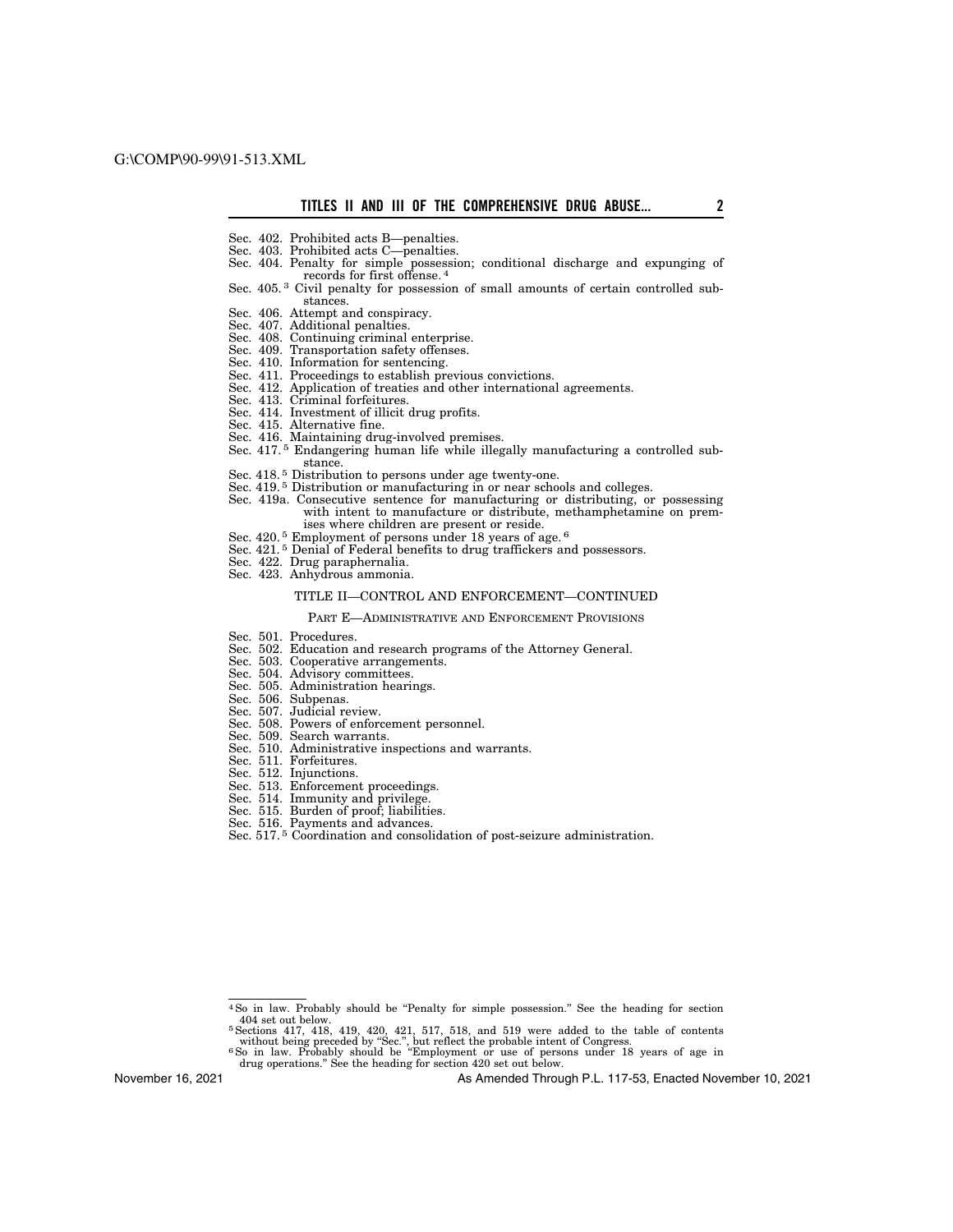- Sec. 402. Prohibited acts B—penalties.
- Sec. 403. Prohibited acts C—penalties. Sec. 404. Penalty for simple possession; conditional discharge and expunging of records for first offense. 4
- 
- Sec. 405. 3 Civil penalty for possession of small amounts of certain controlled substances.
- Sec. 406. Attempt and conspiracy.
- Sec. 407. Additional penalties.
- Sec. 408. Continuing criminal enterprise.
- Sec. 409. Transportation safety offenses.
- Sec. 410. Information for sentencing.
- Sec. 411. Proceedings to establish previous convictions.
- Sec. 412. Application of treaties and other international agreements.
- Sec. 413. Criminal forfeitures.
- Sec. 414. Investment of illicit drug profits.
- Sec. 415. Alternative fine.
- 
- Sec. 416. Maintaining drug-involved premises. Sec. 417. 5 Endangering human life while illegally manufacturing a controlled substance.
- Sec. 418. 5 Distribution to persons under age twenty-one.
- Sec. 419. 5 Distribution or manufacturing in or near schools and colleges.
- Sec. 419a. Consecutive sentence for manufacturing or distributing, or possessing with intent to manufacture or distribute, methamphetamine on premises where children are present or reside.
- Sec. 420. 5 Employment of persons under 18 years of age. 6
- Sec. 421. 5 Denial of Federal benefits to drug traffickers and possessors.
- Sec. 422. Drug paraphernalia.
- Sec. 423. Anhydrous ammonia.

## TITLE II—CONTROL AND ENFORCEMENT—CONTINUED

### PART E—ADMINISTRATIVE AND ENFORCEMENT PROVISIONS

- Sec. 501. Procedures.
- Sec. 502. Education and research programs of the Attorney General.
- Sec. 503. Cooperative arrangements.
- Sec. 504. Advisory committees.
- Sec. 505. Administration hearings.
- Sec. 506. Subpenas.
- Sec. 507. Judicial review.
- Sec. 508. Powers of enforcement personnel.
- Sec. 509. Search warrants.
- Sec. 510. Administrative inspections and warrants.
- Sec. 511. Forfeitures.
- Sec. 512. Injunctions.
- Sec. 513. Enforcement proceedings.
- Sec. 514. Immunity and privilege.
- Sec. 515. Burden of proof; liabilities.
- 
- Sec. 516. Payments and advances. Sec. 517. 5 Coordination and consolidation of post-seizure administration.

November 16, 2021

 $\frac{480 \text{ in law}}{404 \text{ set out below}}$  should be "Penalty for simple possession." See the heading for section

 $5$  Sections 417, 418, 419, 420, 421, 517, 518, and 519 were added to the table of contents without being preceded by "Sec.", but reflect the probable intent of Congress.<br>"So in law. Probably should be "Employment or use of persons under 18 years of age in<br>drug operations." See the heading for section 420 set out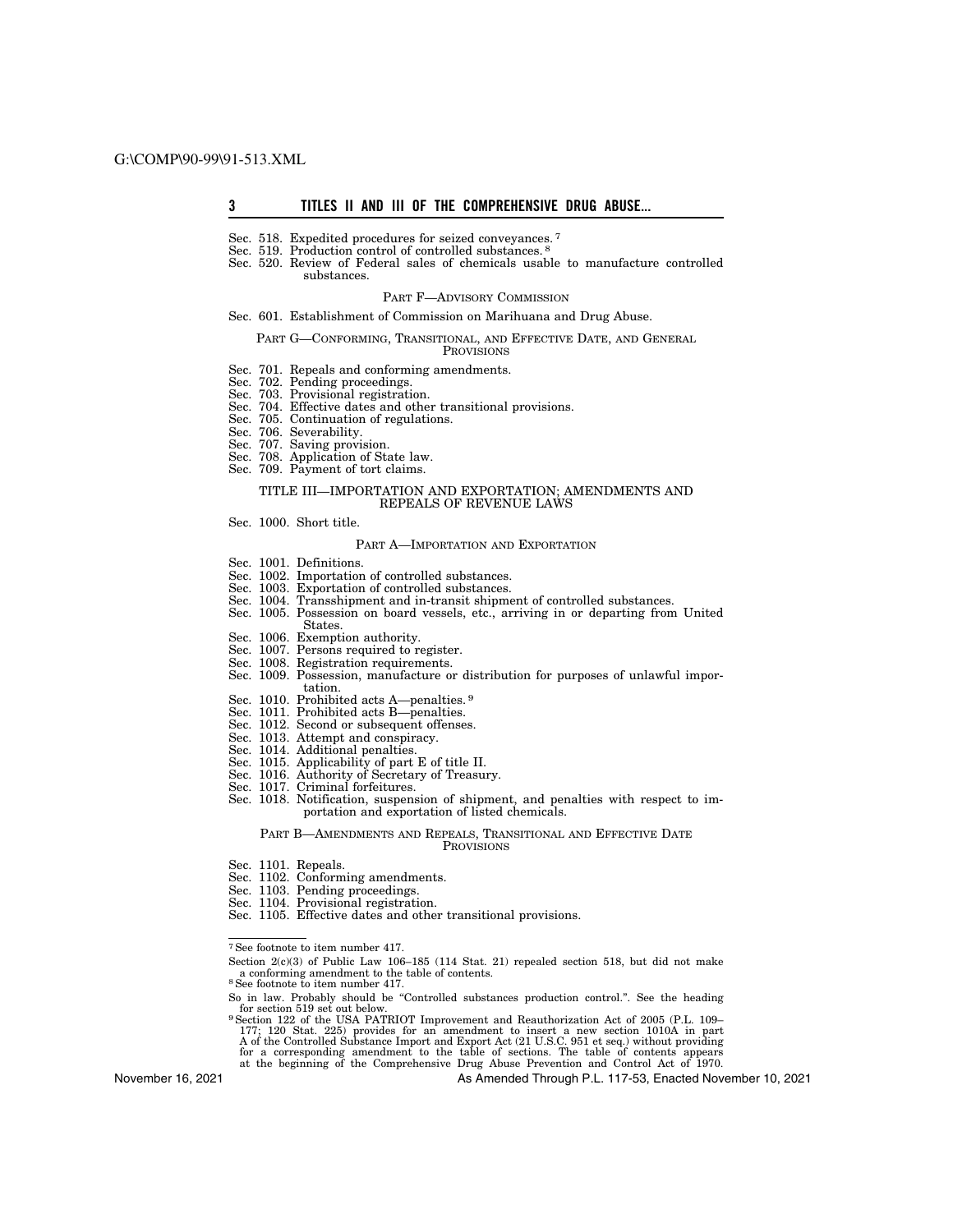# **3 TITLES II AND III OF THE COMPREHENSIVE DRUG ABUSE...**

- Sec. 518. Expedited procedures for seized conveyances. 7
- Sec. 519. Production control of controlled substances.<sup>8</sup>
- Sec. 520. Review of Federal sales of chemicals usable to manufacture controlled substances.

### PART F—ADVISORY COMMISSION

Sec. 601. Establishment of Commission on Marihuana and Drug Abuse.

#### PART G—CONFORMING, TRANSITIONAL, AND EFFECTIVE DATE, AND GENERAL PROVISIONS

- Sec. 701. Repeals and conforming amendments.
- Sec. 702. Pending proceedings.
- Sec. 703. Provisional registration.
- Sec. 704. Effective dates and other transitional provisions.
- Sec. 705. Continuation of regulations.
- Sec. 706. Severability.
- Sec. 707. Saving provision.
- Sec. 708. Application of State law.
- Sec. 709. Payment of tort claims.

### TITLE III—IMPORTATION AND EXPORTATION; AMENDMENTS AND REPEALS OF REVENUE LAWS

Sec. 1000. Short title.

### PART A—IMPORTATION AND EXPORTATION

- Sec. 1001. Definitions.
- Sec. 1002. Importation of controlled substances.
- Sec. 1003. Exportation of controlled substances.
- Sec. 1004. Transshipment and in-transit shipment of controlled substances.
- Sec. 1005. Possession on board vessels, etc., arriving in or departing from United
- States.
- Sec. 1006. Exemption authority.
- Sec. 1007. Persons required to register. Sec. 1008. Registration requirements.
- Sec. 1009. Possession, manufacture or distribution for purposes of unlawful importation.
- 
- Sec. 1010. Prohibited acts A—penalties. 9 Sec. 1011. Prohibited acts B—penalties.
- Sec. 1012. Second or subsequent offenses.
- Sec. 1013. Attempt and conspiracy.
- Sec. 1014. Additional penalties.
- Sec. 1015. Applicability of part E of title II.
- Sec. 1016. Authority of Secretary of Treasury.
- Sec. 1017. Criminal forfeitures.
- Sec. 1018. Notification, suspension of shipment, and penalties with respect to importation and exportation of listed chemicals.

#### PART B—AMENDMENTS AND REPEALS, TRANSITIONAL AND EFFECTIVE DATE **PROVISIONS**

- Sec. 1101. Repeals.
- Sec. 1102. Conforming amendments.
- Sec. 1103. Pending proceedings.
- Sec. 1104. Provisional registration.
- Sec. 1105. Effective dates and other transitional provisions.

- Section 2(c)(3) of Public Law 106–185 (114 Stat. 21) repealed section 518, but did not make a conforming amendment to the table of contents. 8See footnote to item number 417.
- 
- So in law. Probably should be ''Controlled substances production control.''. See the heading for section 519 set out below. 9Section 122 of the USA PATRIOT Improvement and Reauthorization Act of 2005 (P.L. 109–
- 177; 120 Stat. 225) provides for an amendment to insert a new section 1010A in part A of the Controlled Substance Import and Export Act (21 U.S.C. 951 et seq.) without providing amendment to the table of sections. The tab

November 16, 2021

<sup>7</sup>See footnote to item number 417.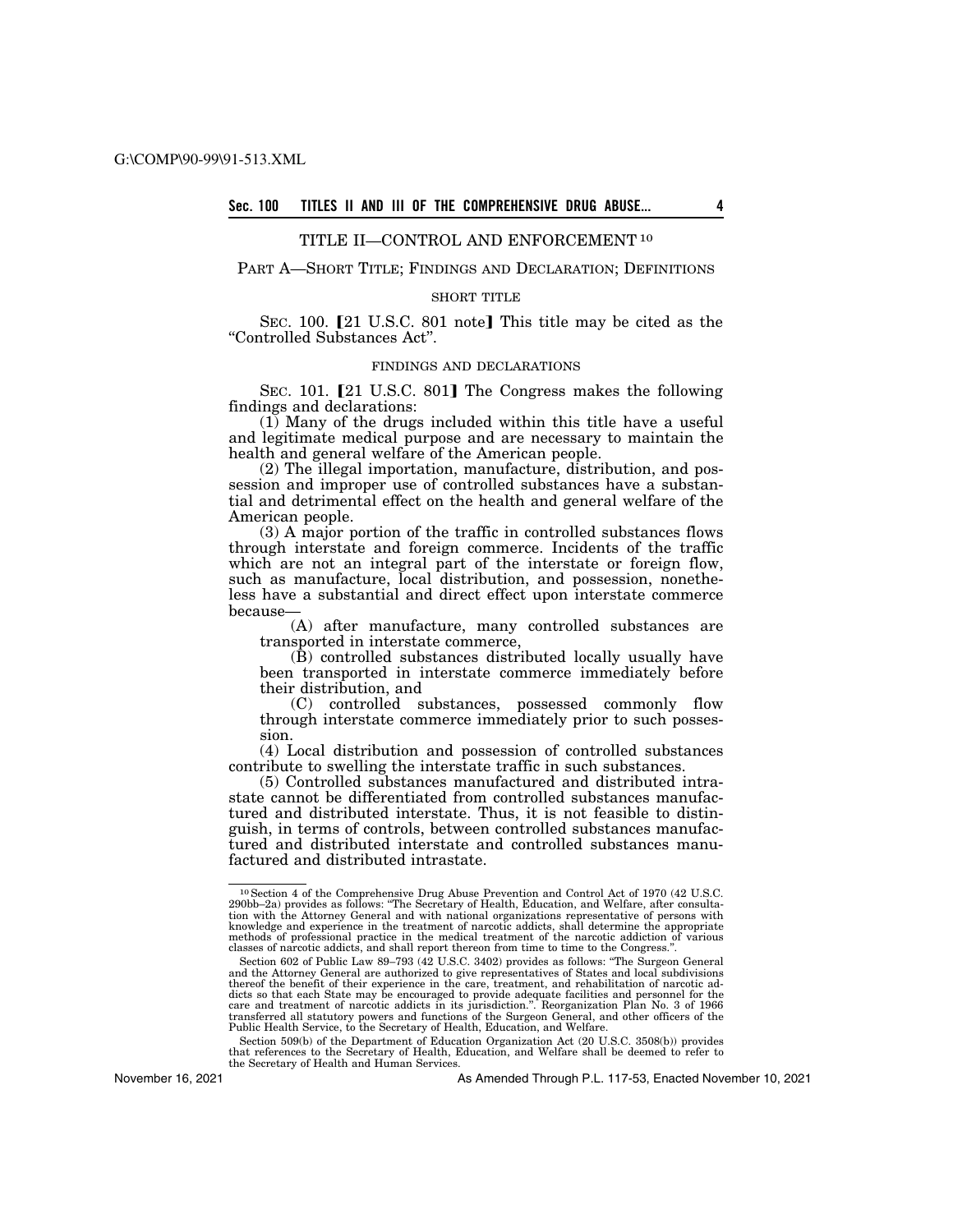# **Sec. 100 TITLES II AND III OF THE COMPREHENSIVE DRUG ABUSE... 4**

# TITLE II—CONTROL AND ENFORCEMENT 10

# PART A-SHORT TITLE; FINDINGS AND DECLARATION; DEFINITIONS

# SHORT TITLE

SEC.  $100.$  [21 U.S.C.  $801$  note] This title may be cited as the ''Controlled Substances Act''.

# FINDINGS AND DECLARATIONS

SEC. 101. [21 U.S.C. 801] The Congress makes the following findings and declarations:

(1) Many of the drugs included within this title have a useful and legitimate medical purpose and are necessary to maintain the health and general welfare of the American people.

(2) The illegal importation, manufacture, distribution, and possession and improper use of controlled substances have a substantial and detrimental effect on the health and general welfare of the American people.

(3) A major portion of the traffic in controlled substances flows through interstate and foreign commerce. Incidents of the traffic which are not an integral part of the interstate or foreign flow, such as manufacture, local distribution, and possession, nonetheless have a substantial and direct effect upon interstate commerce because—

(A) after manufacture, many controlled substances are transported in interstate commerce,

(B) controlled substances distributed locally usually have been transported in interstate commerce immediately before their distribution, and

(C) controlled substances, possessed commonly flow through interstate commerce immediately prior to such possession.

(4) Local distribution and possession of controlled substances contribute to swelling the interstate traffic in such substances.

(5) Controlled substances manufactured and distributed intrastate cannot be differentiated from controlled substances manufactured and distributed interstate. Thus, it is not feasible to distinguish, in terms of controls, between controlled substances manufactured and distributed interstate and controlled substances manufactured and distributed intrastate.

November 16, 2021

<sup>10</sup>Section 4 of the Comprehensive Drug Abuse Prevention and Control Act of 1970 (42 U.S.C. 290bb–2a) provides as follows: "The Secretary of Health, Education, and Welfare, after consultation with the Attorney General and with national organizations representative of persons with knowledge and experience in the t

Section 602 of Public Law 89–793 (42 U.S.C. 3402) provides as follows: ''The Surgeon General and the Attorney General are authorized to give representatives of States and local subdivisions thereof the benefit of their experience in the care, treatment, and rehabilitation of narcotic addicts so that each State may be encouraged to provide adequate facilities and personnel for the care and treatment of narcotic addicts in its jurisdiction.''. Reorganization Plan No. 3 of 1966 transferred all statutory powers and functions of the Surgeon General, and other officers of the Public Health Service, to the Secretary of Health, Education, and Welfare.

Section 509(b) of the Department of Education Organization Act (20 U.S.C. 3508(b)) provides that references to the Secretary of Health, Education, and Welfare shall be deemed to refer to the Secretary of Health and Human Services.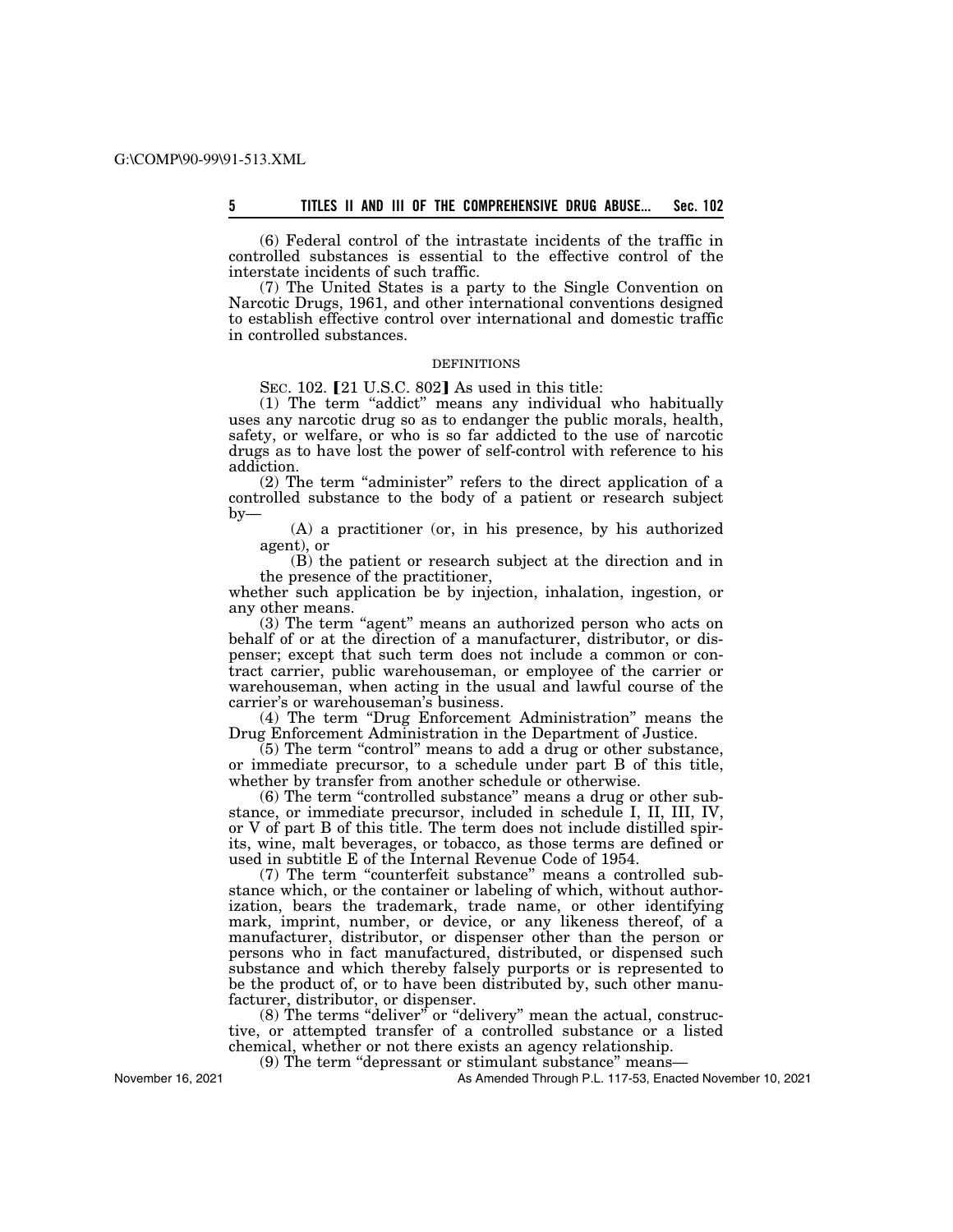(6) Federal control of the intrastate incidents of the traffic in controlled substances is essential to the effective control of the interstate incidents of such traffic.

(7) The United States is a party to the Single Convention on Narcotic Drugs, 1961, and other international conventions designed to establish effective control over international and domestic traffic in controlled substances.

### DEFINITIONS

SEC.  $102.$  [21 U.S.C.  $802$ ] As used in this title:

(1) The term ''addict'' means any individual who habitually uses any narcotic drug so as to endanger the public morals, health, safety, or welfare, or who is so far addicted to the use of narcotic drugs as to have lost the power of self-control with reference to his addiction.

(2) The term ''administer'' refers to the direct application of a controlled substance to the body of a patient or research subject by—

(A) a practitioner (or, in his presence, by his authorized agent), or

(B) the patient or research subject at the direction and in the presence of the practitioner,

whether such application be by injection, inhalation, ingestion, or any other means.

(3) The term "agent" means an authorized person who acts on behalf of or at the direction of a manufacturer, distributor, or dispenser; except that such term does not include a common or contract carrier, public warehouseman, or employee of the carrier or warehouseman, when acting in the usual and lawful course of the carrier's or warehouseman's business.

(4) The term ''Drug Enforcement Administration'' means the Drug Enforcement Administration in the Department of Justice.

(5) The term ''control'' means to add a drug or other substance, or immediate precursor, to a schedule under part B of this title, whether by transfer from another schedule or otherwise.

(6) The term "controlled substance" means a drug or other substance, or immediate precursor, included in schedule I, II, III, IV, or V of part B of this title. The term does not include distilled spirits, wine, malt beverages, or tobacco, as those terms are defined or used in subtitle E of the Internal Revenue Code of 1954.

(7) The term ''counterfeit substance'' means a controlled substance which, or the container or labeling of which, without authorization, bears the trademark, trade name, or other identifying mark, imprint, number, or device, or any likeness thereof, of a manufacturer, distributor, or dispenser other than the person or persons who in fact manufactured, distributed, or dispensed such substance and which thereby falsely purports or is represented to be the product of, or to have been distributed by, such other manufacturer, distributor, or dispenser.

 $(8)$  The terms "deliver" or "delivery" mean the actual, constructive, or attempted transfer of a controlled substance or a listed chemical, whether or not there exists an agency relationship.

(9) The term ''depressant or stimulant substance'' means—

November 16, 2021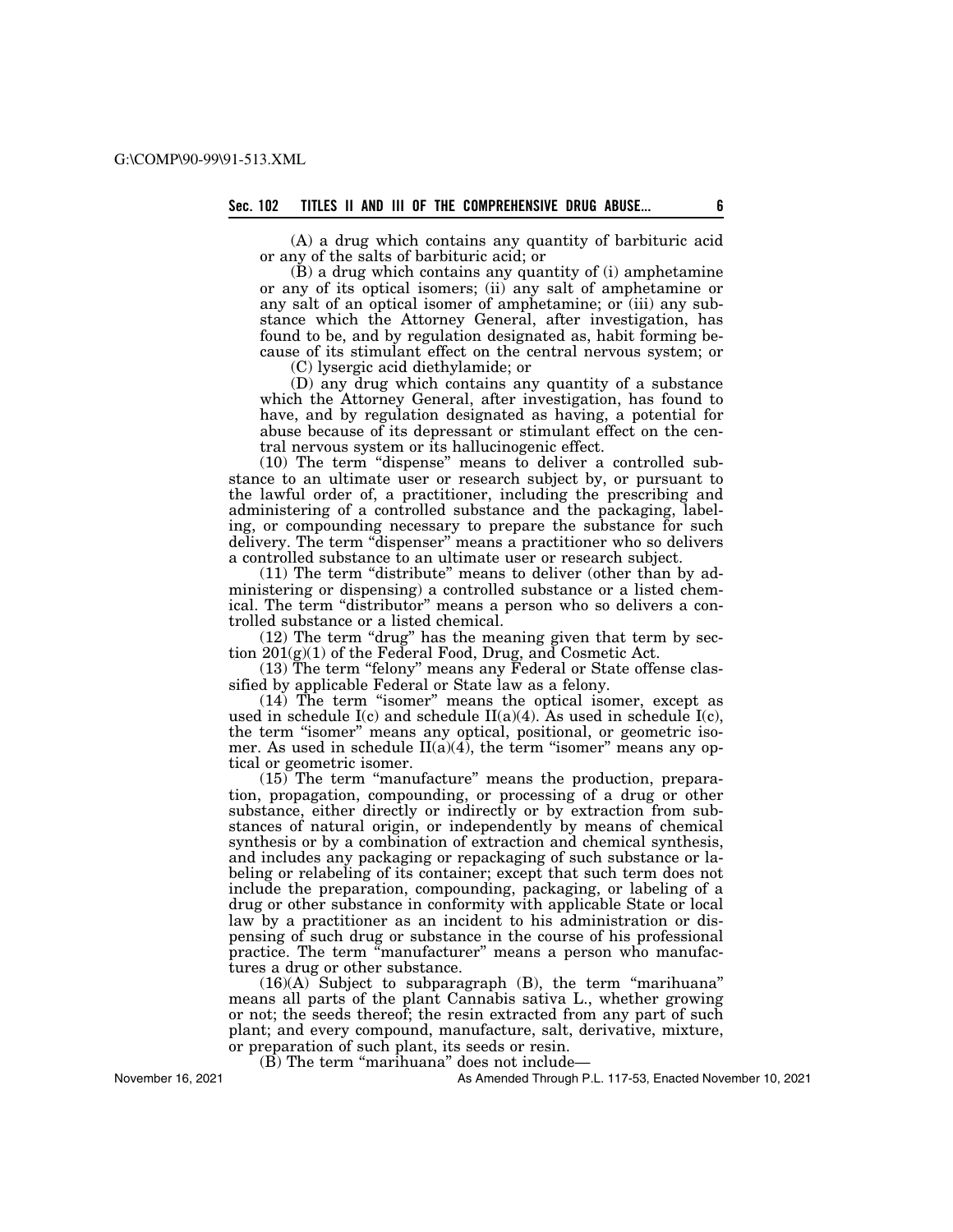(A) a drug which contains any quantity of barbituric acid or any of the salts of barbituric acid; or

 $(\dot{B})$  a drug which contains any quantity of  $(i)$  amphetamine or any of its optical isomers; (ii) any salt of amphetamine or any salt of an optical isomer of amphetamine; or (iii) any substance which the Attorney General, after investigation, has found to be, and by regulation designated as, habit forming because of its stimulant effect on the central nervous system; or

(C) lysergic acid diethylamide; or

(D) any drug which contains any quantity of a substance which the Attorney General, after investigation, has found to have, and by regulation designated as having, a potential for abuse because of its depressant or stimulant effect on the central nervous system or its hallucinogenic effect.

(10) The term ''dispense'' means to deliver a controlled substance to an ultimate user or research subject by, or pursuant to the lawful order of, a practitioner, including the prescribing and administering of a controlled substance and the packaging, labeling, or compounding necessary to prepare the substance for such delivery. The term ''dispenser'' means a practitioner who so delivers a controlled substance to an ultimate user or research subject.

(11) The term ''distribute'' means to deliver (other than by administering or dispensing) a controlled substance or a listed chemical. The term "distributor" means a person who so delivers a controlled substance or a listed chemical.

(12) The term ''drug'' has the meaning given that term by section  $201(g)(1)$  of the Federal Food, Drug, and Cosmetic Act.

(13) The term ''felony'' means any Federal or State offense classified by applicable Federal or State law as a felony.

(14) The term ''isomer'' means the optical isomer, except as used in schedule  $I(c)$  and schedule  $II(a)(4)$ . As used in schedule  $I(c)$ , the term ''isomer'' means any optical, positional, or geometric isomer. As used in schedule  $II(a)(4)$ , the term "isomer" means any optical or geometric isomer.

(15) The term ''manufacture'' means the production, preparation, propagation, compounding, or processing of a drug or other substance, either directly or indirectly or by extraction from substances of natural origin, or independently by means of chemical synthesis or by a combination of extraction and chemical synthesis, and includes any packaging or repackaging of such substance or labeling or relabeling of its container; except that such term does not include the preparation, compounding, packaging, or labeling of a drug or other substance in conformity with applicable State or local law by a practitioner as an incident to his administration or dispensing of such drug or substance in the course of his professional practice. The term "manufacturer" means a person who manufactures a drug or other substance.

 $(16)(A)$  Subject to subparagraph (B), the term "marihuana" means all parts of the plant Cannabis sativa L., whether growing or not; the seeds thereof; the resin extracted from any part of such plant; and every compound, manufacture, salt, derivative, mixture, or preparation of such plant, its seeds or resin.

(B) The term ''marihuana'' does not include—

As Amended Through P.L. 117-53, Enacted November 10, 2021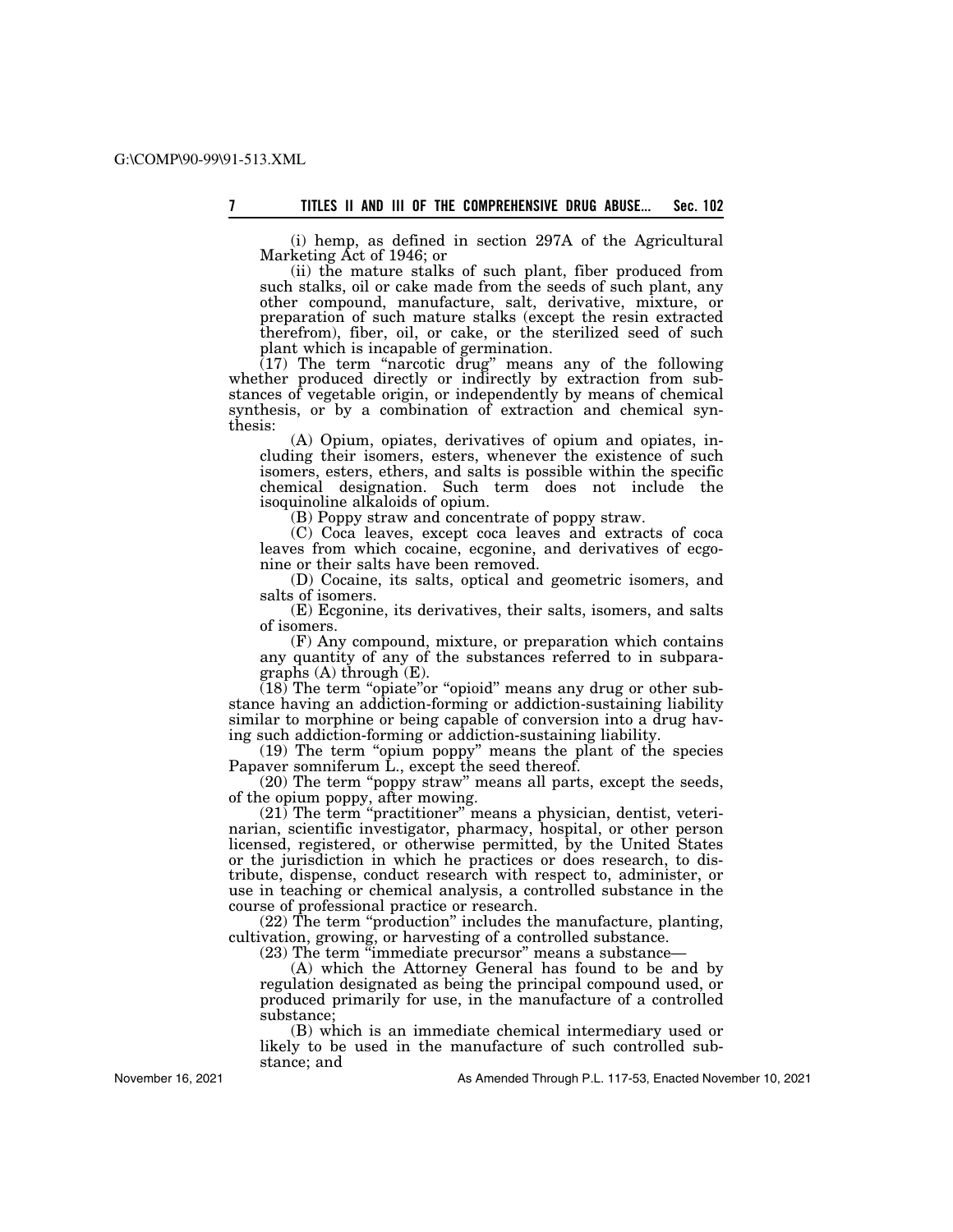(i) hemp, as defined in section 297A of the Agricultural Marketing Act of 1946; or

(ii) the mature stalks of such plant, fiber produced from such stalks, oil or cake made from the seeds of such plant, any other compound, manufacture, salt, derivative, mixture, or preparation of such mature stalks (except the resin extracted therefrom), fiber, oil, or cake, or the sterilized seed of such plant which is incapable of germination.

 $(17)$  The term "narcotic drug" means any of the following whether produced directly or indirectly by extraction from substances of vegetable origin, or independently by means of chemical synthesis, or by a combination of extraction and chemical synthesis:

(A) Opium, opiates, derivatives of opium and opiates, including their isomers, esters, whenever the existence of such isomers, esters, ethers, and salts is possible within the specific chemical designation. Such term does not include the isoquinoline alkaloids of opium.

(B) Poppy straw and concentrate of poppy straw.

(C) Coca leaves, except coca leaves and extracts of coca leaves from which cocaine, ecgonine, and derivatives of ecgonine or their salts have been removed.

(D) Cocaine, its salts, optical and geometric isomers, and salts of isomers.

(E) Ecgonine, its derivatives, their salts, isomers, and salts of isomers.

(F) Any compound, mixture, or preparation which contains any quantity of any of the substances referred to in subparagraphs  $(A)$  through  $(E)$ .

(18) The term ''opiate''or ''opioid'' means any drug or other substance having an addiction-forming or addiction-sustaining liability similar to morphine or being capable of conversion into a drug having such addiction-forming or addiction-sustaining liability.

(19) The term ''opium poppy'' means the plant of the species Papaver somniferum L., except the seed thereof.

(20) The term ''poppy straw'' means all parts, except the seeds, of the opium poppy, after mowing.

 $(21)$  The term "practitioner" means a physician, dentist, veterinarian, scientific investigator, pharmacy, hospital, or other person licensed, registered, or otherwise permitted, by the United States or the jurisdiction in which he practices or does research, to distribute, dispense, conduct research with respect to, administer, or use in teaching or chemical analysis, a controlled substance in the course of professional practice or research.

(22) The term ''production'' includes the manufacture, planting, cultivation, growing, or harvesting of a controlled substance.

(23) The term "immediate precursor" means a substance—

(A) which the Attorney General has found to be and by regulation designated as being the principal compound used, or produced primarily for use, in the manufacture of a controlled substance;

(B) which is an immediate chemical intermediary used or likely to be used in the manufacture of such controlled substance; and

November 16, 2021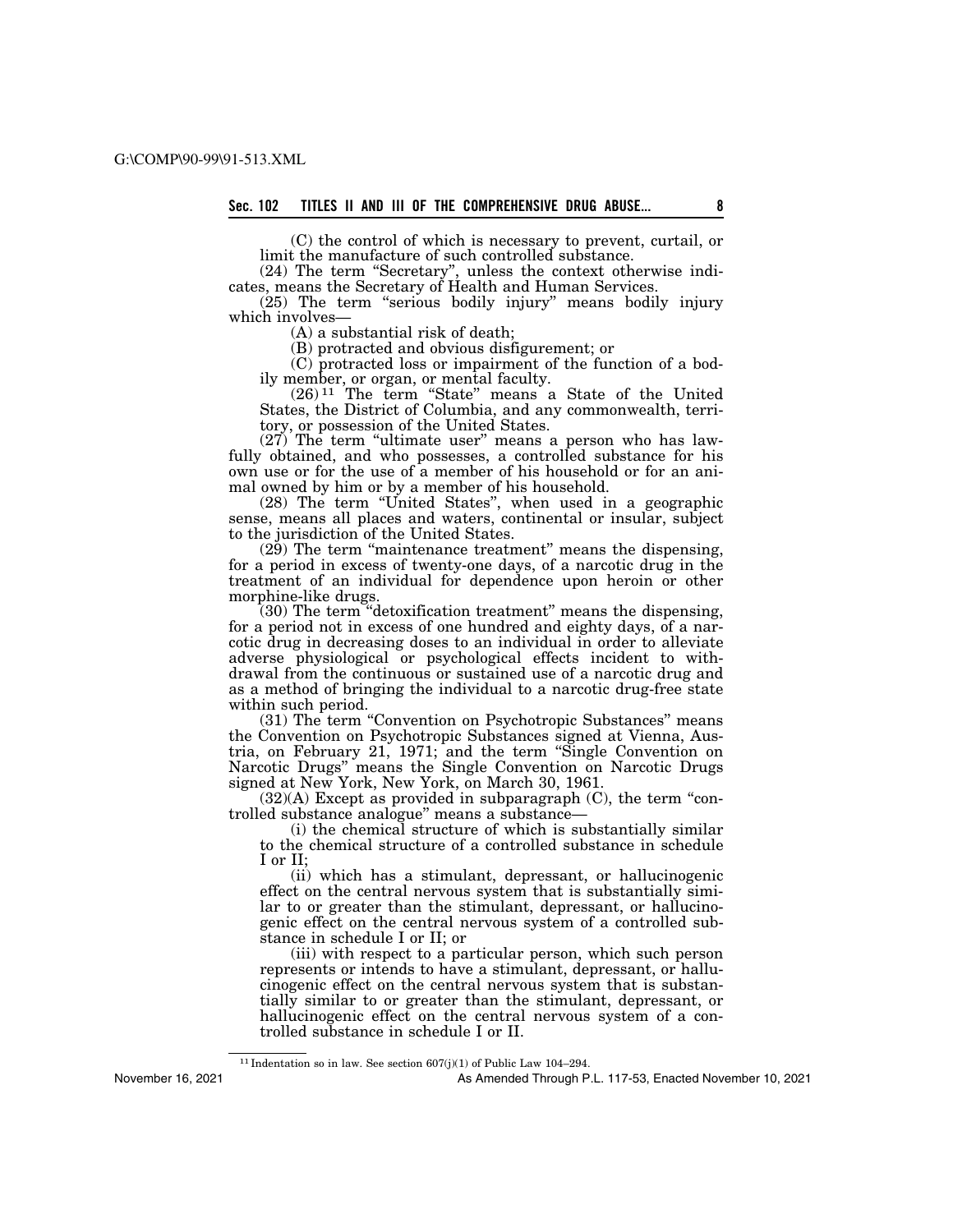# **Sec. 102 TITLES II AND III OF THE COMPREHENSIVE DRUG ABUSE... 8**

(C) the control of which is necessary to prevent, curtail, or limit the manufacture of such controlled substance.

(24) The term ''Secretary'', unless the context otherwise indicates, means the Secretary of Health and Human Services.

(25) The term ''serious bodily injury'' means bodily injury which involves—

(A) a substantial risk of death;

(B) protracted and obvious disfigurement; or

(C) protracted loss or impairment of the function of a bodily member, or organ, or mental faculty.

 $(26)$ <sup>11</sup> The term "State" means a State of the United States, the District of Columbia, and any commonwealth, territory, or possession of the United States.

 $(27)$  The term "ultimate user" means a person who has lawfully obtained, and who possesses, a controlled substance for his own use or for the use of a member of his household or for an animal owned by him or by a member of his household.

(28) The term ''United States'', when used in a geographic sense, means all places and waters, continental or insular, subject to the jurisdiction of the United States.

 $(2\tilde{9})$  The term "maintenance treatment" means the dispensing, for a period in excess of twenty-one days, of a narcotic drug in the treatment of an individual for dependence upon heroin or other morphine-like drugs.

(30) The term ''detoxification treatment'' means the dispensing, for a period not in excess of one hundred and eighty days, of a narcotic drug in decreasing doses to an individual in order to alleviate adverse physiological or psychological effects incident to withdrawal from the continuous or sustained use of a narcotic drug and as a method of bringing the individual to a narcotic drug-free state within such period.

(31) The term ''Convention on Psychotropic Substances'' means the Convention on Psychotropic Substances signed at Vienna, Austria, on February 21, 1971; and the term ''Single Convention on Narcotic Drugs'' means the Single Convention on Narcotic Drugs signed at New York, New York, on March 30, 1961.

 $(32)(A)$  Except as provided in subparagraph  $(C)$ , the term "controlled substance analogue'' means a substance—

(i) the chemical structure of which is substantially similar to the chemical structure of a controlled substance in schedule I or II;

(ii) which has a stimulant, depressant, or hallucinogenic effect on the central nervous system that is substantially similar to or greater than the stimulant, depressant, or hallucinogenic effect on the central nervous system of a controlled substance in schedule I or II; or

(iii) with respect to a particular person, which such person represents or intends to have a stimulant, depressant, or hallucinogenic effect on the central nervous system that is substantially similar to or greater than the stimulant, depressant, or hallucinogenic effect on the central nervous system of a controlled substance in schedule I or II.

<sup>11</sup> Indentation so in law. See section  $607(j)(1)$  of Public Law 104-294.

As Amended Through P.L. 117-53, Enacted November 10, 2021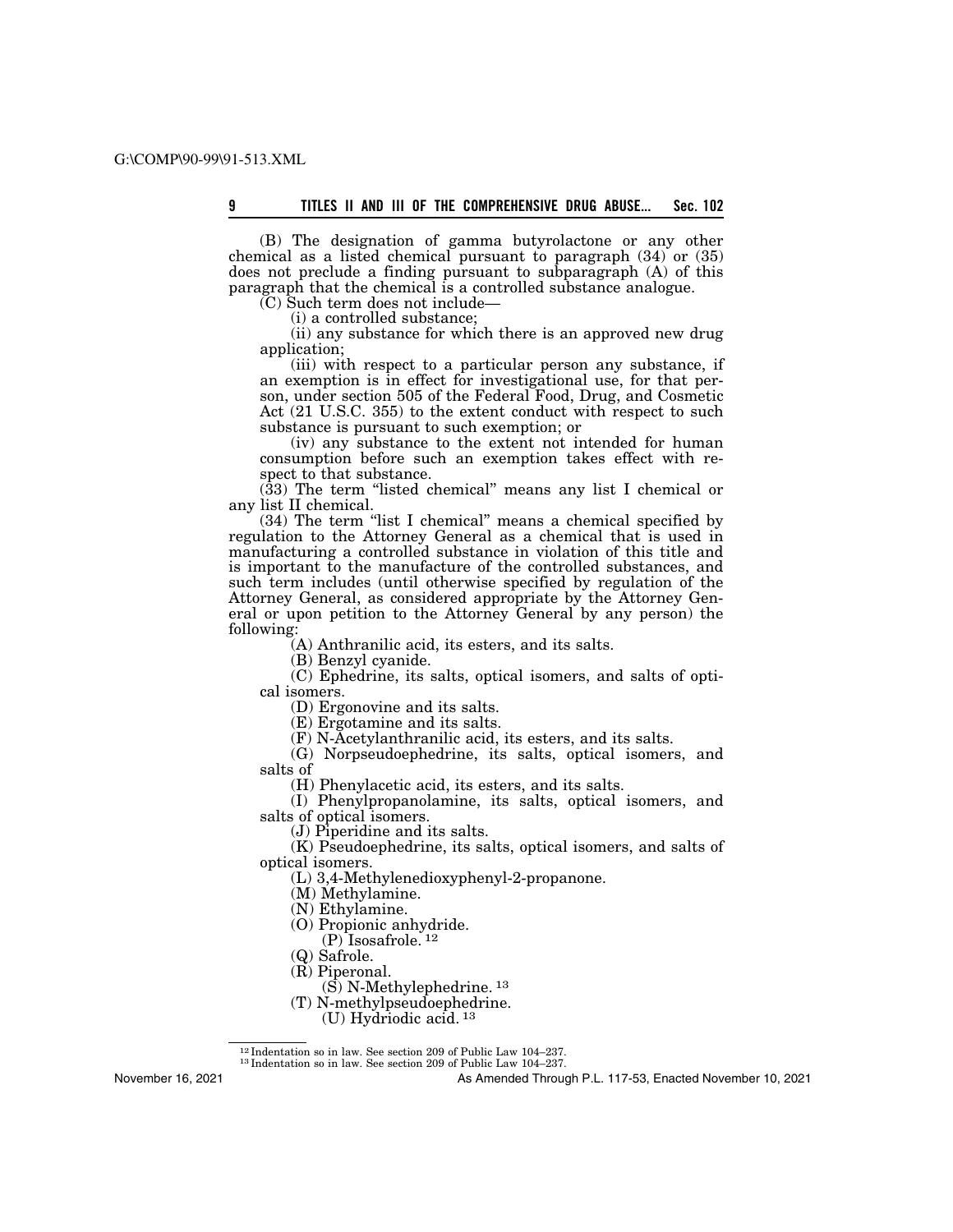(B) The designation of gamma butyrolactone or any other chemical as a listed chemical pursuant to paragraph (34) or (35) does not preclude a finding pursuant to subparagraph (A) of this paragraph that the chemical is a controlled substance analogue.

(C) Such term does not include—

(i) a controlled substance;

(ii) any substance for which there is an approved new drug application;

(iii) with respect to a particular person any substance, if an exemption is in effect for investigational use, for that person, under section 505 of the Federal Food, Drug, and Cosmetic Act (21 U.S.C. 355) to the extent conduct with respect to such substance is pursuant to such exemption; or

(iv) any substance to the extent not intended for human consumption before such an exemption takes effect with respect to that substance.

 $(33)$  The term "listed chemical" means any list I chemical or any list II chemical.

(34) The term "list I chemical" means a chemical specified by regulation to the Attorney General as a chemical that is used in manufacturing a controlled substance in violation of this title and is important to the manufacture of the controlled substances, and such term includes (until otherwise specified by regulation of the Attorney General, as considered appropriate by the Attorney General or upon petition to the Attorney General by any person) the following:

(A) Anthranilic acid, its esters, and its salts.

(B) Benzyl cyanide.

(C) Ephedrine, its salts, optical isomers, and salts of optical isomers.

(D) Ergonovine and its salts.

(E) Ergotamine and its salts.

(F) N-Acetylanthranilic acid, its esters, and its salts.

(G) Norpseudoephedrine, its salts, optical isomers, and salts of

(H) Phenylacetic acid, its esters, and its salts.

(I) Phenylpropanolamine, its salts, optical isomers, and salts of optical isomers.

(J) Piperidine and its salts.

(K) Pseudoephedrine, its salts, optical isomers, and salts of optical isomers.

(L) 3,4-Methylenedioxyphenyl-2-propanone.

(M) Methylamine.

(N) Ethylamine.

(O) Propionic anhydride.

 $(P)$  Isosafrole.<sup>12</sup>

- (Q) Safrole.
- (R) Piperonal.
- $(S)$  N-Methylephedrine.<sup>13</sup>

(T) N-methylpseudoephedrine.

(U) Hydriodic acid. 13

 $^{12}$  Indentation so in law. See section 209 of Public Law 104–237.  $^{13}$  Indentation so in law. See section 209 of Public Law 104–237.

November 16, 2021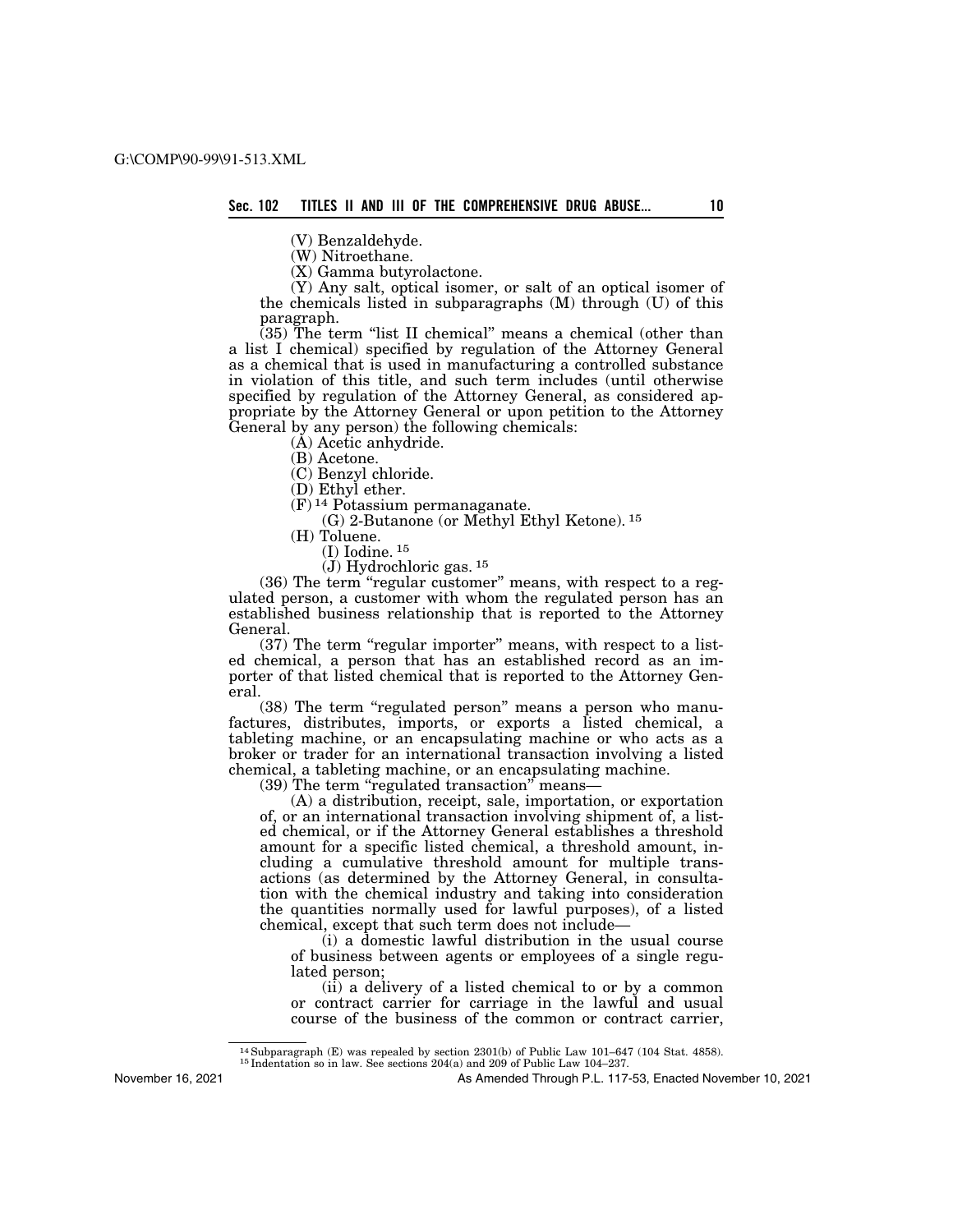(V) Benzaldehyde.

(W) Nitroethane.

(X) Gamma butyrolactone.

(Y) Any salt, optical isomer, or salt of an optical isomer of the chemicals listed in subparagraphs (M) through (U) of this paragraph.

(35) The term "list II chemical" means a chemical (other than a list I chemical) specified by regulation of the Attorney General as a chemical that is used in manufacturing a controlled substance in violation of this title, and such term includes (until otherwise specified by regulation of the Attorney General, as considered appropriate by the Attorney General or upon petition to the Attorney General by any person) the following chemicals:

(A) Acetic anhydride.

(B) Acetone.

(C) Benzyl chloride.

(D) Ethyl ether.

 $(F)$ <sup>14</sup> Potassium permanaganate.

(G) 2-Butanone (or Methyl Ethyl Ketone). 15

(H) Toluene.

(I) Iodine. 15

(J) Hydrochloric gas. 15

(36) The term ''regular customer'' means, with respect to a regulated person, a customer with whom the regulated person has an established business relationship that is reported to the Attorney General.

(37) The term "regular importer" means, with respect to a listed chemical, a person that has an established record as an importer of that listed chemical that is reported to the Attorney General.

(38) The term "regulated person" means a person who manufactures, distributes, imports, or exports a listed chemical, a tableting machine, or an encapsulating machine or who acts as a broker or trader for an international transaction involving a listed chemical, a tableting machine, or an encapsulating machine.

(39) The term "regulated transaction" means-

(A) a distribution, receipt, sale, importation, or exportation of, or an international transaction involving shipment of, a listed chemical, or if the Attorney General establishes a threshold amount for a specific listed chemical, a threshold amount, including a cumulative threshold amount for multiple transactions (as determined by the Attorney General, in consultation with the chemical industry and taking into consideration the quantities normally used for lawful purposes), of a listed chemical, except that such term does not include—

(i) a domestic lawful distribution in the usual course of business between agents or employees of a single regulated person;

(ii) a delivery of a listed chemical to or by a common or contract carrier for carriage in the lawful and usual course of the business of the common or contract carrier,

November 16, 2021

<sup>&</sup>lt;sup>14</sup>Subparagraph (E) was repealed by section 2301(b) of Public Law 101–647 (104 Stat. 4858). <sup>15</sup> Indentation so in law. See sections 204(a) and 209 of Public Law 104–237.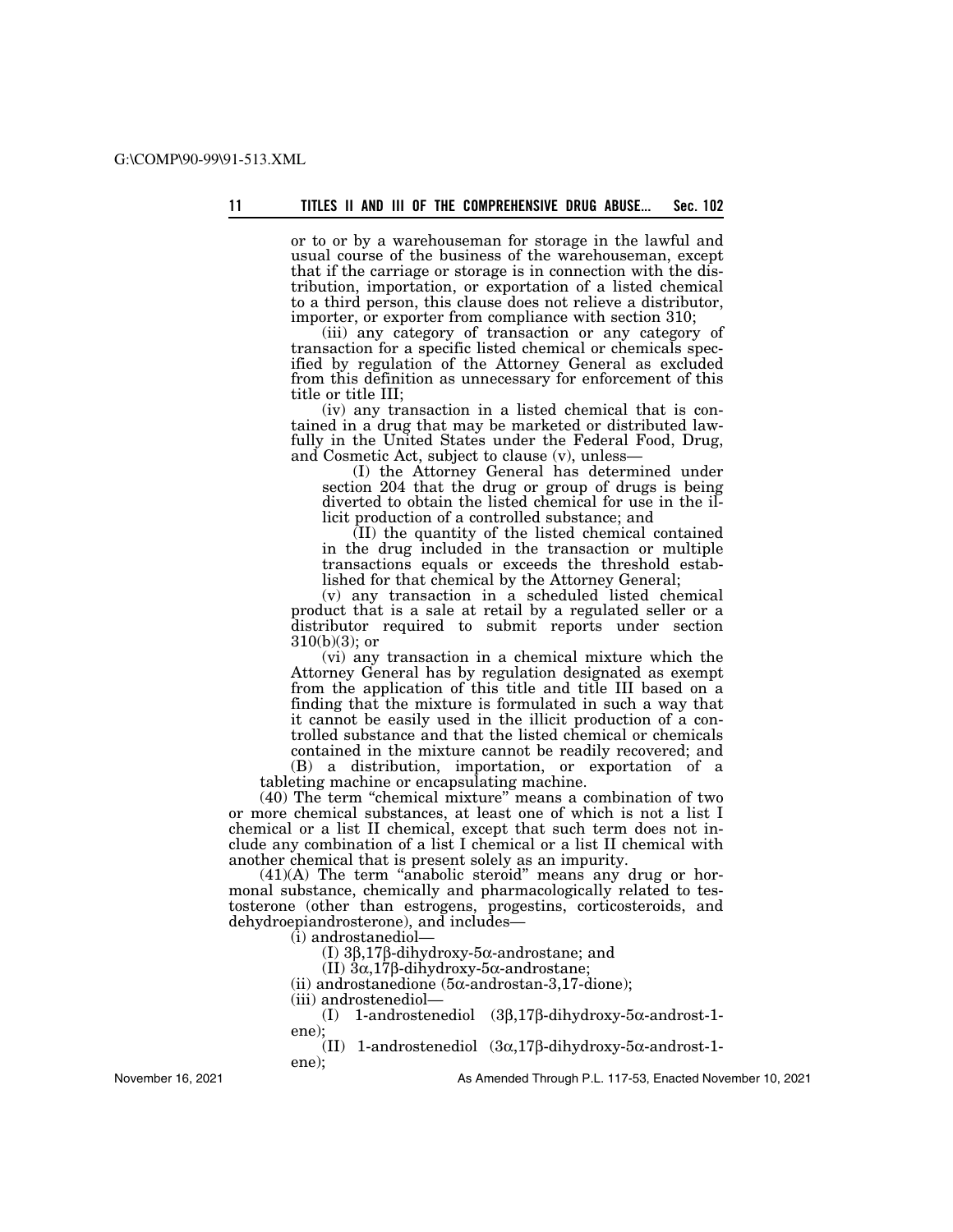or to or by a warehouseman for storage in the lawful and usual course of the business of the warehouseman, except that if the carriage or storage is in connection with the distribution, importation, or exportation of a listed chemical to a third person, this clause does not relieve a distributor, importer, or exporter from compliance with section 310;

(iii) any category of transaction or any category of transaction for a specific listed chemical or chemicals specified by regulation of the Attorney General as excluded from this definition as unnecessary for enforcement of this title or title III;

(iv) any transaction in a listed chemical that is contained in a drug that may be marketed or distributed lawfully in the United States under the Federal Food, Drug, and Cosmetic Act, subject to clause (v), unless—

(I) the Attorney General has determined under section 204 that the drug or group of drugs is being diverted to obtain the listed chemical for use in the illicit production of a controlled substance; and

(II) the quantity of the listed chemical contained in the drug included in the transaction or multiple transactions equals or exceeds the threshold established for that chemical by the Attorney General;

(v) any transaction in a scheduled listed chemical product that is a sale at retail by a regulated seller or a distributor required to submit reports under section  $310(b)(3)$ ; or

(vi) any transaction in a chemical mixture which the Attorney General has by regulation designated as exempt from the application of this title and title III based on a finding that the mixture is formulated in such a way that it cannot be easily used in the illicit production of a controlled substance and that the listed chemical or chemicals contained in the mixture cannot be readily recovered; and (B) a distribution, importation, or exportation of a

tableting machine or encapsulating machine.

(40) The term "chemical mixture" means a combination of two or more chemical substances, at least one of which is not a list I chemical or a list II chemical, except that such term does not include any combination of a list I chemical or a list II chemical with another chemical that is present solely as an impurity.

(41)(A) The term ''anabolic steroid'' means any drug or hormonal substance, chemically and pharmacologically related to testosterone (other than estrogens, progestins, corticosteroids, and dehydroepiandrosterone), and includes—

(i) androstanediol—

(I) 3β,17β-dihydroxy-5α-androstane; and

(II) 3α,17β-dihydroxy-5α-androstane;

(ii) androstanedione (5α-androstan-3,17-dione);

(iii) androstenediol—

(I) 1-androstenediol (3β,17β-dihydroxy-5α-androst-1 ene);

(II) 1-androstenediol (3α,17β-dihydroxy-5α-androst-1 ene);

November 16, 2021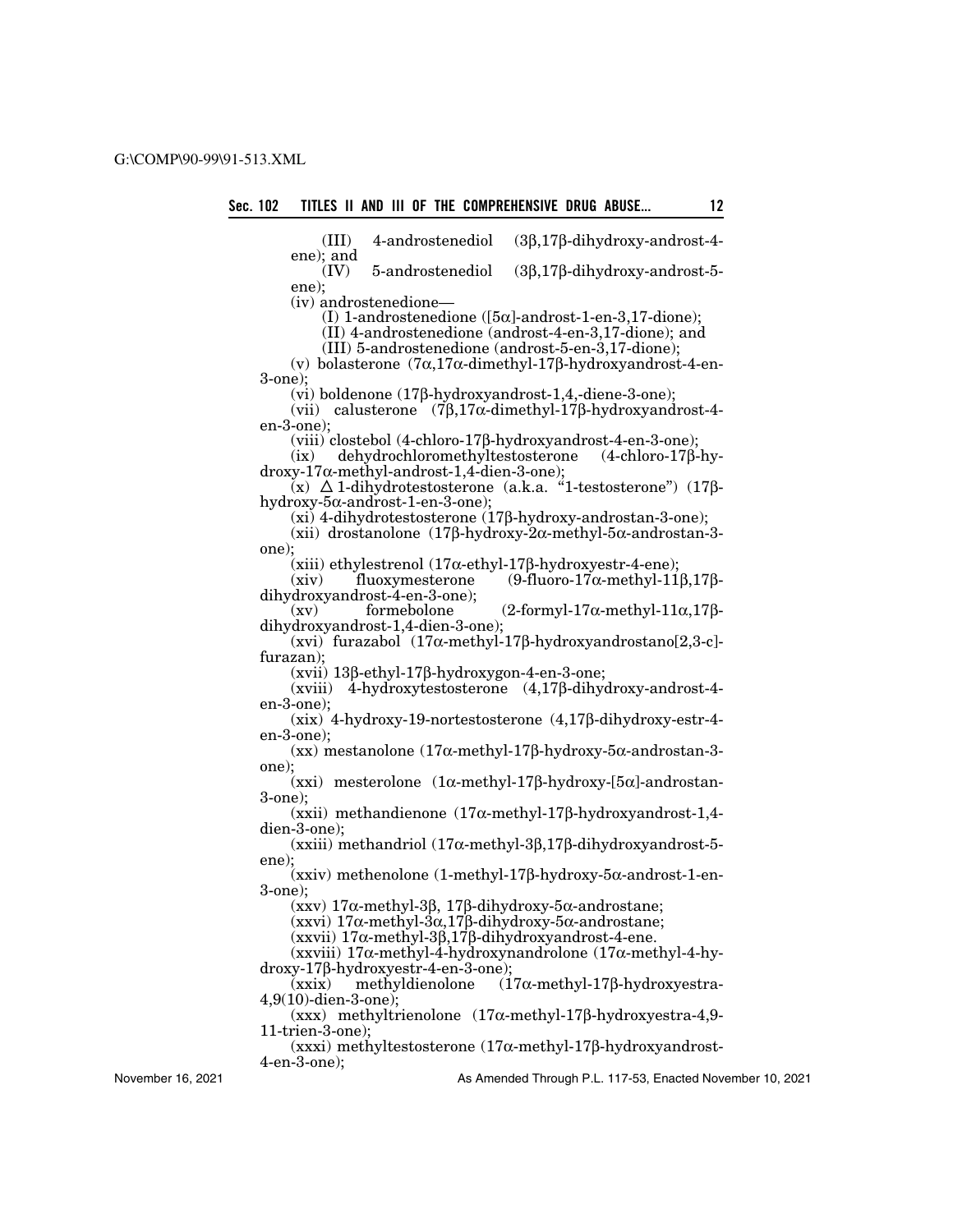(III) 4-androstenediol (3β,17β-dihydroxy-androst-4 ene); and  $(IV)$ 

(IV) 5-androstenediol (3β,17β-dihydroxy-androst-5 ene);

(iv) androstenedione—

(I) 1-androstenedione ([5α]-androst-1-en-3,17-dione);

(II) 4-androstenedione (androst-4-en-3,17-dione); and

(III) 5-androstenedione (androst-5-en-3,17-dione);

(v) bolasterone (7α,17α-dimethyl-17β-hydroxyandrost-4-en-3-one);

(vi) boldenone (17β-hydroxyandrost-1,4,-diene-3-one);

(vii) calusterone (7β,17α-dimethyl-17β-hydroxyandrost-4 en-3-one);

(viii) clostebol (4-chloro-17β-hydroxyandrost-4-en-3-one);

 $dehydrochloromethyl test to a 4-  
efrocten.$ droxy-17α-methyl-androst-1,4-dien-3-one);

(x)  $\Delta$  1-dihydrotestosterone (a.k.a. "1-testosterone") (17β-hydroxy-5α-androst-1-en-3-one);

(xi) 4-dihydrotestosterone (17β-hydroxy-androstan-3-one);

(xii) drostanolone (17β-hydroxy-2α-methyl-5α-androstan-3 one);

(xiii) ethylestrenol (17α-ethyl-17β-hydroxyestr-4-ene);

 $(9-fluoro-17α-methyl-11β,17β$ dihydroxyandrost-4-en-3-one);

(xv) formebolone  $(2\text{-}formyl-17\alpha\text{-}methyl-11\alpha,17\beta\text{-}l2\alpha)$ dihydroxyandrost-1,4-dien-3-one);

(xvi) furazabol (17α-methyl-17β-hydroxyandrostano[2,3-c] furazan);

(xvii) 13β-ethyl-17β-hydroxygon-4-en-3-one;

(xviii) 4-hydroxytestosterone (4,17β-dihydroxy-androst-4 en-3-one);

(xix) 4-hydroxy-19-nortestosterone (4,17β-dihydroxy-estr-4 en-3-one);

(xx) mestanolone (17α-methyl-17β-hydroxy-5α-androstan-3 one);

(xxi) mesterolone (1α-methyl-17β-hydroxy-[5α]-androstan-3-one);

(xxii) methandienone (17α-methyl-17β-hydroxyandrost-1,4 dien-3-one);

(xxiii) methandriol (17α-methyl-3β,17β-dihydroxyandrost-5 ene);

(xxiv) methenolone (1-methyl-17β-hydroxy-5α-androst-1-en-3-one);

(xxv) 17α-methyl-3β, 17β-dihydroxy-5α-androstane;

(xxvi) 17α-methyl-3α,17β-dihydroxy-5α-androstane;

(xxvii) 17α-methyl-3β,17β-dihydroxyandrost-4-ene.

(xxviii) 17α-methyl-4-hydroxynandrolone (17α-methyl-4-hydroxy-17β-hydroxyestr-4-en-3-one);

(xxix) methyldienolone (17α-methyl-17β-hydroxyestra-4,9(10)-dien-3-one);

(xxx) methyltrienolone (17α-methyl-17β-hydroxyestra-4,9- 11-trien-3-one);

(xxxi) methyltestosterone (17α-methyl-17β-hydroxyandrost-4-en-3-one);

November 16, 2021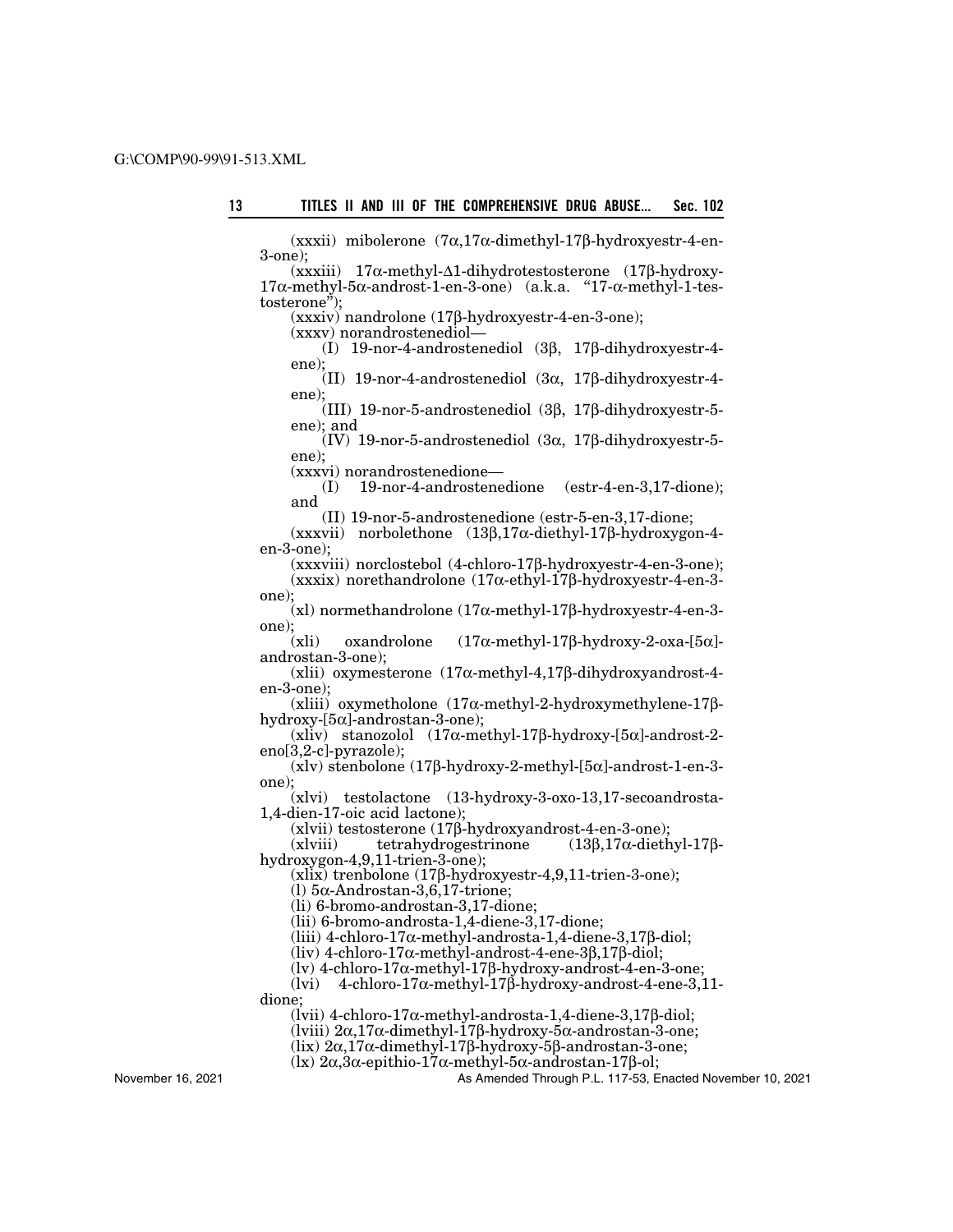(xxxii) mibolerone (7α,17α-dimethyl-17β-hydroxyestr-4-en-3-one);

(xxxiii) 17α-methyl-Δ1-dihydrotestosterone (17β-hydroxy-17α-methyl-5α-androst-1-en-3-one) (a.k.a. ''17-α-methyl-1-testosterone'');

(xxxiv) nandrolone (17β-hydroxyestr-4-en-3-one);

(xxxv) norandrostenediol—

(I) 19-nor-4-androstenediol (3β, 17β-dihydroxyestr-4 ene);

(II) 19-nor-4-androstenediol (3α, 17β-dihydroxyestr-4 ene);

(III) 19-nor-5-androstenediol (3β, 17β-dihydroxyestr-5 ene); and

(IV) 19-nor-5-androstenediol (3α, 17β-dihydroxyestr-5 ene);

(xxxvi) norandrostenedione—

(I) 19-nor-4-androstenedione (estr-4-en-3,17-dione); and

(II) 19-nor-5-androstenedione (estr-5-en-3,17-dione;

(xxxvii) norbolethone (13β,17α-diethyl-17β-hydroxygon-4 en-3-one);

(xxxviii) norclostebol (4-chloro-17β-hydroxyestr-4-en-3-one); (xxxix) norethandrolone (17α-ethyl-17β-hydroxyestr-4-en-3 one);

(xl) normethandrolone (17α-methyl-17β-hydroxyestr-4-en-3 one);<br>(xli)

(xli) oxandrolone (17α-methyl-17β-hydroxy-2-oxa-[5α] androstan-3-one);

(xlii) oxymesterone (17α-methyl-4,17β-dihydroxyandrost-4 en-3-one);

(xliii) oxymetholone (17α-methyl-2-hydroxymethylene-17βhydroxy-[5α]-androstan-3-one);

(xliv) stanozolol (17α-methyl-17β-hydroxy-[5α]-androst-2 eno[3,2-c]-pyrazole);

 $(x\rightarrow x\rightarrow x\rightarrow x\rightarrow y$  stenbolone (17 $\beta$ -hydroxy-2-methyl-[5 $\alpha$ ]-androst-1-en-3one);

(xlvi) testolactone (13-hydroxy-3-oxo-13,17-secoandrosta-1,4-dien-17-oic acid lactone);

(xlvii) testosterone (17β-hydroxyandrost-4-en-3-one);

(xlviii) tetrahydrogestrinone hydroxygon-4,9,11-trien-3-one);

(xlix) trenbolone (17β-hydroxyestr-4,9,11-trien-3-one);

(l) 5α-Androstan-3,6,17-trione;

(li) 6-bromo-androstan-3,17-dione;

(lii) 6-bromo-androsta-1,4-diene-3,17-dione;

(liii) 4-chloro-17α-methyl-androsta-1,4-diene-3,17β-diol;

(liv) 4-chloro-17α-methyl-androst-4-ene-3β,17β-diol;

(lv) 4-chloro-17α-methyl-17β-hydroxy-androst-4-en-3-one; (lvi) 4-chloro-17α-methyl-17β-hydroxy-androst-4-ene-3,11-

dione;

(lvii) 4-chloro-17α-methyl-androsta-1,4-diene-3,17β-diol;

(lviii) 2α,17α-dimethyl-17β-hydroxy-5α-androstan-3-one;

(lix) 2α,17α-dimethyl-17β-hydroxy-5β-androstan-3-one;

(lx) 2α,3α-epithio-17α-methyl-5α-androstan-17β-ol;

November 16, 2021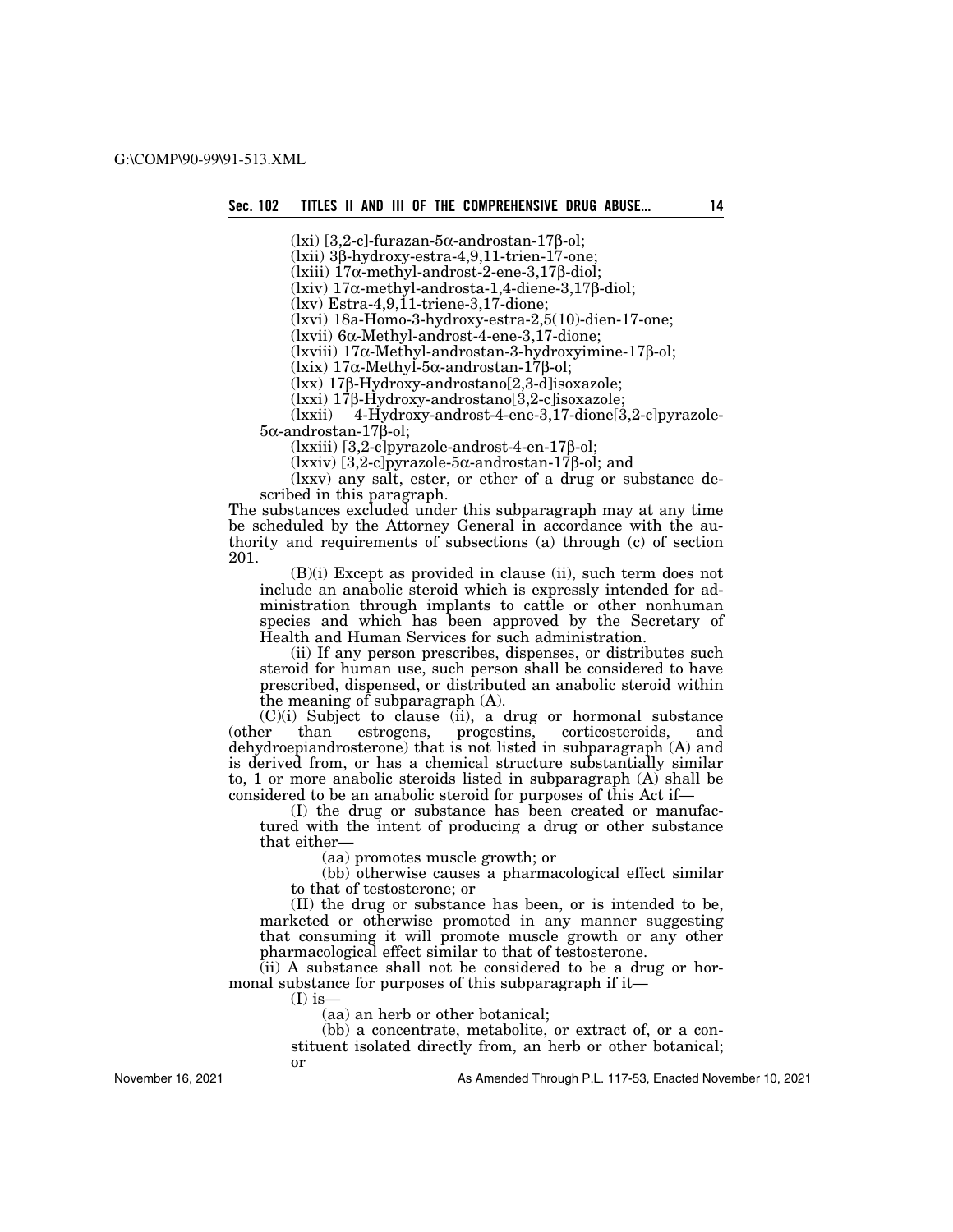(lxi) [3,2-c]-furazan-5α-androstan-17β-ol;

(lxii) 3β-hydroxy-estra-4,9,11-trien-17-one;

(lxiii) 17α-methyl-androst-2-ene-3,17β-diol;

(lxiv) 17α-methyl-androsta-1,4-diene-3,17β-diol;

(lxv) Estra-4,9,11-triene-3,17-dione;

(lxvi) 18a-Homo-3-hydroxy-estra-2,5(10)-dien-17-one;

(lxvii) 6α-Methyl-androst-4-ene-3,17-dione;

(lxviii) 17α-Methyl-androstan-3-hydroxyimine-17β-ol;

(lxix) 17α-Methyl-5α-androstan-17β-ol;

(lxx) 17β-Hydroxy-androstano[2,3-d]isoxazole;

(lxxi) 17β-Hydroxy-androstano[3,2-c]isoxazole;

(lxxii) 4-Hydroxy-androst-4-ene-3,17-dione[3,2-c]pyrazole-5α-androstan-17β-ol;

(lxxiii) [3,2-c]pyrazole-androst-4-en-17β-ol;

(lxxiv) [3,2-c]pyrazole-5α-androstan-17β-ol; and

(lxxv) any salt, ester, or ether of a drug or substance described in this paragraph.

The substances excluded under this subparagraph may at any time be scheduled by the Attorney General in accordance with the authority and requirements of subsections (a) through (c) of section 201.

(B)(i) Except as provided in clause (ii), such term does not include an anabolic steroid which is expressly intended for administration through implants to cattle or other nonhuman species and which has been approved by the Secretary of Health and Human Services for such administration.

(ii) If any person prescribes, dispenses, or distributes such steroid for human use, such person shall be considered to have prescribed, dispensed, or distributed an anabolic steroid within the meaning of subparagraph (A).

 $(C)(i)$  Subject to clause  $(ii)$ , a drug or hormonal substance (other than estrogens, progestins, corticosteroids, and dehydroepiandrosterone) that is not listed in subparagraph (A) and is derived from, or has a chemical structure substantially similar to, 1 or more anabolic steroids listed in subparagraph (A) shall be considered to be an anabolic steroid for purposes of this Act if—

(I) the drug or substance has been created or manufactured with the intent of producing a drug or other substance that either—

(aa) promotes muscle growth; or

(bb) otherwise causes a pharmacological effect similar to that of testosterone; or

(II) the drug or substance has been, or is intended to be, marketed or otherwise promoted in any manner suggesting that consuming it will promote muscle growth or any other pharmacological effect similar to that of testosterone.

(ii) A substance shall not be considered to be a drug or hormonal substance for purposes of this subparagraph if it—

 $(I)$  is-

(aa) an herb or other botanical;

(bb) a concentrate, metabolite, or extract of, or a con-

stituent isolated directly from, an herb or other botanical; or

As Amended Through P.L. 117-53, Enacted November 10, 2021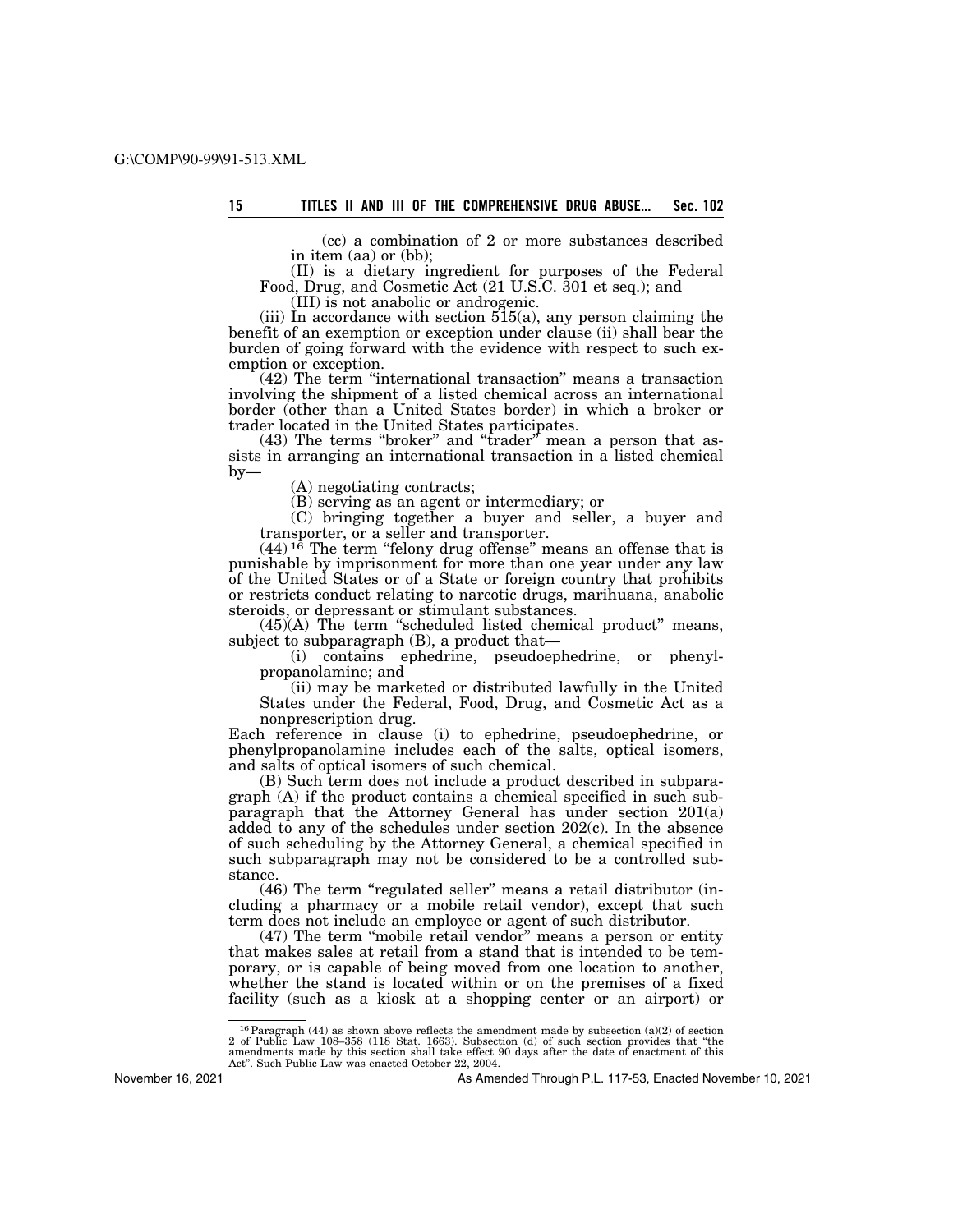(cc) a combination of 2 or more substances described in item (aa) or (bb);

(II) is a dietary ingredient for purposes of the Federal Food, Drug, and Cosmetic Act (21 U.S.C. 301 et seq.); and

(III) is not anabolic or androgenic.

(iii) In accordance with section  $515(a)$ , any person claiming the benefit of an exemption or exception under clause (ii) shall bear the burden of going forward with the evidence with respect to such exemption or exception.

(42) The term ''international transaction'' means a transaction involving the shipment of a listed chemical across an international border (other than a United States border) in which a broker or trader located in the United States participates.

 $(43)$  The terms "broker" and "trader" mean a person that assists in arranging an international transaction in a listed chemical by—

(A) negotiating contracts;

(B) serving as an agent or intermediary; or

(C) bringing together a buyer and seller, a buyer and transporter, or a seller and transporter.

 $(44)$ <sup>16</sup> The term "felony drug offense" means an offense that is punishable by imprisonment for more than one year under any law of the United States or of a State or foreign country that prohibits or restricts conduct relating to narcotic drugs, marihuana, anabolic steroids, or depressant or stimulant substances.

 $(45)(A)$  The term "scheduled listed chemical product" means, subject to subparagraph (B), a product that—

(i) contains ephedrine, pseudoephedrine, or phenylpropanolamine; and

(ii) may be marketed or distributed lawfully in the United States under the Federal, Food, Drug, and Cosmetic Act as a nonprescription drug.

Each reference in clause (i) to ephedrine, pseudoephedrine, or phenylpropanolamine includes each of the salts, optical isomers, and salts of optical isomers of such chemical.

(B) Such term does not include a product described in subparagraph (A) if the product contains a chemical specified in such subparagraph that the Attorney General has under section 201(a) added to any of the schedules under section 202(c). In the absence of such scheduling by the Attorney General, a chemical specified in such subparagraph may not be considered to be a controlled substance.

(46) The term "regulated seller" means a retail distributor (including a pharmacy or a mobile retail vendor), except that such term does not include an employee or agent of such distributor.

(47) The term ''mobile retail vendor'' means a person or entity that makes sales at retail from a stand that is intended to be temporary, or is capable of being moved from one location to another, whether the stand is located within or on the premises of a fixed facility (such as a kiosk at a shopping center or an airport) or

November 16, 2021

<sup>16</sup>Paragraph (44) as shown above reflects the amendment made by subsection (a)(2) of section 2 of Public Law 108–358 (118 Stat. 1663). Subsection (d) of such section provides that ''the amendments made by this section shall take effect 90 days after the date of enactment of this

Act''. Such Public Law was enacted October 22, 2004.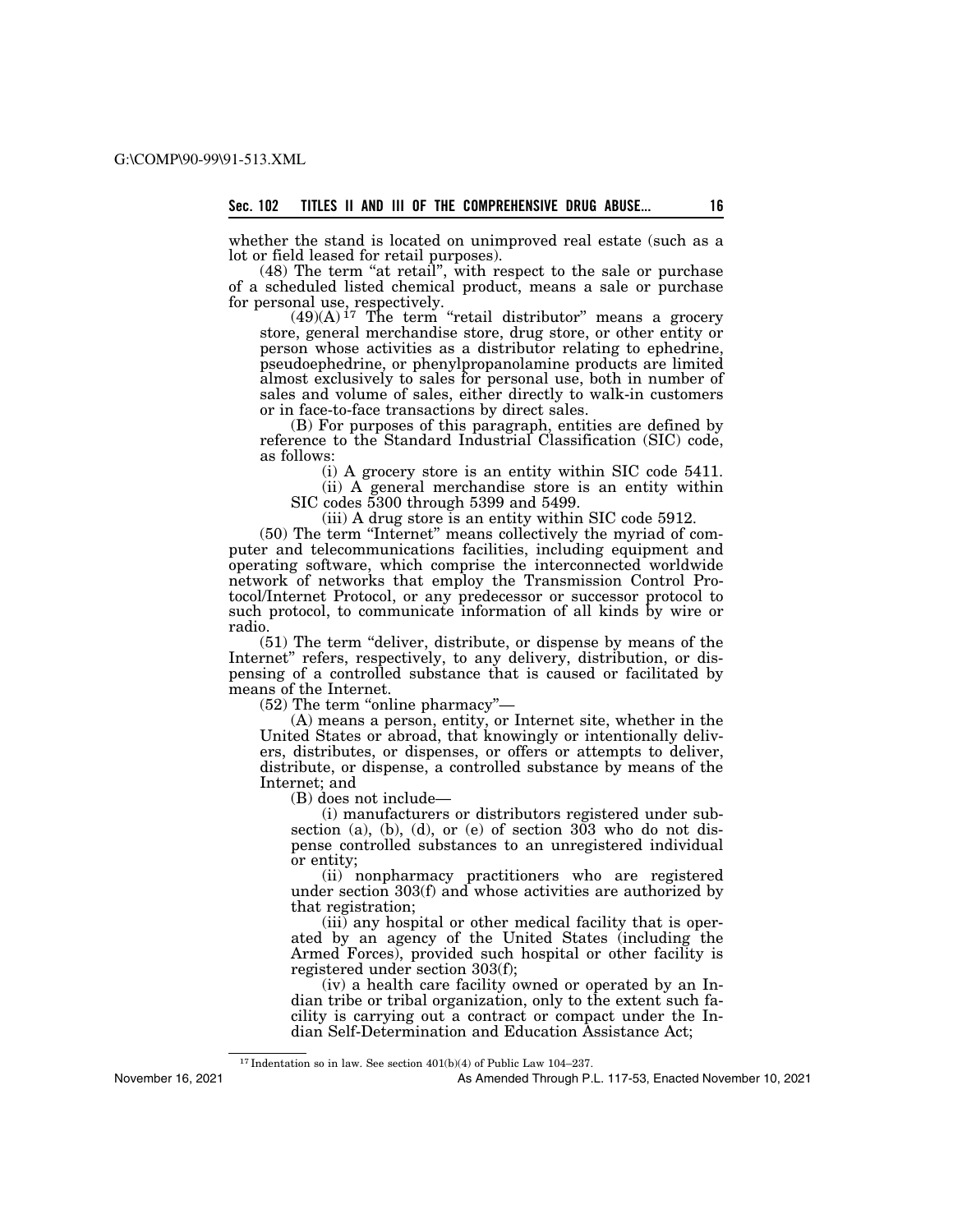whether the stand is located on unimproved real estate (such as a lot or field leased for retail purposes).

(48) The term ''at retail'', with respect to the sale or purchase of a scheduled listed chemical product, means a sale or purchase for personal use, respectively.

 $(49)(A)$ <sup>17</sup> The term "retail distributor" means a grocery store, general merchandise store, drug store, or other entity or person whose activities as a distributor relating to ephedrine, pseudoephedrine, or phenylpropanolamine products are limited almost exclusively to sales for personal use, both in number of sales and volume of sales, either directly to walk-in customers or in face-to-face transactions by direct sales.

(B) For purposes of this paragraph, entities are defined by reference to the Standard Industrial Classification (SIC) code, as follows:

(i) A grocery store is an entity within SIC code 5411.

(ii) A general merchandise store is an entity within SIC codes 5300 through 5399 and 5499.

(iii) A drug store is an entity within SIC code 5912.

(50) The term "Internet" means collectively the myriad of computer and telecommunications facilities, including equipment and operating software, which comprise the interconnected worldwide network of networks that employ the Transmission Control Protocol/Internet Protocol, or any predecessor or successor protocol to such protocol, to communicate information of all kinds by wire or radio.

(51) The term ''deliver, distribute, or dispense by means of the Internet'' refers, respectively, to any delivery, distribution, or dispensing of a controlled substance that is caused or facilitated by means of the Internet.

 $(52)$  The term "online pharmacy"—

(A) means a person, entity, or Internet site, whether in the United States or abroad, that knowingly or intentionally delivers, distributes, or dispenses, or offers or attempts to deliver, distribute, or dispense, a controlled substance by means of the Internet; and

(B) does not include—

(i) manufacturers or distributors registered under subsection (a), (b), (d), or (e) of section  $303$  who do not dispense controlled substances to an unregistered individual or entity;

(ii) nonpharmacy practitioners who are registered under section 303(f) and whose activities are authorized by that registration;

(iii) any hospital or other medical facility that is operated by an agency of the United States (including the Armed Forces), provided such hospital or other facility is registered under section 303(f);

(iv) a health care facility owned or operated by an Indian tribe or tribal organization, only to the extent such facility is carrying out a contract or compact under the Indian Self-Determination and Education Assistance Act;

17 Indentation so in law. See section 401(b)(4) of Public Law 104–237.

November 16, 2021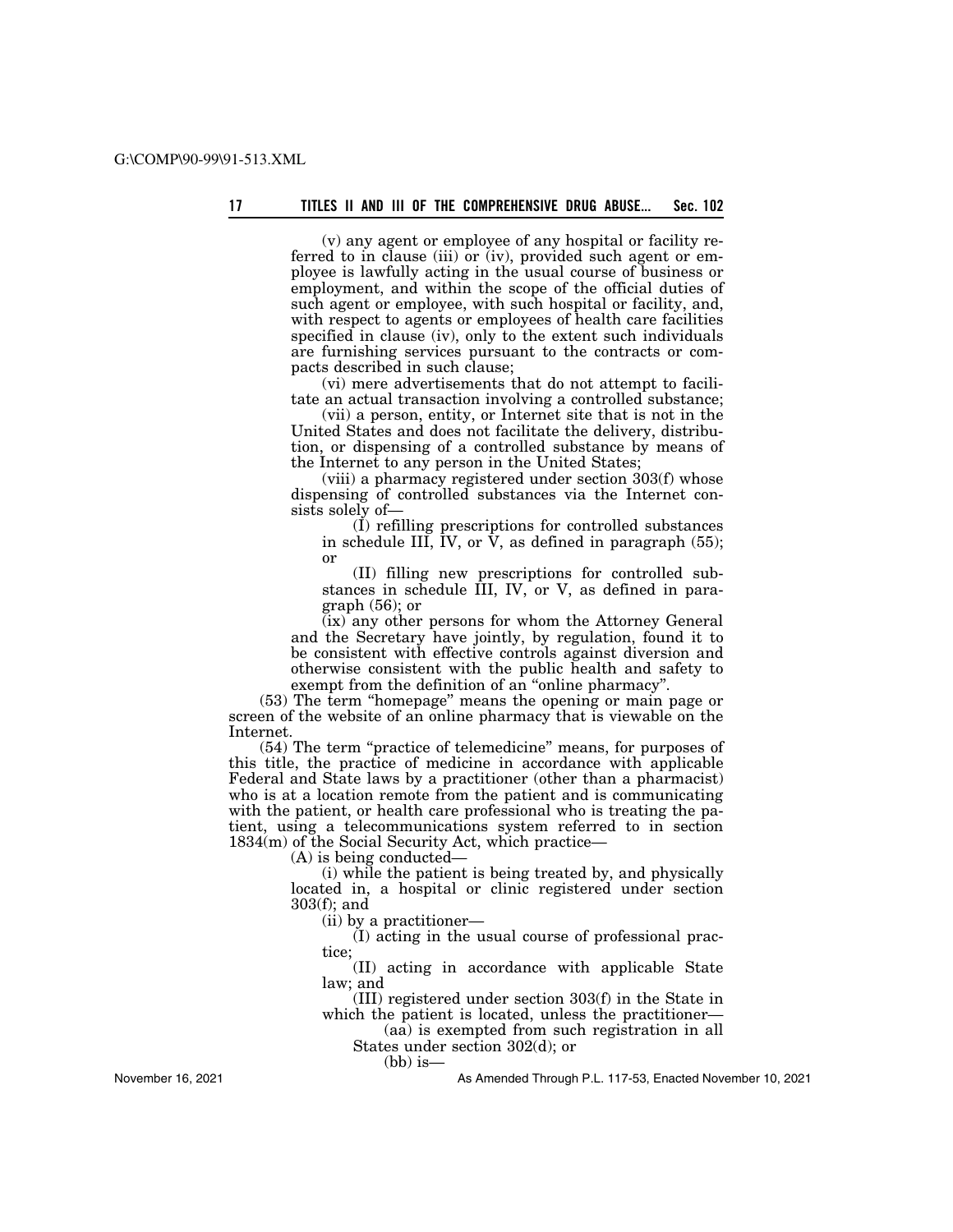(v) any agent or employee of any hospital or facility referred to in clause (iii) or (iv), provided such agent or employee is lawfully acting in the usual course of business or employment, and within the scope of the official duties of such agent or employee, with such hospital or facility, and, with respect to agents or employees of health care facilities specified in clause (iv), only to the extent such individuals are furnishing services pursuant to the contracts or compacts described in such clause;

(vi) mere advertisements that do not attempt to facilitate an actual transaction involving a controlled substance;

(vii) a person, entity, or Internet site that is not in the United States and does not facilitate the delivery, distribution, or dispensing of a controlled substance by means of the Internet to any person in the United States;

(viii) a pharmacy registered under section 303(f) whose dispensing of controlled substances via the Internet consists solely of—

(I) refilling prescriptions for controlled substances in schedule III, IV, or  $\hat{V}$ , as defined in paragraph (55); or

(II) filling new prescriptions for controlled substances in schedule  $\overline{III}$ ,  $\overline{IV}$ , or  $\overline{V}$ , as defined in paragraph (56); or

(ix) any other persons for whom the Attorney General and the Secretary have jointly, by regulation, found it to be consistent with effective controls against diversion and otherwise consistent with the public health and safety to exempt from the definition of an "online pharmacy".

(53) The term ''homepage'' means the opening or main page or screen of the website of an online pharmacy that is viewable on the Internet.

(54) The term ''practice of telemedicine'' means, for purposes of this title, the practice of medicine in accordance with applicable Federal and State laws by a practitioner (other than a pharmacist) who is at a location remote from the patient and is communicating with the patient, or health care professional who is treating the patient, using a telecommunications system referred to in section 1834(m) of the Social Security Act, which practice—

(A) is being conducted—

(i) while the patient is being treated by, and physically located in, a hospital or clinic registered under section 303(f); and

(ii) by a practitioner—

(I) acting in the usual course of professional practice;

(II) acting in accordance with applicable State law; and

(III) registered under section 303(f) in the State in which the patient is located, unless the practitioner—

(aa) is exempted from such registration in all States under section 302(d); or

(bb) is—

As Amended Through P.L. 117-53, Enacted November 10, 2021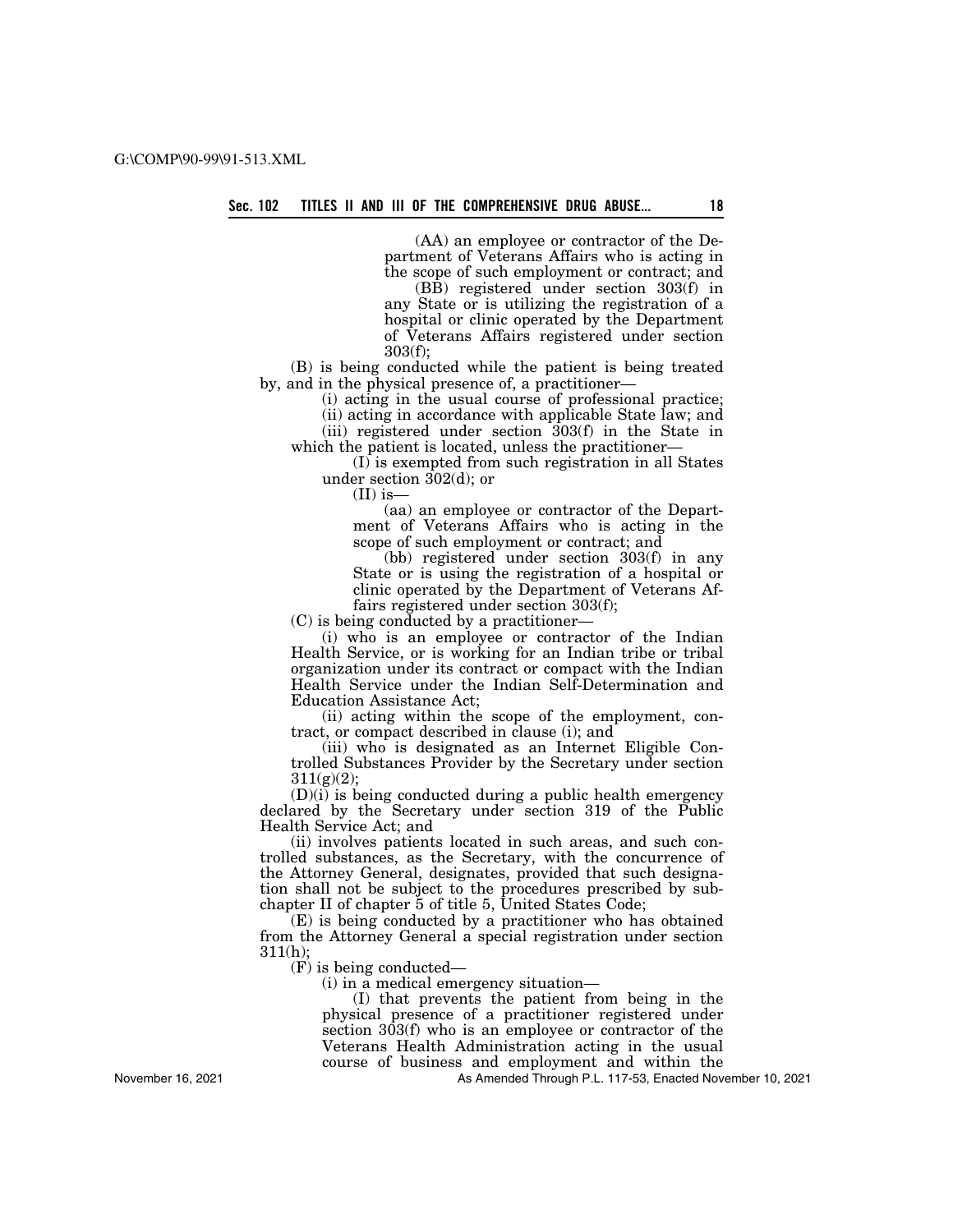(AA) an employee or contractor of the Department of Veterans Affairs who is acting in the scope of such employment or contract; and

(BB) registered under section 303(f) in any State or is utilizing the registration of a hospital or clinic operated by the Department of Veterans Affairs registered under section 303(f);

(B) is being conducted while the patient is being treated by, and in the physical presence of, a practitioner—

(i) acting in the usual course of professional practice;

(ii) acting in accordance with applicable State law; and (iii) registered under section 303(f) in the State in which the patient is located, unless the practitioner—

(I) is exempted from such registration in all States under section 302(d); or

 $(II)$  is-

(aa) an employee or contractor of the Department of Veterans Affairs who is acting in the scope of such employment or contract; and

(bb) registered under section 303(f) in any State or is using the registration of a hospital or clinic operated by the Department of Veterans Affairs registered under section 303(f);

(C) is being conducted by a practitioner—

(i) who is an employee or contractor of the Indian Health Service, or is working for an Indian tribe or tribal organization under its contract or compact with the Indian Health Service under the Indian Self-Determination and Education Assistance Act;

(ii) acting within the scope of the employment, contract, or compact described in clause (i); and

(iii) who is designated as an Internet Eligible Controlled Substances Provider by the Secretary under section  $311(g)(2);$ 

(D)(i) is being conducted during a public health emergency declared by the Secretary under section 319 of the Public Health Service Act; and

(ii) involves patients located in such areas, and such controlled substances, as the Secretary, with the concurrence of the Attorney General, designates, provided that such designation shall not be subject to the procedures prescribed by subchapter II of chapter 5 of title 5, United States Code;

(E) is being conducted by a practitioner who has obtained from the Attorney General a special registration under section 311(h);

(F) is being conducted—

(i) in a medical emergency situation—

(I) that prevents the patient from being in the physical presence of a practitioner registered under section 303(f) who is an employee or contractor of the Veterans Health Administration acting in the usual course of business and employment and within the

As Amended Through P.L. 117-53, Enacted November 10, 2021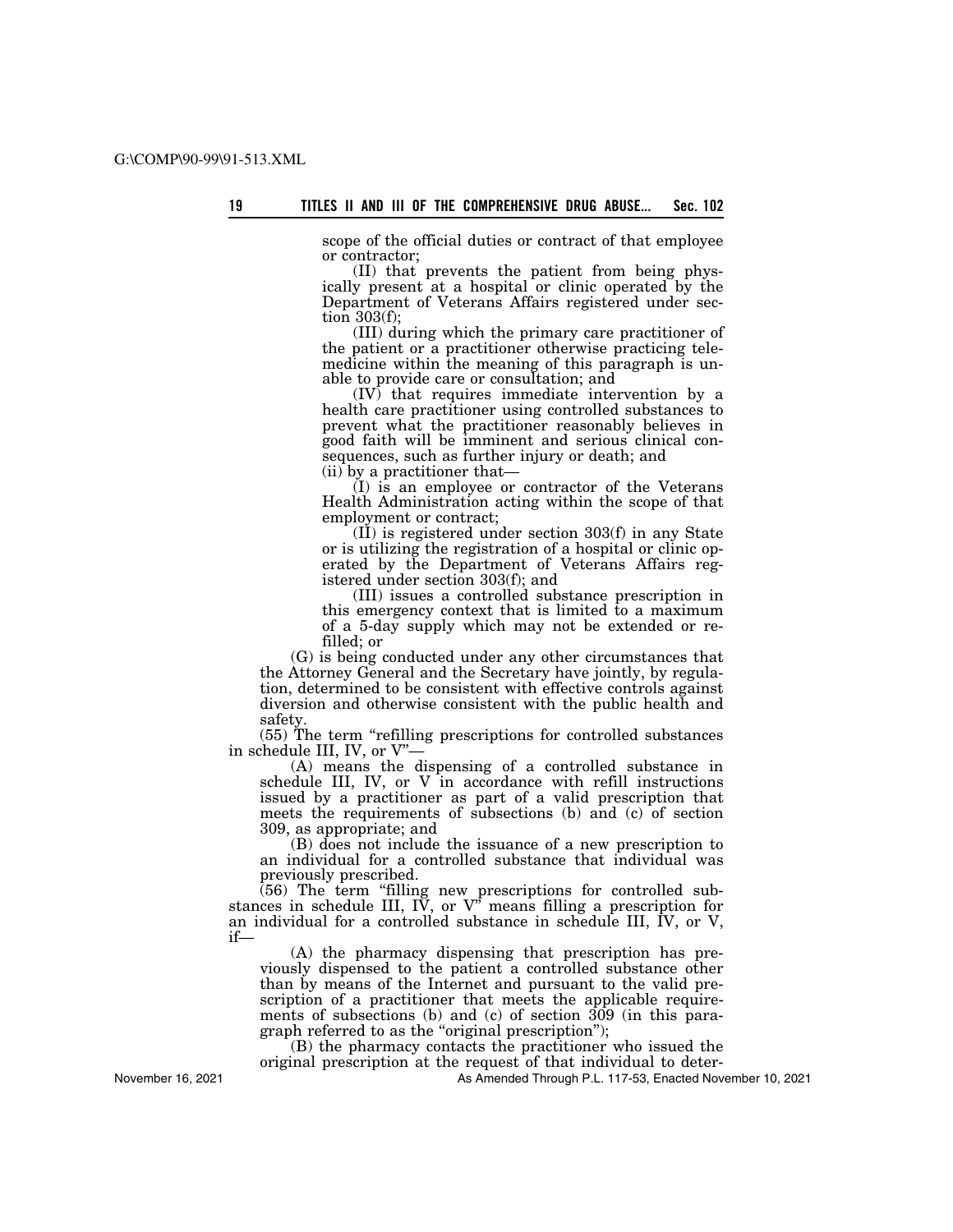scope of the official duties or contract of that employee or contractor;

(II) that prevents the patient from being physically present at a hospital or clinic operated by the Department of Veterans Affairs registered under section 303(f);

(III) during which the primary care practitioner of the patient or a practitioner otherwise practicing telemedicine within the meaning of this paragraph is unable to provide care or consultation; and

(IV) that requires immediate intervention by a health care practitioner using controlled substances to prevent what the practitioner reasonably believes in good faith will be imminent and serious clinical consequences, such as further injury or death; and

(ii) by a practitioner that—

(I) is an employee or contractor of the Veterans Health Administration acting within the scope of that employment or contract;

 $(I$ I) is registered under section 303 $(f)$  in any State or is utilizing the registration of a hospital or clinic operated by the Department of Veterans Affairs registered under section 303(f); and

(III) issues a controlled substance prescription in this emergency context that is limited to a maximum of a 5-day supply which may not be extended or refilled; or

(G) is being conducted under any other circumstances that the Attorney General and the Secretary have jointly, by regulation, determined to be consistent with effective controls against diversion and otherwise consistent with the public health and safety.

(55) The term ''refilling prescriptions for controlled substances in schedule III, IV, or V''—

(A) means the dispensing of a controlled substance in schedule III, IV, or V in accordance with refill instructions issued by a practitioner as part of a valid prescription that meets the requirements of subsections (b) and  $(c)$  of section 309, as appropriate; and

(B) does not include the issuance of a new prescription to an individual for a controlled substance that individual was previously prescribed.

(56) The term ''filling new prescriptions for controlled substances in schedule III, IV, or  $V^{\prime\prime}$  means filling a prescription for an individual for a controlled substance in schedule III, IV, or V, if—

(A) the pharmacy dispensing that prescription has previously dispensed to the patient a controlled substance other than by means of the Internet and pursuant to the valid prescription of a practitioner that meets the applicable requirements of subsections (b) and (c) of section 309 (in this paragraph referred to as the ''original prescription'');

(B) the pharmacy contacts the practitioner who issued the original prescription at the request of that individual to deter-

As Amended Through P.L. 117-53, Enacted November 10, 2021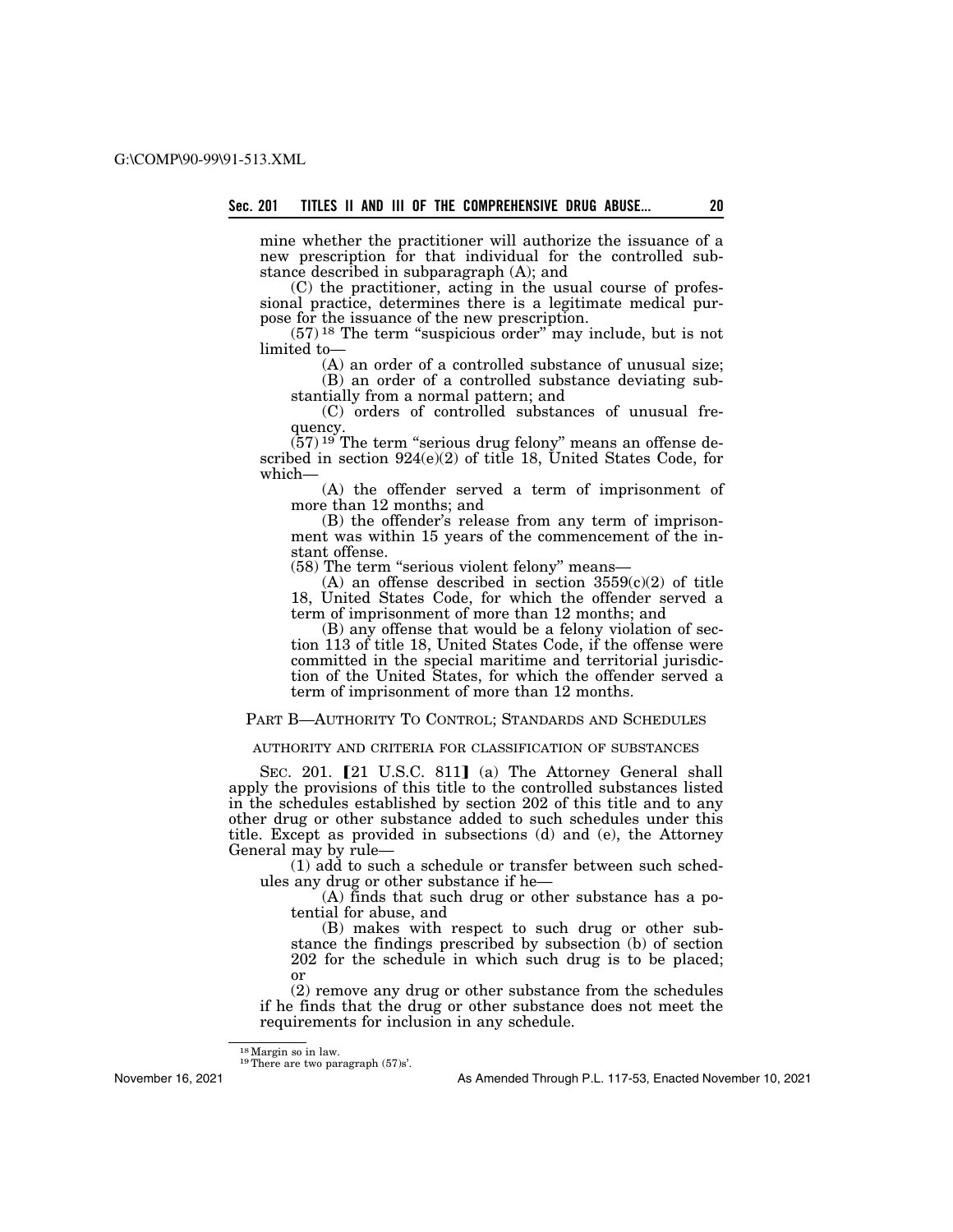mine whether the practitioner will authorize the issuance of a new prescription for that individual for the controlled substance described in subparagraph (A); and

(C) the practitioner, acting in the usual course of professional practice, determines there is a legitimate medical purpose for the issuance of the new prescription.

 $(57)$ <sup>18</sup> The term "suspicious order" may include, but is not limited to—

(A) an order of a controlled substance of unusual size; (B) an order of a controlled substance deviating substantially from a normal pattern; and

(C) orders of controlled substances of unusual frequency.

 $(57)$ <sup>19</sup> The term "serious drug felony" means an offense described in section 924(e)(2) of title 18, United States Code, for which—

(A) the offender served a term of imprisonment of more than 12 months; and

(B) the offender's release from any term of imprisonment was within 15 years of the commencement of the instant offense.

(58) The term ''serious violent felony'' means—

 $(A)$  an offense described in section  $3559(c)(2)$  of title 18, United States Code, for which the offender served a term of imprisonment of more than 12 months; and

(B) any offense that would be a felony violation of section 113 of title 18, United States Code, if the offense were committed in the special maritime and territorial jurisdiction of the United States, for which the offender served a term of imprisonment of more than 12 months.

# PART B—AUTHORITY TO CONTROL; STANDARDS AND SCHEDULES

AUTHORITY AND CRITERIA FOR CLASSIFICATION OF SUBSTANCES

SEC. 201. [21 U.S.C. 811] (a) The Attorney General shall apply the provisions of this title to the controlled substances listed in the schedules established by section 202 of this title and to any other drug or other substance added to such schedules under this title. Except as provided in subsections (d) and (e), the Attorney General may by rule—

(1) add to such a schedule or transfer between such schedules any drug or other substance if he—

(A) finds that such drug or other substance has a potential for abuse, and

(B) makes with respect to such drug or other substance the findings prescribed by subsection (b) of section 202 for the schedule in which such drug is to be placed; or

(2) remove any drug or other substance from the schedules if he finds that the drug or other substance does not meet the requirements for inclusion in any schedule.

<sup>18</sup> Margin so in law.<br><sup>19</sup> There are two paragraph (57)s'.

November 16, 2021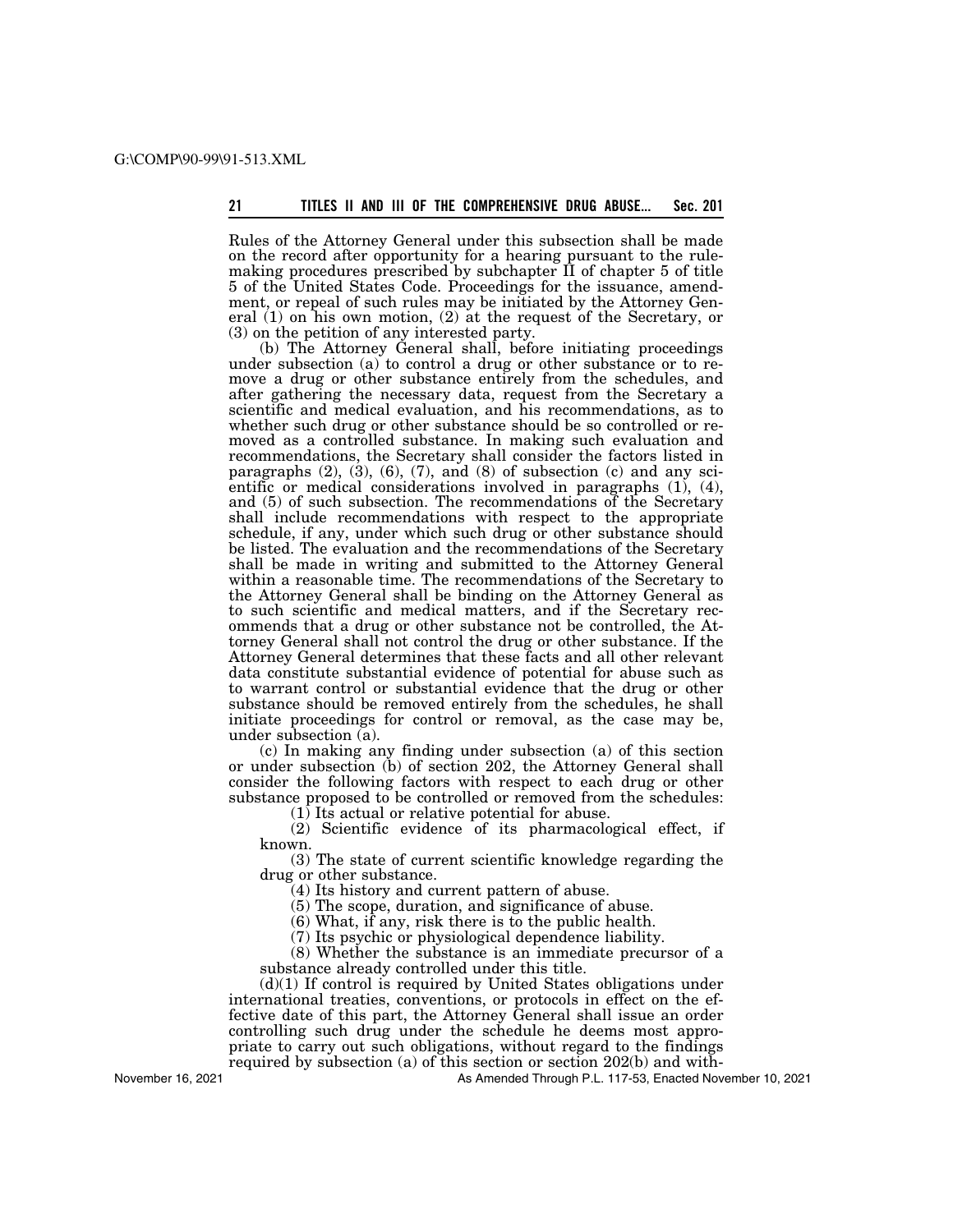Rules of the Attorney General under this subsection shall be made on the record after opportunity for a hearing pursuant to the rulemaking procedures prescribed by subchapter II of chapter 5 of title 5 of the United States Code. Proceedings for the issuance, amendment, or repeal of such rules may be initiated by the Attorney General (1) on his own motion, (2) at the request of the Secretary, or (3) on the petition of any interested party.

(b) The Attorney General shall, before initiating proceedings under subsection (a) to control a drug or other substance or to remove a drug or other substance entirely from the schedules, and after gathering the necessary data, request from the Secretary a scientific and medical evaluation, and his recommendations, as to whether such drug or other substance should be so controlled or removed as a controlled substance. In making such evaluation and recommendations, the Secretary shall consider the factors listed in paragraphs  $(2)$ ,  $(3)$ ,  $(6)$ ,  $(7)$ , and  $(8)$  of subsection  $(c)$  and any scientific or medical considerations involved in paragraphs (1), (4), and (5) of such subsection. The recommendations of the Secretary shall include recommendations with respect to the appropriate schedule, if any, under which such drug or other substance should be listed. The evaluation and the recommendations of the Secretary shall be made in writing and submitted to the Attorney General within a reasonable time. The recommendations of the Secretary to the Attorney General shall be binding on the Attorney General as to such scientific and medical matters, and if the Secretary recommends that a drug or other substance not be controlled, the Attorney General shall not control the drug or other substance. If the Attorney General determines that these facts and all other relevant data constitute substantial evidence of potential for abuse such as to warrant control or substantial evidence that the drug or other substance should be removed entirely from the schedules, he shall initiate proceedings for control or removal, as the case may be, under subsection (a).

(c) In making any finding under subsection (a) of this section or under subsection (b) of section 202, the Attorney General shall consider the following factors with respect to each drug or other substance proposed to be controlled or removed from the schedules:

(1) Its actual or relative potential for abuse.

(2) Scientific evidence of its pharmacological effect, if known.

(3) The state of current scientific knowledge regarding the drug or other substance.

(4) Its history and current pattern of abuse.

(5) The scope, duration, and significance of abuse.

(6) What, if any, risk there is to the public health.

(7) Its psychic or physiological dependence liability.

(8) Whether the substance is an immediate precursor of a substance already controlled under this title.

 $(d)(1)$  If control is required by United States obligations under international treaties, conventions, or protocols in effect on the effective date of this part, the Attorney General shall issue an order controlling such drug under the schedule he deems most appropriate to carry out such obligations, without regard to the findings required by subsection (a) of this section or section 202(b) and with-

November 16, 2021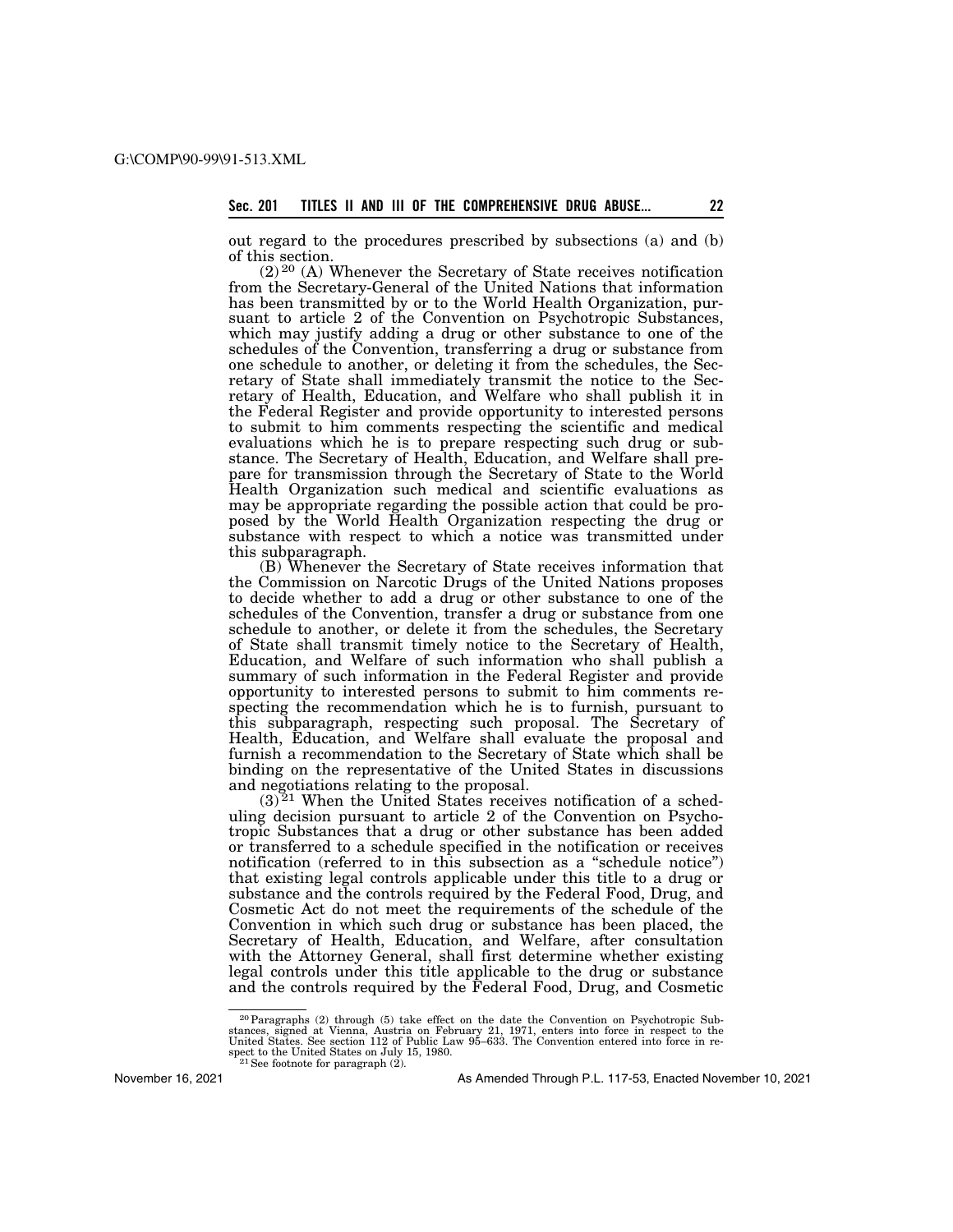out regard to the procedures prescribed by subsections (a) and (b) of this section.

 $(2)^{20}$  (A) Whenever the Secretary of State receives notification from the Secretary-General of the United Nations that information has been transmitted by or to the World Health Organization, pursuant to article 2 of the Convention on Psychotropic Substances, which may justify adding a drug or other substance to one of the schedules of the Convention, transferring a drug or substance from one schedule to another, or deleting it from the schedules, the Secretary of State shall immediately transmit the notice to the Secretary of Health, Education, and Welfare who shall publish it in the Federal Register and provide opportunity to interested persons to submit to him comments respecting the scientific and medical evaluations which he is to prepare respecting such drug or substance. The Secretary of Health, Education, and Welfare shall prepare for transmission through the Secretary of State to the World Health Organization such medical and scientific evaluations as may be appropriate regarding the possible action that could be proposed by the World Health Organization respecting the drug or substance with respect to which a notice was transmitted under this subparagraph.

(B) Whenever the Secretary of State receives information that the Commission on Narcotic Drugs of the United Nations proposes to decide whether to add a drug or other substance to one of the schedules of the Convention, transfer a drug or substance from one schedule to another, or delete it from the schedules, the Secretary of State shall transmit timely notice to the Secretary of Health, Education, and Welfare of such information who shall publish a summary of such information in the Federal Register and provide opportunity to interested persons to submit to him comments respecting the recommendation which he is to furnish, pursuant to this subparagraph, respecting such proposal. The Secretary of Health, Education, and Welfare shall evaluate the proposal and furnish a recommendation to the Secretary of State which shall be binding on the representative of the United States in discussions and negotiations relating to the proposal.

 $(3)$ <sup>21</sup> When the United States receives notification of a scheduling decision pursuant to article 2 of the Convention on Psychotropic Substances that a drug or other substance has been added or transferred to a schedule specified in the notification or receives notification (referred to in this subsection as a ''schedule notice'') that existing legal controls applicable under this title to a drug or substance and the controls required by the Federal Food, Drug, and Cosmetic Act do not meet the requirements of the schedule of the Convention in which such drug or substance has been placed, the Secretary of Health, Education, and Welfare, after consultation with the Attorney General, shall first determine whether existing legal controls under this title applicable to the drug or substance and the controls required by the Federal Food, Drug, and Cosmetic

November 16, 2021

<sup>20</sup>Paragraphs (2) through (5) take effect on the date the Convention on Psychotropic Substances, signed at Vienna, Austria on February 21, 1971, enters into force in respect to the United States. See section 112 of Public Law 95–633. The Convention entered into force in respect to the United States on July 1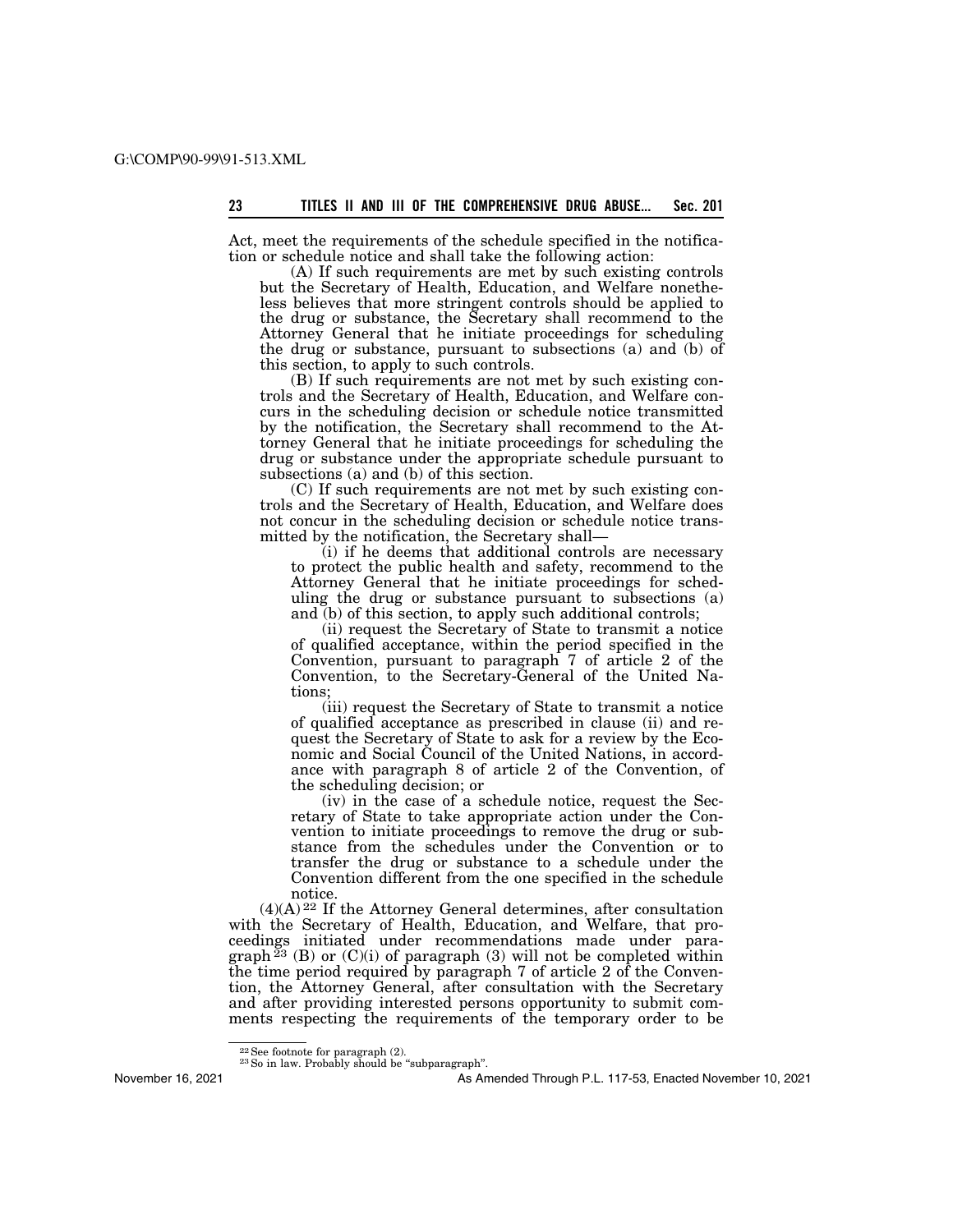Act, meet the requirements of the schedule specified in the notification or schedule notice and shall take the following action:

(A) If such requirements are met by such existing controls but the Secretary of Health, Education, and Welfare nonetheless believes that more stringent controls should be applied to the drug or substance, the Secretary shall recommend to the Attorney General that he initiate proceedings for scheduling the drug or substance, pursuant to subsections (a) and (b) of this section, to apply to such controls.

(B) If such requirements are not met by such existing controls and the Secretary of Health, Education, and Welfare concurs in the scheduling decision or schedule notice transmitted by the notification, the Secretary shall recommend to the Attorney General that he initiate proceedings for scheduling the drug or substance under the appropriate schedule pursuant to subsections (a) and (b) of this section.

(C) If such requirements are not met by such existing controls and the Secretary of Health, Education, and Welfare does not concur in the scheduling decision or schedule notice transmitted by the notification, the Secretary shall—

(i) if he deems that additional controls are necessary to protect the public health and safety, recommend to the Attorney General that he initiate proceedings for scheduling the drug or substance pursuant to subsections (a) and (b) of this section, to apply such additional controls;

(ii) request the Secretary of State to transmit a notice of qualified acceptance, within the period specified in the Convention, pursuant to paragraph 7 of article 2 of the Convention, to the Secretary-General of the United Nations;

(iii) request the Secretary of State to transmit a notice of qualified acceptance as prescribed in clause (ii) and request the Secretary of State to ask for a review by the Economic and Social Council of the United Nations, in accordance with paragraph 8 of article 2 of the Convention, of the scheduling decision; or

(iv) in the case of a schedule notice, request the Secretary of State to take appropriate action under the Convention to initiate proceedings to remove the drug or substance from the schedules under the Convention or to transfer the drug or substance to a schedule under the Convention different from the one specified in the schedule notice.

 $(4)(A)$ <sup>22</sup> If the Attorney General determines, after consultation with the Secretary of Health, Education, and Welfare, that proceedings initiated under recommendations made under paragraph<sup> $\bar{2}3$ </sup> (B) or (C)(i) of paragraph (3) will not be completed within the time period required by paragraph 7 of article 2 of the Convention, the Attorney General, after consultation with the Secretary and after providing interested persons opportunity to submit comments respecting the requirements of the temporary order to be

November 16, 2021

<sup>&</sup>lt;sup>22</sup> See footnote for paragraph  $(2)$ .<br><sup>23</sup> So in law. Probably should be "subparagraph".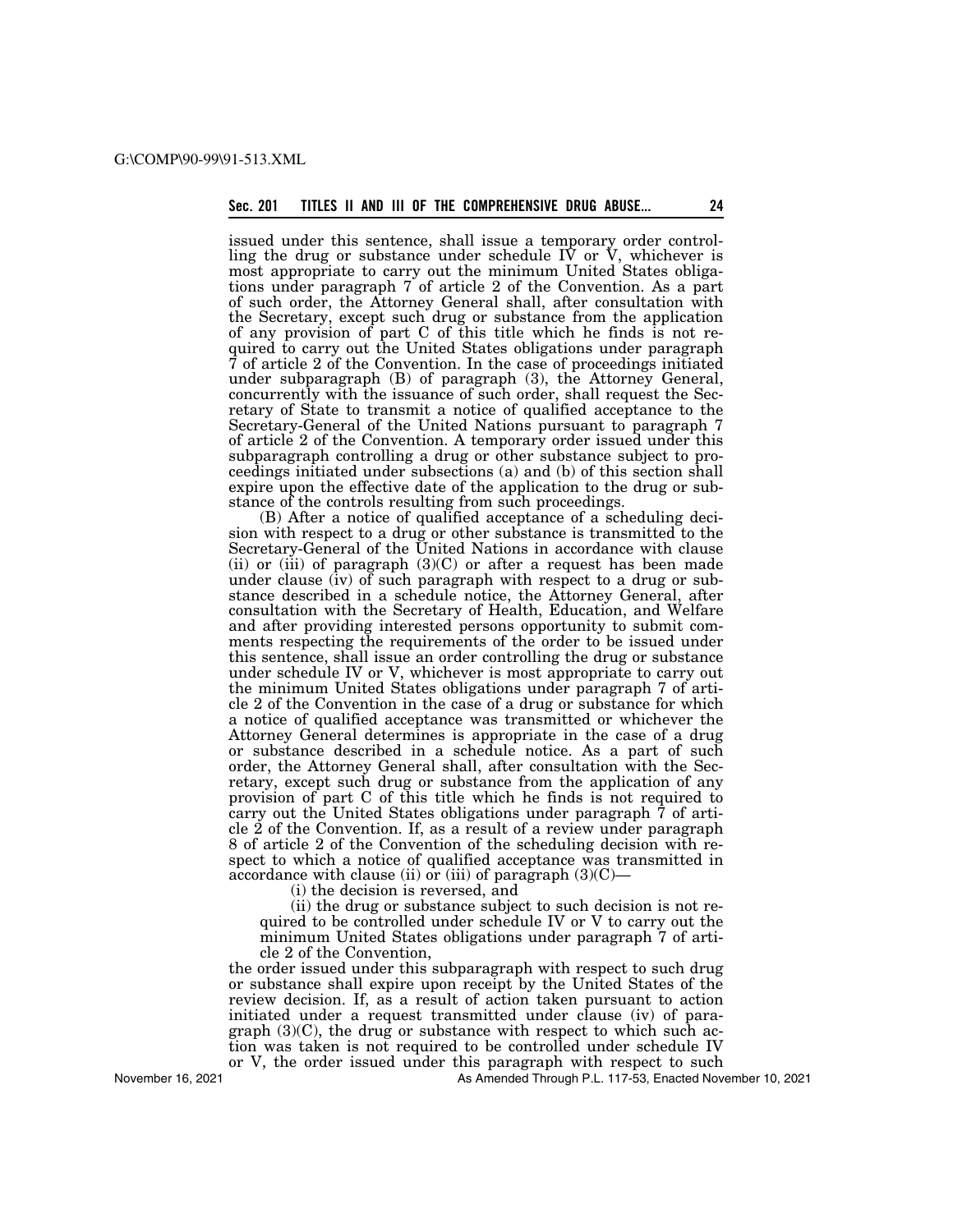# **Sec. 201 TITLES II AND III OF THE COMPREHENSIVE DRUG ABUSE... 24**

issued under this sentence, shall issue a temporary order controlling the drug or substance under schedule IV or V, whichever is most appropriate to carry out the minimum United States obligations under paragraph 7 of article 2 of the Convention. As a part of such order, the Attorney General shall, after consultation with the Secretary, except such drug or substance from the application of any provision of part C of this title which he finds is not required to carry out the United States obligations under paragraph 7 of article 2 of the Convention. In the case of proceedings initiated under subparagraph (B) of paragraph (3), the Attorney General, concurrently with the issuance of such order, shall request the Secretary of State to transmit a notice of qualified acceptance to the Secretary-General of the United Nations pursuant to paragraph 7 of article 2 of the Convention. A temporary order issued under this subparagraph controlling a drug or other substance subject to proceedings initiated under subsections (a) and (b) of this section shall expire upon the effective date of the application to the drug or substance of the controls resulting from such proceedings.

(B) After a notice of qualified acceptance of a scheduling decision with respect to a drug or other substance is transmitted to the Secretary-General of the United Nations in accordance with clause (ii) or (iii) of paragraph (3)(C) or after a request has been made under clause (iv) of such paragraph with respect to a drug or substance described in a schedule notice, the Attorney General, after consultation with the Secretary of Health, Education, and Welfare and after providing interested persons opportunity to submit comments respecting the requirements of the order to be issued under this sentence, shall issue an order controlling the drug or substance under schedule IV or V, whichever is most appropriate to carry out the minimum United States obligations under paragraph 7 of article 2 of the Convention in the case of a drug or substance for which a notice of qualified acceptance was transmitted or whichever the Attorney General determines is appropriate in the case of a drug or substance described in a schedule notice. As a part of such order, the Attorney General shall, after consultation with the Secretary, except such drug or substance from the application of any provision of part C of this title which he finds is not required to carry out the United States obligations under paragraph 7 of article  $\dot{2}$  of the Convention. If, as a result of a review under paragraph 8 of article 2 of the Convention of the scheduling decision with respect to which a notice of qualified acceptance was transmitted in accordance with clause (ii) or (iii) of paragraph  $(3)(C)$ —

(i) the decision is reversed, and

(ii) the drug or substance subject to such decision is not required to be controlled under schedule IV or V to carry out the minimum United States obligations under paragraph 7 of article 2 of the Convention,

the order issued under this subparagraph with respect to such drug or substance shall expire upon receipt by the United States of the review decision. If, as a result of action taken pursuant to action initiated under a request transmitted under clause (iv) of paragraph  $(3)(C)$ , the drug or substance with respect to which such action was taken is not required to be controlled under schedule IV or V, the order issued under this paragraph with respect to such

November 16, 2021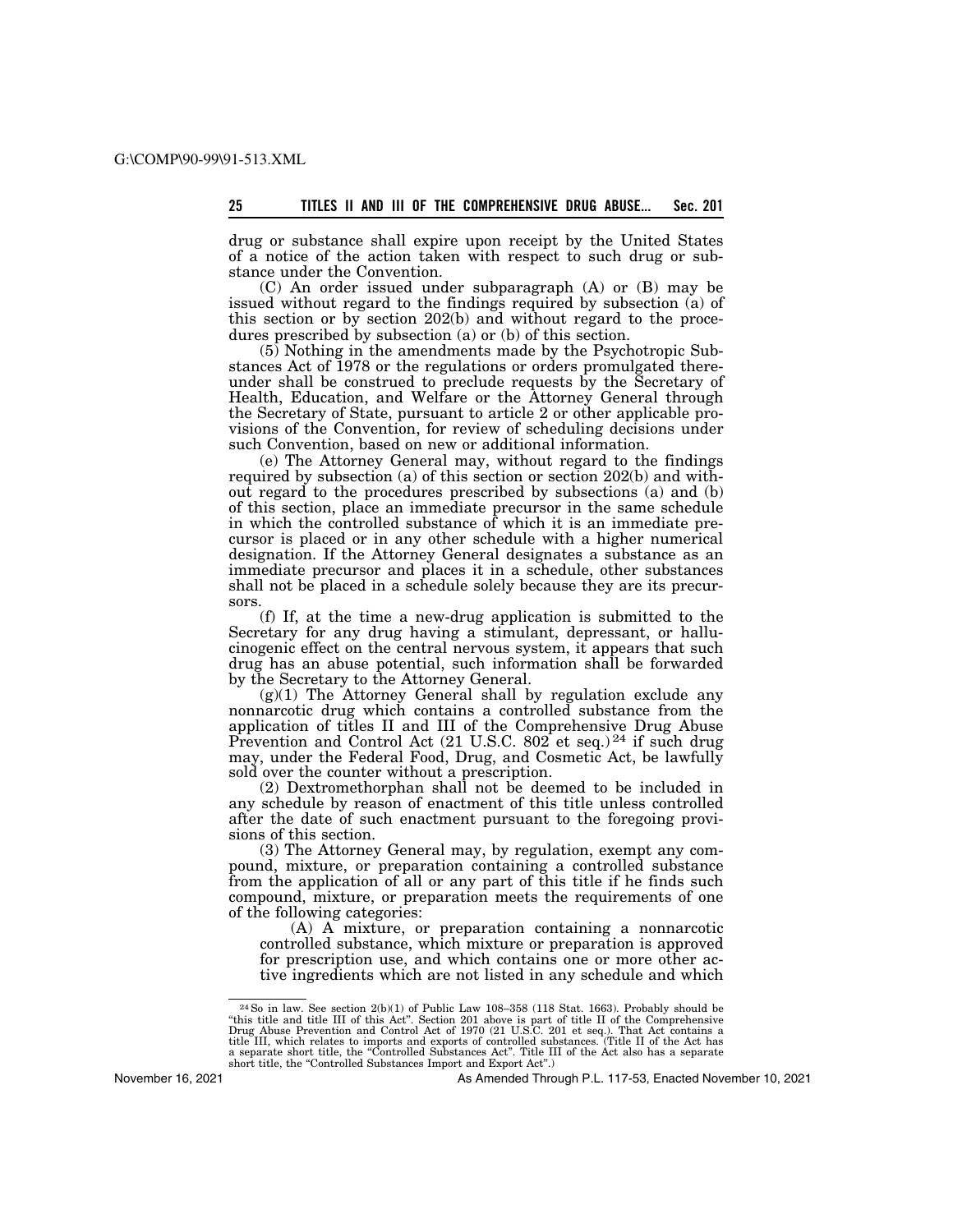drug or substance shall expire upon receipt by the United States of a notice of the action taken with respect to such drug or substance under the Convention.

(C) An order issued under subparagraph (A) or (B) may be issued without regard to the findings required by subsection (a) of this section or by section 202(b) and without regard to the procedures prescribed by subsection (a) or (b) of this section.

(5) Nothing in the amendments made by the Psychotropic Substances Act of 1978 or the regulations or orders promulgated thereunder shall be construed to preclude requests by the Secretary of Health, Education, and Welfare or the Attorney General through the Secretary of State, pursuant to article 2 or other applicable provisions of the Convention, for review of scheduling decisions under such Convention, based on new or additional information.

(e) The Attorney General may, without regard to the findings required by subsection (a) of this section or section 202(b) and without regard to the procedures prescribed by subsections (a) and (b) of this section, place an immediate precursor in the same schedule in which the controlled substance of which it is an immediate precursor is placed or in any other schedule with a higher numerical designation. If the Attorney General designates a substance as an immediate precursor and places it in a schedule, other substances shall not be placed in a schedule solely because they are its precursors.

(f) If, at the time a new-drug application is submitted to the Secretary for any drug having a stimulant, depressant, or hallucinogenic effect on the central nervous system, it appears that such drug has an abuse potential, such information shall be forwarded by the Secretary to the Attorney General.

(g)(1) The Attorney General shall by regulation exclude any nonnarcotic drug which contains a controlled substance from the application of titles II and III of the Comprehensive Drug Abuse Prevention and Control Act (21 U.S.C. 802 et seq.)<sup>24</sup> if such drug may, under the Federal Food, Drug, and Cosmetic Act, be lawfully sold over the counter without a prescription.

(2) Dextromethorphan shall not be deemed to be included in any schedule by reason of enactment of this title unless controlled after the date of such enactment pursuant to the foregoing provisions of this section.

(3) The Attorney General may, by regulation, exempt any compound, mixture, or preparation containing a controlled substance from the application of all or any part of this title if he finds such compound, mixture, or preparation meets the requirements of one of the following categories:

(A) A mixture, or preparation containing a nonnarcotic controlled substance, which mixture or preparation is approved for prescription use, and which contains one or more other active ingredients which are not listed in any schedule and which

November 16, 2021

 $^{24}$ So in law. See section 2(b)(1) of Public Law 108–358 (118 Stat. 1663). Probably should be "this title and title III of this Act". Section 201 above is part of title II of the Comprehensive Drug Abuse Prevention and short title, the "Controlled Substances Import and Export Act".)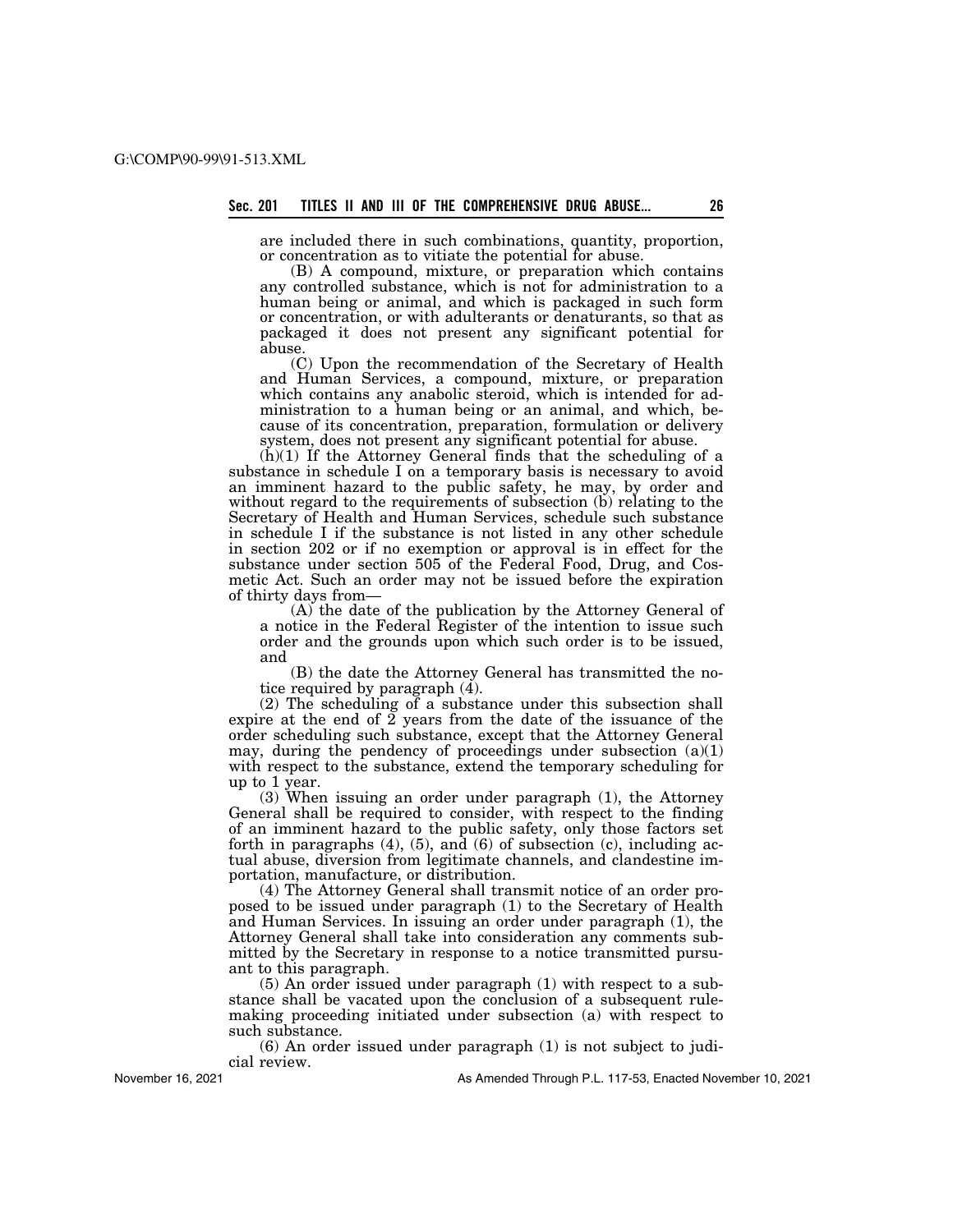are included there in such combinations, quantity, proportion, or concentration as to vitiate the potential for abuse.

(B) A compound, mixture, or preparation which contains any controlled substance, which is not for administration to a human being or animal, and which is packaged in such form or concentration, or with adulterants or denaturants, so that as packaged it does not present any significant potential for abuse.

(C) Upon the recommendation of the Secretary of Health and Human Services, a compound, mixture, or preparation which contains any anabolic steroid, which is intended for administration to a human being or an animal, and which, because of its concentration, preparation, formulation or delivery system, does not present any significant potential for abuse.

 $(h)(1)$  If the Attorney General finds that the scheduling of a substance in schedule I on a temporary basis is necessary to avoid an imminent hazard to the public safety, he may, by order and without regard to the requirements of subsection (b) relating to the Secretary of Health and Human Services, schedule such substance in schedule I if the substance is not listed in any other schedule in section 202 or if no exemption or approval is in effect for the substance under section 505 of the Federal Food, Drug, and Cosmetic Act. Such an order may not be issued before the expiration of thirty days from—

(A) the date of the publication by the Attorney General of a notice in the Federal Register of the intention to issue such order and the grounds upon which such order is to be issued, and

(B) the date the Attorney General has transmitted the notice required by paragraph (4).

(2) The scheduling of a substance under this subsection shall expire at the end of  $\tilde{2}$  years from the date of the issuance of the order scheduling such substance, except that the Attorney General may, during the pendency of proceedings under subsection  $(a)(1)$ with respect to the substance, extend the temporary scheduling for up to 1 year.

(3) When issuing an order under paragraph (1), the Attorney General shall be required to consider, with respect to the finding of an imminent hazard to the public safety, only those factors set forth in paragraphs  $(4)$ ,  $(5)$ , and  $(6)$  of subsection  $(c)$ , including actual abuse, diversion from legitimate channels, and clandestine importation, manufacture, or distribution.

(4) The Attorney General shall transmit notice of an order proposed to be issued under paragraph (1) to the Secretary of Health and Human Services. In issuing an order under paragraph (1), the Attorney General shall take into consideration any comments submitted by the Secretary in response to a notice transmitted pursuant to this paragraph.

(5) An order issued under paragraph (1) with respect to a substance shall be vacated upon the conclusion of a subsequent rulemaking proceeding initiated under subsection (a) with respect to such substance.

(6) An order issued under paragraph (1) is not subject to judicial review.

November 16, 2021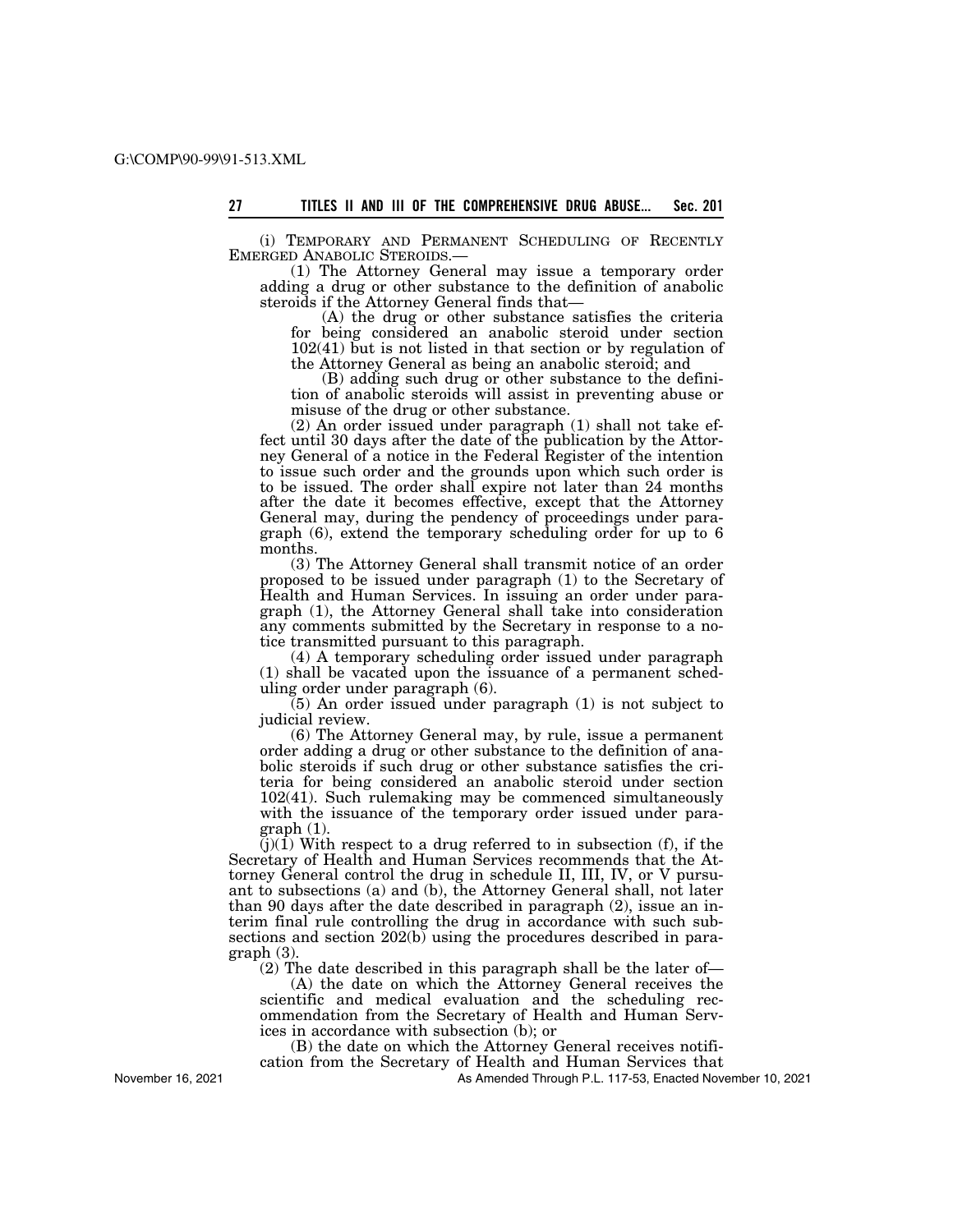(i) TEMPORARY AND PERMANENT SCHEDULING OF RECENTLY EMERGED ANABOLIC STEROIDS.—

(1) The Attorney General may issue a temporary order adding a drug or other substance to the definition of anabolic steroids if the Attorney General finds that—

(A) the drug or other substance satisfies the criteria for being considered an anabolic steroid under section 102(41) but is not listed in that section or by regulation of the Attorney General as being an anabolic steroid; and

(B) adding such drug or other substance to the definition of anabolic steroids will assist in preventing abuse or misuse of the drug or other substance.

(2) An order issued under paragraph (1) shall not take effect until 30 days after the date of the publication by the Attorney General of a notice in the Federal Register of the intention to issue such order and the grounds upon which such order is to be issued. The order shall expire not later than 24 months after the date it becomes effective, except that the Attorney General may, during the pendency of proceedings under paragraph (6), extend the temporary scheduling order for up to 6 months.

(3) The Attorney General shall transmit notice of an order proposed to be issued under paragraph (1) to the Secretary of Health and Human Services. In issuing an order under paragraph (1), the Attorney General shall take into consideration any comments submitted by the Secretary in response to a notice transmitted pursuant to this paragraph.

(4) A temporary scheduling order issued under paragraph (1) shall be vacated upon the issuance of a permanent scheduling order under paragraph (6).

(5) An order issued under paragraph (1) is not subject to judicial review.

(6) The Attorney General may, by rule, issue a permanent order adding a drug or other substance to the definition of anabolic steroids if such drug or other substance satisfies the criteria for being considered an anabolic steroid under section 102(41). Such rulemaking may be commenced simultaneously with the issuance of the temporary order issued under paragraph (1).

 $\tilde{g}(i)$ ) With respect to a drug referred to in subsection (f), if the Secretary of Health and Human Services recommends that the Attorney General control the drug in schedule II, III, IV, or V pursuant to subsections (a) and (b), the Attorney General shall, not later than 90 days after the date described in paragraph (2), issue an interim final rule controlling the drug in accordance with such subsections and section 202(b) using the procedures described in paragraph (3).

(2) The date described in this paragraph shall be the later of—

(A) the date on which the Attorney General receives the scientific and medical evaluation and the scheduling recommendation from the Secretary of Health and Human Services in accordance with subsection (b); or

(B) the date on which the Attorney General receives notifi-

cation from the Secretary of Health and Human Services that

As Amended Through P.L. 117-53, Enacted November 10, 2021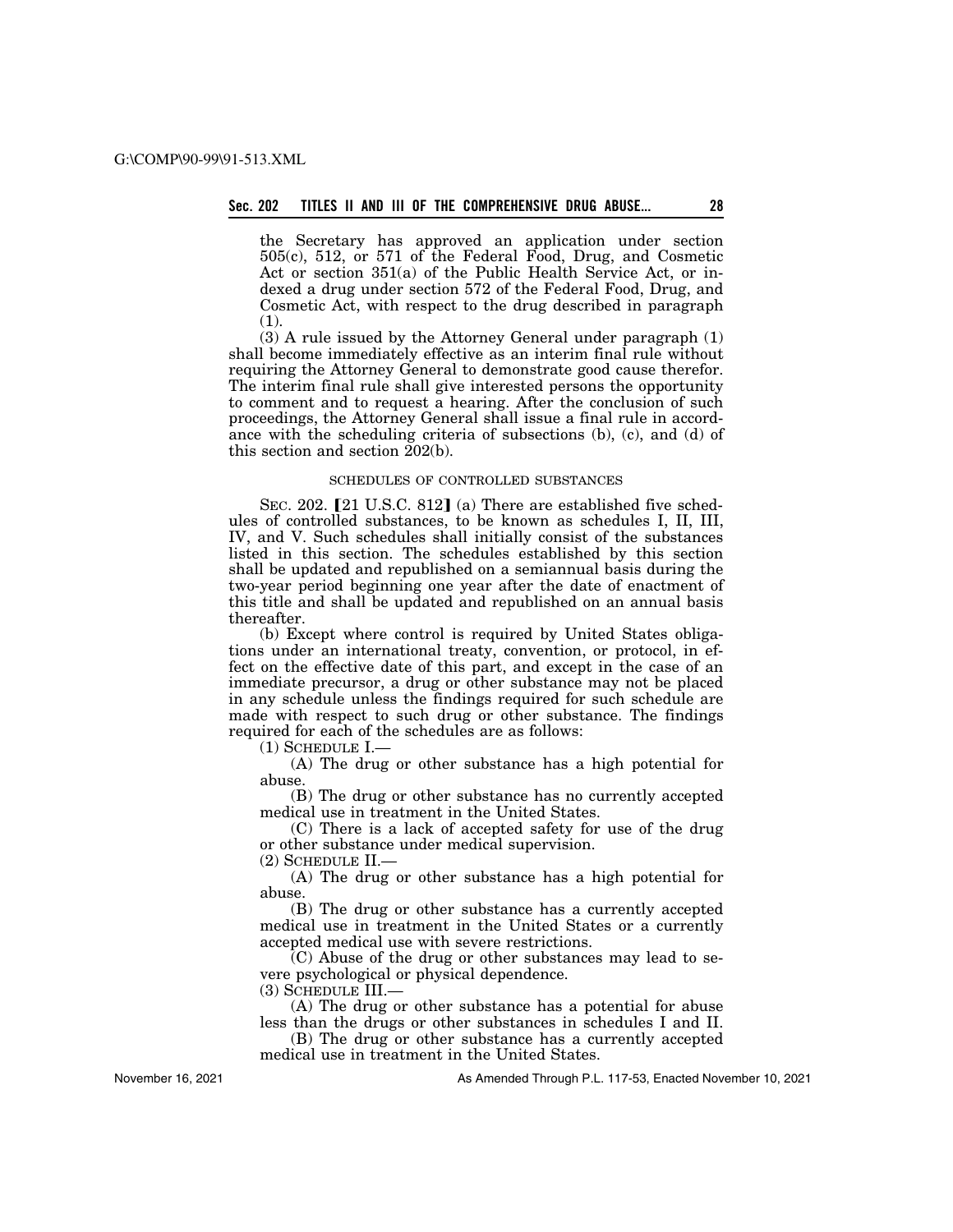the Secretary has approved an application under section 505(c), 512, or 571 of the Federal Food, Drug, and Cosmetic Act or section 351(a) of the Public Health Service Act, or indexed a drug under section 572 of the Federal Food, Drug, and Cosmetic Act, with respect to the drug described in paragraph (1).

(3) A rule issued by the Attorney General under paragraph (1) shall become immediately effective as an interim final rule without requiring the Attorney General to demonstrate good cause therefor. The interim final rule shall give interested persons the opportunity to comment and to request a hearing. After the conclusion of such proceedings, the Attorney General shall issue a final rule in accordance with the scheduling criteria of subsections (b), (c), and (d) of this section and section 202(b).

## SCHEDULES OF CONTROLLED SUBSTANCES

SEC. 202.  $[21 \text{ U.S.C. } 812]$  (a) There are established five schedules of controlled substances, to be known as schedules I, II, III, IV, and V. Such schedules shall initially consist of the substances listed in this section. The schedules established by this section shall be updated and republished on a semiannual basis during the two-year period beginning one year after the date of enactment of this title and shall be updated and republished on an annual basis thereafter.

(b) Except where control is required by United States obligations under an international treaty, convention, or protocol, in effect on the effective date of this part, and except in the case of an immediate precursor, a drug or other substance may not be placed in any schedule unless the findings required for such schedule are made with respect to such drug or other substance. The findings required for each of the schedules are as follows:

(1) SCHEDULE I.—

(A) The drug or other substance has a high potential for abuse.

(B) The drug or other substance has no currently accepted medical use in treatment in the United States.

(C) There is a lack of accepted safety for use of the drug or other substance under medical supervision.

(2) SCHEDULE II.—

(A) The drug or other substance has a high potential for abuse.

(B) The drug or other substance has a currently accepted medical use in treatment in the United States or a currently accepted medical use with severe restrictions.

 $\overline{C}(C)$  Abuse of the drug or other substances may lead to severe psychological or physical dependence.

(3) SCHEDULE III.—

(A) The drug or other substance has a potential for abuse less than the drugs or other substances in schedules I and II.

(B) The drug or other substance has a currently accepted medical use in treatment in the United States.

November 16, 2021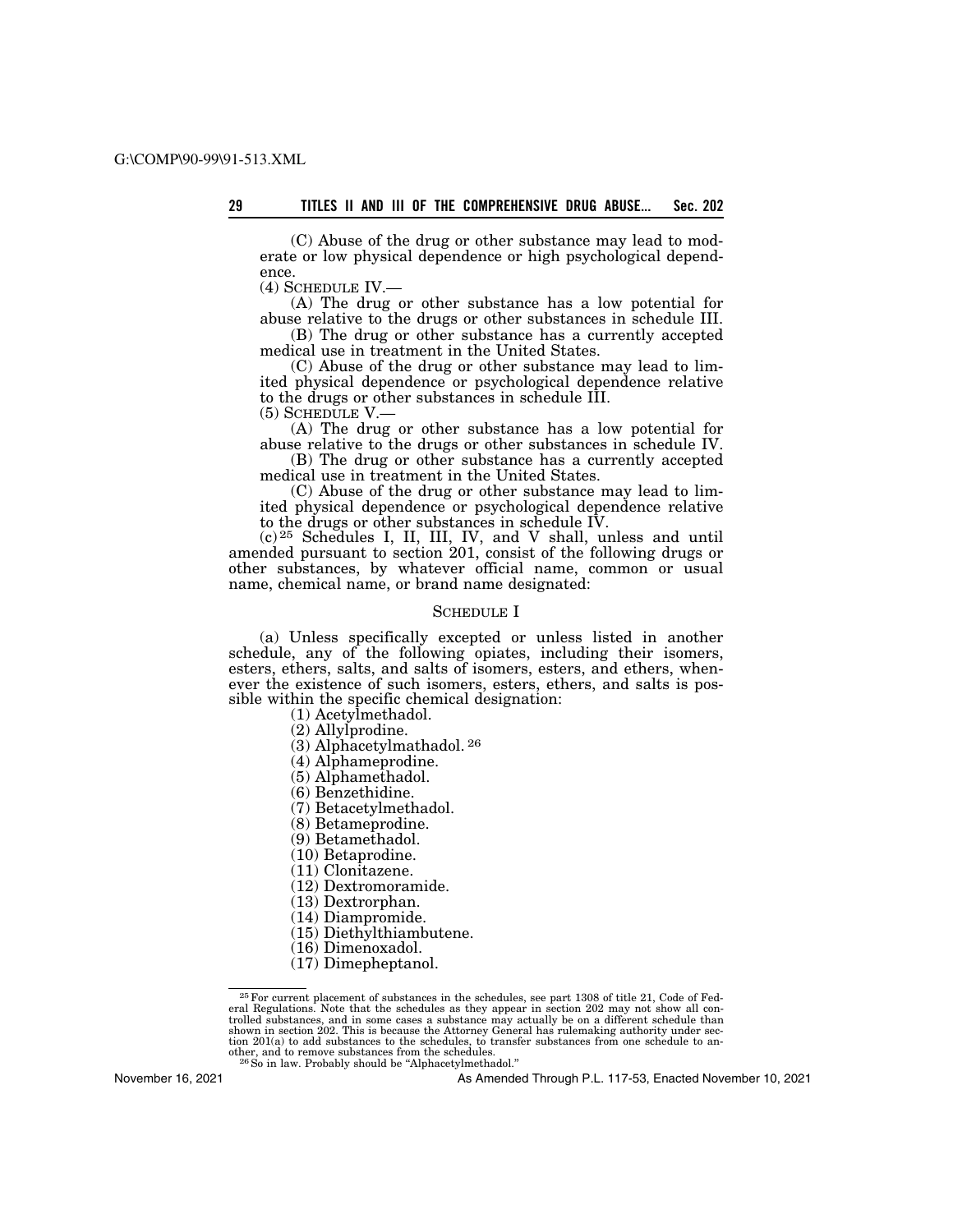(C) Abuse of the drug or other substance may lead to moderate or low physical dependence or high psychological dependence.

(4) SCHEDULE IV.—

(A) The drug or other substance has a low potential for abuse relative to the drugs or other substances in schedule III.

(B) The drug or other substance has a currently accepted medical use in treatment in the United States.

(C) Abuse of the drug or other substance may lead to limited physical dependence or psychological dependence relative to the drugs or other substances in schedule III.

(5) SCHEDULE V.—

(A) The drug or other substance has a low potential for abuse relative to the drugs or other substances in schedule IV.

(B) The drug or other substance has a currently accepted medical use in treatment in the United States.

(C) Abuse of the drug or other substance may lead to limited physical dependence or psychological dependence relative to the drugs or other substances in schedule IV.

(c) 25 Schedules I, II, III, IV, and V shall, unless and until amended pursuant to section 201, consist of the following drugs or other substances, by whatever official name, common or usual name, chemical name, or brand name designated:

# SCHEDULE I

(a) Unless specifically excepted or unless listed in another schedule, any of the following opiates, including their isomers, esters, ethers, salts, and salts of isomers, esters, and ethers, whenever the existence of such isomers, esters, ethers, and salts is possible within the specific chemical designation:

(1) Acetylmethadol.

(2) Allylprodine.

(3) Alphacetylmathadol. 26

(4) Alphameprodine.

(5) Alphamethadol.

(6) Benzethidine.

(7) Betacetylmethadol.

(8) Betameprodine.

(9) Betamethadol.

(10) Betaprodine.

(11) Clonitazene.

(12) Dextromoramide.

(13) Dextrorphan.

(14) Diampromide.

(15) Diethylthiambutene.

(16) Dimenoxadol.

(17) Dimepheptanol.

November 16, 2021

 $^{25}$  For current placement of substances in the schedules, see part 1308 of title 21, Code of Federal Regulations. Note that the schedules as they appear in section 202 may not show all controlled substances, and in som shown in section 202. This is because the Attorney General has rulemaking authority under section 201(a) to add substances to the schedules, to transfer substances from one schedule to an-<br>other, and to remove substances from the schedules. <sup>26</sup>So in law. Probably should be "Alphacetylmethadol."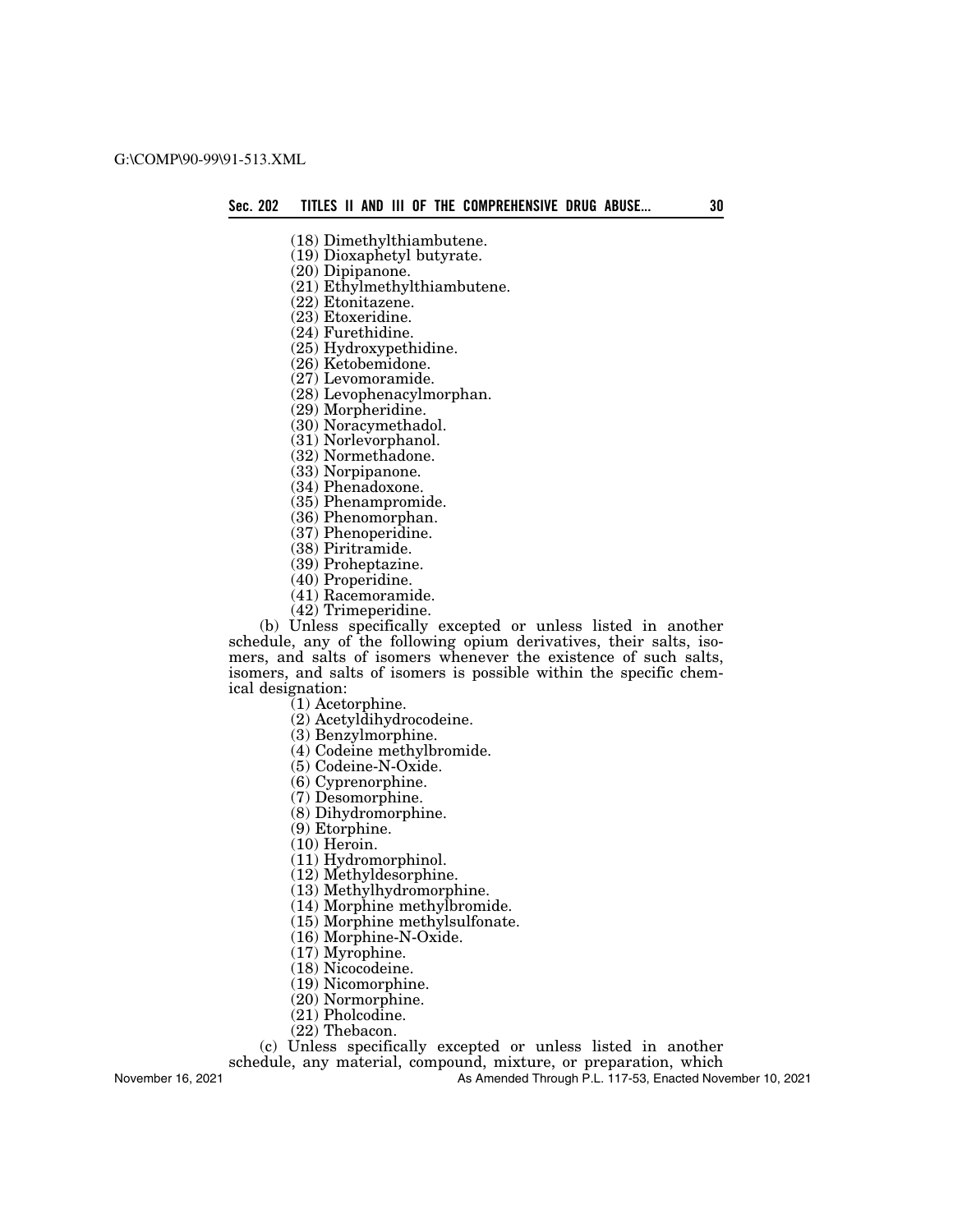(18) Dimethylthiambutene.

(19) Dioxaphetyl butyrate.

(20) Dipipanone.

(21) Ethylmethylthiambutene.

(22) Etonitazene.

(23) Etoxeridine.

(24) Furethidine.

(25) Hydroxypethidine.

(26) Ketobemidone.

(27) Levomoramide.

(28) Levophenacylmorphan.

(29) Morpheridine.

(30) Noracymethadol.

(31) Norlevorphanol.

(32) Normethadone.

(33) Norpipanone.

(34) Phenadoxone.

(35) Phenampromide.

(36) Phenomorphan.

(37) Phenoperidine.

(38) Piritramide.

(39) Proheptazine.

(40) Properidine.

(41) Racemoramide.

(42) Trimeperidine.

(b) Unless specifically excepted or unless listed in another schedule, any of the following opium derivatives, their salts, isomers, and salts of isomers whenever the existence of such salts, isomers, and salts of isomers is possible within the specific chemical designation:

(1) Acetorphine.

(2) Acetyldihydrocodeine.

(3) Benzylmorphine.

(4) Codeine methylbromide.

(5) Codeine-N-Oxide.

(6) Cyprenorphine.

(7) Desomorphine.

(8) Dihydromorphine.

(9) Etorphine.

(10) Heroin.

(11) Hydromorphinol.

(12) Methyldesorphine.

(13) Methylhydromorphine.

(14) Morphine methylbromide.

(15) Morphine methylsulfonate.

(16) Morphine-N-Oxide.

(17) Myrophine.

(18) Nicocodeine.

(19) Nicomorphine.

(20) Normorphine.

(21) Pholcodine.

(22) Thebacon.

(c) Unless specifically excepted or unless listed in another

schedule, any material, compound, mixture, or preparation, which

November 16, 2021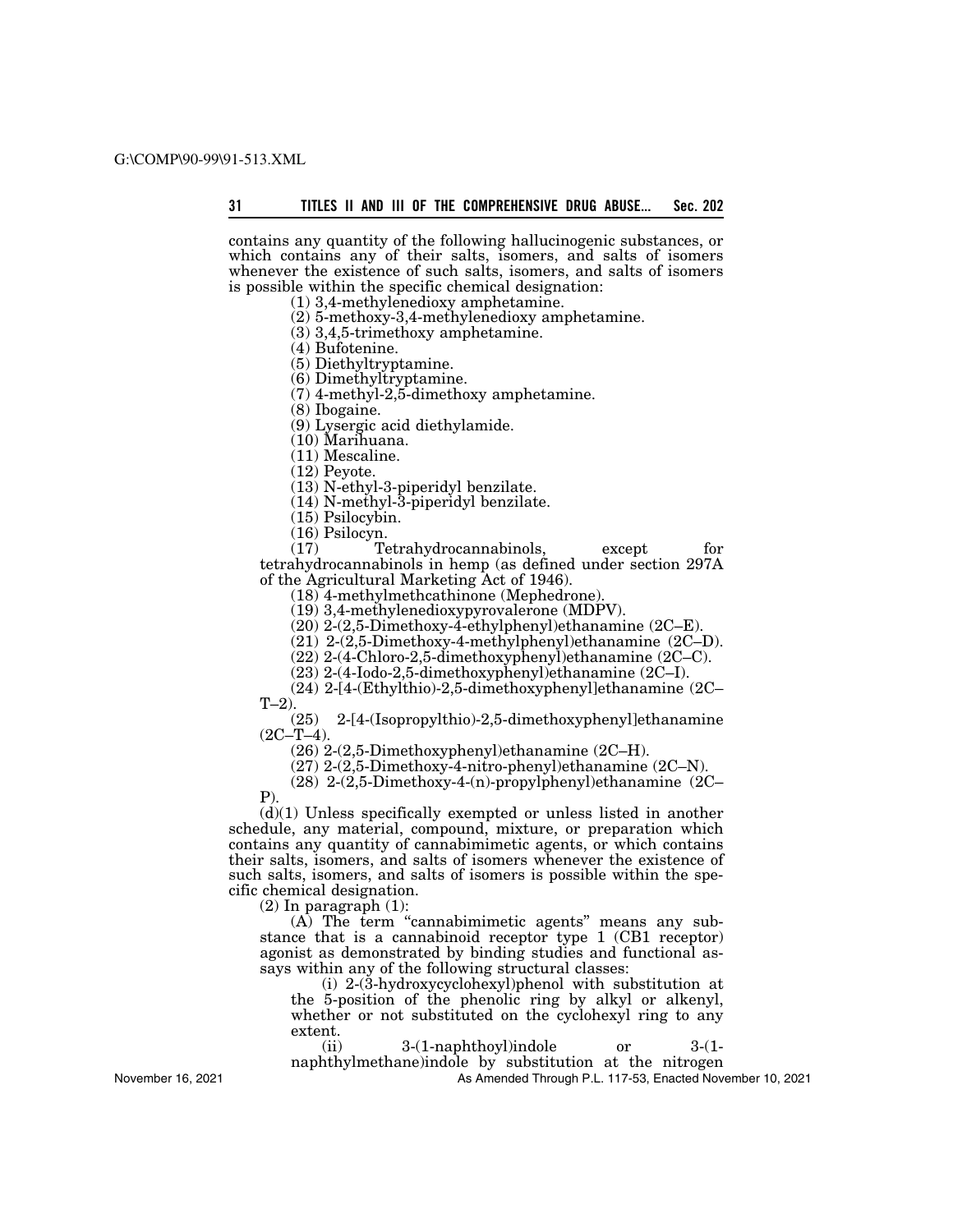contains any quantity of the following hallucinogenic substances, or which contains any of their salts, isomers, and salts of isomers whenever the existence of such salts, isomers, and salts of isomers is possible within the specific chemical designation:

(1) 3,4-methylenedioxy amphetamine.

(2) 5-methoxy-3,4-methylenedioxy amphetamine.

(3) 3,4,5-trimethoxy amphetamine.

(4) Bufotenine.

(5) Diethyltryptamine.

(6) Dimethyltryptamine.

(7) 4-methyl-2,5-dimethoxy amphetamine.

(8) Ibogaine.

(9) Lysergic acid diethylamide.

(10) Marihuana.

(11) Mescaline.

(12) Peyote.

(13) N-ethyl-3-piperidyl benzilate.

(14) N-methyl-3-piperidyl benzilate.

(15) Psilocybin.

 $(16)$  Psilocyn.<br> $(17)$  Te

Tetrahydrocannabinols, except for tetrahydrocannabinols in hemp (as defined under section 297A of the Agricultural Marketing Act of 1946).

(18) 4-methylmethcathinone (Mephedrone).

(19) 3,4-methylenedioxypyrovalerone (MDPV).

(20) 2-(2,5-Dimethoxy-4-ethylphenyl)ethanamine (2C–E).

(21) 2-(2,5-Dimethoxy-4-methylphenyl)ethanamine (2C–D).

(22) 2-(4-Chloro-2,5-dimethoxyphenyl)ethanamine (2C–C).

(23) 2-(4-Iodo-2,5-dimethoxyphenyl)ethanamine (2C–I).

(24) 2-[4-(Ethylthio)-2,5-dimethoxyphenyl]ethanamine (2C–  $T-2$ ).

(25) 2-[4-(Isopropylthio)-2,5-dimethoxyphenyl]ethanamine  $(2C-T-4)$ .

(26) 2-(2,5-Dimethoxyphenyl)ethanamine (2C–H).

(27) 2-(2,5-Dimethoxy-4-nitro-phenyl)ethanamine (2C–N).

(28) 2-(2,5-Dimethoxy-4-(n)-propylphenyl)ethanamine (2C– P).

(d)(1) Unless specifically exempted or unless listed in another schedule, any material, compound, mixture, or preparation which contains any quantity of cannabimimetic agents, or which contains their salts, isomers, and salts of isomers whenever the existence of such salts, isomers, and salts of isomers is possible within the specific chemical designation.

 $(2)$  In paragraph  $(1)$ :

(A) The term "cannabimimetic agents" means any substance that is a cannabinoid receptor type 1 (CB1 receptor) agonist as demonstrated by binding studies and functional assays within any of the following structural classes:

(i) 2-(3-hydroxycyclohexyl)phenol with substitution at the 5-position of the phenolic ring by alkyl or alkenyl, whether or not substituted on the cyclohexyl ring to any extent.

(ii) 3-(1-naphthoyl)indole or 3-(1-

naphthylmethane)indole by substitution at the nitrogen As Amended Through P.L. 117-53, Enacted November 10, 2021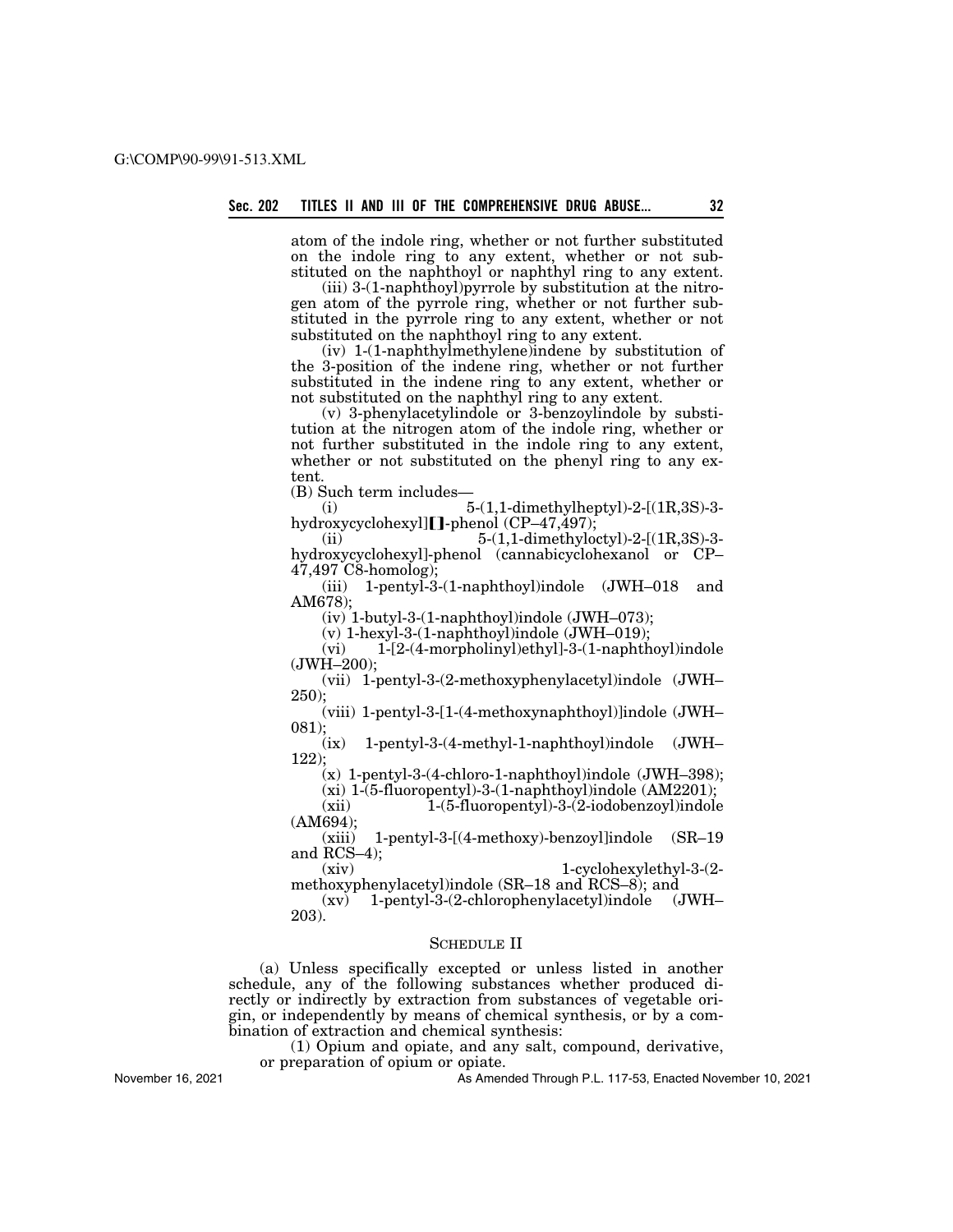atom of the indole ring, whether or not further substituted on the indole ring to any extent, whether or not substituted on the naphthoyl or naphthyl ring to any extent.

(iii) 3-(1-naphthoyl)pyrrole by substitution at the nitrogen atom of the pyrrole ring, whether or not further substituted in the pyrrole ring to any extent, whether or not substituted on the naphthoyl ring to any extent.

(iv) 1-(1-naphthylmethylene)indene by substitution of the 3-position of the indene ring, whether or not further substituted in the indene ring to any extent, whether or not substituted on the naphthyl ring to any extent.

(v) 3-phenylacetylindole or 3-benzoylindole by substitution at the nitrogen atom of the indole ring, whether or not further substituted in the indole ring to any extent, whether or not substituted on the phenyl ring to any extent.

(B) Such term includes—

(i)  $5-(1,1\textrm{-dimethylheptyl})-2-[(1R,3S)-3$ hydroxycyclohexyl] $\Box$ -phenol (CP–47,497);

(ii) 5-(1,1-dimethyloctyl)-2-[(1R,3S)-3 hydroxycyclohexyl]-phenol (cannabicyclohexanol or CP– 47,497 C8-homolog);

(iii) 1-pentyl-3-(1-naphthoyl)indole (JWH–018 and AM678);

(iv) 1-butyl-3-(1-naphthoyl)indole (JWH–073);

(v) 1-hexyl-3-(1-naphthoyl)indole (JWH–019);

(vi) 1-[2-(4-morpholinyl)ethyl]-3-(1-naphthoyl)indole (JWH–200);

(vii) 1-pentyl-3-(2-methoxyphenylacetyl)indole (JWH– 250);

(viii) 1-pentyl-3-[1-(4-methoxynaphthoyl)]indole (JWH– 081);

(ix) 1-pentyl-3-(4-methyl-1-naphthoyl)indole (JWH– 122);

(x) 1-pentyl-3-(4-chloro-1-naphthoyl)indole (JWH–398);

(xi) 1-(5-fluoropentyl)-3-(1-naphthoyl)indole (AM2201);

(xii) 1-(5-fluoropentyl)-3-(2-iodobenzoyl)indole (AM694);

(xiii) 1-pentyl-3-[(4-methoxy)-benzoyl]indole (SR–19 and RCS–4);

(xiv) 1-cyclohexylethyl-3-(2-

methoxyphenylacetyl)indole (SR–18 and RCS–8); and (xv) 1-pentyl-3-(2-chlorophenylacetyl)indole (JWH– 203).

## SCHEDULE II

(a) Unless specifically excepted or unless listed in another schedule, any of the following substances whether produced directly or indirectly by extraction from substances of vegetable origin, or independently by means of chemical synthesis, or by a combination of extraction and chemical synthesis:

(1) Opium and opiate, and any salt, compound, derivative,

or preparation of opium or opiate.

As Amended Through P.L. 117-53, Enacted November 10, 2021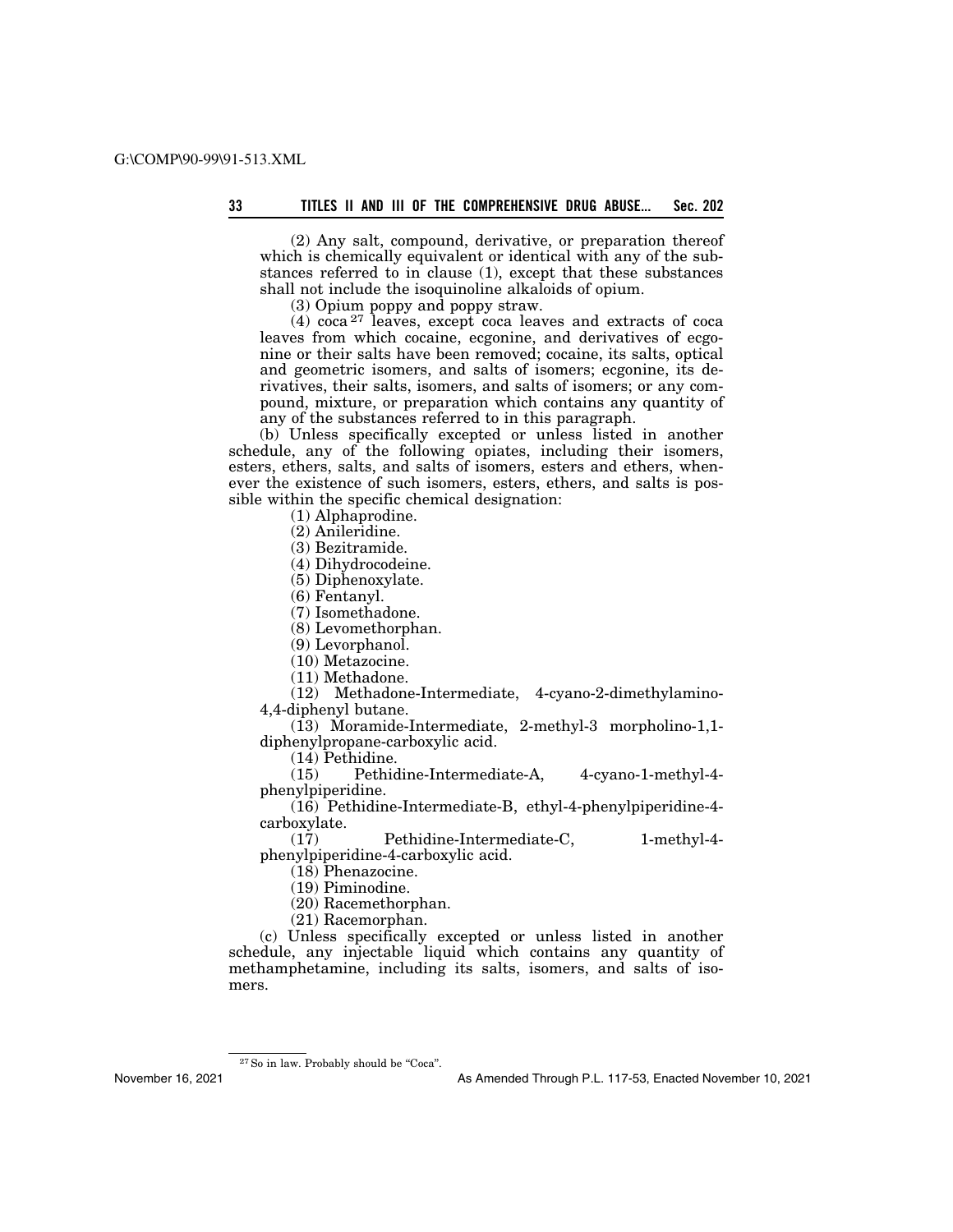(2) Any salt, compound, derivative, or preparation thereof which is chemically equivalent or identical with any of the substances referred to in clause (1), except that these substances shall not include the isoquinoline alkaloids of opium.

(3) Opium poppy and poppy straw.

(4) coca 27 leaves, except coca leaves and extracts of coca leaves from which cocaine, ecgonine, and derivatives of ecgonine or their salts have been removed; cocaine, its salts, optical and geometric isomers, and salts of isomers; ecgonine, its derivatives, their salts, isomers, and salts of isomers; or any compound, mixture, or preparation which contains any quantity of any of the substances referred to in this paragraph.

(b) Unless specifically excepted or unless listed in another schedule, any of the following opiates, including their isomers, esters, ethers, salts, and salts of isomers, esters and ethers, whenever the existence of such isomers, esters, ethers, and salts is possible within the specific chemical designation:

(1) Alphaprodine.

(2) Anileridine.

(3) Bezitramide.

(4) Dihydrocodeine.

(5) Diphenoxylate.

(6) Fentanyl.

(7) Isomethadone.

(8) Levomethorphan.

(9) Levorphanol.

(10) Metazocine.

(11) Methadone.

(12) Methadone-Intermediate, 4-cyano-2-dimethylamino-4,4-diphenyl butane.

(13) Moramide-Intermediate, 2-methyl-3 morpholino-1,1 diphenylpropane-carboxylic acid.

 $(14)$  Pethidine.<br> $(15)$  Pethid

Pethidine-Intermediate-A, 4-cyano-1-methyl-4phenylpiperidine.

(16) Pethidine-Intermediate-B, ethyl-4-phenylpiperidine-4 carboxylate.

(17) Pethidine-Intermediate-C, 1-methyl-4 phenylpiperidine-4-carboxylic acid.

 $(18)$  Phenazocine.

(19) Piminodine.

(20) Racemethorphan.

(21) Racemorphan.

(c) Unless specifically excepted or unless listed in another schedule, any injectable liquid which contains any quantity of methamphetamine, including its salts, isomers, and salts of isomers.

November 16, 2021

<sup>&</sup>lt;sup>27</sup> So in law. Probably should be "Coca".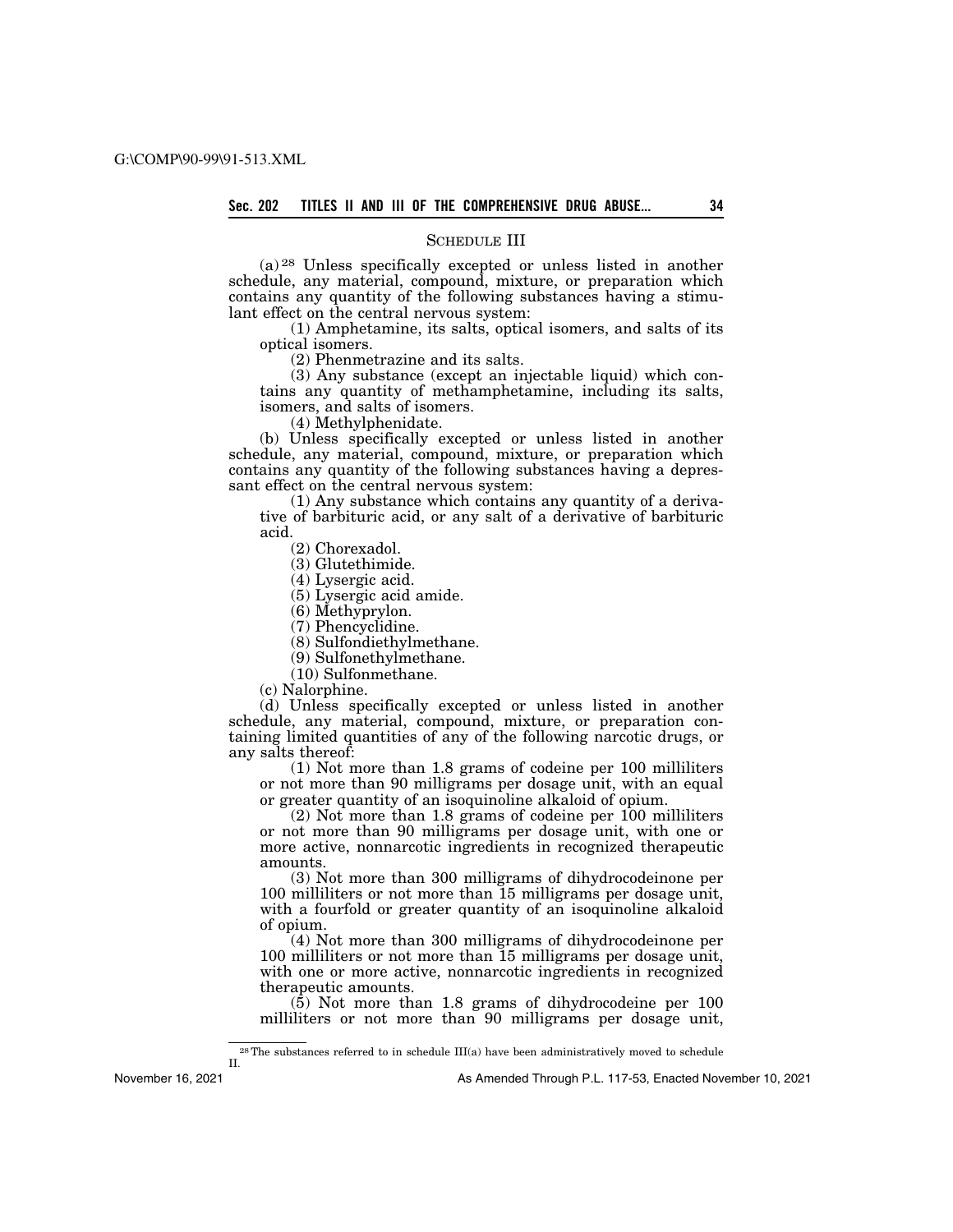## SCHEDULE III

(a) 28 Unless specifically excepted or unless listed in another schedule, any material, compound, mixture, or preparation which contains any quantity of the following substances having a stimulant effect on the central nervous system:

(1) Amphetamine, its salts, optical isomers, and salts of its optical isomers.

(2) Phenmetrazine and its salts.

(3) Any substance (except an injectable liquid) which contains any quantity of methamphetamine, including its salts, isomers, and salts of isomers.

(4) Methylphenidate.

(b) Unless specifically excepted or unless listed in another schedule, any material, compound, mixture, or preparation which contains any quantity of the following substances having a depressant effect on the central nervous system:

(1) Any substance which contains any quantity of a derivative of barbituric acid, or any salt of a derivative of barbituric acid.

(2) Chorexadol.

(3) Glutethimide.

(4) Lysergic acid.

(5) Lysergic acid amide.

(6) Methyprylon.

(7) Phencyclidine.

(8) Sulfondiethylmethane.

(9) Sulfonethylmethane.

(10) Sulfonmethane.

(c) Nalorphine.

(d) Unless specifically excepted or unless listed in another schedule, any material, compound, mixture, or preparation containing limited quantities of any of the following narcotic drugs, or any salts thereof:

(1) Not more than 1.8 grams of codeine per 100 milliliters or not more than 90 milligrams per dosage unit, with an equal or greater quantity of an isoquinoline alkaloid of opium.

(2) Not more than 1.8 grams of codeine per 100 milliliters or not more than 90 milligrams per dosage unit, with one or more active, nonnarcotic ingredients in recognized therapeutic amounts.

(3) Not more than 300 milligrams of dihydrocodeinone per 100 milliliters or not more than 15 milligrams per dosage unit, with a fourfold or greater quantity of an isoquinoline alkaloid of opium.

(4) Not more than 300 milligrams of dihydrocodeinone per 100 milliliters or not more than 15 milligrams per dosage unit, with one or more active, nonnarcotic ingredients in recognized therapeutic amounts.

(5) Not more than 1.8 grams of dihydrocodeine per 100 milliliters or not more than 90 milligrams per dosage unit,

28The substances referred to in schedule III(a) have been administratively moved to schedule

November 16, 2021

II.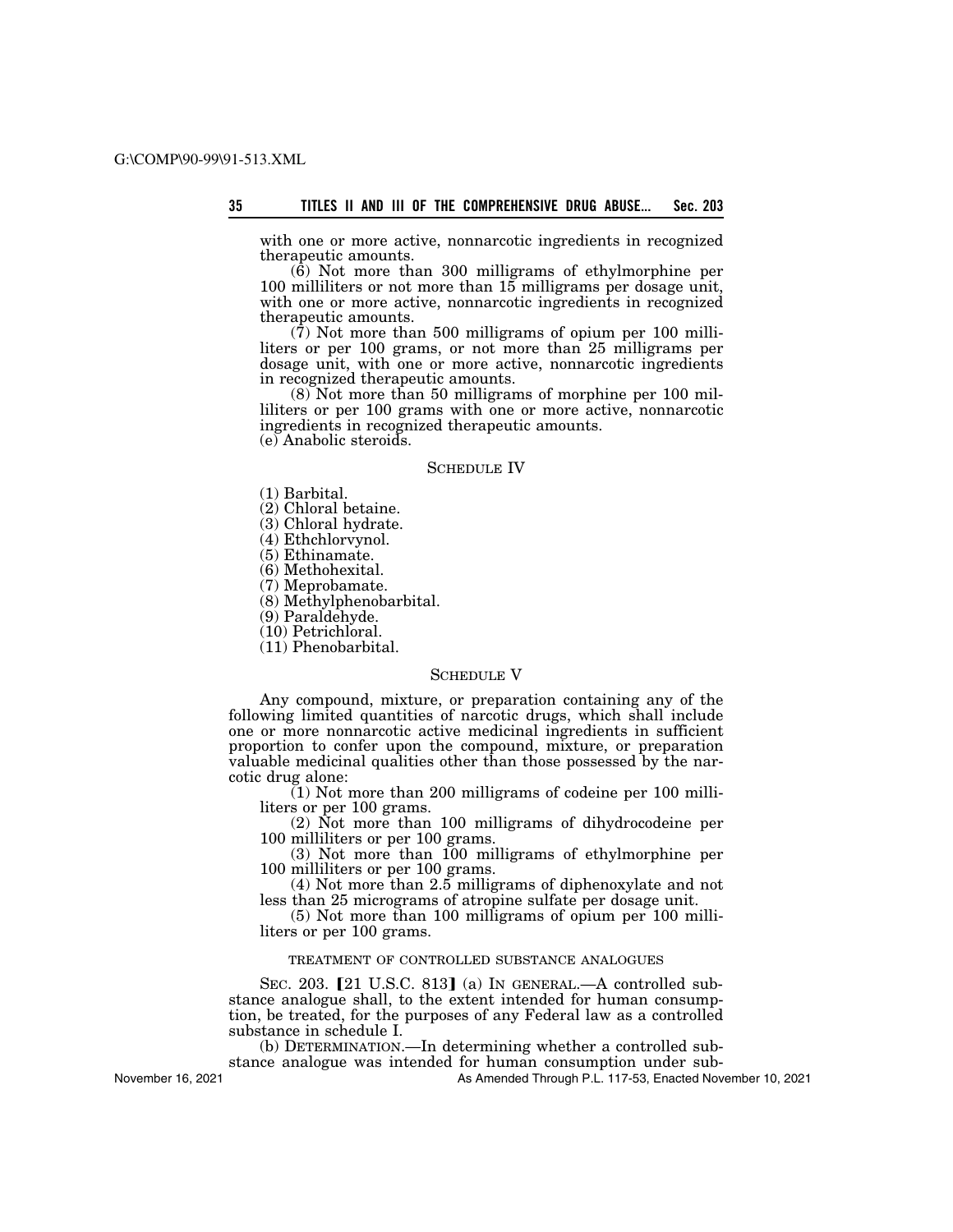with one or more active, nonnarcotic ingredients in recognized therapeutic amounts.

(6) Not more than 300 milligrams of ethylmorphine per 100 milliliters or not more than 15 milligrams per dosage unit, with one or more active, nonnarcotic ingredients in recognized therapeutic amounts.

 $(7)$  Not more than 500 milligrams of opium per 100 milliliters or per 100 grams, or not more than 25 milligrams per dosage unit, with one or more active, nonnarcotic ingredients in recognized therapeutic amounts.

(8) Not more than 50 milligrams of morphine per 100 milliliters or per 100 grams with one or more active, nonnarcotic ingredients in recognized therapeutic amounts. (e) Anabolic steroids.

SCHEDULE IV

(1) Barbital.

(2) Chloral betaine.

(3) Chloral hydrate.

(4) Ethchlorvynol.

(5) Ethinamate.

(6) Methohexital.

(7) Meprobamate.

(8) Methylphenobarbital.

(9) Paraldehyde.

(10) Petrichloral.

(11) Phenobarbital.

# SCHEDULE V

Any compound, mixture, or preparation containing any of the following limited quantities of narcotic drugs, which shall include one or more nonnarcotic active medicinal ingredients in sufficient proportion to confer upon the compound, mixture, or preparation valuable medicinal qualities other than those possessed by the narcotic drug alone:

(1) Not more than 200 milligrams of codeine per 100 milliliters or per 100 grams.

(2) Not more than 100 milligrams of dihydrocodeine per 100 milliliters or per 100 grams.

(3) Not more than 100 milligrams of ethylmorphine per 100 milliliters or per 100 grams.

(4) Not more than 2.5 milligrams of diphenoxylate and not less than 25 micrograms of atropine sulfate per dosage unit.

(5) Not more than 100 milligrams of opium per 100 milliliters or per 100 grams.

## TREATMENT OF CONTROLLED SUBSTANCE ANALOGUES

SEC. 203.  $[21 \text{ U.S.C. } 813]$  (a) In GENERAL.—A controlled substance analogue shall, to the extent intended for human consumption, be treated, for the purposes of any Federal law as a controlled substance in schedule I.

(b) DETERMINATION.—In determining whether a controlled sub-

stance analogue was intended for human consumption under sub-

November 16, 2021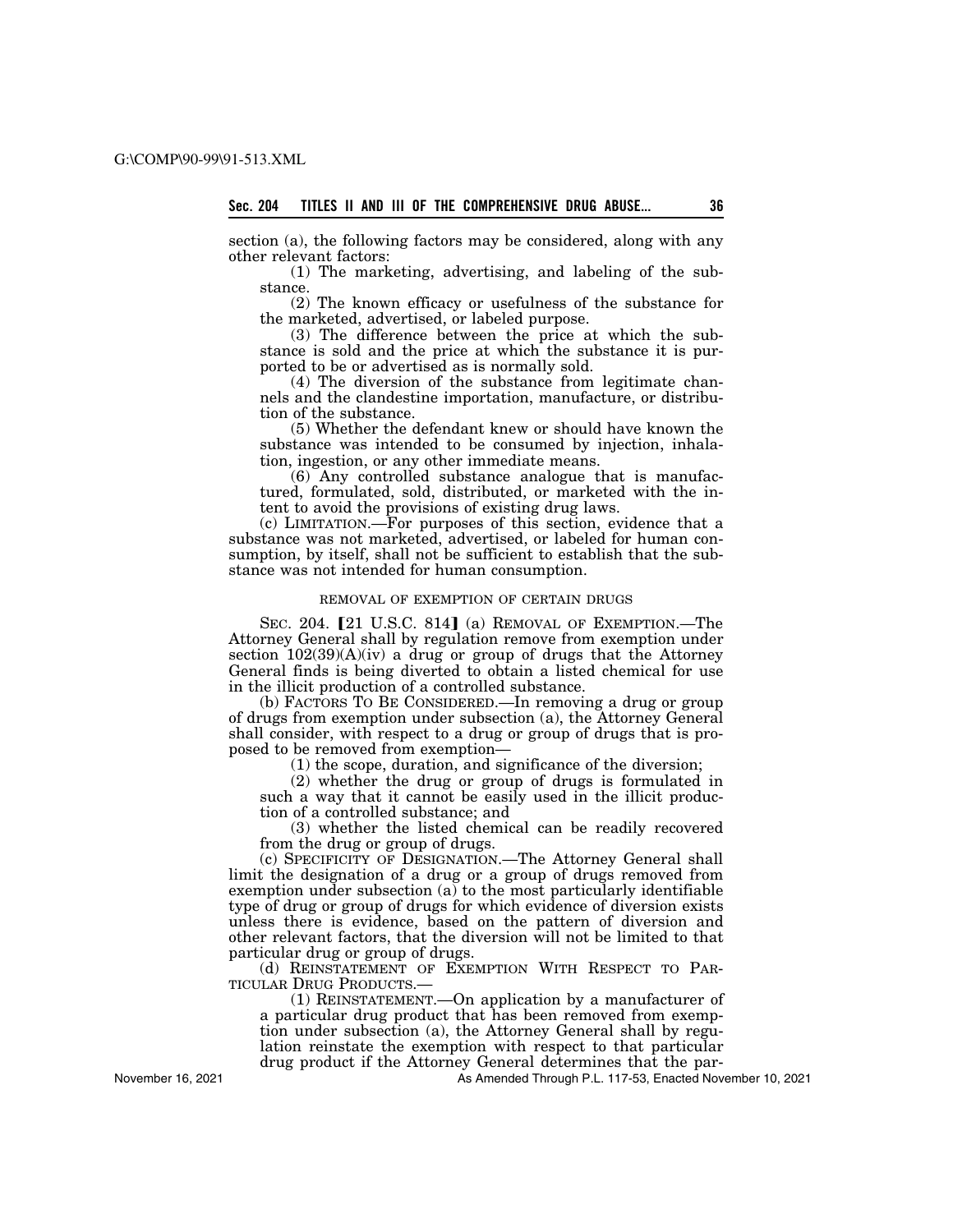section (a), the following factors may be considered, along with any other relevant factors:

(1) The marketing, advertising, and labeling of the substance.

(2) The known efficacy or usefulness of the substance for the marketed, advertised, or labeled purpose.

(3) The difference between the price at which the substance is sold and the price at which the substance it is purported to be or advertised as is normally sold.

(4) The diversion of the substance from legitimate channels and the clandestine importation, manufacture, or distribution of the substance.

(5) Whether the defendant knew or should have known the substance was intended to be consumed by injection, inhalation, ingestion, or any other immediate means.

(6) Any controlled substance analogue that is manufactured, formulated, sold, distributed, or marketed with the intent to avoid the provisions of existing drug laws.

(c) LIMITATION.—For purposes of this section, evidence that a substance was not marketed, advertised, or labeled for human consumption, by itself, shall not be sufficient to establish that the substance was not intended for human consumption.

# REMOVAL OF EXEMPTION OF CERTAIN DRUGS

SEC. 204. [21 U.S.C. 814] (a) REMOVAL OF EXEMPTION.—The Attorney General shall by regulation remove from exemption under section  $102(39)(A)(iv)$  a drug or group of drugs that the Attorney General finds is being diverted to obtain a listed chemical for use in the illicit production of a controlled substance.

(b) FACTORS TO BE CONSIDERED.—In removing a drug or group of drugs from exemption under subsection (a), the Attorney General shall consider, with respect to a drug or group of drugs that is proposed to be removed from exemption—

(1) the scope, duration, and significance of the diversion;

(2) whether the drug or group of drugs is formulated in such a way that it cannot be easily used in the illicit production of a controlled substance; and

(3) whether the listed chemical can be readily recovered from the drug or group of drugs.

(c) SPECIFICITY OF DESIGNATION.—The Attorney General shall limit the designation of a drug or a group of drugs removed from exemption under subsection (a) to the most particularly identifiable type of drug or group of drugs for which evidence of diversion exists unless there is evidence, based on the pattern of diversion and other relevant factors, that the diversion will not be limited to that particular drug or group of drugs.

(d) REINSTATEMENT OF EXEMPTION WITH RESPECT TO PAR-TICULAR DRUG PRODUCTS.—

(1) REINSTATEMENT.—On application by a manufacturer of a particular drug product that has been removed from exemption under subsection (a), the Attorney General shall by regulation reinstate the exemption with respect to that particular drug product if the Attorney General determines that the par-

As Amended Through P.L. 117-53, Enacted November 10, 2021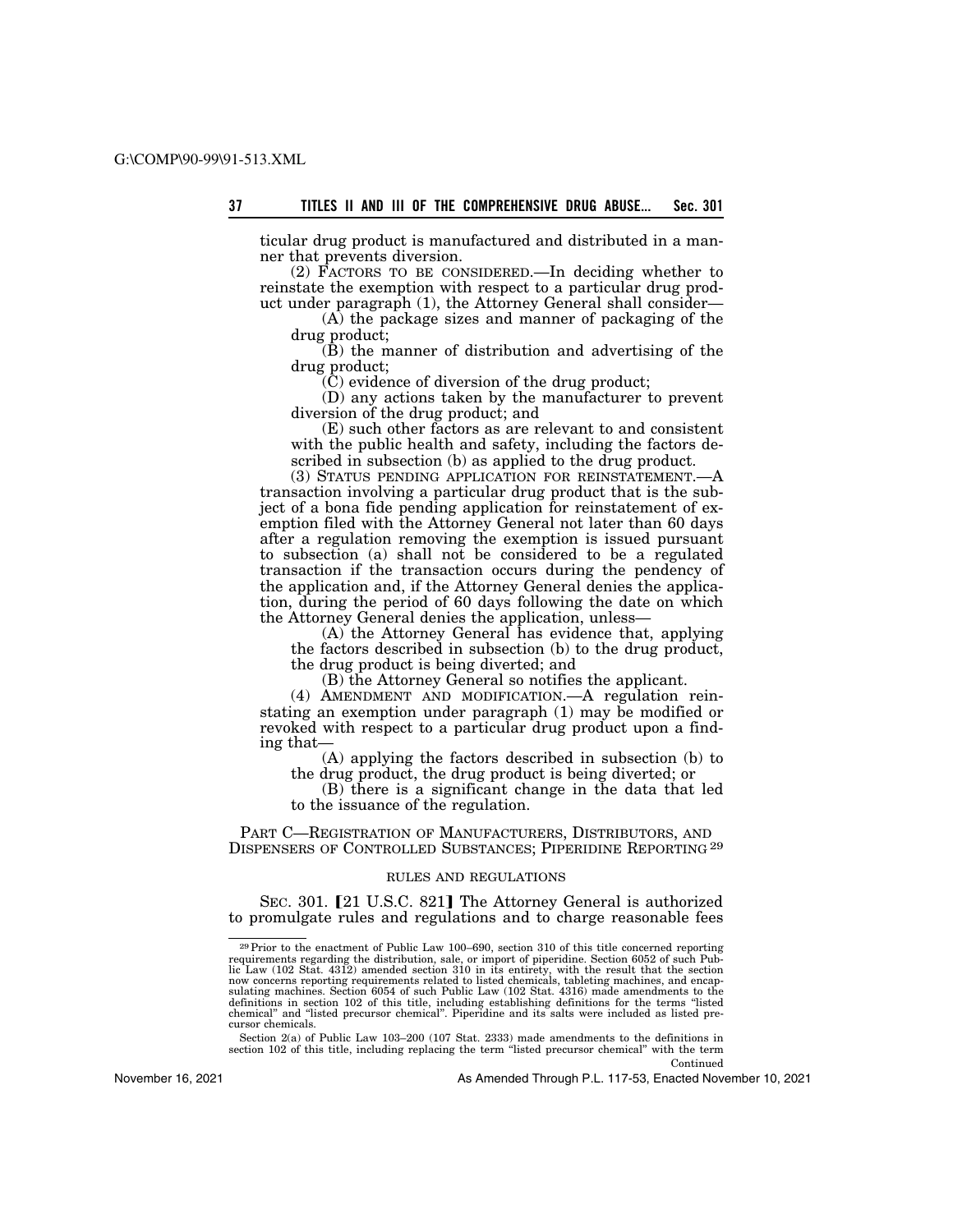ticular drug product is manufactured and distributed in a manner that prevents diversion.

(2) FACTORS TO BE CONSIDERED.—In deciding whether to reinstate the exemption with respect to a particular drug product under paragraph (1), the Attorney General shall consider—

(A) the package sizes and manner of packaging of the drug product;

 $(B)$  the manner of distribution and advertising of the drug product;

 $(\overline{C})$  evidence of diversion of the drug product;

(D) any actions taken by the manufacturer to prevent diversion of the drug product; and

(E) such other factors as are relevant to and consistent with the public health and safety, including the factors described in subsection (b) as applied to the drug product.

(3) STATUS PENDING APPLICATION FOR REINSTATEMENT.—A transaction involving a particular drug product that is the subject of a bona fide pending application for reinstatement of exemption filed with the Attorney General not later than 60 days after a regulation removing the exemption is issued pursuant to subsection (a) shall not be considered to be a regulated transaction if the transaction occurs during the pendency of the application and, if the Attorney General denies the application, during the period of 60 days following the date on which the Attorney General denies the application, unless—

(A) the Attorney General has evidence that, applying the factors described in subsection (b) to the drug product, the drug product is being diverted; and

(B) the Attorney General so notifies the applicant.

(4) AMENDMENT AND MODIFICATION.—A regulation reinstating an exemption under paragraph (1) may be modified or revoked with respect to a particular drug product upon a finding that—

(A) applying the factors described in subsection (b) to the drug product, the drug product is being diverted; or

(B) there is a significant change in the data that led to the issuance of the regulation.

PART C—REGISTRATION OF MANUFACTURERS, DISTRIBUTORS, AND DISPENSERS OF CONTROLLED SUBSTANCES; PIPERIDINE REPORTING 29

### RULES AND REGULATIONS

SEC. 301. [21 U.S.C. 821] The Attorney General is authorized to promulgate rules and regulations and to charge reasonable fees

As Amended Through P.L. 117-53, Enacted November 10, 2021

<sup>29</sup>Prior to the enactment of Public Law 100–690, section 310 of this title concerned reporting requirements regarding the distribution, sale, or import of piperidine. Section 6052 of such Pub-<br>lic Law (102 Stat. 4312) amended section 310 in its entirety, with the result that the section<br>now concerns reporting requir definitions in section 102 of this title, including establishing definitions for the terms ''listed chemical'' and ''listed precursor chemical''. Piperidine and its salts were included as listed precursor chemicals.

Section 2(a) of Public Law 103–200 (107 Stat. 2333) made amendments to the definitions in section 102 of this title, including replacing the term "listed precursor chemical" with the term Continued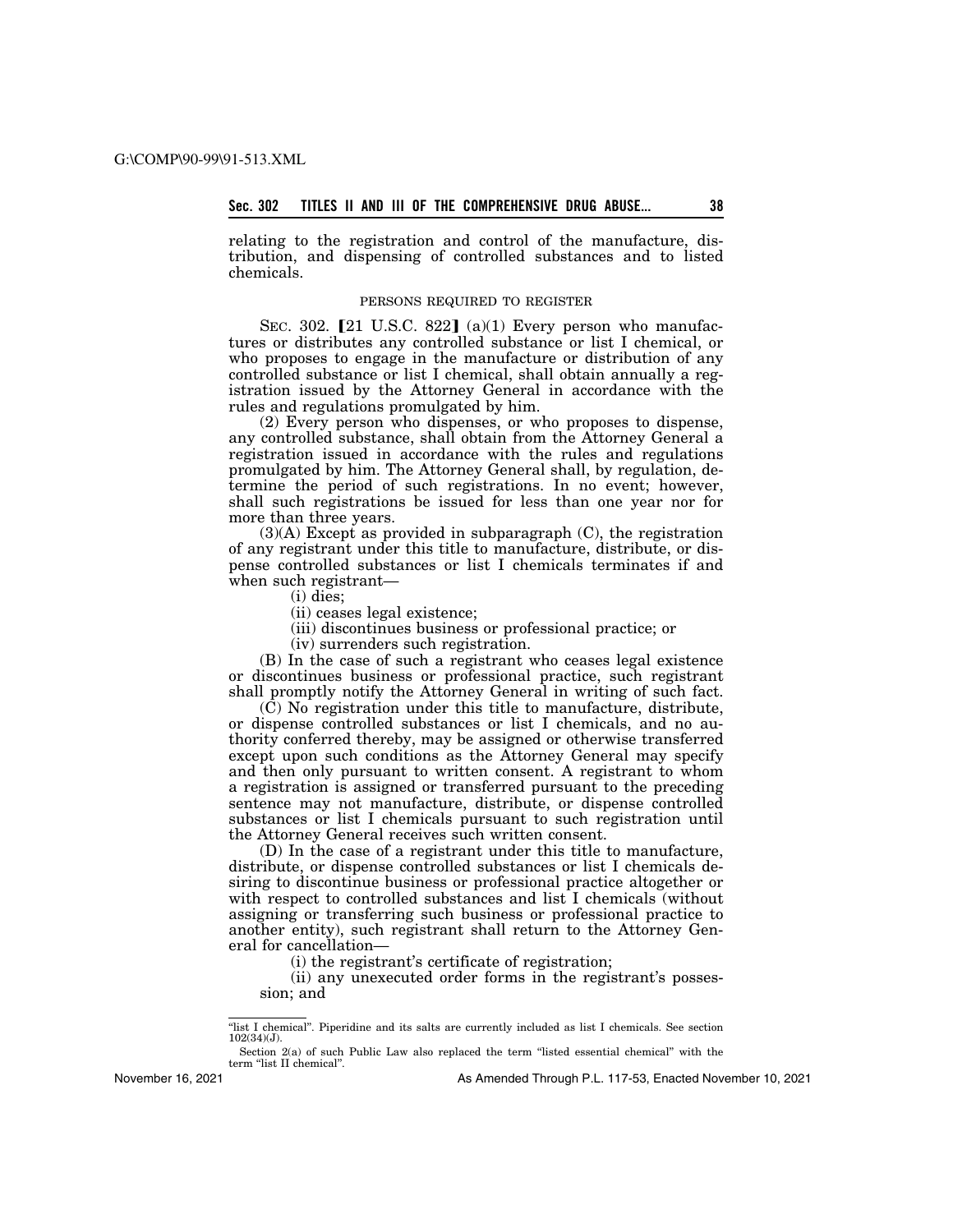relating to the registration and control of the manufacture, distribution, and dispensing of controlled substances and to listed chemicals.

#### PERSONS REQUIRED TO REGISTER

SEC. 302.  $[21 \text{ U.S.C. } 822]$  (a)(1) Every person who manufactures or distributes any controlled substance or list I chemical, or who proposes to engage in the manufacture or distribution of any controlled substance or list I chemical, shall obtain annually a registration issued by the Attorney General in accordance with the rules and regulations promulgated by him.

(2) Every person who dispenses, or who proposes to dispense, any controlled substance, shall obtain from the Attorney General a registration issued in accordance with the rules and regulations promulgated by him. The Attorney General shall, by regulation, determine the period of such registrations. In no event; however, shall such registrations be issued for less than one year nor for more than three years.

(3)(A) Except as provided in subparagraph (C), the registration of any registrant under this title to manufacture, distribute, or dispense controlled substances or list I chemicals terminates if and when such registrant—

(i) dies;

(ii) ceases legal existence;

(iii) discontinues business or professional practice; or

(iv) surrenders such registration.

(B) In the case of such a registrant who ceases legal existence or discontinues business or professional practice, such registrant shall promptly notify the Attorney General in writing of such fact.

(C) No registration under this title to manufacture, distribute, or dispense controlled substances or list I chemicals, and no authority conferred thereby, may be assigned or otherwise transferred except upon such conditions as the Attorney General may specify and then only pursuant to written consent. A registrant to whom a registration is assigned or transferred pursuant to the preceding sentence may not manufacture, distribute, or dispense controlled substances or list I chemicals pursuant to such registration until the Attorney General receives such written consent.

(D) In the case of a registrant under this title to manufacture, distribute, or dispense controlled substances or list I chemicals desiring to discontinue business or professional practice altogether or with respect to controlled substances and list I chemicals (without assigning or transferring such business or professional practice to another entity), such registrant shall return to the Attorney General for cancellation—

(i) the registrant's certificate of registration;

(ii) any unexecuted order forms in the registrant's possession; and

November 16, 2021

<sup>&#</sup>x27;'list I chemical''. Piperidine and its salts are currently included as list I chemicals. See section 102(34)(J).

Section 2(a) of such Public Law also replaced the term "listed essential chemical" with the term "list II chemical".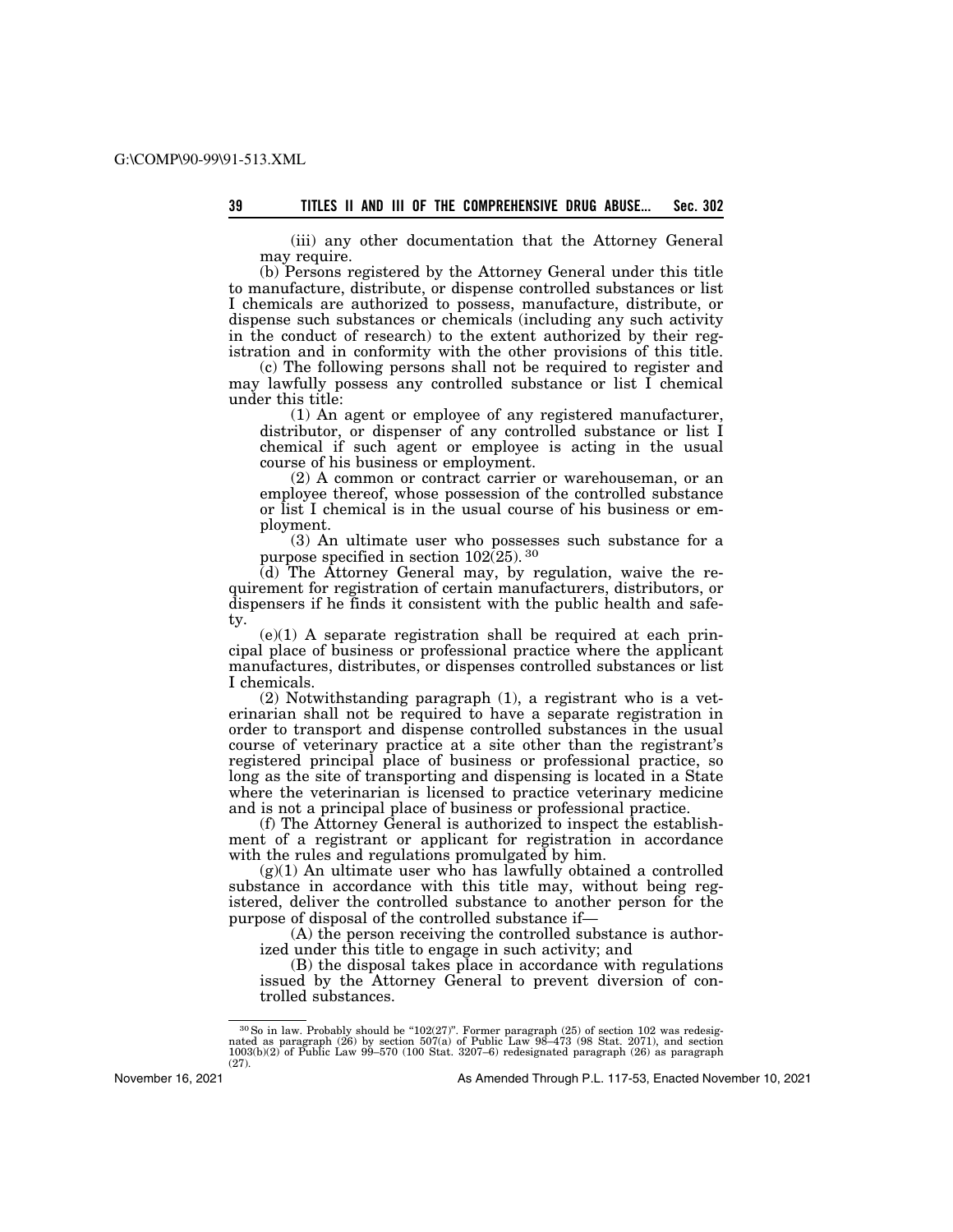(iii) any other documentation that the Attorney General may require.

(b) Persons registered by the Attorney General under this title to manufacture, distribute, or dispense controlled substances or list I chemicals are authorized to possess, manufacture, distribute, or dispense such substances or chemicals (including any such activity in the conduct of research) to the extent authorized by their registration and in conformity with the other provisions of this title.

(c) The following persons shall not be required to register and may lawfully possess any controlled substance or list  $\tilde{\Gamma}$  chemical under this title:

(1) An agent or employee of any registered manufacturer, distributor, or dispenser of any controlled substance or list I chemical if such agent or employee is acting in the usual course of his business or employment.

(2) A common or contract carrier or warehouseman, or an employee thereof, whose possession of the controlled substance or list I chemical is in the usual course of his business or employment.

(3) An ultimate user who possesses such substance for a purpose specified in section 102(25). 30

(d) The Attorney General may, by regulation, waive the requirement for registration of certain manufacturers, distributors, or dispensers if he finds it consistent with the public health and safety.

 $(e)(1)$  A separate registration shall be required at each principal place of business or professional practice where the applicant manufactures, distributes, or dispenses controlled substances or list I chemicals.

(2) Notwithstanding paragraph (1), a registrant who is a veterinarian shall not be required to have a separate registration in order to transport and dispense controlled substances in the usual course of veterinary practice at a site other than the registrant's registered principal place of business or professional practice, so long as the site of transporting and dispensing is located in a State where the veterinarian is licensed to practice veterinary medicine and is not a principal place of business or professional practice.

(f) The Attorney General is authorized to inspect the establishment of a registrant or applicant for registration in accordance with the rules and regulations promulgated by him.

 $(g)(1)$  An ultimate user who has lawfully obtained a controlled substance in accordance with this title may, without being registered, deliver the controlled substance to another person for the purpose of disposal of the controlled substance if—

(A) the person receiving the controlled substance is authorized under this title to engage in such activity; and

(B) the disposal takes place in accordance with regulations issued by the Attorney General to prevent diversion of controlled substances.

November 16, 2021

 $^{30}$ So in law. Probably should be "102(27)". Former paragraph (25) of section 102 was redesignated as paragraph (26) by section  $507(a)$  of Public Law 98-473 (98 Stat. 2071), and section  $1003(b)(2)$  of Public Law 99-570 ( (27).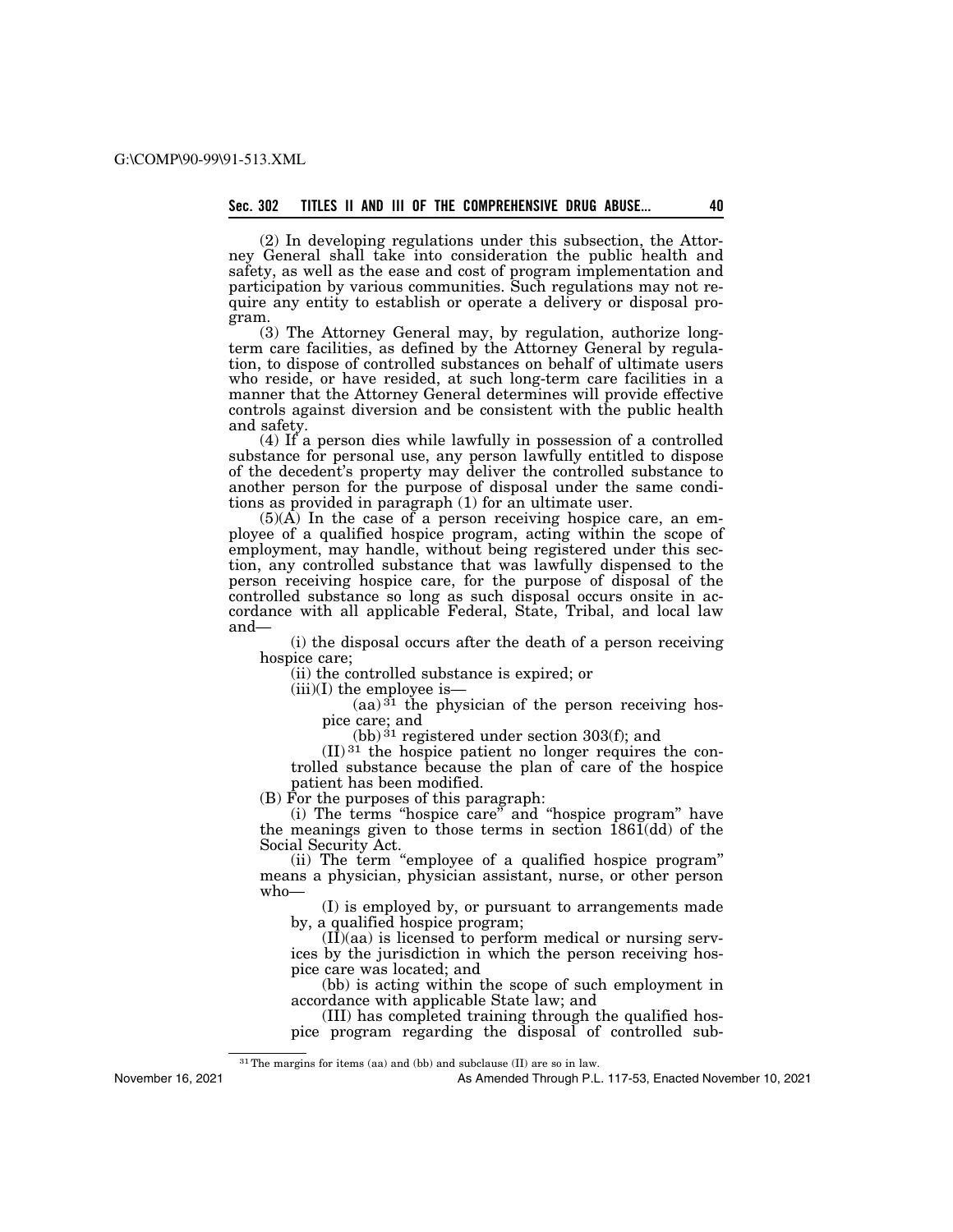### **Sec. 302 TITLES II AND III OF THE COMPREHENSIVE DRUG ABUSE... 40**

(2) In developing regulations under this subsection, the Attorney General shall take into consideration the public health and safety, as well as the ease and cost of program implementation and participation by various communities. Such regulations may not require any entity to establish or operate a delivery or disposal program.

(3) The Attorney General may, by regulation, authorize longterm care facilities, as defined by the Attorney General by regulation, to dispose of controlled substances on behalf of ultimate users who reside, or have resided, at such long-term care facilities in a manner that the Attorney General determines will provide effective controls against diversion and be consistent with the public health and safety.

(4) If a person dies while lawfully in possession of a controlled substance for personal use, any person lawfully entitled to dispose of the decedent's property may deliver the controlled substance to another person for the purpose of disposal under the same conditions as provided in paragraph (1) for an ultimate user.

 $(5)(\overline{A})$  In the case of a person receiving hospice care, an employee of a qualified hospice program, acting within the scope of employment, may handle, without being registered under this section, any controlled substance that was lawfully dispensed to the person receiving hospice care, for the purpose of disposal of the controlled substance so long as such disposal occurs onsite in accordance with all applicable Federal, State, Tribal, and local law and—

(i) the disposal occurs after the death of a person receiving hospice care;

(ii) the controlled substance is expired; or

 $(iii)(I)$  the employee is-

 $(aa)^{31}$  the physician of the person receiving hospice care; and

(bb)<sup>31</sup> registered under section 303(f); and

 $(II)$ <sup>31</sup> the hospice patient no longer requires the controlled substance because the plan of care of the hospice patient has been modified.

(B) For the purposes of this paragraph:

(i) The terms "hospice care" and "hospice program" have the meanings given to those terms in section  $186\overline{1}$ (dd) of the Social Security Act.

(ii) The term ''employee of a qualified hospice program'' means a physician, physician assistant, nurse, or other person who—

(I) is employed by, or pursuant to arrangements made by, a qualified hospice program;

 $(II)(aa)$  is licensed to perform medical or nursing services by the jurisdiction in which the person receiving hospice care was located; and

(bb) is acting within the scope of such employment in accordance with applicable State law; and

(III) has completed training through the qualified hospice program regarding the disposal of controlled sub-

31The margins for items (aa) and (bb) and subclause (II) are so in law.

November 16, 2021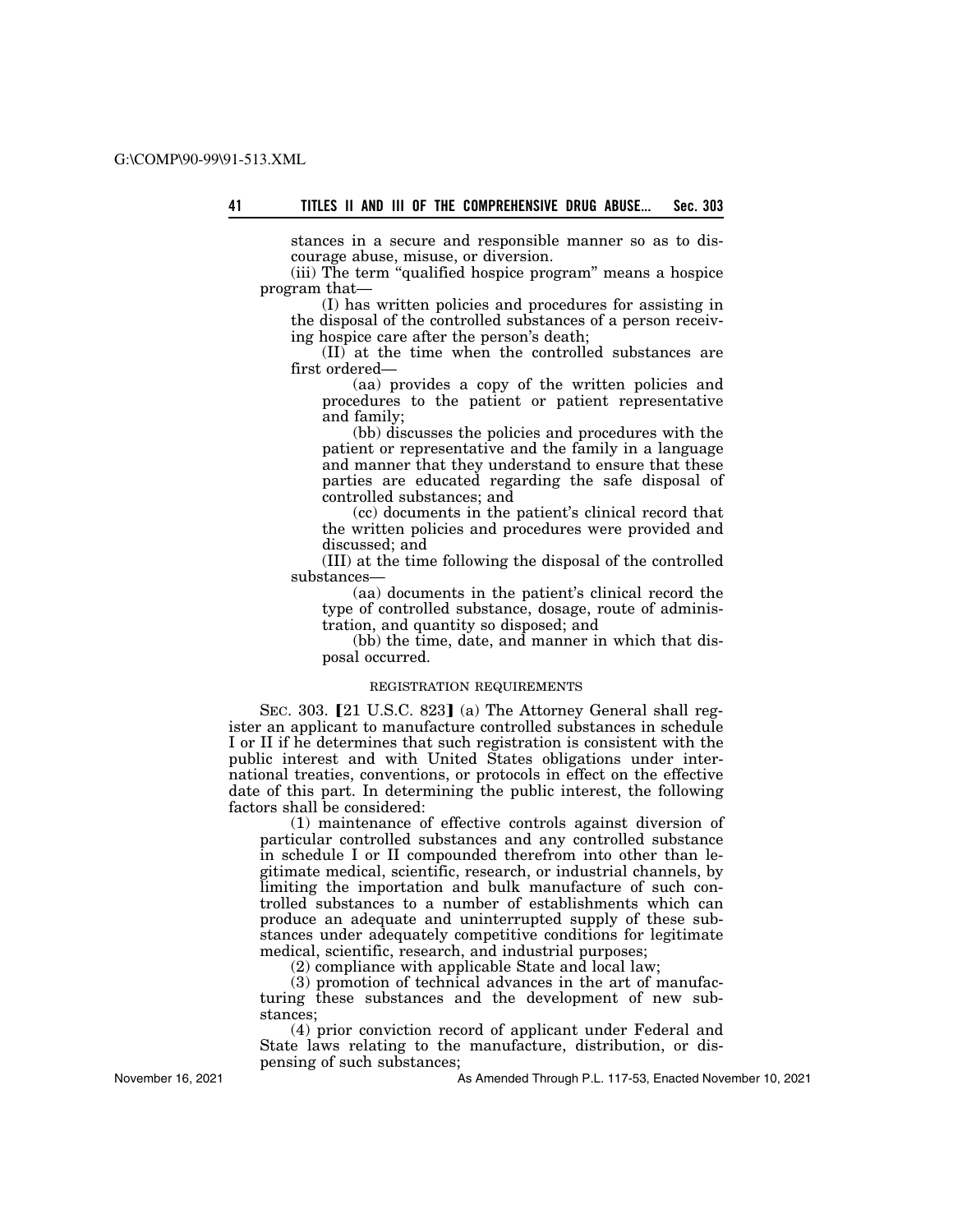stances in a secure and responsible manner so as to discourage abuse, misuse, or diversion.

(iii) The term ''qualified hospice program'' means a hospice program that—

(I) has written policies and procedures for assisting in the disposal of the controlled substances of a person receiving hospice care after the person's death;

(II) at the time when the controlled substances are first ordered—

(aa) provides a copy of the written policies and procedures to the patient or patient representative and family;

(bb) discusses the policies and procedures with the patient or representative and the family in a language and manner that they understand to ensure that these parties are educated regarding the safe disposal of controlled substances; and

(cc) documents in the patient's clinical record that the written policies and procedures were provided and discussed; and

(III) at the time following the disposal of the controlled substances—

(aa) documents in the patient's clinical record the type of controlled substance, dosage, route of administration, and quantity so disposed; and

(bb) the time, date, and manner in which that disposal occurred.

# REGISTRATION REQUIREMENTS

SEC. 303. [21 U.S.C. 823] (a) The Attorney General shall register an applicant to manufacture controlled substances in schedule I or II if he determines that such registration is consistent with the public interest and with United States obligations under international treaties, conventions, or protocols in effect on the effective date of this part. In determining the public interest, the following factors shall be considered:

(1) maintenance of effective controls against diversion of particular controlled substances and any controlled substance in schedule I or II compounded therefrom into other than legitimate medical, scientific, research, or industrial channels, by limiting the importation and bulk manufacture of such controlled substances to a number of establishments which can produce an adequate and uninterrupted supply of these substances under adequately competitive conditions for legitimate medical, scientific, research, and industrial purposes;

(2) compliance with applicable State and local law;

(3) promotion of technical advances in the art of manufacturing these substances and the development of new substances;

(4) prior conviction record of applicant under Federal and State laws relating to the manufacture, distribution, or dispensing of such substances;

November 16, 2021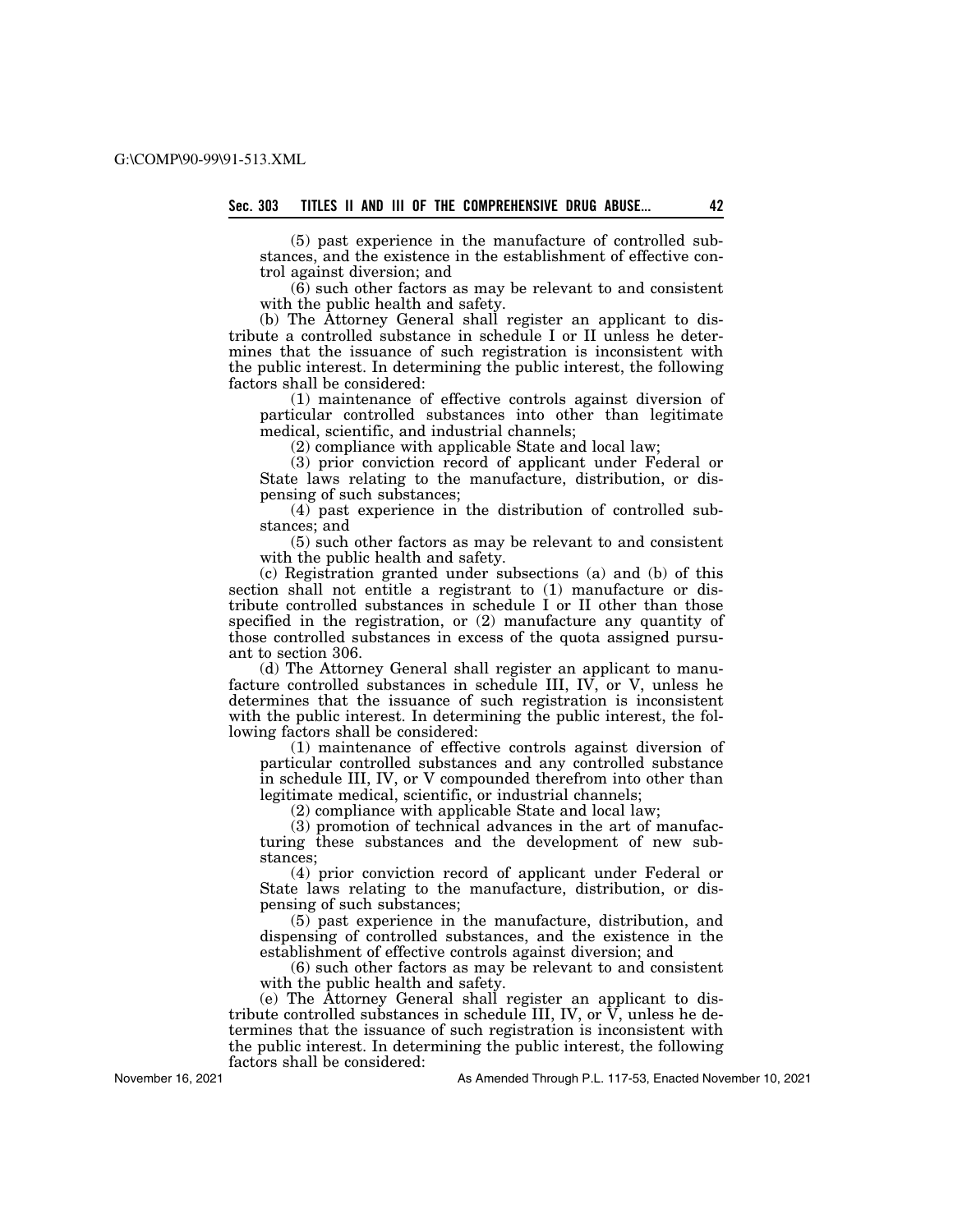(5) past experience in the manufacture of controlled substances, and the existence in the establishment of effective control against diversion; and

 $\left(\vec{6}\right)$  such other factors as may be relevant to and consistent with the public health and safety.

(b) The Attorney General shall register an applicant to distribute a controlled substance in schedule I or II unless he determines that the issuance of such registration is inconsistent with the public interest. In determining the public interest, the following factors shall be considered:

(1) maintenance of effective controls against diversion of particular controlled substances into other than legitimate medical, scientific, and industrial channels;

(2) compliance with applicable State and local law;

(3) prior conviction record of applicant under Federal or State laws relating to the manufacture, distribution, or dispensing of such substances;

(4) past experience in the distribution of controlled substances; and

(5) such other factors as may be relevant to and consistent with the public health and safety.

(c) Registration granted under subsections (a) and (b) of this section shall not entitle a registrant to (1) manufacture or distribute controlled substances in schedule I or II other than those specified in the registration, or (2) manufacture any quantity of those controlled substances in excess of the quota assigned pursuant to section 306.

(d) The Attorney General shall register an applicant to manufacture controlled substances in schedule III, IV, or V, unless he determines that the issuance of such registration is inconsistent with the public interest. In determining the public interest, the following factors shall be considered:

(1) maintenance of effective controls against diversion of particular controlled substances and any controlled substance in schedule III, IV, or V compounded therefrom into other than legitimate medical, scientific, or industrial channels;

(2) compliance with applicable State and local law;

(3) promotion of technical advances in the art of manufacturing these substances and the development of new substances;

(4) prior conviction record of applicant under Federal or State laws relating to the manufacture, distribution, or dispensing of such substances;

(5) past experience in the manufacture, distribution, and dispensing of controlled substances, and the existence in the establishment of effective controls against diversion; and

(6) such other factors as may be relevant to and consistent with the public health and safety.

(e) The Attorney General shall register an applicant to distribute controlled substances in schedule III, IV, or  $\tilde{V}$ , unless he determines that the issuance of such registration is inconsistent with the public interest. In determining the public interest, the following factors shall be considered:

November 16, 2021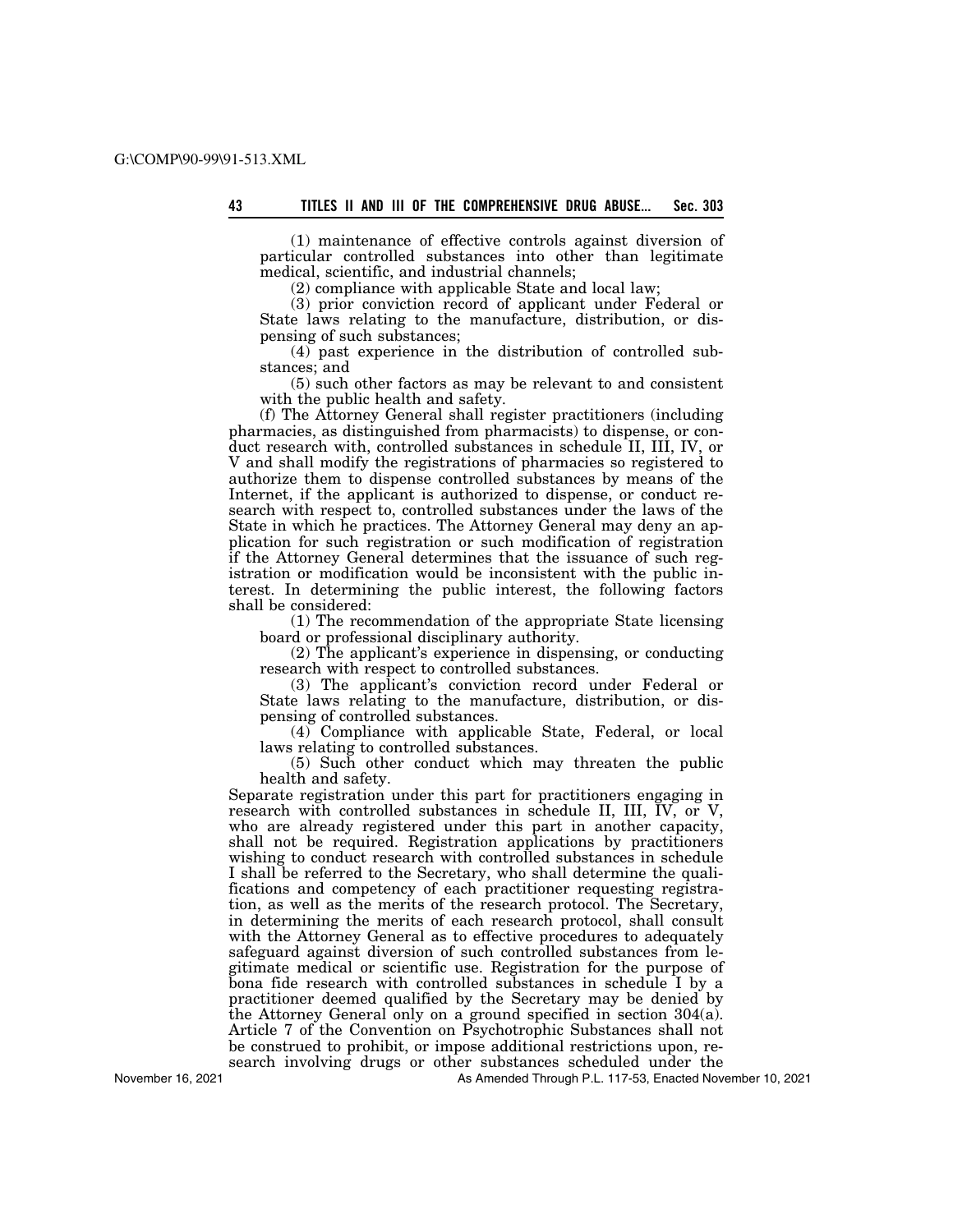(1) maintenance of effective controls against diversion of particular controlled substances into other than legitimate medical, scientific, and industrial channels;

(2) compliance with applicable State and local law;

(3) prior conviction record of applicant under Federal or State laws relating to the manufacture, distribution, or dispensing of such substances;

(4) past experience in the distribution of controlled substances; and

(5) such other factors as may be relevant to and consistent with the public health and safety.

(f) The Attorney General shall register practitioners (including pharmacies, as distinguished from pharmacists) to dispense, or conduct research with, controlled substances in schedule II, III, IV, or V and shall modify the registrations of pharmacies so registered to authorize them to dispense controlled substances by means of the Internet, if the applicant is authorized to dispense, or conduct research with respect to, controlled substances under the laws of the State in which he practices. The Attorney General may deny an application for such registration or such modification of registration if the Attorney General determines that the issuance of such registration or modification would be inconsistent with the public interest. In determining the public interest, the following factors shall be considered:

(1) The recommendation of the appropriate State licensing board or professional disciplinary authority.

(2) The applicant's experience in dispensing, or conducting research with respect to controlled substances.

(3) The applicant's conviction record under Federal or State laws relating to the manufacture, distribution, or dispensing of controlled substances.

(4) Compliance with applicable State, Federal, or local laws relating to controlled substances.

(5) Such other conduct which may threaten the public health and safety.

Separate registration under this part for practitioners engaging in research with controlled substances in schedule II, III, IV, or V, who are already registered under this part in another capacity, shall not be required. Registration applications by practitioners wishing to conduct research with controlled substances in schedule I shall be referred to the Secretary, who shall determine the qualifications and competency of each practitioner requesting registration, as well as the merits of the research protocol. The Secretary, in determining the merits of each research protocol, shall consult with the Attorney General as to effective procedures to adequately safeguard against diversion of such controlled substances from legitimate medical or scientific use. Registration for the purpose of bona fide research with controlled substances in schedule I by a practitioner deemed qualified by the Secretary may be denied by the Attorney General only on a ground specified in section 304(a). Article 7 of the Convention on Psychotrophic Substances shall not be construed to prohibit, or impose additional restrictions upon, research involving drugs or other substances scheduled under the

November 16, 2021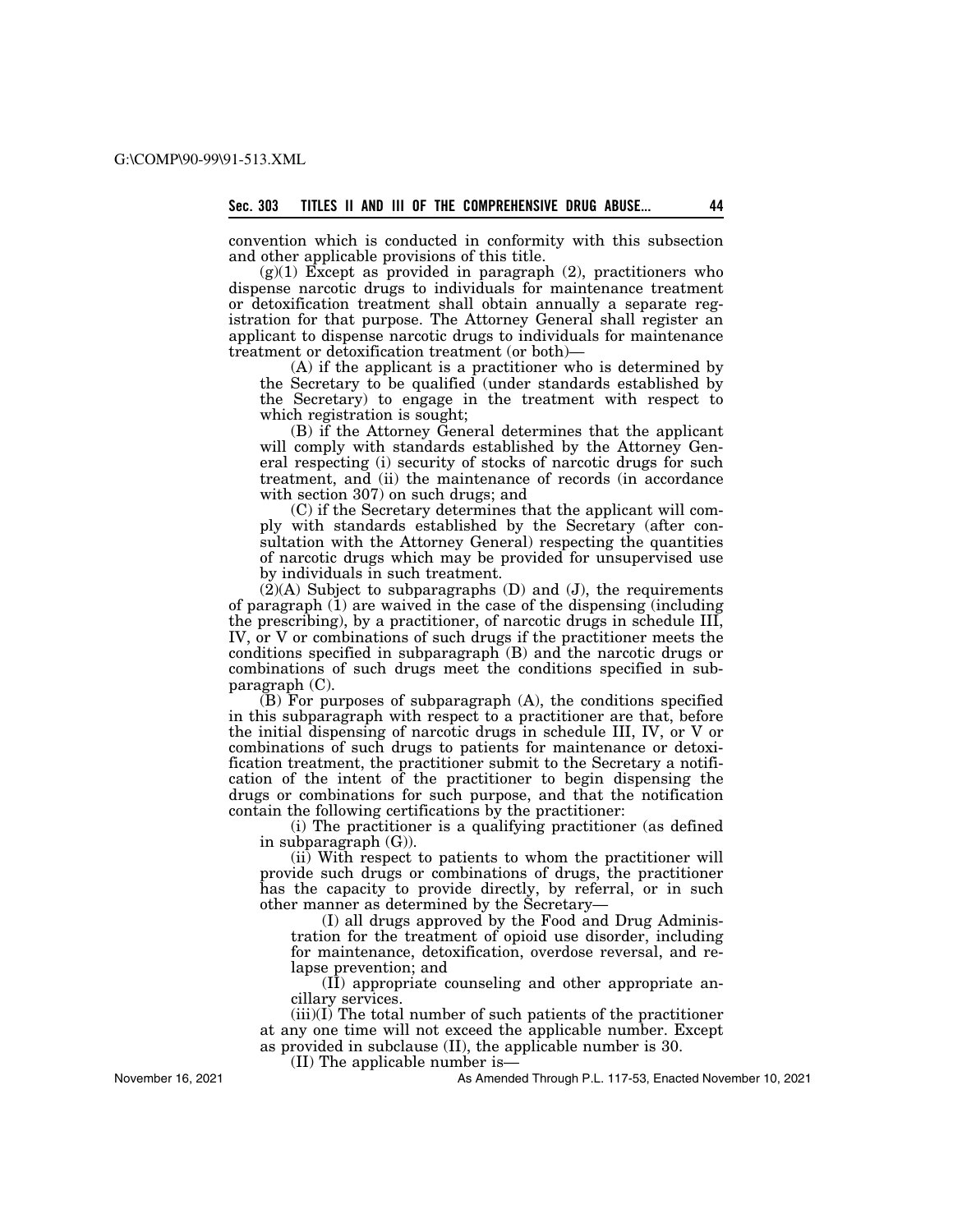convention which is conducted in conformity with this subsection and other applicable provisions of this title.

 $(g)(1)$  Except as provided in paragraph  $(2)$ , practitioners who dispense narcotic drugs to individuals for maintenance treatment or detoxification treatment shall obtain annually a separate registration for that purpose. The Attorney General shall register an applicant to dispense narcotic drugs to individuals for maintenance treatment or detoxification treatment (or both)—

(A) if the applicant is a practitioner who is determined by the Secretary to be qualified (under standards established by the Secretary) to engage in the treatment with respect to which registration is sought;

(B) if the Attorney General determines that the applicant will comply with standards established by the Attorney General respecting (i) security of stocks of narcotic drugs for such treatment, and (ii) the maintenance of records (in accordance with section 307) on such drugs; and

(C) if the Secretary determines that the applicant will comply with standards established by the Secretary (after consultation with the Attorney General) respecting the quantities of narcotic drugs which may be provided for unsupervised use by individuals in such treatment.

 $(2)(A)$  Subject to subparagraphs (D) and (J), the requirements of paragraph  $(1)$  are waived in the case of the dispensing (including the prescribing), by a practitioner, of narcotic drugs in schedule III, IV, or V or combinations of such drugs if the practitioner meets the conditions specified in subparagraph (B) and the narcotic drugs or combinations of such drugs meet the conditions specified in subparagraph (C).

(B) For purposes of subparagraph (A), the conditions specified in this subparagraph with respect to a practitioner are that, before the initial dispensing of narcotic drugs in schedule III, IV, or V or combinations of such drugs to patients for maintenance or detoxification treatment, the practitioner submit to the Secretary a notification of the intent of the practitioner to begin dispensing the drugs or combinations for such purpose, and that the notification contain the following certifications by the practitioner:

(i) The practitioner is a qualifying practitioner (as defined in subparagraph (G)).

(ii) With respect to patients to whom the practitioner will provide such drugs or combinations of drugs, the practitioner has the capacity to provide directly, by referral, or in such other manner as determined by the Secretary—

(I) all drugs approved by the Food and Drug Administration for the treatment of opioid use disorder, including for maintenance, detoxification, overdose reversal, and relapse prevention; and

 $(I$ ) appropriate counseling and other appropriate ancillary services.

 $(iii)(I)$  The total number of such patients of the practitioner at any one time will not exceed the applicable number. Except as provided in subclause (II), the applicable number is 30.

(II) The applicable number is—

As Amended Through P.L. 117-53, Enacted November 10, 2021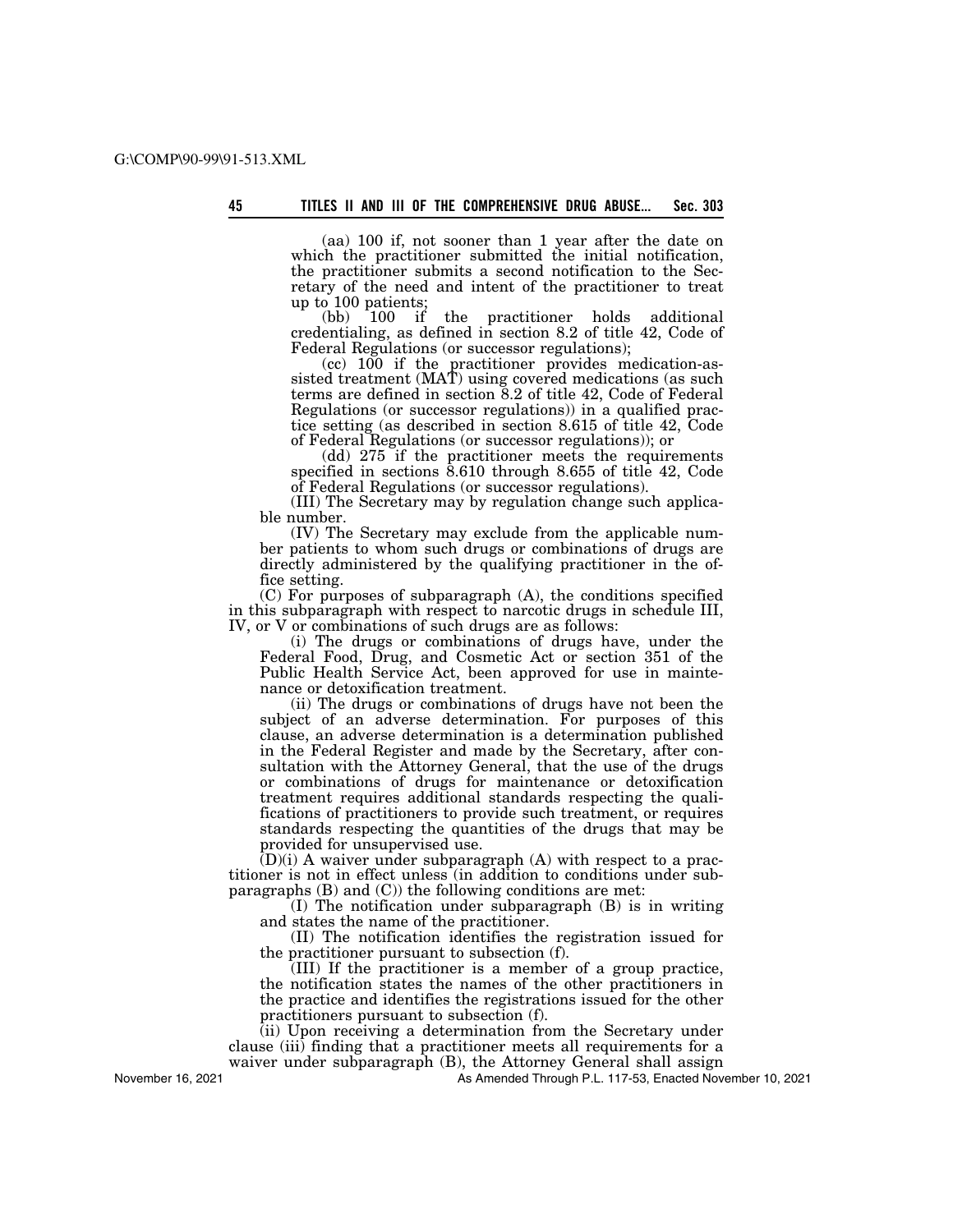(aa) 100 if, not sooner than 1 year after the date on which the practitioner submitted the initial notification, the practitioner submits a second notification to the Secretary of the need and intent of the practitioner to treat up to 100 patients;

(bb) 100 if the practitioner holds additional credentialing, as defined in section 8.2 of title 42, Code of Federal Regulations (or successor regulations);

(cc) 100 if the practitioner provides medication-assisted treatment (MAT) using covered medications (as such terms are defined in section 8.2 of title 42, Code of Federal Regulations (or successor regulations)) in a qualified practice setting (as described in section 8.615 of title 42, Code of Federal Regulations (or successor regulations)); or

(dd) 275 if the practitioner meets the requirements specified in sections 8.610 through 8.655 of title 42, Code of Federal Regulations (or successor regulations).

(III) The Secretary may by regulation change such applicable number.

(IV) The Secretary may exclude from the applicable number patients to whom such drugs or combinations of drugs are directly administered by the qualifying practitioner in the office setting.

(C) For purposes of subparagraph (A), the conditions specified in this subparagraph with respect to narcotic drugs in schedule III, IV, or V or combinations of such drugs are as follows:

(i) The drugs or combinations of drugs have, under the Federal Food, Drug, and Cosmetic Act or section 351 of the Public Health Service Act, been approved for use in maintenance or detoxification treatment.

(ii) The drugs or combinations of drugs have not been the subject of an adverse determination. For purposes of this clause, an adverse determination is a determination published in the Federal Register and made by the Secretary, after consultation with the Attorney General, that the use of the drugs or combinations of drugs for maintenance or detoxification treatment requires additional standards respecting the qualifications of practitioners to provide such treatment, or requires standards respecting the quantities of the drugs that may be provided for unsupervised use.

 $(D)(i)$  A waiver under subparagraph  $(A)$  with respect to a practitioner is not in effect unless (in addition to conditions under subparagraphs  $(B)$  and  $(C)$ ) the following conditions are met:

(I) The notification under subparagraph (B) is in writing and states the name of the practitioner.

(II) The notification identifies the registration issued for the practitioner pursuant to subsection (f).

(III) If the practitioner is a member of a group practice, the notification states the names of the other practitioners in the practice and identifies the registrations issued for the other practitioners pursuant to subsection (f).

(ii) Upon receiving a determination from the Secretary under clause (iii) finding that a practitioner meets all requirements for a waiver under subparagraph (B), the Attorney General shall assign

November 16, 2021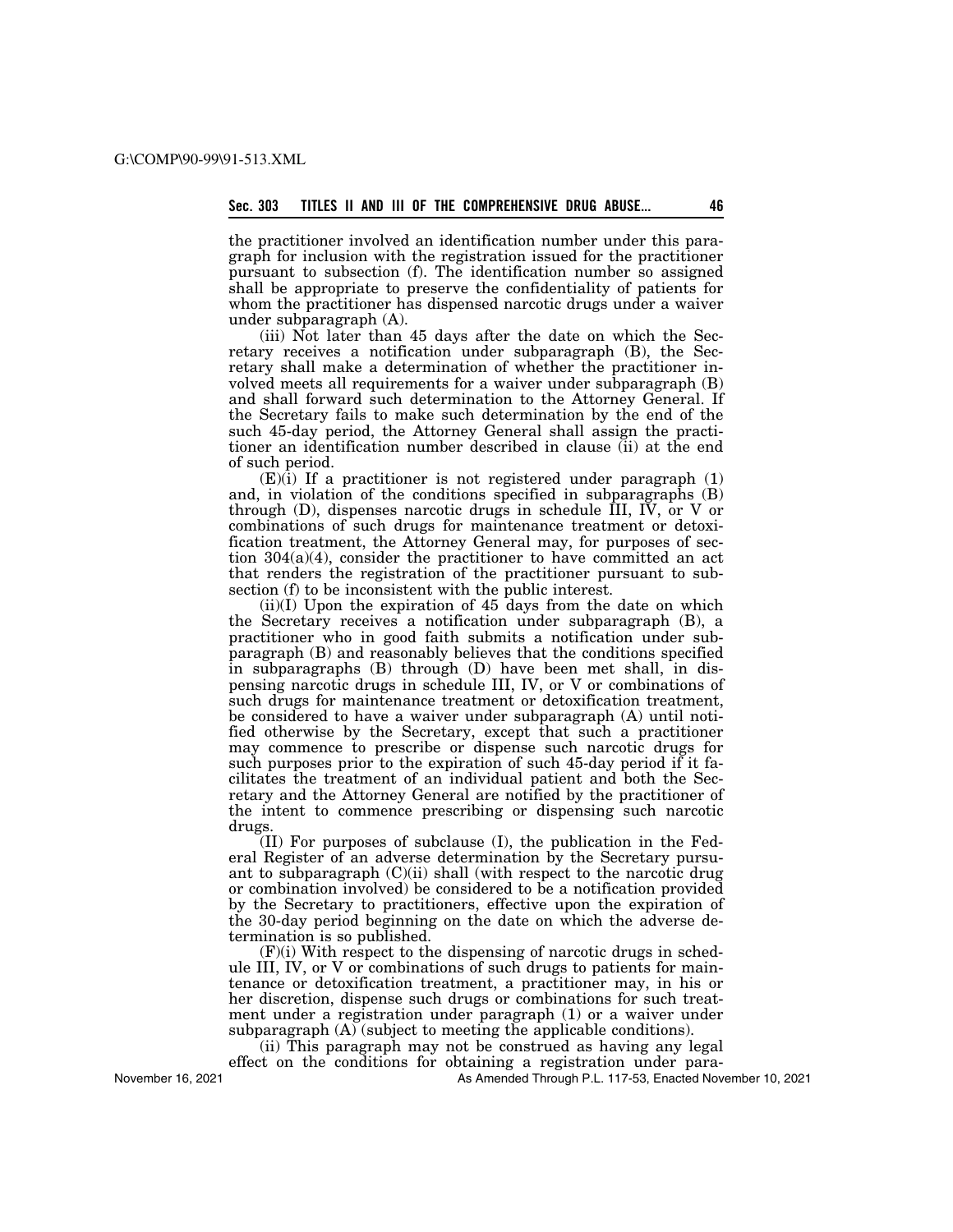the practitioner involved an identification number under this paragraph for inclusion with the registration issued for the practitioner pursuant to subsection (f). The identification number so assigned shall be appropriate to preserve the confidentiality of patients for whom the practitioner has dispensed narcotic drugs under a waiver under subparagraph (A).

(iii) Not later than 45 days after the date on which the Secretary receives a notification under subparagraph (B), the Secretary shall make a determination of whether the practitioner involved meets all requirements for a waiver under subparagraph (B) and shall forward such determination to the Attorney General. If the Secretary fails to make such determination by the end of the such 45-day period, the Attorney General shall assign the practitioner an identification number described in clause (ii) at the end of such period.

(E)(i) If a practitioner is not registered under paragraph (1) and, in violation of the conditions specified in subparagraphs (B) through (D), dispenses narcotic drugs in schedule III, IV, or V or combinations of such drugs for maintenance treatment or detoxification treatment, the Attorney General may, for purposes of section 304(a)(4), consider the practitioner to have committed an act that renders the registration of the practitioner pursuant to subsection (f) to be inconsistent with the public interest.

 $(ii)(I)$  Upon the expiration of 45 days from the date on which the Secretary receives a notification under subparagraph (B), a practitioner who in good faith submits a notification under subparagraph (B) and reasonably believes that the conditions specified in subparagraphs (B) through (D) have been met shall, in dispensing narcotic drugs in schedule III, IV, or V or combinations of such drugs for maintenance treatment or detoxification treatment, be considered to have a waiver under subparagraph (A) until notified otherwise by the Secretary, except that such a practitioner may commence to prescribe or dispense such narcotic drugs for such purposes prior to the expiration of such 45-day period if it facilitates the treatment of an individual patient and both the Secretary and the Attorney General are notified by the practitioner of the intent to commence prescribing or dispensing such narcotic drugs.

(II) For purposes of subclause (I), the publication in the Federal Register of an adverse determination by the Secretary pursuant to subparagraph  $(C)(ii)$  shall (with respect to the narcotic drug or combination involved) be considered to be a notification provided by the Secretary to practitioners, effective upon the expiration of the 30-day period beginning on the date on which the adverse determination is so published.

(F)(i) With respect to the dispensing of narcotic drugs in schedule III, IV, or V or combinations of such drugs to patients for maintenance or detoxification treatment, a practitioner may, in his or her discretion, dispense such drugs or combinations for such treatment under a registration under paragraph (1) or a waiver under subparagraph  $(A)$  (subject to meeting the applicable conditions).

(ii) This paragraph may not be construed as having any legal effect on the conditions for obtaining a registration under para-

November 16, 2021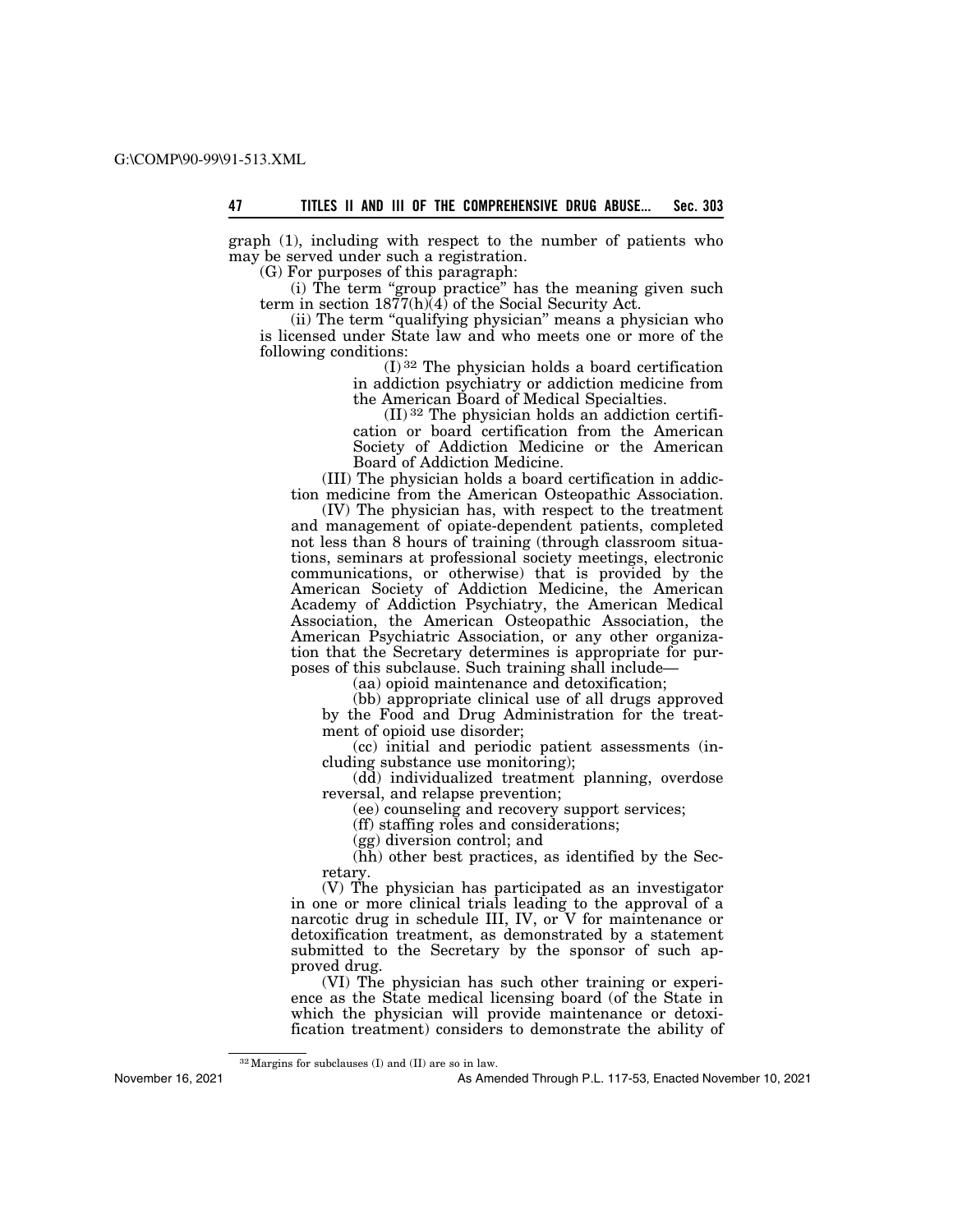graph (1), including with respect to the number of patients who may be served under such a registration.

(G) For purposes of this paragraph:

(i) The term ''group practice'' has the meaning given such term in section 1877(h)(4) of the Social Security Act.

(ii) The term "qualifying physician" means a physician who is licensed under State law and who meets one or more of the following conditions:

(I) 32 The physician holds a board certification in addiction psychiatry or addiction medicine from the American Board of Medical Specialties.

(II) 32 The physician holds an addiction certification or board certification from the American Society of Addiction Medicine or the American Board of Addiction Medicine.

(III) The physician holds a board certification in addiction medicine from the American Osteopathic Association.

(IV) The physician has, with respect to the treatment and management of opiate-dependent patients, completed not less than 8 hours of training (through classroom situations, seminars at professional society meetings, electronic communications, or otherwise) that is provided by the American Society of Addiction Medicine, the American Academy of Addiction Psychiatry, the American Medical Association, the American Osteopathic Association, the American Psychiatric Association, or any other organization that the Secretary determines is appropriate for purposes of this subclause. Such training shall include—

(aa) opioid maintenance and detoxification;

(bb) appropriate clinical use of all drugs approved by the Food and Drug Administration for the treatment of opioid use disorder;

(cc) initial and periodic patient assessments (including substance use monitoring);

(dd) individualized treatment planning, overdose reversal, and relapse prevention;

(ee) counseling and recovery support services;

(ff) staffing roles and considerations;

(gg) diversion control; and

(hh) other best practices, as identified by the Secretary.

(V) The physician has participated as an investigator in one or more clinical trials leading to the approval of a narcotic drug in schedule III, IV, or V for maintenance or detoxification treatment, as demonstrated by a statement submitted to the Secretary by the sponsor of such approved drug.

(VI) The physician has such other training or experience as the State medical licensing board (of the State in which the physician will provide maintenance or detoxification treatment) considers to demonstrate the ability of

32Margins for subclauses (I) and (II) are so in law.

November 16, 2021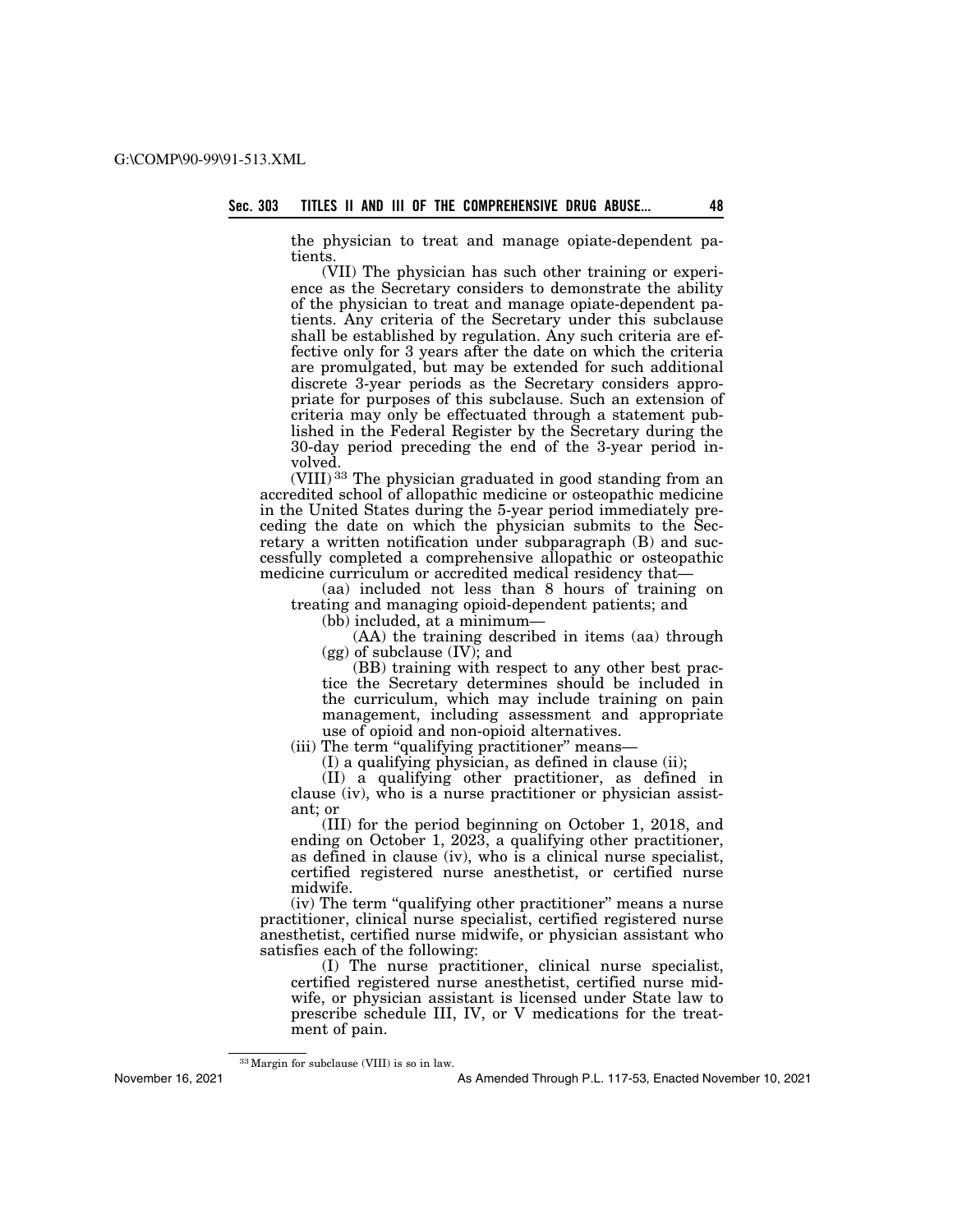the physician to treat and manage opiate-dependent patients.

(VII) The physician has such other training or experience as the Secretary considers to demonstrate the ability of the physician to treat and manage opiate-dependent patients. Any criteria of the Secretary under this subclause shall be established by regulation. Any such criteria are effective only for 3 years after the date on which the criteria are promulgated, but may be extended for such additional discrete 3-year periods as the Secretary considers appropriate for purposes of this subclause. Such an extension of criteria may only be effectuated through a statement published in the Federal Register by the Secretary during the 30-day period preceding the end of the 3-year period involved.

(VIII) 33 The physician graduated in good standing from an accredited school of allopathic medicine or osteopathic medicine in the United States during the 5-year period immediately preceding the date on which the physician submits to the Secretary a written notification under subparagraph (B) and successfully completed a comprehensive allopathic or osteopathic medicine curriculum or accredited medical residency that—

(aa) included not less than 8 hours of training on treating and managing opioid-dependent patients; and

(bb) included, at a minimum—

(AA) the training described in items (aa) through (gg) of subclause (IV); and

(BB) training with respect to any other best practice the Secretary determines should be included in the curriculum, which may include training on pain management, including assessment and appropriate use of opioid and non-opioid alternatives.

(iii) The term ''qualifying practitioner'' means—

(I) a qualifying physician, as defined in clause (ii);

(II) a qualifying other practitioner, as defined in clause (iv), who is a nurse practitioner or physician assistant; or

(III) for the period beginning on October 1, 2018, and ending on October 1, 2023, a qualifying other practitioner, as defined in clause (iv), who is a clinical nurse specialist, certified registered nurse anesthetist, or certified nurse midwife.

(iv) The term "qualifying other practitioner" means a nurse practitioner, clinical nurse specialist, certified registered nurse anesthetist, certified nurse midwife, or physician assistant who satisfies each of the following:

(I) The nurse practitioner, clinical nurse specialist, certified registered nurse anesthetist, certified nurse midwife, or physician assistant is licensed under State law to prescribe schedule III, IV, or V medications for the treatment of pain.

November 16, 2021

<sup>33</sup>Margin for subclause (VIII) is so in law.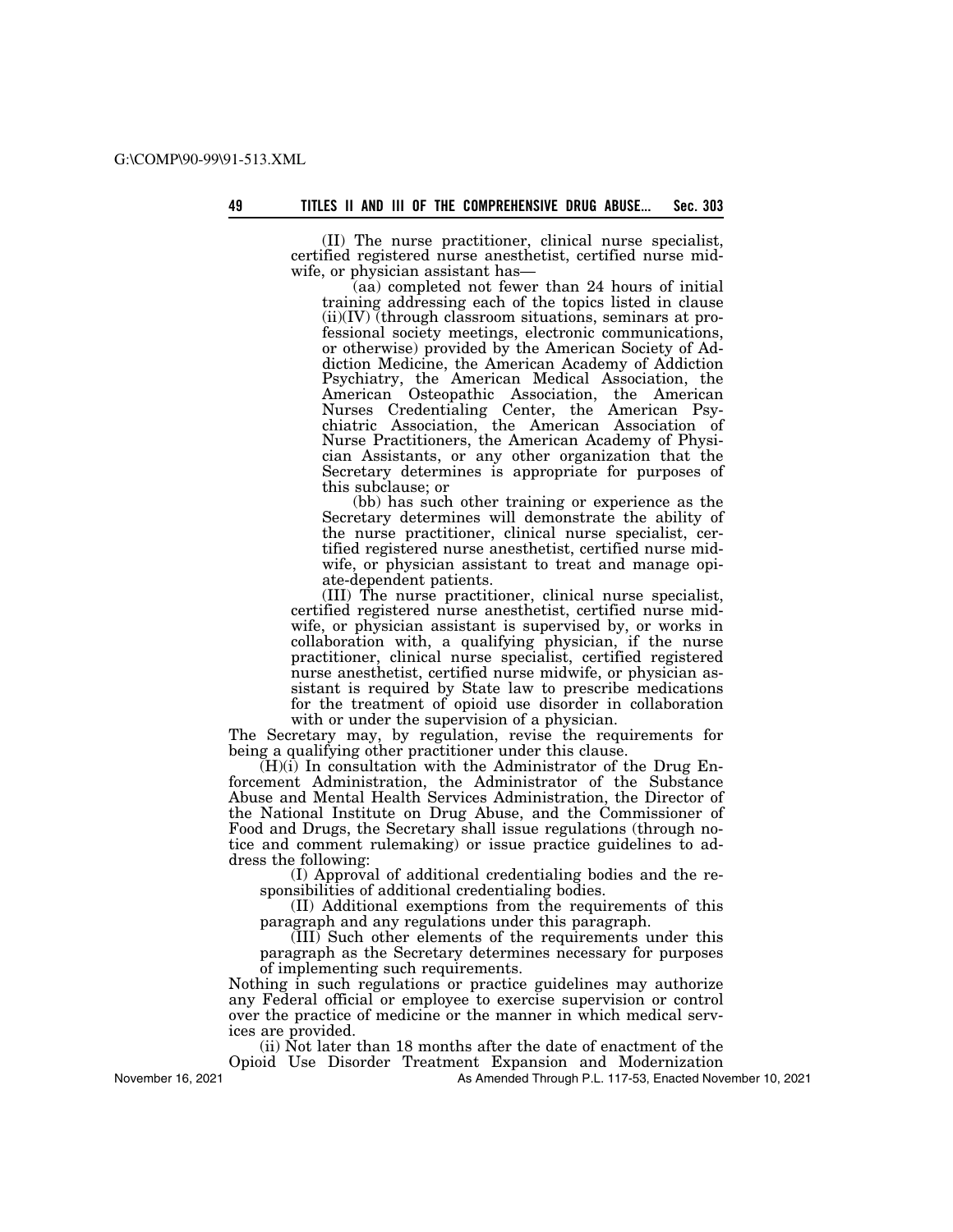(II) The nurse practitioner, clinical nurse specialist, certified registered nurse anesthetist, certified nurse midwife, or physician assistant has—

(aa) completed not fewer than 24 hours of initial training addressing each of the topics listed in clause  $(ii)(IV)$  (through classroom situations, seminars at professional society meetings, electronic communications, or otherwise) provided by the American Society of Addiction Medicine, the American Academy of Addiction Psychiatry, the American Medical Association, the American Osteopathic Association, the American Nurses Credentialing Center, the American Psychiatric Association, the American Association of Nurse Practitioners, the American Academy of Physician Assistants, or any other organization that the Secretary determines is appropriate for purposes of this subclause; or

(bb) has such other training or experience as the Secretary determines will demonstrate the ability of the nurse practitioner, clinical nurse specialist, certified registered nurse anesthetist, certified nurse midwife, or physician assistant to treat and manage opiate-dependent patients.

(III) The nurse practitioner, clinical nurse specialist, certified registered nurse anesthetist, certified nurse midwife, or physician assistant is supervised by, or works in collaboration with, a qualifying physician, if the nurse practitioner, clinical nurse specialist, certified registered nurse anesthetist, certified nurse midwife, or physician assistant is required by State law to prescribe medications for the treatment of opioid use disorder in collaboration with or under the supervision of a physician.

The Secretary may, by regulation, revise the requirements for being a qualifying other practitioner under this clause.

(H)(i) In consultation with the Administrator of the Drug Enforcement Administration, the Administrator of the Substance Abuse and Mental Health Services Administration, the Director of the National Institute on Drug Abuse, and the Commissioner of Food and Drugs, the Secretary shall issue regulations (through notice and comment rulemaking) or issue practice guidelines to address the following:

(I) Approval of additional credentialing bodies and the responsibilities of additional credentialing bodies.

(II) Additional exemptions from the requirements of this paragraph and any regulations under this paragraph.

(III) Such other elements of the requirements under this paragraph as the Secretary determines necessary for purposes of implementing such requirements.

Nothing in such regulations or practice guidelines may authorize any Federal official or employee to exercise supervision or control over the practice of medicine or the manner in which medical services are provided.

(ii) Not later than 18 months after the date of enactment of the

Opioid Use Disorder Treatment Expansion and Modernization

November 16, 2021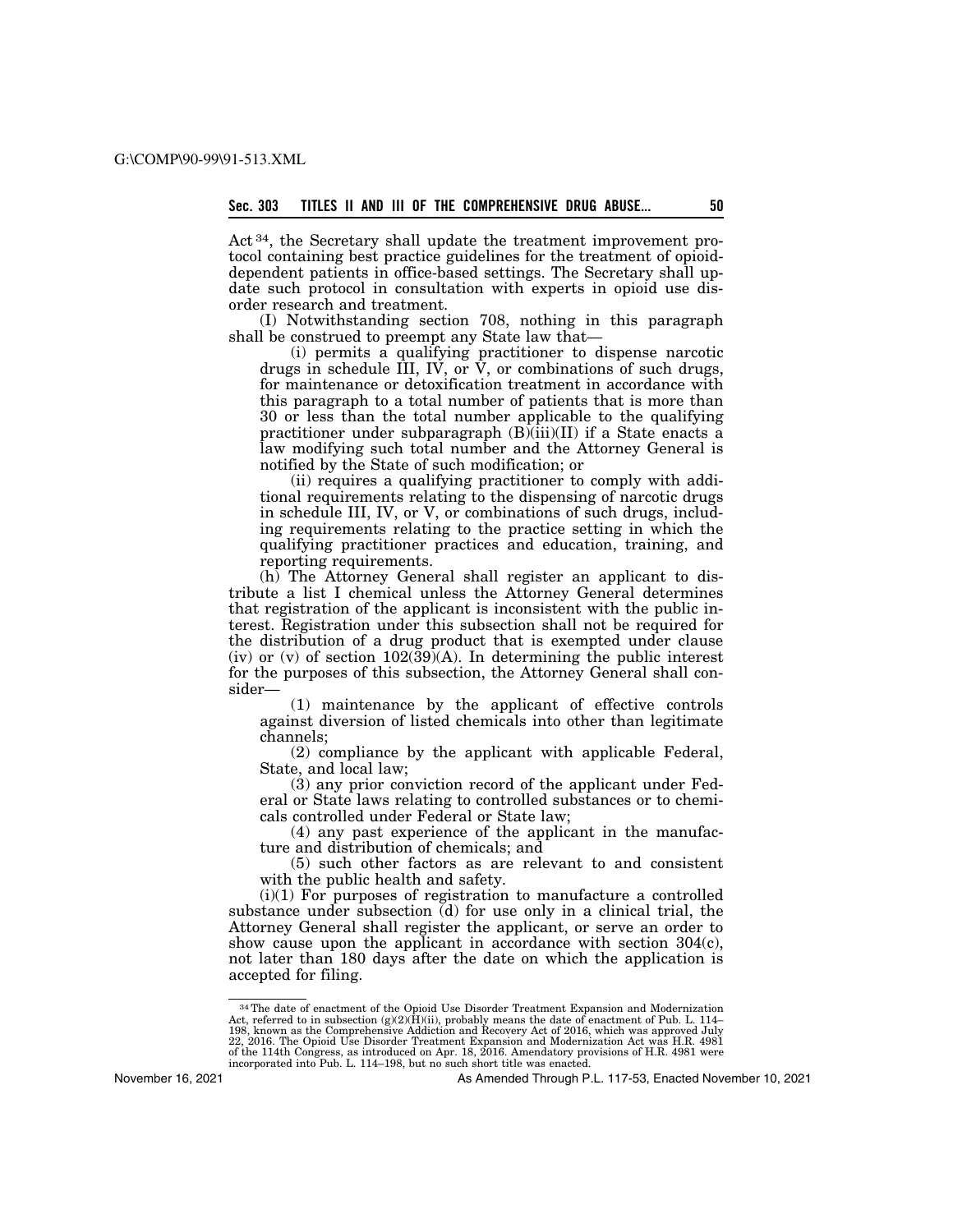Act 34, the Secretary shall update the treatment improvement protocol containing best practice guidelines for the treatment of opioiddependent patients in office-based settings. The Secretary shall update such protocol in consultation with experts in opioid use disorder research and treatment.

(I) Notwithstanding section 708, nothing in this paragraph shall be construed to preempt any State law that—

(i) permits a qualifying practitioner to dispense narcotic drugs in schedule III, IV, or V, or combinations of such drugs, for maintenance or detoxification treatment in accordance with this paragraph to a total number of patients that is more than 30 or less than the total number applicable to the qualifying practitioner under subparagraph (B)(iii)(II) if a State enacts a law modifying such total number and the Attorney General is notified by the State of such modification; or

(ii) requires a qualifying practitioner to comply with additional requirements relating to the dispensing of narcotic drugs in schedule III, IV, or V, or combinations of such drugs, including requirements relating to the practice setting in which the qualifying practitioner practices and education, training, and reporting requirements.

(h) The Attorney General shall register an applicant to distribute a list I chemical unless the Attorney General determines that registration of the applicant is inconsistent with the public interest. Registration under this subsection shall not be required for the distribution of a drug product that is exempted under clause (iv) or (v) of section  $102(\overline{3}9)(A)$ . In determining the public interest for the purposes of this subsection, the Attorney General shall consider—

(1) maintenance by the applicant of effective controls against diversion of listed chemicals into other than legitimate channels;

(2) compliance by the applicant with applicable Federal, State, and local law;

(3) any prior conviction record of the applicant under Federal or State laws relating to controlled substances or to chemicals controlled under Federal or State law;

(4) any past experience of the applicant in the manufacture and distribution of chemicals; and

(5) such other factors as are relevant to and consistent with the public health and safety.

 $(i)(1)$  For purposes of registration to manufacture a controlled substance under subsection (d) for use only in a clinical trial, the Attorney General shall register the applicant, or serve an order to show cause upon the applicant in accordance with section 304(c), not later than 180 days after the date on which the application is accepted for filing.

November 16, 2021

<sup>&</sup>lt;sup>34</sup>The date of enactment of the Opioid Use Disorder Treatment Expansion and Modernization Act, referred to in subsection  $(g)(2)(H)(ii)$ , probably means the date of enactment of Pub. L. 114–198, known as the Comprehensive Add incorporated into Pub. L. 114–198, but no such short title was enacted.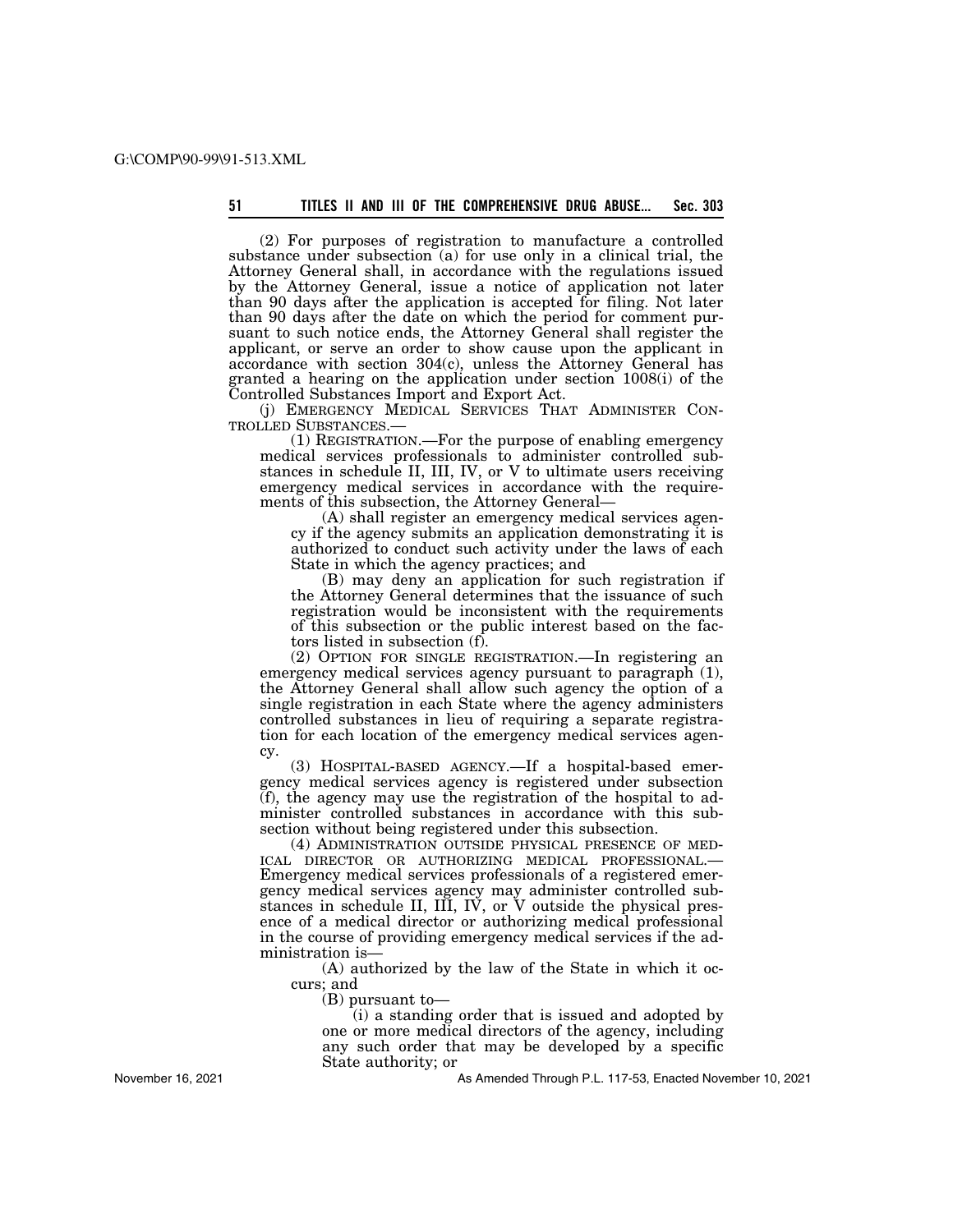# **51 TITLES II AND III OF THE COMPREHENSIVE DRUG ABUSE... Sec. 303**

(2) For purposes of registration to manufacture a controlled substance under subsection (a) for use only in a clinical trial, the Attorney General shall, in accordance with the regulations issued by the Attorney General, issue a notice of application not later than 90 days after the application is accepted for filing. Not later than 90 days after the date on which the period for comment pursuant to such notice ends, the Attorney General shall register the applicant, or serve an order to show cause upon the applicant in accordance with section 304(c), unless the Attorney General has granted a hearing on the application under section 1008(i) of the Controlled Substances Import and Export Act.

(j) EMERGENCY MEDICAL SERVICES THAT ADMINISTER CON- TROLLED SUBSTANCES.— (1) REGISTRATION.—For the purpose of enabling emergency

medical services professionals to administer controlled substances in schedule II, III, IV, or V to ultimate users receiving emergency medical services in accordance with the requirements of this subsection, the Attorney General—

(A) shall register an emergency medical services agency if the agency submits an application demonstrating it is authorized to conduct such activity under the laws of each State in which the agency practices; and

(B) may deny an application for such registration if the Attorney General determines that the issuance of such registration would be inconsistent with the requirements of this subsection or the public interest based on the factors listed in subsection (f).

(2) OPTION FOR SINGLE REGISTRATION.—In registering an emergency medical services agency pursuant to paragraph (1), the Attorney General shall allow such agency the option of a single registration in each State where the agency administers controlled substances in lieu of requiring a separate registration for each location of the emergency medical services agency.

(3) HOSPITAL-BASED AGENCY.—If a hospital-based emergency medical services agency is registered under subsection (f), the agency may use the registration of the hospital to administer controlled substances in accordance with this subsection without being registered under this subsection.

(4) ADMINISTRATION OUTSIDE PHYSICAL PRESENCE OF MED-ICAL DIRECTOR OR AUTHORIZING MEDICAL PROFESSIONAL.— Emergency medical services professionals of a registered emergency medical services agency may administer controlled substances in schedule II, III, IV, or V outside the physical presence of a medical director or authorizing medical professional in the course of providing emergency medical services if the administration is—

(A) authorized by the law of the State in which it occurs; and

(B) pursuant to—

(i) a standing order that is issued and adopted by one or more medical directors of the agency, including any such order that may be developed by a specific State authority; or

As Amended Through P.L. 117-53, Enacted November 10, 2021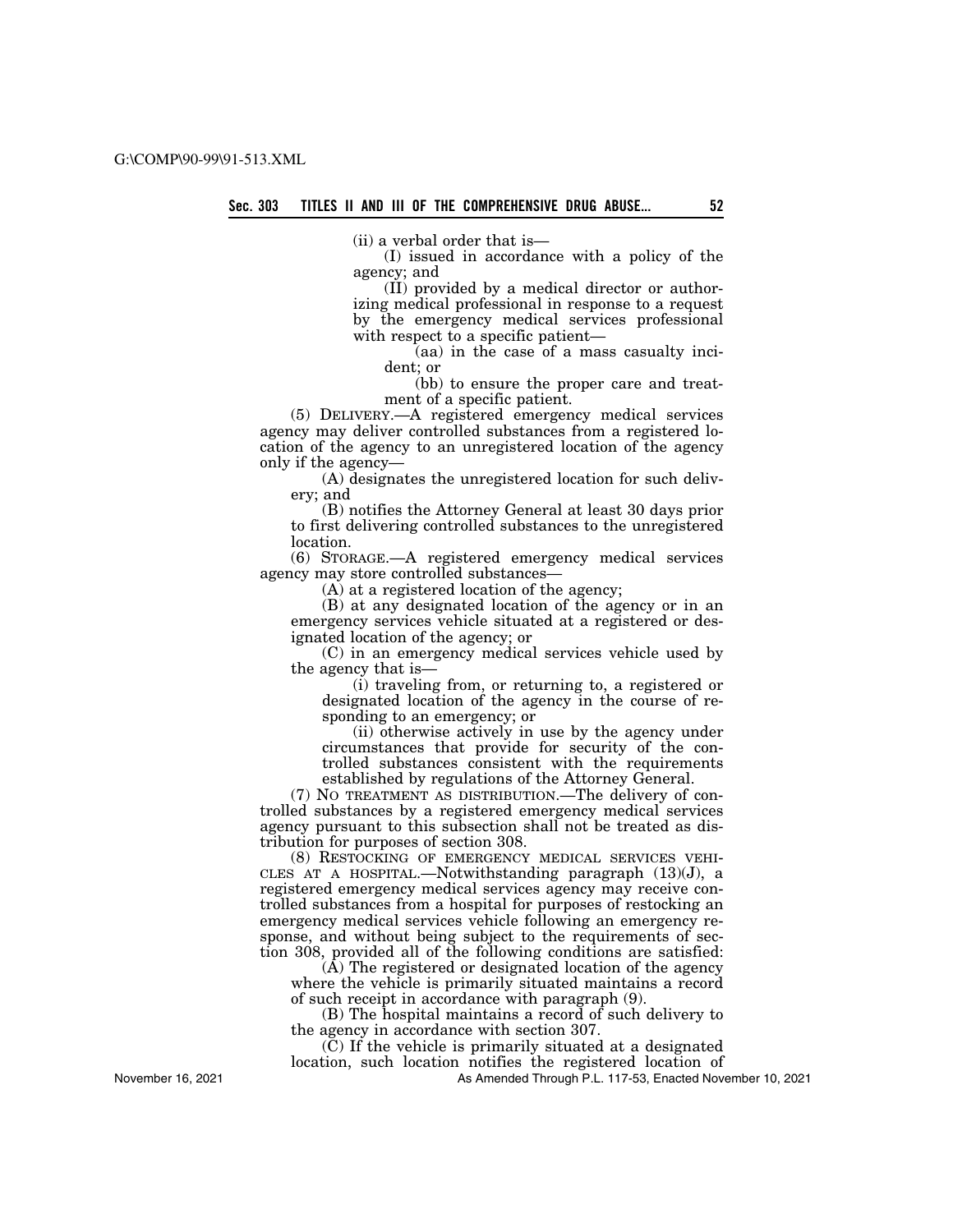(ii) a verbal order that is—

(I) issued in accordance with a policy of the agency; and

 $(\tilde{II})$  provided by a medical director or authorizing medical professional in response to a request by the emergency medical services professional with respect to a specific patient—

(aa) in the case of a mass casualty incident; or

(bb) to ensure the proper care and treatment of a specific patient.

(5) DELIVERY.—A registered emergency medical services agency may deliver controlled substances from a registered location of the agency to an unregistered location of the agency only if the agency—

(A) designates the unregistered location for such delivery; and

(B) notifies the Attorney General at least 30 days prior to first delivering controlled substances to the unregistered location.

(6) STORAGE.—A registered emergency medical services agency may store controlled substances—

(A) at a registered location of the agency;

(B) at any designated location of the agency or in an emergency services vehicle situated at a registered or designated location of the agency; or

(C) in an emergency medical services vehicle used by the agency that is—

(i) traveling from, or returning to, a registered or designated location of the agency in the course of responding to an emergency; or

(ii) otherwise actively in use by the agency under circumstances that provide for security of the controlled substances consistent with the requirements established by regulations of the Attorney General.

(7) NO TREATMENT AS DISTRIBUTION.—The delivery of controlled substances by a registered emergency medical services agency pursuant to this subsection shall not be treated as distribution for purposes of section 308.

(8) RESTOCKING OF EMERGENCY MEDICAL SERVICES VEHI-CLES AT A HOSPITAL.—Notwithstanding paragraph  $(13)(J)$ , a registered emergency medical services agency may receive controlled substances from a hospital for purposes of restocking an emergency medical services vehicle following an emergency response, and without being subject to the requirements of section 308, provided all of the following conditions are satisfied:

 $(A)$  The registered or designated location of the agency where the vehicle is primarily situated maintains a record of such receipt in accordance with paragraph (9).

(B) The hospital maintains a record of such delivery to the agency in accordance with section 307.

(C) If the vehicle is primarily situated at a designated location, such location notifies the registered location of

As Amended Through P.L. 117-53, Enacted November 10, 2021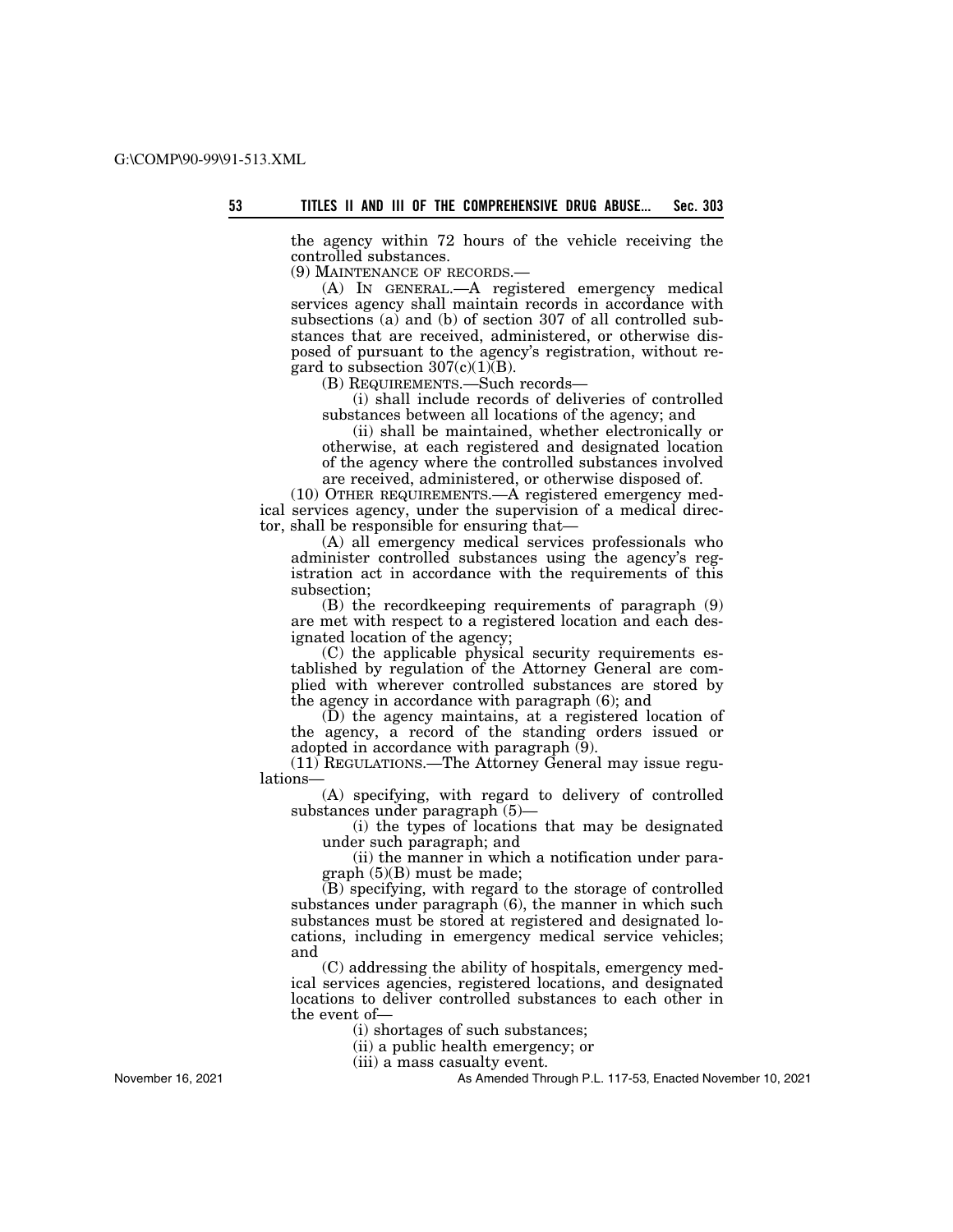the agency within 72 hours of the vehicle receiving the controlled substances.

(9) MAINTENANCE OF RECORDS.—

(A) IN GENERAL.—A registered emergency medical services agency shall maintain records in accordance with subsections (a) and (b) of section 307 of all controlled substances that are received, administered, or otherwise disposed of pursuant to the agency's registration, without regard to subsection  $307(c)(1)(B)$ .

(B) REQUIREMENTS.—Such records—

(i) shall include records of deliveries of controlled substances between all locations of the agency; and

(ii) shall be maintained, whether electronically or otherwise, at each registered and designated location of the agency where the controlled substances involved are received, administered, or otherwise disposed of.

(10) OTHER REQUIREMENTS.—A registered emergency medical services agency, under the supervision of a medical director, shall be responsible for ensuring that—

(A) all emergency medical services professionals who administer controlled substances using the agency's registration act in accordance with the requirements of this subsection;

(B) the recordkeeping requirements of paragraph (9) are met with respect to a registered location and each designated location of the agency;

(C) the applicable physical security requirements established by regulation of the Attorney General are complied with wherever controlled substances are stored by the agency in accordance with paragraph (6); and

(D) the agency maintains, at a registered location of the agency, a record of the standing orders issued or adopted in accordance with paragraph (9).

(11) REGULATIONS.—The Attorney General may issue regulations—

(A) specifying, with regard to delivery of controlled substances under paragraph (5)—

(i) the types of locations that may be designated under such paragraph; and

(ii) the manner in which a notification under para $graph (5)(B) must be made;$ 

(B) specifying, with regard to the storage of controlled substances under paragraph (6), the manner in which such substances must be stored at registered and designated locations, including in emergency medical service vehicles; and

(C) addressing the ability of hospitals, emergency medical services agencies, registered locations, and designated locations to deliver controlled substances to each other in the event of—

(i) shortages of such substances;

(ii) a public health emergency; or

(iii) a mass casualty event.

As Amended Through P.L. 117-53, Enacted November 10, 2021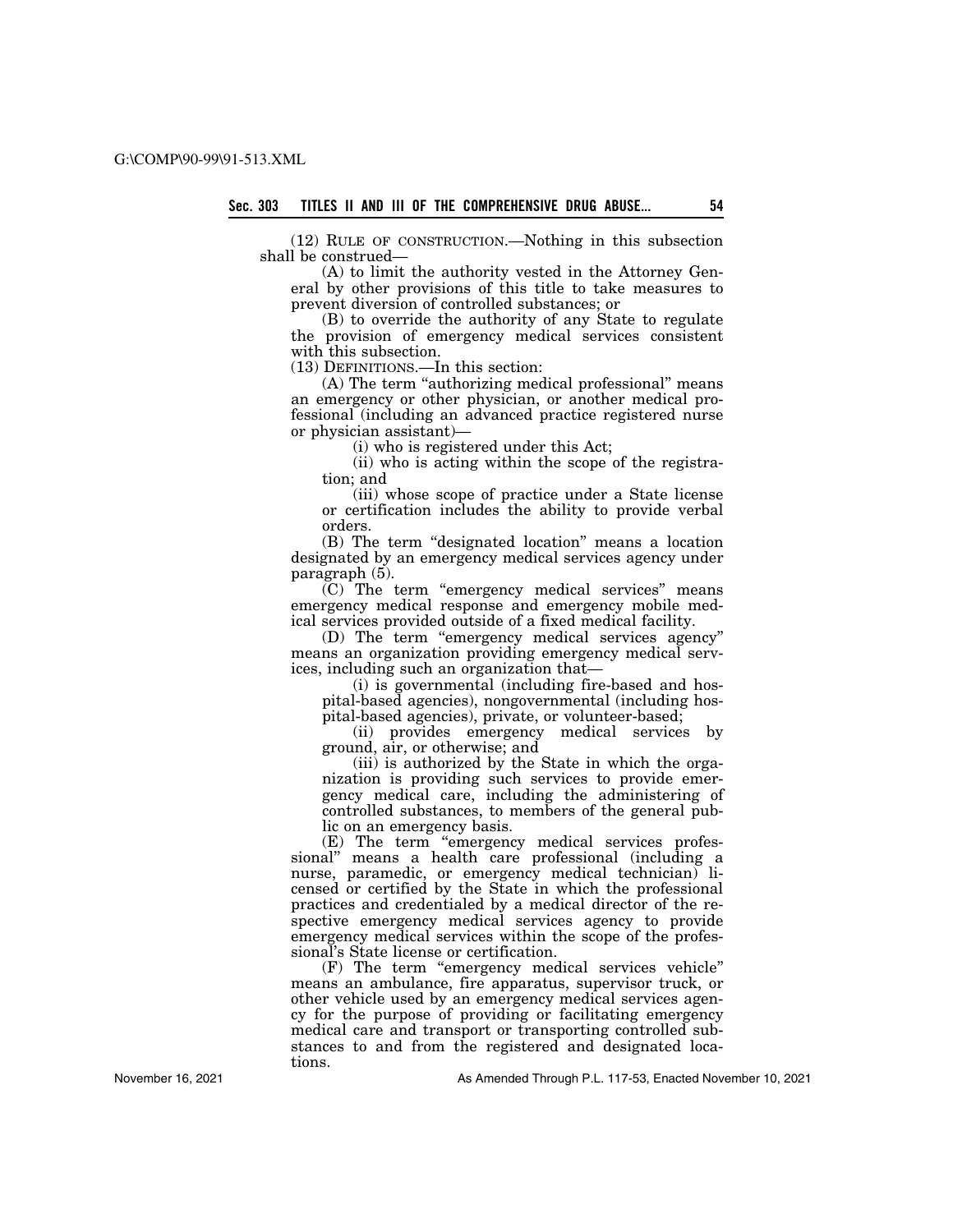(12) RULE OF CONSTRUCTION.—Nothing in this subsection shall be construed—

(A) to limit the authority vested in the Attorney General by other provisions of this title to take measures to prevent diversion of controlled substances; or

(B) to override the authority of any State to regulate the provision of emergency medical services consistent with this subsection.

(13) DEFINITIONS.—In this section:

(A) The term "authorizing medical professional" means an emergency or other physician, or another medical professional (including an advanced practice registered nurse or physician assistant)—

(i) who is registered under this Act;

(ii) who is acting within the scope of the registration; and

(iii) whose scope of practice under a State license or certification includes the ability to provide verbal orders.

(B) The term ''designated location'' means a location designated by an emergency medical services agency under paragraph (5).

(C) The term ''emergency medical services'' means emergency medical response and emergency mobile medical services provided outside of a fixed medical facility.

(D) The term "emergency medical services agency" means an organization providing emergency medical services, including such an organization that—

(i) is governmental (including fire-based and hospital-based agencies), nongovernmental (including hospital-based agencies), private, or volunteer-based;

(ii) provides emergency medical services by ground, air, or otherwise; and

(iii) is authorized by the State in which the organization is providing such services to provide emergency medical care, including the administering of controlled substances, to members of the general public on an emergency basis.

(E) The term ''emergency medical services professional'' means a health care professional (including a nurse, paramedic, or emergency medical technician) licensed or certified by the State in which the professional practices and credentialed by a medical director of the respective emergency medical services agency to provide emergency medical services within the scope of the professional's State license or certification.

(F) The term ''emergency medical services vehicle'' means an ambulance, fire apparatus, supervisor truck, or other vehicle used by an emergency medical services agency for the purpose of providing or facilitating emergency medical care and transport or transporting controlled substances to and from the registered and designated locations.

November 16, 2021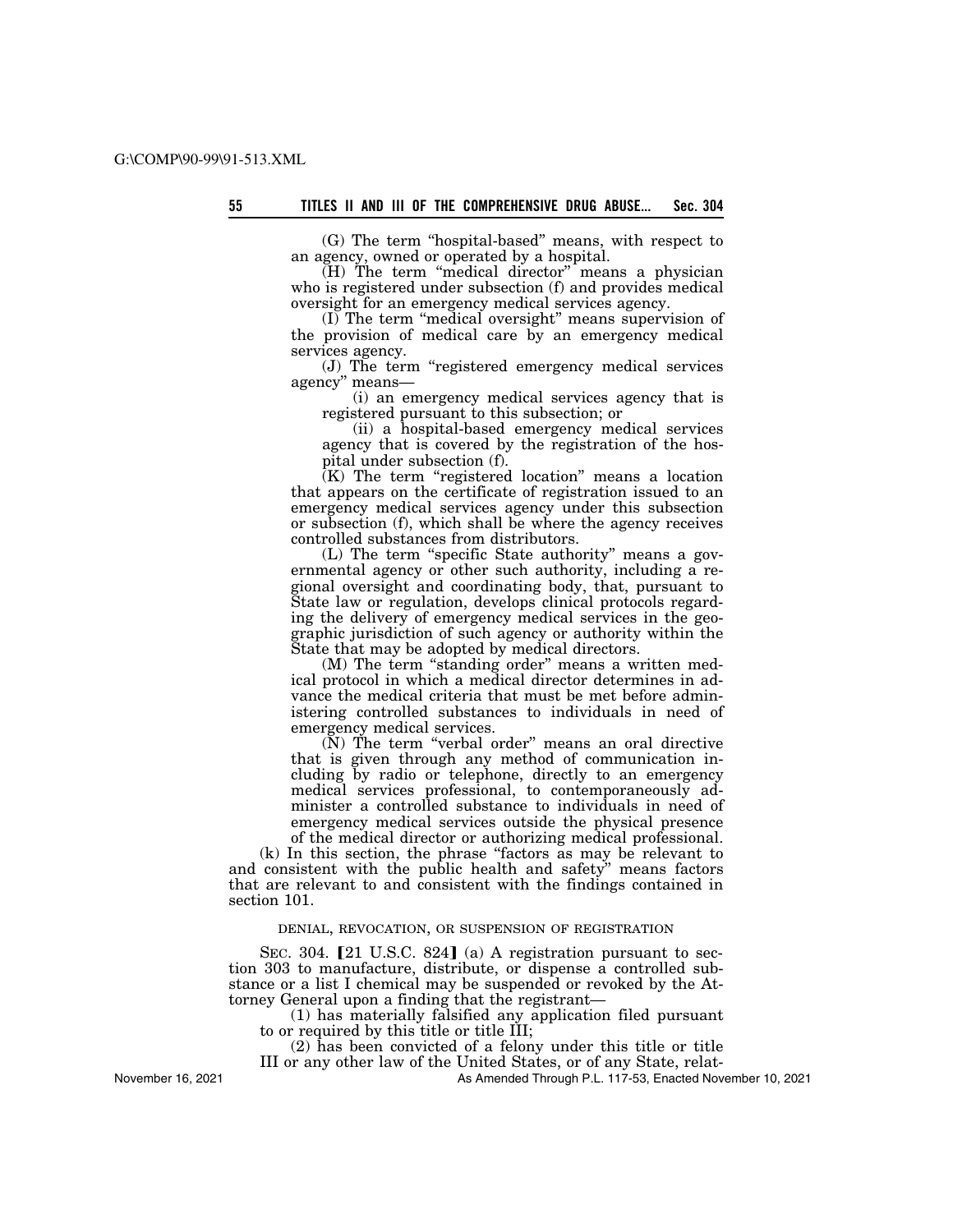(G) The term ''hospital-based'' means, with respect to an agency, owned or operated by a hospital.

(H) The term ''medical director'' means a physician who is registered under subsection (f) and provides medical oversight for an emergency medical services agency.

(I) The term ''medical oversight'' means supervision of the provision of medical care by an emergency medical services agency.

(J) The term ''registered emergency medical services agency'' means—

(i) an emergency medical services agency that is registered pursuant to this subsection; or

(ii) a hospital-based emergency medical services agency that is covered by the registration of the hospital under subsection (f).

(K) The term ''registered location'' means a location that appears on the certificate of registration issued to an emergency medical services agency under this subsection or subsection (f), which shall be where the agency receives controlled substances from distributors.

(L) The term ''specific State authority'' means a governmental agency or other such authority, including a regional oversight and coordinating body, that, pursuant to State law or regulation, develops clinical protocols regarding the delivery of emergency medical services in the geographic jurisdiction of such agency or authority within the State that may be adopted by medical directors.

(M) The term "standing order" means a written medical protocol in which a medical director determines in advance the medical criteria that must be met before administering controlled substances to individuals in need of emergency medical services.

(N) The term ''verbal order'' means an oral directive that is given through any method of communication including by radio or telephone, directly to an emergency medical services professional, to contemporaneously administer a controlled substance to individuals in need of emergency medical services outside the physical presence of the medical director or authorizing medical professional.

(k) In this section, the phrase ''factors as may be relevant to and consistent with the public health and safety'' means factors that are relevant to and consistent with the findings contained in section 101.

### DENIAL, REVOCATION, OR SUSPENSION OF REGISTRATION

SEC. 304. [21 U.S.C. 824] (a) A registration pursuant to section 303 to manufacture, distribute, or dispense a controlled substance or a list I chemical may be suspended or revoked by the Attorney General upon a finding that the registrant—

(1) has materially falsified any application filed pursuant to or required by this title or title III;

(2) has been convicted of a felony under this title or title III or any other law of the United States, or of any State, relat-

As Amended Through P.L. 117-53, Enacted November 10, 2021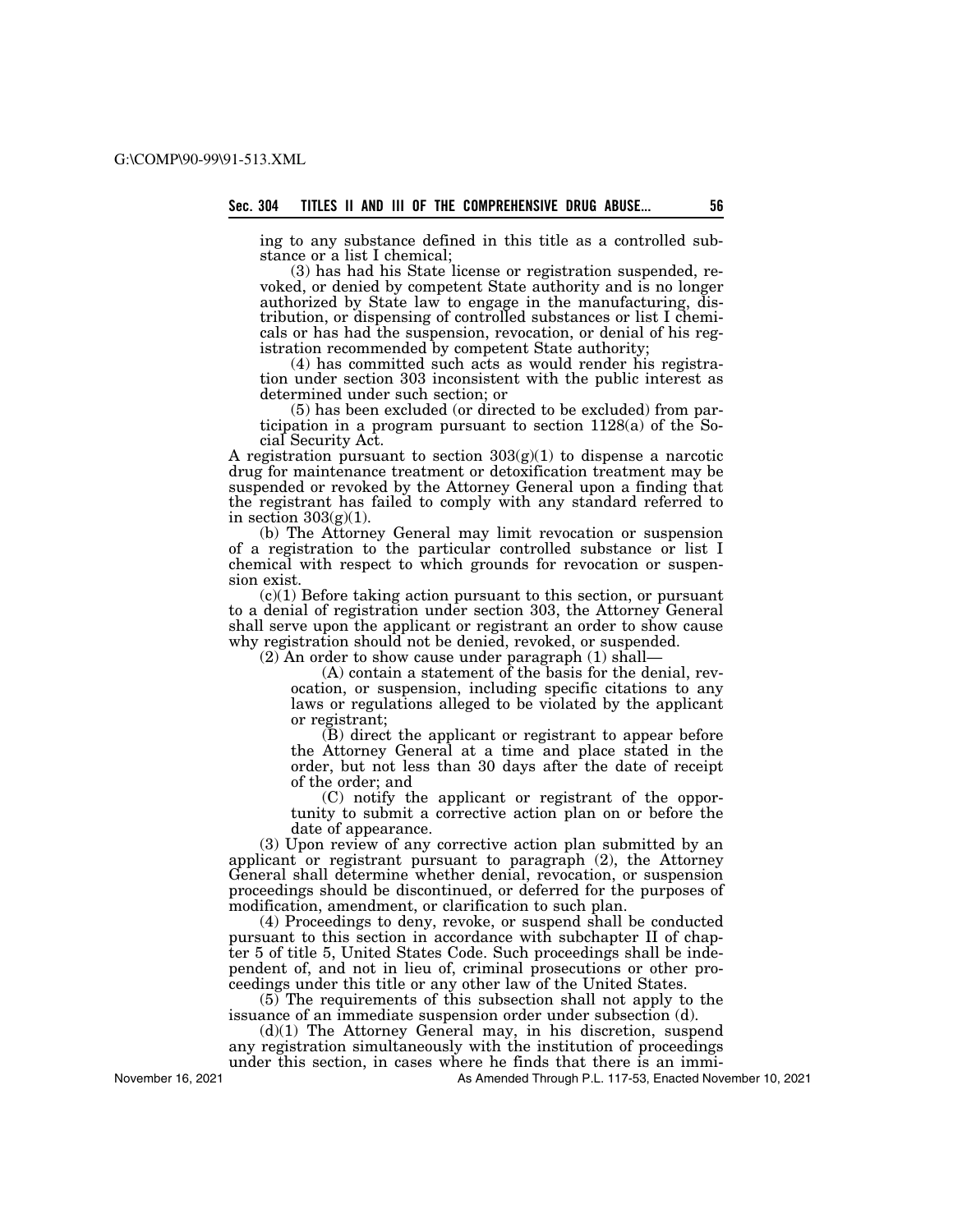ing to any substance defined in this title as a controlled substance or a list I chemical;

(3) has had his State license or registration suspended, revoked, or denied by competent State authority and is no longer authorized by State law to engage in the manufacturing, distribution, or dispensing of controlled substances or list I chemicals or has had the suspension, revocation, or denial of his registration recommended by competent State authority;

(4) has committed such acts as would render his registration under section 303 inconsistent with the public interest as determined under such section; or

(5) has been excluded (or directed to be excluded) from participation in a program pursuant to section 1128(a) of the Social Security Act.

A registration pursuant to section  $303(g)(1)$  to dispense a narcotic drug for maintenance treatment or detoxification treatment may be suspended or revoked by the Attorney General upon a finding that the registrant has failed to comply with any standard referred to in section  $303(g)(1)$ .

(b) The Attorney General may limit revocation or suspension of a registration to the particular controlled substance or list I chemical with respect to which grounds for revocation or suspension exist.

 $(c)(1)$  Before taking action pursuant to this section, or pursuant to a denial of registration under section 303, the Attorney General shall serve upon the applicant or registrant an order to show cause why registration should not be denied, revoked, or suspended.

(2) An order to show cause under paragraph (1) shall—

(A) contain a statement of the basis for the denial, revocation, or suspension, including specific citations to any laws or regulations alleged to be violated by the applicant or registrant;

(B) direct the applicant or registrant to appear before the Attorney General at a time and place stated in the order, but not less than 30 days after the date of receipt of the order; and

(C) notify the applicant or registrant of the opportunity to submit a corrective action plan on or before the date of appearance.

(3) Upon review of any corrective action plan submitted by an applicant or registrant pursuant to paragraph (2), the Attorney General shall determine whether denial, revocation, or suspension proceedings should be discontinued, or deferred for the purposes of modification, amendment, or clarification to such plan.

(4) Proceedings to deny, revoke, or suspend shall be conducted pursuant to this section in accordance with subchapter II of chapter 5 of title 5, United States Code. Such proceedings shall be independent of, and not in lieu of, criminal prosecutions or other proceedings under this title or any other law of the United States.

(5) The requirements of this subsection shall not apply to the issuance of an immediate suspension order under subsection (d).

(d)(1) The Attorney General may, in his discretion, suspend any registration simultaneously with the institution of proceedings

under this section, in cases where he finds that there is an immi-

As Amended Through P.L. 117-53, Enacted November 10, 2021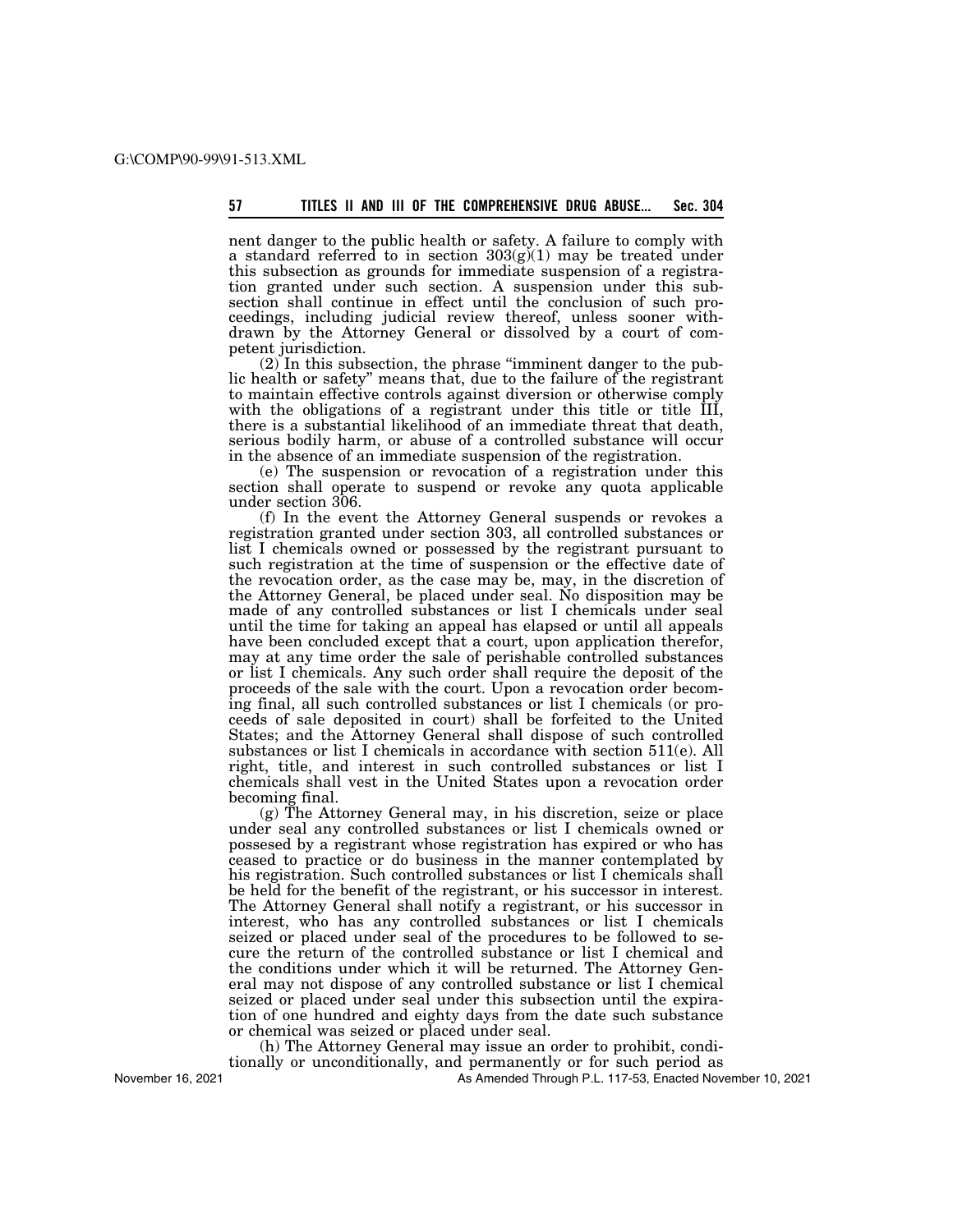nent danger to the public health or safety. A failure to comply with a standard referred to in section  $303(g)(1)$  may be treated under this subsection as grounds for immediate suspension of a registration granted under such section. A suspension under this subsection shall continue in effect until the conclusion of such proceedings, including judicial review thereof, unless sooner withdrawn by the Attorney General or dissolved by a court of competent jurisdiction.

 $(2)$  In this subsection, the phrase "imminent danger to the public health or safety'' means that, due to the failure of the registrant to maintain effective controls against diversion or otherwise comply with the obligations of a registrant under this title or title III, there is a substantial likelihood of an immediate threat that death, serious bodily harm, or abuse of a controlled substance will occur in the absence of an immediate suspension of the registration.

(e) The suspension or revocation of a registration under this section shall operate to suspend or revoke any quota applicable under section 306.

(f) In the event the Attorney General suspends or revokes a registration granted under section 303, all controlled substances or list I chemicals owned or possessed by the registrant pursuant to such registration at the time of suspension or the effective date of the revocation order, as the case may be, may, in the discretion of the Attorney General, be placed under seal. No disposition may be made of any controlled substances or list I chemicals under seal until the time for taking an appeal has elapsed or until all appeals have been concluded except that a court, upon application therefor, may at any time order the sale of perishable controlled substances or list I chemicals. Any such order shall require the deposit of the proceeds of the sale with the court. Upon a revocation order becoming final, all such controlled substances or list I chemicals (or proceeds of sale deposited in court) shall be forfeited to the United States; and the Attorney General shall dispose of such controlled substances or list I chemicals in accordance with section 511(e). All right, title, and interest in such controlled substances or list I chemicals shall vest in the United States upon a revocation order becoming final.

(g) The Attorney General may, in his discretion, seize or place under seal any controlled substances or list I chemicals owned or possesed by a registrant whose registration has expired or who has ceased to practice or do business in the manner contemplated by his registration. Such controlled substances or list I chemicals shall be held for the benefit of the registrant, or his successor in interest. The Attorney General shall notify a registrant, or his successor in interest, who has any controlled substances or list I chemicals seized or placed under seal of the procedures to be followed to secure the return of the controlled substance or list I chemical and the conditions under which it will be returned. The Attorney General may not dispose of any controlled substance or list I chemical seized or placed under seal under this subsection until the expiration of one hundred and eighty days from the date such substance or chemical was seized or placed under seal.

(h) The Attorney General may issue an order to prohibit, condi-

tionally or unconditionally, and permanently or for such period as

November 16, 2021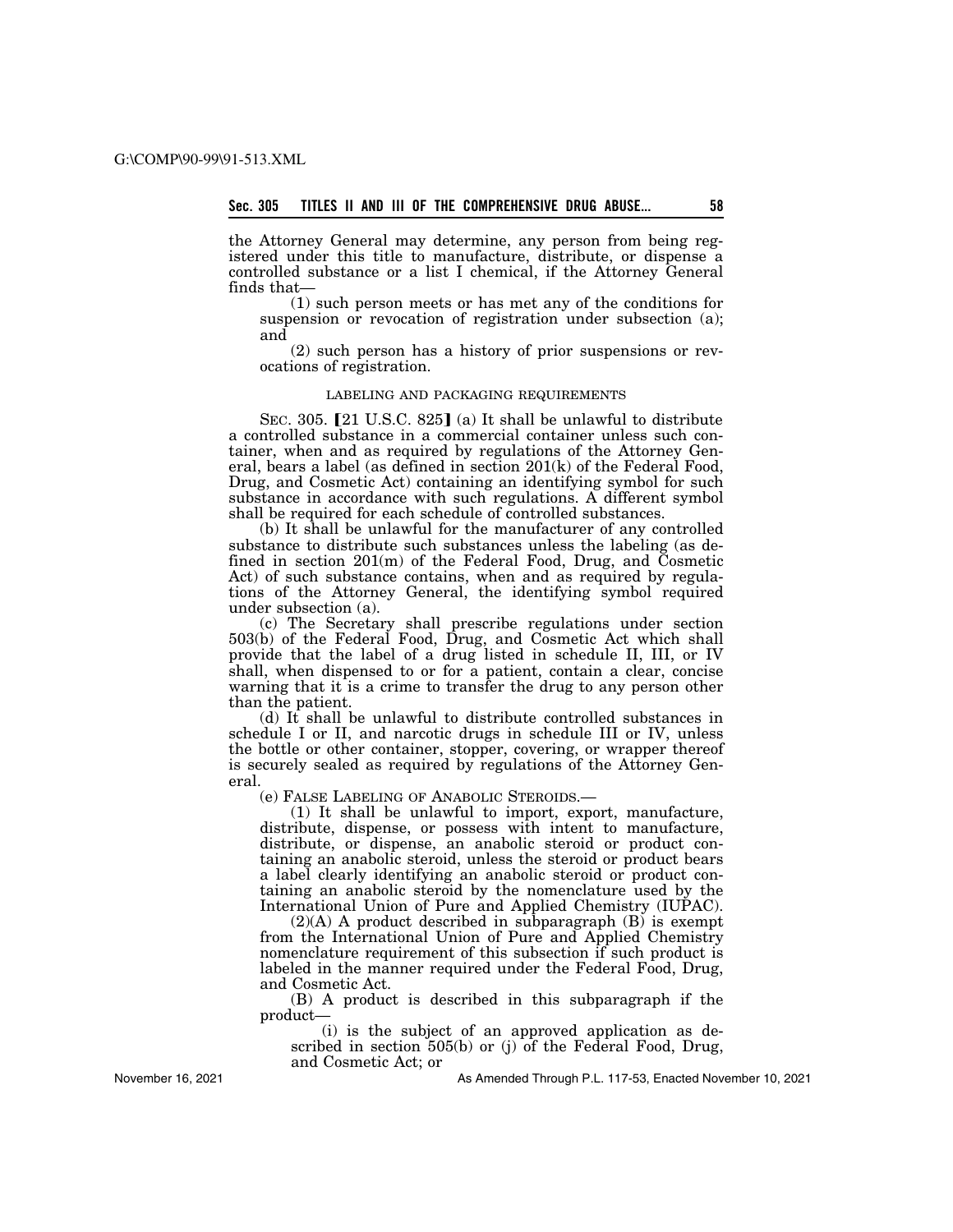the Attorney General may determine, any person from being registered under this title to manufacture, distribute, or dispense a controlled substance or a list I chemical, if the Attorney General finds that—

(1) such person meets or has met any of the conditions for suspension or revocation of registration under subsection (a); and

(2) such person has a history of prior suspensions or revocations of registration.

## LABELING AND PACKAGING REQUIREMENTS

SEC. 305.  $[21 \text{ U.S.C. } 825]$  (a) It shall be unlawful to distribute a controlled substance in a commercial container unless such container, when and as required by regulations of the Attorney General, bears a label (as defined in section 201(k) of the Federal Food, Drug, and Cosmetic Act) containing an identifying symbol for such substance in accordance with such regulations. A different symbol shall be required for each schedule of controlled substances.

(b) It shall be unlawful for the manufacturer of any controlled substance to distribute such substances unless the labeling (as defined in section 201(m) of the Federal Food, Drug, and Cosmetic Act) of such substance contains, when and as required by regulations of the Attorney General, the identifying symbol required under subsection (a).

(c) The Secretary shall prescribe regulations under section 503(b) of the Federal Food, Drug, and Cosmetic Act which shall provide that the label of a drug listed in schedule II, III, or IV shall, when dispensed to or for a patient, contain a clear, concise warning that it is a crime to transfer the drug to any person other than the patient.

(d) It shall be unlawful to distribute controlled substances in schedule I or II, and narcotic drugs in schedule III or IV, unless the bottle or other container, stopper, covering, or wrapper thereof is securely sealed as required by regulations of the Attorney General.

(e) FALSE LABELING OF ANABOLIC STEROIDS.—

(1) It shall be unlawful to import, export, manufacture, distribute, dispense, or possess with intent to manufacture, distribute, or dispense, an anabolic steroid or product containing an anabolic steroid, unless the steroid or product bears a label clearly identifying an anabolic steroid or product containing an anabolic steroid by the nomenclature used by the International Union of Pure and Applied Chemistry (IUPAC).

(2)(A) A product described in subparagraph (B) is exempt from the International Union of Pure and Applied Chemistry nomenclature requirement of this subsection if such product is labeled in the manner required under the Federal Food, Drug, and Cosmetic Act.

(B) A product is described in this subparagraph if the product—

(i) is the subject of an approved application as described in section 505(b) or (j) of the Federal Food, Drug,

and Cosmetic Act; or

As Amended Through P.L. 117-53, Enacted November 10, 2021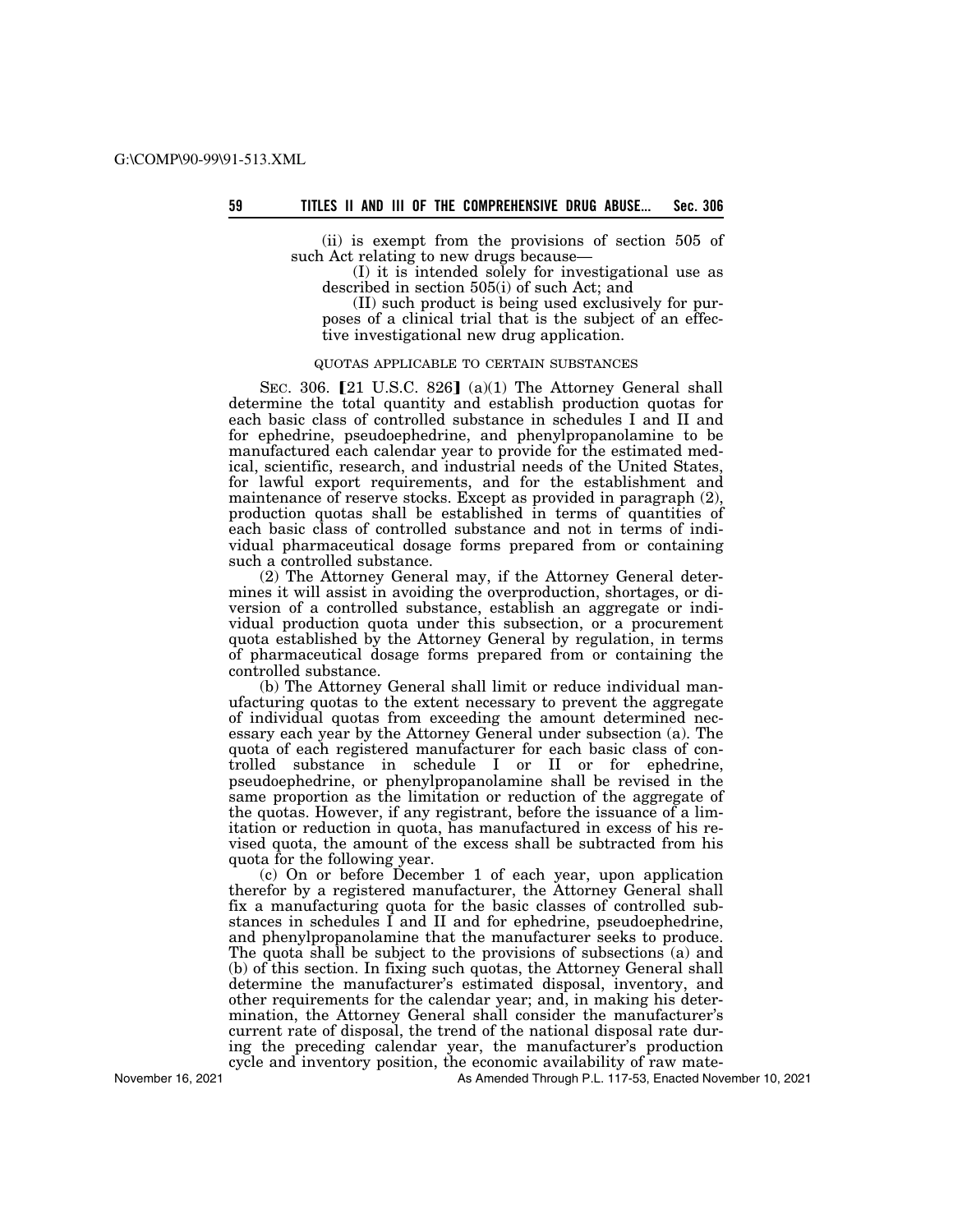(ii) is exempt from the provisions of section 505 of such Act relating to new drugs because—

(I) it is intended solely for investigational use as described in section 505(i) of such Act; and

(II) such product is being used exclusively for purposes of a clinical trial that is the subject of an effective investigational new drug application.

#### QUOTAS APPLICABLE TO CERTAIN SUBSTANCES

SEC. 306.  $[21 \text{ U.S.C. } 826]$  (a)(1) The Attorney General shall determine the total quantity and establish production quotas for each basic class of controlled substance in schedules I and II and for ephedrine, pseudoephedrine, and phenylpropanolamine to be manufactured each calendar year to provide for the estimated medical, scientific, research, and industrial needs of the United States, for lawful export requirements, and for the establishment and maintenance of reserve stocks. Except as provided in paragraph (2), production quotas shall be established in terms of quantities of each basic class of controlled substance and not in terms of individual pharmaceutical dosage forms prepared from or containing such a controlled substance.

(2) The Attorney General may, if the Attorney General determines it will assist in avoiding the overproduction, shortages, or diversion of a controlled substance, establish an aggregate or individual production quota under this subsection, or a procurement quota established by the Attorney General by regulation, in terms of pharmaceutical dosage forms prepared from or containing the controlled substance.

(b) The Attorney General shall limit or reduce individual manufacturing quotas to the extent necessary to prevent the aggregate of individual quotas from exceeding the amount determined necessary each year by the Attorney General under subsection (a). The quota of each registered manufacturer for each basic class of controlled substance in schedule I or II or for ephedrine, pseudoephedrine, or phenylpropanolamine shall be revised in the same proportion as the limitation or reduction of the aggregate of the quotas. However, if any registrant, before the issuance of a limitation or reduction in quota, has manufactured in excess of his revised quota, the amount of the excess shall be subtracted from his quota for the following year.

(c) On or before December 1 of each year, upon application therefor by a registered manufacturer, the Attorney General shall fix a manufacturing quota for the basic classes of controlled substances in schedules I and II and for ephedrine, pseudoephedrine, and phenylpropanolamine that the manufacturer seeks to produce. The quota shall be subject to the provisions of subsections (a) and (b) of this section. In fixing such quotas, the Attorney General shall determine the manufacturer's estimated disposal, inventory, and other requirements for the calendar year; and, in making his determination, the Attorney General shall consider the manufacturer's current rate of disposal, the trend of the national disposal rate during the preceding calendar year, the manufacturer's production cycle and inventory position, the economic availability of raw mate-

November 16, 2021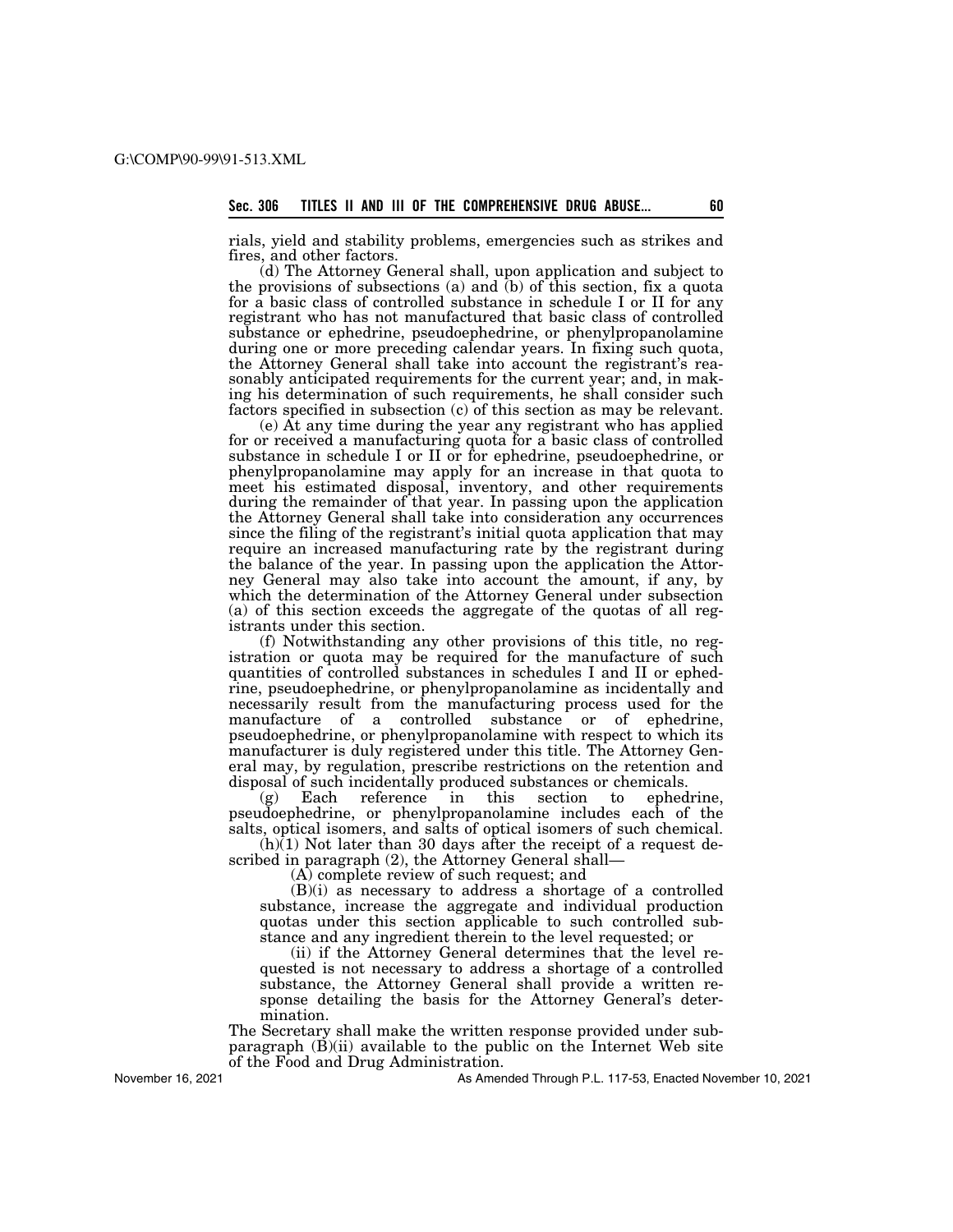rials, yield and stability problems, emergencies such as strikes and fires, and other factors.

(d) The Attorney General shall, upon application and subject to the provisions of subsections (a) and (b) of this section, fix a quota for a basic class of controlled substance in schedule I or II for any registrant who has not manufactured that basic class of controlled substance or ephedrine, pseudoephedrine, or phenylpropanolamine during one or more preceding calendar years. In fixing such quota, the Attorney General shall take into account the registrant's reasonably anticipated requirements for the current year; and, in making his determination of such requirements, he shall consider such factors specified in subsection (c) of this section as may be relevant.

(e) At any time during the year any registrant who has applied for or received a manufacturing quota for a basic class of controlled substance in schedule I or II or for ephedrine, pseudoephedrine, or phenylpropanolamine may apply for an increase in that quota to meet his estimated disposal, inventory, and other requirements during the remainder of that year. In passing upon the application the Attorney General shall take into consideration any occurrences since the filing of the registrant's initial quota application that may require an increased manufacturing rate by the registrant during the balance of the year. In passing upon the application the Attorney General may also take into account the amount, if any, by which the determination of the Attorney General under subsection (a) of this section exceeds the aggregate of the quotas of all registrants under this section.

(f) Notwithstanding any other provisions of this title, no registration or quota may be required for the manufacture of such quantities of controlled substances in schedules I and II or ephedrine, pseudoephedrine, or phenylpropanolamine as incidentally and necessarily result from the manufacturing process used for the manufacture of a controlled substance or of ephedrine, pseudoephedrine, or phenylpropanolamine with respect to which its manufacturer is duly registered under this title. The Attorney General may, by regulation, prescribe restrictions on the retention and disposal of such incidentally produced substances or chemicals.<br>(g) Each reference in this section to ephedrine,

reference in this section pseudoephedrine, or phenylpropanolamine includes each of the salts, optical isomers, and salts of optical isomers of such chemical.

(h)(1) Not later than 30 days after the receipt of a request described in paragraph (2), the Attorney General shall—

(A) complete review of such request; and

(B)(i) as necessary to address a shortage of a controlled substance, increase the aggregate and individual production quotas under this section applicable to such controlled substance and any ingredient therein to the level requested; or

(ii) if the Attorney General determines that the level requested is not necessary to address a shortage of a controlled substance, the Attorney General shall provide a written response detailing the basis for the Attorney General's determination.

The Secretary shall make the written response provided under subparagraph  $(B)(ii)$  available to the public on the Internet Web site of the Food and Drug Administration.

November 16, 2021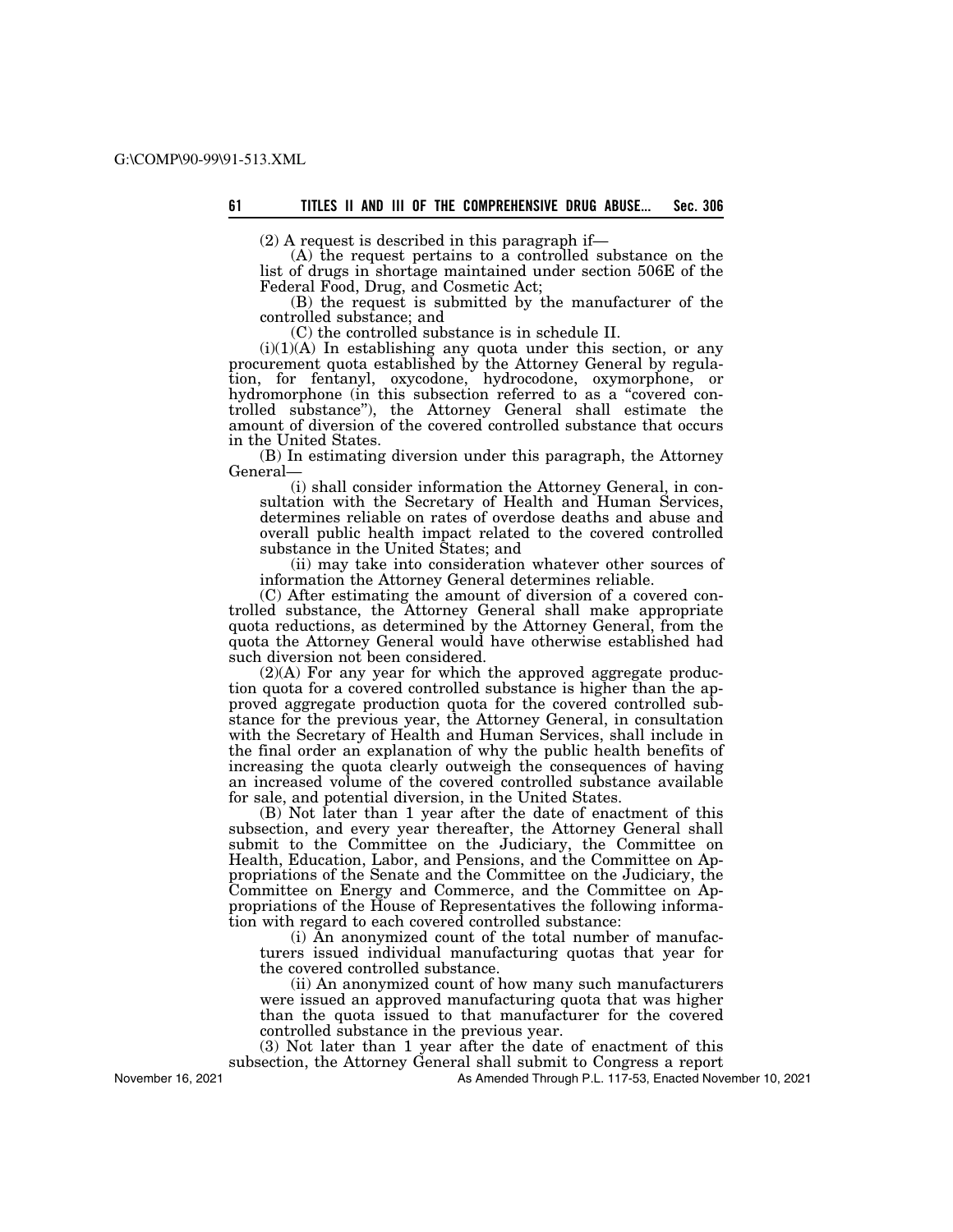(2) A request is described in this paragraph if—

(A) the request pertains to a controlled substance on the list of drugs in shortage maintained under section 506E of the Federal Food, Drug, and Cosmetic Act;

(B) the request is submitted by the manufacturer of the controlled substance; and

(C) the controlled substance is in schedule II.

 $(i)(1)(A)$  In establishing any quota under this section, or any procurement quota established by the Attorney General by regulation, for fentanyl, oxycodone, hydrocodone, oxymorphone, or hydromorphone (in this subsection referred to as a ''covered controlled substance''), the Attorney General shall estimate the amount of diversion of the covered controlled substance that occurs in the United States.

(B) In estimating diversion under this paragraph, the Attorney General—

(i) shall consider information the Attorney General, in consultation with the Secretary of Health and Human Services, determines reliable on rates of overdose deaths and abuse and overall public health impact related to the covered controlled substance in the United States; and

(ii) may take into consideration whatever other sources of information the Attorney General determines reliable.

(C) After estimating the amount of diversion of a covered controlled substance, the Attorney General shall make appropriate quota reductions, as determined by the Attorney General, from the quota the Attorney General would have otherwise established had such diversion not been considered.

(2)(A) For any year for which the approved aggregate production quota for a covered controlled substance is higher than the approved aggregate production quota for the covered controlled substance for the previous year, the Attorney General, in consultation with the Secretary of Health and Human Services, shall include in the final order an explanation of why the public health benefits of increasing the quota clearly outweigh the consequences of having an increased volume of the covered controlled substance available for sale, and potential diversion, in the United States.

(B) Not later than 1 year after the date of enactment of this subsection, and every year thereafter, the Attorney General shall submit to the Committee on the Judiciary, the Committee on Health, Education, Labor, and Pensions, and the Committee on Appropriations of the Senate and the Committee on the Judiciary, the Committee on Energy and Commerce, and the Committee on Appropriations of the House of Representatives the following information with regard to each covered controlled substance:

(i) An anonymized count of the total number of manufacturers issued individual manufacturing quotas that year for the covered controlled substance.

(ii) An anonymized count of how many such manufacturers were issued an approved manufacturing quota that was higher than the quota issued to that manufacturer for the covered controlled substance in the previous year.

(3) Not later than 1 year after the date of enactment of this subsection, the Attorney General shall submit to Congress a report

November 16, 2021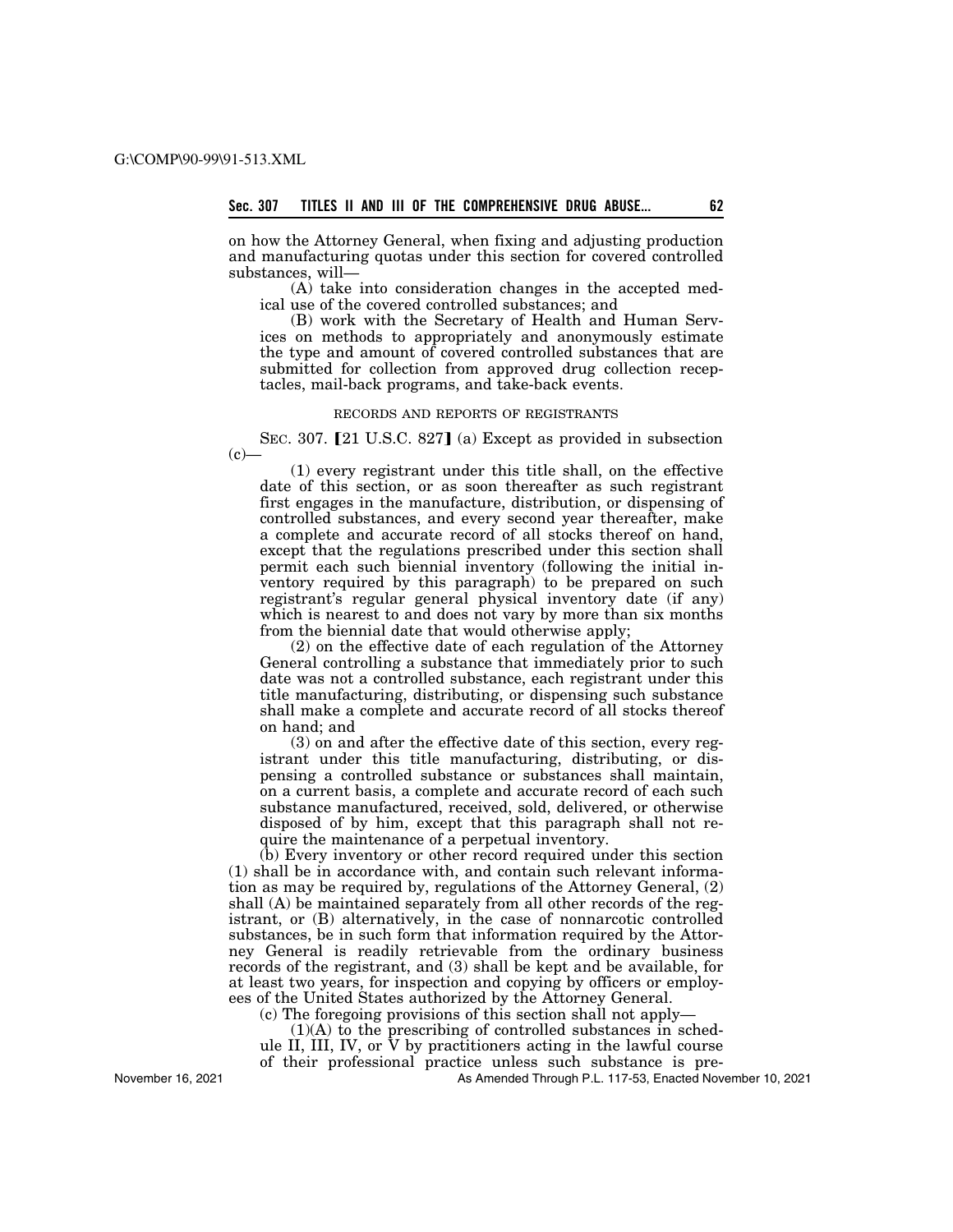on how the Attorney General, when fixing and adjusting production and manufacturing quotas under this section for covered controlled substances, will—

(A) take into consideration changes in the accepted medical use of the covered controlled substances; and

(B) work with the Secretary of Health and Human Services on methods to appropriately and anonymously estimate the type and amount of covered controlled substances that are submitted for collection from approved drug collection receptacles, mail-back programs, and take-back events.

### RECORDS AND REPORTS OF REGISTRANTS

SEC. 307.  $[21 \text{ U.S.C. } 827]$  (a) Except as provided in subsection  $(c)$ —

(1) every registrant under this title shall, on the effective date of this section, or as soon thereafter as such registrant first engages in the manufacture, distribution, or dispensing of controlled substances, and every second year thereafter, make a complete and accurate record of all stocks thereof on hand, except that the regulations prescribed under this section shall permit each such biennial inventory (following the initial inventory required by this paragraph) to be prepared on such registrant's regular general physical inventory date (if any) which is nearest to and does not vary by more than six months from the biennial date that would otherwise apply;

(2) on the effective date of each regulation of the Attorney General controlling a substance that immediately prior to such date was not a controlled substance, each registrant under this title manufacturing, distributing, or dispensing such substance shall make a complete and accurate record of all stocks thereof on hand; and

(3) on and after the effective date of this section, every registrant under this title manufacturing, distributing, or dispensing a controlled substance or substances shall maintain, on a current basis, a complete and accurate record of each such substance manufactured, received, sold, delivered, or otherwise disposed of by him, except that this paragraph shall not require the maintenance of a perpetual inventory.

(b) Every inventory or other record required under this section (1) shall be in accordance with, and contain such relevant information as may be required by, regulations of the Attorney General, (2) shall (A) be maintained separately from all other records of the registrant, or (B) alternatively, in the case of nonnarcotic controlled substances, be in such form that information required by the Attorney General is readily retrievable from the ordinary business records of the registrant, and (3) shall be kept and be available, for at least two years, for inspection and copying by officers or employees of the United States authorized by the Attorney General.

(c) The foregoing provisions of this section shall not apply—

(1)(A) to the prescribing of controlled substances in schedule II, III, IV, or V by practitioners acting in the lawful course

of their professional practice unless such substance is pre-

As Amended Through P.L. 117-53, Enacted November 10, 2021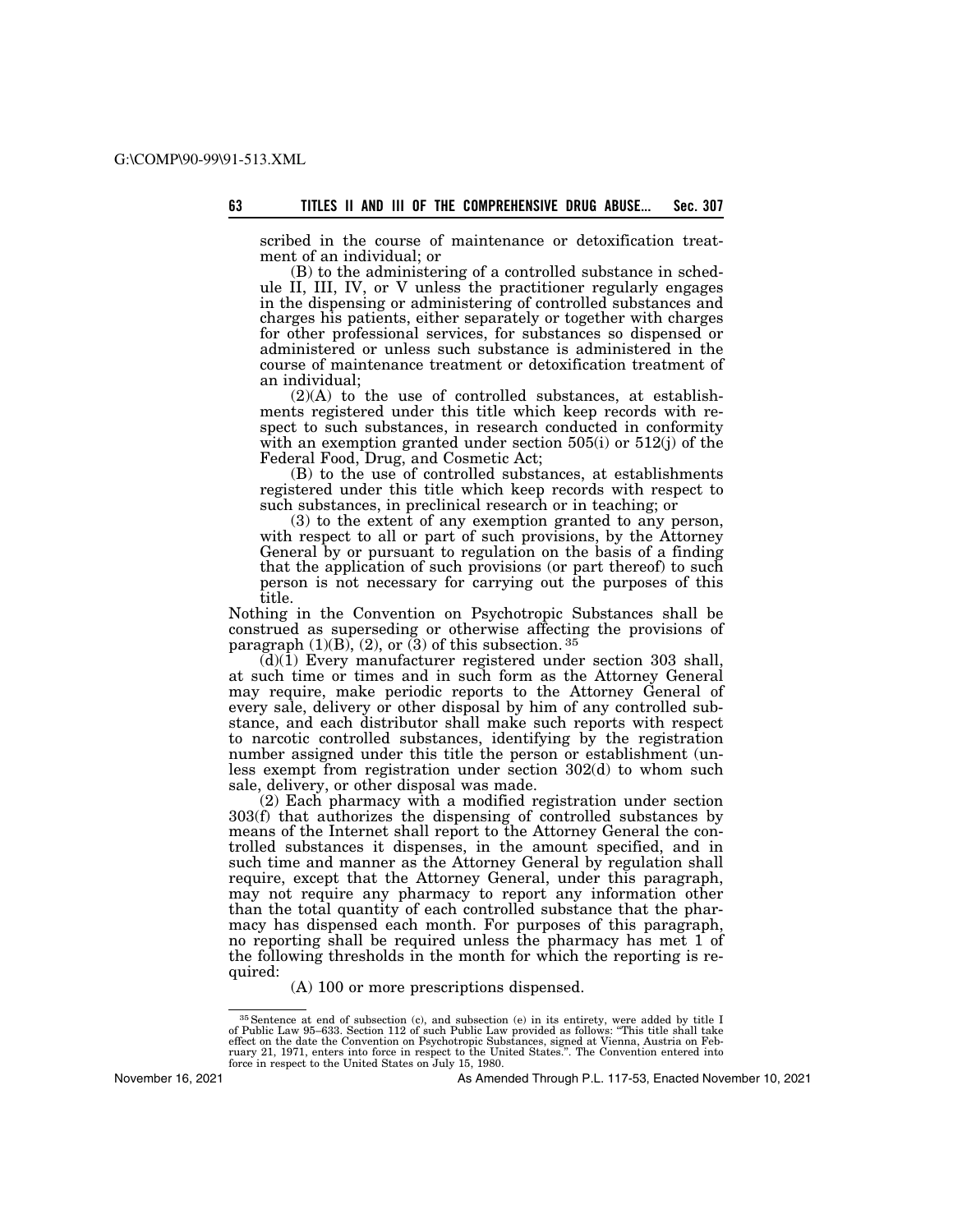scribed in the course of maintenance or detoxification treatment of an individual; or

(B) to the administering of a controlled substance in schedule II, III, IV, or V unless the practitioner regularly engages in the dispensing or administering of controlled substances and charges his patients, either separately or together with charges for other professional services, for substances so dispensed or administered or unless such substance is administered in the course of maintenance treatment or detoxification treatment of an individual;

(2)(A) to the use of controlled substances, at establishments registered under this title which keep records with respect to such substances, in research conducted in conformity with an exemption granted under section 505(i) or 512(j) of the Federal Food, Drug, and Cosmetic Act;

(B) to the use of controlled substances, at establishments registered under this title which keep records with respect to such substances, in preclinical research or in teaching; or

(3) to the extent of any exemption granted to any person, with respect to all or part of such provisions, by the Attorney General by or pursuant to regulation on the basis of a finding that the application of such provisions (or part thereof) to such person is not necessary for carrying out the purposes of this title.

Nothing in the Convention on Psychotropic Substances shall be construed as superseding or otherwise affecting the provisions of paragraph  $(1)(B)$ ,  $(2)$ , or  $(3)$  of this subsection. 35

 $(d)(1)$  Every manufacturer registered under section 303 shall, at such time or times and in such form as the Attorney General may require, make periodic reports to the Attorney General of every sale, delivery or other disposal by him of any controlled substance, and each distributor shall make such reports with respect to narcotic controlled substances, identifying by the registration number assigned under this title the person or establishment (unless exempt from registration under section 302(d) to whom such sale, delivery, or other disposal was made.

(2) Each pharmacy with a modified registration under section 303(f) that authorizes the dispensing of controlled substances by means of the Internet shall report to the Attorney General the controlled substances it dispenses, in the amount specified, and in such time and manner as the Attorney General by regulation shall require, except that the Attorney General, under this paragraph, may not require any pharmacy to report any information other than the total quantity of each controlled substance that the pharmacy has dispensed each month. For purposes of this paragraph, no reporting shall be required unless the pharmacy has met 1 of the following thresholds in the month for which the reporting is required:

(A) 100 or more prescriptions dispensed.

November 16, 2021

<sup>35</sup>Sentence at end of subsection (c), and subsection (e) in its entirety, were added by title I of Public Law 95–633. Section 112 of such Public Law provided as follows: "This title shall take<br>effect on the date the Convention on Psychotropic Substances, signed at Vienna, Austria on Feb-<br>ruary 21, 1971, enters into f force in respect to the United States on July 15, 1980.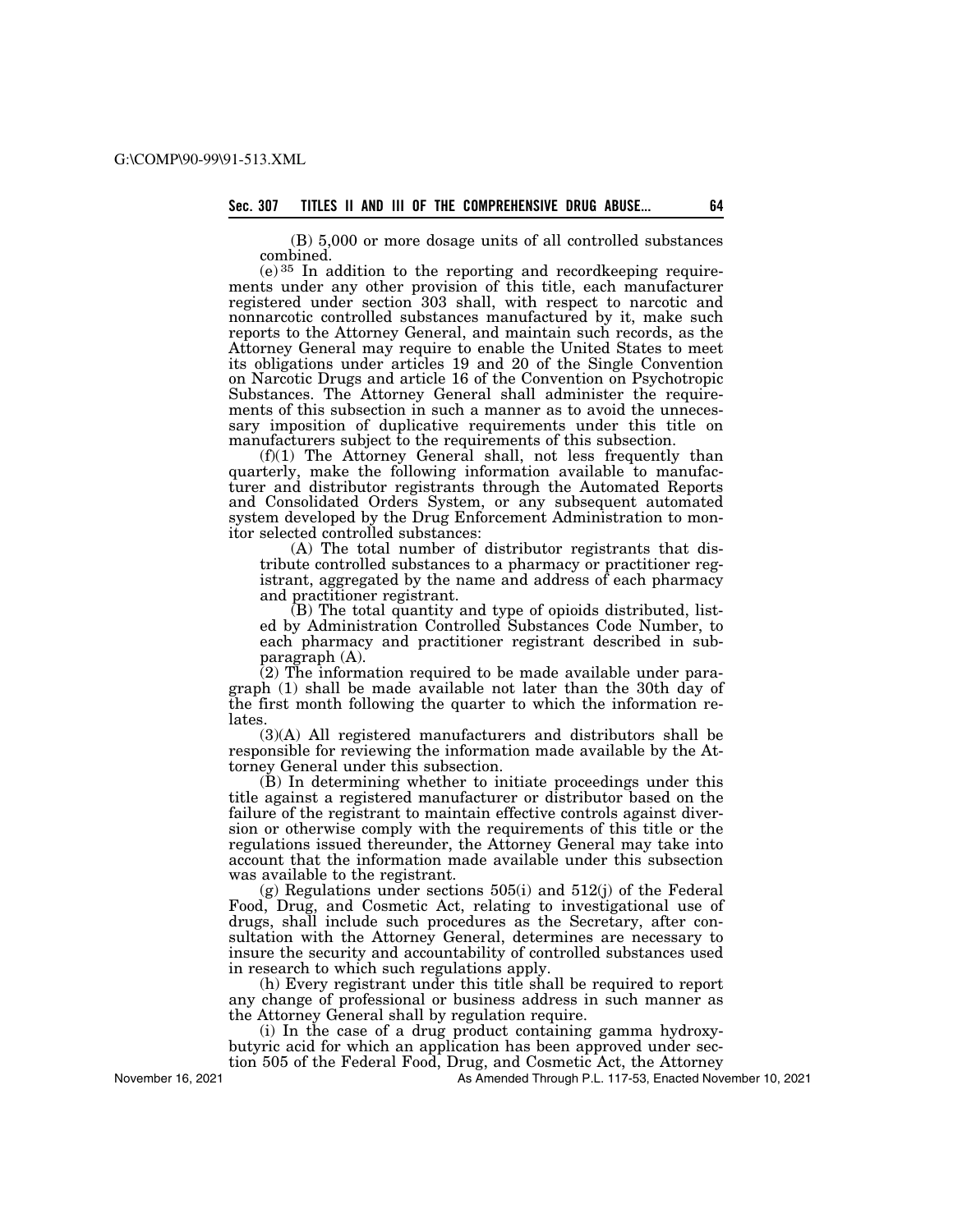(B) 5,000 or more dosage units of all controlled substances combined.

(e) 35 In addition to the reporting and recordkeeping requirements under any other provision of this title, each manufacturer registered under section 303 shall, with respect to narcotic and nonnarcotic controlled substances manufactured by it, make such reports to the Attorney General, and maintain such records, as the Attorney General may require to enable the United States to meet its obligations under articles 19 and 20 of the Single Convention on Narcotic Drugs and article 16 of the Convention on Psychotropic Substances. The Attorney General shall administer the requirements of this subsection in such a manner as to avoid the unnecessary imposition of duplicative requirements under this title on manufacturers subject to the requirements of this subsection.

(f)(1) The Attorney General shall, not less frequently than quarterly, make the following information available to manufacturer and distributor registrants through the Automated Reports and Consolidated Orders System, or any subsequent automated system developed by the Drug Enforcement Administration to monitor selected controlled substances:

(A) The total number of distributor registrants that distribute controlled substances to a pharmacy or practitioner registrant, aggregated by the name and address of each pharmacy and practitioner registrant.

(B) The total quantity and type of opioids distributed, listed by Administration Controlled Substances Code Number, to each pharmacy and practitioner registrant described in subparagraph (A).

(2) The information required to be made available under paragraph (1) shall be made available not later than the 30th day of the first month following the quarter to which the information relates.

(3)(A) All registered manufacturers and distributors shall be responsible for reviewing the information made available by the Attorney General under this subsection.

(B) In determining whether to initiate proceedings under this title against a registered manufacturer or distributor based on the failure of the registrant to maintain effective controls against diversion or otherwise comply with the requirements of this title or the regulations issued thereunder, the Attorney General may take into account that the information made available under this subsection was available to the registrant.

(g) Regulations under sections 505(i) and 512(j) of the Federal Food, Drug, and Cosmetic Act, relating to investigational use of drugs, shall include such procedures as the Secretary, after consultation with the Attorney General, determines are necessary to insure the security and accountability of controlled substances used in research to which such regulations apply.

(h) Every registrant under this title shall be required to report any change of professional or business address in such manner as the Attorney General shall by regulation require.

(i) In the case of a drug product containing gamma hydroxybutyric acid for which an application has been approved under sec-

tion 505 of the Federal Food, Drug, and Cosmetic Act, the Attorney

As Amended Through P.L. 117-53, Enacted November 10, 2021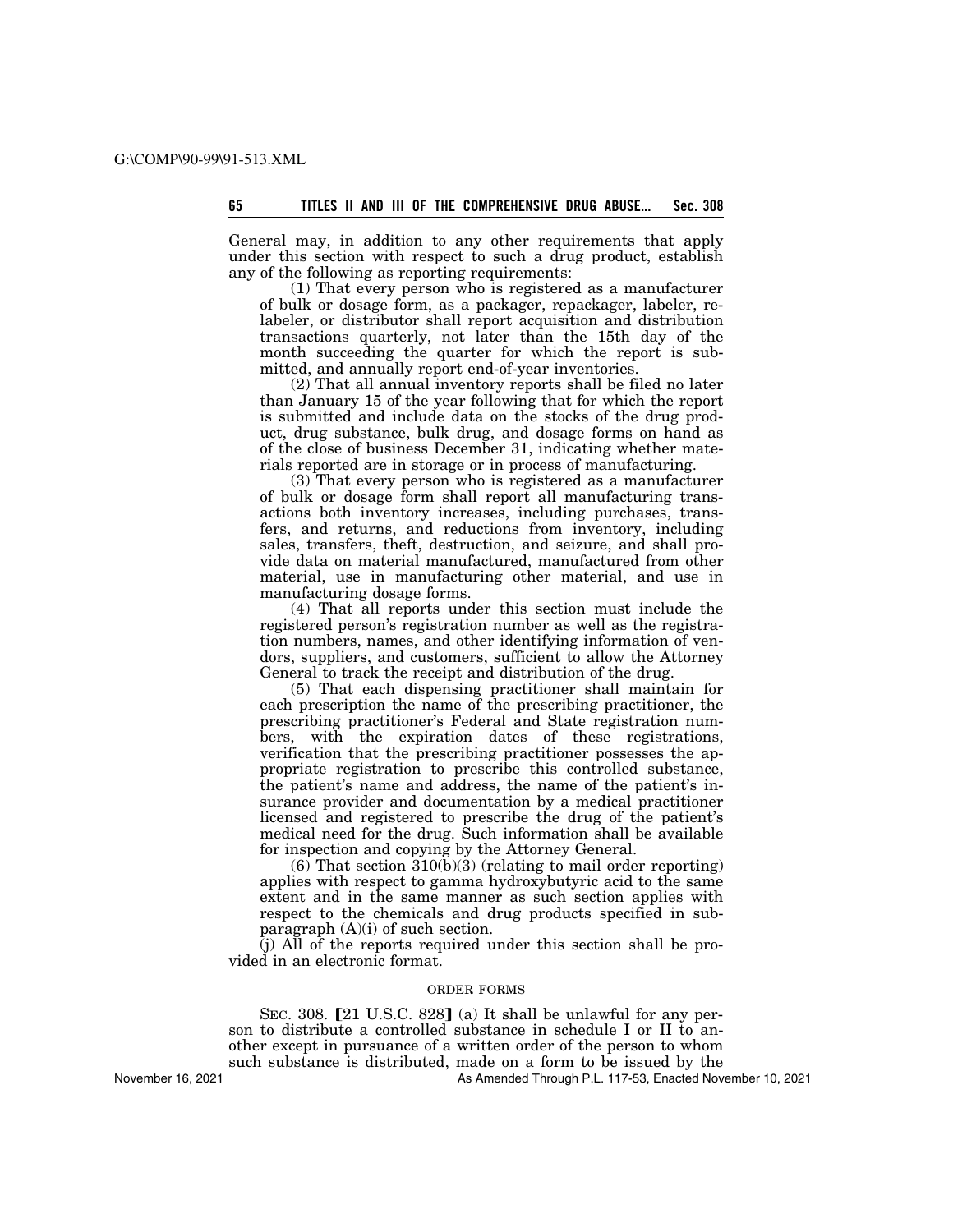General may, in addition to any other requirements that apply under this section with respect to such a drug product, establish any of the following as reporting requirements:

(1) That every person who is registered as a manufacturer of bulk or dosage form, as a packager, repackager, labeler, relabeler, or distributor shall report acquisition and distribution transactions quarterly, not later than the 15th day of the month succeeding the quarter for which the report is submitted, and annually report end-of-year inventories.

(2) That all annual inventory reports shall be filed no later than January 15 of the year following that for which the report is submitted and include data on the stocks of the drug product, drug substance, bulk drug, and dosage forms on hand as of the close of business December 31, indicating whether materials reported are in storage or in process of manufacturing.

(3) That every person who is registered as a manufacturer of bulk or dosage form shall report all manufacturing transactions both inventory increases, including purchases, transfers, and returns, and reductions from inventory, including sales, transfers, theft, destruction, and seizure, and shall provide data on material manufactured, manufactured from other material, use in manufacturing other material, and use in manufacturing dosage forms.

(4) That all reports under this section must include the registered person's registration number as well as the registration numbers, names, and other identifying information of vendors, suppliers, and customers, sufficient to allow the Attorney General to track the receipt and distribution of the drug.

(5) That each dispensing practitioner shall maintain for each prescription the name of the prescribing practitioner, the prescribing practitioner's Federal and State registration numbers, with the expiration dates of these registrations, verification that the prescribing practitioner possesses the appropriate registration to prescribe this controlled substance, the patient's name and address, the name of the patient's insurance provider and documentation by a medical practitioner licensed and registered to prescribe the drug of the patient's medical need for the drug. Such information shall be available for inspection and copying by the Attorney General.

 $(6)$  That section  $310(b)(3)$  (relating to mail order reporting) applies with respect to gamma hydroxybutyric acid to the same extent and in the same manner as such section applies with respect to the chemicals and drug products specified in subparagraph (A)(i) of such section.

(j) All of the reports required under this section shall be provided in an electronic format.

### ORDER FORMS

SEC. 308.  $[21 \text{ U.S.C. } 828]$  (a) It shall be unlawful for any person to distribute a controlled substance in schedule I or II to another except in pursuance of a written order of the person to whom such substance is distributed, made on a form to be issued by the

November 16, 2021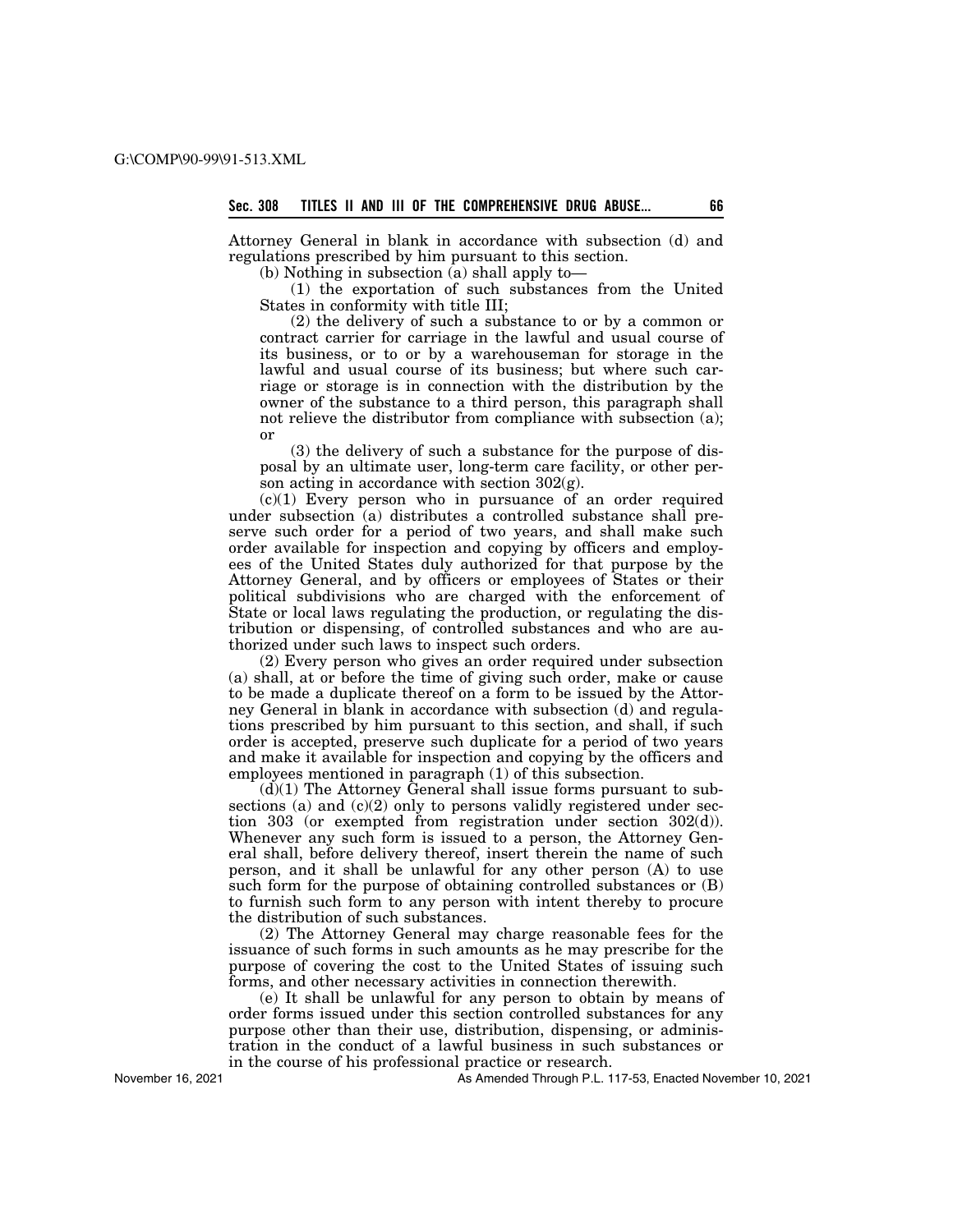Attorney General in blank in accordance with subsection (d) and regulations prescribed by him pursuant to this section.

(b) Nothing in subsection (a) shall apply to—

(1) the exportation of such substances from the United States in conformity with title III;

(2) the delivery of such a substance to or by a common or contract carrier for carriage in the lawful and usual course of its business, or to or by a warehouseman for storage in the lawful and usual course of its business; but where such carriage or storage is in connection with the distribution by the owner of the substance to a third person, this paragraph shall not relieve the distributor from compliance with subsection (a); or

(3) the delivery of such a substance for the purpose of disposal by an ultimate user, long-term care facility, or other person acting in accordance with section  $302(g)$ .

(c)(1) Every person who in pursuance of an order required under subsection (a) distributes a controlled substance shall preserve such order for a period of two years, and shall make such order available for inspection and copying by officers and employees of the United States duly authorized for that purpose by the Attorney General, and by officers or employees of States or their political subdivisions who are charged with the enforcement of State or local laws regulating the production, or regulating the distribution or dispensing, of controlled substances and who are authorized under such laws to inspect such orders.

(2) Every person who gives an order required under subsection (a) shall, at or before the time of giving such order, make or cause to be made a duplicate thereof on a form to be issued by the Attorney General in blank in accordance with subsection (d) and regulations prescribed by him pursuant to this section, and shall, if such order is accepted, preserve such duplicate for a period of two years and make it available for inspection and copying by the officers and employees mentioned in paragraph (1) of this subsection.

 $(d)(1)$  The Attorney General shall issue forms pursuant to subsections (a) and (c)(2) only to persons validly registered under section 303 (or exempted from registration under section 302(d)). Whenever any such form is issued to a person, the Attorney General shall, before delivery thereof, insert therein the name of such person, and it shall be unlawful for any other person (A) to use such form for the purpose of obtaining controlled substances or (B) to furnish such form to any person with intent thereby to procure the distribution of such substances.

(2) The Attorney General may charge reasonable fees for the issuance of such forms in such amounts as he may prescribe for the purpose of covering the cost to the United States of issuing such forms, and other necessary activities in connection therewith.

(e) It shall be unlawful for any person to obtain by means of order forms issued under this section controlled substances for any purpose other than their use, distribution, dispensing, or administration in the conduct of a lawful business in such substances or in the course of his professional practice or research.

November 16, 2021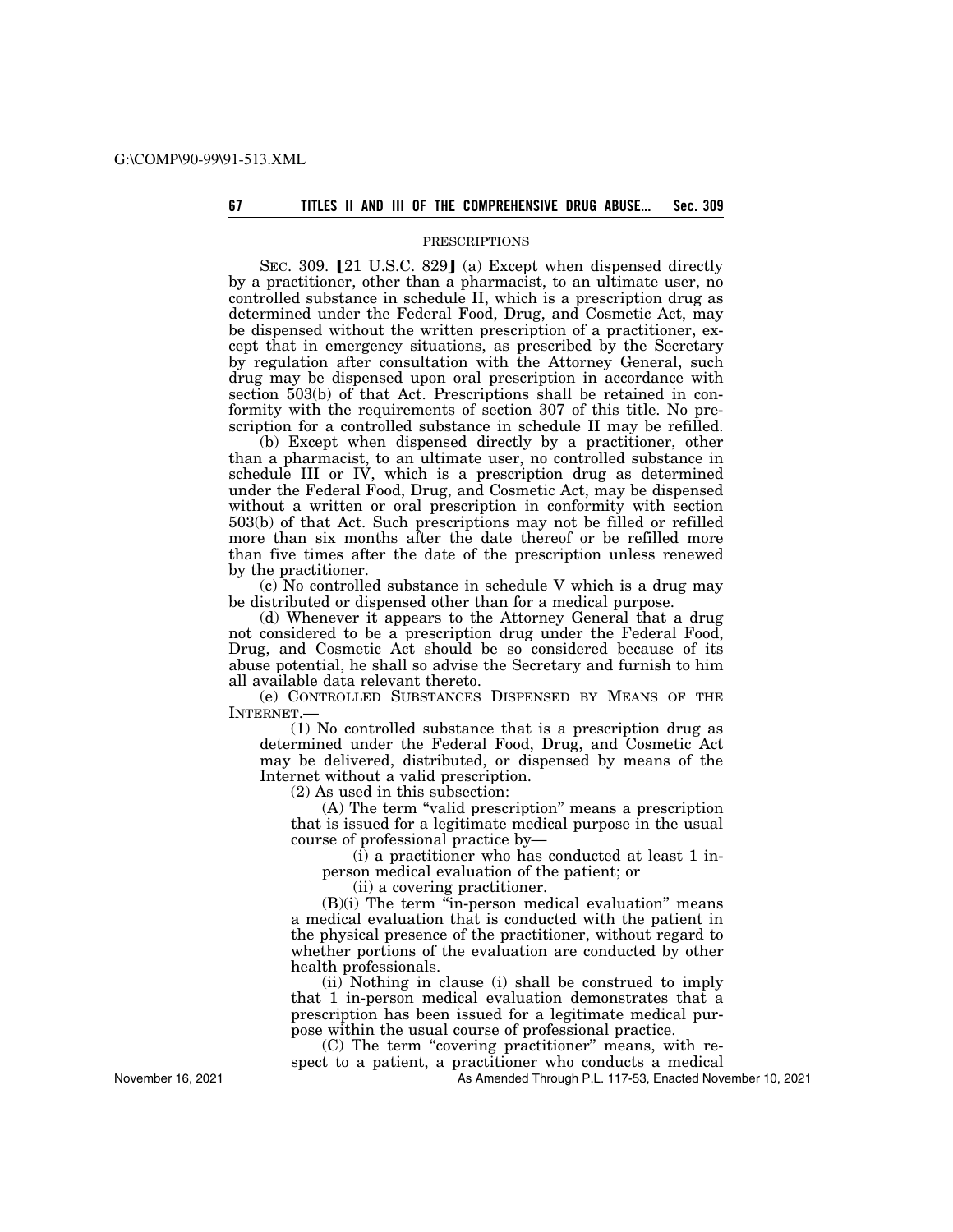## **67 TITLES II AND III OF THE COMPREHENSIVE DRUG ABUSE... Sec. 309**

### PRESCRIPTIONS

SEC. 309.  $[21 \text{ U.S.C. } 829]$  (a) Except when dispensed directly by a practitioner, other than a pharmacist, to an ultimate user, no controlled substance in schedule II, which is a prescription drug as determined under the Federal Food, Drug, and Cosmetic Act, may be dispensed without the written prescription of a practitioner, except that in emergency situations, as prescribed by the Secretary by regulation after consultation with the Attorney General, such drug may be dispensed upon oral prescription in accordance with section 503(b) of that Act. Prescriptions shall be retained in conformity with the requirements of section 307 of this title. No prescription for a controlled substance in schedule II may be refilled.

(b) Except when dispensed directly by a practitioner, other than a pharmacist, to an ultimate user, no controlled substance in schedule III or IV, which is a prescription drug as determined under the Federal Food, Drug, and Cosmetic Act, may be dispensed without a written or oral prescription in conformity with section 503(b) of that Act. Such prescriptions may not be filled or refilled more than six months after the date thereof or be refilled more than five times after the date of the prescription unless renewed by the practitioner.

(c) No controlled substance in schedule V which is a drug may be distributed or dispensed other than for a medical purpose.

(d) Whenever it appears to the Attorney General that a drug not considered to be a prescription drug under the Federal Food, Drug, and Cosmetic Act should be so considered because of its abuse potential, he shall so advise the Secretary and furnish to him all available data relevant thereto.

(e) CONTROLLED SUBSTANCES DISPENSED BY MEANS OF THE INTERNET.—

(1) No controlled substance that is a prescription drug as determined under the Federal Food, Drug, and Cosmetic Act may be delivered, distributed, or dispensed by means of the Internet without a valid prescription.

(2) As used in this subsection:

(A) The term ''valid prescription'' means a prescription that is issued for a legitimate medical purpose in the usual course of professional practice by—

 $(i)$  a practitioner who has conducted at least 1 inperson medical evaluation of the patient; or

(ii) a covering practitioner.

 $(B)(i)$  The term "in-person medical evaluation" means a medical evaluation that is conducted with the patient in the physical presence of the practitioner, without regard to whether portions of the evaluation are conducted by other health professionals.

(ii) Nothing in clause (i) shall be construed to imply that 1 in-person medical evaluation demonstrates that a prescription has been issued for a legitimate medical purpose within the usual course of professional practice.

(C) The term ''covering practitioner'' means, with respect to a patient, a practitioner who conducts a medical

As Amended Through P.L. 117-53, Enacted November 10, 2021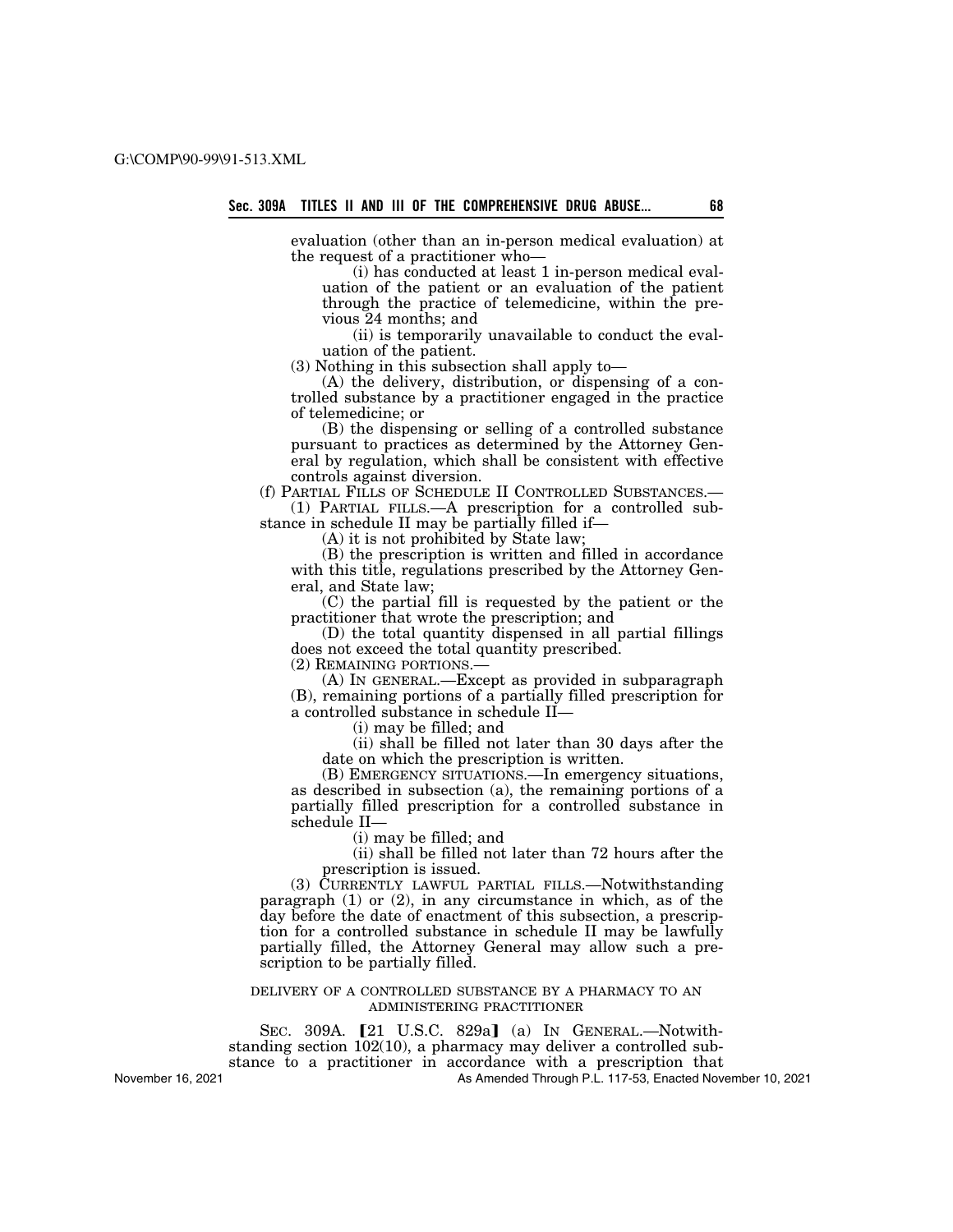evaluation (other than an in-person medical evaluation) at the request of a practitioner who—

(i) has conducted at least 1 in-person medical evaluation of the patient or an evaluation of the patient through the practice of telemedicine, within the previous 24 months; and

(ii) is temporarily unavailable to conduct the evaluation of the patient.

(3) Nothing in this subsection shall apply to—

(A) the delivery, distribution, or dispensing of a controlled substance by a practitioner engaged in the practice of telemedicine; or

(B) the dispensing or selling of a controlled substance pursuant to practices as determined by the Attorney General by regulation, which shall be consistent with effective controls against diversion.

(f) PARTIAL FILLS OF SCHEDULE II CONTROLLED SUBSTANCES.—

(1) PARTIAL FILLS.—A prescription for a controlled substance in schedule II may be partially filled if—

(A) it is not prohibited by State law;

(B) the prescription is written and filled in accordance with this title, regulations prescribed by the Attorney General, and State law;

(C) the partial fill is requested by the patient or the practitioner that wrote the prescription; and

(D) the total quantity dispensed in all partial fillings does not exceed the total quantity prescribed.

(2) REMAINING PORTIONS.—

(A) IN GENERAL.—Except as provided in subparagraph (B), remaining portions of a partially filled prescription for a controlled substance in schedule II—

(i) may be filled; and

(ii) shall be filled not later than 30 days after the date on which the prescription is written.

(B) EMERGENCY SITUATIONS.—In emergency situations, as described in subsection (a), the remaining portions of a partially filled prescription for a controlled substance in schedule II—

(i) may be filled; and

(ii) shall be filled not later than 72 hours after the prescription is issued.

(3) CURRENTLY LAWFUL PARTIAL FILLS.—Notwithstanding paragraph (1) or (2), in any circumstance in which, as of the day before the date of enactment of this subsection, a prescription for a controlled substance in schedule II may be lawfully partially filled, the Attorney General may allow such a prescription to be partially filled.

## DELIVERY OF A CONTROLLED SUBSTANCE BY A PHARMACY TO AN ADMINISTERING PRACTITIONER

SEC. 309A.  $[21 \text{ U.S.C. } 829a]$  (a) In General.—Notwithstanding section 102(10), a pharmacy may deliver a controlled substance to a practitioner in accordance with a prescription that

November 16, 2021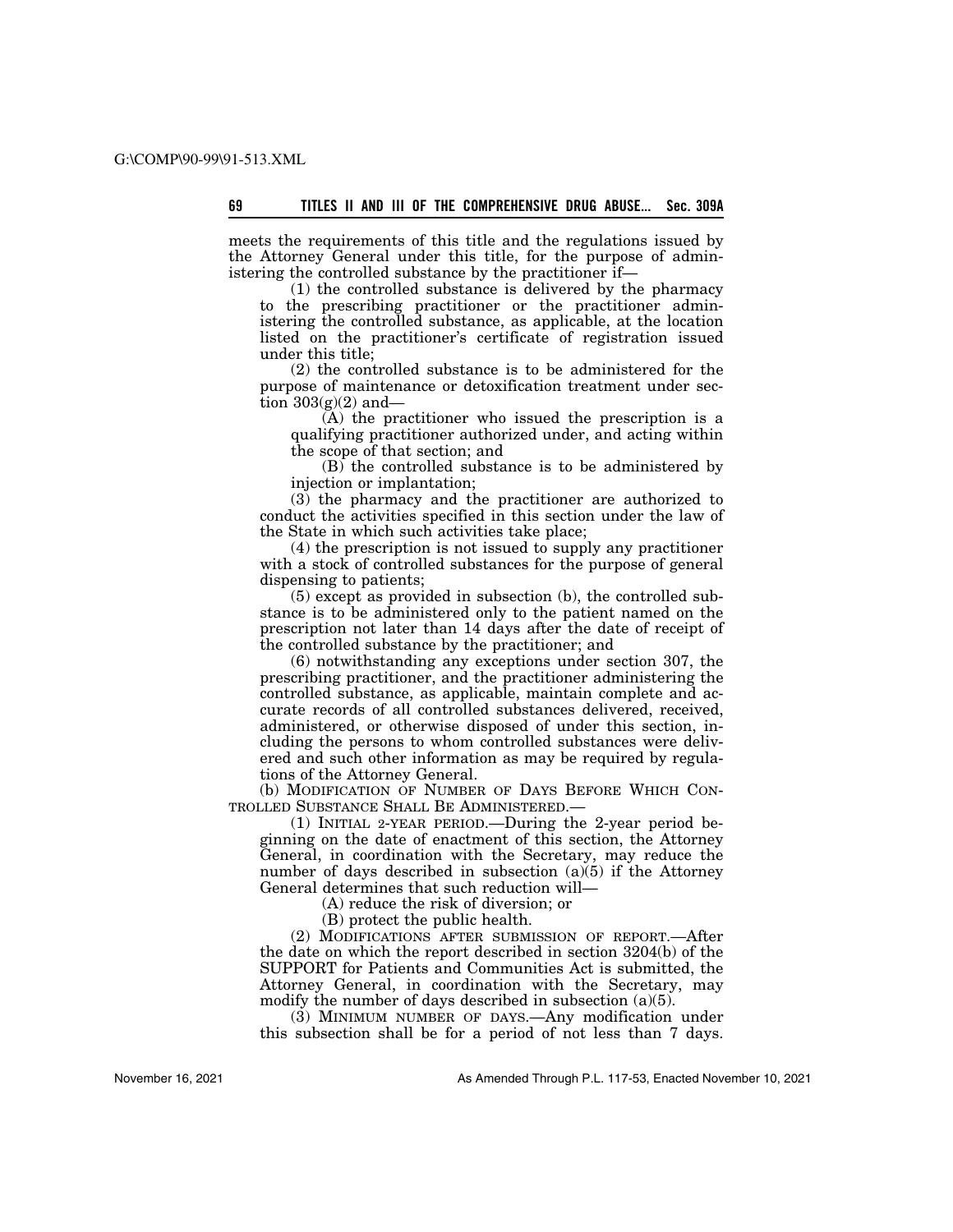meets the requirements of this title and the regulations issued by the Attorney General under this title, for the purpose of administering the controlled substance by the practitioner if—

(1) the controlled substance is delivered by the pharmacy to the prescribing practitioner or the practitioner administering the controlled substance, as applicable, at the location listed on the practitioner's certificate of registration issued under this title;

(2) the controlled substance is to be administered for the purpose of maintenance or detoxification treatment under section  $303(g)(2)$  and—

(A) the practitioner who issued the prescription is a qualifying practitioner authorized under, and acting within the scope of that section; and

(B) the controlled substance is to be administered by injection or implantation;

(3) the pharmacy and the practitioner are authorized to conduct the activities specified in this section under the law of the State in which such activities take place;

(4) the prescription is not issued to supply any practitioner with a stock of controlled substances for the purpose of general dispensing to patients;

(5) except as provided in subsection (b), the controlled substance is to be administered only to the patient named on the prescription not later than 14 days after the date of receipt of the controlled substance by the practitioner; and

(6) notwithstanding any exceptions under section 307, the prescribing practitioner, and the practitioner administering the controlled substance, as applicable, maintain complete and accurate records of all controlled substances delivered, received, administered, or otherwise disposed of under this section, including the persons to whom controlled substances were delivered and such other information as may be required by regulations of the Attorney General.

(b) MODIFICATION OF NUMBER OF DAYS BEFORE WHICH CON-TROLLED SUBSTANCE SHALL BE ADMINISTERED.—

(1) INITIAL 2-YEAR PERIOD.—During the 2-year period beginning on the date of enactment of this section, the Attorney General, in coordination with the Secretary, may reduce the number of days described in subsection  $(a)(5)$  if the Attorney General determines that such reduction will—

(A) reduce the risk of diversion; or

(B) protect the public health.

(2) MODIFICATIONS AFTER SUBMISSION OF REPORT.—After the date on which the report described in section 3204(b) of the SUPPORT for Patients and Communities Act is submitted, the Attorney General, in coordination with the Secretary, may modify the number of days described in subsection (a)(5).

(3) MINIMUM NUMBER OF DAYS.—Any modification under this subsection shall be for a period of not less than 7 days.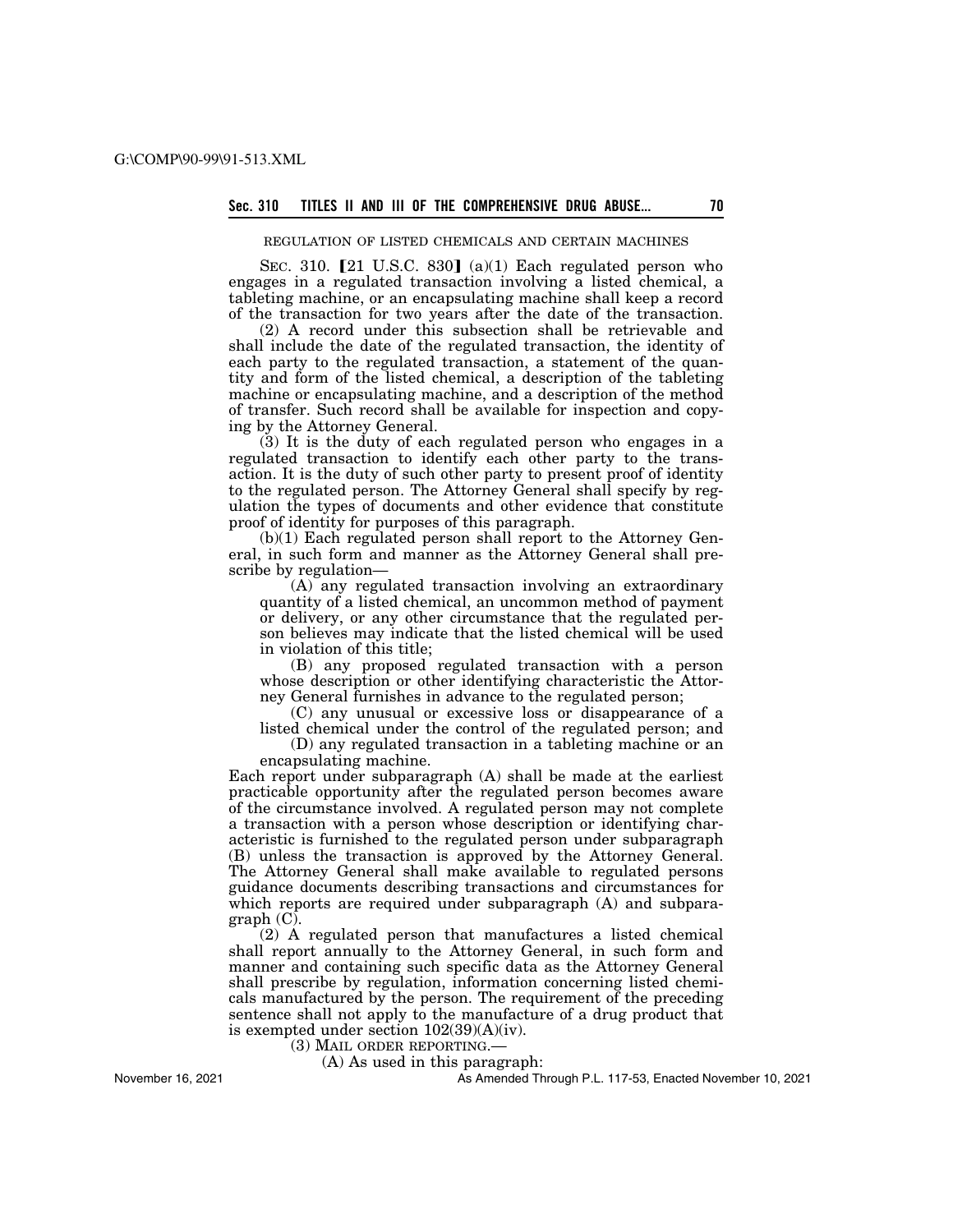## **Sec. 310 TITLES II AND III OF THE COMPREHENSIVE DRUG ABUSE... 70**

### REGULATION OF LISTED CHEMICALS AND CERTAIN MACHINES

SEC. 310.  $[21 \text{ U.S.C. } 830]$  (a)(1) Each regulated person who engages in a regulated transaction involving a listed chemical, a tableting machine, or an encapsulating machine shall keep a record of the transaction for two years after the date of the transaction.

(2) A record under this subsection shall be retrievable and shall include the date of the regulated transaction, the identity of each party to the regulated transaction, a statement of the quantity and form of the listed chemical, a description of the tableting machine or encapsulating machine, and a description of the method of transfer. Such record shall be available for inspection and copying by the Attorney General.

(3) It is the duty of each regulated person who engages in a regulated transaction to identify each other party to the transaction. It is the duty of such other party to present proof of identity to the regulated person. The Attorney General shall specify by regulation the types of documents and other evidence that constitute proof of identity for purposes of this paragraph.

(b)(1) Each regulated person shall report to the Attorney General, in such form and manner as the Attorney General shall prescribe by regulation—

(A) any regulated transaction involving an extraordinary quantity of a listed chemical, an uncommon method of payment or delivery, or any other circumstance that the regulated person believes may indicate that the listed chemical will be used in violation of this title;

(B) any proposed regulated transaction with a person whose description or other identifying characteristic the Attorney General furnishes in advance to the regulated person;

(C) any unusual or excessive loss or disappearance of a listed chemical under the control of the regulated person; and

(D) any regulated transaction in a tableting machine or an encapsulating machine.

Each report under subparagraph (A) shall be made at the earliest practicable opportunity after the regulated person becomes aware of the circumstance involved. A regulated person may not complete a transaction with a person whose description or identifying characteristic is furnished to the regulated person under subparagraph (B) unless the transaction is approved by the Attorney General. The Attorney General shall make available to regulated persons guidance documents describing transactions and circumstances for which reports are required under subparagraph (A) and subparagraph (C).

(2) A regulated person that manufactures a listed chemical shall report annually to the Attorney General, in such form and manner and containing such specific data as the Attorney General shall prescribe by regulation, information concerning listed chemicals manufactured by the person. The requirement of the preceding sentence shall not apply to the manufacture of a drug product that is exempted under section 102(39)(A)(iv).

(3) MAIL ORDER REPORTING.—

(A) As used in this paragraph:

As Amended Through P.L. 117-53, Enacted November 10, 2021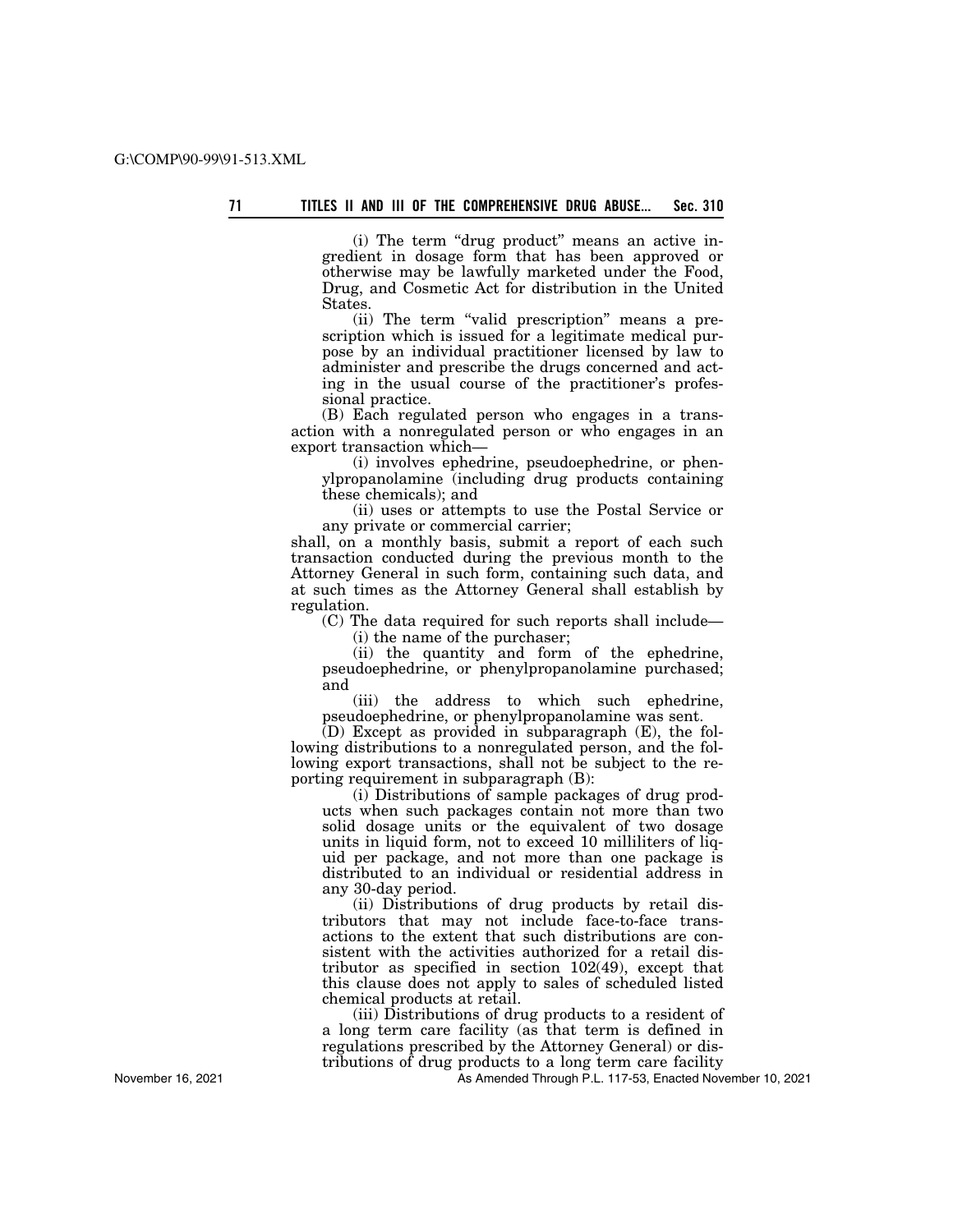(i) The term ''drug product'' means an active ingredient in dosage form that has been approved or otherwise may be lawfully marketed under the Food, Drug, and Cosmetic Act for distribution in the United States.

(ii) The term ''valid prescription'' means a prescription which is issued for a legitimate medical purpose by an individual practitioner licensed by law to administer and prescribe the drugs concerned and acting in the usual course of the practitioner's professional practice.

(B) Each regulated person who engages in a transaction with a nonregulated person or who engages in an export transaction which—

(i) involves ephedrine, pseudoephedrine, or phenylpropanolamine (including drug products containing these chemicals); and

(ii) uses or attempts to use the Postal Service or any private or commercial carrier;

shall, on a monthly basis, submit a report of each such transaction conducted during the previous month to the Attorney General in such form, containing such data, and at such times as the Attorney General shall establish by regulation.

(C) The data required for such reports shall include—

(i) the name of the purchaser;

(ii) the quantity and form of the ephedrine, pseudoephedrine, or phenylpropanolamine purchased; and

(iii) the address to which such ephedrine, pseudoephedrine, or phenylpropanolamine was sent.

 $(D)$  Except as provided in subparagraph  $(E)$ , the following distributions to a nonregulated person, and the following export transactions, shall not be subject to the reporting requirement in subparagraph (B):

(i) Distributions of sample packages of drug products when such packages contain not more than two solid dosage units or the equivalent of two dosage units in liquid form, not to exceed 10 milliliters of liquid per package, and not more than one package is distributed to an individual or residential address in any 30-day period.

(ii) Distributions of drug products by retail distributors that may not include face-to-face transactions to the extent that such distributions are consistent with the activities authorized for a retail distributor as specified in section 102(49), except that this clause does not apply to sales of scheduled listed chemical products at retail.

(iii) Distributions of drug products to a resident of a long term care facility (as that term is defined in regulations prescribed by the Attorney General) or distributions of drug products to a long term care facility

As Amended Through P.L. 117-53, Enacted November 10, 2021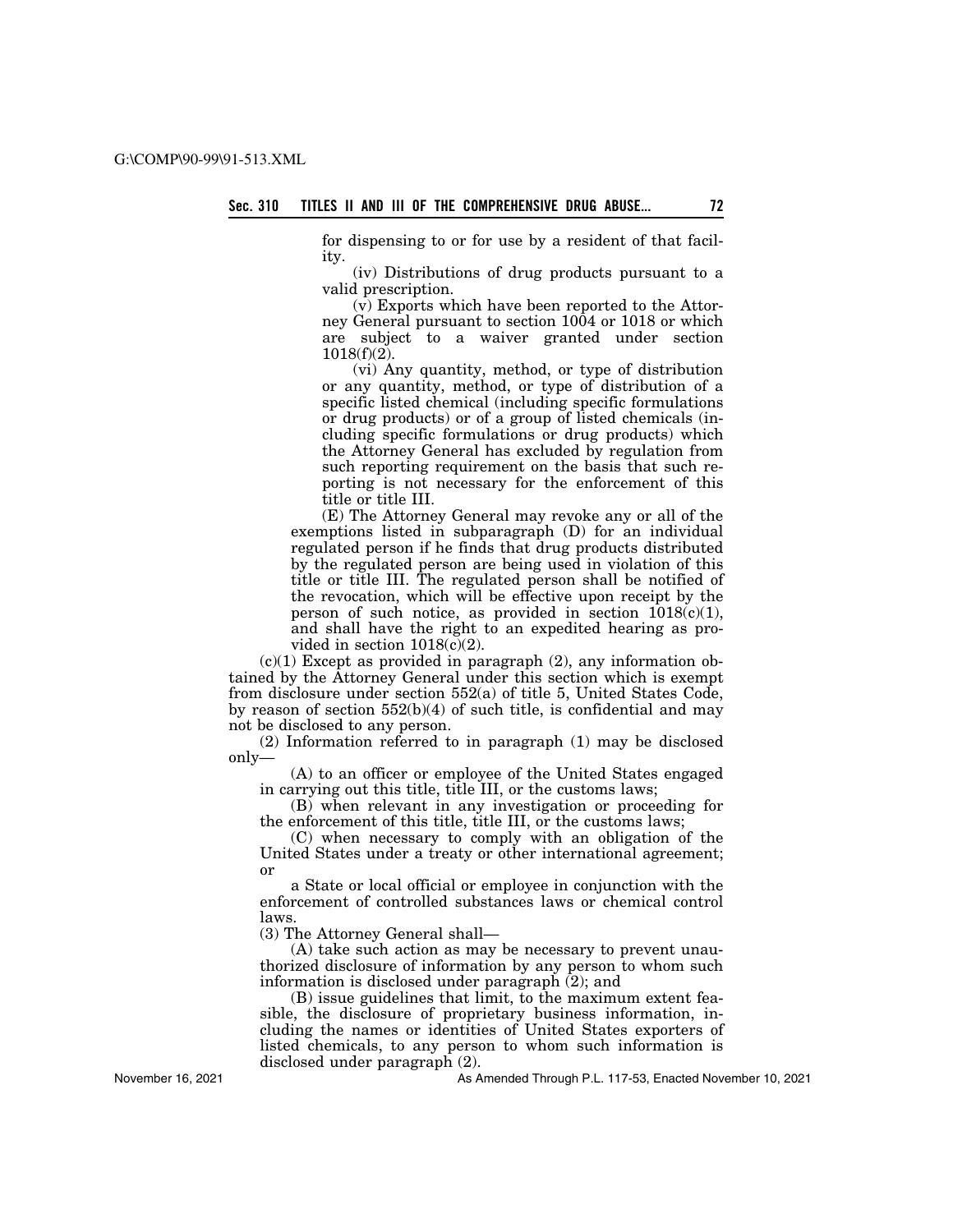for dispensing to or for use by a resident of that facility.

(iv) Distributions of drug products pursuant to a valid prescription.

 $(v)$  Exports which have been reported to the Attorney General pursuant to section 1004 or 1018 or which are subject to a waiver granted under section 1018(f)(2).

(vi) Any quantity, method, or type of distribution or any quantity, method, or type of distribution of a specific listed chemical (including specific formulations or drug products) or of a group of listed chemicals (including specific formulations or drug products) which the Attorney General has excluded by regulation from such reporting requirement on the basis that such reporting is not necessary for the enforcement of this title or title III.

(E) The Attorney General may revoke any or all of the exemptions listed in subparagraph (D) for an individual regulated person if he finds that drug products distributed by the regulated person are being used in violation of this title or title III. The regulated person shall be notified of the revocation, which will be effective upon receipt by the person of such notice, as provided in section  $1018(c)(1)$ , and shall have the right to an expedited hearing as provided in section  $1018(c)(2)$ .

 $(c)(1)$  Except as provided in paragraph  $(2)$ , any information obtained by the Attorney General under this section which is exempt from disclosure under section 552(a) of title 5, United States Code, by reason of section  $552(b)(4)$  of such title, is confidential and may not be disclosed to any person.

(2) Information referred to in paragraph (1) may be disclosed only—

(A) to an officer or employee of the United States engaged in carrying out this title, title III, or the customs laws;

(B) when relevant in any investigation or proceeding for the enforcement of this title, title III, or the customs laws;

(C) when necessary to comply with an obligation of the United States under a treaty or other international agreement; or

a State or local official or employee in conjunction with the enforcement of controlled substances laws or chemical control laws.

(3) The Attorney General shall—

(A) take such action as may be necessary to prevent unauthorized disclosure of information by any person to whom such information is disclosed under paragraph (2); and

(B) issue guidelines that limit, to the maximum extent feasible, the disclosure of proprietary business information, including the names or identities of United States exporters of listed chemicals, to any person to whom such information is disclosed under paragraph (2).

November 16, 2021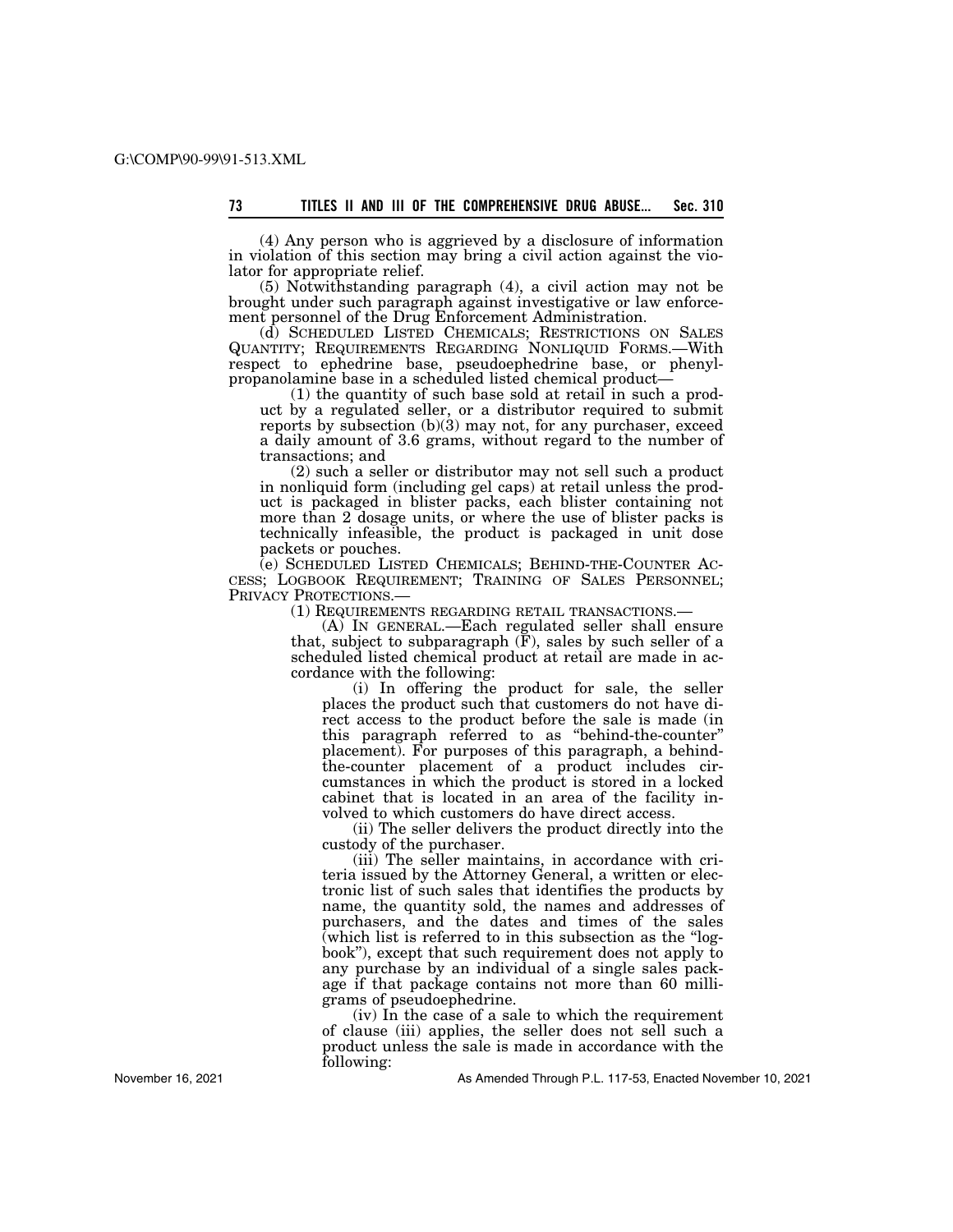(4) Any person who is aggrieved by a disclosure of information in violation of this section may bring a civil action against the violator for appropriate relief.

(5) Notwithstanding paragraph (4), a civil action may not be brought under such paragraph against investigative or law enforcement personnel of the Drug Enforcement Administration.

(d) SCHEDULED LISTED CHEMICALS; RESTRICTIONS ON SALES QUANTITY; REQUIREMENTS REGARDING NONLIQUID FORMS.—With respect to ephedrine base, pseudoephedrine base, or phenylpropanolamine base in a scheduled listed chemical product—

(1) the quantity of such base sold at retail in such a product by a regulated seller, or a distributor required to submit reports by subsection (b)(3) may not, for any purchaser, exceed a daily amount of 3.6 grams, without regard to the number of transactions; and

(2) such a seller or distributor may not sell such a product in nonliquid form (including gel caps) at retail unless the product is packaged in blister packs, each blister containing not more than 2 dosage units, or where the use of blister packs is technically infeasible, the product is packaged in unit dose

packets or pouches.<br>(e) SCHEDULED LISTED CHEMICALS; BEHIND-THE-COUNTER AC-CESS; LOGBOOK REQUIREMENT; TRAINING OF SALES PERSONNEL; PRIVACY PROTECTIONS.— (1) REQUIREMENTS REGARDING RETAIL TRANSACTIONS.— (A) IN GENERAL.—Each regulated seller shall ensure

that, subject to subparagraph (F), sales by such seller of a scheduled listed chemical product at retail are made in accordance with the following:

(i) In offering the product for sale, the seller places the product such that customers do not have direct access to the product before the sale is made (in this paragraph referred to as ''behind-the-counter'' placement). For purposes of this paragraph, a behindthe-counter placement of a product includes circumstances in which the product is stored in a locked cabinet that is located in an area of the facility involved to which customers do have direct access.

(ii) The seller delivers the product directly into the custody of the purchaser.

(iii) The seller maintains, in accordance with criteria issued by the Attorney General, a written or electronic list of such sales that identifies the products by name, the quantity sold, the names and addresses of purchasers, and the dates and times of the sales (which list is referred to in this subsection as the ''logbook''), except that such requirement does not apply to any purchase by an individual of a single sales package if that package contains not more than 60 milligrams of pseudoephedrine.

(iv) In the case of a sale to which the requirement of clause (iii) applies, the seller does not sell such a product unless the sale is made in accordance with the following:

As Amended Through P.L. 117-53, Enacted November 10, 2021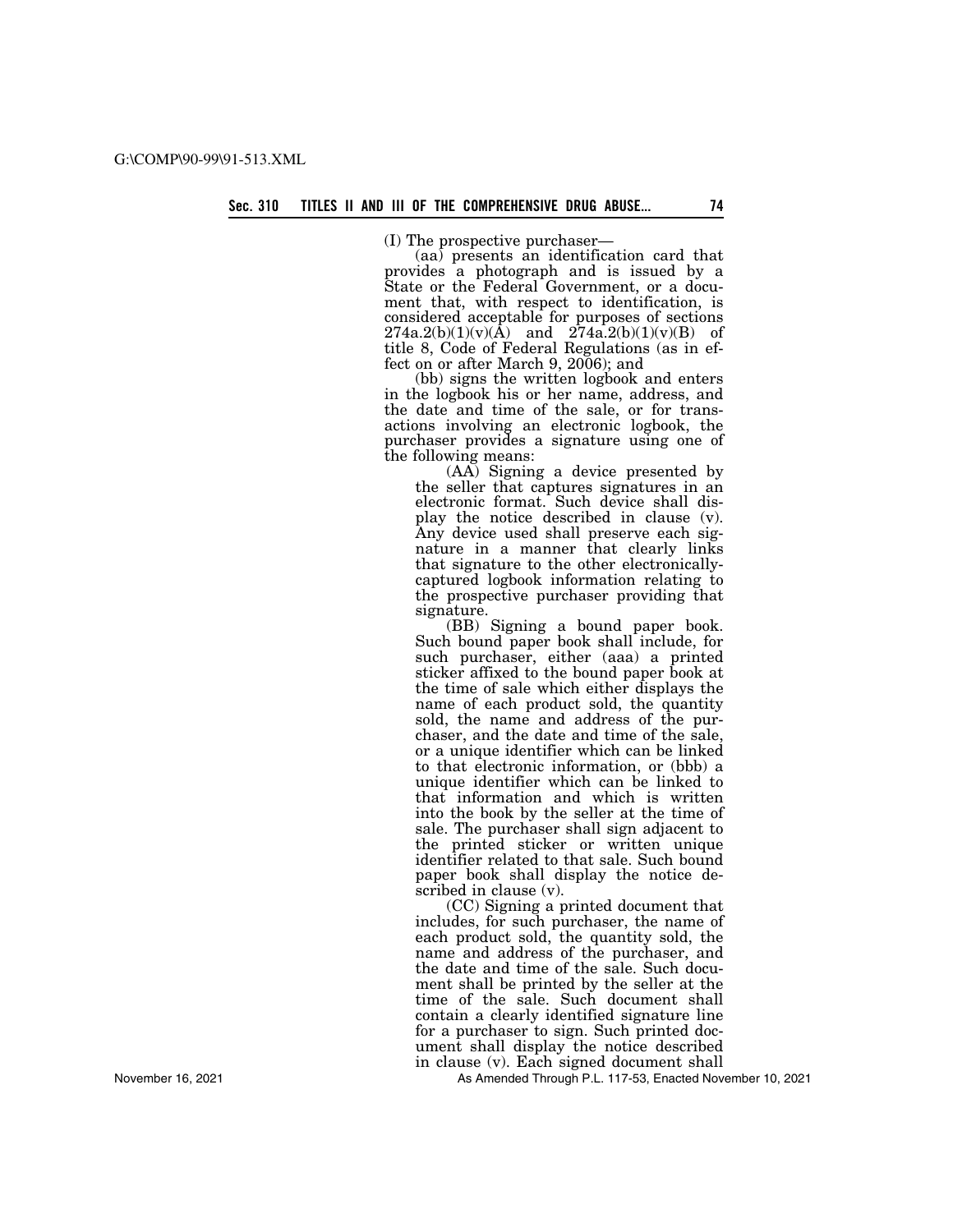(I) The prospective purchaser—

(aa) presents an identification card that provides a photograph and is issued by a State or the Federal Government, or a document that, with respect to identification, is considered acceptable for purposes of sections  $274a.2(b)(1)(v)(A)$  and  $274a.2(b)(1)(v)(B)$  of title 8, Code of Federal Regulations (as in effect on or after March 9, 2006); and

(bb) signs the written logbook and enters in the logbook his or her name, address, and the date and time of the sale, or for transactions involving an electronic logbook, the purchaser provides a signature using one of the following means:

(AA) Signing a device presented by the seller that captures signatures in an electronic format. Such device shall display the notice described in clause (v). Any device used shall preserve each signature in a manner that clearly links that signature to the other electronicallycaptured logbook information relating to the prospective purchaser providing that signature.

(BB) Signing a bound paper book. Such bound paper book shall include, for such purchaser, either (aaa) a printed sticker affixed to the bound paper book at the time of sale which either displays the name of each product sold, the quantity sold, the name and address of the purchaser, and the date and time of the sale, or a unique identifier which can be linked to that electronic information, or (bbb) a unique identifier which can be linked to that information and which is written into the book by the seller at the time of sale. The purchaser shall sign adjacent to the printed sticker or written unique identifier related to that sale. Such bound paper book shall display the notice described in clause (v).

(CC) Signing a printed document that includes, for such purchaser, the name of each product sold, the quantity sold, the name and address of the purchaser, and the date and time of the sale. Such document shall be printed by the seller at the time of the sale. Such document shall contain a clearly identified signature line for a purchaser to sign. Such printed document shall display the notice described in clause (v). Each signed document shall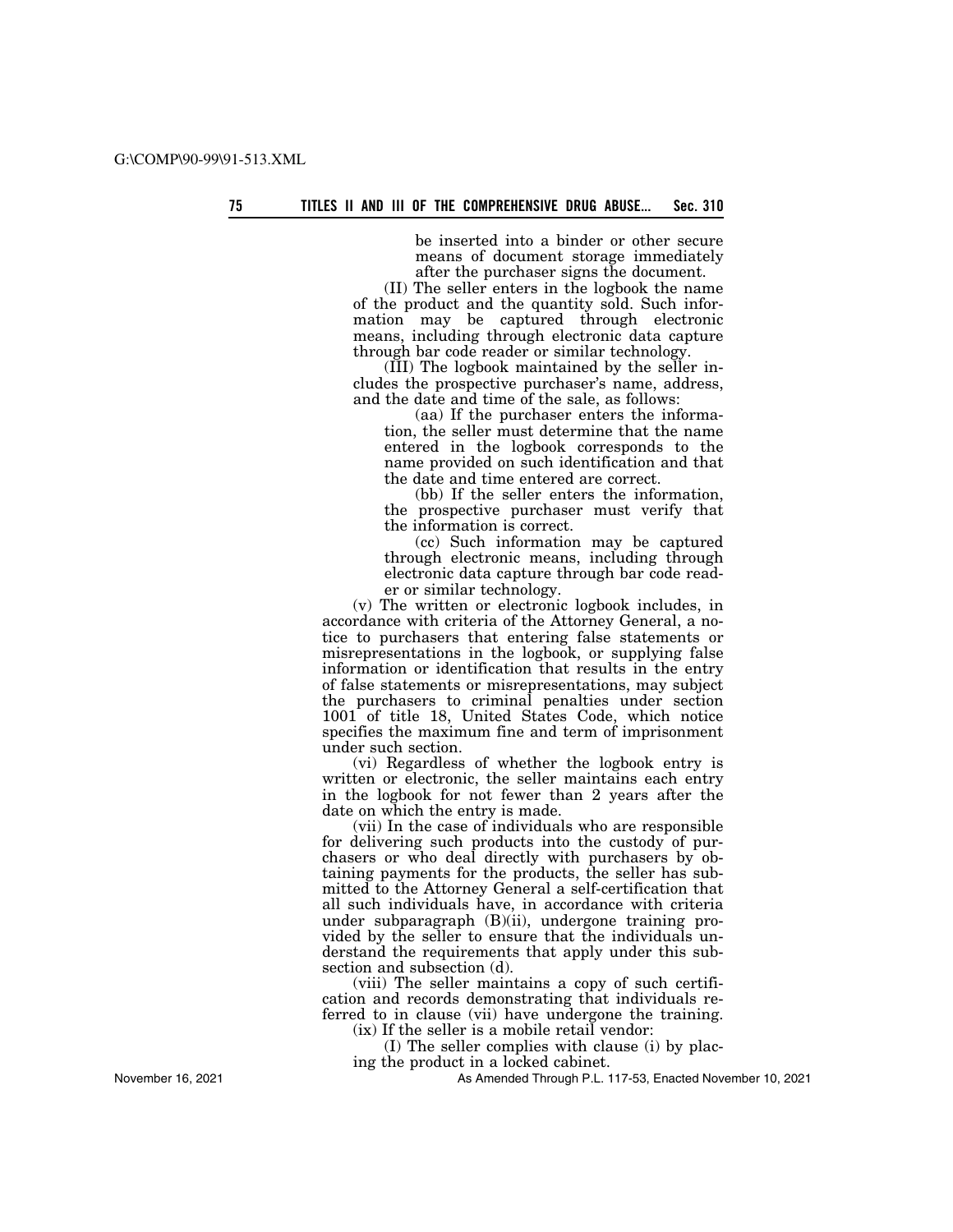be inserted into a binder or other secure means of document storage immediately after the purchaser signs the document.

(II) The seller enters in the logbook the name of the product and the quantity sold. Such information may be captured through electronic means, including through electronic data capture through bar code reader or similar technology.

(III) The logbook maintained by the seller includes the prospective purchaser's name, address, and the date and time of the sale, as follows:

(aa) If the purchaser enters the information, the seller must determine that the name entered in the logbook corresponds to the name provided on such identification and that the date and time entered are correct.

(bb) If the seller enters the information, the prospective purchaser must verify that the information is correct.

(cc) Such information may be captured through electronic means, including through electronic data capture through bar code reader or similar technology.

(v) The written or electronic logbook includes, in accordance with criteria of the Attorney General, a notice to purchasers that entering false statements or misrepresentations in the logbook, or supplying false information or identification that results in the entry of false statements or misrepresentations, may subject the purchasers to criminal penalties under section 1001 of title 18, United States Code, which notice specifies the maximum fine and term of imprisonment under such section.

(vi) Regardless of whether the logbook entry is written or electronic, the seller maintains each entry in the logbook for not fewer than 2 years after the date on which the entry is made.

(vii) In the case of individuals who are responsible for delivering such products into the custody of purchasers or who deal directly with purchasers by obtaining payments for the products, the seller has submitted to the Attorney General a self-certification that all such individuals have, in accordance with criteria under subparagraph (B)(ii), undergone training provided by the seller to ensure that the individuals understand the requirements that apply under this subsection and subsection (d).

(viii) The seller maintains a copy of such certification and records demonstrating that individuals referred to in clause (vii) have undergone the training.

(ix) If the seller is a mobile retail vendor:

(I) The seller complies with clause (i) by placing the product in a locked cabinet.

As Amended Through P.L. 117-53, Enacted November 10, 2021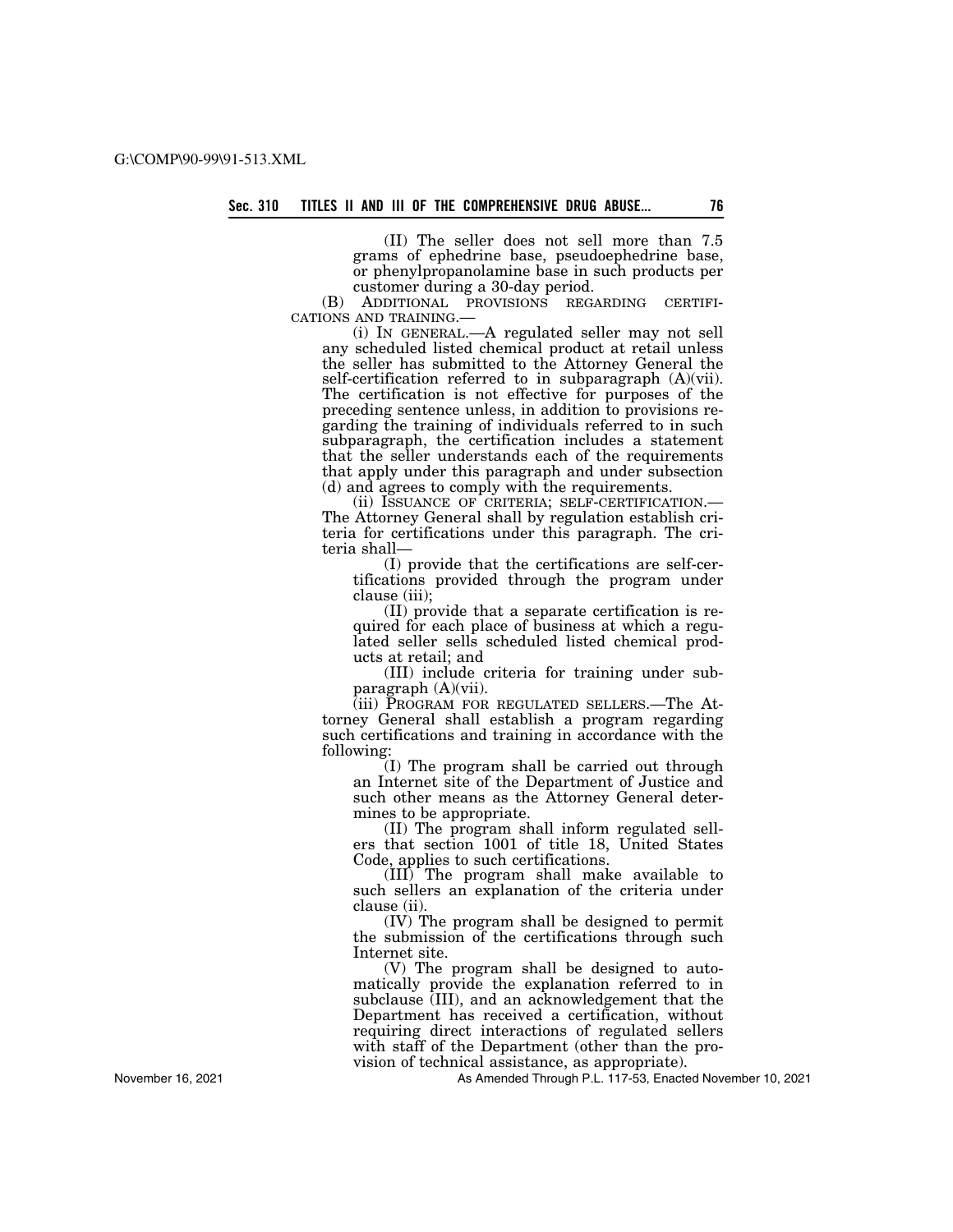(II) The seller does not sell more than 7.5 grams of ephedrine base, pseudoephedrine base, or phenylpropanolamine base in such products per customer during a 30-day period.<br>(B) ADDITIONAL PROVISIONS REGARDING CERTIFI-

CATIONS AND TRAINING.—<br>(i) IN GENERAL.—A regulated seller may not sell

any scheduled listed chemical product at retail unless the seller has submitted to the Attorney General the self-certification referred to in subparagraph (A)(vii). The certification is not effective for purposes of the preceding sentence unless, in addition to provisions regarding the training of individuals referred to in such subparagraph, the certification includes a statement that the seller understands each of the requirements that apply under this paragraph and under subsection (d) and agrees to comply with the requirements.<br>(ii) ISSUANCE OF CRITERIA; SELF-CERTIFICATION.—

The Attorney General shall by regulation establish criteria for certifications under this paragraph. The criteria shall—

(I) provide that the certifications are self-certifications provided through the program under clause (iii);

(II) provide that a separate certification is required for each place of business at which a regulated seller sells scheduled listed chemical products at retail; and

(III) include criteria for training under subparagraph (A)(vii).

(iii) PROGRAM FOR REGULATED SELLERS.—The Attorney General shall establish a program regarding such certifications and training in accordance with the following:

(I) The program shall be carried out through an Internet site of the Department of Justice and such other means as the Attorney General determines to be appropriate.

(II) The program shall inform regulated sellers that section 1001 of title 18, United States Code, applies to such certifications.

(III) The program shall make available to such sellers an explanation of the criteria under clause (ii).

(IV) The program shall be designed to permit the submission of the certifications through such Internet site.

(V) The program shall be designed to automatically provide the explanation referred to in subclause (III), and an acknowledgement that the Department has received a certification, without requiring direct interactions of regulated sellers with staff of the Department (other than the provision of technical assistance, as appropriate).

As Amended Through P.L. 117-53, Enacted November 10, 2021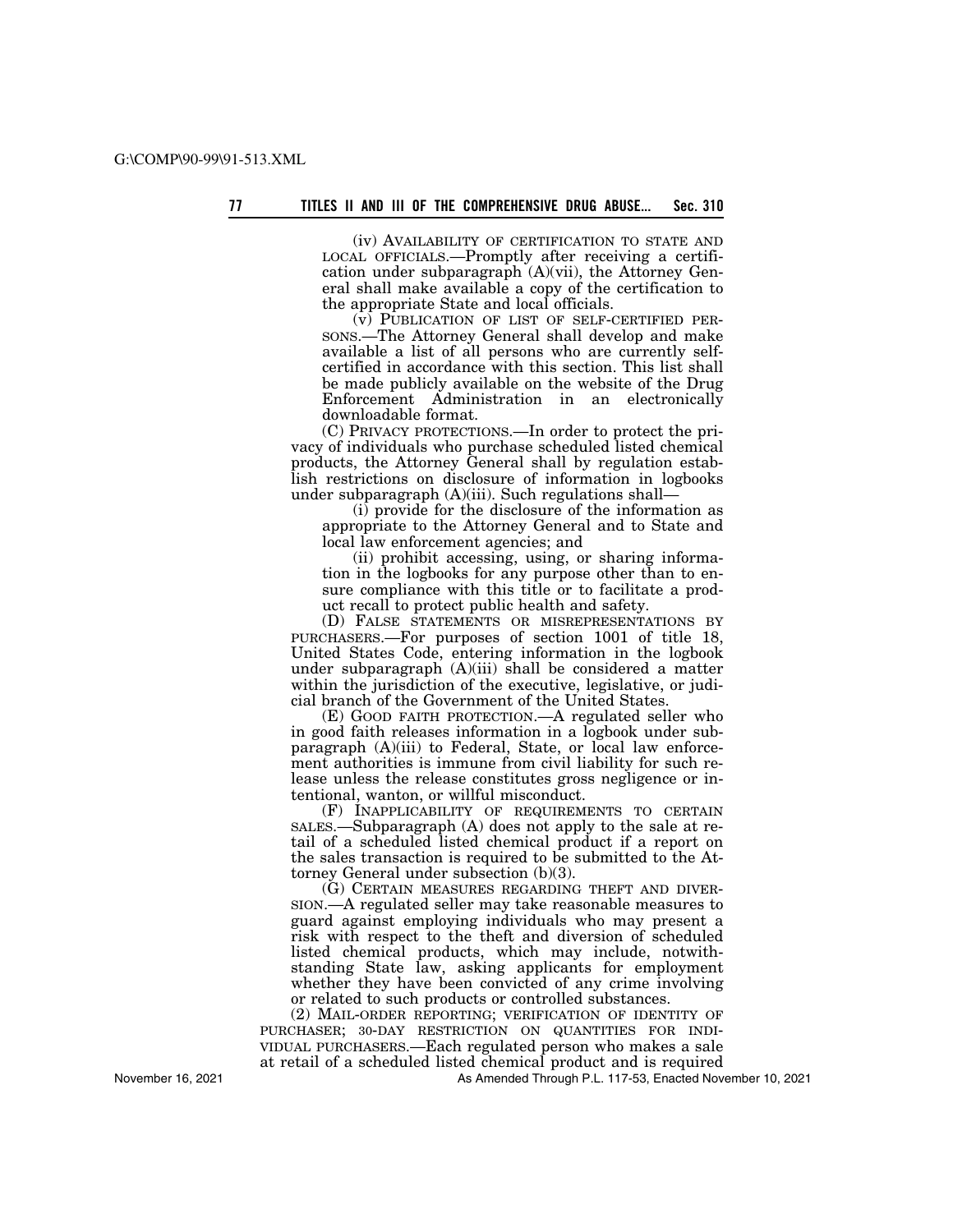(iv) AVAILABILITY OF CERTIFICATION TO STATE AND LOCAL OFFICIALS.—Promptly after receiving a certification under subparagraph (A)(vii), the Attorney General shall make available a copy of the certification to the appropriate State and local officials.

(v) PUBLICATION OF LIST OF SELF-CERTIFIED PER-SONS.—The Attorney General shall develop and make available a list of all persons who are currently selfcertified in accordance with this section. This list shall be made publicly available on the website of the Drug Enforcement Administration in an electronically downloadable format.

(C) PRIVACY PROTECTIONS.—In order to protect the privacy of individuals who purchase scheduled listed chemical products, the Attorney General shall by regulation establish restrictions on disclosure of information in logbooks under subparagraph (A)(iii). Such regulations shall—

(i) provide for the disclosure of the information as appropriate to the Attorney General and to State and local law enforcement agencies; and

(ii) prohibit accessing, using, or sharing information in the logbooks for any purpose other than to ensure compliance with this title or to facilitate a product recall to protect public health and safety.

(D) FALSE STATEMENTS OR MISREPRESENTATIONS BY PURCHASERS.—For purposes of section 1001 of title 18, United States Code, entering information in the logbook under subparagraph (A)(iii) shall be considered a matter within the jurisdiction of the executive, legislative, or judicial branch of the Government of the United States.

(E) GOOD FAITH PROTECTION.—A regulated seller who in good faith releases information in a logbook under subparagraph (A)(iii) to Federal, State, or local law enforcement authorities is immune from civil liability for such release unless the release constitutes gross negligence or intentional, wanton, or willful misconduct.

(F) INAPPLICABILITY OF REQUIREMENTS TO CERTAIN SALES.—Subparagraph (A) does not apply to the sale at retail of a scheduled listed chemical product if a report on the sales transaction is required to be submitted to the Attorney General under subsection (b)(3).

(G) CERTAIN MEASURES REGARDING THEFT AND DIVER-SION.—A regulated seller may take reasonable measures to guard against employing individuals who may present a risk with respect to the theft and diversion of scheduled listed chemical products, which may include, notwithstanding State law, asking applicants for employment whether they have been convicted of any crime involving or related to such products or controlled substances.

(2) MAIL-ORDER REPORTING; VERIFICATION OF IDENTITY OF PURCHASER; 30-DAY RESTRICTION ON QUANTITIES FOR INDI-VIDUAL PURCHASERS.—Each regulated person who makes a sale at retail of a scheduled listed chemical product and is required

As Amended Through P.L. 117-53, Enacted November 10, 2021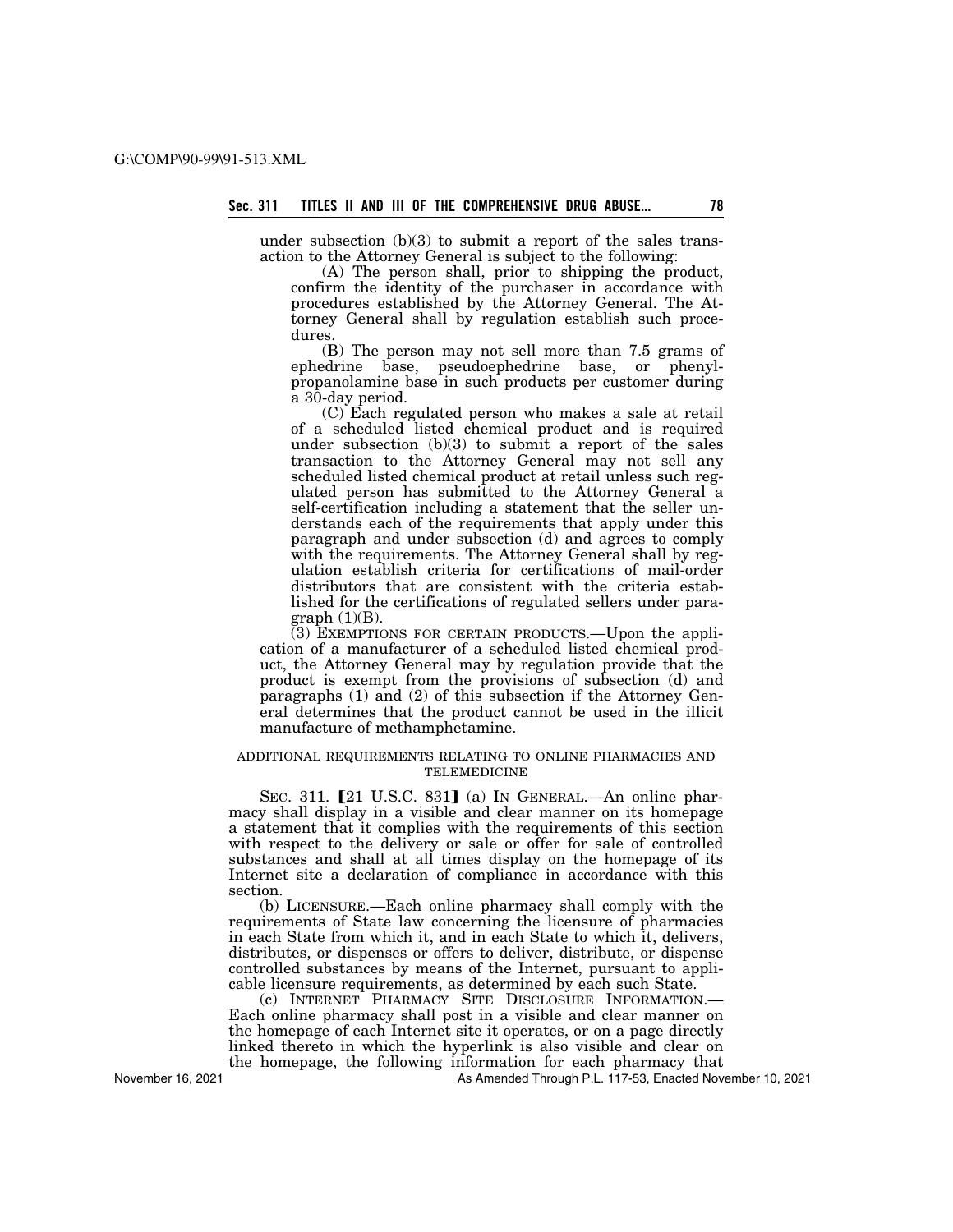under subsection  $(b)(3)$  to submit a report of the sales transaction to the Attorney General is subject to the following:

(A) The person shall, prior to shipping the product, confirm the identity of the purchaser in accordance with procedures established by the Attorney General. The Attorney General shall by regulation establish such procedures.

(B) The person may not sell more than 7.5 grams of ephedrine base, pseudoephedrine base, or phenylpropanolamine base in such products per customer during a 30-day period.

(C) Each regulated person who makes a sale at retail of a scheduled listed chemical product and is required under subsection  $(b)(3)$  to submit a report of the sales transaction to the Attorney General may not sell any scheduled listed chemical product at retail unless such regulated person has submitted to the Attorney General a self-certification including a statement that the seller understands each of the requirements that apply under this paragraph and under subsection (d) and agrees to comply with the requirements. The Attorney General shall by regulation establish criteria for certifications of mail-order distributors that are consistent with the criteria established for the certifications of regulated sellers under paragraph (1)(B).

(3) EXEMPTIONS FOR CERTAIN PRODUCTS.—Upon the application of a manufacturer of a scheduled listed chemical product, the Attorney General may by regulation provide that the product is exempt from the provisions of subsection (d) and paragraphs (1) and (2) of this subsection if the Attorney General determines that the product cannot be used in the illicit manufacture of methamphetamine.

# ADDITIONAL REQUIREMENTS RELATING TO ONLINE PHARMACIES AND TELEMEDICINE

SEC. 311. [21 U.S.C. 831] (a) IN GENERAL.—An online pharmacy shall display in a visible and clear manner on its homepage a statement that it complies with the requirements of this section with respect to the delivery or sale or offer for sale of controlled substances and shall at all times display on the homepage of its Internet site a declaration of compliance in accordance with this section.

(b) LICENSURE.—Each online pharmacy shall comply with the requirements of State law concerning the licensure of pharmacies in each State from which it, and in each State to which it, delivers, distributes, or dispenses or offers to deliver, distribute, or dispense controlled substances by means of the Internet, pursuant to applicable licensure requirements, as determined by each such State.

Each online pharmacy shall post in a visible and clear manner on the homepage of each Internet site it operates, or on a page directly linked thereto in which the hyperlink is also visible and clear on the homepage, the following information for each pharmacy that

As Amended Through P.L. 117-53, Enacted November 10, 2021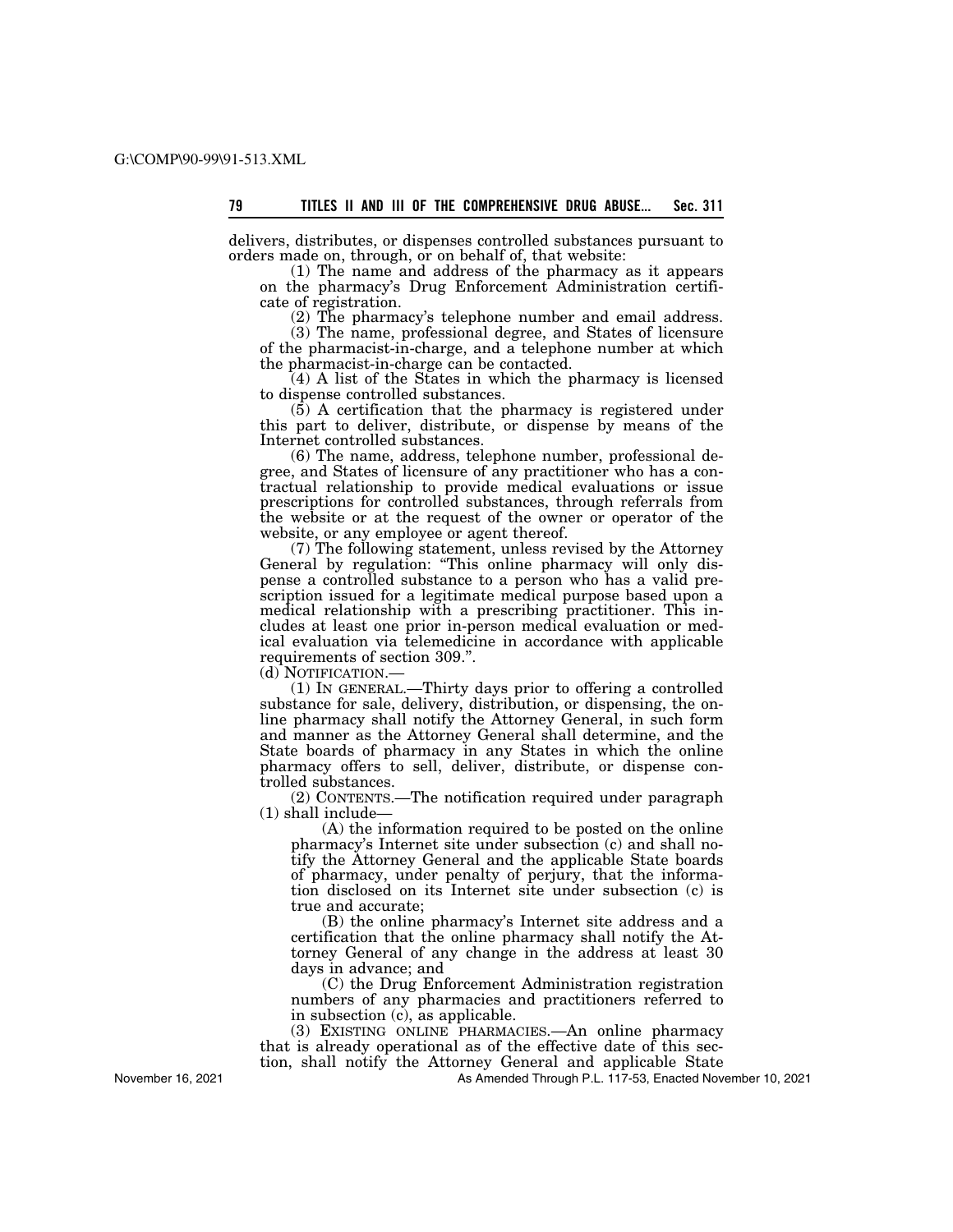delivers, distributes, or dispenses controlled substances pursuant to orders made on, through, or on behalf of, that website:

(1) The name and address of the pharmacy as it appears on the pharmacy's Drug Enforcement Administration certificate of registration.

(2) The pharmacy's telephone number and email address.

(3) The name, professional degree, and States of licensure of the pharmacist-in-charge, and a telephone number at which the pharmacist-in-charge can be contacted.

(4) A list of the States in which the pharmacy is licensed to dispense controlled substances.

(5) A certification that the pharmacy is registered under this part to deliver, distribute, or dispense by means of the Internet controlled substances.

(6) The name, address, telephone number, professional degree, and States of licensure of any practitioner who has a contractual relationship to provide medical evaluations or issue prescriptions for controlled substances, through referrals from the website or at the request of the owner or operator of the website, or any employee or agent thereof.

(7) The following statement, unless revised by the Attorney General by regulation: "This online pharmacy will only dispense a controlled substance to a person who has a valid prescription issued for a legitimate medical purpose based upon a medical relationship with a prescribing practitioner. This includes at least one prior in-person medical evaluation or medical evaluation via telemedicine in accordance with applicable requirements of section 309.''.

(d) NOTIFICATION.—

(1) IN GENERAL.—Thirty days prior to offering a controlled substance for sale, delivery, distribution, or dispensing, the online pharmacy shall notify the Attorney General, in such form and manner as the Attorney General shall determine, and the State boards of pharmacy in any States in which the online pharmacy offers to sell, deliver, distribute, or dispense controlled substances.

(2) CONTENTS.—The notification required under paragraph (1) shall include—

(A) the information required to be posted on the online pharmacy's Internet site under subsection (c) and shall notify the Attorney General and the applicable State boards of pharmacy, under penalty of perjury, that the information disclosed on its Internet site under subsection (c) is true and accurate;

(B) the online pharmacy's Internet site address and a certification that the online pharmacy shall notify the Attorney General of any change in the address at least 30 days in advance; and

(C) the Drug Enforcement Administration registration numbers of any pharmacies and practitioners referred to in subsection (c), as applicable.

(3) EXISTING ONLINE PHARMACIES.—An online pharmacy that is already operational as of the effective date of this section, shall notify the Attorney General and applicable State

As Amended Through P.L. 117-53, Enacted November 10, 2021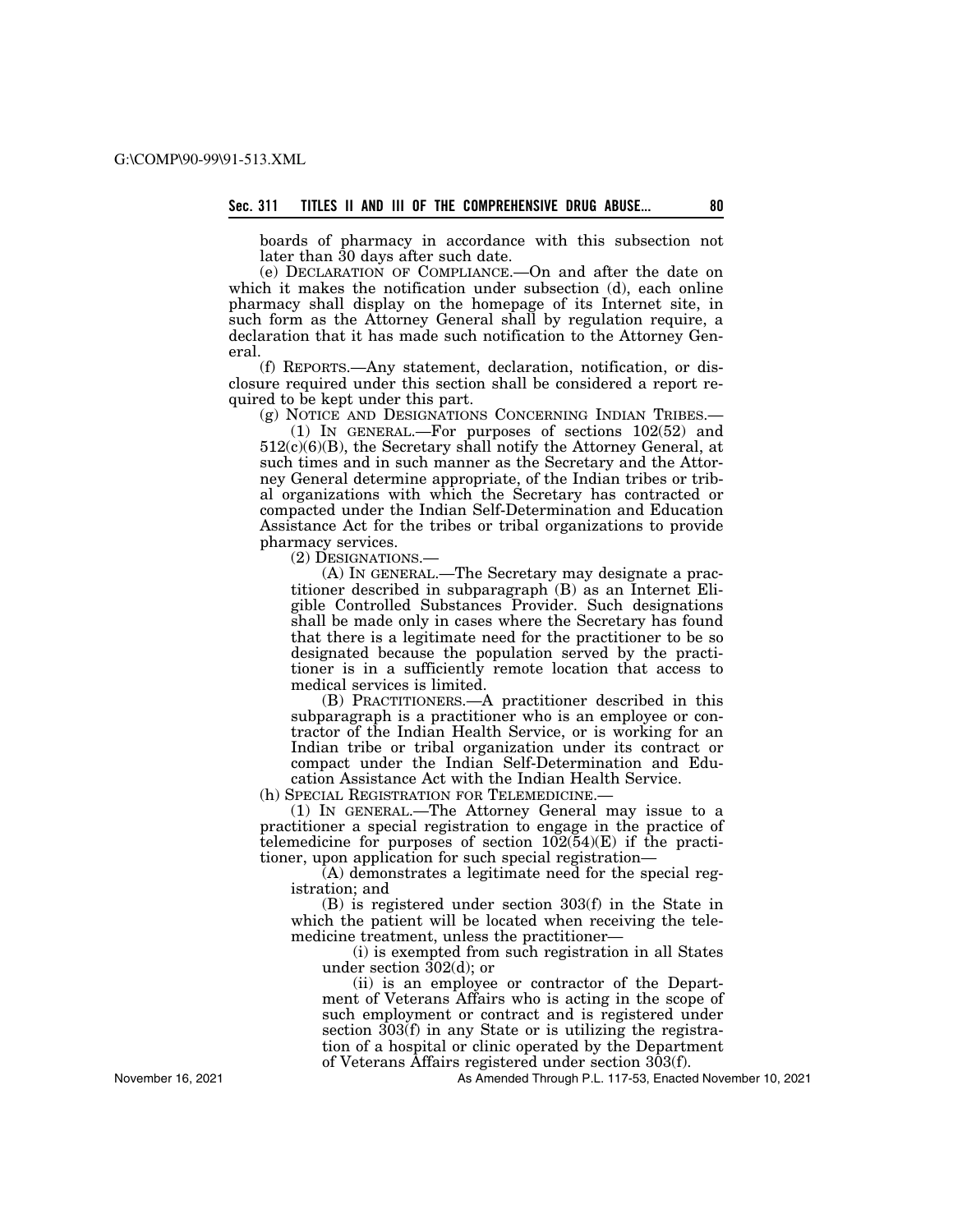boards of pharmacy in accordance with this subsection not later than 30 days after such date.

(e) DECLARATION OF COMPLIANCE.—On and after the date on which it makes the notification under subsection (d), each online pharmacy shall display on the homepage of its Internet site, in such form as the Attorney General shall by regulation require, a declaration that it has made such notification to the Attorney General.

(f) REPORTS.—Any statement, declaration, notification, or disclosure required under this section shall be considered a report required to be kept under this part.

(g) NOTICE AND DESIGNATIONS CONCERNING INDIAN TRIBES.—

(1) IN GENERAL.—For purposes of sections 102(52) and  $512(c)(6)(B)$ , the Secretary shall notify the Attorney General, at such times and in such manner as the Secretary and the Attorney General determine appropriate, of the Indian tribes or tribal organizations with which the Secretary has contracted or compacted under the Indian Self-Determination and Education Assistance Act for the tribes or tribal organizations to provide pharmacy services.

(2) DESIGNATIONS.—

(A) IN GENERAL.—The Secretary may designate a practitioner described in subparagraph (B) as an Internet Eligible Controlled Substances Provider. Such designations shall be made only in cases where the Secretary has found that there is a legitimate need for the practitioner to be so designated because the population served by the practitioner is in a sufficiently remote location that access to medical services is limited.

(B) PRACTITIONERS.—A practitioner described in this subparagraph is a practitioner who is an employee or contractor of the Indian Health Service, or is working for an Indian tribe or tribal organization under its contract or compact under the Indian Self-Determination and Education Assistance Act with the Indian Health Service.

(h) SPECIAL REGISTRATION FOR TELEMEDICINE.—

(1) IN GENERAL.—The Attorney General may issue to a practitioner a special registration to engage in the practice of telemedicine for purposes of section  $102(54)(E)$  if the practitioner, upon application for such special registration—

(A) demonstrates a legitimate need for the special registration; and

(B) is registered under section 303(f) in the State in which the patient will be located when receiving the telemedicine treatment, unless the practitioner—

(i) is exempted from such registration in all States under section 302(d); or

(ii) is an employee or contractor of the Department of Veterans Affairs who is acting in the scope of such employment or contract and is registered under section 303(f) in any State or is utilizing the registration of a hospital or clinic operated by the Department of Veterans Affairs registered under section 303(f).

As Amended Through P.L. 117-53, Enacted November 10, 2021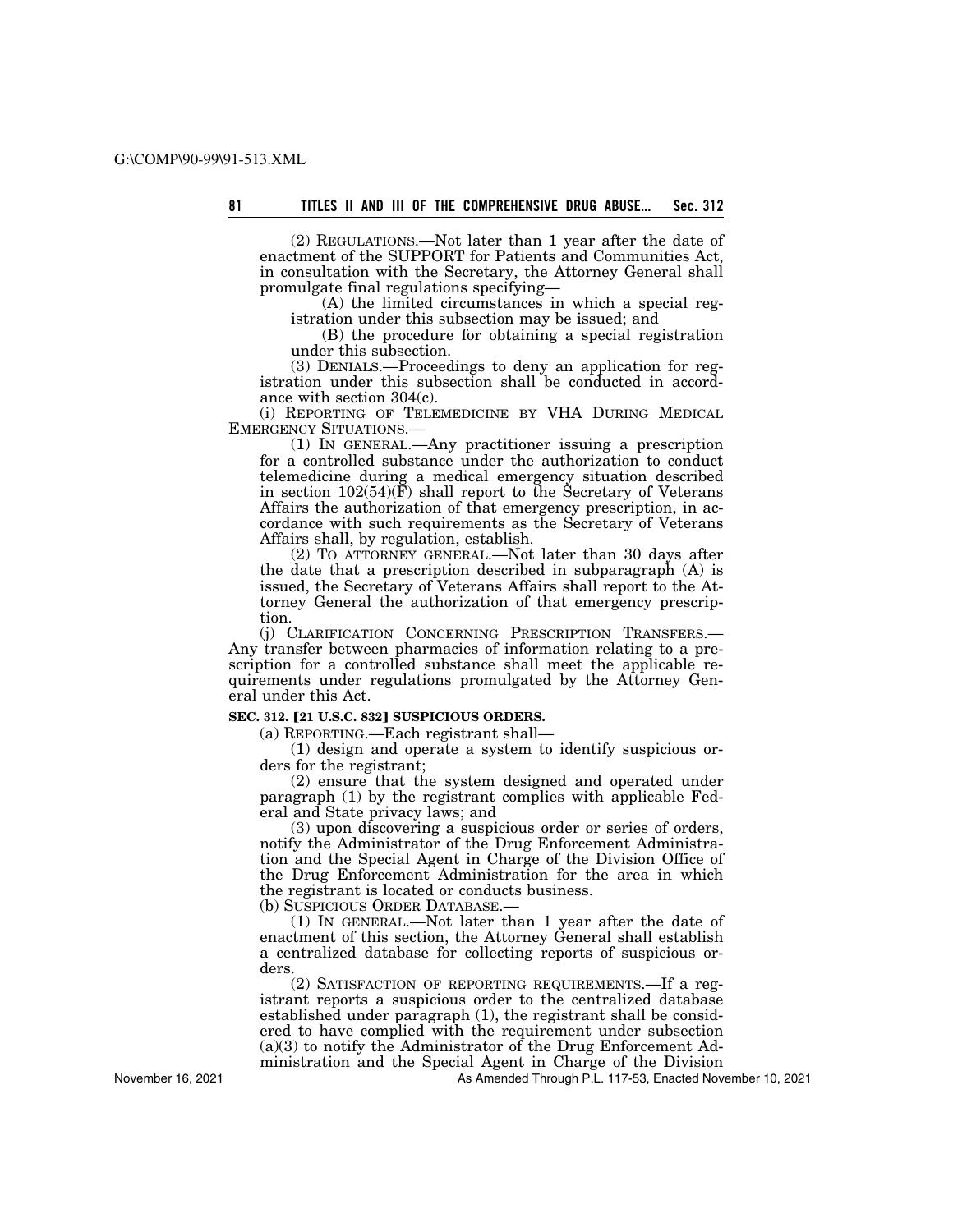(2) REGULATIONS.—Not later than 1 year after the date of enactment of the SUPPORT for Patients and Communities Act, in consultation with the Secretary, the Attorney General shall promulgate final regulations specifying—

(A) the limited circumstances in which a special registration under this subsection may be issued; and

(B) the procedure for obtaining a special registration under this subsection.

(3) DENIALS.—Proceedings to deny an application for registration under this subsection shall be conducted in accordance with section 304(c).

(i) REPORTING OF TELEMEDICINE BY VHA DURING MEDICAL EMERGENCY SITUATIONS.—

(1) IN GENERAL.—Any practitioner issuing a prescription for a controlled substance under the authorization to conduct telemedicine during a medical emergency situation described in section 102(54)(F) shall report to the Secretary of Veterans Affairs the authorization of that emergency prescription, in accordance with such requirements as the Secretary of Veterans Affairs shall, by regulation, establish.

(2) TO ATTORNEY GENERAL.—Not later than 30 days after the date that a prescription described in subparagraph (A) is issued, the Secretary of Veterans Affairs shall report to the Attorney General the authorization of that emergency prescription.

(j) CLARIFICATION CONCERNING PRESCRIPTION TRANSFERS.— Any transfer between pharmacies of information relating to a prescription for a controlled substance shall meet the applicable requirements under regulations promulgated by the Attorney General under this Act.

**SEC. 312. [21 U.S.C. 832] SUSPICIOUS ORDERS.** 

(a) REPORTING.—Each registrant shall—

(1) design and operate a system to identify suspicious orders for the registrant;

(2) ensure that the system designed and operated under paragraph (1) by the registrant complies with applicable Federal and State privacy laws; and

(3) upon discovering a suspicious order or series of orders, notify the Administrator of the Drug Enforcement Administration and the Special Agent in Charge of the Division Office of the Drug Enforcement Administration for the area in which the registrant is located or conducts business.

(b) SUSPICIOUS ORDER DATABASE.—

(1) IN GENERAL.—Not later than 1 year after the date of enactment of this section, the Attorney General shall establish a centralized database for collecting reports of suspicious orders.

(2) SATISFACTION OF REPORTING REQUIREMENTS.—If a registrant reports a suspicious order to the centralized database established under paragraph (1), the registrant shall be considered to have complied with the requirement under subsection (a)(3) to notify the Administrator of the Drug Enforcement Administration and the Special Agent in Charge of the Division

As Amended Through P.L. 117-53, Enacted November 10, 2021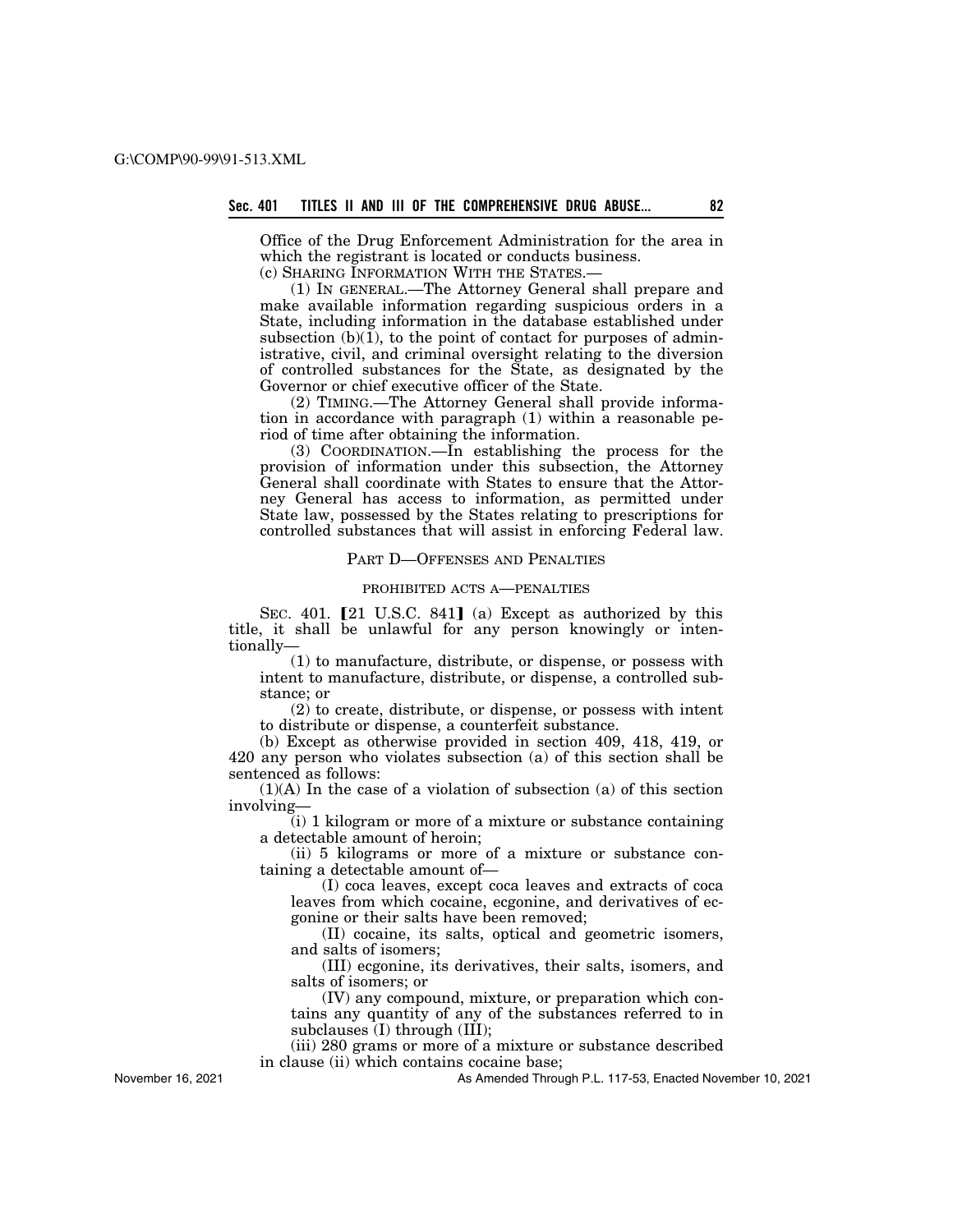Office of the Drug Enforcement Administration for the area in which the registrant is located or conducts business. (c) SHARING INFORMATION WITH THE STATES.—

(1) IN GENERAL.—The Attorney General shall prepare and make available information regarding suspicious orders in a State, including information in the database established under subsection  $(b)(1)$ , to the point of contact for purposes of administrative, civil, and criminal oversight relating to the diversion of controlled substances for the State, as designated by the Governor or chief executive officer of the State.

(2) TIMING.—The Attorney General shall provide information in accordance with paragraph (1) within a reasonable period of time after obtaining the information.

(3) COORDINATION.—In establishing the process for the provision of information under this subsection, the Attorney General shall coordinate with States to ensure that the Attorney General has access to information, as permitted under State law, possessed by the States relating to prescriptions for controlled substances that will assist in enforcing Federal law.

#### PART D—OFFENSES AND PENALTIES

## PROHIBITED ACTS A—PENALTIES

SEC. 401.  $[21 \text{ U.S.C. } 841]$  (a) Except as authorized by this title, it shall be unlawful for any person knowingly or intentionally—

(1) to manufacture, distribute, or dispense, or possess with intent to manufacture, distribute, or dispense, a controlled substance; or

(2) to create, distribute, or dispense, or possess with intent to distribute or dispense, a counterfeit substance.

(b) Except as otherwise provided in section 409, 418, 419, or 420 any person who violates subsection (a) of this section shall be sentenced as follows:

(1)(A) In the case of a violation of subsection (a) of this section involving—

(i) 1 kilogram or more of a mixture or substance containing a detectable amount of heroin;

(ii) 5 kilograms or more of a mixture or substance containing a detectable amount of—

(I) coca leaves, except coca leaves and extracts of coca leaves from which cocaine, ecgonine, and derivatives of ecgonine or their salts have been removed;

(II) cocaine, its salts, optical and geometric isomers, and salts of isomers;

(III) ecgonine, its derivatives, their salts, isomers, and salts of isomers; or

(IV) any compound, mixture, or preparation which contains any quantity of any of the substances referred to in subclauses (I) through (III);

(iii) 280 grams or more of a mixture or substance described in clause (ii) which contains cocaine base;

November 16, 2021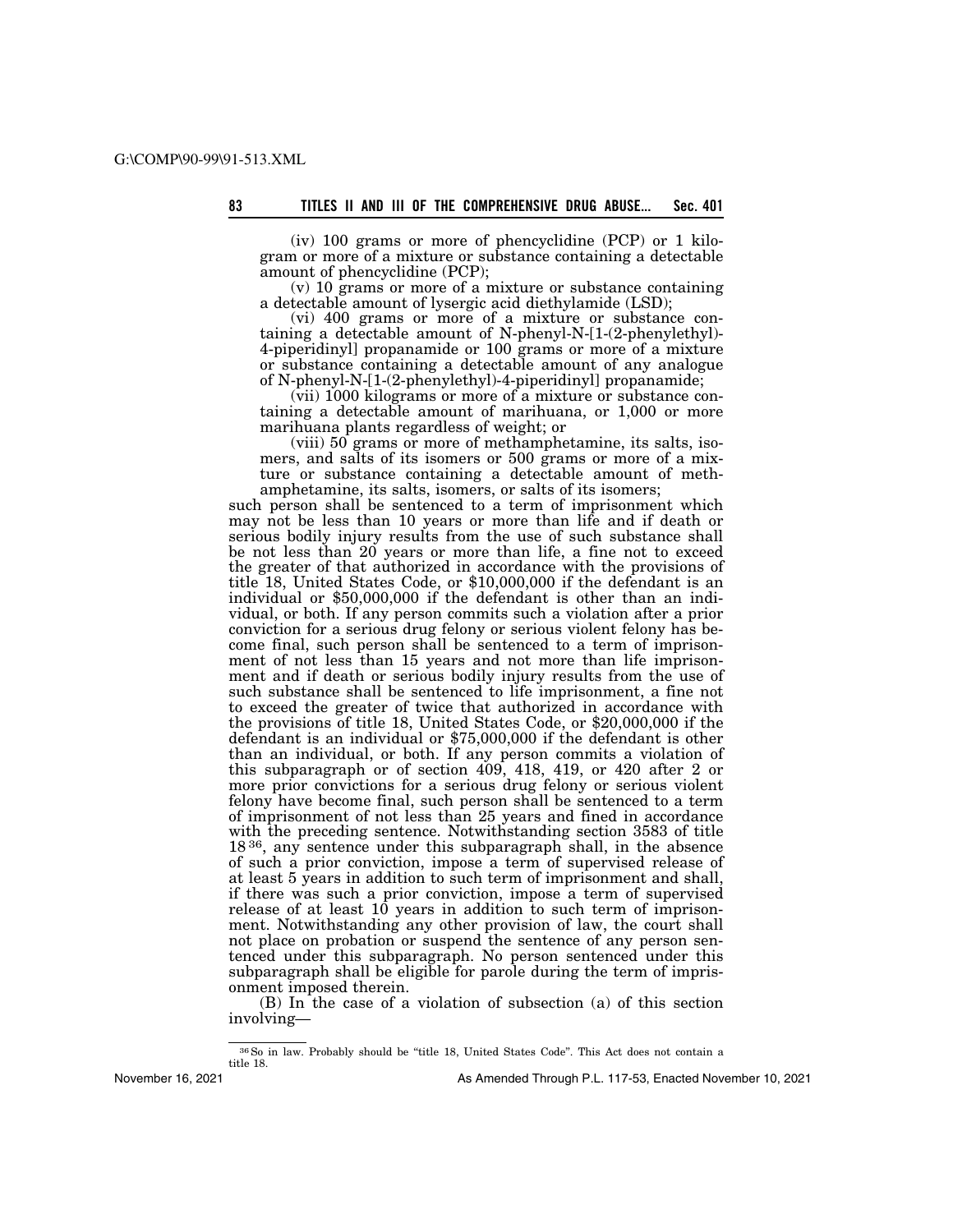(iv) 100 grams or more of phencyclidine (PCP) or 1 kilogram or more of a mixture or substance containing a detectable amount of phencyclidine (PCP);

(v) 10 grams or more of a mixture or substance containing a detectable amount of lysergic acid diethylamide (LSD);

(vi) 400 grams or more of a mixture or substance containing a detectable amount of N-phenyl-N-[1-(2-phenylethyl)- 4-piperidinyl] propanamide or 100 grams or more of a mixture or substance containing a detectable amount of any analogue of N-phenyl-N-[1-(2-phenylethyl)-4-piperidinyl] propanamide;

(vii) 1000 kilograms or more of a mixture or substance containing a detectable amount of marihuana, or 1,000 or more marihuana plants regardless of weight; or

(viii) 50 grams or more of methamphetamine, its salts, isomers, and salts of its isomers or 500 grams or more of a mixture or substance containing a detectable amount of methamphetamine, its salts, isomers, or salts of its isomers;

such person shall be sentenced to a term of imprisonment which may not be less than 10 years or more than life and if death or serious bodily injury results from the use of such substance shall be not less than 20 years or more than life, a fine not to exceed the greater of that authorized in accordance with the provisions of title 18, United States Code, or \$10,000,000 if the defendant is an individual or \$50,000,000 if the defendant is other than an individual, or both. If any person commits such a violation after a prior conviction for a serious drug felony or serious violent felony has become final, such person shall be sentenced to a term of imprisonment of not less than 15 years and not more than life imprisonment and if death or serious bodily injury results from the use of such substance shall be sentenced to life imprisonment, a fine not to exceed the greater of twice that authorized in accordance with the provisions of title 18, United States Code, or \$20,000,000 if the defendant is an individual or \$75,000,000 if the defendant is other than an individual, or both. If any person commits a violation of this subparagraph or of section 409, 418, 419, or 420 after 2 or more prior convictions for a serious drug felony or serious violent felony have become final, such person shall be sentenced to a term of imprisonment of not less than 25 years and fined in accordance with the preceding sentence. Notwithstanding section 3583 of title 18 36, any sentence under this subparagraph shall, in the absence of such a prior conviction, impose a term of supervised release of at least 5 years in addition to such term of imprisonment and shall, if there was such a prior conviction, impose a term of supervised release of at least 10 years in addition to such term of imprisonment. Notwithstanding any other provision of law, the court shall not place on probation or suspend the sentence of any person sentenced under this subparagraph. No person sentenced under this subparagraph shall be eligible for parole during the term of imprisonment imposed therein.

(B) In the case of a violation of subsection (a) of this section involving—

36So in law. Probably should be ''title 18, United States Code''. This Act does not contain a title 18.

November 16, 2021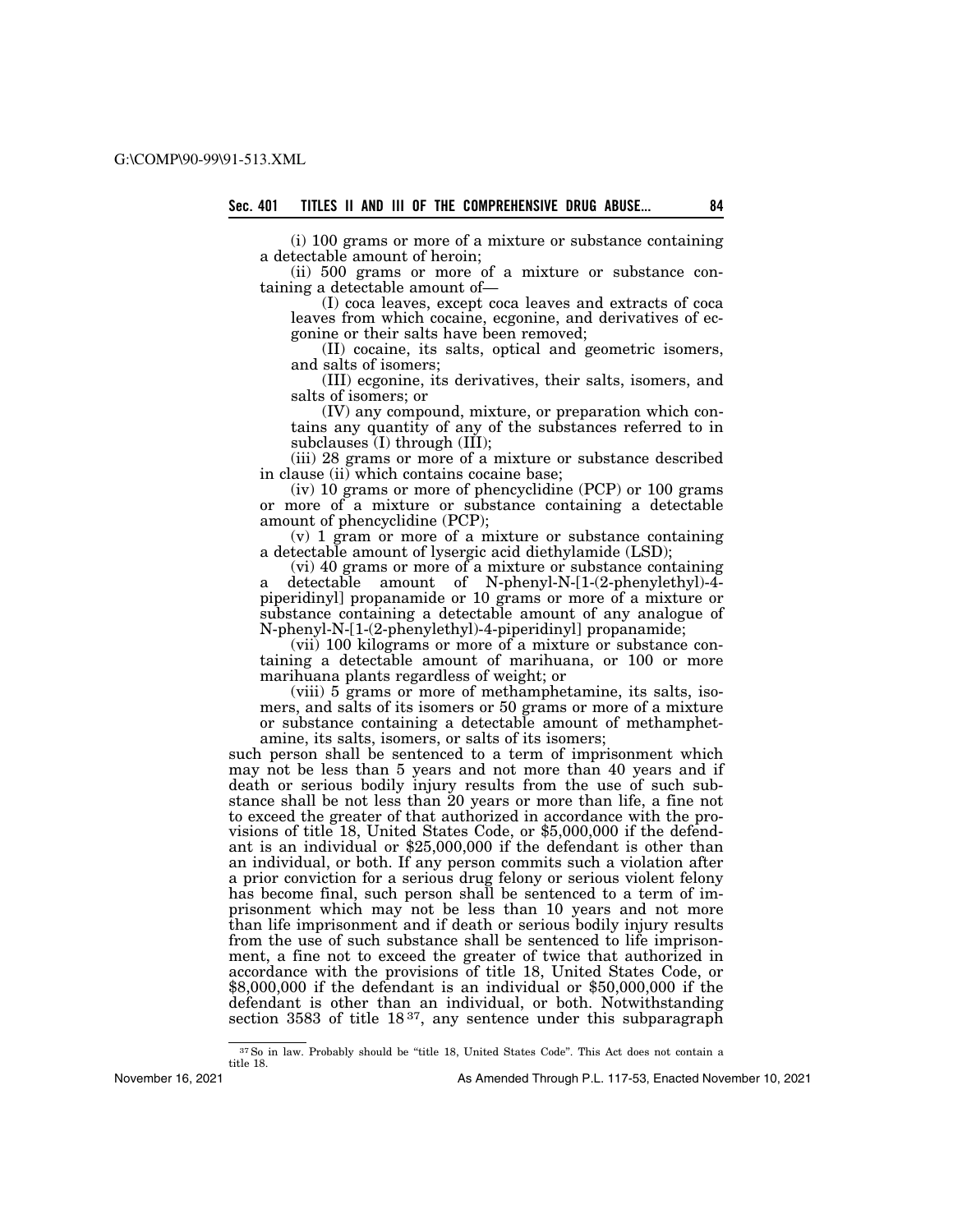(i) 100 grams or more of a mixture or substance containing a detectable amount of heroin;

(ii) 500 grams or more of a mixture or substance containing a detectable amount of—

(I) coca leaves, except coca leaves and extracts of coca leaves from which cocaine, ecgonine, and derivatives of ecgonine or their salts have been removed;

(II) cocaine, its salts, optical and geometric isomers, and salts of isomers;

(III) ecgonine, its derivatives, their salts, isomers, and salts of isomers; or

(IV) any compound, mixture, or preparation which contains any quantity of any of the substances referred to in subclauses (I) through (III);

(iii) 28 grams or more of a mixture or substance described in clause (ii) which contains cocaine base;

(iv) 10 grams or more of phencyclidine (PCP) or 100 grams or more of a mixture or substance containing a detectable amount of phencyclidine (PCP);

(v) 1 gram or more of a mixture or substance containing a detectable amount of lysergic acid diethylamide (LSD);

(vi) 40 grams or more of a mixture or substance containing a detectable amount of N-phenyl-N-[1-(2-phenylethyl)-4 piperidinyl] propanamide or 10 grams or more of a mixture or substance containing a detectable amount of any analogue of N-phenyl-N-[1-(2-phenylethyl)-4-piperidinyl] propanamide;

(vii) 100 kilograms or more of a mixture or substance containing a detectable amount of marihuana, or 100 or more marihuana plants regardless of weight; or

(viii) 5 grams or more of methamphetamine, its salts, isomers, and salts of its isomers or 50 grams or more of a mixture or substance containing a detectable amount of methamphetamine, its salts, isomers, or salts of its isomers;

such person shall be sentenced to a term of imprisonment which may not be less than 5 years and not more than 40 years and if death or serious bodily injury results from the use of such substance shall be not less than 20 years or more than life, a fine not to exceed the greater of that authorized in accordance with the provisions of title 18, United States Code, or \$5,000,000 if the defendant is an individual or \$25,000,000 if the defendant is other than an individual, or both. If any person commits such a violation after a prior conviction for a serious drug felony or serious violent felony has become final, such person shall be sentenced to a term of imprisonment which may not be less than 10 years and not more than life imprisonment and if death or serious bodily injury results from the use of such substance shall be sentenced to life imprisonment, a fine not to exceed the greater of twice that authorized in accordance with the provisions of title 18, United States Code, or \$8,000,000 if the defendant is an individual or \$50,000,000 if the defendant is other than an individual, or both. Notwithstanding section 3583 of title  $18^{37}$ , any sentence under this subparagraph

November 16, 2021

<sup>&</sup>lt;sup>37</sup>So in law. Probably should be "title 18, United States Code". This Act does not contain a title 18.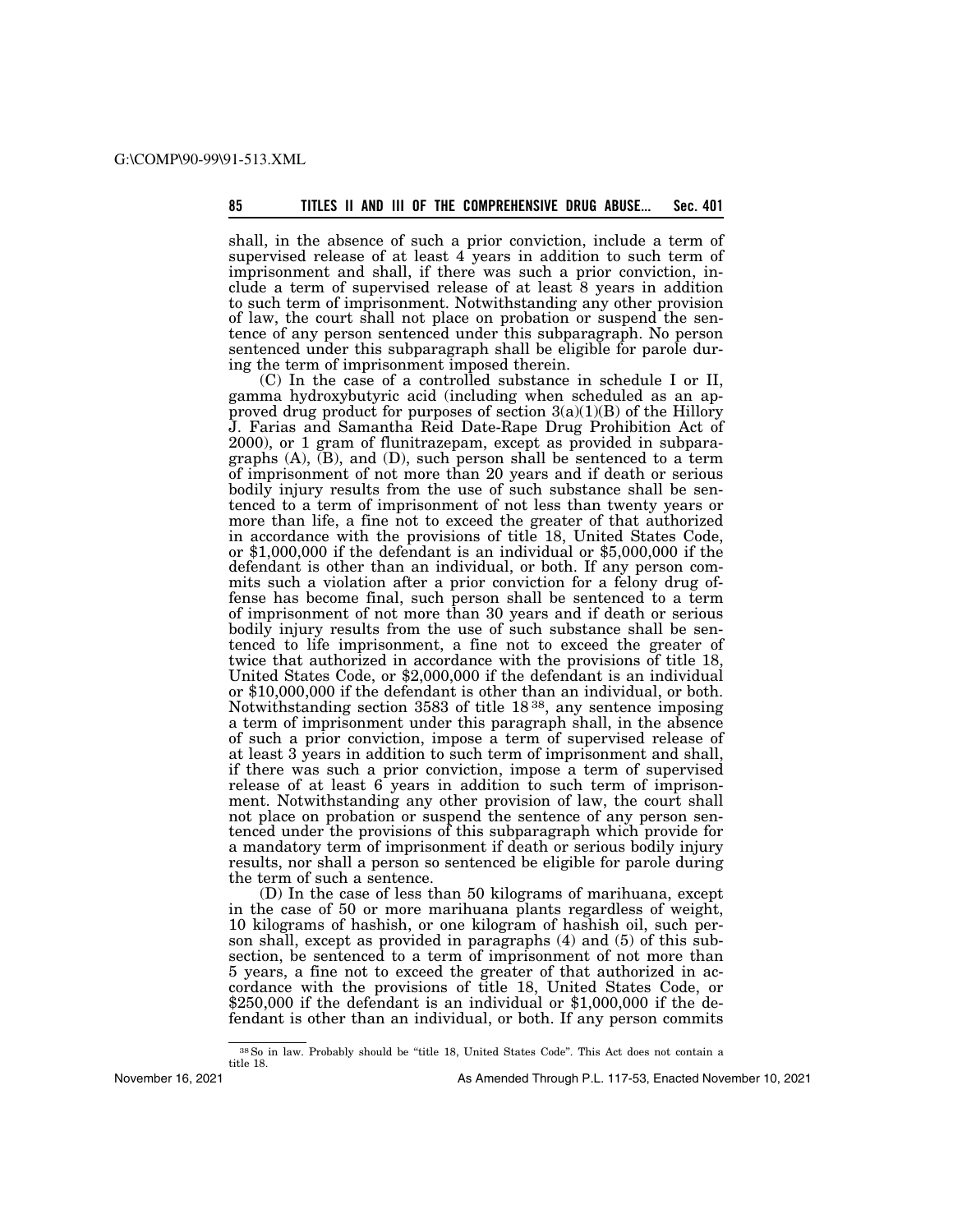shall, in the absence of such a prior conviction, include a term of supervised release of at least 4 years in addition to such term of imprisonment and shall, if there was such a prior conviction, include a term of supervised release of at least 8 years in addition to such term of imprisonment. Notwithstanding any other provision of law, the court shall not place on probation or suspend the sentence of any person sentenced under this subparagraph. No person sentenced under this subparagraph shall be eligible for parole during the term of imprisonment imposed therein.

(C) In the case of a controlled substance in schedule I or II, gamma hydroxybutyric acid (including when scheduled as an approved drug product for purposes of section  $3(a)(1)(B)$  of the Hillory J. Farias and Samantha Reid Date-Rape Drug Prohibition Act of 2000), or 1 gram of flunitrazepam, except as provided in subparagraphs (A), (B), and (D), such person shall be sentenced to a term of imprisonment of not more than 20 years and if death or serious bodily injury results from the use of such substance shall be sentenced to a term of imprisonment of not less than twenty years or more than life, a fine not to exceed the greater of that authorized in accordance with the provisions of title 18, United States Code, or \$1,000,000 if the defendant is an individual or \$5,000,000 if the defendant is other than an individual, or both. If any person commits such a violation after a prior conviction for a felony drug offense has become final, such person shall be sentenced to a term of imprisonment of not more than 30 years and if death or serious bodily injury results from the use of such substance shall be sentenced to life imprisonment, a fine not to exceed the greater of twice that authorized in accordance with the provisions of title 18, United States Code, or \$2,000,000 if the defendant is an individual or \$10,000,000 if the defendant is other than an individual, or both. Notwithstanding section 3583 of title 18 38, any sentence imposing a term of imprisonment under this paragraph shall, in the absence of such a prior conviction, impose a term of supervised release of at least 3 years in addition to such term of imprisonment and shall, if there was such a prior conviction, impose a term of supervised release of at least 6 years in addition to such term of imprisonment. Notwithstanding any other provision of law, the court shall not place on probation or suspend the sentence of any person sentenced under the provisions of this subparagraph which provide for a mandatory term of imprisonment if death or serious bodily injury results, nor shall a person so sentenced be eligible for parole during the term of such a sentence.

(D) In the case of less than 50 kilograms of marihuana, except in the case of 50 or more marihuana plants regardless of weight, 10 kilograms of hashish, or one kilogram of hashish oil, such person shall, except as provided in paragraphs (4) and (5) of this subsection, be sentenced to a term of imprisonment of not more than 5 years, a fine not to exceed the greater of that authorized in accordance with the provisions of title 18, United States Code, or \$250,000 if the defendant is an individual or \$1,000,000 if the defendant is other than an individual, or both. If any person commits

38So in law. Probably should be ''title 18, United States Code''. This Act does not contain a title 18.

November 16, 2021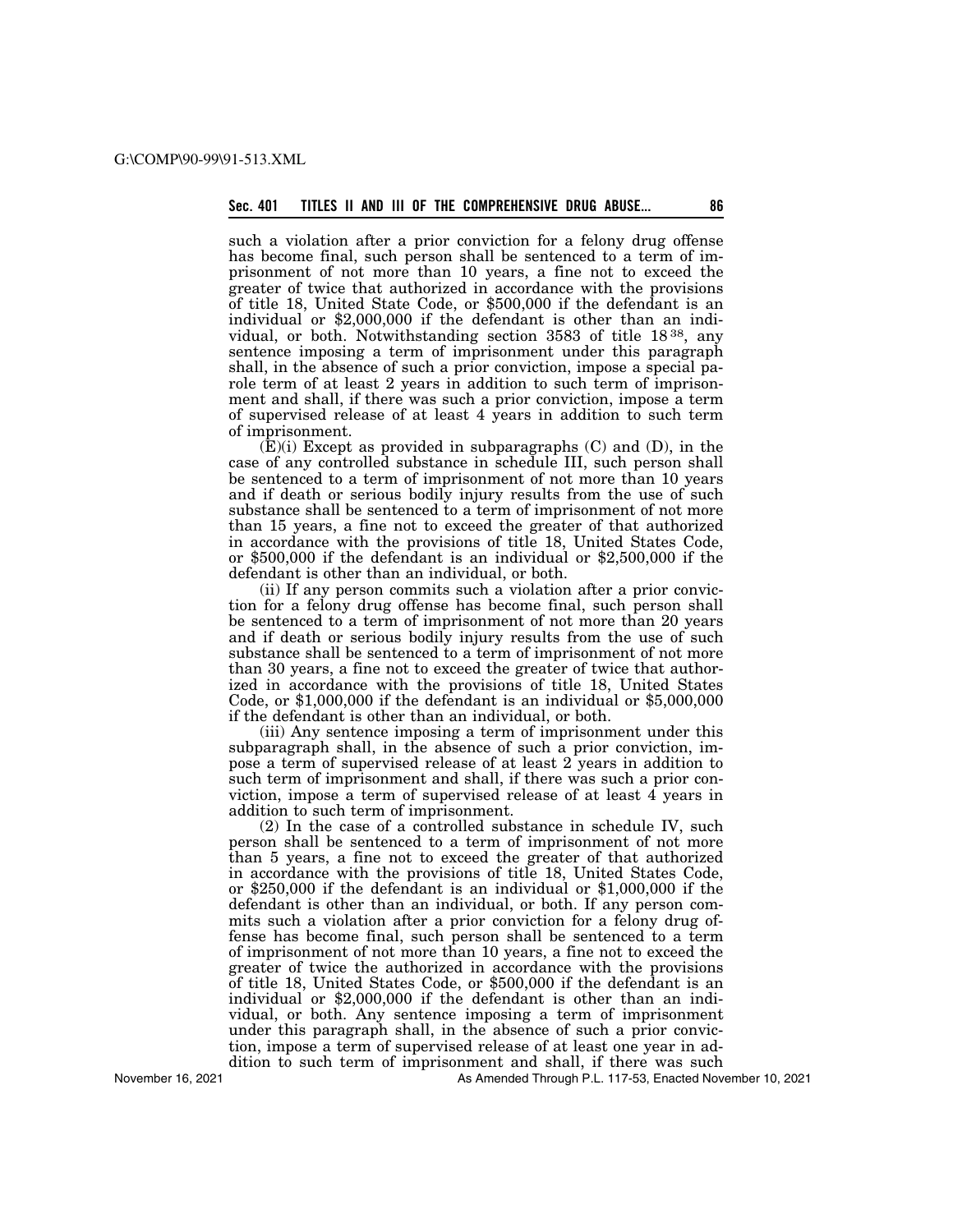such a violation after a prior conviction for a felony drug offense has become final, such person shall be sentenced to a term of imprisonment of not more than 10 years, a fine not to exceed the greater of twice that authorized in accordance with the provisions of title 18, United State Code, or \$500,000 if the defendant is an individual or \$2,000,000 if the defendant is other than an individual, or both. Notwithstanding section 3583 of title 18 38, any sentence imposing a term of imprisonment under this paragraph shall, in the absence of such a prior conviction, impose a special parole term of at least 2 years in addition to such term of imprisonment and shall, if there was such a prior conviction, impose a term of supervised release of at least 4 years in addition to such term of imprisonment.

 $(E)(i)$  Except as provided in subparagraphs  $(C)$  and  $(D)$ , in the case of any controlled substance in schedule III, such person shall be sentenced to a term of imprisonment of not more than 10 years and if death or serious bodily injury results from the use of such substance shall be sentenced to a term of imprisonment of not more than 15 years, a fine not to exceed the greater of that authorized in accordance with the provisions of title 18, United States Code, or \$500,000 if the defendant is an individual or \$2,500,000 if the defendant is other than an individual, or both.

(ii) If any person commits such a violation after a prior conviction for a felony drug offense has become final, such person shall be sentenced to a term of imprisonment of not more than 20 years and if death or serious bodily injury results from the use of such substance shall be sentenced to a term of imprisonment of not more than 30 years, a fine not to exceed the greater of twice that authorized in accordance with the provisions of title 18, United States Code, or \$1,000,000 if the defendant is an individual or \$5,000,000 if the defendant is other than an individual, or both.

(iii) Any sentence imposing a term of imprisonment under this subparagraph shall, in the absence of such a prior conviction, impose a term of supervised release of at least 2 years in addition to such term of imprisonment and shall, if there was such a prior conviction, impose a term of supervised release of at least 4 years in addition to such term of imprisonment.

(2) In the case of a controlled substance in schedule IV, such person shall be sentenced to a term of imprisonment of not more than 5 years, a fine not to exceed the greater of that authorized in accordance with the provisions of title 18, United States Code, or \$250,000 if the defendant is an individual or \$1,000,000 if the defendant is other than an individual, or both. If any person commits such a violation after a prior conviction for a felony drug offense has become final, such person shall be sentenced to a term of imprisonment of not more than 10 years, a fine not to exceed the greater of twice the authorized in accordance with the provisions of title 18, United States Code, or \$500,000 if the defendant is an individual or \$2,000,000 if the defendant is other than an individual, or both. Any sentence imposing a term of imprisonment under this paragraph shall, in the absence of such a prior conviction, impose a term of supervised release of at least one year in addition to such term of imprisonment and shall, if there was such

November 16, 2021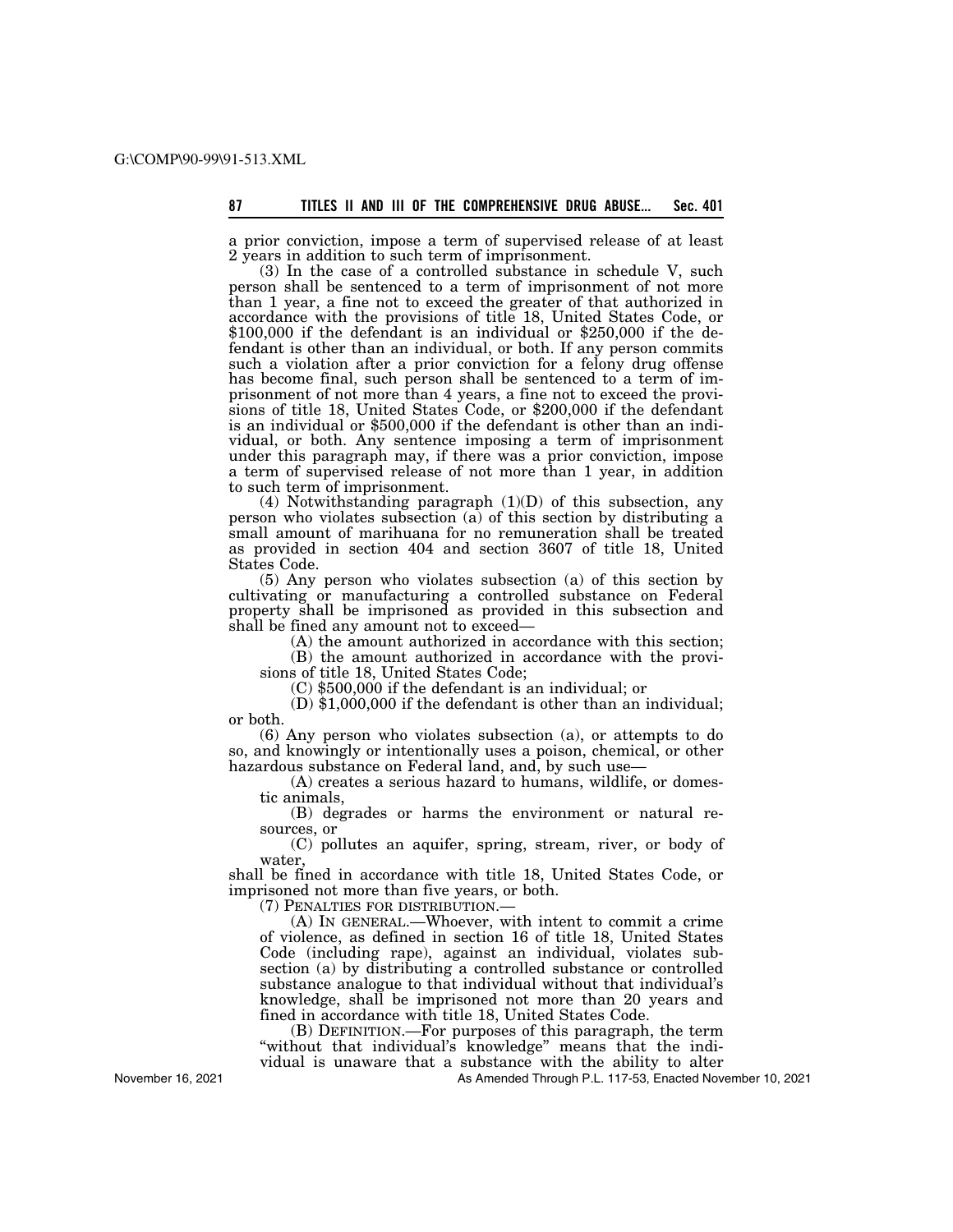a prior conviction, impose a term of supervised release of at least 2 years in addition to such term of imprisonment.

(3) In the case of a controlled substance in schedule V, such person shall be sentenced to a term of imprisonment of not more than 1 year, a fine not to exceed the greater of that authorized in accordance with the provisions of title 18, United States Code, or \$100,000 if the defendant is an individual or \$250,000 if the defendant is other than an individual, or both. If any person commits such a violation after a prior conviction for a felony drug offense has become final, such person shall be sentenced to a term of imprisonment of not more than 4 years, a fine not to exceed the provisions of title 18, United States Code, or \$200,000 if the defendant is an individual or \$500,000 if the defendant is other than an individual, or both. Any sentence imposing a term of imprisonment under this paragraph may, if there was a prior conviction, impose a term of supervised release of not more than 1 year, in addition to such term of imprisonment.

(4) Notwithstanding paragraph (1)(D) of this subsection, any person who violates subsection (a) of this section by distributing a small amount of marihuana for no remuneration shall be treated as provided in section 404 and section 3607 of title 18, United States Code.

(5) Any person who violates subsection (a) of this section by cultivating or manufacturing a controlled substance on Federal property shall be imprisoned as provided in this subsection and shall be fined any amount not to exceed—

(A) the amount authorized in accordance with this section;

(B) the amount authorized in accordance with the provisions of title 18, United States Code;

(C) \$500,000 if the defendant is an individual; or

(D) \$1,000,000 if the defendant is other than an individual; or both.

(6) Any person who violates subsection (a), or attempts to do so, and knowingly or intentionally uses a poison, chemical, or other hazardous substance on Federal land, and, by such use—

(A) creates a serious hazard to humans, wildlife, or domestic animals,

(B) degrades or harms the environment or natural resources, or

(C) pollutes an aquifer, spring, stream, river, or body of water,

shall be fined in accordance with title 18, United States Code, or imprisoned not more than five years, or both.

(7) PENALTIES FOR DISTRIBUTION.—

(A) IN GENERAL.—Whoever, with intent to commit a crime of violence, as defined in section 16 of title 18, United States Code (including rape), against an individual, violates subsection (a) by distributing a controlled substance or controlled substance analogue to that individual without that individual's knowledge, shall be imprisoned not more than 20 years and fined in accordance with title 18, United States Code.

(B) DEFINITION.—For purposes of this paragraph, the term "without that individual's knowledge" means that the individual is unaware that a substance with the ability to alter

As Amended Through P.L. 117-53, Enacted November 10, 2021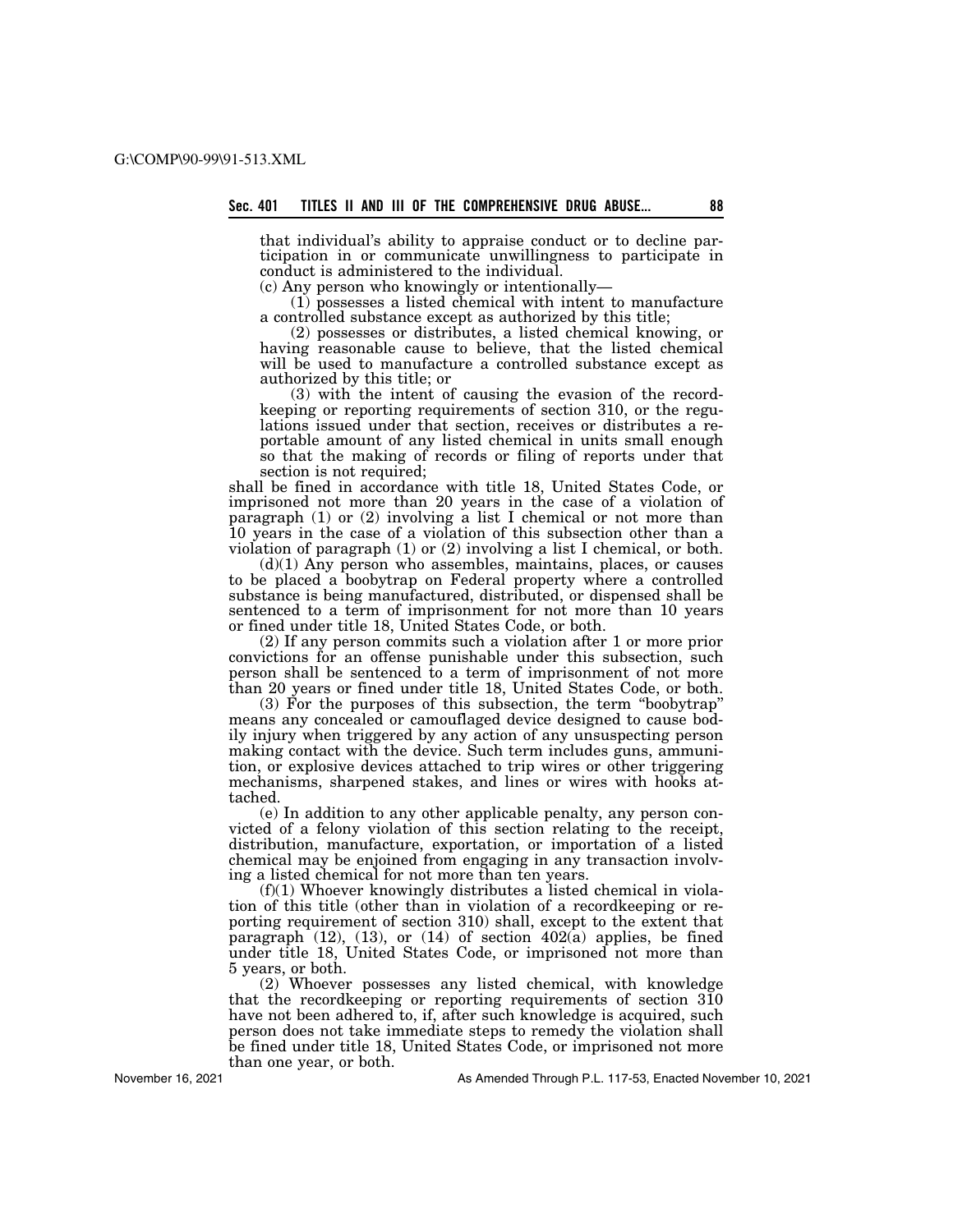that individual's ability to appraise conduct or to decline participation in or communicate unwillingness to participate in conduct is administered to the individual.

(c) Any person who knowingly or intentionally—

(1) possesses a listed chemical with intent to manufacture a controlled substance except as authorized by this title;

(2) possesses or distributes, a listed chemical knowing, or having reasonable cause to believe, that the listed chemical will be used to manufacture a controlled substance except as authorized by this title; or

(3) with the intent of causing the evasion of the recordkeeping or reporting requirements of section 310, or the regulations issued under that section, receives or distributes a reportable amount of any listed chemical in units small enough so that the making of records or filing of reports under that section is not required;

shall be fined in accordance with title 18, United States Code, or imprisoned not more than 20 years in the case of a violation of paragraph (1) or (2) involving a list I chemical or not more than 10 years in the case of a violation of this subsection other than a violation of paragraph (1) or (2) involving a list I chemical, or both.

(d)(1) Any person who assembles, maintains, places, or causes to be placed a boobytrap on Federal property where a controlled substance is being manufactured, distributed, or dispensed shall be sentenced to a term of imprisonment for not more than 10 years or fined under title 18, United States Code, or both.

(2) If any person commits such a violation after 1 or more prior convictions for an offense punishable under this subsection, such person shall be sentenced to a term of imprisonment of not more than 20 years or fined under title 18, United States Code, or both.

(3) For the purposes of this subsection, the term ''boobytrap'' means any concealed or camouflaged device designed to cause bodily injury when triggered by any action of any unsuspecting person making contact with the device. Such term includes guns, ammunition, or explosive devices attached to trip wires or other triggering mechanisms, sharpened stakes, and lines or wires with hooks attached.

(e) In addition to any other applicable penalty, any person convicted of a felony violation of this section relating to the receipt, distribution, manufacture, exportation, or importation of a listed chemical may be enjoined from engaging in any transaction involving a listed chemical for not more than ten years.

(f)(1) Whoever knowingly distributes a listed chemical in violation of this title (other than in violation of a recordkeeping or reporting requirement of section 310) shall, except to the extent that paragraph  $(12)$ ,  $(13)$ , or  $(14)$  of section  $402(a)$  applies, be fined under title 18, United States Code, or imprisoned not more than 5 years, or both.

(2) Whoever possesses any listed chemical, with knowledge that the recordkeeping or reporting requirements of section 310 have not been adhered to, if, after such knowledge is acquired, such person does not take immediate steps to remedy the violation shall be fined under title 18, United States Code, or imprisoned not more than one year, or both.

November 16, 2021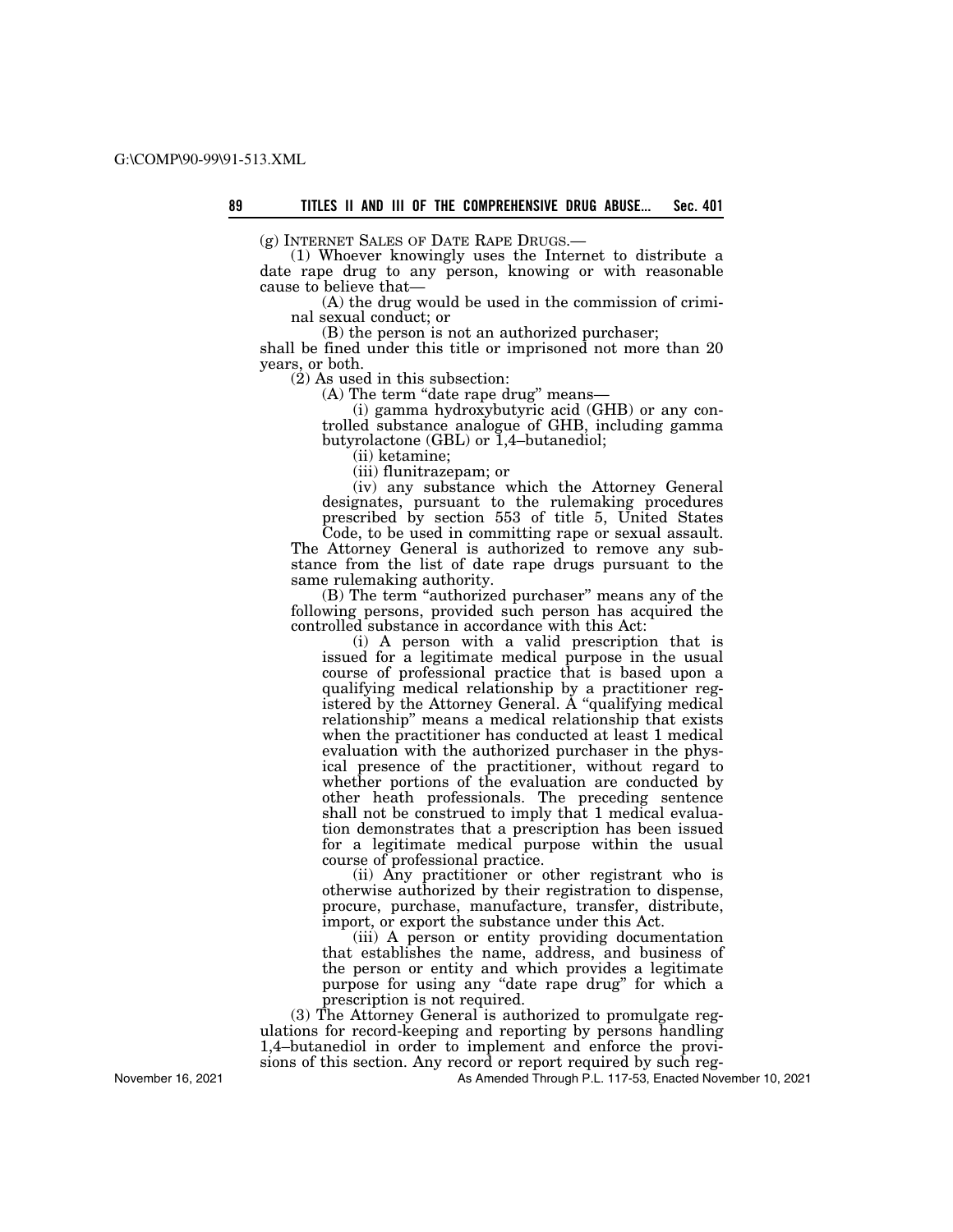(g) INTERNET SALES OF DATE RAPE DRUGS.— (1) Whoever knowingly uses the Internet to distribute a date rape drug to any person, knowing or with reasonable cause to believe that—

(A) the drug would be used in the commission of criminal sexual conduct; or

(B) the person is not an authorized purchaser;

shall be fined under this title or imprisoned not more than 20 years, or both.

(2) As used in this subsection:

(A) The term "date rape drug" means-

(i) gamma hydroxybutyric acid (GHB) or any controlled substance analogue of GHB, including gamma butyrolactone (GBL) or  $\check{1},$ 4-butanediol;

(ii) ketamine;

(iii) flunitrazepam; or

(iv) any substance which the Attorney General designates, pursuant to the rulemaking procedures prescribed by section 553 of title 5, United States

Code, to be used in committing rape or sexual assault. The Attorney General is authorized to remove any substance from the list of date rape drugs pursuant to the same rulemaking authority.

(B) The term ''authorized purchaser'' means any of the following persons, provided such person has acquired the controlled substance in accordance with this Act:

(i) A person with a valid prescription that is issued for a legitimate medical purpose in the usual course of professional practice that is based upon a qualifying medical relationship by a practitioner registered by the Attorney General. A ''qualifying medical relationship'' means a medical relationship that exists when the practitioner has conducted at least 1 medical evaluation with the authorized purchaser in the physical presence of the practitioner, without regard to whether portions of the evaluation are conducted by other heath professionals. The preceding sentence shall not be construed to imply that 1 medical evaluation demonstrates that a prescription has been issued for a legitimate medical purpose within the usual course of professional practice.

(ii) Any practitioner or other registrant who is otherwise authorized by their registration to dispense, procure, purchase, manufacture, transfer, distribute, import, or export the substance under this Act.

(iii) A person or entity providing documentation that establishes the name, address, and business of the person or entity and which provides a legitimate purpose for using any ''date rape drug'' for which a prescription is not required.

(3) The Attorney General is authorized to promulgate regulations for record-keeping and reporting by persons handling 1,4–butanediol in order to implement and enforce the provisions of this section. Any record or report required by such reg-

As Amended Through P.L. 117-53, Enacted November 10, 2021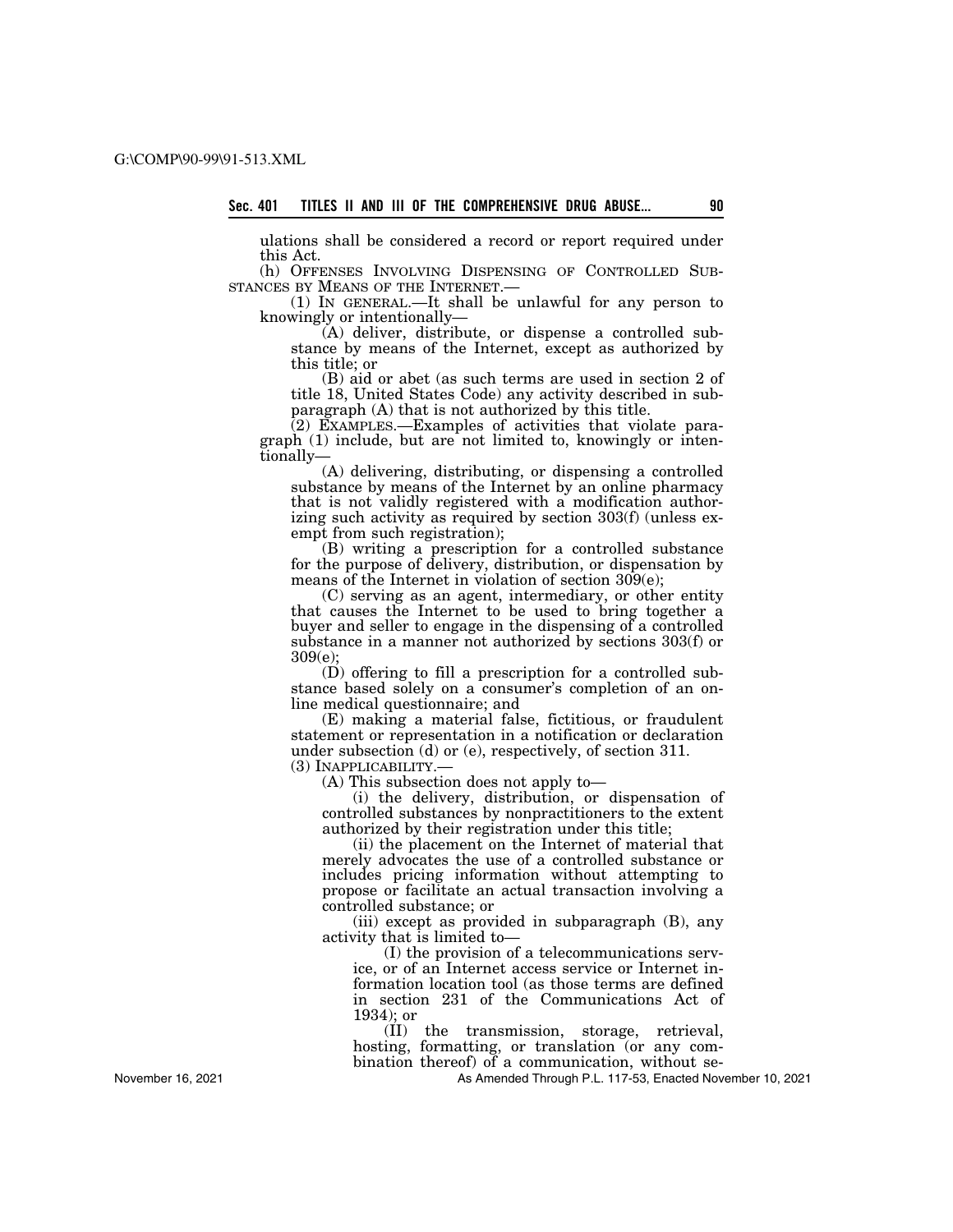ulations shall be considered a record or report required under this Act.

(h) OFFENSES INVOLVING DISPENSING OF CONTROLLED SUB- STANCES BY MEANS OF THE INTERNET.— (1) IN GENERAL.—It shall be unlawful for any person to

knowingly or intentionally—

(A) deliver, distribute, or dispense a controlled substance by means of the Internet, except as authorized by this title; or

(B) aid or abet (as such terms are used in section 2 of title 18, United States Code) any activity described in subparagraph (A) that is not authorized by this title.

(2) EXAMPLES.—Examples of activities that violate paragraph (1) include, but are not limited to, knowingly or intentionally—

(A) delivering, distributing, or dispensing a controlled substance by means of the Internet by an online pharmacy that is not validly registered with a modification authorizing such activity as required by section 303(f) (unless exempt from such registration);

(B) writing a prescription for a controlled substance for the purpose of delivery, distribution, or dispensation by means of the Internet in violation of section 309(e);

(C) serving as an agent, intermediary, or other entity that causes the Internet to be used to bring together a buyer and seller to engage in the dispensing of a controlled substance in a manner not authorized by sections 303(f) or 309(e);

(D) offering to fill a prescription for a controlled substance based solely on a consumer's completion of an online medical questionnaire; and

(E) making a material false, fictitious, or fraudulent statement or representation in a notification or declaration under subsection (d) or (e), respectively, of section 311. (3) INAPPLICABILITY.—

(A) This subsection does not apply to—

(i) the delivery, distribution, or dispensation of controlled substances by nonpractitioners to the extent authorized by their registration under this title;

(ii) the placement on the Internet of material that merely advocates the use of a controlled substance or includes pricing information without attempting to propose or facilitate an actual transaction involving a controlled substance; or

(iii) except as provided in subparagraph (B), any activity that is limited to—

(I) the provision of a telecommunications service, or of an Internet access service or Internet information location tool (as those terms are defined in section 231 of the Communications Act of 1934); or  $(II)$ 

the transmission, storage, retrieval, hosting, formatting, or translation (or any com-

bination thereof) of a communication, without se-

As Amended Through P.L. 117-53, Enacted November 10, 2021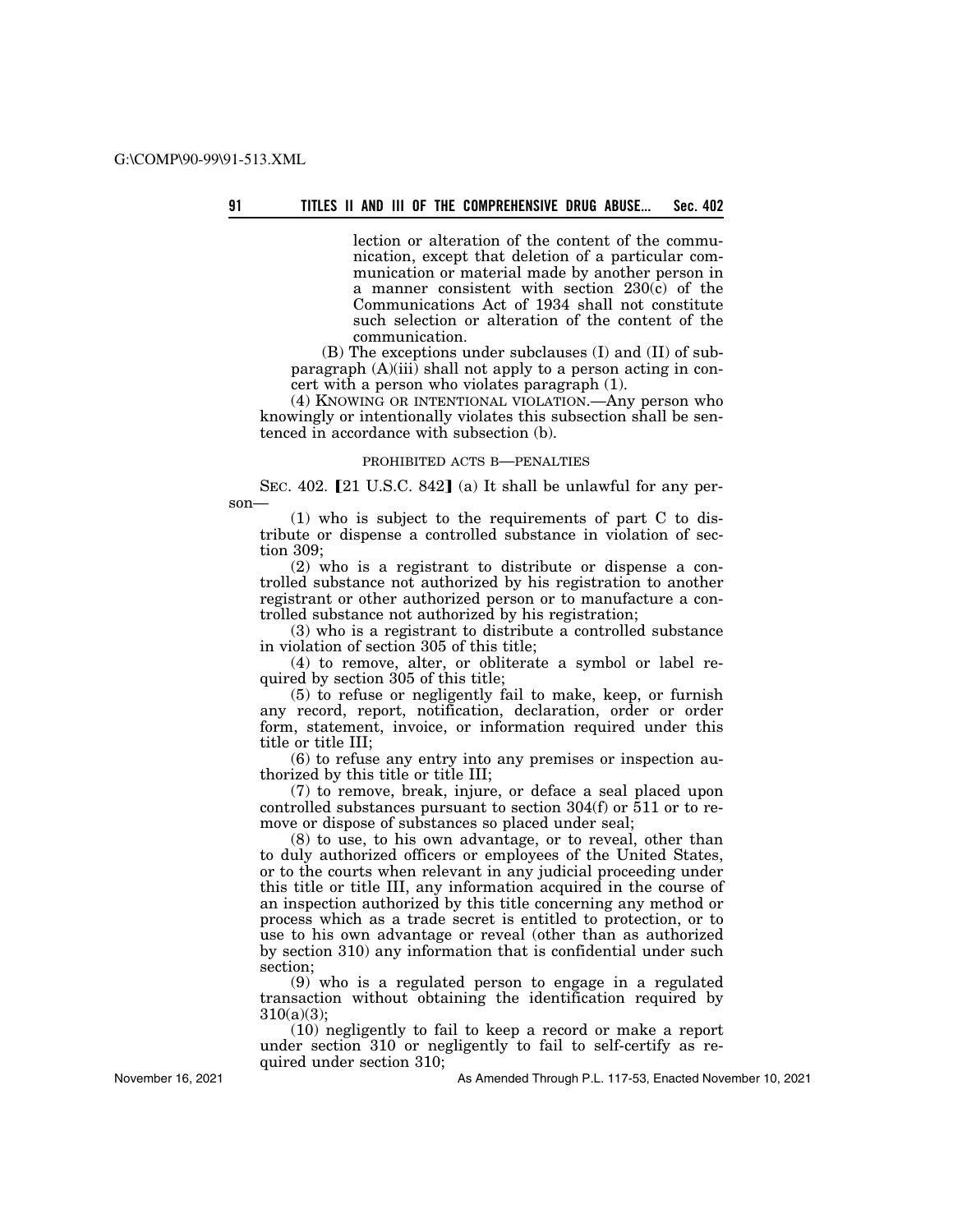# **91 TITLES II AND III OF THE COMPREHENSIVE DRUG ABUSE... Sec. 402**

lection or alteration of the content of the communication, except that deletion of a particular communication or material made by another person in a manner consistent with section 230(c) of the Communications Act of 1934 shall not constitute such selection or alteration of the content of the communication.

(B) The exceptions under subclauses (I) and (II) of subparagraph (A)(iii) shall not apply to a person acting in concert with a person who violates paragraph (1).

(4) KNOWING OR INTENTIONAL VIOLATION.—Any person who knowingly or intentionally violates this subsection shall be sentenced in accordance with subsection (b).

# PROHIBITED ACTS B—PENALTIES

SEC. 402.  $[21 \text{ U.S.C. } 842]$  (a) It shall be unlawful for any person—

(1) who is subject to the requirements of part C to distribute or dispense a controlled substance in violation of section 309;

(2) who is a registrant to distribute or dispense a controlled substance not authorized by his registration to another registrant or other authorized person or to manufacture a controlled substance not authorized by his registration;

(3) who is a registrant to distribute a controlled substance in violation of section 305 of this title;

(4) to remove, alter, or obliterate a symbol or label required by section 305 of this title;

(5) to refuse or negligently fail to make, keep, or furnish any record, report, notification, declaration, order or order form, statement, invoice, or information required under this title or title III;

(6) to refuse any entry into any premises or inspection authorized by this title or title III;

(7) to remove, break, injure, or deface a seal placed upon controlled substances pursuant to section 304(f) or 511 or to remove or dispose of substances so placed under seal;

(8) to use, to his own advantage, or to reveal, other than to duly authorized officers or employees of the United States, or to the courts when relevant in any judicial proceeding under this title or title III, any information acquired in the course of an inspection authorized by this title concerning any method or process which as a trade secret is entitled to protection, or to use to his own advantage or reveal (other than as authorized by section 310) any information that is confidential under such section;

(9) who is a regulated person to engage in a regulated transaction without obtaining the identification required by  $310(a)(3);$ 

(10) negligently to fail to keep a record or make a report under section 310 or negligently to fail to self-certify as required under section 310;

As Amended Through P.L. 117-53, Enacted November 10, 2021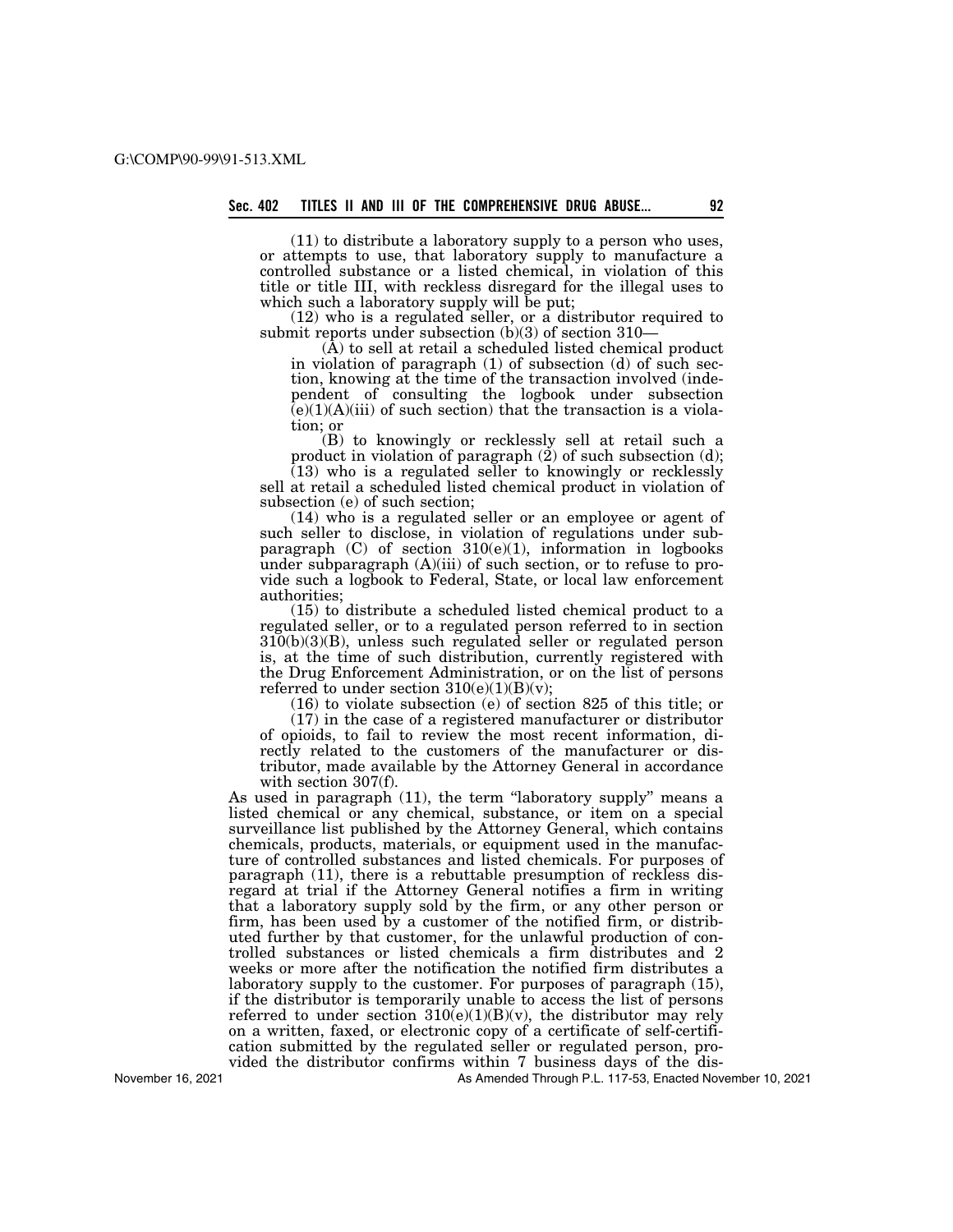(11) to distribute a laboratory supply to a person who uses, or attempts to use, that laboratory supply to manufacture a controlled substance or a listed chemical, in violation of this title or title III, with reckless disregard for the illegal uses to which such a laboratory supply will be put;

(12) who is a regulated seller, or a distributor required to submit reports under subsection  $(b)(3)$  of section 310–

(A) to sell at retail a scheduled listed chemical product in violation of paragraph (1) of subsection (d) of such section, knowing at the time of the transaction involved (independent of consulting the logbook under subsection  $\bar{e}(e)(1)(A)(iii)$  of such section) that the transaction is a violation; or

(B) to knowingly or recklessly sell at retail such a product in violation of paragraph  $(\tilde{2})$  of such subsection (d);

(13) who is a regulated seller to knowingly or recklessly sell at retail a scheduled listed chemical product in violation of subsection (e) of such section;

(14) who is a regulated seller or an employee or agent of such seller to disclose, in violation of regulations under subparagraph  $(C)$  of section  $310(e)(1)$ , information in logbooks under subparagraph (A)(iii) of such section, or to refuse to provide such a logbook to Federal, State, or local law enforcement authorities;

(15) to distribute a scheduled listed chemical product to a regulated seller, or to a regulated person referred to in section 310(b)(3)(B), unless such regulated seller or regulated person is, at the time of such distribution, currently registered with the Drug Enforcement Administration, or on the list of persons referred to under section  $310(e)(1)(B)(v)$ ;

(16) to violate subsection (e) of section 825 of this title; or

(17) in the case of a registered manufacturer or distributor of opioids, to fail to review the most recent information, directly related to the customers of the manufacturer or distributor, made available by the Attorney General in accordance with section 307(f).

As used in paragraph (11), the term ''laboratory supply'' means a listed chemical or any chemical, substance, or item on a special surveillance list published by the Attorney General, which contains chemicals, products, materials, or equipment used in the manufacture of controlled substances and listed chemicals. For purposes of paragraph (11), there is a rebuttable presumption of reckless disregard at trial if the Attorney General notifies a firm in writing that a laboratory supply sold by the firm, or any other person or firm, has been used by a customer of the notified firm, or distributed further by that customer, for the unlawful production of controlled substances or listed chemicals a firm distributes and 2 weeks or more after the notification the notified firm distributes a laboratory supply to the customer. For purposes of paragraph (15), if the distributor is temporarily unable to access the list of persons referred to under section  $310(e)(1)(B)(v)$ , the distributor may rely on a written, faxed, or electronic copy of a certificate of self-certification submitted by the regulated seller or regulated person, provided the distributor confirms within 7 business days of the dis-

November 16, 2021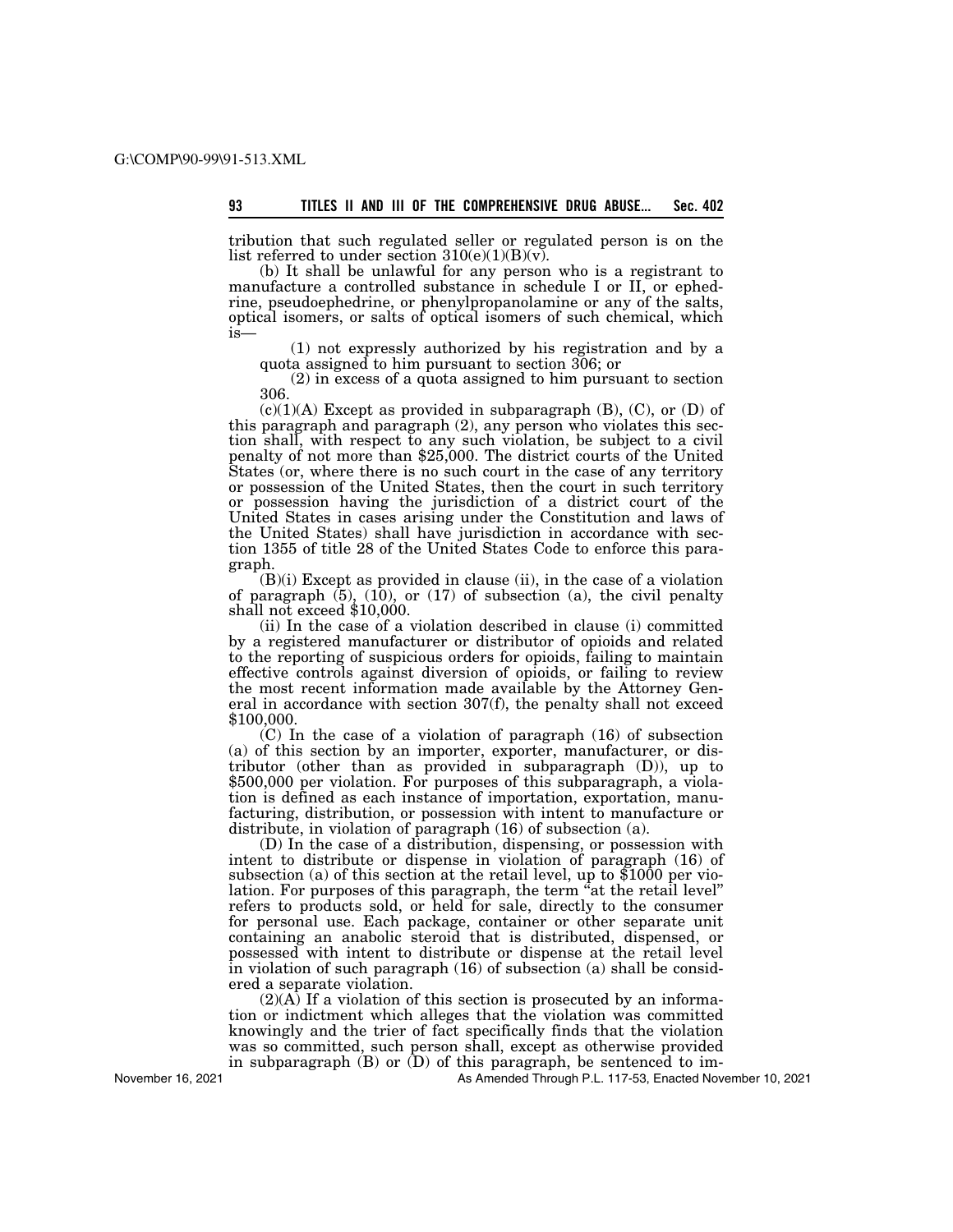tribution that such regulated seller or regulated person is on the list referred to under section  $310(e)(1)(B)(v)$ .

(b) It shall be unlawful for any person who is a registrant to manufacture a controlled substance in schedule I or II, or ephedrine, pseudoephedrine, or phenylpropanolamine or any of the salts, optical isomers, or salts of optical isomers of such chemical, which is—

(1) not expressly authorized by his registration and by a quota assigned to him pursuant to section 306; or

(2) in excess of a quota assigned to him pursuant to section 306.

 $(c)(1)(A)$  Except as provided in subparagraph  $(B)$ ,  $(C)$ , or  $(D)$  of this paragraph and paragraph (2), any person who violates this section shall, with respect to any such violation, be subject to a civil penalty of not more than \$25,000. The district courts of the United States (or, where there is no such court in the case of any territory or possession of the United States, then the court in such territory or possession having the jurisdiction of a district court of the United States in cases arising under the Constitution and laws of the United States) shall have jurisdiction in accordance with section 1355 of title 28 of the United States Code to enforce this paragraph.

(B)(i) Except as provided in clause (ii), in the case of a violation of paragraph  $(5)$ ,  $(10)$ , or  $(17)$  of subsection  $(a)$ , the civil penalty shall not exceed \$10,000.

(ii) In the case of a violation described in clause (i) committed by a registered manufacturer or distributor of opioids and related to the reporting of suspicious orders for opioids, failing to maintain effective controls against diversion of opioids, or failing to review the most recent information made available by the Attorney General in accordance with section 307(f), the penalty shall not exceed \$100,000.

(C) In the case of a violation of paragraph (16) of subsection (a) of this section by an importer, exporter, manufacturer, or distributor (other than as provided in subparagraph (D)), up to \$500,000 per violation. For purposes of this subparagraph, a violation is defined as each instance of importation, exportation, manufacturing, distribution, or possession with intent to manufacture or distribute, in violation of paragraph (16) of subsection (a).

(D) In the case of a distribution, dispensing, or possession with intent to distribute or dispense in violation of paragraph (16) of subsection (a) of this section at the retail level, up to \$1000 per violation. For purposes of this paragraph, the term <sup>"at</sup> the retail level" refers to products sold, or held for sale, directly to the consumer for personal use. Each package, container or other separate unit containing an anabolic steroid that is distributed, dispensed, or possessed with intent to distribute or dispense at the retail level in violation of such paragraph (16) of subsection (a) shall be considered a separate violation.

 $(2)(A)$  If a violation of this section is prosecuted by an information or indictment which alleges that the violation was committed knowingly and the trier of fact specifically finds that the violation was so committed, such person shall, except as otherwise provided in subparagraph (B) or (D) of this paragraph, be sentenced to im-

November 16, 2021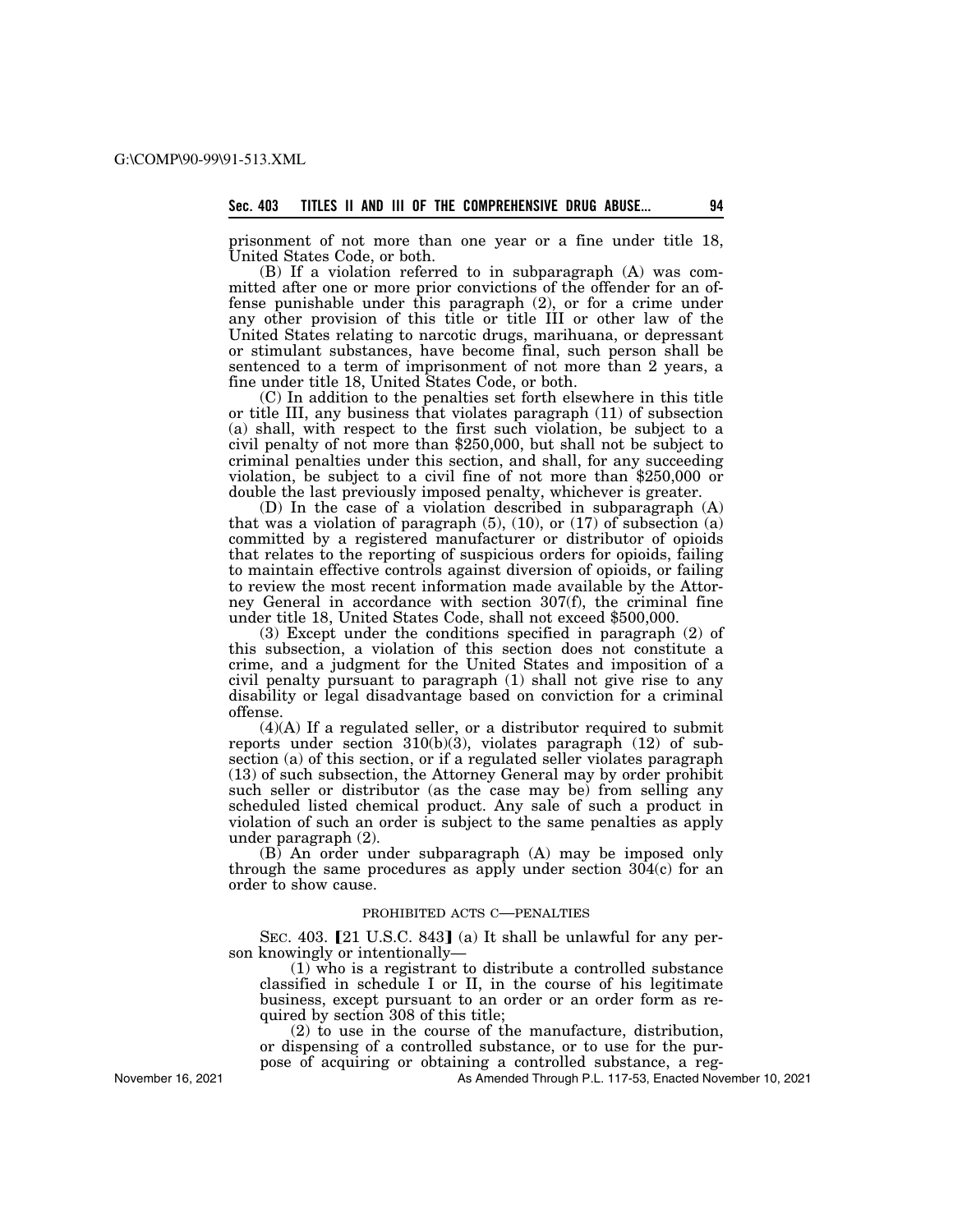prisonment of not more than one year or a fine under title 18, United States Code, or both.

(B) If a violation referred to in subparagraph (A) was committed after one or more prior convictions of the offender for an offense punishable under this paragraph (2), or for a crime under any other provision of this title or title III or other law of the United States relating to narcotic drugs, marihuana, or depressant or stimulant substances, have become final, such person shall be sentenced to a term of imprisonment of not more than 2 years, a fine under title 18, United States Code, or both.

(C) In addition to the penalties set forth elsewhere in this title or title III, any business that violates paragraph (11) of subsection (a) shall, with respect to the first such violation, be subject to a civil penalty of not more than \$250,000, but shall not be subject to criminal penalties under this section, and shall, for any succeeding violation, be subject to a civil fine of not more than \$250,000 or double the last previously imposed penalty, whichever is greater.

(D) In the case of a violation described in subparagraph (A) that was a violation of paragraph  $(5)$ ,  $(10)$ , or  $(17)$  of subsection  $(a)$ committed by a registered manufacturer or distributor of opioids that relates to the reporting of suspicious orders for opioids, failing to maintain effective controls against diversion of opioids, or failing to review the most recent information made available by the Attorney General in accordance with section 307(f), the criminal fine under title 18, United States Code, shall not exceed \$500,000.

(3) Except under the conditions specified in paragraph (2) of this subsection, a violation of this section does not constitute a crime, and a judgment for the United States and imposition of a civil penalty pursuant to paragraph (1) shall not give rise to any disability or legal disadvantage based on conviction for a criminal offense.

(4)(A) If a regulated seller, or a distributor required to submit reports under section 310(b)(3), violates paragraph (12) of subsection (a) of this section, or if a regulated seller violates paragraph (13) of such subsection, the Attorney General may by order prohibit such seller or distributor (as the case may be) from selling any scheduled listed chemical product. Any sale of such a product in violation of such an order is subject to the same penalties as apply under paragraph (2).

(B) An order under subparagraph (A) may be imposed only through the same procedures as apply under section 304(c) for an order to show cause.

# PROHIBITED ACTS C—PENALTIES

SEC. 403.  $[21 \text{ U.S.C. } 843]$  (a) It shall be unlawful for any person knowingly or intentionally—

(1) who is a registrant to distribute a controlled substance classified in schedule I or II, in the course of his legitimate business, except pursuant to an order or an order form as required by section 308 of this title;

(2) to use in the course of the manufacture, distribution, or dispensing of a controlled substance, or to use for the purpose of acquiring or obtaining a controlled substance, a reg-

As Amended Through P.L. 117-53, Enacted November 10, 2021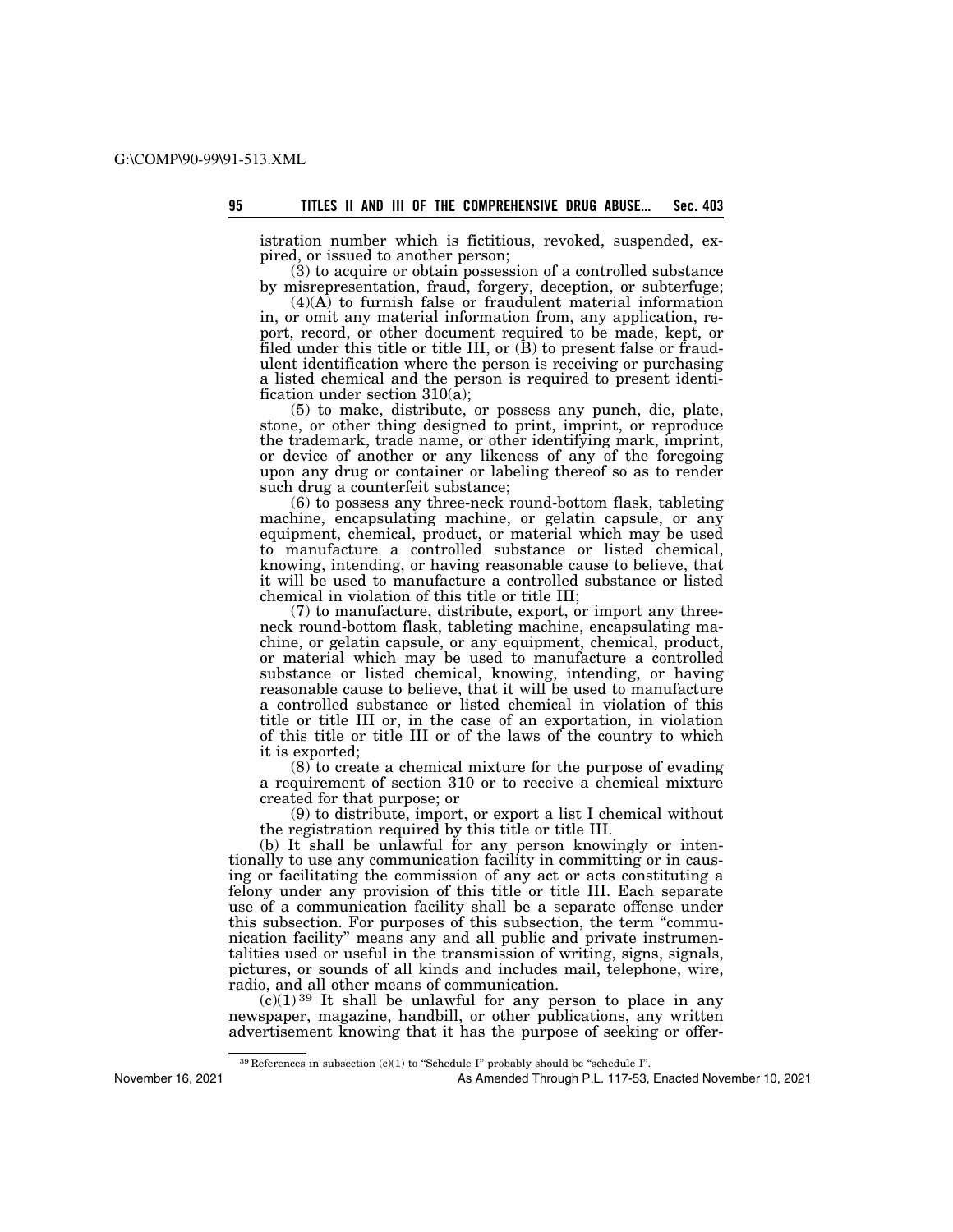istration number which is fictitious, revoked, suspended, expired, or issued to another person;

(3) to acquire or obtain possession of a controlled substance by misrepresentation, fraud, forgery, deception, or subterfuge;

(4)(A) to furnish false or fraudulent material information in, or omit any material information from, any application, report, record, or other document required to be made, kept, or filed under this title or title III, or (B) to present false or fraudulent identification where the person is receiving or purchasing a listed chemical and the person is required to present identification under section 310(a);

(5) to make, distribute, or possess any punch, die, plate, stone, or other thing designed to print, imprint, or reproduce the trademark, trade name, or other identifying mark, imprint, or device of another or any likeness of any of the foregoing upon any drug or container or labeling thereof so as to render such drug a counterfeit substance;

(6) to possess any three-neck round-bottom flask, tableting machine, encapsulating machine, or gelatin capsule, or any equipment, chemical, product, or material which may be used to manufacture a controlled substance or listed chemical, knowing, intending, or having reasonable cause to believe, that it will be used to manufacture a controlled substance or listed chemical in violation of this title or title III;

(7) to manufacture, distribute, export, or import any threeneck round-bottom flask, tableting machine, encapsulating machine, or gelatin capsule, or any equipment, chemical, product, or material which may be used to manufacture a controlled substance or listed chemical, knowing, intending, or having reasonable cause to believe, that it will be used to manufacture a controlled substance or listed chemical in violation of this title or title III or, in the case of an exportation, in violation of this title or title III or of the laws of the country to which it is exported;

(8) to create a chemical mixture for the purpose of evading a requirement of section 310 or to receive a chemical mixture created for that purpose; or

(9) to distribute, import, or export a list I chemical without the registration required by this title or title III.

(b) It shall be unlawful for any person knowingly or intentionally to use any communication facility in committing or in causing or facilitating the commission of any act or acts constituting a felony under any provision of this title or title III. Each separate use of a communication facility shall be a separate offense under this subsection. For purposes of this subsection, the term ''communication facility'' means any and all public and private instrumentalities used or useful in the transmission of writing, signs, signals, pictures, or sounds of all kinds and includes mail, telephone, wire, radio, and all other means of communication.

 $(c)(1)$ <sup>39</sup> It shall be unlawful for any person to place in any newspaper, magazine, handbill, or other publications, any written advertisement knowing that it has the purpose of seeking or offer-

 $39$  References in subsection (c)(1) to "Schedule I" probably should be "schedule I".

November 16, 2021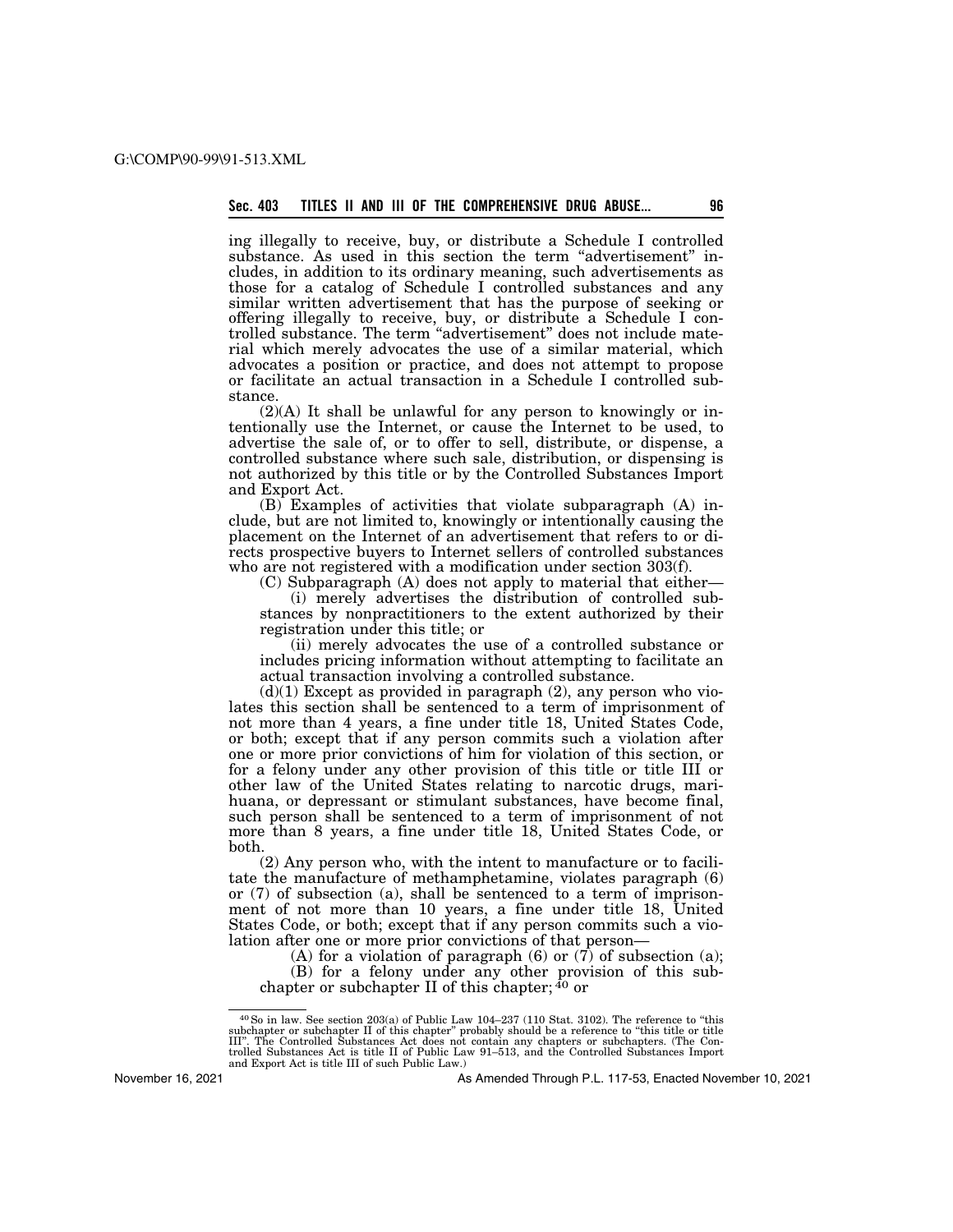ing illegally to receive, buy, or distribute a Schedule I controlled substance. As used in this section the term "advertisement" includes, in addition to its ordinary meaning, such advertisements as those for a catalog of Schedule I controlled substances and any similar written advertisement that has the purpose of seeking or offering illegally to receive, buy, or distribute a Schedule I controlled substance. The term ''advertisement'' does not include material which merely advocates the use of a similar material, which advocates a position or practice, and does not attempt to propose or facilitate an actual transaction in a Schedule I controlled substance.

(2)(A) It shall be unlawful for any person to knowingly or intentionally use the Internet, or cause the Internet to be used, to advertise the sale of, or to offer to sell, distribute, or dispense, a controlled substance where such sale, distribution, or dispensing is not authorized by this title or by the Controlled Substances Import and Export Act.

(B) Examples of activities that violate subparagraph (A) include, but are not limited to, knowingly or intentionally causing the placement on the Internet of an advertisement that refers to or directs prospective buyers to Internet sellers of controlled substances who are not registered with a modification under section 303(f).

(C) Subparagraph (A) does not apply to material that either—

(i) merely advertises the distribution of controlled substances by nonpractitioners to the extent authorized by their registration under this title; or

(ii) merely advocates the use of a controlled substance or includes pricing information without attempting to facilitate an actual transaction involving a controlled substance.

 $(d)(1)$  Except as provided in paragraph  $(2)$ , any person who violates this section shall be sentenced to a term of imprisonment of not more than 4 years, a fine under title 18, United States Code, or both; except that if any person commits such a violation after one or more prior convictions of him for violation of this section, or for a felony under any other provision of this title or title III or other law of the United States relating to narcotic drugs, marihuana, or depressant or stimulant substances, have become final, such person shall be sentenced to a term of imprisonment of not more than 8 years, a fine under title 18, United States Code, or both.

(2) Any person who, with the intent to manufacture or to facilitate the manufacture of methamphetamine, violates paragraph (6) or (7) of subsection (a), shall be sentenced to a term of imprisonment of not more than 10 years, a fine under title 18, United States Code, or both; except that if any person commits such a violation after one or more prior convictions of that person—

(A) for a violation of paragraph  $(6)$  or  $(7)$  of subsection  $(a)$ ; (B) for a felony under any other provision of this sub-

chapter or subchapter II of this chapter;  $^{40}$  or

November 16, 2021

 $40$  So in law. See section 203(a) of Public Law 104–237 (110 Stat. 3102). The reference to "this subchapter or subchapter II of this chapter" probably should be a reference to "this title or title III''. The Controlled Substances Act does not contain any chapters or subchapters. (The Con-trolled Substances Act is title II of Public Law 91–513, and the Controlled Substances Import and Export Act is title III of such Public Law.)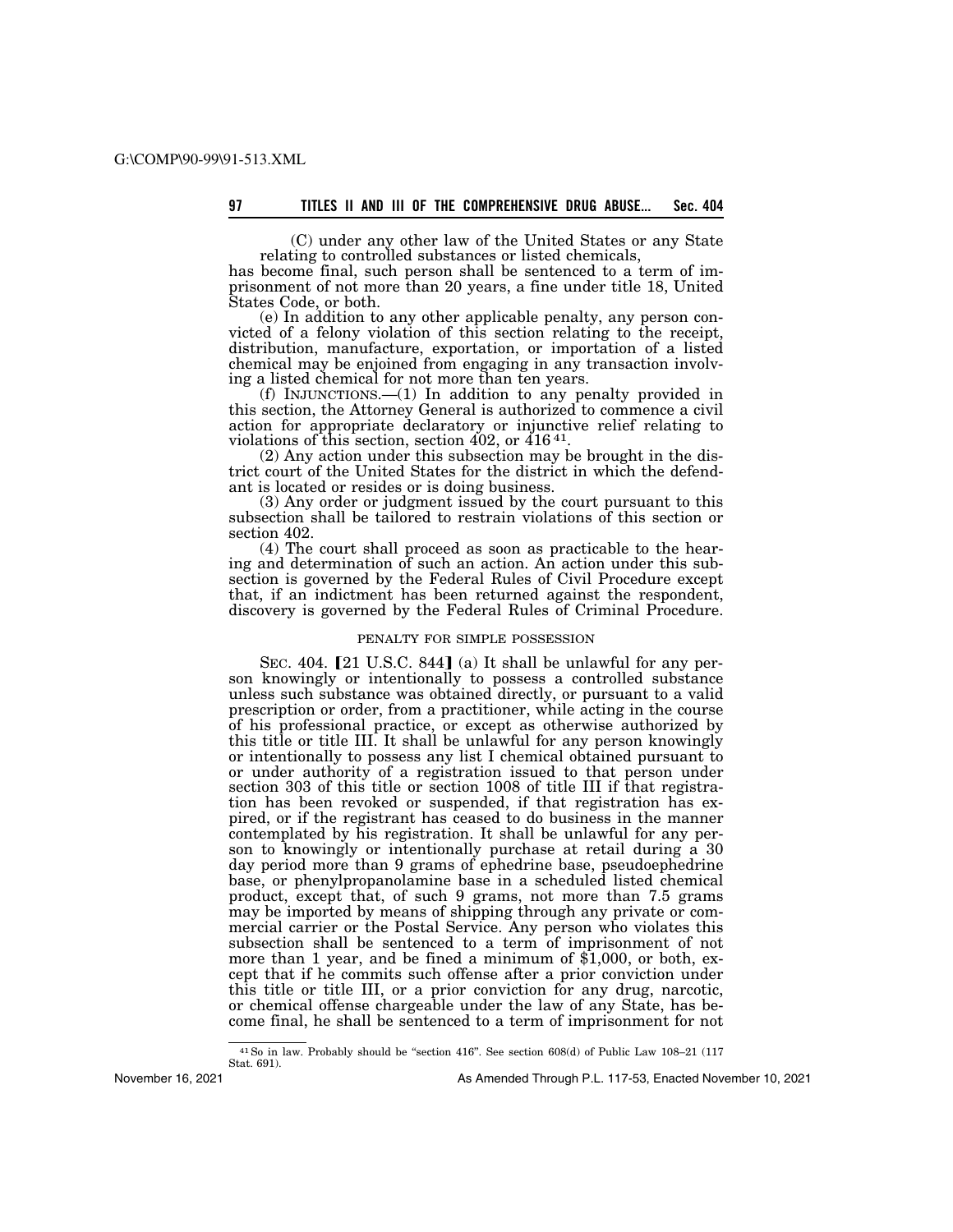| TITLES II AND III OF THE COMPREHENSIVE DRUG ABUSE | 97 |  |  |  |  | Sec. 404 |
|---------------------------------------------------|----|--|--|--|--|----------|
|---------------------------------------------------|----|--|--|--|--|----------|

(C) under any other law of the United States or any State relating to controlled substances or listed chemicals,

has become final, such person shall be sentenced to a term of imprisonment of not more than 20 years, a fine under title 18, United States Code, or both.

(e) In addition to any other applicable penalty, any person convicted of a felony violation of this section relating to the receipt, distribution, manufacture, exportation, or importation of a listed chemical may be enjoined from engaging in any transaction involving a listed chemical for not more than ten years.

(f) INJUNCTIONS.—(1) In addition to any penalty provided in this section, the Attorney General is authorized to commence a civil action for appropriate declaratory or injunctive relief relating to violations of this section, section  $402$ , or  $416<sup>41</sup>$ .

 $(2)$  Any action under this subsection may be brought in the district court of the United States for the district in which the defendant is located or resides or is doing business.

(3) Any order or judgment issued by the court pursuant to this subsection shall be tailored to restrain violations of this section or section 402.

(4) The court shall proceed as soon as practicable to the hearing and determination of such an action. An action under this subsection is governed by the Federal Rules of Civil Procedure except that, if an indictment has been returned against the respondent, discovery is governed by the Federal Rules of Criminal Procedure.

#### PENALTY FOR SIMPLE POSSESSION

SEC. 404. [21 U.S.C. 844] (a) It shall be unlawful for any person knowingly or intentionally to possess a controlled substance unless such substance was obtained directly, or pursuant to a valid prescription or order, from a practitioner, while acting in the course of his professional practice, or except as otherwise authorized by this title or title III. It shall be unlawful for any person knowingly or intentionally to possess any list I chemical obtained pursuant to or under authority of a registration issued to that person under section 303 of this title or section 1008 of title III if that registration has been revoked or suspended, if that registration has expired, or if the registrant has ceased to do business in the manner contemplated by his registration. It shall be unlawful for any person to knowingly or intentionally purchase at retail during a 30 day period more than 9 grams of ephedrine base, pseudoephedrine base, or phenylpropanolamine base in a scheduled listed chemical product, except that, of such 9 grams, not more than 7.5 grams may be imported by means of shipping through any private or commercial carrier or the Postal Service. Any person who violates this subsection shall be sentenced to a term of imprisonment of not more than 1 year, and be fined a minimum of \$1,000, or both, except that if he commits such offense after a prior conviction under this title or title III, or a prior conviction for any drug, narcotic, or chemical offense chargeable under the law of any State, has become final, he shall be sentenced to a term of imprisonment for not

November 16, 2021

 $41$ So in law. Probably should be "section  $416$ ". See section  $608(d)$  of Public Law  $108-21$  (117 Stat. 691).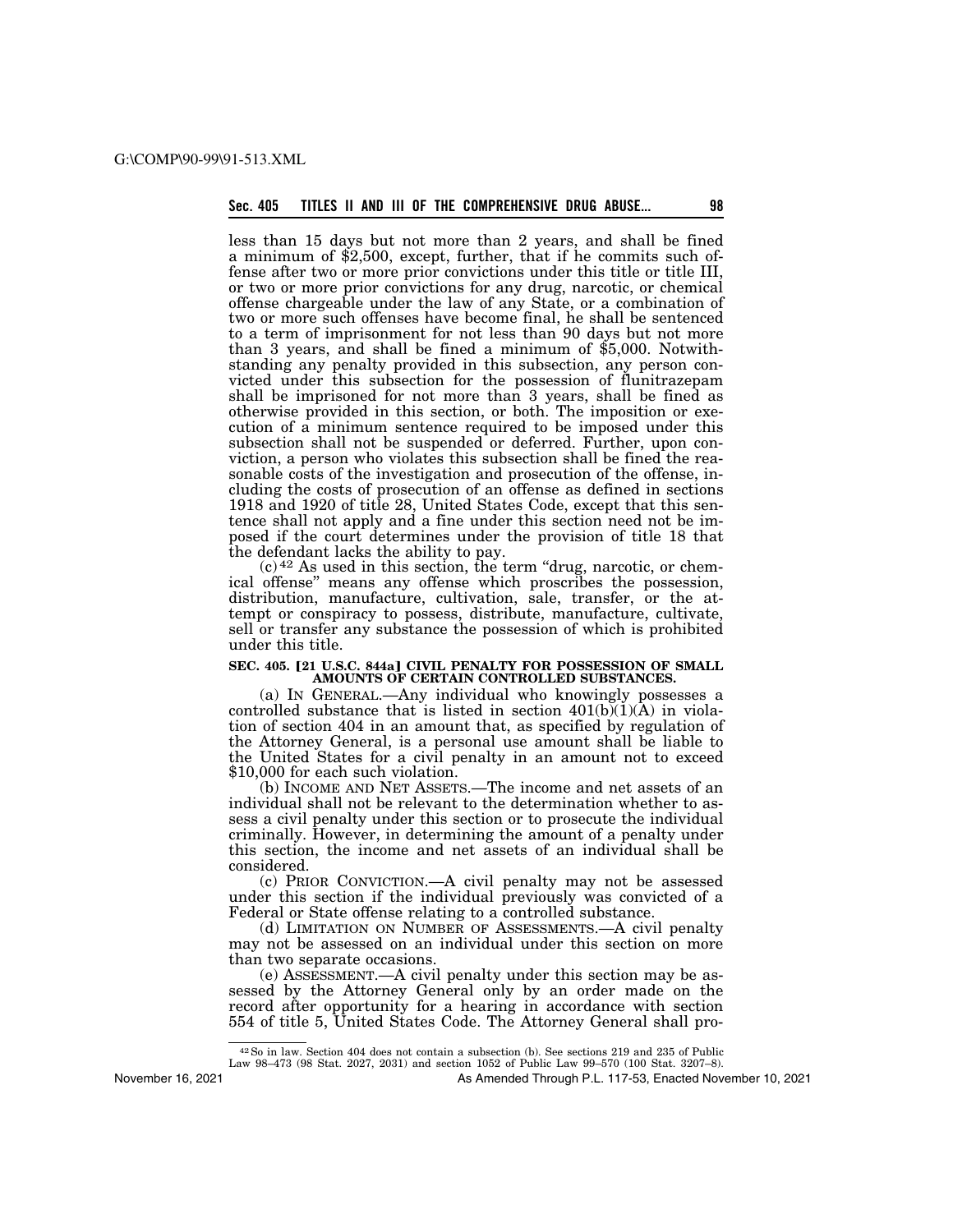## **Sec. 405 TITLES II AND III OF THE COMPREHENSIVE DRUG ABUSE... 98**

less than 15 days but not more than 2 years, and shall be fined a minimum of \$2,500, except, further, that if he commits such offense after two or more prior convictions under this title or title III, or two or more prior convictions for any drug, narcotic, or chemical offense chargeable under the law of any State, or a combination of two or more such offenses have become final, he shall be sentenced to a term of imprisonment for not less than 90 days but not more than 3 years, and shall be fined a minimum of \$5,000. Notwithstanding any penalty provided in this subsection, any person convicted under this subsection for the possession of flunitrazepam shall be imprisoned for not more than 3 years, shall be fined as otherwise provided in this section, or both. The imposition or execution of a minimum sentence required to be imposed under this subsection shall not be suspended or deferred. Further, upon conviction, a person who violates this subsection shall be fined the reasonable costs of the investigation and prosecution of the offense, including the costs of prosecution of an offense as defined in sections 1918 and 1920 of title 28, United States Code, except that this sentence shall not apply and a fine under this section need not be imposed if the court determines under the provision of title 18 that the defendant lacks the ability to pay.

 $(c)$ <sup>42</sup> As used in this section, the term "drug, narcotic, or chemical offense'' means any offense which proscribes the possession, distribution, manufacture, cultivation, sale, transfer, or the attempt or conspiracy to possess, distribute, manufacture, cultivate, sell or transfer any substance the possession of which is prohibited under this title.

#### **SEC. 405. [21 U.S.C. 844a] CIVIL PENALTY FOR POSSESSION OF SMALL AMOUNTS OF CERTAIN CONTROLLED SUBSTANCES.**

(a) IN GENERAL.—Any individual who knowingly possesses a controlled substance that is listed in section  $401(b)(\tilde{1})(\tilde{A})$  in violation of section 404 in an amount that, as specified by regulation of the Attorney General, is a personal use amount shall be liable to the United States for a civil penalty in an amount not to exceed \$10,000 for each such violation.

(b) INCOME AND NET ASSETS.—The income and net assets of an individual shall not be relevant to the determination whether to assess a civil penalty under this section or to prosecute the individual criminally. However, in determining the amount of a penalty under this section, the income and net assets of an individual shall be considered.

(c) PRIOR CONVICTION.—A civil penalty may not be assessed under this section if the individual previously was convicted of a Federal or State offense relating to a controlled substance.

(d) LIMITATION ON NUMBER OF ASSESSMENTS.—A civil penalty may not be assessed on an individual under this section on more than two separate occasions.

(e) ASSESSMENT.—A civil penalty under this section may be assessed by the Attorney General only by an order made on the record after opportunity for a hearing in accordance with section 554 of title 5, United States Code. The Attorney General shall pro-

November 16, 2021

<sup>42</sup>So in law. Section 404 does not contain a subsection (b). See sections 219 and 235 of Public

Law 98–473 (98 Stat. 2027, 2031) and section 1052 of Public Law 99–570 (100 Stat. 3207–8).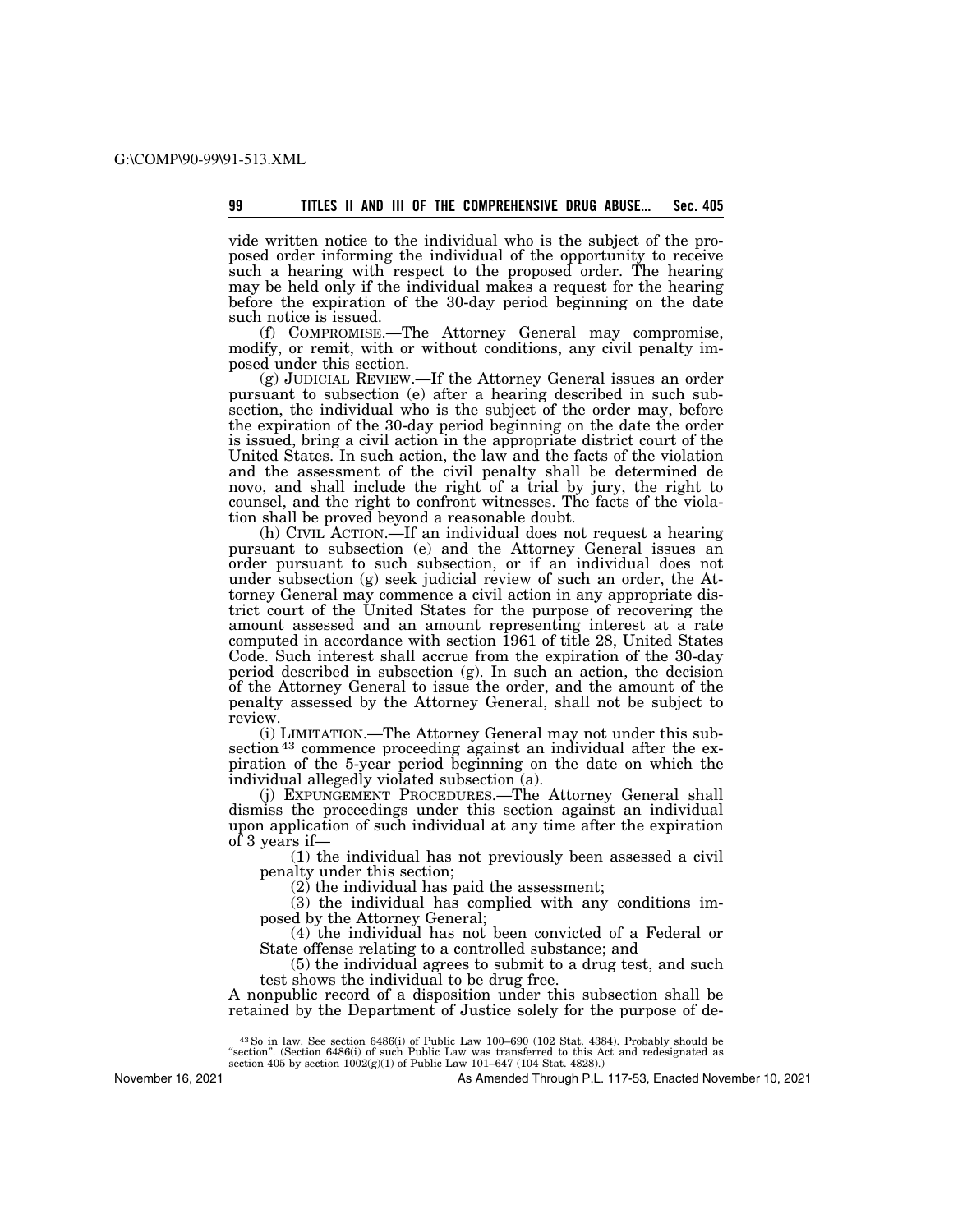vide written notice to the individual who is the subject of the proposed order informing the individual of the opportunity to receive such a hearing with respect to the proposed order. The hearing may be held only if the individual makes a request for the hearing before the expiration of the 30-day period beginning on the date such notice is issued.

(f) COMPROMISE.—The Attorney General may compromise, modify, or remit, with or without conditions, any civil penalty imposed under this section.

(g) JUDICIAL REVIEW.—If the Attorney General issues an order pursuant to subsection (e) after a hearing described in such subsection, the individual who is the subject of the order may, before the expiration of the 30-day period beginning on the date the order is issued, bring a civil action in the appropriate district court of the United States. In such action, the law and the facts of the violation and the assessment of the civil penalty shall be determined de novo, and shall include the right of a trial by jury, the right to counsel, and the right to confront witnesses. The facts of the violation shall be proved beyond a reasonable doubt.

(h) CIVIL ACTION.—If an individual does not request a hearing pursuant to subsection (e) and the Attorney General issues an order pursuant to such subsection, or if an individual does not under subsection (g) seek judicial review of such an order, the Attorney General may commence a civil action in any appropriate district court of the United States for the purpose of recovering the amount assessed and an amount representing interest at a rate computed in accordance with section 1961 of title 28, United States Code. Such interest shall accrue from the expiration of the 30-day period described in subsection  $(g)$ . In such an action, the decision of the Attorney General to issue the order, and the amount of the penalty assessed by the Attorney General, shall not be subject to review.

(i) LIMITATION.—The Attorney General may not under this subsection <sup>43</sup> commence proceeding against an individual after the expiration of the 5-year period beginning on the date on which the individual allegedly violated subsection (a).

(j) EXPUNGEMENT PROCEDURES.—The Attorney General shall dismiss the proceedings under this section against an individual upon application of such individual at any time after the expiration of 3 years if—

(1) the individual has not previously been assessed a civil penalty under this section;

(2) the individual has paid the assessment;

(3) the individual has complied with any conditions imposed by the Attorney General;

(4) the individual has not been convicted of a Federal or State offense relating to a controlled substance; and

(5) the individual agrees to submit to a drug test, and such test shows the individual to be drug free.

A nonpublic record of a disposition under this subsection shall be retained by the Department of Justice solely for the purpose of de-

November 16, 2021

 $^{43}$  So in law. See section 6486(i) of Public Law 100–690 (102 Stat. 4384). Probably should be "section". (Section 6486(i) of such Public Law was transferred to this Act and redesignated as section 405 by section  $1002(g$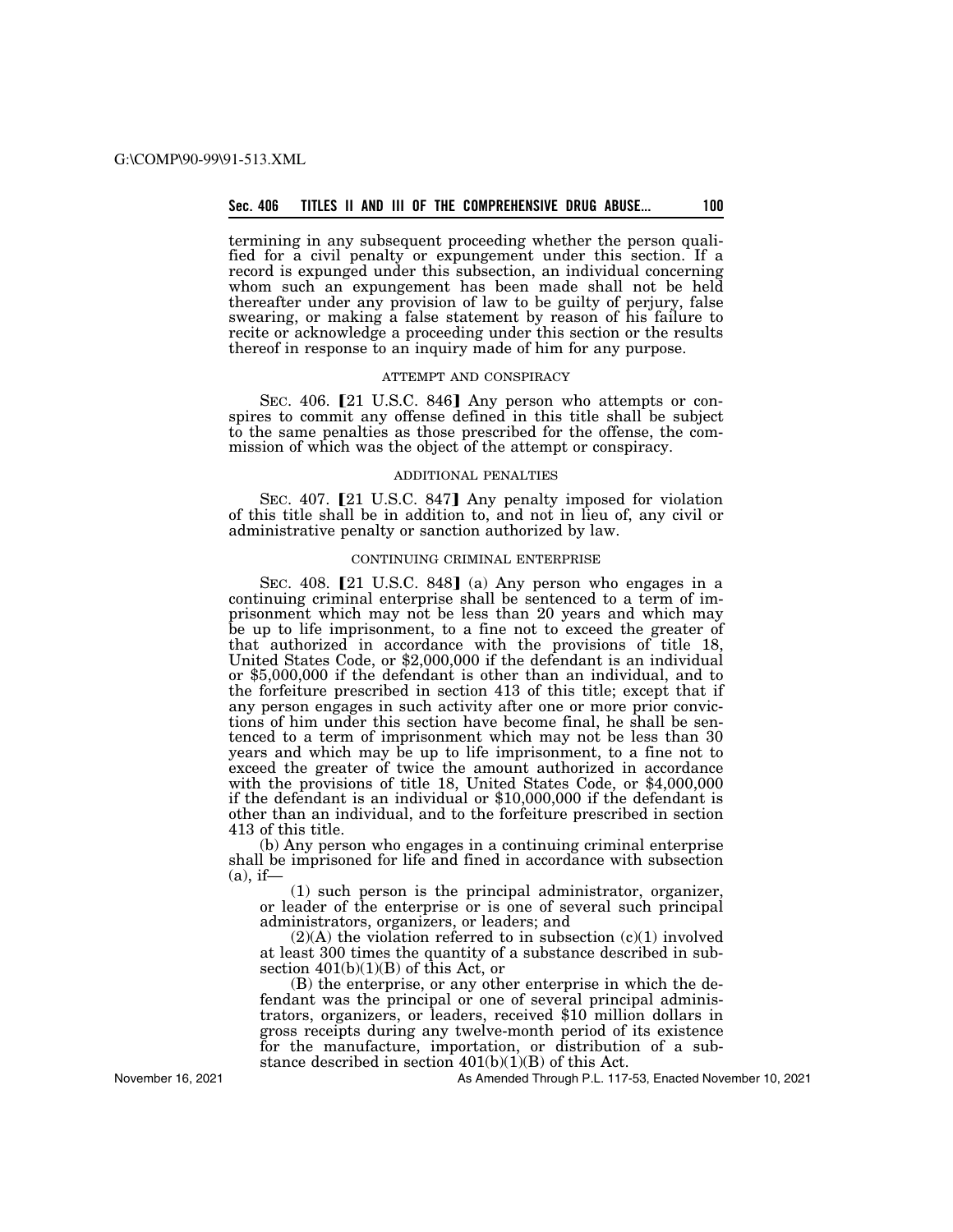#### **Sec. 406 TITLES II AND III OF THE COMPREHENSIVE DRUG ABUSE... 100**

termining in any subsequent proceeding whether the person qualified for a civil penalty or expungement under this section. If a record is expunged under this subsection, an individual concerning whom such an expungement has been made shall not be held thereafter under any provision of law to be guilty of perjury, false swearing, or making a false statement by reason of his failure to recite or acknowledge a proceeding under this section or the results thereof in response to an inquiry made of him for any purpose.

#### ATTEMPT AND CONSPIRACY

SEC. 406. [21 U.S.C. 846] Any person who attempts or conspires to commit any offense defined in this title shall be subject to the same penalties as those prescribed for the offense, the commission of which was the object of the attempt or conspiracy.

#### ADDITIONAL PENALTIES

SEC. 407. [21 U.S.C. 847] Any penalty imposed for violation of this title shall be in addition to, and not in lieu of, any civil or administrative penalty or sanction authorized by law.

#### CONTINUING CRIMINAL ENTERPRISE

SEC.  $408.$  [21 U.S.C.  $848$ ] (a) Any person who engages in a continuing criminal enterprise shall be sentenced to a term of imprisonment which may not be less than 20 years and which may be up to life imprisonment, to a fine not to exceed the greater of that authorized in accordance with the provisions of title 18, United States Code, or \$2,000,000 if the defendant is an individual or \$5,000,000 if the defendant is other than an individual, and to the forfeiture prescribed in section 413 of this title; except that if any person engages in such activity after one or more prior convictions of him under this section have become final, he shall be sentenced to a term of imprisonment which may not be less than 30 years and which may be up to life imprisonment, to a fine not to exceed the greater of twice the amount authorized in accordance with the provisions of title 18, United States Code, or \$4,000,000 if the defendant is an individual or \$10,000,000 if the defendant is other than an individual, and to the forfeiture prescribed in section 413 of this title.

(b) Any person who engages in a continuing criminal enterprise shall be imprisoned for life and fined in accordance with subsection  $(a)$ , if-

(1) such person is the principal administrator, organizer, or leader of the enterprise or is one of several such principal administrators, organizers, or leaders; and

 $(2)(A)$  the violation referred to in subsection  $(c)(1)$  involved at least 300 times the quantity of a substance described in subsection  $401(b)(1)(B)$  of this Act, or

(B) the enterprise, or any other enterprise in which the defendant was the principal or one of several principal administrators, organizers, or leaders, received \$10 million dollars in gross receipts during any twelve-month period of its existence for the manufacture, importation, or distribution of a substance described in section  $401(b)(1)(B)$  of this Act.

November 16, 2021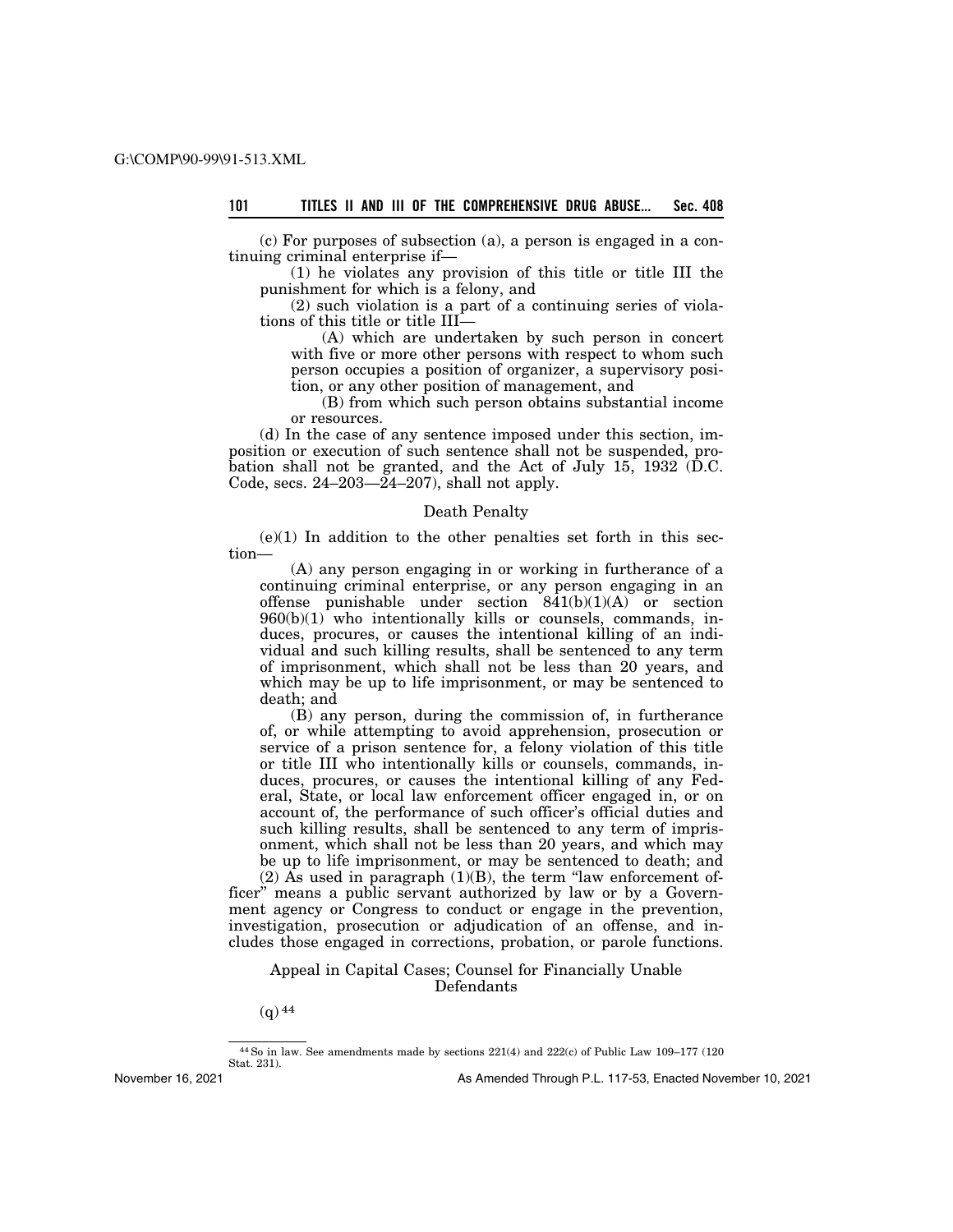(c) For purposes of subsection (a), a person is engaged in a continuing criminal enterprise if—

(1) he violates any provision of this title or title III the punishment for which is a felony, and

(2) such violation is a part of a continuing series of violations of this title or title III—

(A) which are undertaken by such person in concert with five or more other persons with respect to whom such person occupies a position of organizer, a supervisory position, or any other position of management, and

(B) from which such person obtains substantial income or resources.

(d) In the case of any sentence imposed under this section, imposition or execution of such sentence shall not be suspended, probation shall not be granted, and the Act of July 15, 1932 (D.C. Code, secs.  $24-203-24-207$ , shall not apply.

## Death Penalty

 $(e)(1)$  In addition to the other penalties set forth in this section—

(A) any person engaging in or working in furtherance of a continuing criminal enterprise, or any person engaging in an offense punishable under section 841(b)(1)(A) or section  $960(b)(1)$  who intentionally kills or counsels, commands, induces, procures, or causes the intentional killing of an individual and such killing results, shall be sentenced to any term of imprisonment, which shall not be less than 20 years, and which may be up to life imprisonment, or may be sentenced to death; and

(B) any person, during the commission of, in furtherance of, or while attempting to avoid apprehension, prosecution or service of a prison sentence for, a felony violation of this title or title III who intentionally kills or counsels, commands, induces, procures, or causes the intentional killing of any Federal, State, or local law enforcement officer engaged in, or on account of, the performance of such officer's official duties and such killing results, shall be sentenced to any term of imprisonment, which shall not be less than 20 years, and which may be up to life imprisonment, or may be sentenced to death; and

 $(2)$  As used in paragraph  $(1)(B)$ , the term "law enforcement officer'' means a public servant authorized by law or by a Government agency or Congress to conduct or engage in the prevention, investigation, prosecution or adjudication of an offense, and includes those engaged in corrections, probation, or parole functions.

# Appeal in Capital Cases; Counsel for Financially Unable Defendants

 $(q)$ <sup>44</sup>

44So in law. See amendments made by sections 221(4) and 222(c) of Public Law 109–177 (120 Stat. 231).

November 16, 2021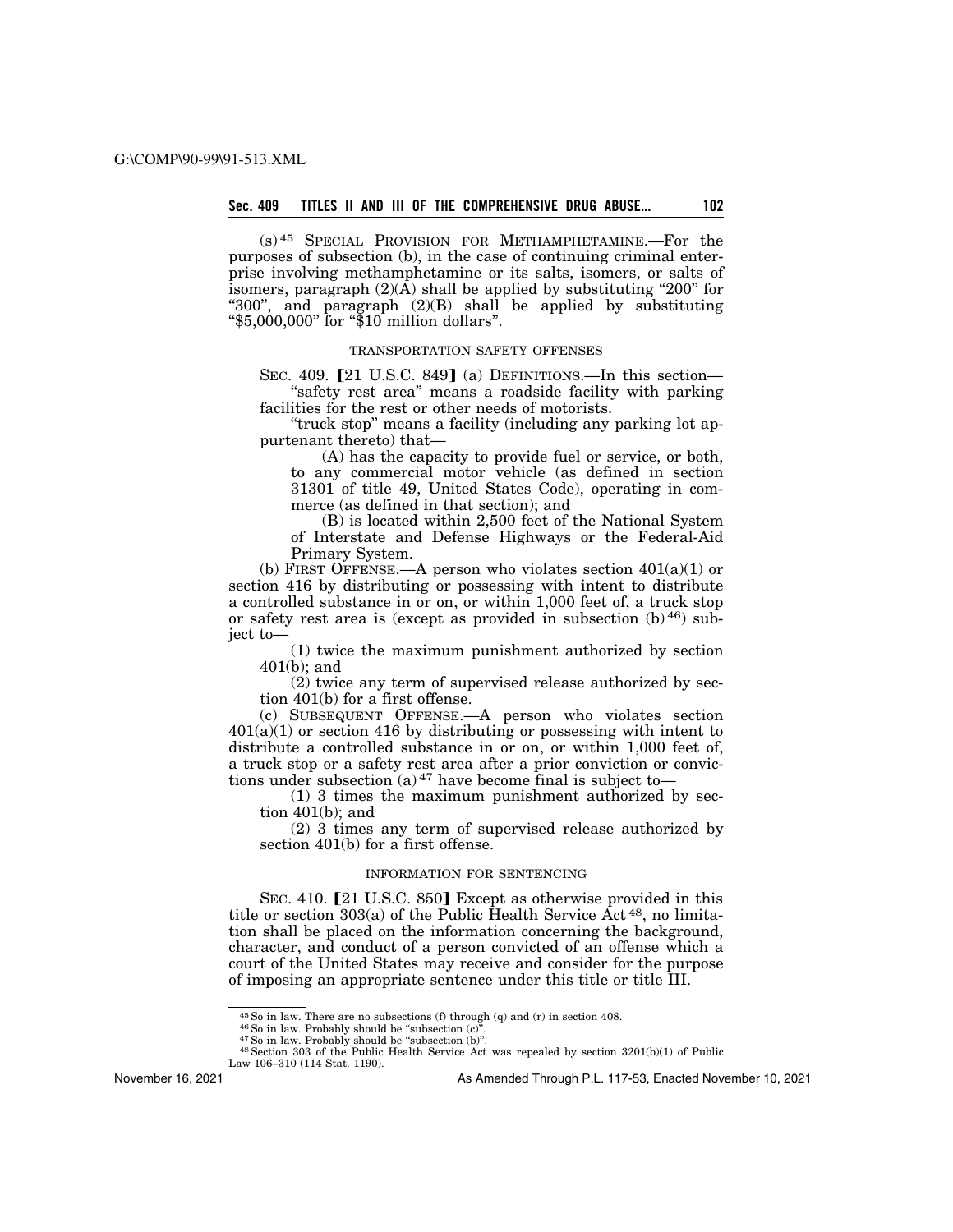## Sec. 409 TITLES II AND III OF THE COMPREHENSIVE DRUG ABUSE... **102**

(s) 45 SPECIAL PROVISION FOR METHAMPHETAMINE.—For the purposes of subsection (b), in the case of continuing criminal enterprise involving methamphetamine or its salts, isomers, or salts of isomers, paragraph  $(2)(\overline{A})$  shall be applied by substituting "200" for " $300$ ", and paragraph  $(2)(B)$  shall be applied by substituting ''\$5,000,000'' for ''\$10 million dollars''.

# TRANSPORTATION SAFETY OFFENSES

SEC. 409.  $[21 \text{ U.S.C. } 849]$  (a) DEFINITIONS.—In this section— "safety rest area" means a roadside facility with parking facilities for the rest or other needs of motorists.

"truck stop" means a facility (including any parking lot appurtenant thereto) that—

(A) has the capacity to provide fuel or service, or both, to any commercial motor vehicle (as defined in section 31301 of title 49, United States Code), operating in commerce (as defined in that section); and

(B) is located within 2,500 feet of the National System of Interstate and Defense Highways or the Federal-Aid Primary System.

(b) FIRST OFFENSE.—A person who violates section  $401(a)(1)$  or section 416 by distributing or possessing with intent to distribute a controlled substance in or on, or within 1,000 feet of, a truck stop or safety rest area is (except as provided in subsection  $(b)$ <sup>46</sup>) subject to—

(1) twice the maximum punishment authorized by section 401(b); and

(2) twice any term of supervised release authorized by section 401(b) for a first offense.

(c) SUBSEQUENT OFFENSE.—A person who violates section  $401(a)(1)$  or section 416 by distributing or possessing with intent to distribute a controlled substance in or on, or within 1,000 feet of, a truck stop or a safety rest area after a prior conviction or convictions under subsection  $(a)$ <sup>47</sup> have become final is subject to—

(1) 3 times the maximum punishment authorized by section 401(b); and

(2) 3 times any term of supervised release authorized by section 401(b) for a first offense.

#### INFORMATION FOR SENTENCING

SEC. 410. [21 U.S.C. 850] Except as otherwise provided in this title or section  $303(a)$  of the Public Health Service Act<sup>48</sup>, no limitation shall be placed on the information concerning the background, character, and conduct of a person convicted of an offense which a court of the United States may receive and consider for the purpose of imposing an appropriate sentence under this title or title III.

November 16, 2021

 $^{45}$  So in law. There are no subsections (f) through (q) and (r) in section 408.<br> $^{46}$  So in law. Probably should be "subsection (c)".<br> $^{47}$  So in law. Probably should be "subsection (b)".<br> $^{47}$  So in law. Probably s

Law 106–310 (114 Stat. 1190).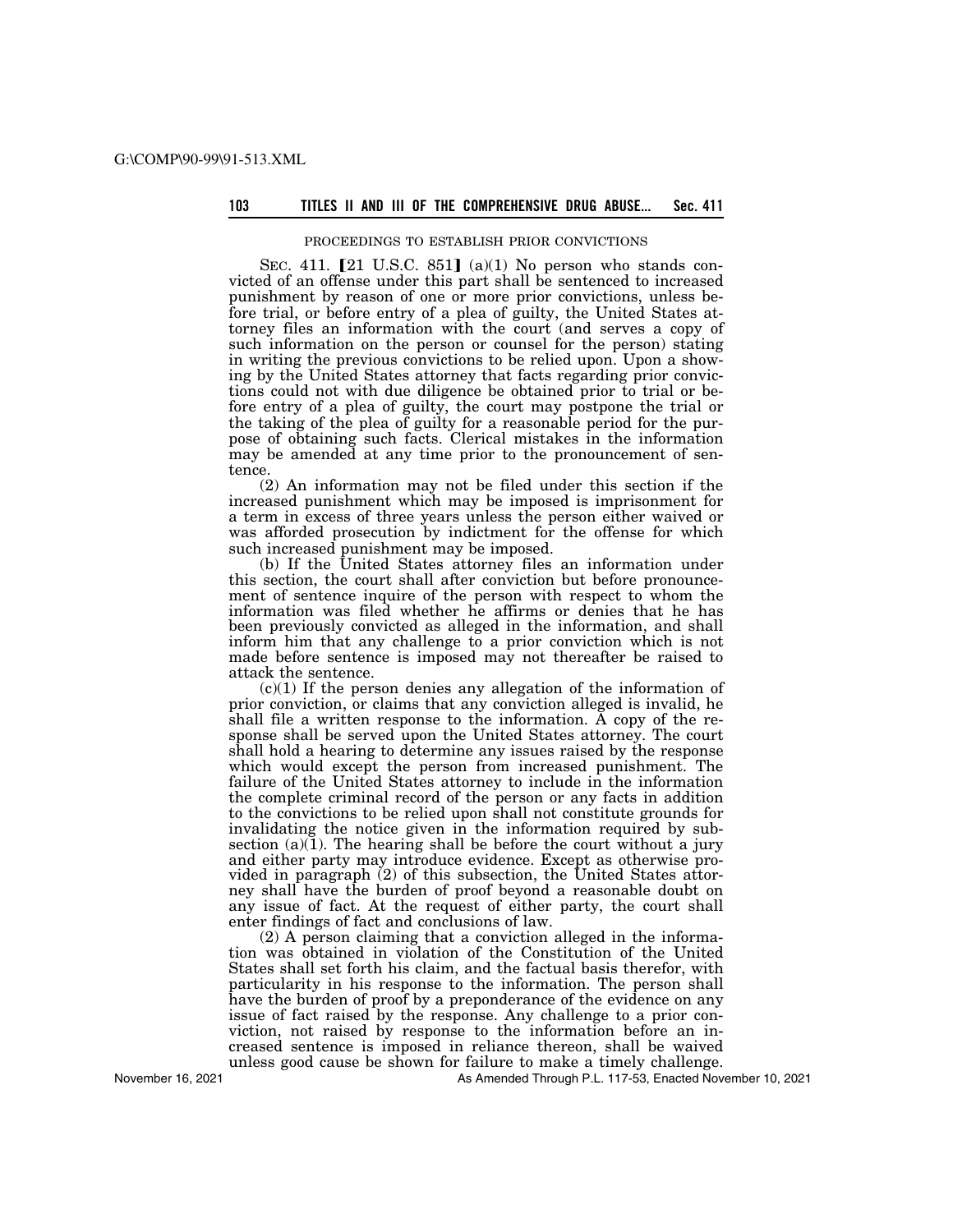# **103 TITLES II AND III OF THE COMPREHENSIVE DRUG ABUSE... Sec. 411**

#### PROCEEDINGS TO ESTABLISH PRIOR CONVICTIONS

SEC. 411.  $[21 \text{ U.S.C. } 851]$  (a)(1) No person who stands convicted of an offense under this part shall be sentenced to increased punishment by reason of one or more prior convictions, unless before trial, or before entry of a plea of guilty, the United States attorney files an information with the court (and serves a copy of such information on the person or counsel for the person) stating in writing the previous convictions to be relied upon. Upon a showing by the United States attorney that facts regarding prior convictions could not with due diligence be obtained prior to trial or before entry of a plea of guilty, the court may postpone the trial or the taking of the plea of guilty for a reasonable period for the purpose of obtaining such facts. Clerical mistakes in the information may be amended at any time prior to the pronouncement of sentence.

(2) An information may not be filed under this section if the increased punishment which may be imposed is imprisonment for a term in excess of three years unless the person either waived or was afforded prosecution by indictment for the offense for which such increased punishment may be imposed.

(b) If the United States attorney files an information under this section, the court shall after conviction but before pronouncement of sentence inquire of the person with respect to whom the information was filed whether he affirms or denies that he has been previously convicted as alleged in the information, and shall inform him that any challenge to a prior conviction which is not made before sentence is imposed may not thereafter be raised to attack the sentence.

 $(c)(1)$  If the person denies any allegation of the information of prior conviction, or claims that any conviction alleged is invalid, he shall file a written response to the information. A copy of the response shall be served upon the United States attorney. The court shall hold a hearing to determine any issues raised by the response which would except the person from increased punishment. The failure of the United States attorney to include in the information the complete criminal record of the person or any facts in addition to the convictions to be relied upon shall not constitute grounds for invalidating the notice given in the information required by subsection  $(a)(1)$ . The hearing shall be before the court without a jury and either party may introduce evidence. Except as otherwise provided in paragraph (2) of this subsection, the United States attorney shall have the burden of proof beyond a reasonable doubt on any issue of fact. At the request of either party, the court shall enter findings of fact and conclusions of law.

(2) A person claiming that a conviction alleged in the information was obtained in violation of the Constitution of the United States shall set forth his claim, and the factual basis therefor, with particularity in his response to the information. The person shall have the burden of proof by a preponderance of the evidence on any issue of fact raised by the response. Any challenge to a prior conviction, not raised by response to the information before an increased sentence is imposed in reliance thereon, shall be waived unless good cause be shown for failure to make a timely challenge.

November 16, 2021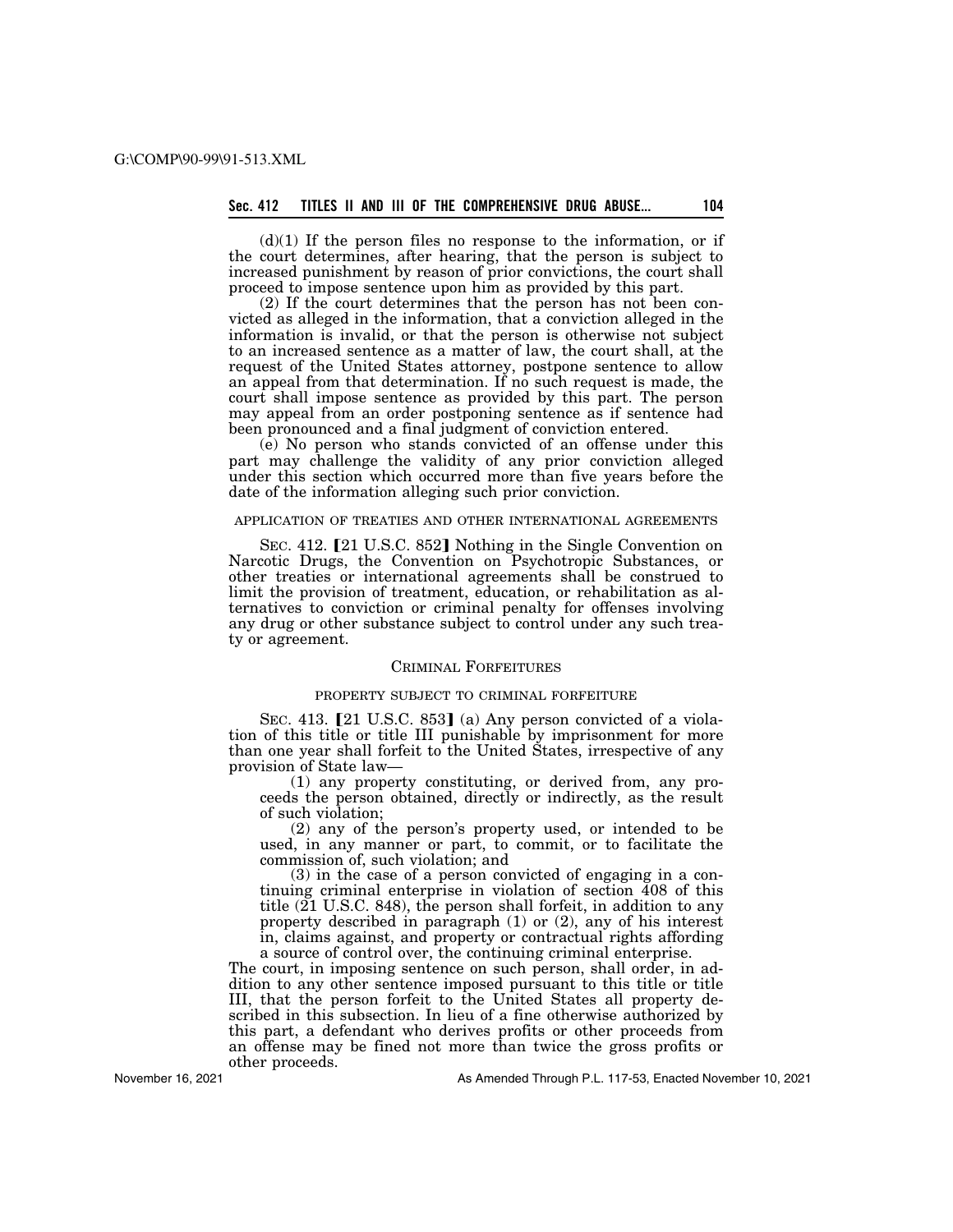## Sec. 412 TITLES II AND III OF THE COMPREHENSIVE DRUG ABUSE... **104**

 $(d)(1)$  If the person files no response to the information, or if the court determines, after hearing, that the person is subject to increased punishment by reason of prior convictions, the court shall proceed to impose sentence upon him as provided by this part.

(2) If the court determines that the person has not been convicted as alleged in the information, that a conviction alleged in the information is invalid, or that the person is otherwise not subject to an increased sentence as a matter of law, the court shall, at the request of the United States attorney, postpone sentence to allow an appeal from that determination. If no such request is made, the court shall impose sentence as provided by this part. The person may appeal from an order postponing sentence as if sentence had been pronounced and a final judgment of conviction entered.

(e) No person who stands convicted of an offense under this part may challenge the validity of any prior conviction alleged under this section which occurred more than five years before the date of the information alleging such prior conviction.

### APPLICATION OF TREATIES AND OTHER INTERNATIONAL AGREEMENTS

SEC. 412. [21 U.S.C. 852] Nothing in the Single Convention on Narcotic Drugs, the Convention on Psychotropic Substances, or other treaties or international agreements shall be construed to limit the provision of treatment, education, or rehabilitation as alternatives to conviction or criminal penalty for offenses involving any drug or other substance subject to control under any such treaty or agreement.

## CRIMINAL FORFEITURES

# PROPERTY SUBJECT TO CRIMINAL FORFEITURE

SEC. 413.  $[21 \text{ U.S.C. } 853]$  (a) Any person convicted of a violation of this title or title III punishable by imprisonment for more than one year shall forfeit to the United States, irrespective of any provision of State law—

(1) any property constituting, or derived from, any proceeds the person obtained, directly or indirectly, as the result of such violation;

(2) any of the person's property used, or intended to be used, in any manner or part, to commit, or to facilitate the commission of, such violation; and

(3) in the case of a person convicted of engaging in a continuing criminal enterprise in violation of section 408 of this title (21 U.S.C. 848), the person shall forfeit, in addition to any property described in paragraph (1) or (2), any of his interest in, claims against, and property or contractual rights affording a source of control over, the continuing criminal enterprise.

The court, in imposing sentence on such person, shall order, in addition to any other sentence imposed pursuant to this title or title III, that the person forfeit to the United States all property described in this subsection. In lieu of a fine otherwise authorized by this part, a defendant who derives profits or other proceeds from an offense may be fined not more than twice the gross profits or other proceeds.

November 16, 2021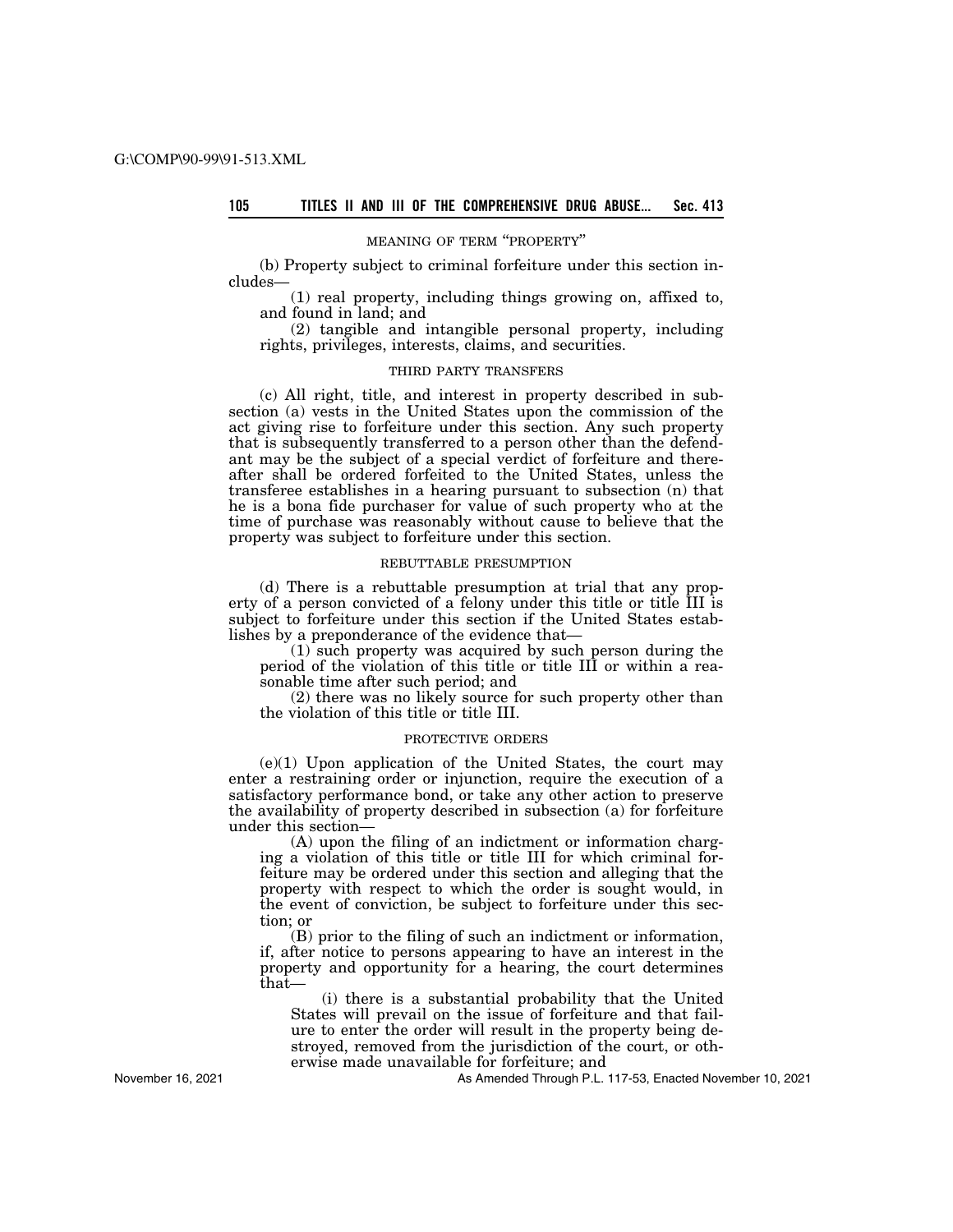# **105 TITLES II AND III OF THE COMPREHENSIVE DRUG ABUSE... Sec. 413**

## MEANING OF TERM ''PROPERTY''

(b) Property subject to criminal forfeiture under this section includes—

(1) real property, including things growing on, affixed to, and found in land; and

(2) tangible and intangible personal property, including rights, privileges, interests, claims, and securities.

## THIRD PARTY TRANSFERS

(c) All right, title, and interest in property described in subsection (a) vests in the United States upon the commission of the act giving rise to forfeiture under this section. Any such property that is subsequently transferred to a person other than the defendant may be the subject of a special verdict of forfeiture and thereafter shall be ordered forfeited to the United States, unless the transferee establishes in a hearing pursuant to subsection (n) that he is a bona fide purchaser for value of such property who at the time of purchase was reasonably without cause to believe that the property was subject to forfeiture under this section.

## REBUTTABLE PRESUMPTION

(d) There is a rebuttable presumption at trial that any property of a person convicted of a felony under this title or title III is subject to forfeiture under this section if the United States establishes by a preponderance of the evidence that—

(1) such property was acquired by such person during the period of the violation of this title or title III or within a reasonable time after such period; and

(2) there was no likely source for such property other than the violation of this title or title III.

#### PROTECTIVE ORDERS

(e)(1) Upon application of the United States, the court may enter a restraining order or injunction, require the execution of a satisfactory performance bond, or take any other action to preserve the availability of property described in subsection (a) for forfeiture under this section—

(A) upon the filing of an indictment or information charging a violation of this title or title III for which criminal forfeiture may be ordered under this section and alleging that the property with respect to which the order is sought would, in the event of conviction, be subject to forfeiture under this section; or

(B) prior to the filing of such an indictment or information, if, after notice to persons appearing to have an interest in the property and opportunity for a hearing, the court determines that—

(i) there is a substantial probability that the United States will prevail on the issue of forfeiture and that failure to enter the order will result in the property being destroyed, removed from the jurisdiction of the court, or otherwise made unavailable for forfeiture; and

November 16, 2021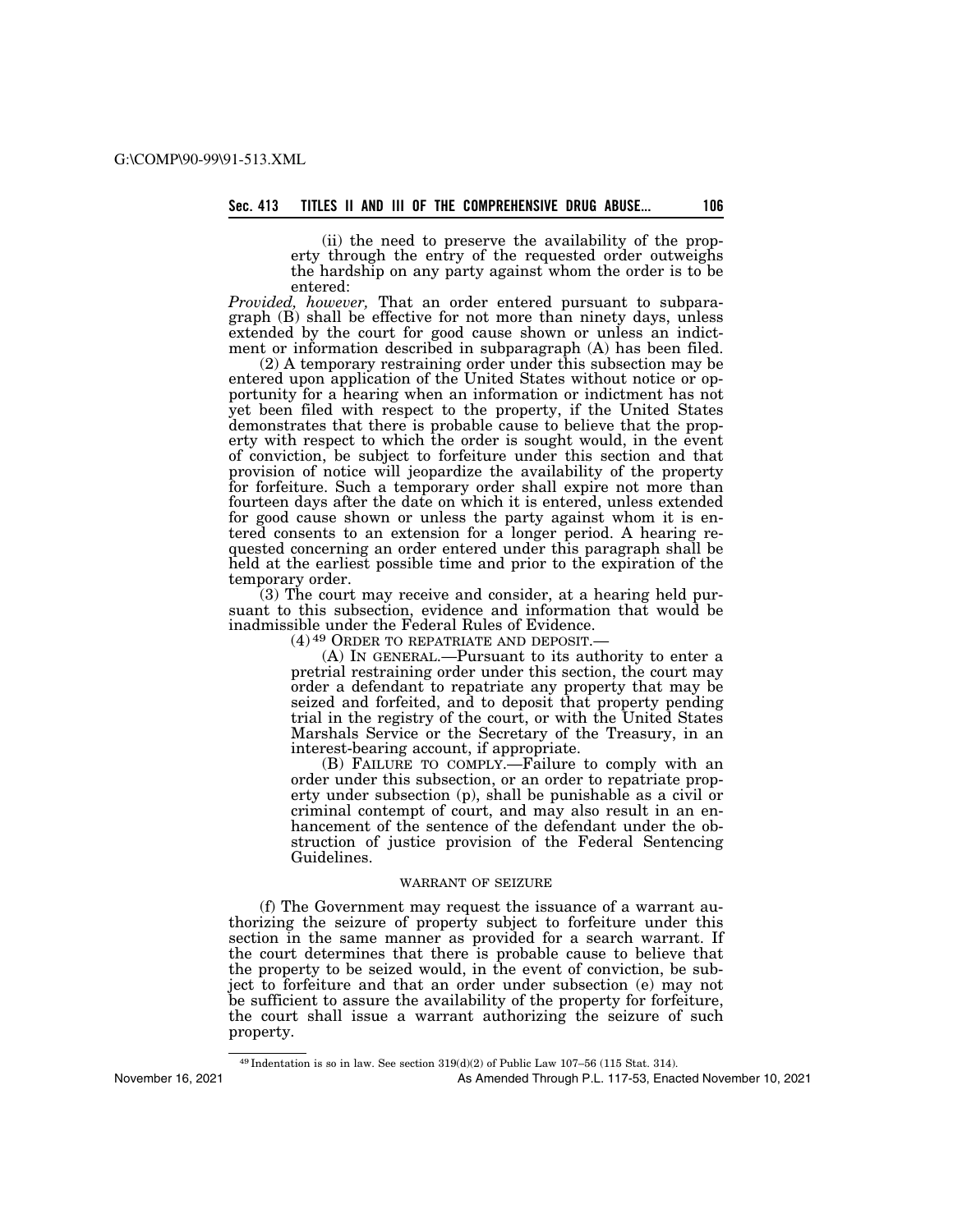(ii) the need to preserve the availability of the property through the entry of the requested order outweighs the hardship on any party against whom the order is to be entered:

*Provided, however,* That an order entered pursuant to subparagraph (B) shall be effective for not more than ninety days, unless extended by the court for good cause shown or unless an indictment or information described in subparagraph (A) has been filed.

(2) A temporary restraining order under this subsection may be entered upon application of the United States without notice or opportunity for a hearing when an information or indictment has not yet been filed with respect to the property, if the United States demonstrates that there is probable cause to believe that the property with respect to which the order is sought would, in the event of conviction, be subject to forfeiture under this section and that provision of notice will jeopardize the availability of the property for forfeiture. Such a temporary order shall expire not more than fourteen days after the date on which it is entered, unless extended for good cause shown or unless the party against whom it is entered consents to an extension for a longer period. A hearing requested concerning an order entered under this paragraph shall be held at the earliest possible time and prior to the expiration of the temporary order.

(3) The court may receive and consider, at a hearing held pursuant to this subsection, evidence and information that would be inadmissible under the Federal Rules of Evidence.<br>(4)<sup>49</sup> ORDER TO REPATRIATE AND DEPOSIT.

 $(A)$  In GENERAL.—Pursuant to its authority to enter a pretrial restraining order under this section, the court may order a defendant to repatriate any property that may be seized and forfeited, and to deposit that property pending trial in the registry of the court, or with the United States Marshals Service or the Secretary of the Treasury, in an interest-bearing account, if appropriate.

(B) FAILURE TO COMPLY.—Failure to comply with an order under this subsection, or an order to repatriate property under subsection (p), shall be punishable as a civil or criminal contempt of court, and may also result in an enhancement of the sentence of the defendant under the obstruction of justice provision of the Federal Sentencing Guidelines.

### WARRANT OF SEIZURE

(f) The Government may request the issuance of a warrant authorizing the seizure of property subject to forfeiture under this section in the same manner as provided for a search warrant. If the court determines that there is probable cause to believe that the property to be seized would, in the event of conviction, be subject to forfeiture and that an order under subsection (e) may not be sufficient to assure the availability of the property for forfeiture, the court shall issue a warrant authorizing the seizure of such property.

 $49$  Indentation is so in law. See section  $319(d)(2)$  of Public Law  $107-56$  (115 Stat. 314). As Amended Through P.L. 117-53, Enacted November 10, 2021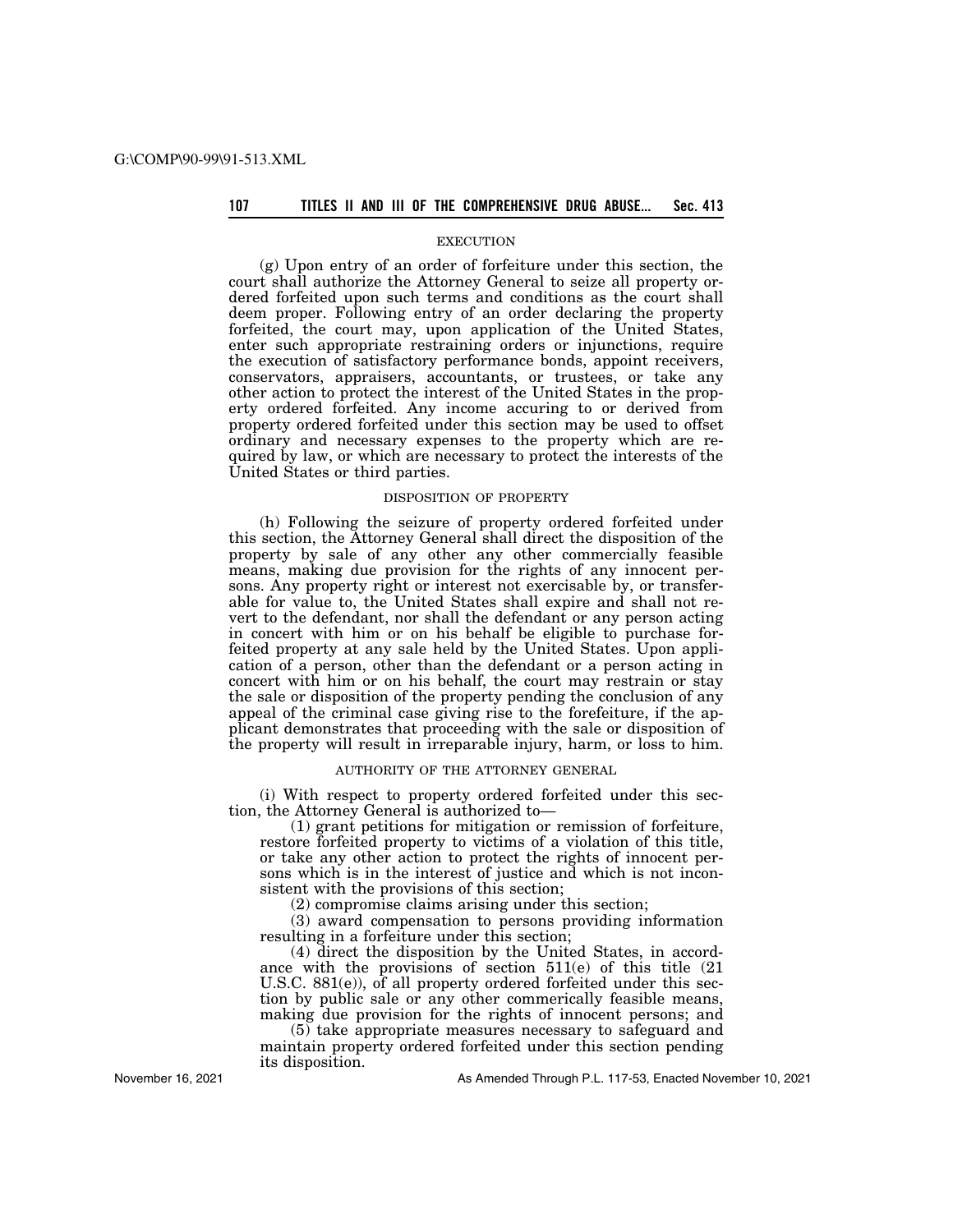# **107 TITLES II AND III OF THE COMPREHENSIVE DRUG ABUSE... Sec. 413**

#### EXECUTION

(g) Upon entry of an order of forfeiture under this section, the court shall authorize the Attorney General to seize all property ordered forfeited upon such terms and conditions as the court shall deem proper. Following entry of an order declaring the property forfeited, the court may, upon application of the United States, enter such appropriate restraining orders or injunctions, require the execution of satisfactory performance bonds, appoint receivers, conservators, appraisers, accountants, or trustees, or take any other action to protect the interest of the United States in the property ordered forfeited. Any income accuring to or derived from property ordered forfeited under this section may be used to offset ordinary and necessary expenses to the property which are required by law, or which are necessary to protect the interests of the United States or third parties.

## DISPOSITION OF PROPERTY

(h) Following the seizure of property ordered forfeited under this section, the Attorney General shall direct the disposition of the property by sale of any other any other commercially feasible means, making due provision for the rights of any innocent persons. Any property right or interest not exercisable by, or transferable for value to, the United States shall expire and shall not revert to the defendant, nor shall the defendant or any person acting in concert with him or on his behalf be eligible to purchase forfeited property at any sale held by the United States. Upon application of a person, other than the defendant or a person acting in concert with him or on his behalf, the court may restrain or stay the sale or disposition of the property pending the conclusion of any appeal of the criminal case giving rise to the forefeiture, if the applicant demonstrates that proceeding with the sale or disposition of the property will result in irreparable injury, harm, or loss to him.

# AUTHORITY OF THE ATTORNEY GENERAL

(i) With respect to property ordered forfeited under this section, the Attorney General is authorized to—

(1) grant petitions for mitigation or remission of forfeiture, restore forfeited property to victims of a violation of this title, or take any other action to protect the rights of innocent persons which is in the interest of justice and which is not inconsistent with the provisions of this section;

(2) compromise claims arising under this section;

(3) award compensation to persons providing information resulting in a forfeiture under this section;

(4) direct the disposition by the United States, in accordance with the provisions of section 511(e) of this title (21 U.S.C. 881(e)), of all property ordered forfeited under this section by public sale or any other commerically feasible means, making due provision for the rights of innocent persons; and

(5) take appropriate measures necessary to safeguard and maintain property ordered forfeited under this section pending its disposition.

As Amended Through P.L. 117-53, Enacted November 10, 2021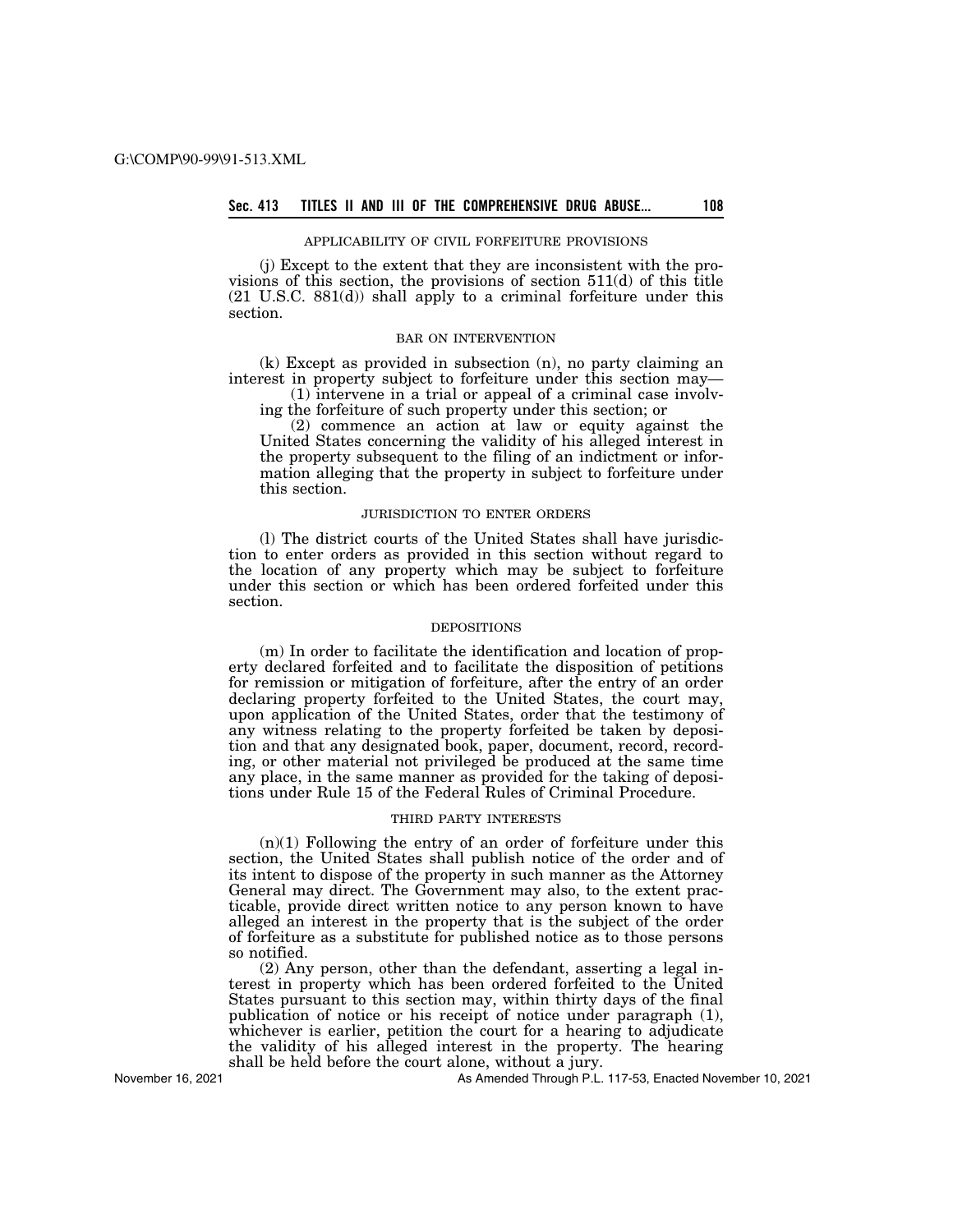## Sec. 413 TITLES II AND III OF THE COMPREHENSIVE DRUG ABUSE... **108**

#### APPLICABILITY OF CIVIL FORFEITURE PROVISIONS

(j) Except to the extent that they are inconsistent with the provisions of this section, the provisions of section 511(d) of this title (21 U.S.C. 881(d)) shall apply to a criminal forfeiture under this section.

#### BAR ON INTERVENTION

(k) Except as provided in subsection (n), no party claiming an interest in property subject to forfeiture under this section may— (1) intervene in a trial or appeal of a criminal case involv-

ing the forfeiture of such property under this section; or

(2) commence an action at law or equity against the United States concerning the validity of his alleged interest in the property subsequent to the filing of an indictment or information alleging that the property in subject to forfeiture under this section.

# JURISDICTION TO ENTER ORDERS

(l) The district courts of the United States shall have jurisdiction to enter orders as provided in this section without regard to the location of any property which may be subject to forfeiture under this section or which has been ordered forfeited under this section.

## DEPOSITIONS

(m) In order to facilitate the identification and location of property declared forfeited and to facilitate the disposition of petitions for remission or mitigation of forfeiture, after the entry of an order declaring property forfeited to the United States, the court may, upon application of the United States, order that the testimony of any witness relating to the property forfeited be taken by deposition and that any designated book, paper, document, record, recording, or other material not privileged be produced at the same time any place, in the same manner as provided for the taking of depositions under Rule 15 of the Federal Rules of Criminal Procedure.

#### THIRD PARTY INTERESTS

 $(n)(1)$  Following the entry of an order of forfeiture under this section, the United States shall publish notice of the order and of its intent to dispose of the property in such manner as the Attorney General may direct. The Government may also, to the extent practicable, provide direct written notice to any person known to have alleged an interest in the property that is the subject of the order of forfeiture as a substitute for published notice as to those persons so notified.

(2) Any person, other than the defendant, asserting a legal interest in property which has been ordered forfeited to the United States pursuant to this section may, within thirty days of the final publication of notice or his receipt of notice under paragraph (1), whichever is earlier, petition the court for a hearing to adjudicate the validity of his alleged interest in the property. The hearing shall be held before the court alone, without a jury.

November 16, 2021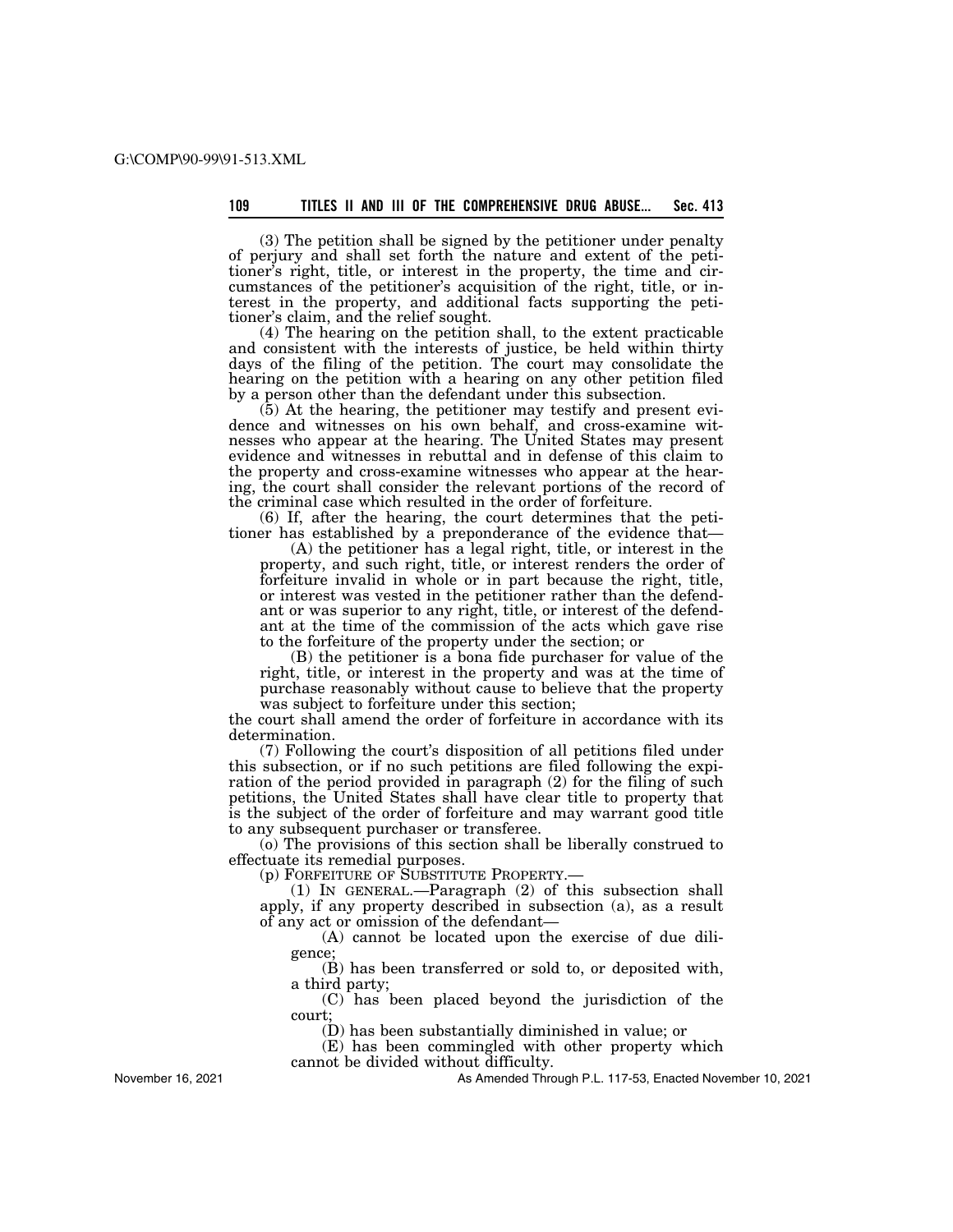(3) The petition shall be signed by the petitioner under penalty of perjury and shall set forth the nature and extent of the petitioner's right, title, or interest in the property, the time and circumstances of the petitioner's acquisition of the right, title, or interest in the property, and additional facts supporting the petitioner's claim, and the relief sought.

(4) The hearing on the petition shall, to the extent practicable and consistent with the interests of justice, be held within thirty days of the filing of the petition. The court may consolidate the hearing on the petition with a hearing on any other petition filed by a person other than the defendant under this subsection.

(5) At the hearing, the petitioner may testify and present evidence and witnesses on his own behalf, and cross-examine witnesses who appear at the hearing. The United States may present evidence and witnesses in rebuttal and in defense of this claim to the property and cross-examine witnesses who appear at the hearing, the court shall consider the relevant portions of the record of the criminal case which resulted in the order of forfeiture.

(6) If, after the hearing, the court determines that the petitioner has established by a preponderance of the evidence that—

(A) the petitioner has a legal right, title, or interest in the property, and such right, title, or interest renders the order of forfeiture invalid in whole or in part because the right, title, or interest was vested in the petitioner rather than the defendant or was superior to any right, title, or interest of the defendant at the time of the commission of the acts which gave rise to the forfeiture of the property under the section; or

(B) the petitioner is a bona fide purchaser for value of the right, title, or interest in the property and was at the time of purchase reasonably without cause to believe that the property was subject to forfeiture under this section;

the court shall amend the order of forfeiture in accordance with its determination.

(7) Following the court's disposition of all petitions filed under this subsection, or if no such petitions are filed following the expiration of the period provided in paragraph (2) for the filing of such petitions, the United States shall have clear title to property that is the subject of the order of forfeiture and may warrant good title to any subsequent purchaser or transferee.

(o) The provisions of this section shall be liberally construed to effectuate its remedial purposes.

(p) FORFEITURE OF SUBSTITUTE PROPERTY.—

(1) IN GENERAL.—Paragraph (2) of this subsection shall apply, if any property described in subsection (a), as a result of any act or omission of the defendant—

(A) cannot be located upon the exercise of due diligence;

(B) has been transferred or sold to, or deposited with, a third party;

 $(C)$  has been placed beyond the jurisdiction of the court;

(D) has been substantially diminished in value; or

(E) has been commingled with other property which cannot be divided without difficulty.

As Amended Through P.L. 117-53, Enacted November 10, 2021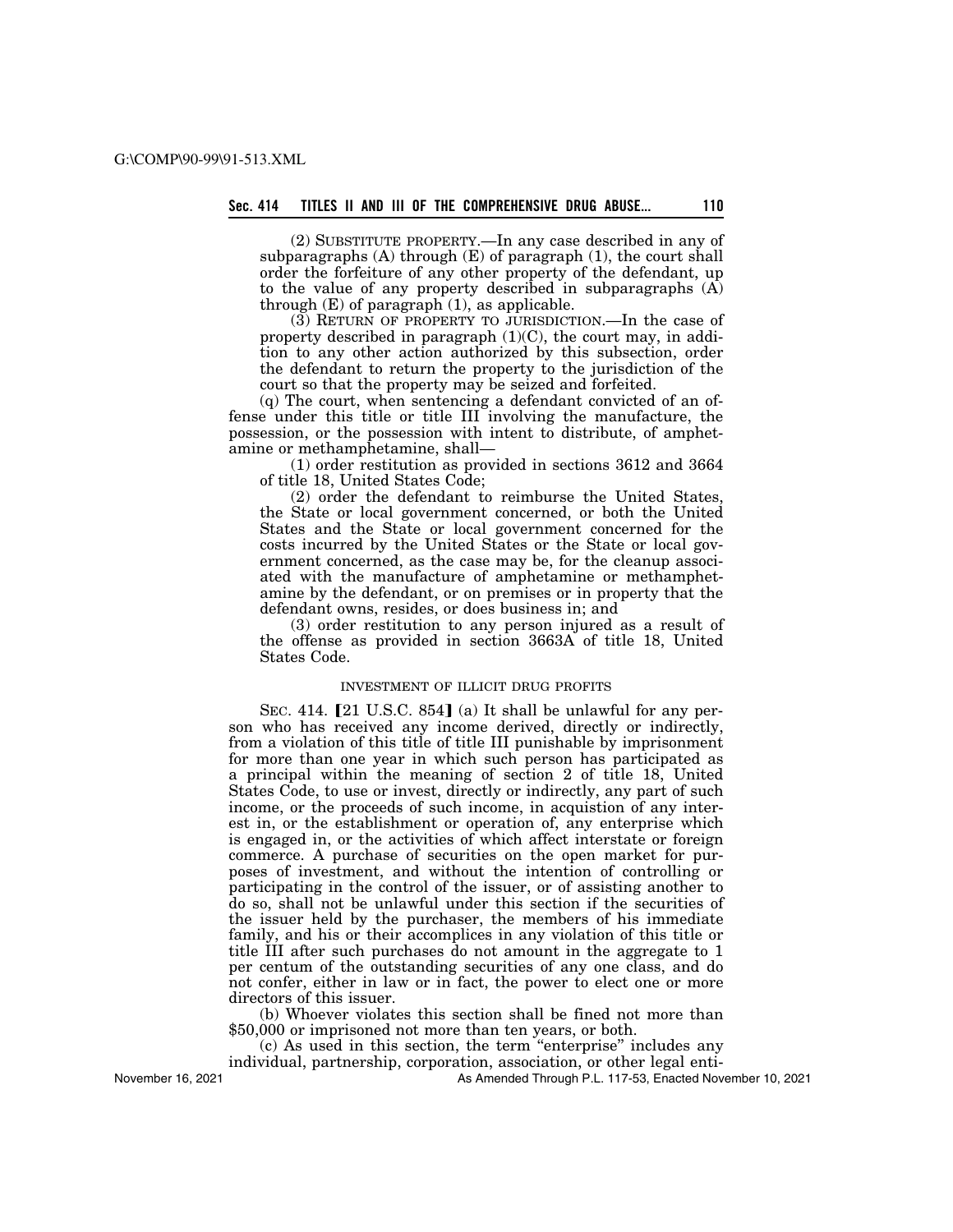## Sec. 414 **TITLES II AND III OF THE COMPREHENSIVE DRUG ABUSE...** 110

(2) SUBSTITUTE PROPERTY.—In any case described in any of subparagraphs  $(A)$  through  $(E)$  of paragraph  $(1)$ , the court shall order the forfeiture of any other property of the defendant, up to the value of any property described in subparagraphs (A) through  $(E)$  of paragraph  $(1)$ , as applicable.

(3) RETURN OF PROPERTY TO JURISDICTION.—In the case of property described in paragraph  $(1)(C)$ , the court may, in addition to any other action authorized by this subsection, order the defendant to return the property to the jurisdiction of the court so that the property may be seized and forfeited.

(q) The court, when sentencing a defendant convicted of an offense under this title or title III involving the manufacture, the possession, or the possession with intent to distribute, of amphetamine or methamphetamine, shall—

(1) order restitution as provided in sections 3612 and 3664 of title 18, United States Code;

(2) order the defendant to reimburse the United States, the State or local government concerned, or both the United States and the State or local government concerned for the costs incurred by the United States or the State or local government concerned, as the case may be, for the cleanup associated with the manufacture of amphetamine or methamphetamine by the defendant, or on premises or in property that the defendant owns, resides, or does business in; and

(3) order restitution to any person injured as a result of the offense as provided in section 3663A of title 18, United States Code.

# INVESTMENT OF ILLICIT DRUG PROFITS

SEC. 414.  $[21 \text{ U.S.C. } 854]$  (a) It shall be unlawful for any person who has received any income derived, directly or indirectly, from a violation of this title of title III punishable by imprisonment for more than one year in which such person has participated as a principal within the meaning of section 2 of title 18, United States Code, to use or invest, directly or indirectly, any part of such income, or the proceeds of such income, in acquistion of any interest in, or the establishment or operation of, any enterprise which is engaged in, or the activities of which affect interstate or foreign commerce. A purchase of securities on the open market for purposes of investment, and without the intention of controlling or participating in the control of the issuer, or of assisting another to do so, shall not be unlawful under this section if the securities of the issuer held by the purchaser, the members of his immediate family, and his or their accomplices in any violation of this title or title III after such purchases do not amount in the aggregate to 1 per centum of the outstanding securities of any one class, and do not confer, either in law or in fact, the power to elect one or more directors of this issuer.

(b) Whoever violates this section shall be fined not more than \$50,000 or imprisoned not more than ten years, or both.

(c) As used in this section, the term ''enterprise'' includes any individual, partnership, corporation, association, or other legal enti-

November 16, 2021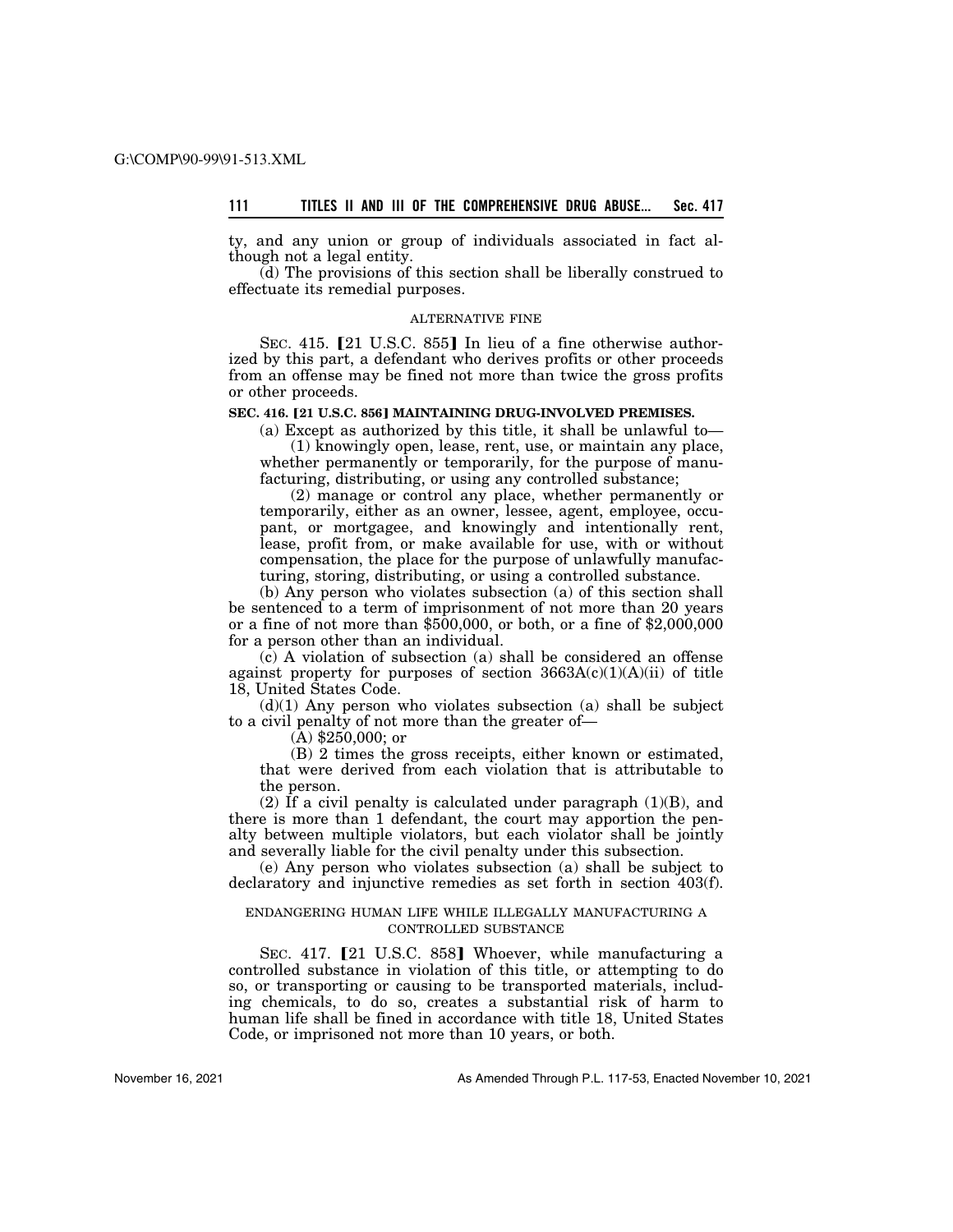ty, and any union or group of individuals associated in fact although not a legal entity.

(d) The provisions of this section shall be liberally construed to effectuate its remedial purposes.

### ALTERNATIVE FINE

SEC. 415.  $[21 \text{ U.S.C. } 855]$  In lieu of a fine otherwise authorized by this part, a defendant who derives profits or other proceeds from an offense may be fined not more than twice the gross profits or other proceeds.

**SEC. 416.** ø**21 U.S.C. 856**¿ **MAINTAINING DRUG-INVOLVED PREMISES.** 

(a) Except as authorized by this title, it shall be unlawful to—

(1) knowingly open, lease, rent, use, or maintain any place, whether permanently or temporarily, for the purpose of manufacturing, distributing, or using any controlled substance;

(2) manage or control any place, whether permanently or temporarily, either as an owner, lessee, agent, employee, occupant, or mortgagee, and knowingly and intentionally rent, lease, profit from, or make available for use, with or without compensation, the place for the purpose of unlawfully manufacturing, storing, distributing, or using a controlled substance.

(b) Any person who violates subsection (a) of this section shall be sentenced to a term of imprisonment of not more than 20 years or a fine of not more than \$500,000, or both, or a fine of \$2,000,000 for a person other than an individual.

(c) A violation of subsection (a) shall be considered an offense against property for purposes of section  $3663A(c)(1)(A)(ii)$  of title 18, United States Code.

 $(d)(1)$  Any person who violates subsection (a) shall be subject to a civil penalty of not more than the greater of—

(A) \$250,000; or

(B) 2 times the gross receipts, either known or estimated, that were derived from each violation that is attributable to the person.

(2) If a civil penalty is calculated under paragraph  $(1)(B)$ , and there is more than 1 defendant, the court may apportion the penalty between multiple violators, but each violator shall be jointly and severally liable for the civil penalty under this subsection.

(e) Any person who violates subsection (a) shall be subject to declaratory and injunctive remedies as set forth in section 403(f).

## ENDANGERING HUMAN LIFE WHILE ILLEGALLY MANUFACTURING A CONTROLLED SUBSTANCE

SEC. 417. [21 U.S.C. 858] Whoever, while manufacturing a controlled substance in violation of this title, or attempting to do so, or transporting or causing to be transported materials, including chemicals, to do so, creates a substantial risk of harm to human life shall be fined in accordance with title 18, United States Code, or imprisoned not more than 10 years, or both.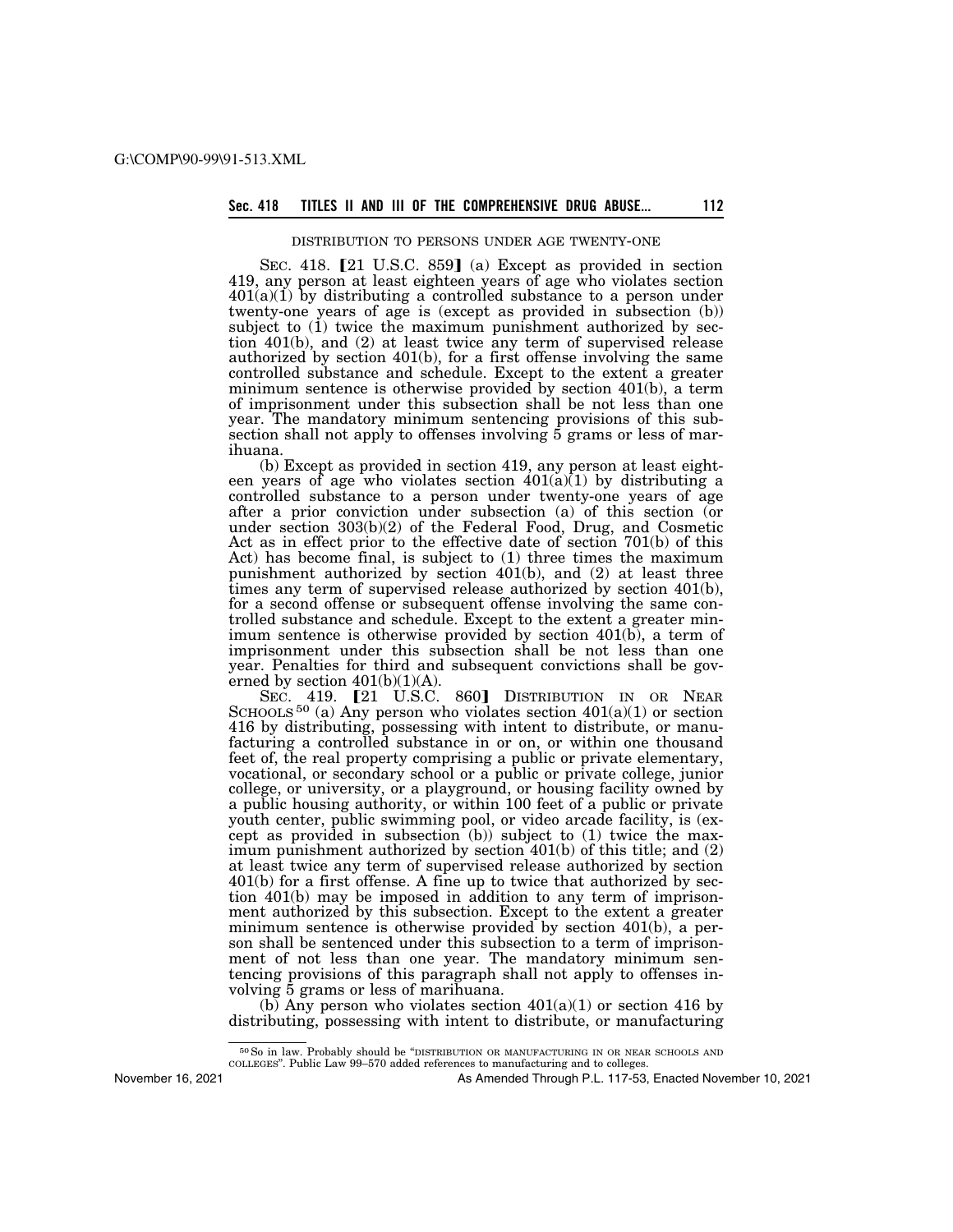## Sec. 418 TITLES II AND III OF THE COMPREHENSIVE DRUG ABUSE... **112**

#### DISTRIBUTION TO PERSONS UNDER AGE TWENTY-ONE

SEC. 418.  $[21 \text{ U.S.C. } 859]$  (a) Except as provided in section 419, any person at least eighteen years of age who violates section  $401(a)(1)$  by distributing a controlled substance to a person under twenty-one years of age is (except as provided in subsection (b)) subject to (1) twice the maximum punishment authorized by section 401(b), and (2) at least twice any term of supervised release authorized by section 401(b), for a first offense involving the same controlled substance and schedule. Except to the extent a greater minimum sentence is otherwise provided by section 401(b), a term of imprisonment under this subsection shall be not less than one year. The mandatory minimum sentencing provisions of this subsection shall not apply to offenses involving 5 grams or less of marihuana.

(b) Except as provided in section 419, any person at least eighteen years of age who violates section  $401(a)(1)$  by distributing a controlled substance to a person under twenty-one years of age after a prior conviction under subsection (a) of this section (or under section 303(b)(2) of the Federal Food, Drug, and Cosmetic Act as in effect prior to the effective date of section 701(b) of this Act) has become final, is subject to (1) three times the maximum punishment authorized by section 401(b), and (2) at least three times any term of supervised release authorized by section 401(b), for a second offense or subsequent offense involving the same controlled substance and schedule. Except to the extent a greater minimum sentence is otherwise provided by section 401(b), a term of imprisonment under this subsection shall be not less than one year. Penalties for third and subsequent convictions shall be governed by section  $401(b)(1)(A)$ .

SEC. 419. [21 U.S.C. 860] DISTRIBUTION IN OR NEAR SCHOOLS<sup>50</sup> (a) Any person who violates section  $401(a)(1)$  or section 416 by distributing, possessing with intent to distribute, or manufacturing a controlled substance in or on, or within one thousand feet of, the real property comprising a public or private elementary, vocational, or secondary school or a public or private college, junior college, or university, or a playground, or housing facility owned by a public housing authority, or within 100 feet of a public or private youth center, public swimming pool, or video arcade facility, is (except as provided in subsection (b)) subject to (1) twice the maximum punishment authorized by section 401(b) of this title; and (2) at least twice any term of supervised release authorized by section 401(b) for a first offense. A fine up to twice that authorized by section 401(b) may be imposed in addition to any term of imprisonment authorized by this subsection. Except to the extent a greater minimum sentence is otherwise provided by section 401(b), a person shall be sentenced under this subsection to a term of imprisonment of not less than one year. The mandatory minimum sentencing provisions of this paragraph shall not apply to offenses involving 5 grams or less of marihuana.

(b) Any person who violates section  $401(a)(1)$  or section 416 by distributing, possessing with intent to distribute, or manufacturing

November 16, 2021

<sup>50</sup>So in law. Probably should be ''DISTRIBUTION OR MANUFACTURING IN OR NEAR SCHOOLS AND COLLEGES''. Public Law 99–570 added references to manufacturing and to colleges.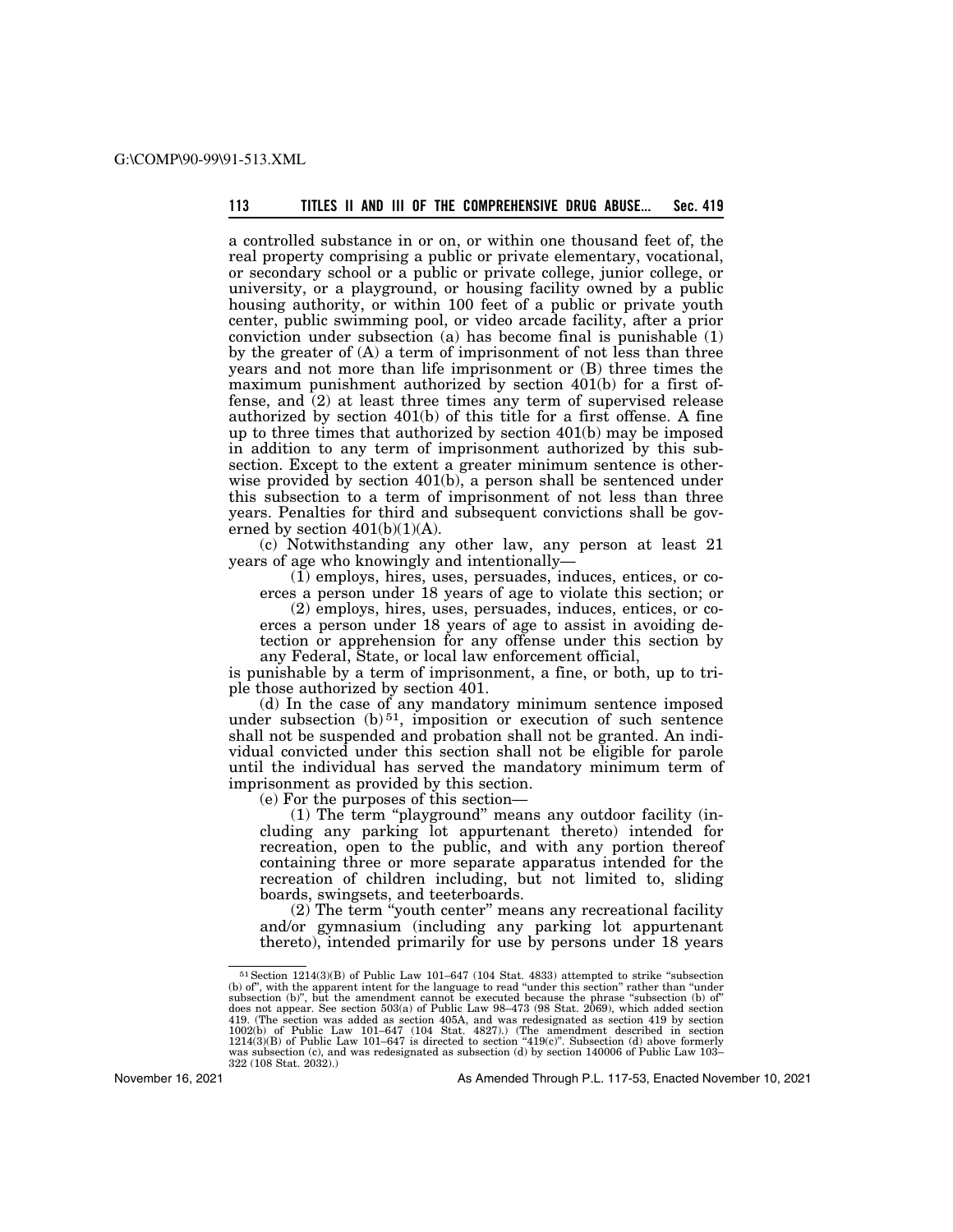# **113 TITLES II AND III OF THE COMPREHENSIVE DRUG ABUSE... Sec. 419**

a controlled substance in or on, or within one thousand feet of, the real property comprising a public or private elementary, vocational, or secondary school or a public or private college, junior college, or university, or a playground, or housing facility owned by a public housing authority, or within 100 feet of a public or private youth center, public swimming pool, or video arcade facility, after a prior conviction under subsection (a) has become final is punishable (1) by the greater of (A) a term of imprisonment of not less than three years and not more than life imprisonment or (B) three times the maximum punishment authorized by section 401(b) for a first offense, and  $(2)$  at least three times any term of supervised release authorized by section 401(b) of this title for a first offense. A fine up to three times that authorized by section 401(b) may be imposed in addition to any term of imprisonment authorized by this subsection. Except to the extent a greater minimum sentence is otherwise provided by section  $401(b)$ , a person shall be sentenced under this subsection to a term of imprisonment of not less than three years. Penalties for third and subsequent convictions shall be governed by section  $401(b)(1)(A)$ .

(c) Notwithstanding any other law, any person at least 21 years of age who knowingly and intentionally—

(1) employs, hires, uses, persuades, induces, entices, or coerces a person under 18 years of age to violate this section; or

(2) employs, hires, uses, persuades, induces, entices, or coerces a person under 18 years of age to assist in avoiding detection or apprehension for any offense under this section by any Federal, State, or local law enforcement official,

is punishable by a term of imprisonment, a fine, or both, up to triple those authorized by section 401.

(d) In the case of any mandatory minimum sentence imposed under subsection (b) 51, imposition or execution of such sentence shall not be suspended and probation shall not be granted. An individual convicted under this section shall not be eligible for parole until the individual has served the mandatory minimum term of imprisonment as provided by this section.

(e) For the purposes of this section—

(1) The term ''playground'' means any outdoor facility (including any parking lot appurtenant thereto) intended for recreation, open to the public, and with any portion thereof containing three or more separate apparatus intended for the recreation of children including, but not limited to, sliding boards, swingsets, and teeterboards.

(2) The term "youth center" means any recreational facility and/or gymnasium (including any parking lot appurtenant thereto), intended primarily for use by persons under 18 years

November 16, 2021

 $51$  Section 1214(3)(B) of Public Law 101–647 (104 Stat. 4833) attempted to strike "subsection" b) of", with the apparent intent for the language to read "under this section" rather than "under subsection (b)", but the amendment cannot be executed because the phrase "subsection (b) of"<br>does not appear. See section 503(a) of Public Law 98–473 (98 Stat. 2069), which added section<br>419. (The section was added as sec 322 (108 Stat. 2032).)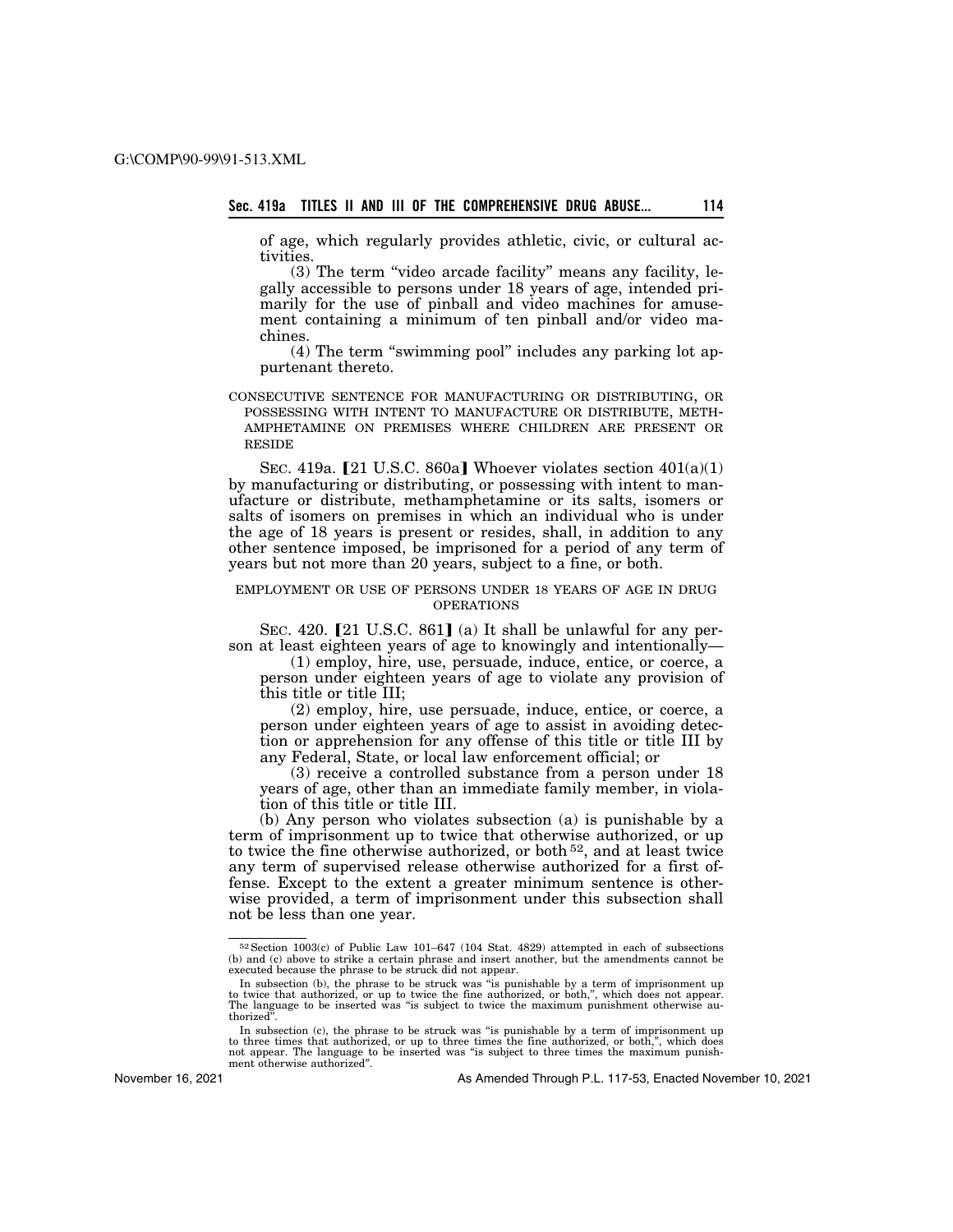### Sec. 419a TITLES II AND III OF THE COMPREHENSIVE DRUG ABUSE... **114**

of age, which regularly provides athletic, civic, or cultural activities.

(3) The term ''video arcade facility'' means any facility, legally accessible to persons under 18 years of age, intended primarily for the use of pinball and video machines for amusement containing a minimum of ten pinball and/or video machines.

(4) The term ''swimming pool'' includes any parking lot appurtenant thereto.

CONSECUTIVE SENTENCE FOR MANUFACTURING OR DISTRIBUTING, OR POSSESSING WITH INTENT TO MANUFACTURE OR DISTRIBUTE, METH-AMPHETAMINE ON PREMISES WHERE CHILDREN ARE PRESENT OR RESIDE

SEC. 419a.  $[21 \text{ U.S.C. } 860a]$  Whoever violates section  $401(a)(1)$ by manufacturing or distributing, or possessing with intent to manufacture or distribute, methamphetamine or its salts, isomers or salts of isomers on premises in which an individual who is under the age of 18 years is present or resides, shall, in addition to any other sentence imposed, be imprisoned for a period of any term of years but not more than 20 years, subject to a fine, or both.

## EMPLOYMENT OR USE OF PERSONS UNDER 18 YEARS OF AGE IN DRUG OPERATIONS

SEC. 420.  $[21 \text{ U.S.C. } 861]$  (a) It shall be unlawful for any person at least eighteen years of age to knowingly and intentionally—

(1) employ, hire, use, persuade, induce, entice, or coerce, a person under eighteen years of age to violate any provision of this title or title III;

(2) employ, hire, use persuade, induce, entice, or coerce, a person under eighteen years of age to assist in avoiding detection or apprehension for any offense of this title or title III by any Federal, State, or local law enforcement official; or

(3) receive a controlled substance from a person under 18 years of age, other than an immediate family member, in violation of this title or title III.

(b) Any person who violates subsection (a) is punishable by a term of imprisonment up to twice that otherwise authorized, or up to twice the fine otherwise authorized, or both 52, and at least twice any term of supervised release otherwise authorized for a first offense. Except to the extent a greater minimum sentence is otherwise provided, a term of imprisonment under this subsection shall not be less than one year.

November 16, 2021

<sup>52</sup>Section 1003(c) of Public Law 101–647 (104 Stat. 4829) attempted in each of subsections (b) and (c) above to strike a certain phrase and insert another, but the amendments cannot be executed because the phrase to be struck did not appear.

In subsection (b), the phrase to be struck was "is punishable by a term of imprisonment up<br>to twice that authorized, or up to twice the fine authorized, or both,", which does not appear.<br>The language to be inserted was "is thorized''.

In subsection (c), the phrase to be struck was "is punishable by a term of imprisonment up to three times that authorized, or up to three times the fine authorized, or both,", which does<br>not appear. The language to be inse ment otherwise authorized''.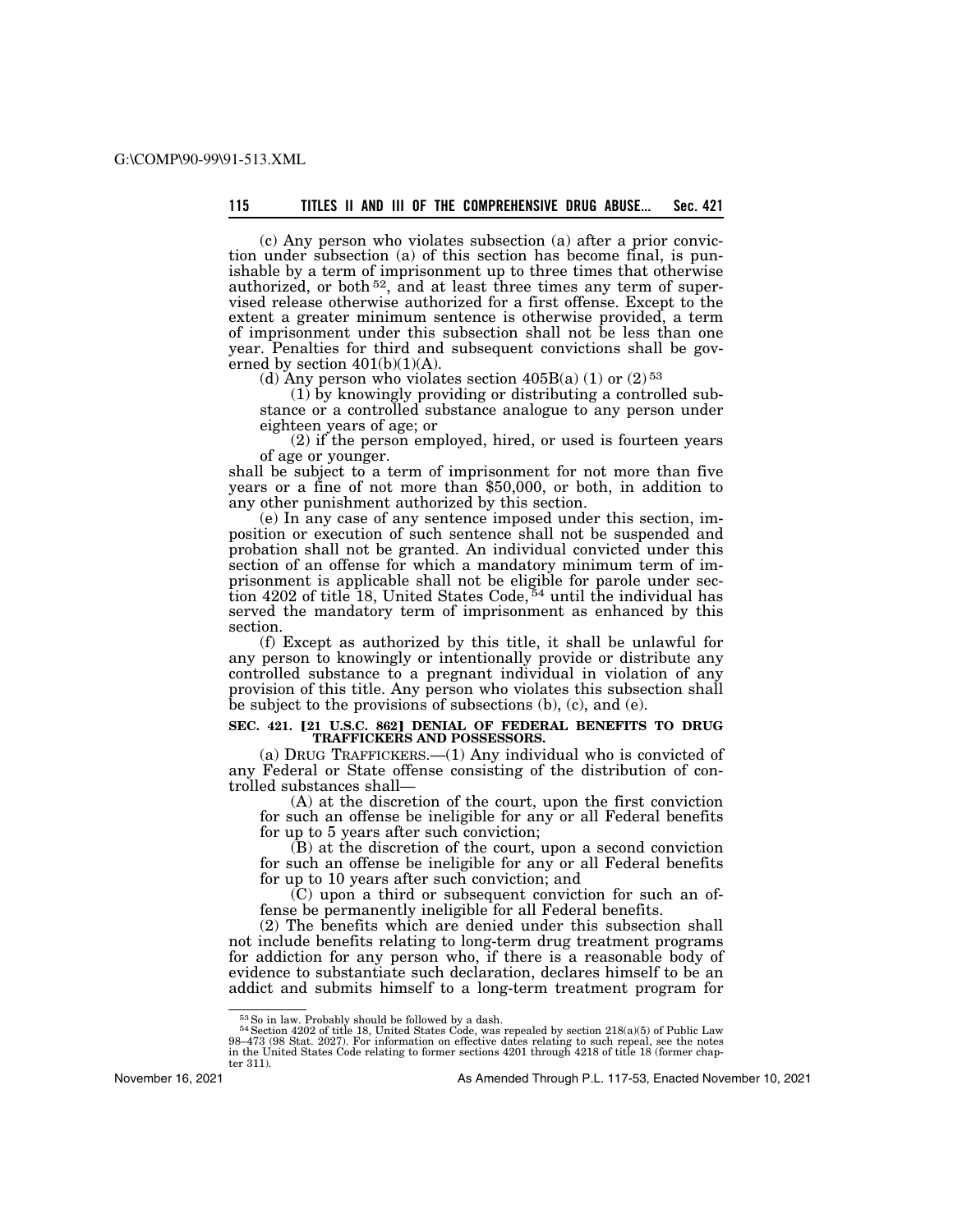# **115 TITLES II AND III OF THE COMPREHENSIVE DRUG ABUSE... Sec. 421**

(c) Any person who violates subsection (a) after a prior conviction under subsection (a) of this section has become final, is punishable by a term of imprisonment up to three times that otherwise authorized, or both <sup>52</sup>, and at least three times any term of supervised release otherwise authorized for a first offense. Except to the extent a greater minimum sentence is otherwise provided, a term of imprisonment under this subsection shall not be less than one year. Penalties for third and subsequent convictions shall be governed by section  $401(b)(1)(A)$ .

(d) Any person who violates section  $405B(a)$  (1) or (2)<sup>53</sup>

(1) by knowingly providing or distributing a controlled substance or a controlled substance analogue to any person under eighteen years of age; or

(2) if the person employed, hired, or used is fourteen years of age or younger.

shall be subject to a term of imprisonment for not more than five years or a fine of not more than \$50,000, or both, in addition to any other punishment authorized by this section.

(e) In any case of any sentence imposed under this section, imposition or execution of such sentence shall not be suspended and probation shall not be granted. An individual convicted under this section of an offense for which a mandatory minimum term of imprisonment is applicable shall not be eligible for parole under section 4202 of title 18, United States Code, <sup>54</sup> until the individual has served the mandatory term of imprisonment as enhanced by this section.

(f) Except as authorized by this title, it shall be unlawful for any person to knowingly or intentionally provide or distribute any controlled substance to a pregnant individual in violation of any provision of this title. Any person who violates this subsection shall be subject to the provisions of subsections (b), (c), and (e).

### SEC. 421. [21 U.S.C. 862] DENIAL OF FEDERAL BENEFITS TO DRUG **TRAFFICKERS AND POSSESSORS.**

(a) DRUG TRAFFICKERS.—(1) Any individual who is convicted of any Federal or State offense consisting of the distribution of controlled substances shall—

(A) at the discretion of the court, upon the first conviction for such an offense be ineligible for any or all Federal benefits for up to 5 years after such conviction;

(B) at the discretion of the court, upon a second conviction for such an offense be ineligible for any or all Federal benefits for up to 10 years after such conviction; and

(C) upon a third or subsequent conviction for such an offense be permanently ineligible for all Federal benefits.

(2) The benefits which are denied under this subsection shall not include benefits relating to long-term drug treatment programs for addiction for any person who, if there is a reasonable body of evidence to substantiate such declaration, declares himself to be an addict and submits himself to a long-term treatment program for

November 16, 2021

 $^{53}$  So in law. Probably should be followed by a dash.<br> $^{54}$  Section 4202 of title 18, United States Code, was repealed by section 218(a)(5) of Public Law<br> $^{98}$ –473 (98 Stat. 2027). For information on effective dates ter 311).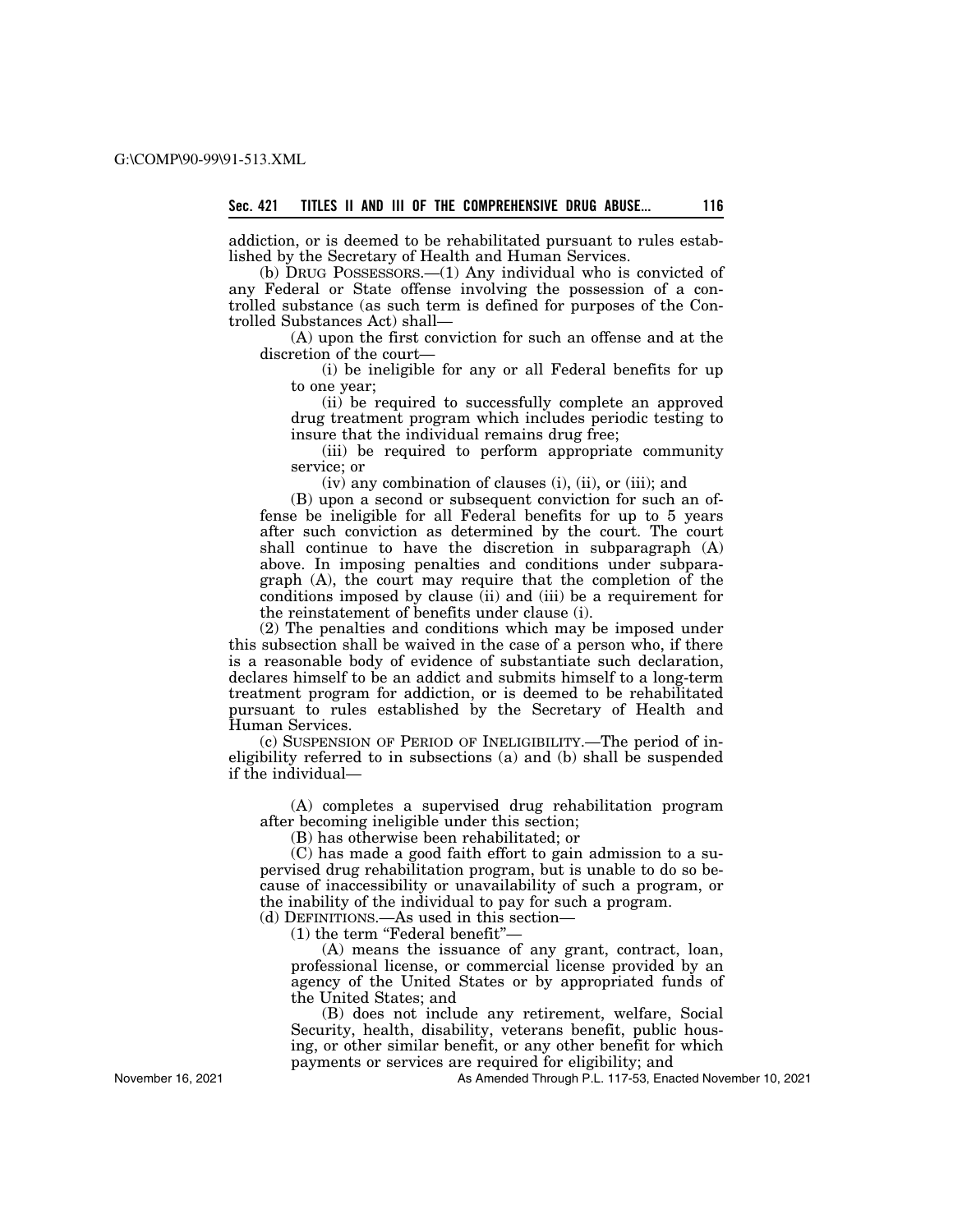addiction, or is deemed to be rehabilitated pursuant to rules established by the Secretary of Health and Human Services.

(b) DRUG POSSESSORS.—(1) Any individual who is convicted of any Federal or State offense involving the possession of a controlled substance (as such term is defined for purposes of the Controlled Substances Act) shall—

(A) upon the first conviction for such an offense and at the discretion of the court—

(i) be ineligible for any or all Federal benefits for up to one year;

(ii) be required to successfully complete an approved drug treatment program which includes periodic testing to insure that the individual remains drug free;

(iii) be required to perform appropriate community service; or

(iv) any combination of clauses (i), (ii), or (iii); and

(B) upon a second or subsequent conviction for such an offense be ineligible for all Federal benefits for up to 5 years after such conviction as determined by the court. The court shall continue to have the discretion in subparagraph (A) above. In imposing penalties and conditions under subparagraph (A), the court may require that the completion of the conditions imposed by clause (ii) and (iii) be a requirement for the reinstatement of benefits under clause (i).

(2) The penalties and conditions which may be imposed under this subsection shall be waived in the case of a person who, if there is a reasonable body of evidence of substantiate such declaration, declares himself to be an addict and submits himself to a long-term treatment program for addiction, or is deemed to be rehabilitated pursuant to rules established by the Secretary of Health and Human Services.

(c) SUSPENSION OF PERIOD OF INELIGIBILITY.—The period of ineligibility referred to in subsections (a) and (b) shall be suspended if the individual—

(A) completes a supervised drug rehabilitation program after becoming ineligible under this section;

(B) has otherwise been rehabilitated; or

(C) has made a good faith effort to gain admission to a supervised drug rehabilitation program, but is unable to do so because of inaccessibility or unavailability of such a program, or the inability of the individual to pay for such a program.

(d) DEFINITIONS.—As used in this section—

 $(1)$  the term "Federal benefit"-

(A) means the issuance of any grant, contract, loan, professional license, or commercial license provided by an agency of the United States or by appropriated funds of the United States; and

(B) does not include any retirement, welfare, Social Security, health, disability, veterans benefit, public housing, or other similar benefit, or any other benefit for which payments or services are required for eligibility; and

As Amended Through P.L. 117-53, Enacted November 10, 2021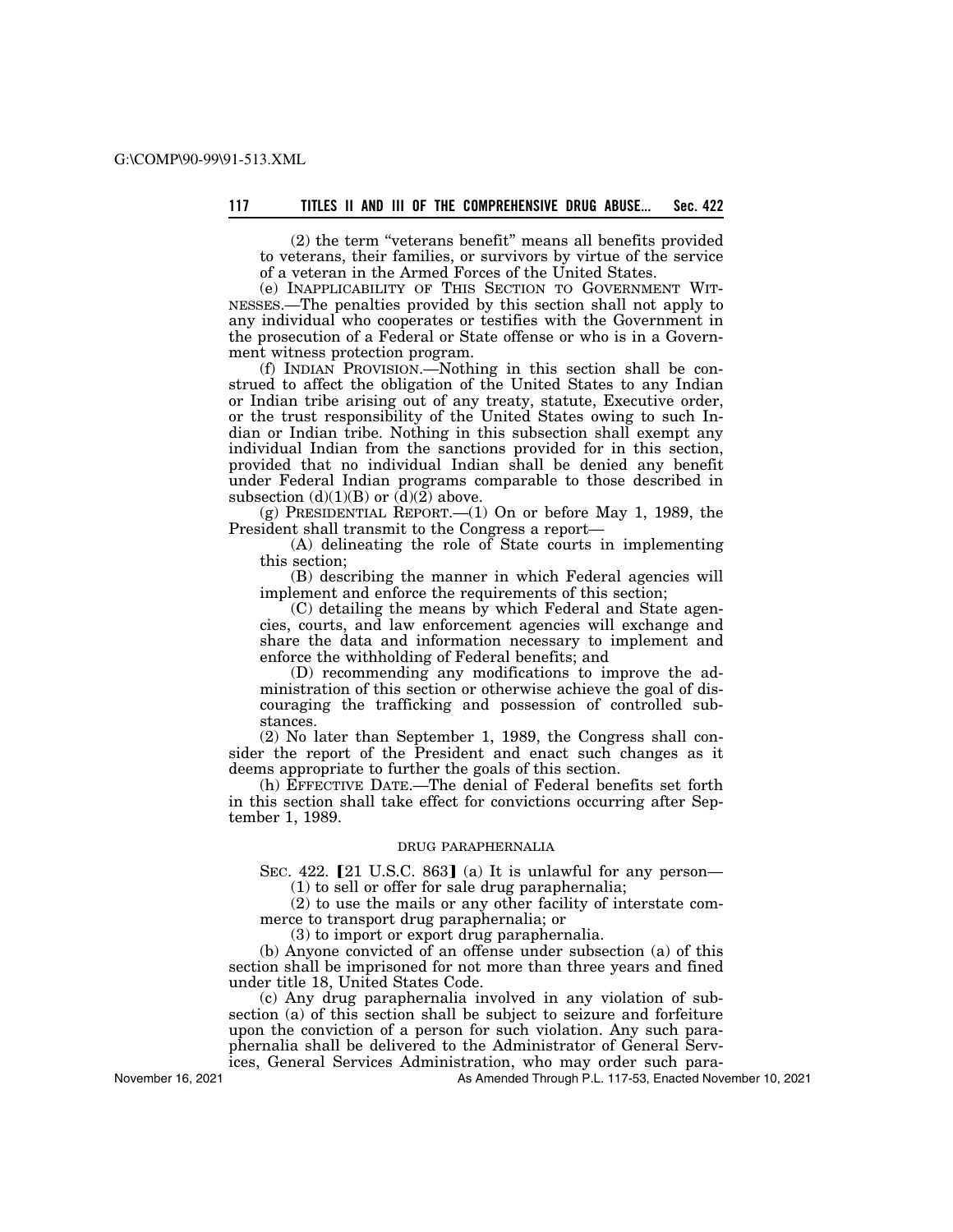(2) the term ''veterans benefit'' means all benefits provided to veterans, their families, or survivors by virtue of the service of a veteran in the Armed Forces of the United States.

(e) INAPPLICABILITY OF THIS SECTION TO GOVERNMENT WIT-NESSES.—The penalties provided by this section shall not apply to any individual who cooperates or testifies with the Government in the prosecution of a Federal or State offense or who is in a Government witness protection program.

(f) INDIAN PROVISION.—Nothing in this section shall be construed to affect the obligation of the United States to any Indian or Indian tribe arising out of any treaty, statute, Executive order, or the trust responsibility of the United States owing to such Indian or Indian tribe. Nothing in this subsection shall exempt any individual Indian from the sanctions provided for in this section, provided that no individual Indian shall be denied any benefit under Federal Indian programs comparable to those described in subsection  $(d)(1)(B)$  or  $(d)(2)$  above.

 $(g)$  PRESIDENTIAL REPORT.— $(1)$  On or before May 1, 1989, the President shall transmit to the Congress a report—

(A) delineating the role of State courts in implementing this section;

(B) describing the manner in which Federal agencies will implement and enforce the requirements of this section;

(C) detailing the means by which Federal and State agencies, courts, and law enforcement agencies will exchange and share the data and information necessary to implement and enforce the withholding of Federal benefits; and

(D) recommending any modifications to improve the administration of this section or otherwise achieve the goal of discouraging the trafficking and possession of controlled substances.

(2) No later than September 1, 1989, the Congress shall consider the report of the President and enact such changes as it deems appropriate to further the goals of this section.

(h) EFFECTIVE DATE.—The denial of Federal benefits set forth in this section shall take effect for convictions occurring after September 1, 1989.

# DRUG PARAPHERNALIA

SEC. 422.  $[21 \text{ U.S.C. } 863]$  (a) It is unlawful for any person-(1) to sell or offer for sale drug paraphernalia;

(2) to use the mails or any other facility of interstate commerce to transport drug paraphernalia; or

(3) to import or export drug paraphernalia.

(b) Anyone convicted of an offense under subsection (a) of this section shall be imprisoned for not more than three years and fined under title 18, United States Code.

(c) Any drug paraphernalia involved in any violation of subsection (a) of this section shall be subject to seizure and forfeiture upon the conviction of a person for such violation. Any such paraphernalia shall be delivered to the Administrator of General Services, General Services Administration, who may order such para-

November 16, 2021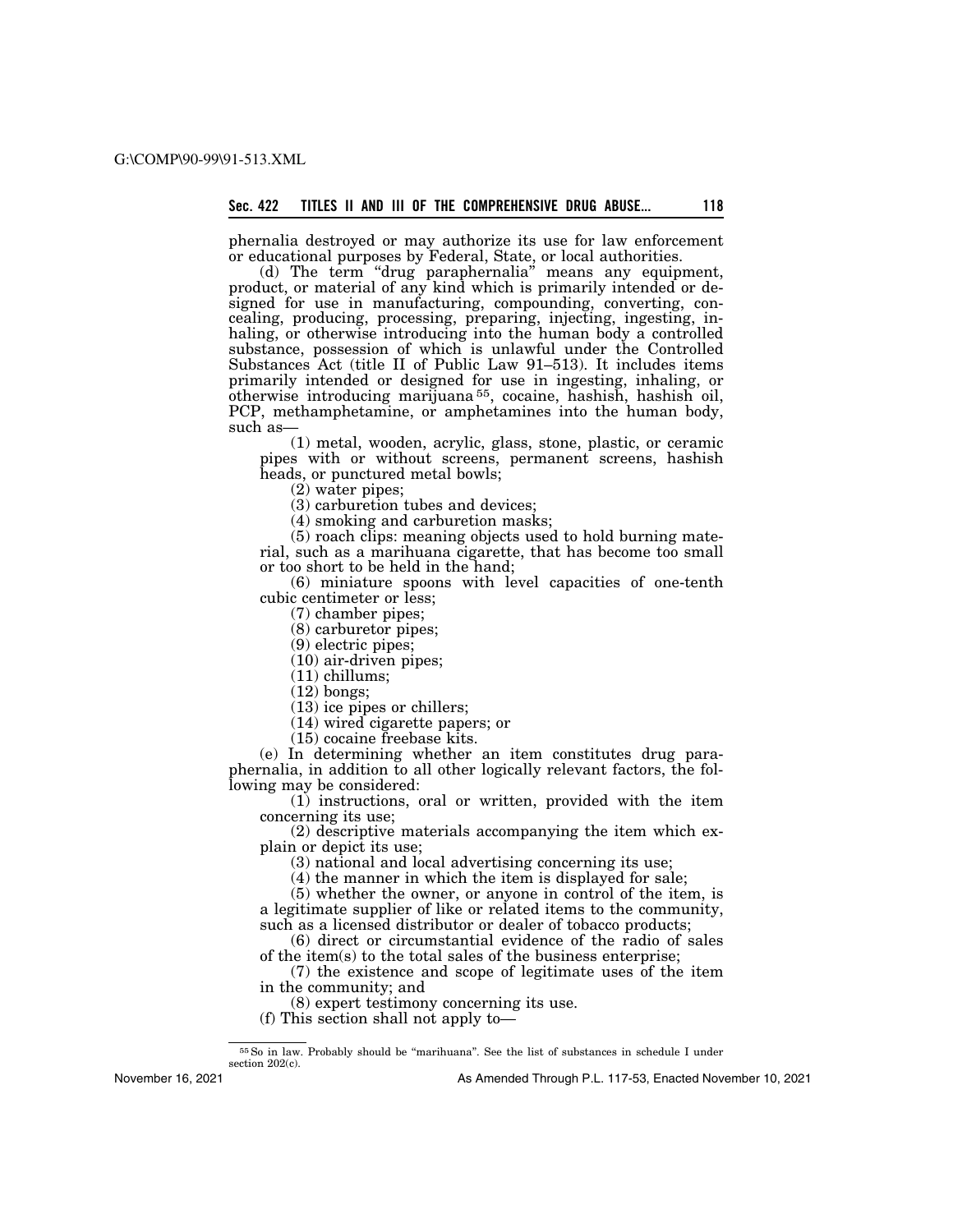## Sec. 422 TITLES II AND III OF THE COMPREHENSIVE DRUG ABUSE... **118**

phernalia destroyed or may authorize its use for law enforcement or educational purposes by Federal, State, or local authorities.

(d) The term ''drug paraphernalia'' means any equipment, product, or material of any kind which is primarily intended or designed for use in manufacturing, compounding, converting, concealing, producing, processing, preparing, injecting, ingesting, inhaling, or otherwise introducing into the human body a controlled substance, possession of which is unlawful under the Controlled Substances Act (title II of Public Law 91–513). It includes items primarily intended or designed for use in ingesting, inhaling, or otherwise introducing marijuana<sup>55</sup>, cocaine, hashish, hashish oil, PCP, methamphetamine, or amphetamines into the human body, such as—

(1) metal, wooden, acrylic, glass, stone, plastic, or ceramic pipes with or without screens, permanent screens, hashish heads, or punctured metal bowls;

(2) water pipes;

(3) carburetion tubes and devices;

(4) smoking and carburetion masks;

(5) roach clips: meaning objects used to hold burning material, such as a marihuana cigarette, that has become too small or too short to be held in the hand;

(6) miniature spoons with level capacities of one-tenth cubic centimeter or less;

(7) chamber pipes;

(8) carburetor pipes;

(9) electric pipes;

(10) air-driven pipes;

(11) chillums;

(12) bongs;

(13) ice pipes or chillers;

(14) wired cigarette papers; or

(15) cocaine freebase kits.

(e) In determining whether an item constitutes drug paraphernalia, in addition to all other logically relevant factors, the following may be considered:

(1) instructions, oral or written, provided with the item concerning its use;

(2) descriptive materials accompanying the item which explain or depict its use;

(3) national and local advertising concerning its use;

(4) the manner in which the item is displayed for sale;

(5) whether the owner, or anyone in control of the item, is a legitimate supplier of like or related items to the community, such as a licensed distributor or dealer of tobacco products;

(6) direct or circumstantial evidence of the radio of sales of the item(s) to the total sales of the business enterprise;

(7) the existence and scope of legitimate uses of the item in the community; and

(8) expert testimony concerning its use.

(f) This section shall not apply to—

55So in law. Probably should be ''marihuana''. See the list of substances in schedule I under section 202(c).

November 16, 2021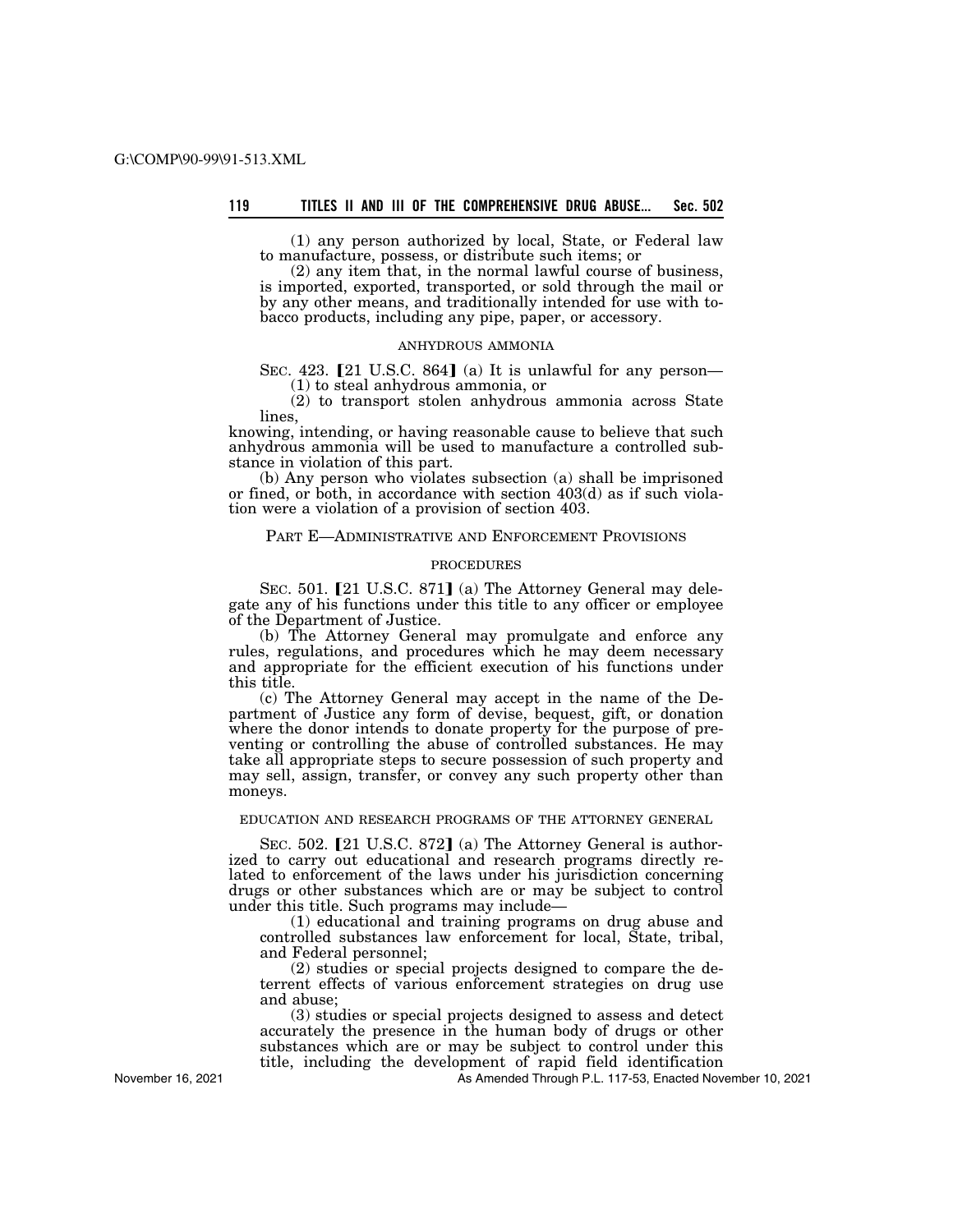(1) any person authorized by local, State, or Federal law to manufacture, possess, or distribute such items; or

(2) any item that, in the normal lawful course of business, is imported, exported, transported, or sold through the mail or by any other means, and traditionally intended for use with tobacco products, including any pipe, paper, or accessory.

# ANHYDROUS AMMONIA

SEC. 423.  $[21 \text{ U.S.C. } 864]$  (a) It is unlawful for any person— (1) to steal anhydrous ammonia, or

(2) to transport stolen anhydrous ammonia across State lines,

knowing, intending, or having reasonable cause to believe that such anhydrous ammonia will be used to manufacture a controlled substance in violation of this part.

(b) Any person who violates subsection (a) shall be imprisoned or fined, or both, in accordance with section 403(d) as if such violation were a violation of a provision of section 403.

### PART E—ADMINISTRATIVE AND ENFORCEMENT PROVISIONS

# PROCEDURES

SEC. 501. [21 U.S.C. 871] (a) The Attorney General may delegate any of his functions under this title to any officer or employee of the Department of Justice.

(b) The Attorney General may promulgate and enforce any rules, regulations, and procedures which he may deem necessary and appropriate for the efficient execution of his functions under this title.

(c) The Attorney General may accept in the name of the Department of Justice any form of devise, bequest, gift, or donation where the donor intends to donate property for the purpose of preventing or controlling the abuse of controlled substances. He may take all appropriate steps to secure possession of such property and may sell, assign, transfer, or convey any such property other than moneys.

## EDUCATION AND RESEARCH PROGRAMS OF THE ATTORNEY GENERAL

SEC. 502. [21 U.S.C. 872] (a) The Attorney General is authorized to carry out educational and research programs directly related to enforcement of the laws under his jurisdiction concerning drugs or other substances which are or may be subject to control under this title. Such programs may include—

(1) educational and training programs on drug abuse and controlled substances law enforcement for local, State, tribal, and Federal personnel;

(2) studies or special projects designed to compare the deterrent effects of various enforcement strategies on drug use and abuse;

(3) studies or special projects designed to assess and detect accurately the presence in the human body of drugs or other substances which are or may be subject to control under this title, including the development of rapid field identification

As Amended Through P.L. 117-53, Enacted November 10, 2021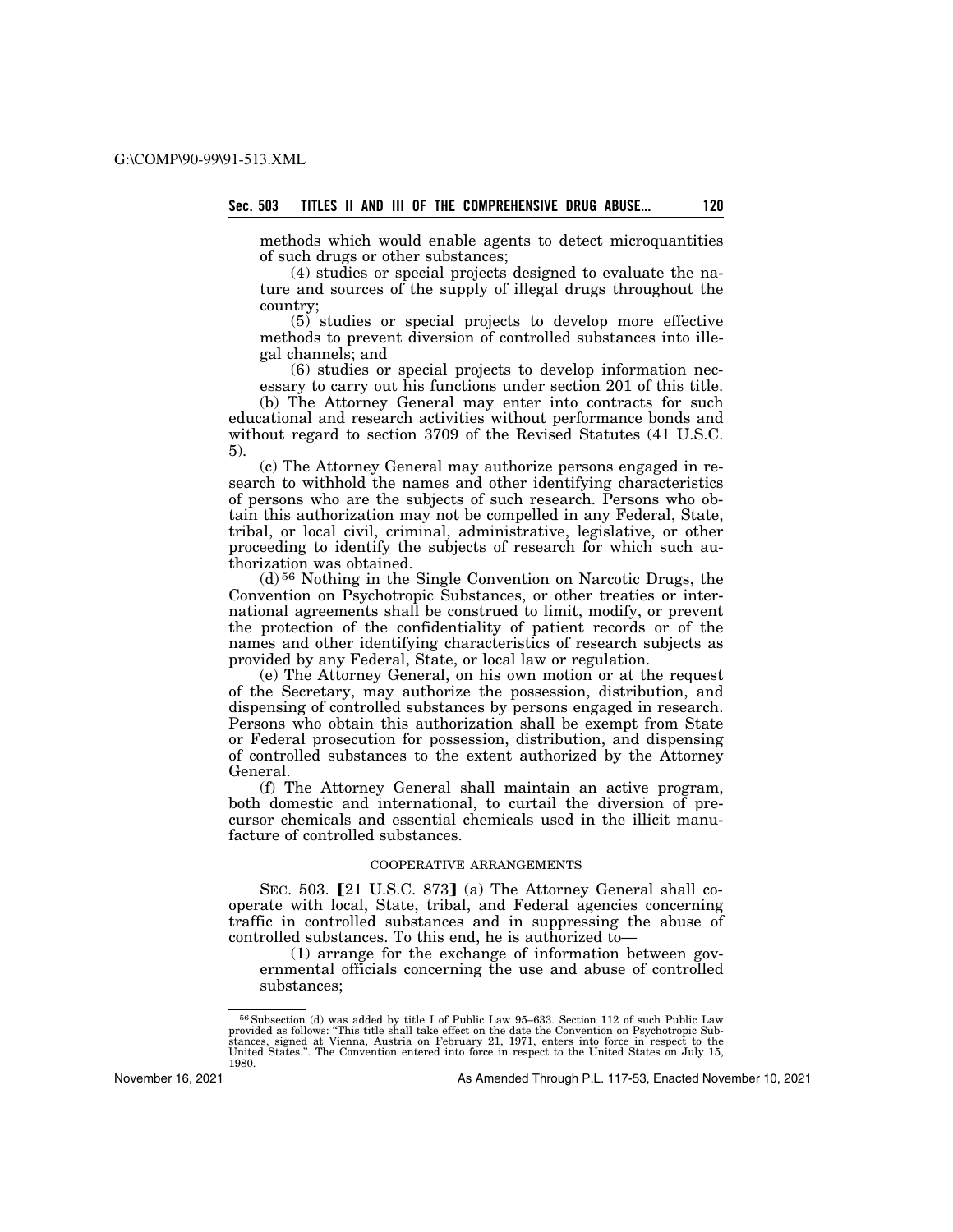methods which would enable agents to detect microquantities of such drugs or other substances;

(4) studies or special projects designed to evaluate the nature and sources of the supply of illegal drugs throughout the country;

(5) studies or special projects to develop more effective methods to prevent diversion of controlled substances into illegal channels; and

(6) studies or special projects to develop information necessary to carry out his functions under section 201 of this title.

(b) The Attorney General may enter into contracts for such educational and research activities without performance bonds and without regard to section 3709 of the Revised Statutes (41 U.S.C. 5).

(c) The Attorney General may authorize persons engaged in research to withhold the names and other identifying characteristics of persons who are the subjects of such research. Persons who obtain this authorization may not be compelled in any Federal, State, tribal, or local civil, criminal, administrative, legislative, or other proceeding to identify the subjects of research for which such authorization was obtained.

(d) 56 Nothing in the Single Convention on Narcotic Drugs, the Convention on Psychotropic Substances, or other treaties or international agreements shall be construed to limit, modify, or prevent the protection of the confidentiality of patient records or of the names and other identifying characteristics of research subjects as provided by any Federal, State, or local law or regulation.

(e) The Attorney General, on his own motion or at the request of the Secretary, may authorize the possession, distribution, and dispensing of controlled substances by persons engaged in research. Persons who obtain this authorization shall be exempt from State or Federal prosecution for possession, distribution, and dispensing of controlled substances to the extent authorized by the Attorney General.

(f) The Attorney General shall maintain an active program, both domestic and international, to curtail the diversion of precursor chemicals and essential chemicals used in the illicit manufacture of controlled substances.

### COOPERATIVE ARRANGEMENTS

SEC. 503. [21 U.S.C. 873] (a) The Attorney General shall cooperate with local, State, tribal, and Federal agencies concerning traffic in controlled substances and in suppressing the abuse of controlled substances. To this end, he is authorized to—

(1) arrange for the exchange of information between governmental officials concerning the use and abuse of controlled substances;

November 16, 2021

<sup>56</sup>Subsection (d) was added by title I of Public Law 95–633. Section 112 of such Public Law provided as follows: "This title shall take effect on the date the Convention on Psychotropic Sub-<br>stances, signed at Vienna, Austria on February 21, 1971, enters into force in respect to the<br>United States.". The Conventio 1980.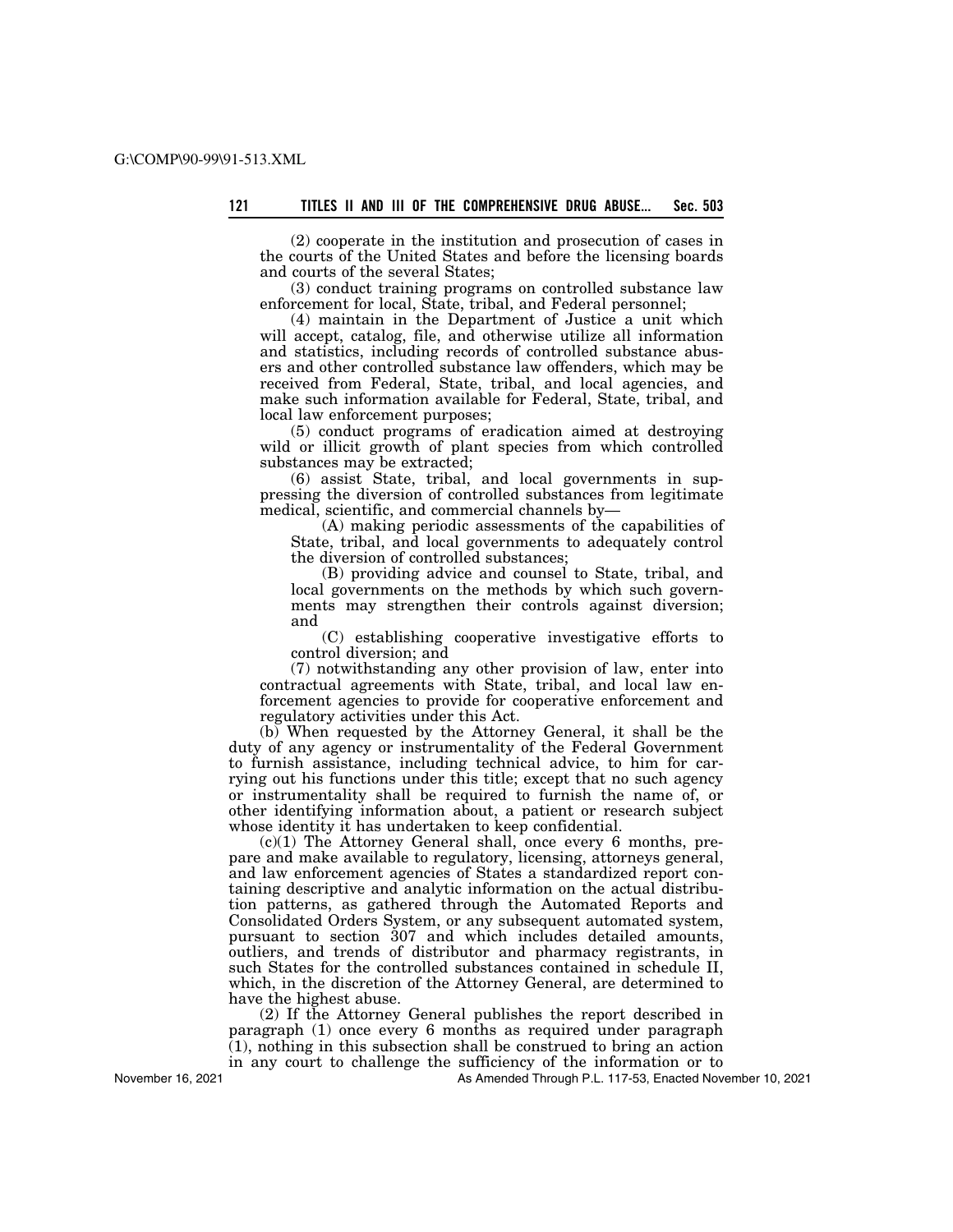(2) cooperate in the institution and prosecution of cases in the courts of the United States and before the licensing boards and courts of the several States;

(3) conduct training programs on controlled substance law enforcement for local, State, tribal, and Federal personnel;

(4) maintain in the Department of Justice a unit which will accept, catalog, file, and otherwise utilize all information and statistics, including records of controlled substance abusers and other controlled substance law offenders, which may be received from Federal, State, tribal, and local agencies, and make such information available for Federal, State, tribal, and local law enforcement purposes;

(5) conduct programs of eradication aimed at destroying wild or illicit growth of plant species from which controlled substances may be extracted;

(6) assist State, tribal, and local governments in suppressing the diversion of controlled substances from legitimate medical, scientific, and commercial channels by—

(A) making periodic assessments of the capabilities of State, tribal, and local governments to adequately control the diversion of controlled substances;

(B) providing advice and counsel to State, tribal, and local governments on the methods by which such governments may strengthen their controls against diversion; and

(C) establishing cooperative investigative efforts to control diversion; and

(7) notwithstanding any other provision of law, enter into contractual agreements with State, tribal, and local law enforcement agencies to provide for cooperative enforcement and regulatory activities under this Act.

(b) When requested by the Attorney General, it shall be the duty of any agency or instrumentality of the Federal Government to furnish assistance, including technical advice, to him for carrying out his functions under this title; except that no such agency or instrumentality shall be required to furnish the name of, or other identifying information about, a patient or research subject whose identity it has undertaken to keep confidential.

(c)(1) The Attorney General shall, once every 6 months, prepare and make available to regulatory, licensing, attorneys general, and law enforcement agencies of States a standardized report containing descriptive and analytic information on the actual distribution patterns, as gathered through the Automated Reports and Consolidated Orders System, or any subsequent automated system, pursuant to section 307 and which includes detailed amounts, outliers, and trends of distributor and pharmacy registrants, in such States for the controlled substances contained in schedule II, which, in the discretion of the Attorney General, are determined to have the highest abuse.

(2) If the Attorney General publishes the report described in paragraph (1) once every 6 months as required under paragraph (1), nothing in this subsection shall be construed to bring an action

in any court to challenge the sufficiency of the information or to

As Amended Through P.L. 117-53, Enacted November 10, 2021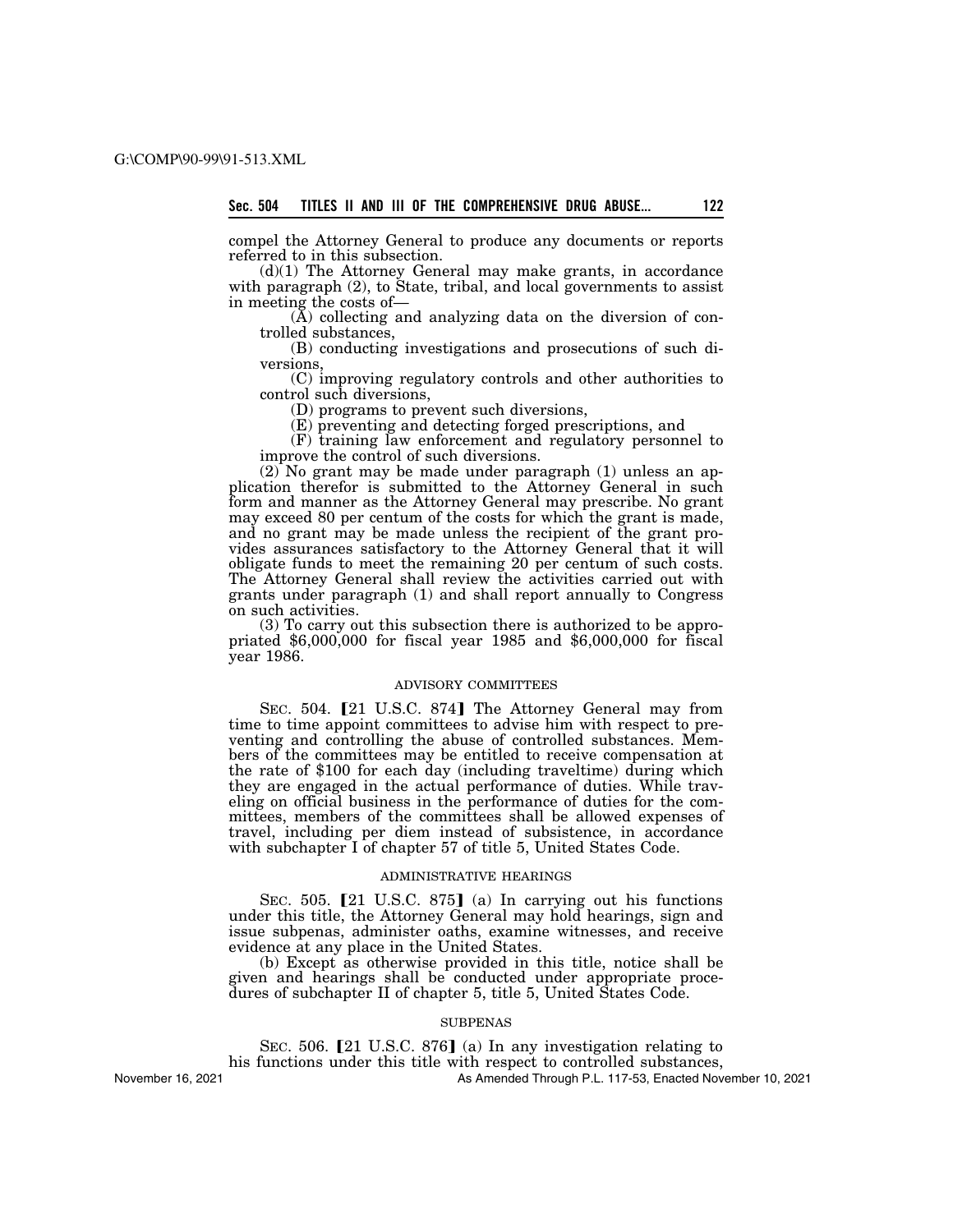compel the Attorney General to produce any documents or reports referred to in this subsection.

(d)(1) The Attorney General may make grants, in accordance with paragraph (2), to State, tribal, and local governments to assist in meeting the costs of—

(A) collecting and analyzing data on the diversion of controlled substances,

(B) conducting investigations and prosecutions of such diversions,

(C) improving regulatory controls and other authorities to control such diversions,

(D) programs to prevent such diversions,

(E) preventing and detecting forged prescriptions, and

(F) training law enforcement and regulatory personnel to improve the control of such diversions.

 $(2)$  No grant may be made under paragraph  $(1)$  unless an application therefor is submitted to the Attorney General in such form and manner as the Attorney General may prescribe. No grant may exceed 80 per centum of the costs for which the grant is made, and no grant may be made unless the recipient of the grant provides assurances satisfactory to the Attorney General that it will obligate funds to meet the remaining 20 per centum of such costs. The Attorney General shall review the activities carried out with grants under paragraph (1) and shall report annually to Congress on such activities.<br>(3) To carry out this subsection there is authorized to be appro-

priated  $$6,000,000$  for fiscal year 1985 and  $$6,000,000$  for fiscal year 1986.

# ADVISORY COMMITTEES

SEC. 504. [21 U.S.C. 874] The Attorney General may from time to time appoint committees to advise him with respect to preventing and controlling the abuse of controlled substances. Members of the committees may be entitled to receive compensation at the rate of \$100 for each day (including traveltime) during which they are engaged in the actual performance of duties. While traveling on official business in the performance of duties for the committees, members of the committees shall be allowed expenses of travel, including per diem instead of subsistence, in accordance with subchapter I of chapter 57 of title 5, United States Code.

## ADMINISTRATIVE HEARINGS

SEC.  $505.$  [21 U.S.C.  $875$ ] (a) In carrying out his functions under this title, the Attorney General may hold hearings, sign and issue subpenas, administer oaths, examine witnesses, and receive evidence at any place in the United States.

(b) Except as otherwise provided in this title, notice shall be given and hearings shall be conducted under appropriate procedures of subchapter II of chapter 5, title 5, United States Code.

### SUBPENAS

SEC. 506.  $[21 \text{ U.S.C. } 876]$  (a) In any investigation relating to his functions under this title with respect to controlled substances, As Amended Through P.L. 117-53, Enacted November 10, 2021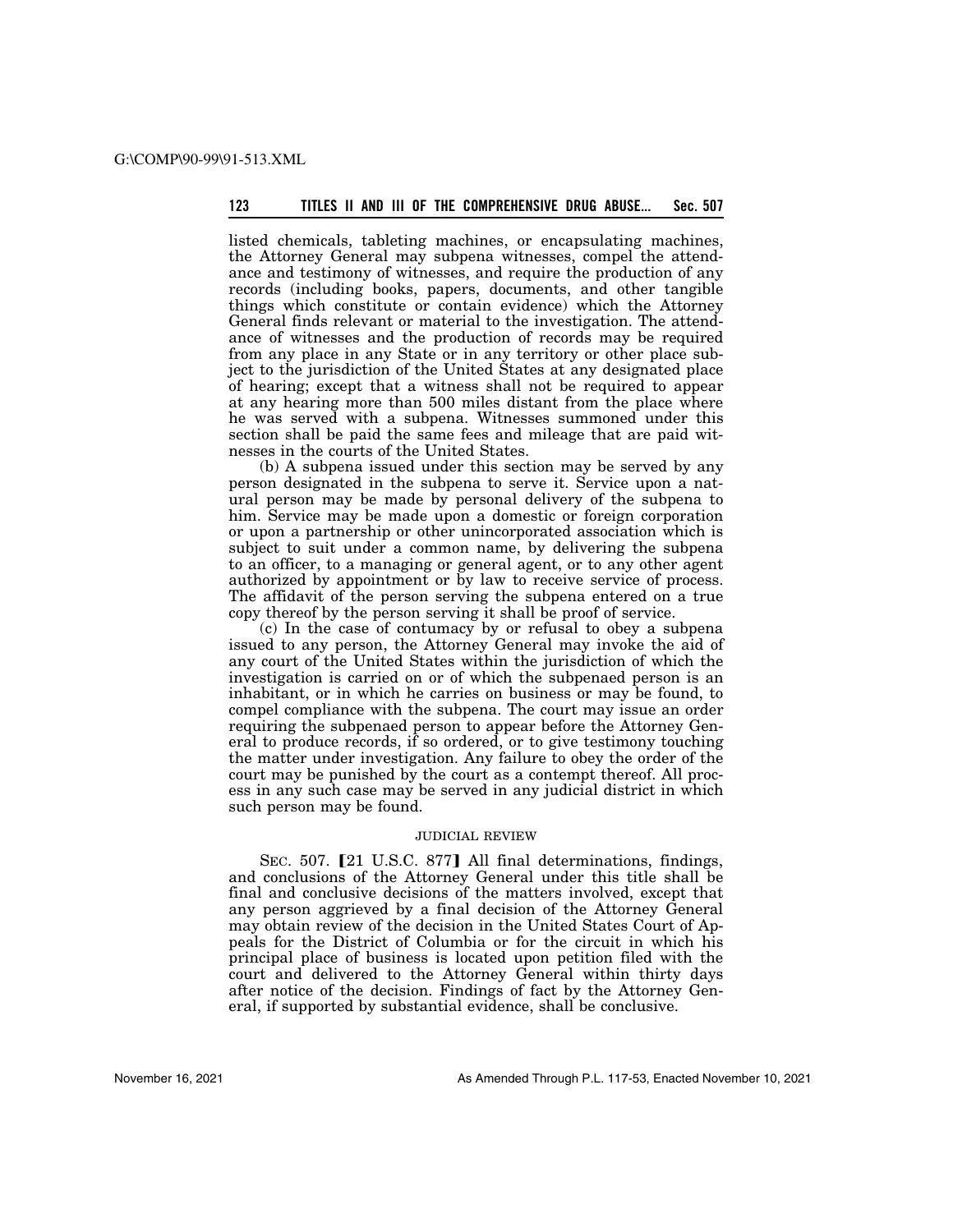# **123 TITLES II AND III OF THE COMPREHENSIVE DRUG ABUSE... Sec. 507**

listed chemicals, tableting machines, or encapsulating machines, the Attorney General may subpena witnesses, compel the attendance and testimony of witnesses, and require the production of any records (including books, papers, documents, and other tangible things which constitute or contain evidence) which the Attorney General finds relevant or material to the investigation. The attendance of witnesses and the production of records may be required from any place in any State or in any territory or other place subject to the jurisdiction of the United States at any designated place of hearing; except that a witness shall not be required to appear at any hearing more than 500 miles distant from the place where he was served with a subpena. Witnesses summoned under this section shall be paid the same fees and mileage that are paid witnesses in the courts of the United States.

(b) A subpena issued under this section may be served by any person designated in the subpena to serve it. Service upon a natural person may be made by personal delivery of the subpena to him. Service may be made upon a domestic or foreign corporation or upon a partnership or other unincorporated association which is subject to suit under a common name, by delivering the subpena to an officer, to a managing or general agent, or to any other agent authorized by appointment or by law to receive service of process. The affidavit of the person serving the subpena entered on a true copy thereof by the person serving it shall be proof of service.

(c) In the case of contumacy by or refusal to obey a subpena issued to any person, the Attorney General may invoke the aid of any court of the United States within the jurisdiction of which the investigation is carried on or of which the subpenaed person is an inhabitant, or in which he carries on business or may be found, to compel compliance with the subpena. The court may issue an order requiring the subpenaed person to appear before the Attorney General to produce records, if so ordered, or to give testimony touching the matter under investigation. Any failure to obey the order of the court may be punished by the court as a contempt thereof. All process in any such case may be served in any judicial district in which such person may be found.

# JUDICIAL REVIEW

SEC. 507. [21 U.S.C. 877] All final determinations, findings, and conclusions of the Attorney General under this title shall be final and conclusive decisions of the matters involved, except that any person aggrieved by a final decision of the Attorney General may obtain review of the decision in the United States Court of Appeals for the District of Columbia or for the circuit in which his principal place of business is located upon petition filed with the court and delivered to the Attorney General within thirty days after notice of the decision. Findings of fact by the Attorney General, if supported by substantial evidence, shall be conclusive.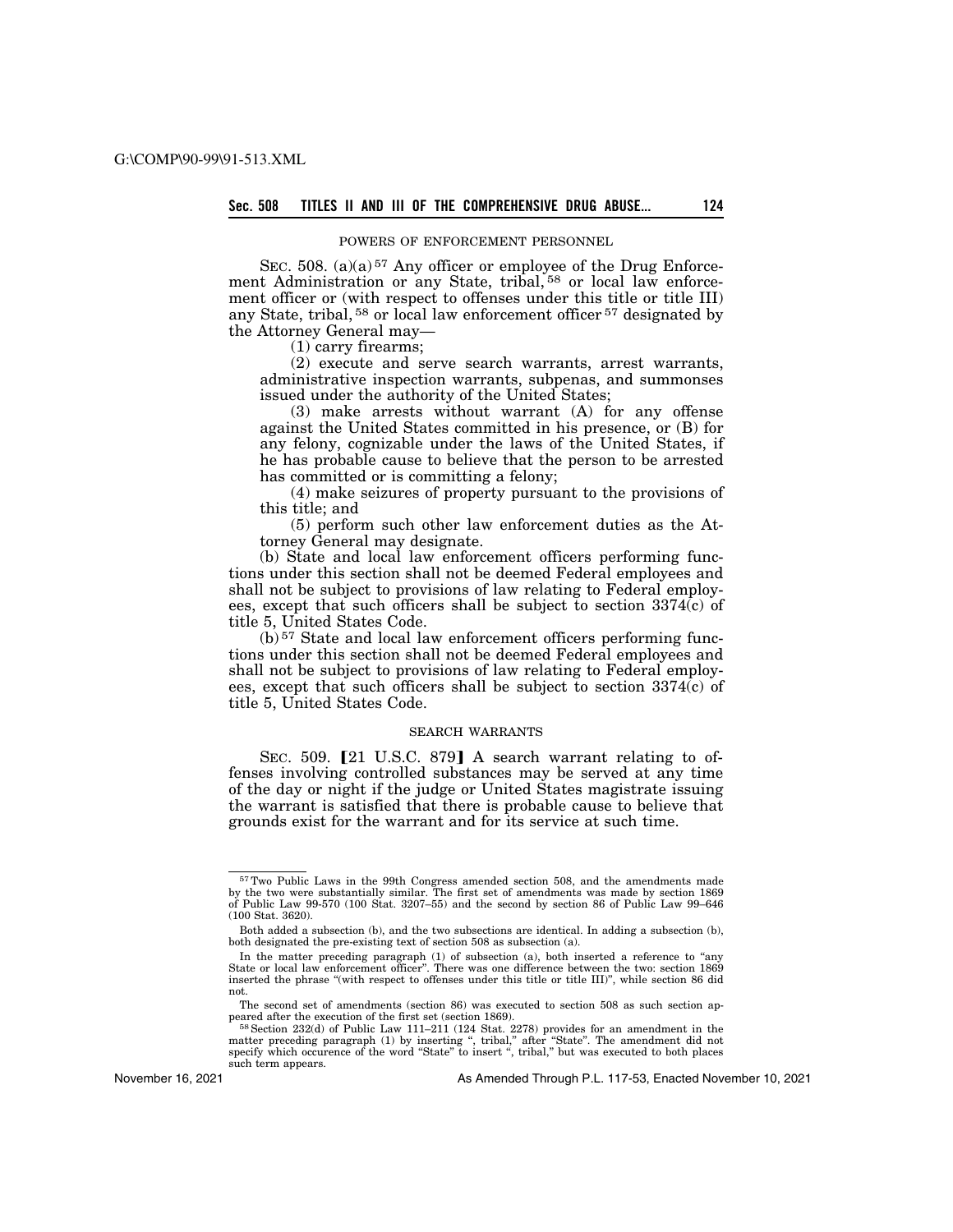## Sec. 508 TITLES II AND III OF THE COMPREHENSIVE DRUG ABUSE... 124

#### POWERS OF ENFORCEMENT PERSONNEL

SEC. 508. (a)(a)  $57$  Any officer or employee of the Drug Enforcement Administration or any State, tribal, <sup>58</sup> or local law enforcement officer or (with respect to offenses under this title or title III) any State, tribal, 58 or local law enforcement officer 57 designated by the Attorney General may—

(1) carry firearms;

(2) execute and serve search warrants, arrest warrants, administrative inspection warrants, subpenas, and summonses issued under the authority of the United States;

(3) make arrests without warrant (A) for any offense against the United States committed in his presence, or (B) for any felony, cognizable under the laws of the United States, if he has probable cause to believe that the person to be arrested has committed or is committing a felony;

(4) make seizures of property pursuant to the provisions of this title; and

(5) perform such other law enforcement duties as the Attorney General may designate.

(b) State and local law enforcement officers performing functions under this section shall not be deemed Federal employees and shall not be subject to provisions of law relating to Federal employees, except that such officers shall be subject to section 3374(c) of title 5, United States Code.

(b) 57 State and local law enforcement officers performing functions under this section shall not be deemed Federal employees and shall not be subject to provisions of law relating to Federal employees, except that such officers shall be subject to section 3374(c) of title 5, United States Code.

#### SEARCH WARRANTS

SEC. 509.  $[21 \text{ U.S.C. } 879]$  A search warrant relating to offenses involving controlled substances may be served at any time of the day or night if the judge or United States magistrate issuing the warrant is satisfied that there is probable cause to believe that grounds exist for the warrant and for its service at such time.

November 16, 2021

<sup>57</sup>Two Public Laws in the 99th Congress amended section 508, and the amendments made by the two were substantially similar. The first set of amendments was made by section 1869 of Public Law 99-570 (100 Stat. 3207–55) and the second by section 86 of Public Law 99–646 (100 Stat. 3620).

Both added a subsection (b), and the two subsections are identical. In adding a subsection (b), both designated the pre-existing text of section 508 as subsection (a).

In the matter preceding paragraph (1) of subsection (a), both inserted a reference to "any State or local law enforcement officer". There was one difference between the two: section 1869 inserted the phrase ''(with respect to offenses under this title or title III)'', while section 86 did not.

The second set of amendments (section 86) was executed to section 508 as such section ap-

peared after the execution of the first set (section 1869).<br><sup>58</sup> Section 232(d) of Public Law 111–211 (124 Stat. 2278) provides for an amendment in the<br>matter preceding paragraph (1) by inserting ", tribal," after "State". such term appears.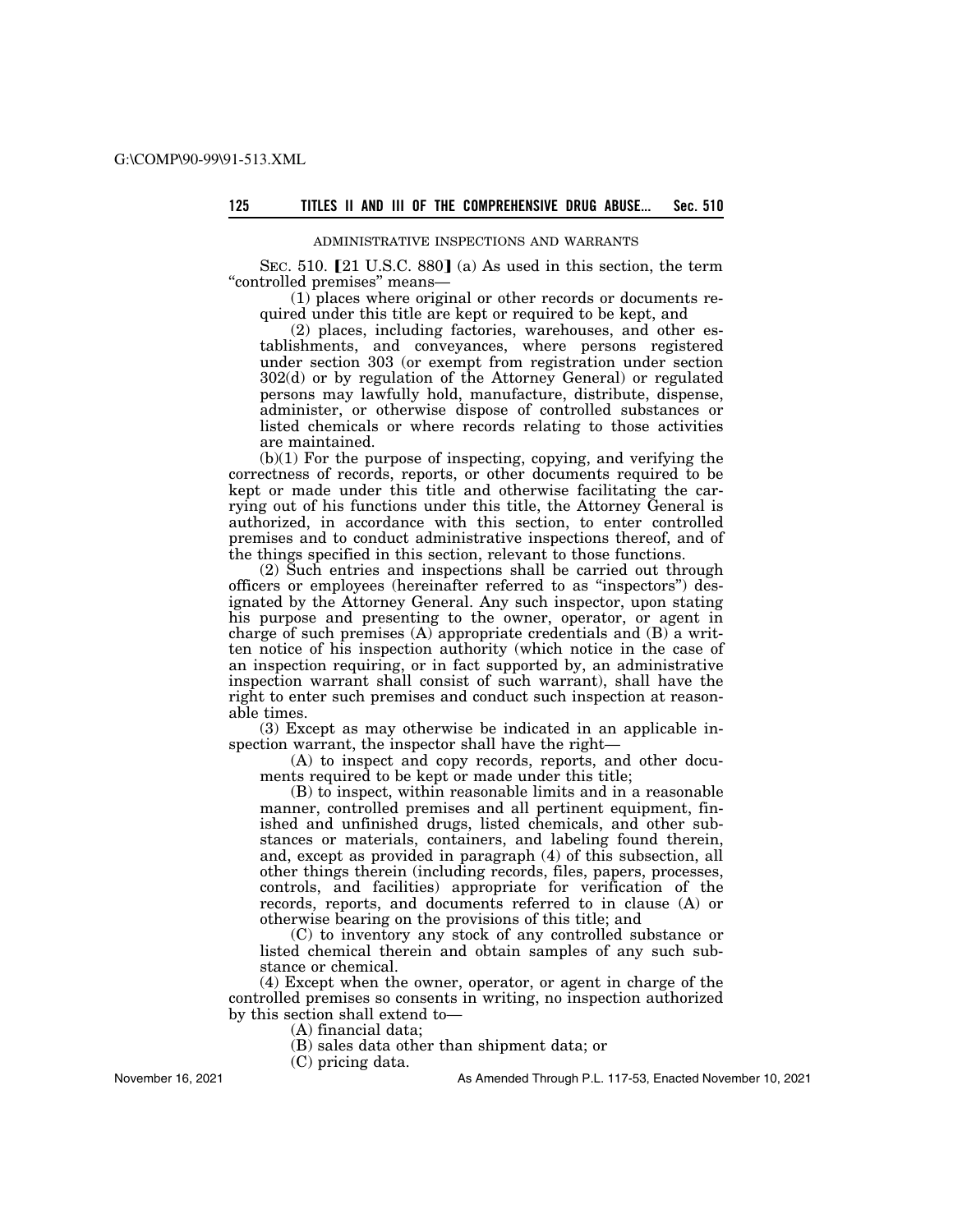### ADMINISTRATIVE INSPECTIONS AND WARRANTS

SEC. 510.  $[21 \text{ U.S.C. } 880]$  (a) As used in this section, the term ''controlled premises'' means—

(1) places where original or other records or documents required under this title are kept or required to be kept, and

(2) places, including factories, warehouses, and other establishments, and conveyances, where persons registered under section 303 (or exempt from registration under section 302(d) or by regulation of the Attorney General) or regulated persons may lawfully hold, manufacture, distribute, dispense, administer, or otherwise dispose of controlled substances or listed chemicals or where records relating to those activities are maintained.

(b)(1) For the purpose of inspecting, copying, and verifying the correctness of records, reports, or other documents required to be kept or made under this title and otherwise facilitating the carrying out of his functions under this title, the Attorney General is authorized, in accordance with this section, to enter controlled premises and to conduct administrative inspections thereof, and of the things specified in this section, relevant to those functions.

(2) Such entries and inspections shall be carried out through officers or employees (hereinafter referred to as ''inspectors'') designated by the Attorney General. Any such inspector, upon stating his purpose and presenting to the owner, operator, or agent in charge of such premises (A) appropriate credentials and (B) a written notice of his inspection authority (which notice in the case of an inspection requiring, or in fact supported by, an administrative inspection warrant shall consist of such warrant), shall have the right to enter such premises and conduct such inspection at reasonable times.

(3) Except as may otherwise be indicated in an applicable inspection warrant, the inspector shall have the right—

(A) to inspect and copy records, reports, and other documents required to be kept or made under this title;

(B) to inspect, within reasonable limits and in a reasonable manner, controlled premises and all pertinent equipment, finished and unfinished drugs, listed chemicals, and other substances or materials, containers, and labeling found therein, and, except as provided in paragraph (4) of this subsection, all other things therein (including records, files, papers, processes, controls, and facilities) appropriate for verification of the records, reports, and documents referred to in clause (A) or otherwise bearing on the provisions of this title; and

(C) to inventory any stock of any controlled substance or listed chemical therein and obtain samples of any such substance or chemical.

(4) Except when the owner, operator, or agent in charge of the controlled premises so consents in writing, no inspection authorized by this section shall extend to—

(A) financial data;

(B) sales data other than shipment data; or

(C) pricing data.

November 16, 2021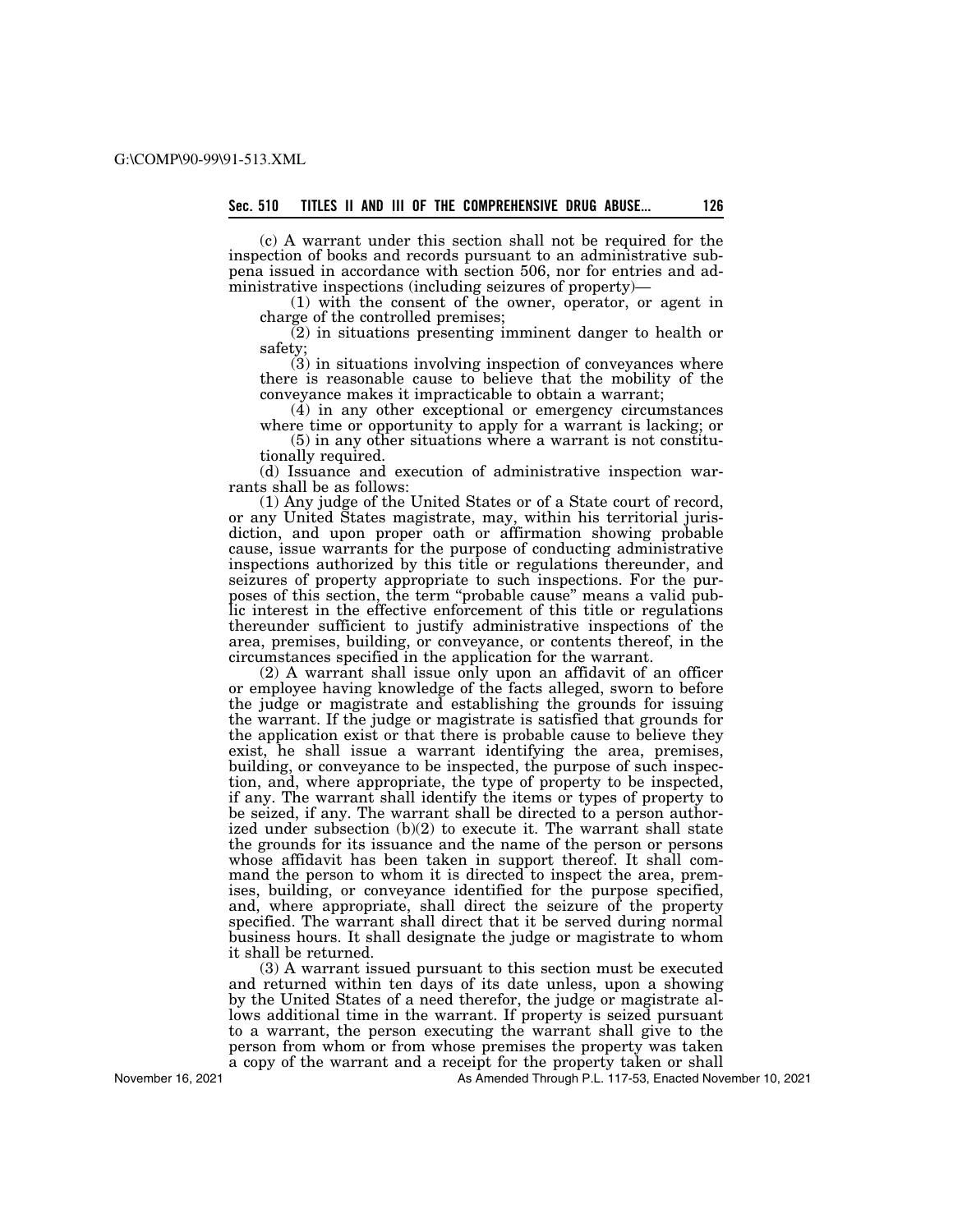(c) A warrant under this section shall not be required for the inspection of books and records pursuant to an administrative subpena issued in accordance with section 506, nor for entries and administrative inspections (including seizures of property)—

 $(1)$  with the consent of the owner, operator, or agent in charge of the controlled premises;

 $(2)$  in situations presenting imminent danger to health or safety;

(3) in situations involving inspection of conveyances where there is reasonable cause to believe that the mobility of the conveyance makes it impracticable to obtain a warrant;

(4) in any other exceptional or emergency circumstances where time or opportunity to apply for a warrant is lacking; or

(5) in any other situations where a warrant is not constitutionally required.

(d) Issuance and execution of administrative inspection warrants shall be as follows:

(1) Any judge of the United States or of a State court of record, or any United States magistrate, may, within his territorial jurisdiction, and upon proper oath or affirmation showing probable cause, issue warrants for the purpose of conducting administrative inspections authorized by this title or regulations thereunder, and seizures of property appropriate to such inspections. For the purposes of this section, the term ''probable cause'' means a valid public interest in the effective enforcement of this title or regulations thereunder sufficient to justify administrative inspections of the area, premises, building, or conveyance, or contents thereof, in the circumstances specified in the application for the warrant.

(2) A warrant shall issue only upon an affidavit of an officer or employee having knowledge of the facts alleged, sworn to before the judge or magistrate and establishing the grounds for issuing the warrant. If the judge or magistrate is satisfied that grounds for the application exist or that there is probable cause to believe they exist, he shall issue a warrant identifying the area, premises, building, or conveyance to be inspected, the purpose of such inspection, and, where appropriate, the type of property to be inspected, if any. The warrant shall identify the items or types of property to be seized, if any. The warrant shall be directed to a person authorized under subsection (b)(2) to execute it. The warrant shall state the grounds for its issuance and the name of the person or persons whose affidavit has been taken in support thereof. It shall command the person to whom it is directed to inspect the area, premises, building, or conveyance identified for the purpose specified, and, where appropriate, shall direct the seizure of the property specified. The warrant shall direct that it be served during normal business hours. It shall designate the judge or magistrate to whom it shall be returned.

(3) A warrant issued pursuant to this section must be executed and returned within ten days of its date unless, upon a showing by the United States of a need therefor, the judge or magistrate allows additional time in the warrant. If property is seized pursuant to a warrant, the person executing the warrant shall give to the person from whom or from whose premises the property was taken a copy of the warrant and a receipt for the property taken or shall

November 16, 2021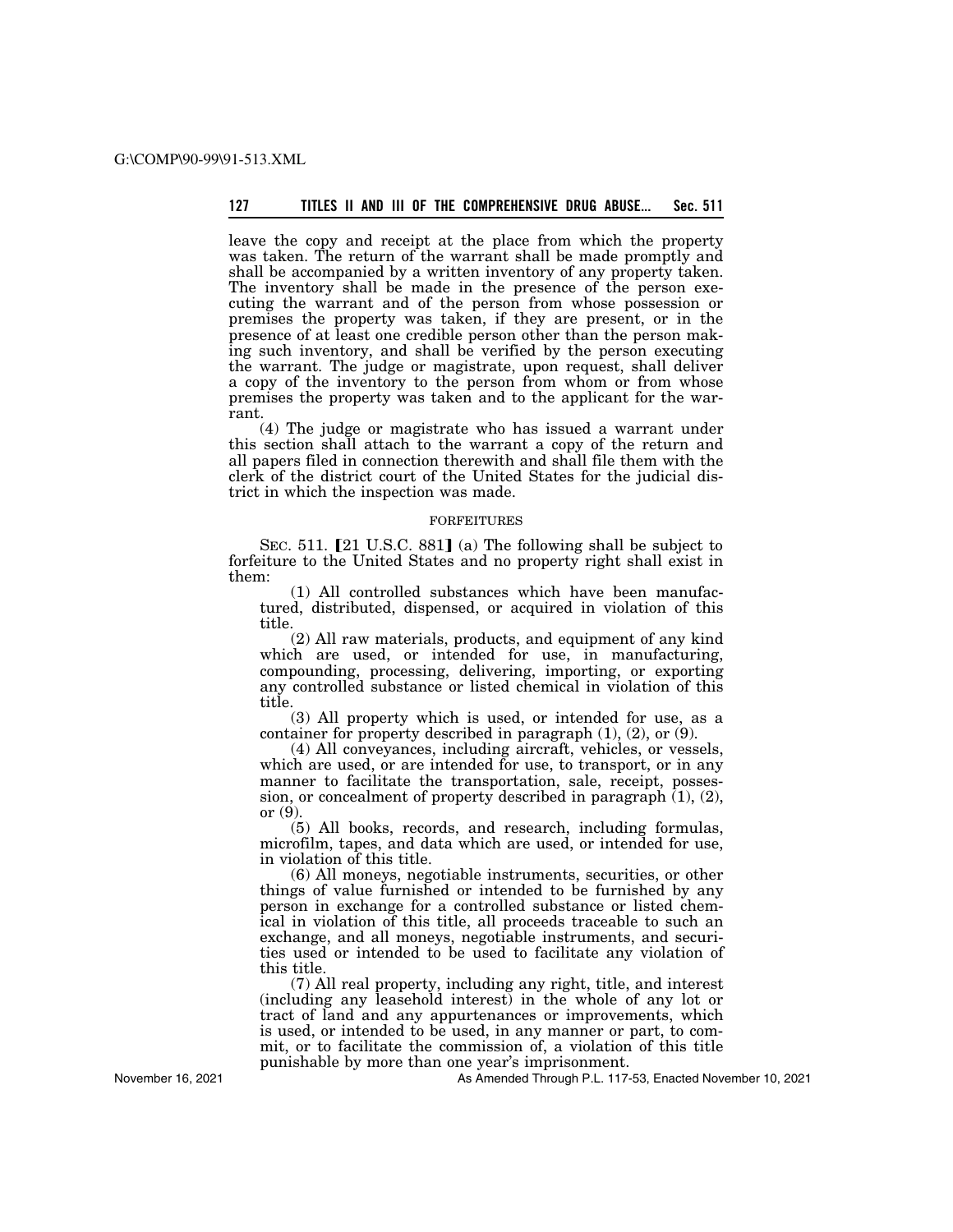# **127 TITLES II AND III OF THE COMPREHENSIVE DRUG ABUSE... Sec. 511**

leave the copy and receipt at the place from which the property was taken. The return of the warrant shall be made promptly and shall be accompanied by a written inventory of any property taken. The inventory shall be made in the presence of the person executing the warrant and of the person from whose possession or premises the property was taken, if they are present, or in the presence of at least one credible person other than the person making such inventory, and shall be verified by the person executing the warrant. The judge or magistrate, upon request, shall deliver a copy of the inventory to the person from whom or from whose premises the property was taken and to the applicant for the warrant.

(4) The judge or magistrate who has issued a warrant under this section shall attach to the warrant a copy of the return and all papers filed in connection therewith and shall file them with the clerk of the district court of the United States for the judicial district in which the inspection was made.

## FORFEITURES

SEC. 511.  $[21 \text{ U.S.C. } 881]$  (a) The following shall be subject to forfeiture to the United States and no property right shall exist in them:

(1) All controlled substances which have been manufactured, distributed, dispensed, or acquired in violation of this title.

(2) All raw materials, products, and equipment of any kind which are used, or intended for use, in manufacturing, compounding, processing, delivering, importing, or exporting any controlled substance or listed chemical in violation of this title.

(3) All property which is used, or intended for use, as a container for property described in paragraph  $(1)$ ,  $(2)$ , or  $(9)$ .

(4) All conveyances, including aircraft, vehicles, or vessels, which are used, or are intended for use, to transport, or in any manner to facilitate the transportation, sale, receipt, possession, or concealment of property described in paragraph  $(1)$ ,  $(2)$ , or  $(9)$ 

(5) All books, records, and research, including formulas, microfilm, tapes, and data which are used, or intended for use, in violation of this title.

(6) All moneys, negotiable instruments, securities, or other things of value furnished or intended to be furnished by any person in exchange for a controlled substance or listed chemical in violation of this title, all proceeds traceable to such an exchange, and all moneys, negotiable instruments, and securities used or intended to be used to facilitate any violation of this title.

(7) All real property, including any right, title, and interest (including any leasehold interest) in the whole of any lot or tract of land and any appurtenances or improvements, which is used, or intended to be used, in any manner or part, to commit, or to facilitate the commission of, a violation of this title punishable by more than one year's imprisonment.

As Amended Through P.L. 117-53, Enacted November 10, 2021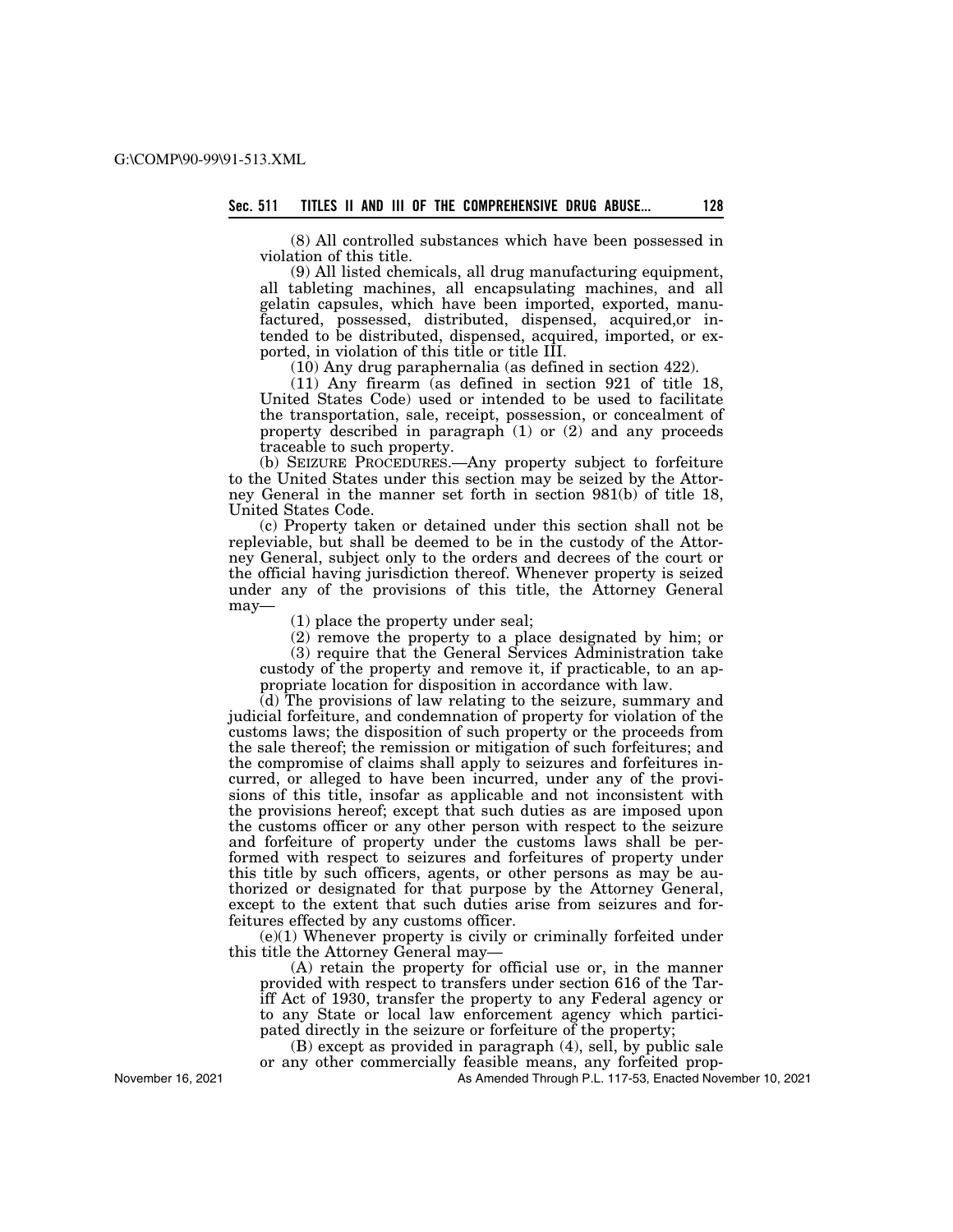(8) All controlled substances which have been possessed in violation of this title.

(9) All listed chemicals, all drug manufacturing equipment, all tableting machines, all encapsulating machines, and all gelatin capsules, which have been imported, exported, manufactured, possessed, distributed, dispensed, acquired,or intended to be distributed, dispensed, acquired, imported, or exported, in violation of this title or title III.

(10) Any drug paraphernalia (as defined in section 422).

(11) Any firearm (as defined in section 921 of title 18, United States Code) used or intended to be used to facilitate the transportation, sale, receipt, possession, or concealment of property described in paragraph (1) or (2) and any proceeds traceable to such property.

(b) SEIZURE PROCEDURES.—Any property subject to forfeiture to the United States under this section may be seized by the Attorney General in the manner set forth in section 981(b) of title 18, United States Code.

(c) Property taken or detained under this section shall not be repleviable, but shall be deemed to be in the custody of the Attorney General, subject only to the orders and decrees of the court or the official having jurisdiction thereof. Whenever property is seized under any of the provisions of this title, the Attorney General may—

(1) place the property under seal;

(2) remove the property to a place designated by him; or

(3) require that the General Services Administration take custody of the property and remove it, if practicable, to an appropriate location for disposition in accordance with law.

(d) The provisions of law relating to the seizure, summary and judicial forfeiture, and condemnation of property for violation of the customs laws; the disposition of such property or the proceeds from the sale thereof; the remission or mitigation of such forfeitures; and the compromise of claims shall apply to seizures and forfeitures incurred, or alleged to have been incurred, under any of the provisions of this title, insofar as applicable and not inconsistent with the provisions hereof; except that such duties as are imposed upon the customs officer or any other person with respect to the seizure and forfeiture of property under the customs laws shall be performed with respect to seizures and forfeitures of property under this title by such officers, agents, or other persons as may be authorized or designated for that purpose by the Attorney General, except to the extent that such duties arise from seizures and forfeitures effected by any customs officer.

(e)(1) Whenever property is civily or criminally forfeited under this title the Attorney General may—

(A) retain the property for official use or, in the manner provided with respect to transfers under section 616 of the Tariff Act of 1930, transfer the property to any Federal agency or to any State or local law enforcement agency which participated directly in the seizure or forfeiture of the property;

(B) except as provided in paragraph (4), sell, by public sale

or any other commercially feasible means, any forfeited prop-

As Amended Through P.L. 117-53, Enacted November 10, 2021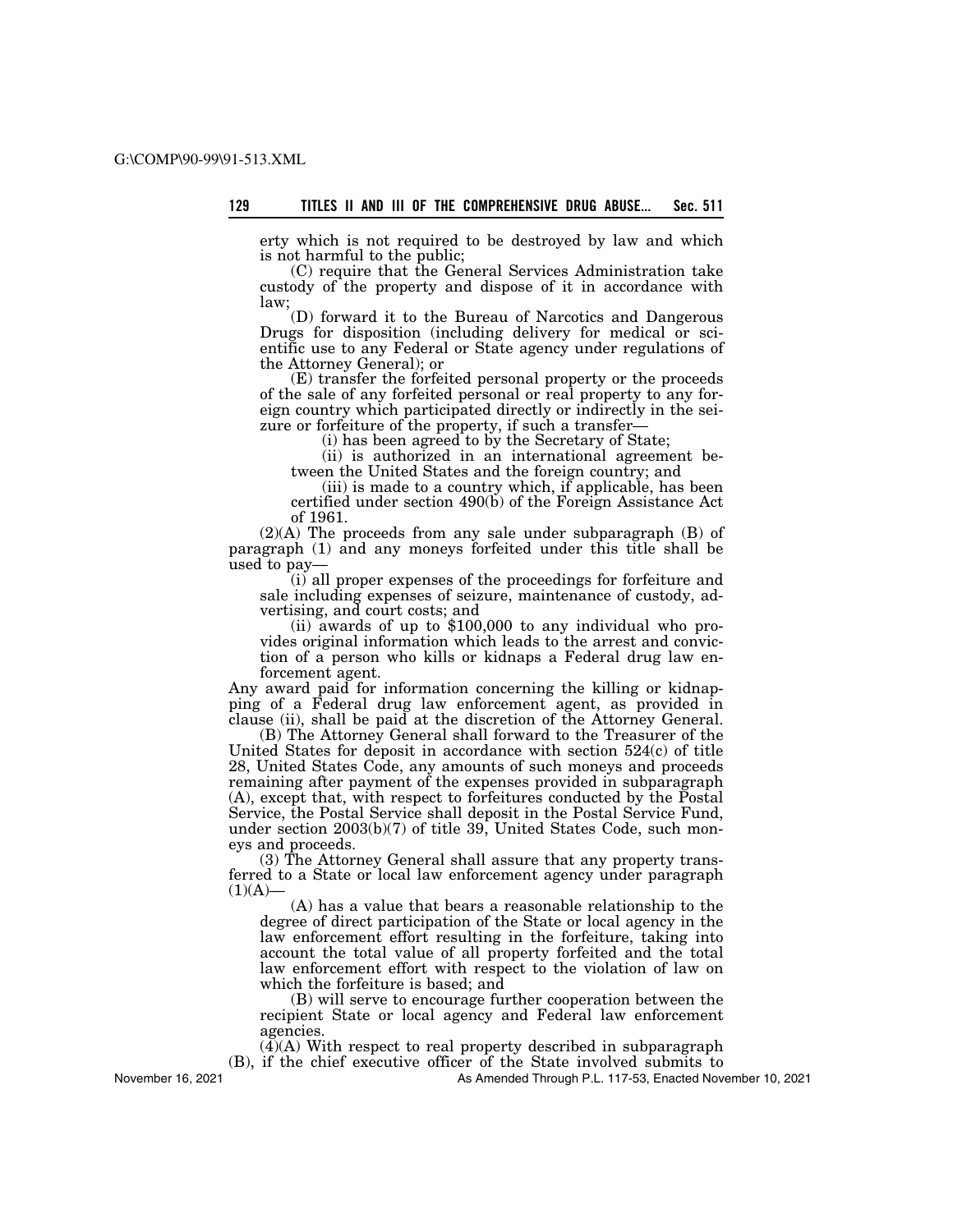erty which is not required to be destroyed by law and which is not harmful to the public;

(C) require that the General Services Administration take custody of the property and dispose of it in accordance with law;

(D) forward it to the Bureau of Narcotics and Dangerous Drugs for disposition (including delivery for medical or scientific use to any Federal or State agency under regulations of the Attorney General); or

(E) transfer the forfeited personal property or the proceeds of the sale of any forfeited personal or real property to any foreign country which participated directly or indirectly in the seizure or forfeiture of the property, if such a transfer—

(i) has been agreed to by the Secretary of State;

(ii) is authorized in an international agreement between the United States and the foreign country; and

(iii) is made to a country which, if applicable, has been certified under section 490(b) of the Foreign Assistance Act of 1961.

(2)(A) The proceeds from any sale under subparagraph (B) of paragraph (1) and any moneys forfeited under this title shall be used to pay—

(i) all proper expenses of the proceedings for forfeiture and sale including expenses of seizure, maintenance of custody, advertising, and court costs; and

(ii) awards of up to \$100,000 to any individual who provides original information which leads to the arrest and conviction of a person who kills or kidnaps a Federal drug law enforcement agent.

Any award paid for information concerning the killing or kidnapping of a Federal drug law enforcement agent, as provided in clause (ii), shall be paid at the discretion of the Attorney General.

(B) The Attorney General shall forward to the Treasurer of the United States for deposit in accordance with section 524(c) of title 28, United States Code, any amounts of such moneys and proceeds remaining after payment of the expenses provided in subparagraph (A), except that, with respect to forfeitures conducted by the Postal Service, the Postal Service shall deposit in the Postal Service Fund, under section 2003(b)(7) of title 39, United States Code, such moneys and proceeds.

(3) The Attorney General shall assure that any property transferred to a State or local law enforcement agency under paragraph  $(1)(A)$ 

(A) has a value that bears a reasonable relationship to the degree of direct participation of the State or local agency in the law enforcement effort resulting in the forfeiture, taking into account the total value of all property forfeited and the total law enforcement effort with respect to the violation of law on which the forfeiture is based; and

(B) will serve to encourage further cooperation between the recipient State or local agency and Federal law enforcement agencies.

(4)(A) With respect to real property described in subparagraph (B), if the chief executive officer of the State involved submits to

November 16, 2021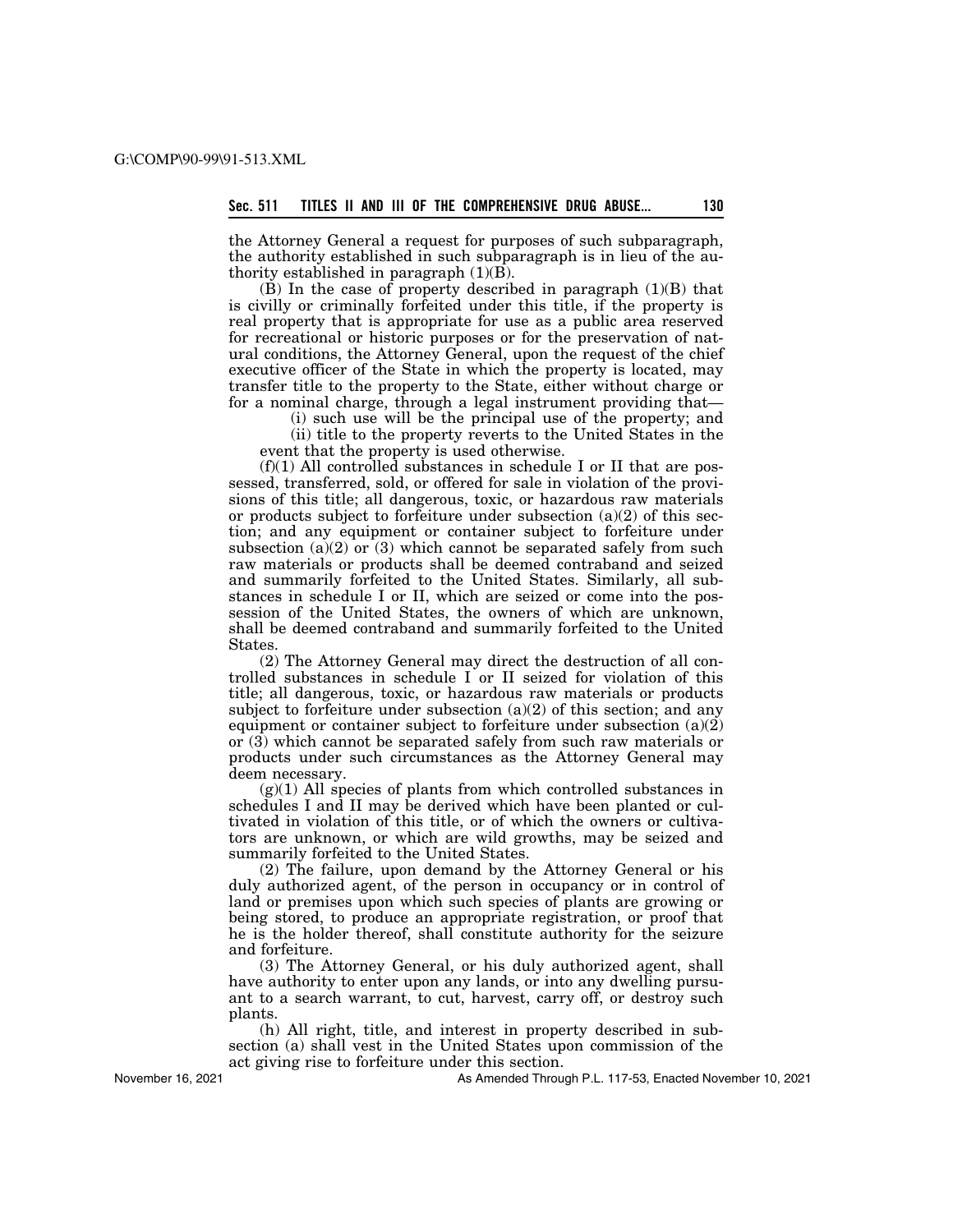the Attorney General a request for purposes of such subparagraph, the authority established in such subparagraph is in lieu of the authority established in paragraph  $(1)(\overline{B})$ .

(B) In the case of property described in paragraph (1)(B) that is civilly or criminally forfeited under this title, if the property is real property that is appropriate for use as a public area reserved for recreational or historic purposes or for the preservation of natural conditions, the Attorney General, upon the request of the chief executive officer of the State in which the property is located, may transfer title to the property to the State, either without charge or for a nominal charge, through a legal instrument providing that—

(i) such use will be the principal use of the property; and

(ii) title to the property reverts to the United States in the event that the property is used otherwise.

 $(f)(1)$  All controlled substances in schedule I or II that are possessed, transferred, sold, or offered for sale in violation of the provisions of this title; all dangerous, toxic, or hazardous raw materials or products subject to forfeiture under subsection  $(a)(2)$  of this section; and any equipment or container subject to forfeiture under subsection  $(a)(2)$  or  $(3)$  which cannot be separated safely from such raw materials or products shall be deemed contraband and seized and summarily forfeited to the United States. Similarly, all substances in schedule I or II, which are seized or come into the possession of the United States, the owners of which are unknown, shall be deemed contraband and summarily forfeited to the United **States** 

(2) The Attorney General may direct the destruction of all controlled substances in schedule I or II seized for violation of this title; all dangerous, toxic, or hazardous raw materials or products subject to forfeiture under subsection  $(a)(2)$  of this section; and any equipment or container subject to forfeiture under subsection (a)(2) or (3) which cannot be separated safely from such raw materials or products under such circumstances as the Attorney General may deem necessary.

 $(g)(1)$  All species of plants from which controlled substances in schedules I and II may be derived which have been planted or cultivated in violation of this title, or of which the owners or cultivators are unknown, or which are wild growths, may be seized and summarily forfeited to the United States.

(2) The failure, upon demand by the Attorney General or his duly authorized agent, of the person in occupancy or in control of land or premises upon which such species of plants are growing or being stored, to produce an appropriate registration, or proof that he is the holder thereof, shall constitute authority for the seizure and forfeiture.

(3) The Attorney General, or his duly authorized agent, shall have authority to enter upon any lands, or into any dwelling pursuant to a search warrant, to cut, harvest, carry off, or destroy such plants.

(h) All right, title, and interest in property described in subsection (a) shall vest in the United States upon commission of the act giving rise to forfeiture under this section.

November 16, 2021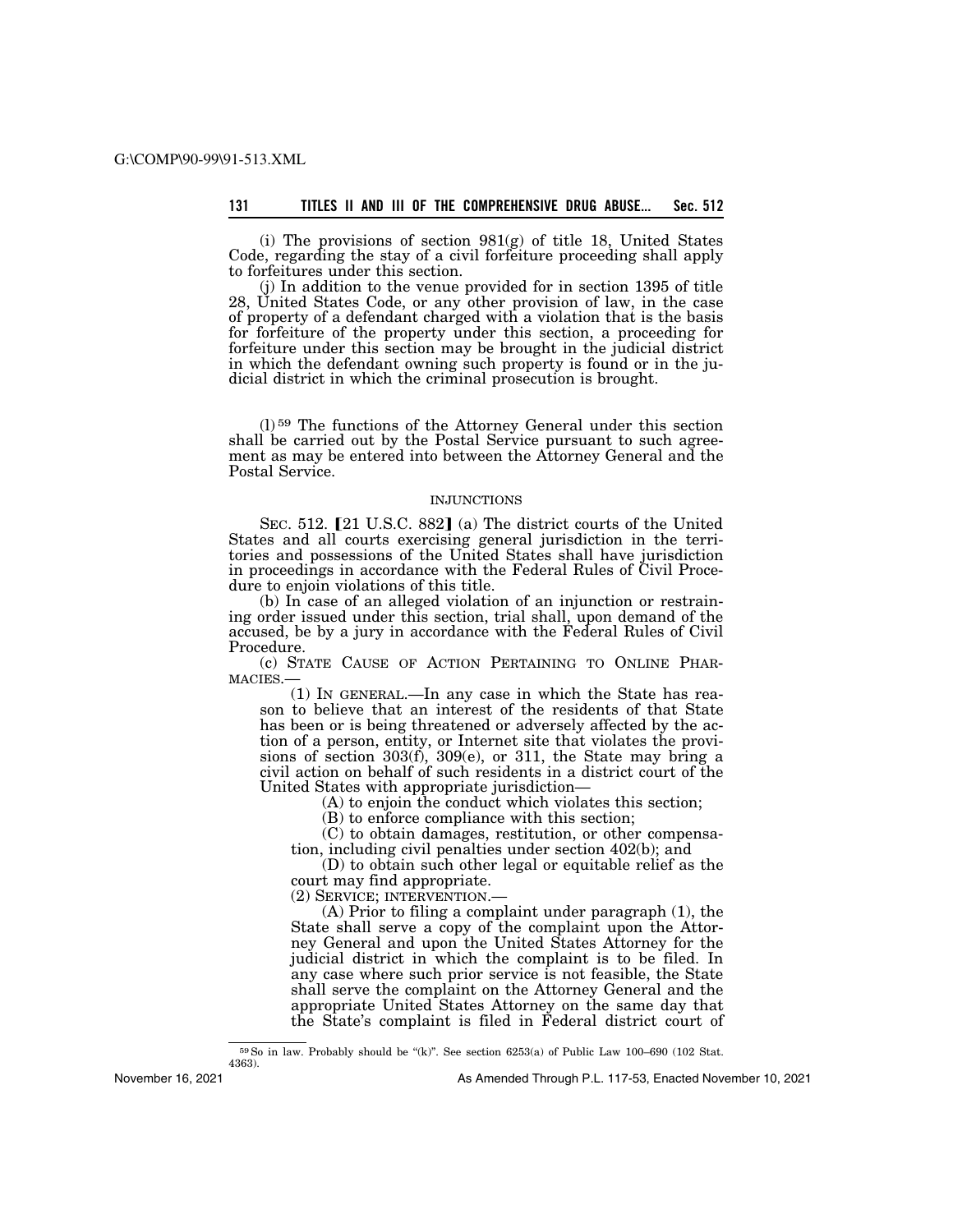(i) The provisions of section  $981(g)$  of title 18, United States Code, regarding the stay of a civil forfeiture proceeding shall apply to forfeitures under this section.

(i) In addition to the venue provided for in section 1395 of title 28, United States Code, or any other provision of law, in the case of property of a defendant charged with a violation that is the basis for forfeiture of the property under this section, a proceeding for forfeiture under this section may be brought in the judicial district in which the defendant owning such property is found or in the judicial district in which the criminal prosecution is brought.

(l) 59 The functions of the Attorney General under this section shall be carried out by the Postal Service pursuant to such agreement as may be entered into between the Attorney General and the Postal Service.

#### INJUNCTIONS

SEC. 512.  $[21 \text{ U.S.C. } 882]$  (a) The district courts of the United States and all courts exercising general jurisdiction in the territories and possessions of the United States shall have jurisdiction in proceedings in accordance with the Federal Rules of Civil Procedure to enjoin violations of this title.

(b) In case of an alleged violation of an injunction or restraining order issued under this section, trial shall, upon demand of the accused, be by a jury in accordance with the Federal Rules of Civil Procedure.

(c) STATE CAUSE OF ACTION PERTAINING TO ONLINE PHAR-MACIES.—

(1) IN GENERAL.—In any case in which the State has reason to believe that an interest of the residents of that State has been or is being threatened or adversely affected by the action of a person, entity, or Internet site that violates the provisions of section 303(f), 309(e), or 311, the State may bring a civil action on behalf of such residents in a district court of the United States with appropriate jurisdiction—

(A) to enjoin the conduct which violates this section;

(B) to enforce compliance with this section;

(C) to obtain damages, restitution, or other compensation, including civil penalties under section 402(b); and

(D) to obtain such other legal or equitable relief as the court may find appropriate.

(2) SERVICE; INTERVENTION.—

(A) Prior to filing a complaint under paragraph (1), the State shall serve a copy of the complaint upon the Attorney General and upon the United States Attorney for the judicial district in which the complaint is to be filed. In any case where such prior service is not feasible, the State shall serve the complaint on the Attorney General and the appropriate United States Attorney on the same day that the State's complaint is filed in Federal district court of

 $59$  So in law. Probably should be "(k)". See section 6253(a) of Public Law 100–690 (102 Stat. 4363).

November 16, 2021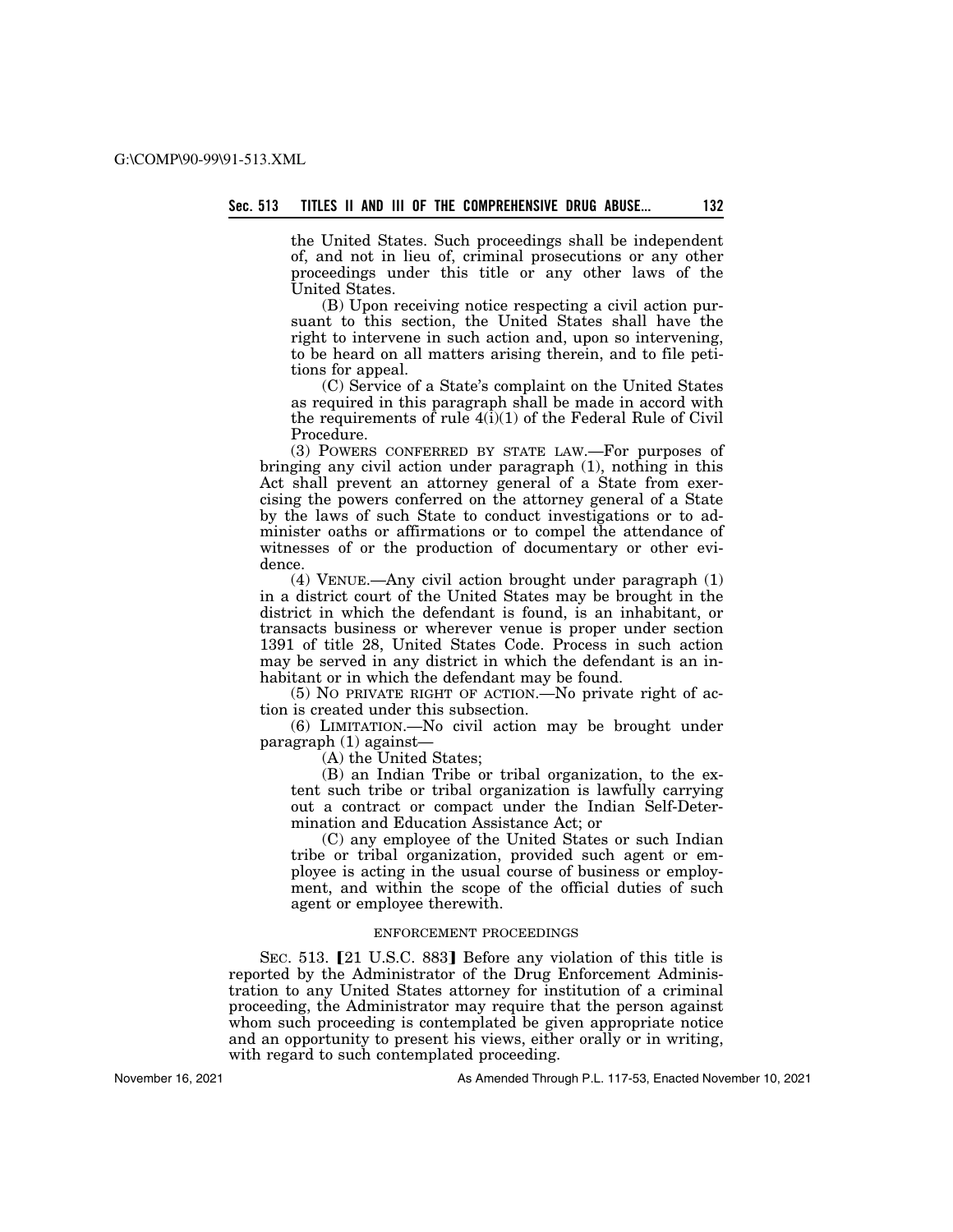the United States. Such proceedings shall be independent of, and not in lieu of, criminal prosecutions or any other proceedings under this title or any other laws of the United States.

(B) Upon receiving notice respecting a civil action pursuant to this section, the United States shall have the right to intervene in such action and, upon so intervening, to be heard on all matters arising therein, and to file petitions for appeal.

(C) Service of a State's complaint on the United States as required in this paragraph shall be made in accord with the requirements of rule  $4(i)(1)$  of the Federal Rule of Civil Procedure.

(3) POWERS CONFERRED BY STATE LAW.—For purposes of bringing any civil action under paragraph (1), nothing in this Act shall prevent an attorney general of a State from exercising the powers conferred on the attorney general of a State by the laws of such State to conduct investigations or to administer oaths or affirmations or to compel the attendance of witnesses of or the production of documentary or other evidence.

(4) VENUE.—Any civil action brought under paragraph (1) in a district court of the United States may be brought in the district in which the defendant is found, is an inhabitant, or transacts business or wherever venue is proper under section 1391 of title 28, United States Code. Process in such action may be served in any district in which the defendant is an inhabitant or in which the defendant may be found.

(5) NO PRIVATE RIGHT OF ACTION.—No private right of action is created under this subsection.

(6) LIMITATION.—No civil action may be brought under paragraph (1) against—

(A) the United States;

(B) an Indian Tribe or tribal organization, to the extent such tribe or tribal organization is lawfully carrying out a contract or compact under the Indian Self-Determination and Education Assistance Act; or

(C) any employee of the United States or such Indian tribe or tribal organization, provided such agent or employee is acting in the usual course of business or employment, and within the scope of the official duties of such agent or employee therewith.

## ENFORCEMENT PROCEEDINGS

SEC. 513. [21 U.S.C. 883] Before any violation of this title is reported by the Administrator of the Drug Enforcement Administration to any United States attorney for institution of a criminal proceeding, the Administrator may require that the person against whom such proceeding is contemplated be given appropriate notice and an opportunity to present his views, either orally or in writing, with regard to such contemplated proceeding.

November 16, 2021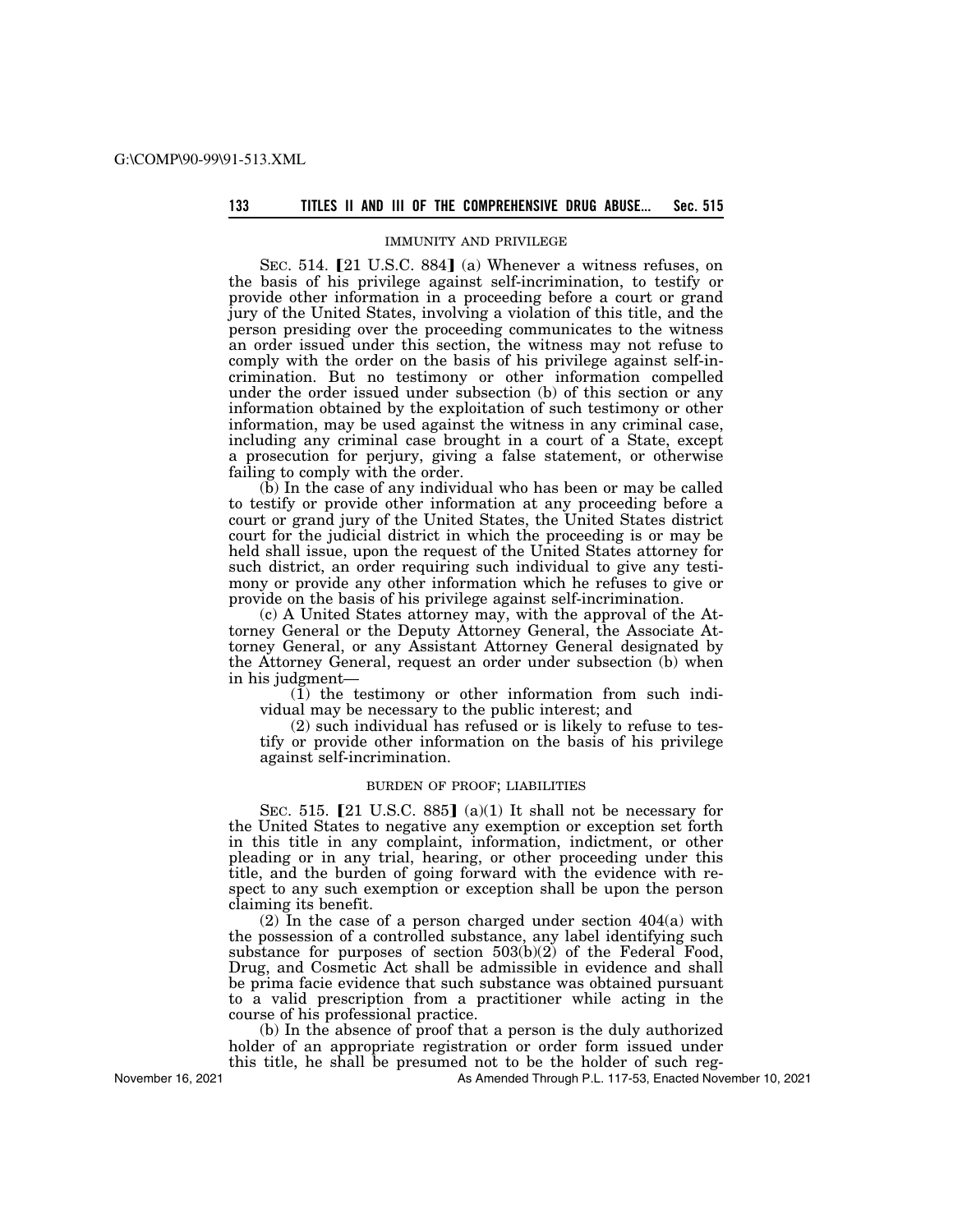## **133 TITLES II AND III OF THE COMPREHENSIVE DRUG ABUSE... Sec. 515**

#### IMMUNITY AND PRIVILEGE

SEC. 514.  $[21 \text{ U.S.C. } 884]$  (a) Whenever a witness refuses, on the basis of his privilege against self-incrimination, to testify or provide other information in a proceeding before a court or grand jury of the United States, involving a violation of this title, and the person presiding over the proceeding communicates to the witness an order issued under this section, the witness may not refuse to comply with the order on the basis of his privilege against self-incrimination. But no testimony or other information compelled under the order issued under subsection (b) of this section or any information obtained by the exploitation of such testimony or other information, may be used against the witness in any criminal case, including any criminal case brought in a court of a State, except a prosecution for perjury, giving a false statement, or otherwise failing to comply with the order.

(b) In the case of any individual who has been or may be called to testify or provide other information at any proceeding before a court or grand jury of the United States, the United States district court for the judicial district in which the proceeding is or may be held shall issue, upon the request of the United States attorney for such district, an order requiring such individual to give any testimony or provide any other information which he refuses to give or provide on the basis of his privilege against self-incrimination.

(c) A United States attorney may, with the approval of the Attorney General or the Deputy Attorney General, the Associate Attorney General, or any Assistant Attorney General designated by the Attorney General, request an order under subsection (b) when in his judgment—

 $(1)$  the testimony or other information from such individual may be necessary to the public interest; and

(2) such individual has refused or is likely to refuse to testify or provide other information on the basis of his privilege against self-incrimination.

## BURDEN OF PROOF; LIABILITIES

SEC. 515.  $[21 \text{ U.S.C. } 885]$  (a)(1) It shall not be necessary for the United States to negative any exemption or exception set forth in this title in any complaint, information, indictment, or other pleading or in any trial, hearing, or other proceeding under this title, and the burden of going forward with the evidence with respect to any such exemption or exception shall be upon the person claiming its benefit.

 $(2)$  In the case of a person charged under section 404(a) with the possession of a controlled substance, any label identifying such substance for purposes of section 503(b)(2) of the Federal Food, Drug, and Cosmetic Act shall be admissible in evidence and shall be prima facie evidence that such substance was obtained pursuant to a valid prescription from a practitioner while acting in the course of his professional practice.

(b) In the absence of proof that a person is the duly authorized holder of an appropriate registration or order form issued under

this title, he shall be presumed not to be the holder of such reg-

November 16, 2021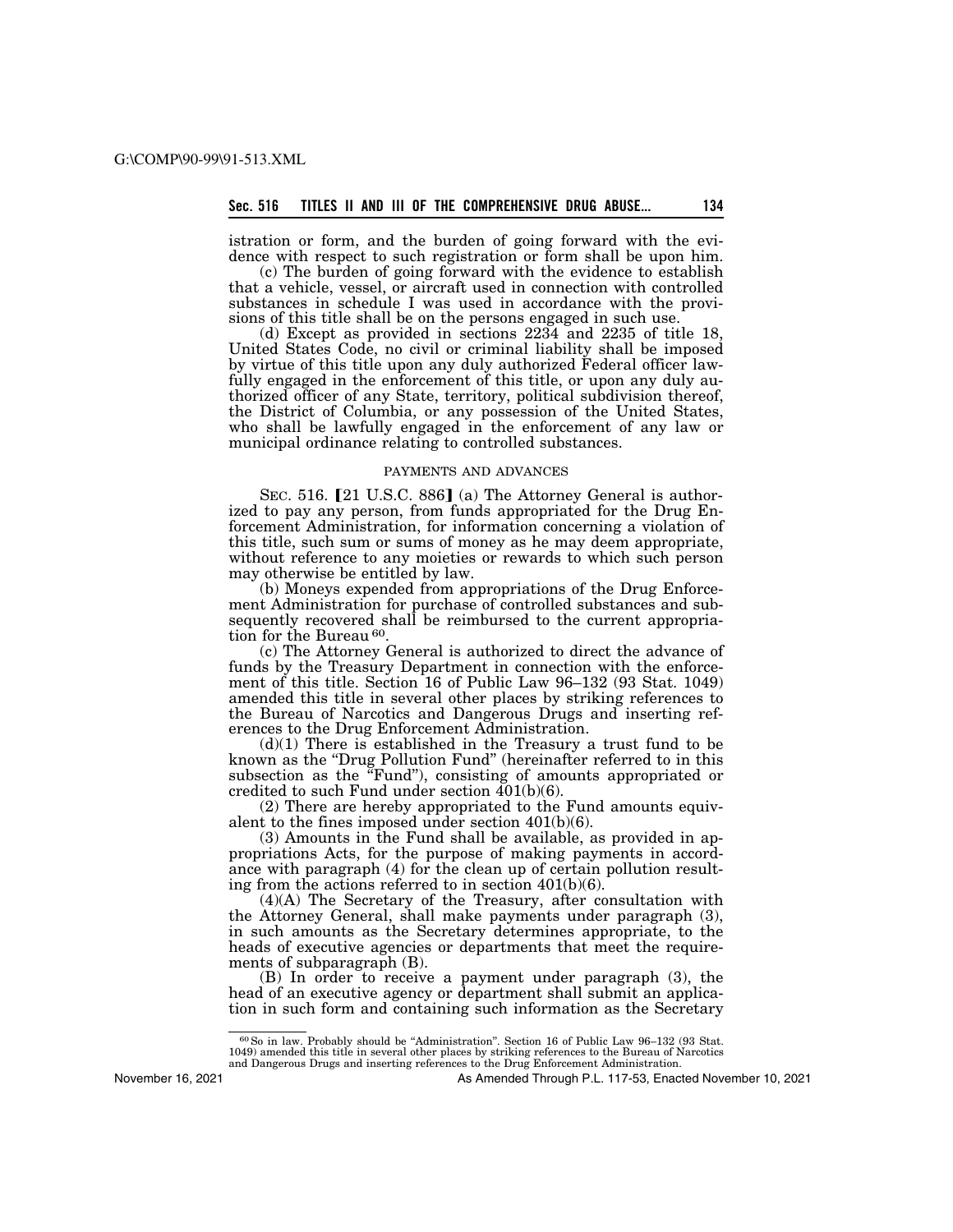istration or form, and the burden of going forward with the evidence with respect to such registration or form shall be upon him.

(c) The burden of going forward with the evidence to establish that a vehicle, vessel, or aircraft used in connection with controlled substances in schedule I was used in accordance with the provisions of this title shall be on the persons engaged in such use.

(d) Except as provided in sections 2234 and 2235 of title 18, United States Code, no civil or criminal liability shall be imposed by virtue of this title upon any duly authorized Federal officer lawfully engaged in the enforcement of this title, or upon any duly authorized officer of any State, territory, political subdivision thereof, the District of Columbia, or any possession of the United States, who shall be lawfully engaged in the enforcement of any law or municipal ordinance relating to controlled substances.

### PAYMENTS AND ADVANCES

SEC. 516.  $[21 \text{ U.S.C. } 886]$  (a) The Attorney General is authorized to pay any person, from funds appropriated for the Drug Enforcement Administration, for information concerning a violation of this title, such sum or sums of money as he may deem appropriate, without reference to any moieties or rewards to which such person may otherwise be entitled by law.

(b) Moneys expended from appropriations of the Drug Enforcement Administration for purchase of controlled substances and subsequently recovered shall be reimbursed to the current appropriation for the Bureau 60.

(c) The Attorney General is authorized to direct the advance of funds by the Treasury Department in connection with the enforcement of this title. Section 16 of Public Law 96–132 (93 Stat. 1049) amended this title in several other places by striking references to the Bureau of Narcotics and Dangerous Drugs and inserting references to the Drug Enforcement Administration.

 $(d)(1)$  There is established in the Treasury a trust fund to be known as the "Drug Pollution Fund" (hereinafter referred to in this subsection as the  $\mathrm{Fund}$ ", consisting of amounts appropriated or credited to such Fund under section 401(b)(6).

(2) There are hereby appropriated to the Fund amounts equivalent to the fines imposed under section 401(b)(6).

(3) Amounts in the Fund shall be available, as provided in appropriations Acts, for the purpose of making payments in accordance with paragraph (4) for the clean up of certain pollution resulting from the actions referred to in section 401(b)(6).

(4)(A) The Secretary of the Treasury, after consultation with the Attorney General, shall make payments under paragraph (3), in such amounts as the Secretary determines appropriate, to the heads of executive agencies or departments that meet the requirements of subparagraph (B).

(B) In order to receive a payment under paragraph (3), the head of an executive agency or department shall submit an application in such form and containing such information as the Secretary

November 16, 2021

 $^{60}$  So in law. Probably should be "Administration". Section 16 of Public Law 96–132 (93 Stat. 1049) amended this title in several other places by striking references to the Bureau of Narcotics and Dangerous Drugs and i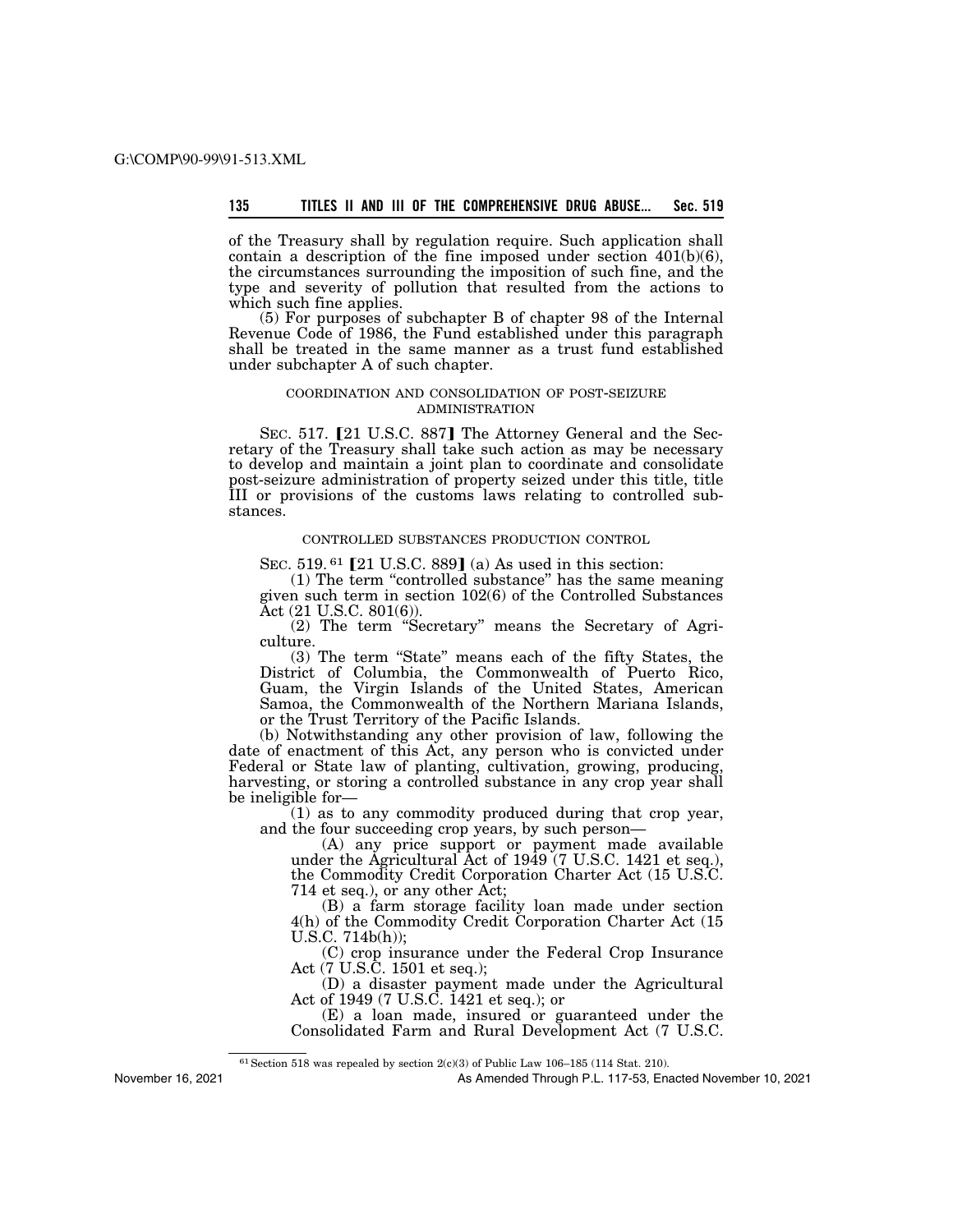of the Treasury shall by regulation require. Such application shall contain a description of the fine imposed under section 401(b)(6), the circumstances surrounding the imposition of such fine, and the type and severity of pollution that resulted from the actions to which such fine applies.

(5) For purposes of subchapter B of chapter 98 of the Internal Revenue Code of 1986, the Fund established under this paragraph shall be treated in the same manner as a trust fund established under subchapter A of such chapter.

## COORDINATION AND CONSOLIDATION OF POST-SEIZURE ADMINISTRATION

SEC. 517. [21 U.S.C. 887] The Attorney General and the Secretary of the Treasury shall take such action as may be necessary to develop and maintain a joint plan to coordinate and consolidate post-seizure administration of property seized under this title, title III or provisions of the customs laws relating to controlled substances.

### CONTROLLED SUBSTANCES PRODUCTION CONTROL

SEC. 519.<sup>61</sup> [21 U.S.C. 889] (a) As used in this section:

(1) The term ''controlled substance'' has the same meaning given such term in section 102(6) of the Controlled Substances Act (21 U.S.C. 801(6)).

(2) The term ''Secretary'' means the Secretary of Agriculture.

(3) The term ''State'' means each of the fifty States, the District of Columbia, the Commonwealth of Puerto Rico, Guam, the Virgin Islands of the United States, American Samoa, the Commonwealth of the Northern Mariana Islands, or the Trust Territory of the Pacific Islands.

(b) Notwithstanding any other provision of law, following the date of enactment of this Act, any person who is convicted under Federal or State law of planting, cultivation, growing, producing, harvesting, or storing a controlled substance in any crop year shall be ineligible for—

(1) as to any commodity produced during that crop year, and the four succeeding crop years, by such person—

(A) any price support or payment made available under the Agricultural Act of 1949 (7 U.S.C. 1421 et seq.), the Commodity Credit Corporation Charter Act (15 U.S.C. 714 et seq.), or any other Act;

(B) a farm storage facility loan made under section 4(h) of the Commodity Credit Corporation Charter Act (15 U.S.C. 714b(h));

(C) crop insurance under the Federal Crop Insurance Act (7 U.S.C. 1501 et seq.);

(D) a disaster payment made under the Agricultural Act of 1949 (7 U.S.C. 1421 et seq.); or

(E) a loan made, insured or guaranteed under the Consolidated Farm and Rural Development Act (7 U.S.C.

 $61$  Section 518 was repealed by section  $2(c)(3)$  of Public Law 106-185 (114 Stat. 210).

November 16, 2021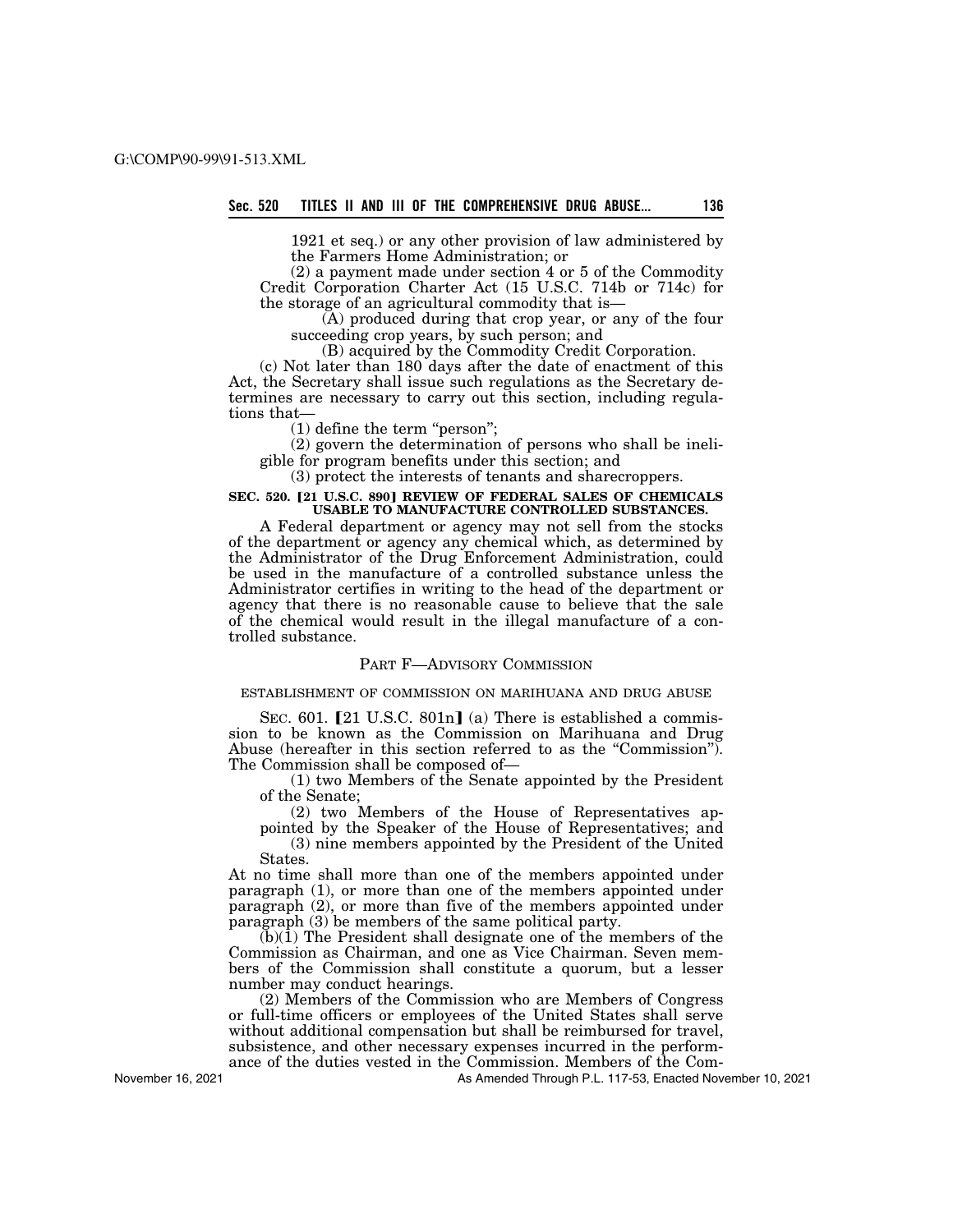1921 et seq.) or any other provision of law administered by the Farmers Home Administration; or

(2) a payment made under section 4 or 5 of the Commodity Credit Corporation Charter Act (15 U.S.C. 714b or 714c) for the storage of an agricultural commodity that is—

(A) produced during that crop year, or any of the four succeeding crop years, by such person; and

(B) acquired by the Commodity Credit Corporation.

(c) Not later than 180 days after the date of enactment of this Act, the Secretary shall issue such regulations as the Secretary determines are necessary to carry out this section, including regulations that—

(1) define the term ''person'';

(2) govern the determination of persons who shall be ineligible for program benefits under this section; and

(3) protect the interests of tenants and sharecroppers.

### **SEC. 520. [21 U.S.C. 890] REVIEW OF FEDERAL SALES OF CHEMICALS USABLE TO MANUFACTURE CONTROLLED SUBSTANCES.**

A Federal department or agency may not sell from the stocks of the department or agency any chemical which, as determined by the Administrator of the Drug Enforcement Administration, could be used in the manufacture of a controlled substance unless the Administrator certifies in writing to the head of the department or agency that there is no reasonable cause to believe that the sale of the chemical would result in the illegal manufacture of a controlled substance.

## PART F—ADVISORY COMMISSION

### ESTABLISHMENT OF COMMISSION ON MARIHUANA AND DRUG ABUSE

SEC. 601.  $[21 \text{ U.S.C. } 801 \text{ n}]$  (a) There is established a commission to be known as the Commission on Marihuana and Drug Abuse (hereafter in this section referred to as the ''Commission''). The Commission shall be composed of—

(1) two Members of the Senate appointed by the President of the Senate;

(2) two Members of the House of Representatives appointed by the Speaker of the House of Representatives; and

(3) nine members appointed by the President of the United States.

At no time shall more than one of the members appointed under paragraph (1), or more than one of the members appointed under paragraph (2), or more than five of the members appointed under paragraph (3) be members of the same political party.

 $(b)(1)$  The President shall designate one of the members of the Commission as Chairman, and one as Vice Chairman. Seven members of the Commission shall constitute a quorum, but a lesser number may conduct hearings.

(2) Members of the Commission who are Members of Congress or full-time officers or employees of the United States shall serve without additional compensation but shall be reimbursed for travel, subsistence, and other necessary expenses incurred in the performance of the duties vested in the Commission. Members of the Com-

November 16, 2021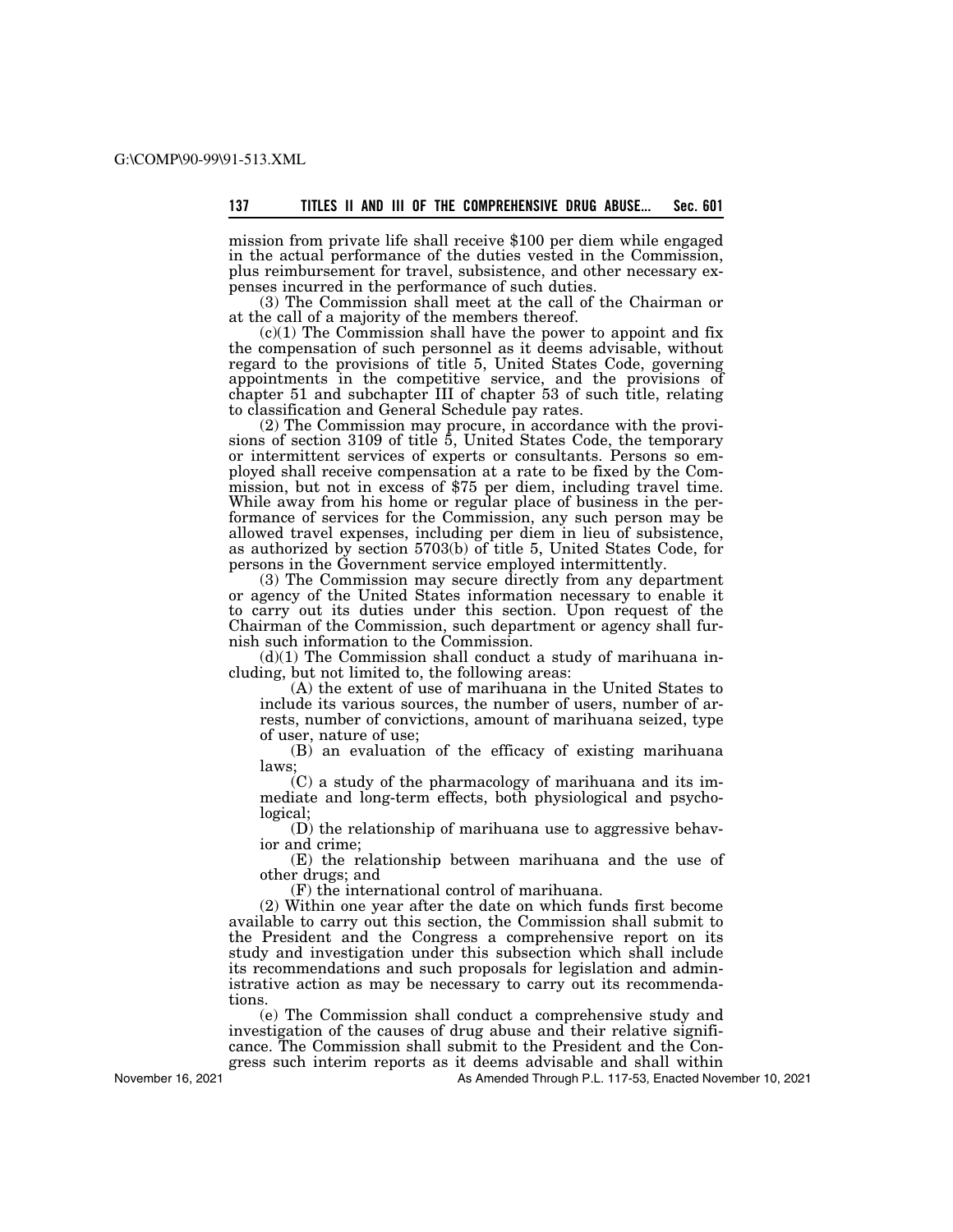mission from private life shall receive \$100 per diem while engaged in the actual performance of the duties vested in the Commission, plus reimbursement for travel, subsistence, and other necessary expenses incurred in the performance of such duties.

(3) The Commission shall meet at the call of the Chairman or at the call of a majority of the members thereof.

 $(c)(1)$  The Commission shall have the power to appoint and fix the compensation of such personnel as it deems advisable, without regard to the provisions of title 5, United States Code, governing appointments in the competitive service, and the provisions of chapter 51 and subchapter III of chapter 53 of such title, relating to classification and General Schedule pay rates.

(2) The Commission may procure, in accordance with the provisions of section 3109 of title 5, United States Code, the temporary or intermittent services of experts or consultants. Persons so employed shall receive compensation at a rate to be fixed by the Commission, but not in excess of \$75 per diem, including travel time. While away from his home or regular place of business in the performance of services for the Commission, any such person may be allowed travel expenses, including per diem in lieu of subsistence, as authorized by section 5703(b) of title 5, United States Code, for persons in the Government service employed intermittently.

(3) The Commission may secure directly from any department or agency of the United States information necessary to enable it to carry out its duties under this section. Upon request of the Chairman of the Commission, such department or agency shall furnish such information to the Commission.

(d)(1) The Commission shall conduct a study of marihuana including, but not limited to, the following areas:

(A) the extent of use of marihuana in the United States to include its various sources, the number of users, number of arrests, number of convictions, amount of marihuana seized, type of user, nature of use;

(B) an evaluation of the efficacy of existing marihuana laws;

(C) a study of the pharmacology of marihuana and its immediate and long-term effects, both physiological and psychological;

(D) the relationship of marihuana use to aggressive behavior and crime;

(E) the relationship between marihuana and the use of other drugs; and

(F) the international control of marihuana.

(2) Within one year after the date on which funds first become available to carry out this section, the Commission shall submit to the President and the Congress a comprehensive report on its study and investigation under this subsection which shall include its recommendations and such proposals for legislation and administrative action as may be necessary to carry out its recommendations.

(e) The Commission shall conduct a comprehensive study and investigation of the causes of drug abuse and their relative significance. The Commission shall submit to the President and the Congress such interim reports as it deems advisable and shall within

November 16, 2021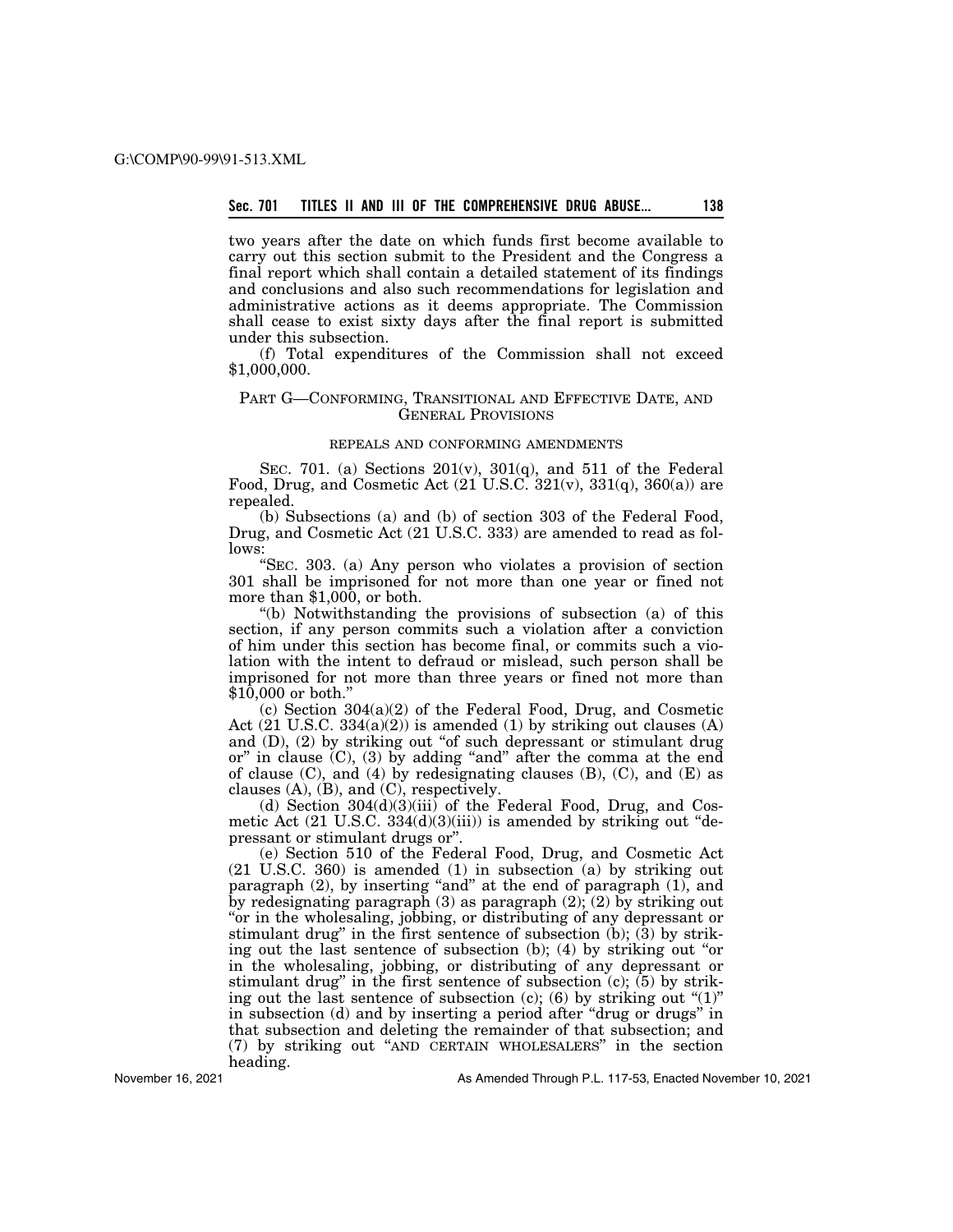two years after the date on which funds first become available to carry out this section submit to the President and the Congress a final report which shall contain a detailed statement of its findings and conclusions and also such recommendations for legislation and administrative actions as it deems appropriate. The Commission shall cease to exist sixty days after the final report is submitted under this subsection.

(f) Total expenditures of the Commission shall not exceed \$1,000,000.

## PART G—CONFORMING, TRANSITIONAL AND EFFECTIVE DATE, AND GENERAL PROVISIONS

### REPEALS AND CONFORMING AMENDMENTS

SEC. 701. (a) Sections  $201(v)$ ,  $301(q)$ , and  $511$  of the Federal Food, Drug, and Cosmetic Act  $(21 \text{ U.S. C. } 321(\text{v}), 331(\text{q}), 360(\text{a}))$  are repealed.

(b) Subsections (a) and (b) of section 303 of the Federal Food, Drug, and Cosmetic Act (21 U.S.C. 333) are amended to read as follows:

''SEC. 303. (a) Any person who violates a provision of section 301 shall be imprisoned for not more than one year or fined not more than \$1,000, or both.

''(b) Notwithstanding the provisions of subsection (a) of this section, if any person commits such a violation after a conviction of him under this section has become final, or commits such a violation with the intent to defraud or mislead, such person shall be imprisoned for not more than three years or fined not more than \$10,000 or both.''

(c) Section 304(a)(2) of the Federal Food, Drug, and Cosmetic Act  $(21 \text{ U.S.C. } 334(a)(2))$  is amended  $(1)$  by striking out clauses  $(A)$ and (D), (2) by striking out "of such depressant or stimulant drug or" in clause  $(C)$ ,  $(3)$  by adding "and" after the comma at the end of clause  $(C)$ , and  $(4)$  by redesignating clauses  $(B)$ ,  $(C)$ , and  $(E)$  as clauses (A), (B), and (C), respectively.

(d) Section 304(d)(3)(iii) of the Federal Food, Drug, and Cosmetic Act (21 U.S.C. 334(d)(3)(iii)) is amended by striking out "depressant or stimulant drugs or''.

(e) Section 510 of the Federal Food, Drug, and Cosmetic Act (21 U.S.C. 360) is amended (1) in subsection (a) by striking out paragraph (2), by inserting "and" at the end of paragraph (1), and by redesignating paragraph (3) as paragraph (2); (2) by striking out "or in the wholesaling, jobbing, or distributing of any depressant or stimulant drug" in the first sentence of subsection  $(b)$ ;  $(\hat{3})$  by striking out the last sentence of subsection (b); (4) by striking out ''or in the wholesaling, jobbing, or distributing of any depressant or stimulant drug" in the first sentence of subsection  $(c)$ ; (5) by striking out the last sentence of subsection (c); (6) by striking out " $(1)$ " in subsection (d) and by inserting a period after ''drug or drugs'' in that subsection and deleting the remainder of that subsection; and (7) by striking out ''AND CERTAIN WHOLESALERS'' in the section heading.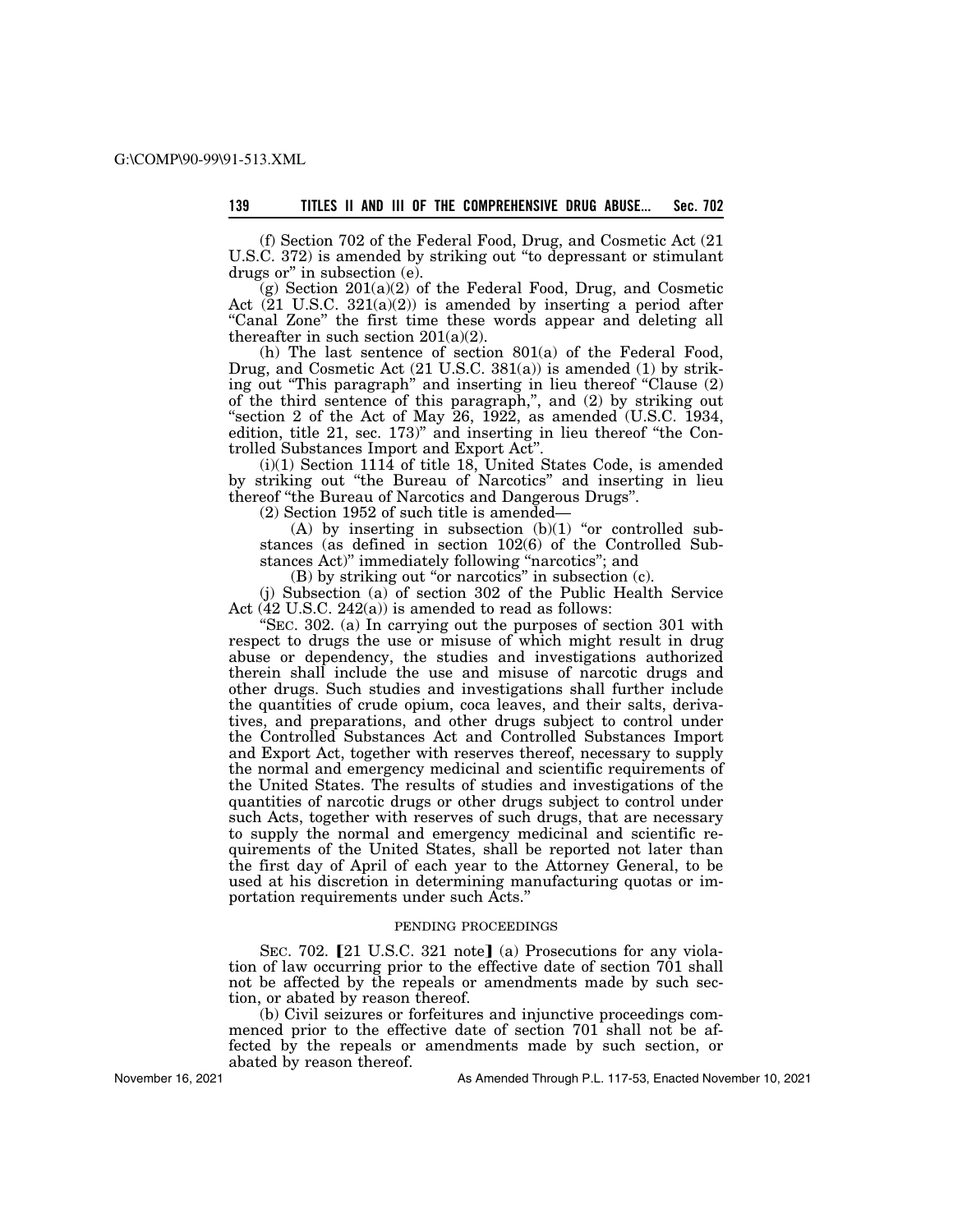(f) Section 702 of the Federal Food, Drug, and Cosmetic Act (21 U.S.C. 372) is amended by striking out ''to depressant or stimulant drugs or" in subsection (e).

(g) Section 201(a)(2) of the Federal Food, Drug, and Cosmetic Act (21 U.S.C. 321(a)(2)) is amended by inserting a period after "Canal Zone" the first time these words appear and deleting all thereafter in such section  $201(a)(2)$ .

(h) The last sentence of section 801(a) of the Federal Food, Drug, and Cosmetic Act (21 U.S.C. 381(a)) is amended (1) by striking out ''This paragraph'' and inserting in lieu thereof ''Clause (2) of the third sentence of this paragraph,'', and (2) by striking out "section 2 of the Act of May 26, 1922, as amended (U.S.C. 1934, edition, title 21, sec. 173)'' and inserting in lieu thereof ''the Controlled Substances Import and Export Act''.

(i)(1) Section 1114 of title 18, United States Code, is amended by striking out ''the Bureau of Narcotics'' and inserting in lieu thereof ''the Bureau of Narcotics and Dangerous Drugs''.

(2) Section 1952 of such title is amended—

(A) by inserting in subsection  $(b)(1)$  "or controlled substances (as defined in section 102(6) of the Controlled Substances Act)" immediately following "narcotics"; and

(B) by striking out ''or narcotics'' in subsection (c).

(j) Subsection (a) of section 302 of the Public Health Service Act  $(42 \text{ U.S.C. } 242(a))$  is amended to read as follows:

''SEC. 302. (a) In carrying out the purposes of section 301 with respect to drugs the use or misuse of which might result in drug abuse or dependency, the studies and investigations authorized therein shall include the use and misuse of narcotic drugs and other drugs. Such studies and investigations shall further include the quantities of crude opium, coca leaves, and their salts, derivatives, and preparations, and other drugs subject to control under the Controlled Substances Act and Controlled Substances Import and Export Act, together with reserves thereof, necessary to supply the normal and emergency medicinal and scientific requirements of the United States. The results of studies and investigations of the quantities of narcotic drugs or other drugs subject to control under such Acts, together with reserves of such drugs, that are necessary to supply the normal and emergency medicinal and scientific requirements of the United States, shall be reported not later than the first day of April of each year to the Attorney General, to be used at his discretion in determining manufacturing quotas or importation requirements under such Acts.''

#### PENDING PROCEEDINGS

SEC. 702.  $[21 \text{ U.S.C. } 321 \text{ note}]$  (a) Prosecutions for any violation of law occurring prior to the effective date of section 701 shall not be affected by the repeals or amendments made by such section, or abated by reason thereof.

(b) Civil seizures or forfeitures and injunctive proceedings commenced prior to the effective date of section 701 shall not be affected by the repeals or amendments made by such section, or abated by reason thereof.

November 16, 2021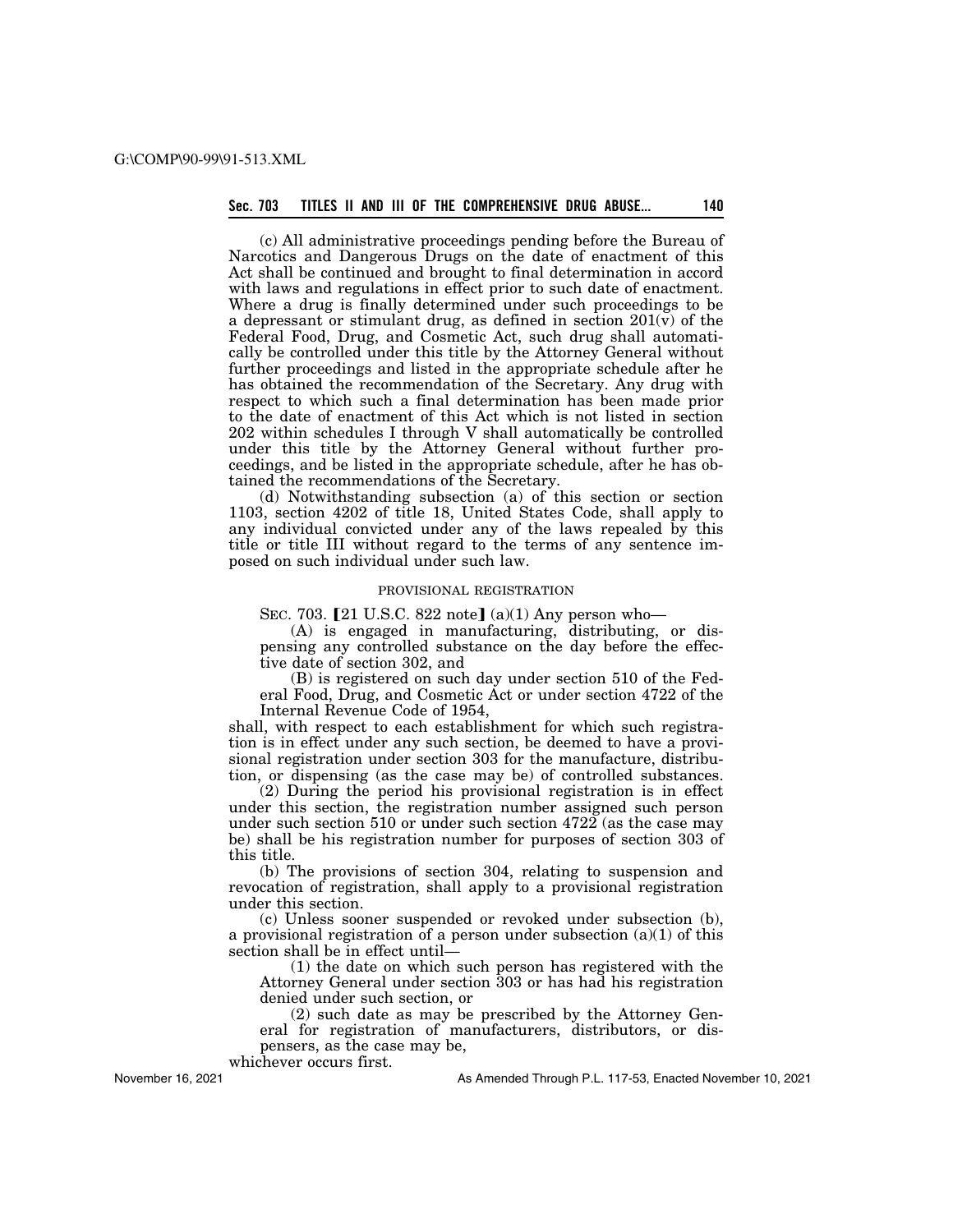## **Sec. 703 TITLES II AND III OF THE COMPREHENSIVE DRUG ABUSE... 140**

(c) All administrative proceedings pending before the Bureau of Narcotics and Dangerous Drugs on the date of enactment of this Act shall be continued and brought to final determination in accord with laws and regulations in effect prior to such date of enactment. Where a drug is finally determined under such proceedings to be a depressant or stimulant drug, as defined in section  $201(v)$  of the Federal Food, Drug, and Cosmetic Act, such drug shall automatically be controlled under this title by the Attorney General without further proceedings and listed in the appropriate schedule after he has obtained the recommendation of the Secretary. Any drug with respect to which such a final determination has been made prior to the date of enactment of this Act which is not listed in section 202 within schedules I through V shall automatically be controlled under this title by the Attorney General without further proceedings, and be listed in the appropriate schedule, after he has obtained the recommendations of the Secretary.

(d) Notwithstanding subsection (a) of this section or section 1103, section 4202 of title 18, United States Code, shall apply to any individual convicted under any of the laws repealed by this title or title III without regard to the terms of any sentence imposed on such individual under such law.

#### PROVISIONAL REGISTRATION

SEC. 703.  $[21 \text{ U.S.C. } 822 \text{ note}]$  (a)(1) Any person who-

(A) is engaged in manufacturing, distributing, or dispensing any controlled substance on the day before the effective date of section 302, and

(B) is registered on such day under section 510 of the Federal Food, Drug, and Cosmetic Act or under section 4722 of the Internal Revenue Code of 1954,

shall, with respect to each establishment for which such registration is in effect under any such section, be deemed to have a provisional registration under section 303 for the manufacture, distribution, or dispensing (as the case may be) of controlled substances.

(2) During the period his provisional registration is in effect under this section, the registration number assigned such person under such section 510 or under such section 4722 (as the case may be) shall be his registration number for purposes of section 303 of this title.

(b) The provisions of section 304, relating to suspension and revocation of registration, shall apply to a provisional registration under this section.

(c) Unless sooner suspended or revoked under subsection (b), a provisional registration of a person under subsection  $(a)(1)$  of this section shall be in effect until—

(1) the date on which such person has registered with the Attorney General under section 303 or has had his registration denied under such section, or

(2) such date as may be prescribed by the Attorney General for registration of manufacturers, distributors, or dispensers, as the case may be,

whichever occurs first.

November 16, 2021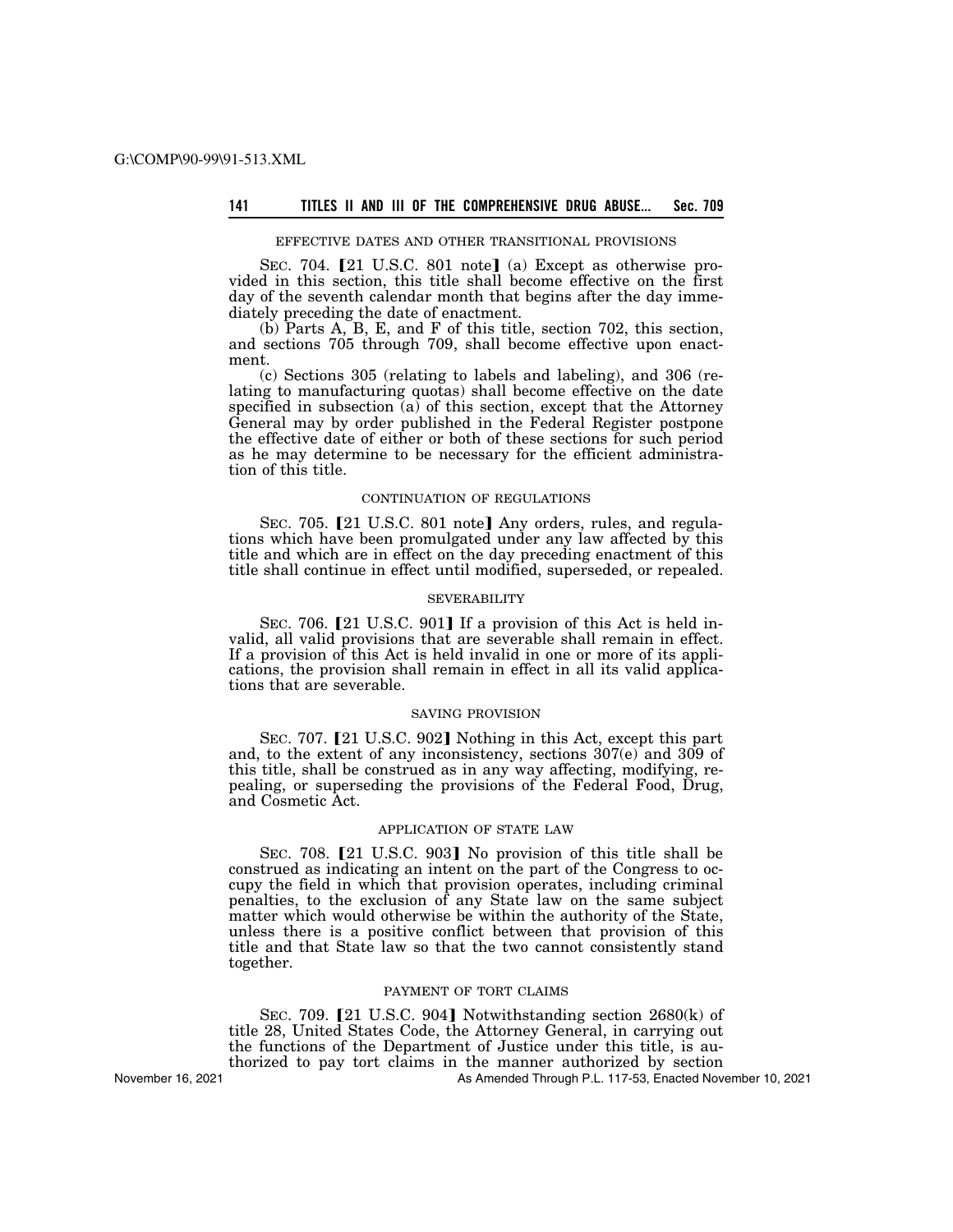# **141 TITLES II AND III OF THE COMPREHENSIVE DRUG ABUSE... Sec. 709**

#### EFFECTIVE DATES AND OTHER TRANSITIONAL PROVISIONS

SEC. 704.  $[21 \text{ U.S.C. } 801 \text{ note}]$  (a) Except as otherwise provided in this section, this title shall become effective on the first day of the seventh calendar month that begins after the day immediately preceding the date of enactment.

(b) Parts A, B, E, and F of this title, section 702, this section, and sections 705 through 709, shall become effective upon enactment.

(c) Sections 305 (relating to labels and labeling), and 306 (relating to manufacturing quotas) shall become effective on the date specified in subsection  $(a)$  of this section, except that the Attorney General may by order published in the Federal Register postpone the effective date of either or both of these sections for such period as he may determine to be necessary for the efficient administration of this title.

### CONTINUATION OF REGULATIONS

SEC. 705. [21 U.S.C. 801 note] Any orders, rules, and regulations which have been promulgated under any law affected by this title and which are in effect on the day preceding enactment of this title shall continue in effect until modified, superseded, or repealed.

#### **SEVERABILITY**

SEC. 706.  $[21 \text{ U.S.C. } 901]$  If a provision of this Act is held invalid, all valid provisions that are severable shall remain in effect. If a provision of this Act is held invalid in one or more of its applications, the provision shall remain in effect in all its valid applications that are severable.

#### SAVING PROVISION

SEC. 707. [21 U.S.C. 902] Nothing in this Act, except this part and, to the extent of any inconsistency, sections 307(e) and 309 of this title, shall be construed as in any way affecting, modifying, repealing, or superseding the provisions of the Federal Food, Drug, and Cosmetic Act.

### APPLICATION OF STATE LAW

SEC. 708. [21 U.S.C. 903] No provision of this title shall be construed as indicating an intent on the part of the Congress to occupy the field in which that provision operates, including criminal penalties, to the exclusion of any State law on the same subject matter which would otherwise be within the authority of the State, unless there is a positive conflict between that provision of this title and that State law so that the two cannot consistently stand together.

## PAYMENT OF TORT CLAIMS

SEC. 709.  $[21 \text{ U.S.C. } 904]$  Notwithstanding section 2680(k) of title 28, United States Code, the Attorney General, in carrying out the functions of the Department of Justice under this title, is authorized to pay tort claims in the manner authorized by section

November 16, 2021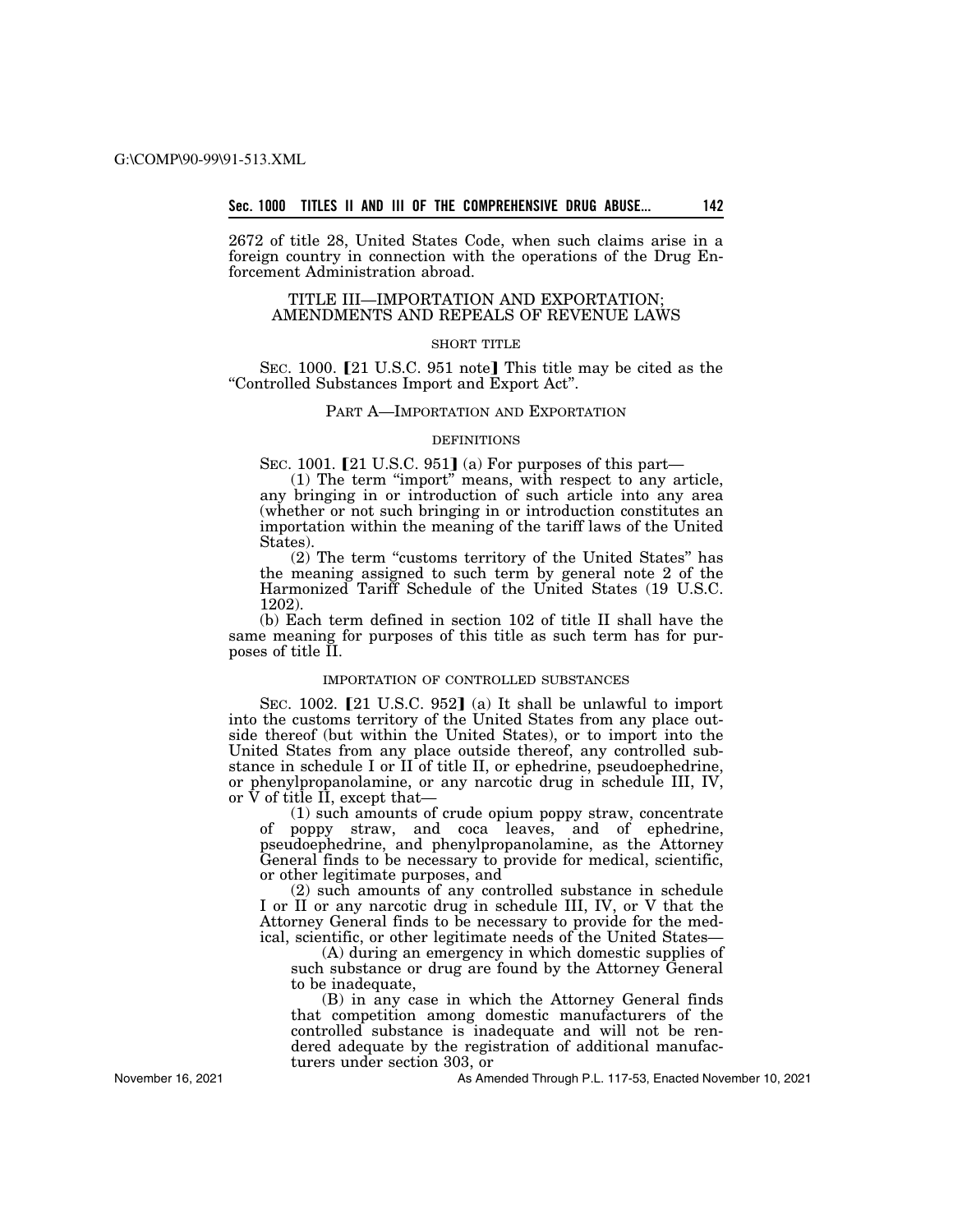## Sec. 1000 TITLES II AND III OF THE COMPREHENSIVE DRUG ABUSE... **142**

2672 of title 28, United States Code, when such claims arise in a foreign country in connection with the operations of the Drug Enforcement Administration abroad.

# TITLE III—IMPORTATION AND EXPORTATION; AMENDMENTS AND REPEALS OF REVENUE LAWS

### SHORT TITLE

SEC. 1000. [21 U.S.C. 951 note] This title may be cited as the ''Controlled Substances Import and Export Act''.

## PART A—IMPORTATION AND EXPORTATION

## **DEFINITIONS**

SEC. 1001.  $[21 \text{ U.S.C. } 951]$  (a) For purposes of this part—

(1) The term ''import'' means, with respect to any article, any bringing in or introduction of such article into any area (whether or not such bringing in or introduction constitutes an importation within the meaning of the tariff laws of the United States).

(2) The term ''customs territory of the United States'' has the meaning assigned to such term by general note 2 of the Harmonized Tariff Schedule of the United States (19 U.S.C. 1202).

(b) Each term defined in section 102 of title II shall have the same meaning for purposes of this title as such term has for purposes of title II.

### IMPORTATION OF CONTROLLED SUBSTANCES

SEC. 1002.  $[21 \text{ U.S.C. } 952]$  (a) It shall be unlawful to import into the customs territory of the United States from any place outside thereof (but within the United States), or to import into the United States from any place outside thereof, any controlled substance in schedule I or II of title II, or ephedrine, pseudoephedrine, or phenylpropanolamine, or any narcotic drug in schedule III, IV, or  $\bar{V}$  of title II, except that—

(1) such amounts of crude opium poppy straw, concentrate of poppy straw, and coca leaves, and of ephedrine, pseudoephedrine, and phenylpropanolamine, as the Attorney General finds to be necessary to provide for medical, scientific, or other legitimate purposes, and

(2) such amounts of any controlled substance in schedule I or II or any narcotic drug in schedule III, IV, or V that the Attorney General finds to be necessary to provide for the medical, scientific, or other legitimate needs of the United States—

(A) during an emergency in which domestic supplies of such substance or drug are found by the Attorney General to be inadequate,

(B) in any case in which the Attorney General finds that competition among domestic manufacturers of the controlled substance is inadequate and will not be rendered adequate by the registration of additional manufacturers under section 303, or

As Amended Through P.L. 117-53, Enacted November 10, 2021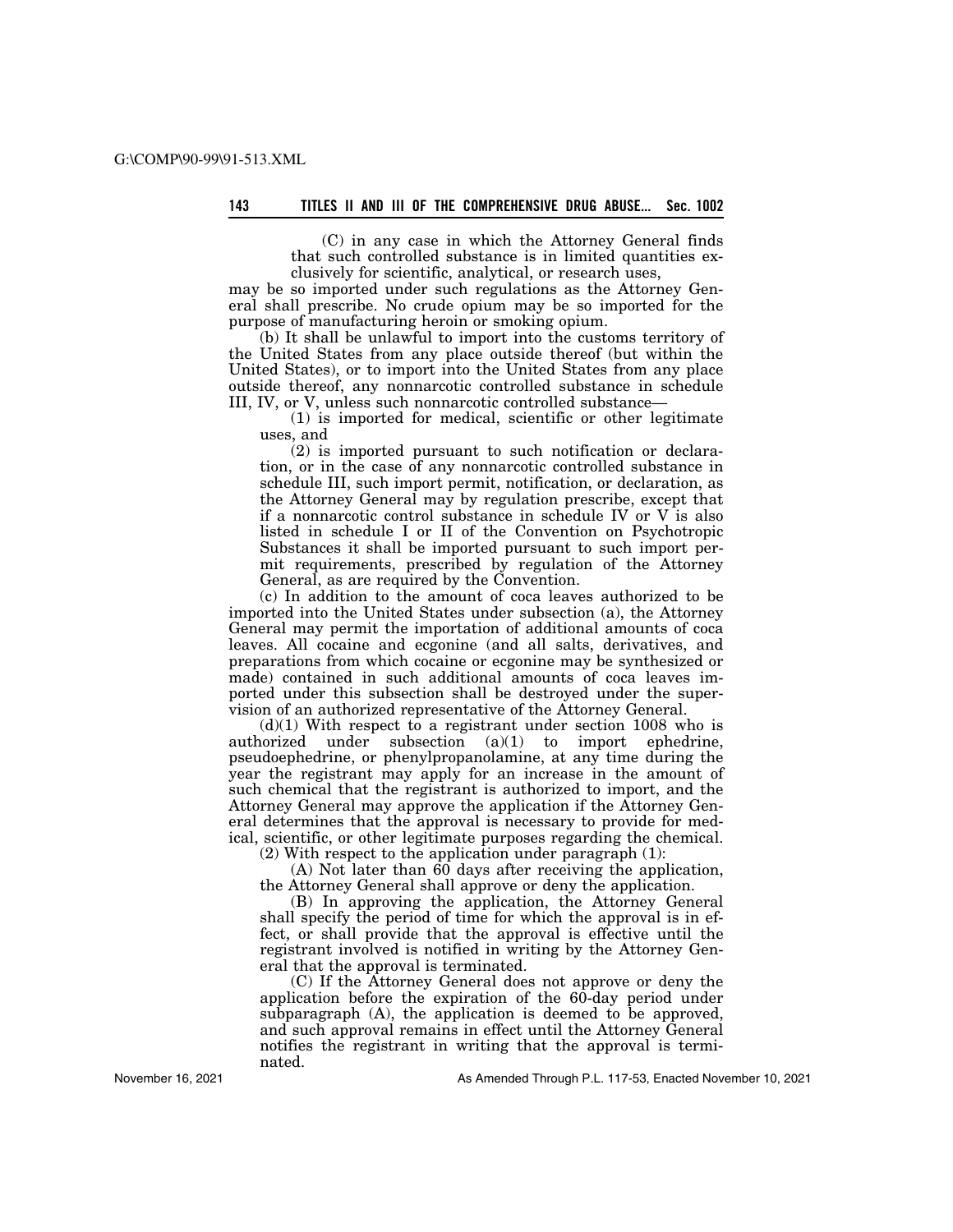(C) in any case in which the Attorney General finds that such controlled substance is in limited quantities exclusively for scientific, analytical, or research uses,

may be so imported under such regulations as the Attorney General shall prescribe. No crude opium may be so imported for the purpose of manufacturing heroin or smoking opium.

(b) It shall be unlawful to import into the customs territory of the United States from any place outside thereof (but within the United States), or to import into the United States from any place outside thereof, any nonnarcotic controlled substance in schedule III, IV, or V, unless such nonnarcotic controlled substance—

(1) is imported for medical, scientific or other legitimate uses, and

(2) is imported pursuant to such notification or declaration, or in the case of any nonnarcotic controlled substance in schedule III, such import permit, notification, or declaration, as the Attorney General may by regulation prescribe, except that if a nonnarcotic control substance in schedule IV or V is also listed in schedule I or II of the Convention on Psychotropic Substances it shall be imported pursuant to such import permit requirements, prescribed by regulation of the Attorney General, as are required by the Convention.

(c) In addition to the amount of coca leaves authorized to be imported into the United States under subsection (a), the Attorney General may permit the importation of additional amounts of coca leaves. All cocaine and ecgonine (and all salts, derivatives, and preparations from which cocaine or ecgonine may be synthesized or made) contained in such additional amounts of coca leaves imported under this subsection shall be destroyed under the supervision of an authorized representative of the Attorney General.

 $(d)(1)$  With respect to a registrant under section 1008 who is authorized under subsection (a)(1) to import ephedrine, pseudoephedrine, or phenylpropanolamine, at any time during the year the registrant may apply for an increase in the amount of such chemical that the registrant is authorized to import, and the Attorney General may approve the application if the Attorney General determines that the approval is necessary to provide for medical, scientific, or other legitimate purposes regarding the chemical.

(2) With respect to the application under paragraph (1):

(A) Not later than 60 days after receiving the application, the Attorney General shall approve or deny the application.

(B) In approving the application, the Attorney General shall specify the period of time for which the approval is in effect, or shall provide that the approval is effective until the registrant involved is notified in writing by the Attorney General that the approval is terminated.

(C) If the Attorney General does not approve or deny the application before the expiration of the 60-day period under subparagraph (A), the application is deemed to be approved, and such approval remains in effect until the Attorney General notifies the registrant in writing that the approval is terminated.

November 16, 2021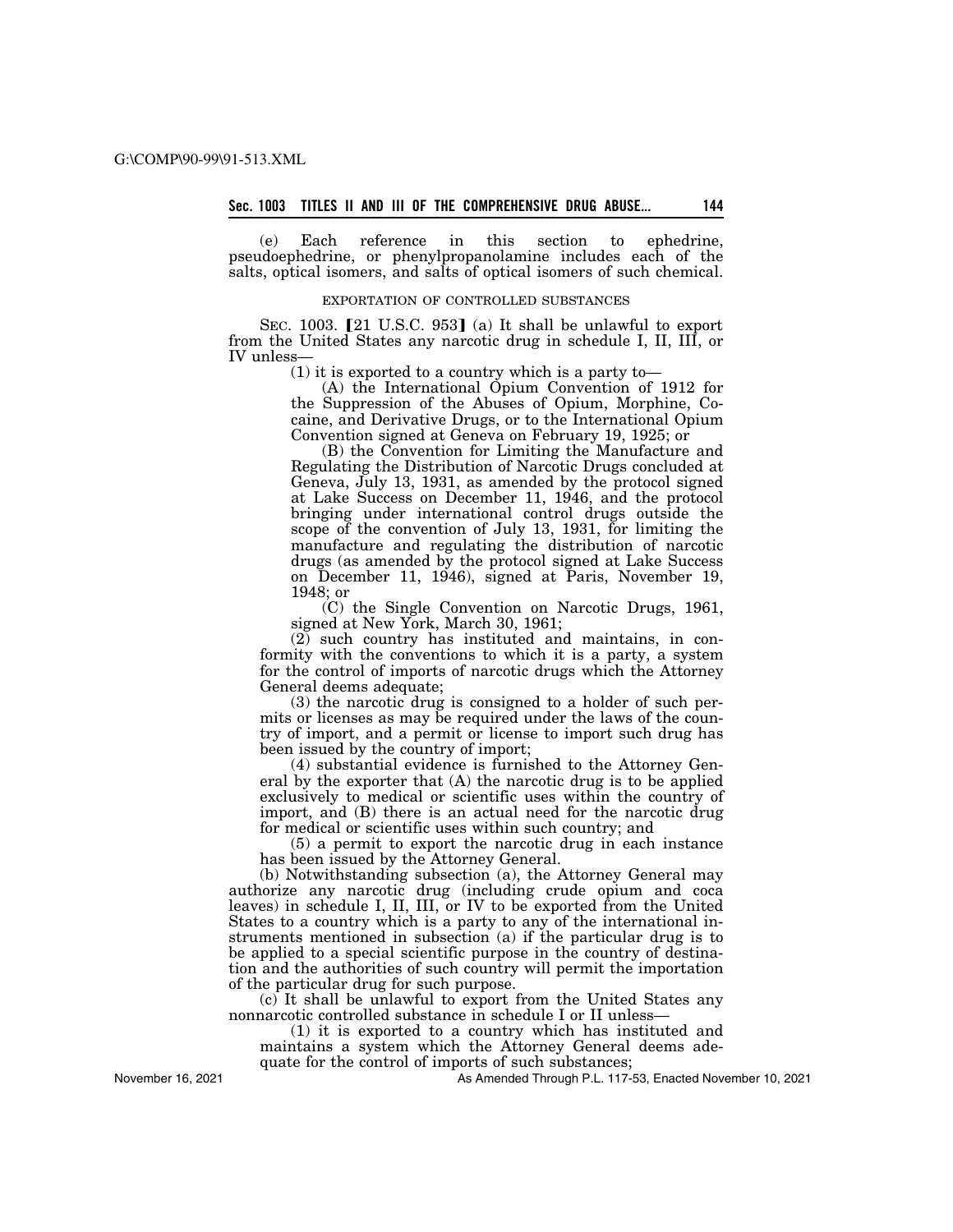## Sec. 1003 TITLES II AND III OF THE COMPREHENSIVE DRUG ABUSE... **144**

(e) Each reference in this section to ephedrine, pseudoephedrine, or phenylpropanolamine includes each of the salts, optical isomers, and salts of optical isomers of such chemical.

## EXPORTATION OF CONTROLLED SUBSTANCES

SEC. 1003.  $[21 \text{ U.S.C. } 953]$  (a) It shall be unlawful to export from the United States any narcotic drug in schedule I, II, III, or IV unless—

(1) it is exported to a country which is a party to—

(A) the International Opium Convention of 1912 for the Suppression of the Abuses of Opium, Morphine, Cocaine, and Derivative Drugs, or to the International Opium Convention signed at Geneva on February 19, 1925; or

(B) the Convention for Limiting the Manufacture and Regulating the Distribution of Narcotic Drugs concluded at Geneva, July 13, 1931, as amended by the protocol signed at Lake Success on December 11, 1946, and the protocol bringing under international control drugs outside the scope of the convention of July 13, 1931, for limiting the manufacture and regulating the distribution of narcotic drugs (as amended by the protocol signed at Lake Success on December 11, 1946), signed at Paris, November 19, 1948; or

(C) the Single Convention on Narcotic Drugs, 1961, signed at New York, March 30, 1961;

(2) such country has instituted and maintains, in conformity with the conventions to which it is a party, a system for the control of imports of narcotic drugs which the Attorney General deems adequate;

(3) the narcotic drug is consigned to a holder of such permits or licenses as may be required under the laws of the country of import, and a permit or license to import such drug has been issued by the country of import;

(4) substantial evidence is furnished to the Attorney General by the exporter that (A) the narcotic drug is to be applied exclusively to medical or scientific uses within the country of import, and (B) there is an actual need for the narcotic drug for medical or scientific uses within such country; and

(5) a permit to export the narcotic drug in each instance has been issued by the Attorney General.

(b) Notwithstanding subsection (a), the Attorney General may authorize any narcotic drug (including crude opium and coca leaves) in schedule I, II, III, or IV to be exported from the United States to a country which is a party to any of the international instruments mentioned in subsection (a) if the particular drug is to be applied to a special scientific purpose in the country of destination and the authorities of such country will permit the importation of the particular drug for such purpose.

(c) It shall be unlawful to export from the United States any nonnarcotic controlled substance in schedule I or II unless—

(1) it is exported to a country which has instituted and maintains a system which the Attorney General deems adequate for the control of imports of such substances;

November 16, 2021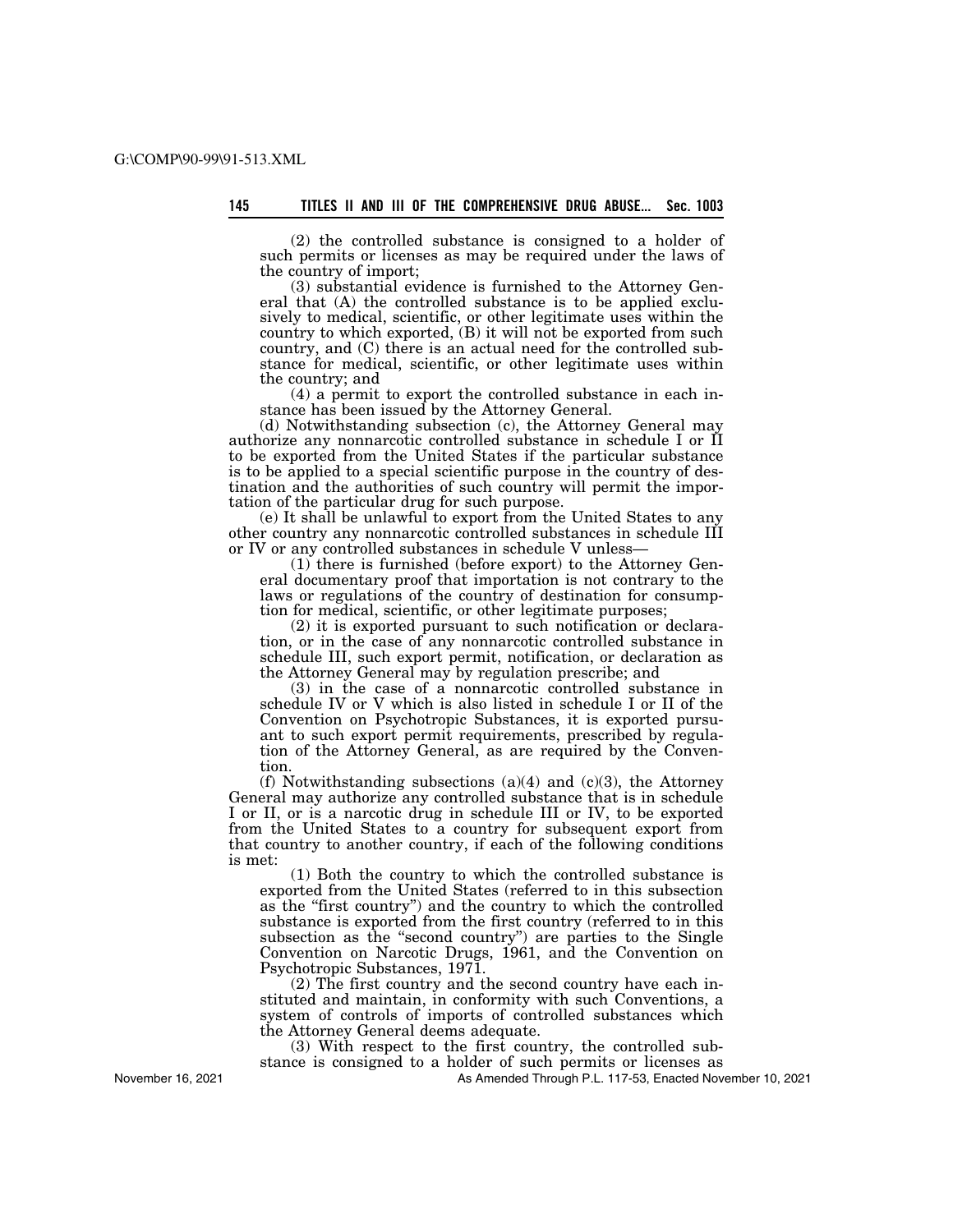(2) the controlled substance is consigned to a holder of such permits or licenses as may be required under the laws of the country of import;

(3) substantial evidence is furnished to the Attorney General that (A) the controlled substance is to be applied exclusively to medical, scientific, or other legitimate uses within the country to which exported, (B) it will not be exported from such country, and (C) there is an actual need for the controlled substance for medical, scientific, or other legitimate uses within the country; and

(4) a permit to export the controlled substance in each instance has been issued by the Attorney General.

(d) Notwithstanding subsection (c), the Attorney General may authorize any nonnarcotic controlled substance in schedule I or II to be exported from the United States if the particular substance is to be applied to a special scientific purpose in the country of destination and the authorities of such country will permit the importation of the particular drug for such purpose.

(e) It shall be unlawful to export from the United States to any other country any nonnarcotic controlled substances in schedule III or IV or any controlled substances in schedule V unless—

(1) there is furnished (before export) to the Attorney General documentary proof that importation is not contrary to the laws or regulations of the country of destination for consumption for medical, scientific, or other legitimate purposes;

(2) it is exported pursuant to such notification or declaration, or in the case of any nonnarcotic controlled substance in schedule III, such export permit, notification, or declaration as the Attorney General may by regulation prescribe; and

(3) in the case of a nonnarcotic controlled substance in schedule IV or V which is also listed in schedule I or II of the Convention on Psychotropic Substances, it is exported pursuant to such export permit requirements, prescribed by regulation of the Attorney General, as are required by the Convention.

(f) Notwithstanding subsections  $(a)(4)$  and  $(c)(3)$ , the Attorney General may authorize any controlled substance that is in schedule I or II, or is a narcotic drug in schedule III or IV, to be exported from the United States to a country for subsequent export from that country to another country, if each of the following conditions is met:

(1) Both the country to which the controlled substance is exported from the United States (referred to in this subsection as the ''first country'') and the country to which the controlled substance is exported from the first country (referred to in this subsection as the ''second country'') are parties to the Single Convention on Narcotic Drugs, 1961, and the Convention on Psychotropic Substances, 1971.

(2) The first country and the second country have each instituted and maintain, in conformity with such Conventions, a system of controls of imports of controlled substances which the Attorney General deems adequate.

(3) With respect to the first country, the controlled substance is consigned to a holder of such permits or licenses as

As Amended Through P.L. 117-53, Enacted November 10, 2021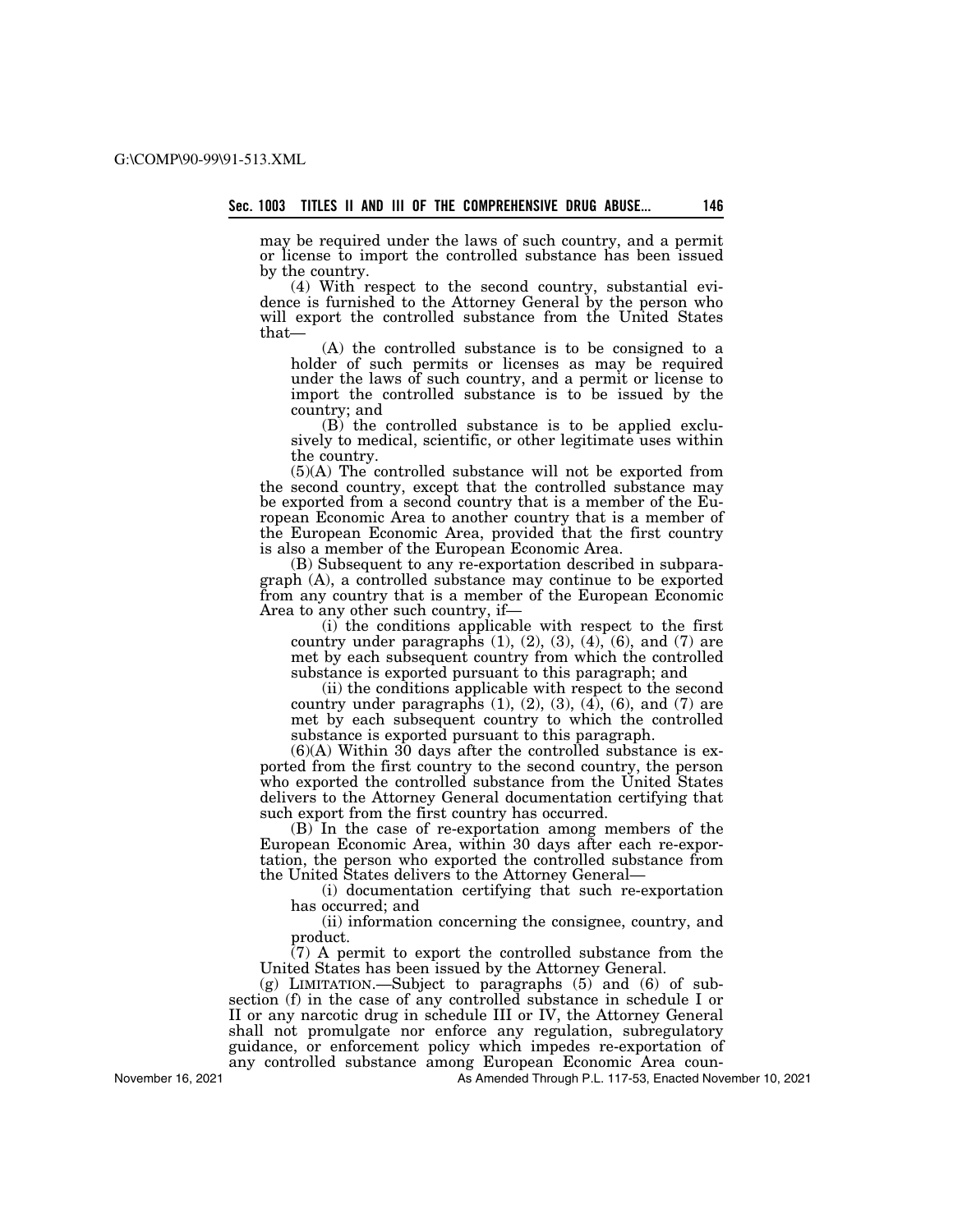may be required under the laws of such country, and a permit or license to import the controlled substance has been issued by the country.

(4) With respect to the second country, substantial evidence is furnished to the Attorney General by the person who will export the controlled substance from the United States that—

(A) the controlled substance is to be consigned to a holder of such permits or licenses as may be required under the laws of such country, and a permit or license to import the controlled substance is to be issued by the country; and

(B) the controlled substance is to be applied exclusively to medical, scientific, or other legitimate uses within the country.

(5)(A) The controlled substance will not be exported from the second country, except that the controlled substance may be exported from a second country that is a member of the European Economic Area to another country that is a member of the European Economic Area, provided that the first country is also a member of the European Economic Area.

(B) Subsequent to any re-exportation described in subparagraph (A), a controlled substance may continue to be exported from any country that is a member of the European Economic Area to any other such country, if—

(i) the conditions applicable with respect to the first country under paragraphs  $(1)$ ,  $(2)$ ,  $(3)$ ,  $(4)$ ,  $(6)$ , and  $(7)$  are met by each subsequent country from which the controlled substance is exported pursuant to this paragraph; and

(ii) the conditions applicable with respect to the second country under paragraphs  $(1)$ ,  $(2)$ ,  $(3)$ ,  $(4)$ ,  $(6)$ , and  $(7)$  are met by each subsequent country to which the controlled substance is exported pursuant to this paragraph.

 $(6)(A)$  Within 30 days after the controlled substance is exported from the first country to the second country, the person who exported the controlled substance from the United States delivers to the Attorney General documentation certifying that such export from the first country has occurred.

(B) In the case of re-exportation among members of the European Economic Area, within 30 days after each re-exportation, the person who exported the controlled substance from the United States delivers to the Attorney General—

(i) documentation certifying that such re-exportation has occurred; and

(ii) information concerning the consignee, country, and product.

 $(7)$  A permit to export the controlled substance from the United States has been issued by the Attorney General.

(g) LIMITATION.—Subject to paragraphs (5) and (6) of subsection (f) in the case of any controlled substance in schedule I or II or any narcotic drug in schedule III or IV, the Attorney General shall not promulgate nor enforce any regulation, subregulatory guidance, or enforcement policy which impedes re-exportation of any controlled substance among European Economic Area coun-

November 16, 2021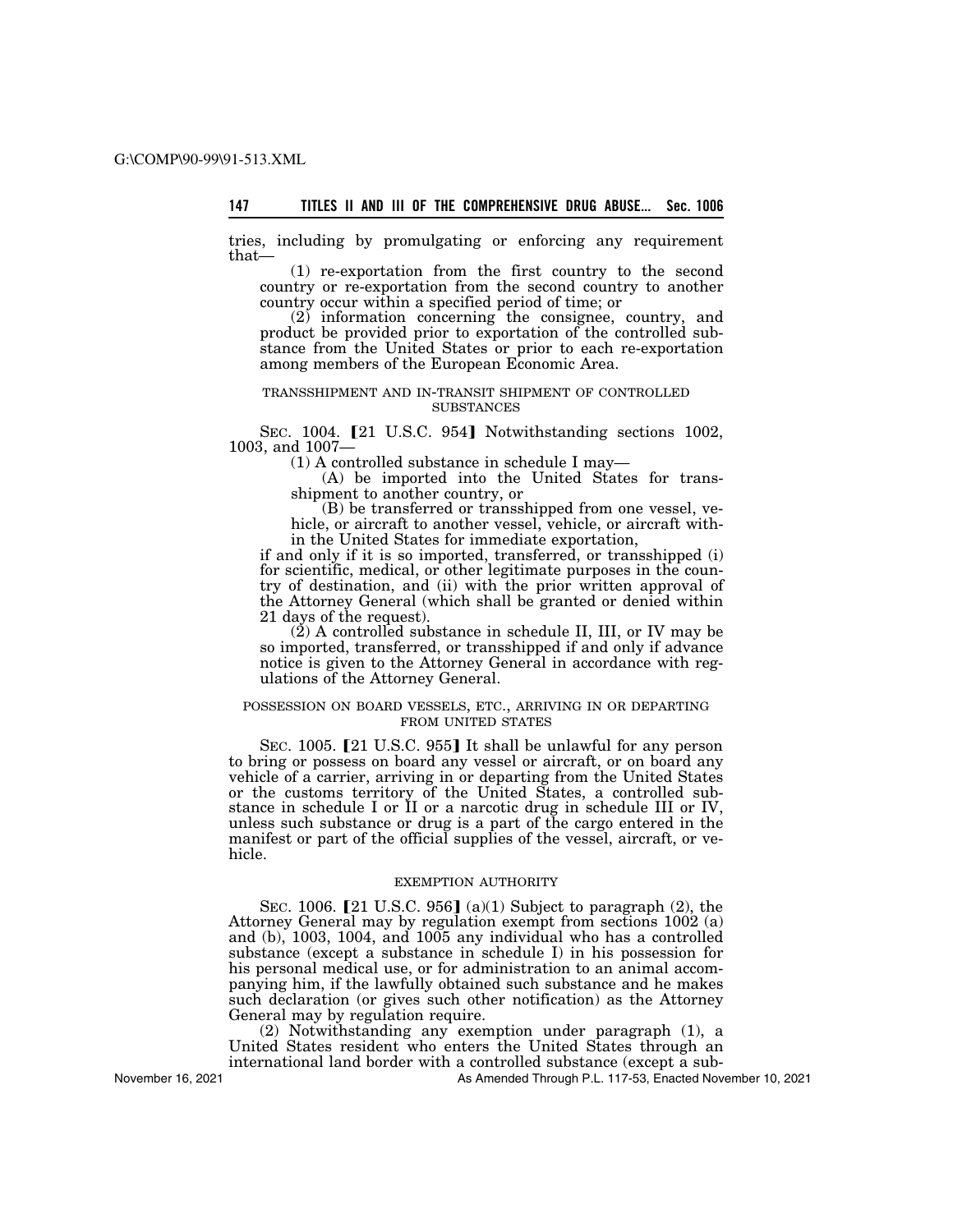tries, including by promulgating or enforcing any requirement that—

(1) re-exportation from the first country to the second country or re-exportation from the second country to another country occur within a specified period of time; or

(2) information concerning the consignee, country, and product be provided prior to exportation of the controlled substance from the United States or prior to each re-exportation among members of the European Economic Area.

# TRANSSHIPMENT AND IN-TRANSIT SHIPMENT OF CONTROLLED **SUBSTANCES**

SEC. 1004. [21 U.S.C. 954] Notwithstanding sections 1002, 1003, and 1007—

(1) A controlled substance in schedule I may—

(A) be imported into the United States for transshipment to another country, or

(B) be transferred or transshipped from one vessel, vehicle, or aircraft to another vessel, vehicle, or aircraft within the United States for immediate exportation,

if and only if it is so imported, transferred, or transshipped (i) for scientific, medical, or other legitimate purposes in the country of destination, and (ii) with the prior written approval of the Attorney General (which shall be granted or denied within 21 days of the request).

 $(2)$  A controlled substance in schedule II, III, or IV may be so imported, transferred, or transshipped if and only if advance notice is given to the Attorney General in accordance with regulations of the Attorney General.

### POSSESSION ON BOARD VESSELS, ETC., ARRIVING IN OR DEPARTING FROM UNITED STATES

SEC. 1005.  $[21 \text{ U.S.C. } 955]$  It shall be unlawful for any person to bring or possess on board any vessel or aircraft, or on board any vehicle of a carrier, arriving in or departing from the United States or the customs territory of the United States, a controlled substance in schedule I or II or a narcotic drug in schedule III or IV, unless such substance or drug is a part of the cargo entered in the manifest or part of the official supplies of the vessel, aircraft, or vehicle.

# EXEMPTION AUTHORITY

SEC. 1006.  $[21 \text{ U.S.C. } 956]$  (a)(1) Subject to paragraph (2), the Attorney General may by regulation exempt from sections 1002 (a) and (b), 1003, 1004, and 1005 any individual who has a controlled substance (except a substance in schedule I) in his possession for his personal medical use, or for administration to an animal accompanying him, if the lawfully obtained such substance and he makes such declaration (or gives such other notification) as the Attorney General may by regulation require.

(2) Notwithstanding any exemption under paragraph (1), a United States resident who enters the United States through an international land border with a controlled substance (except a sub-

As Amended Through P.L. 117-53, Enacted November 10, 2021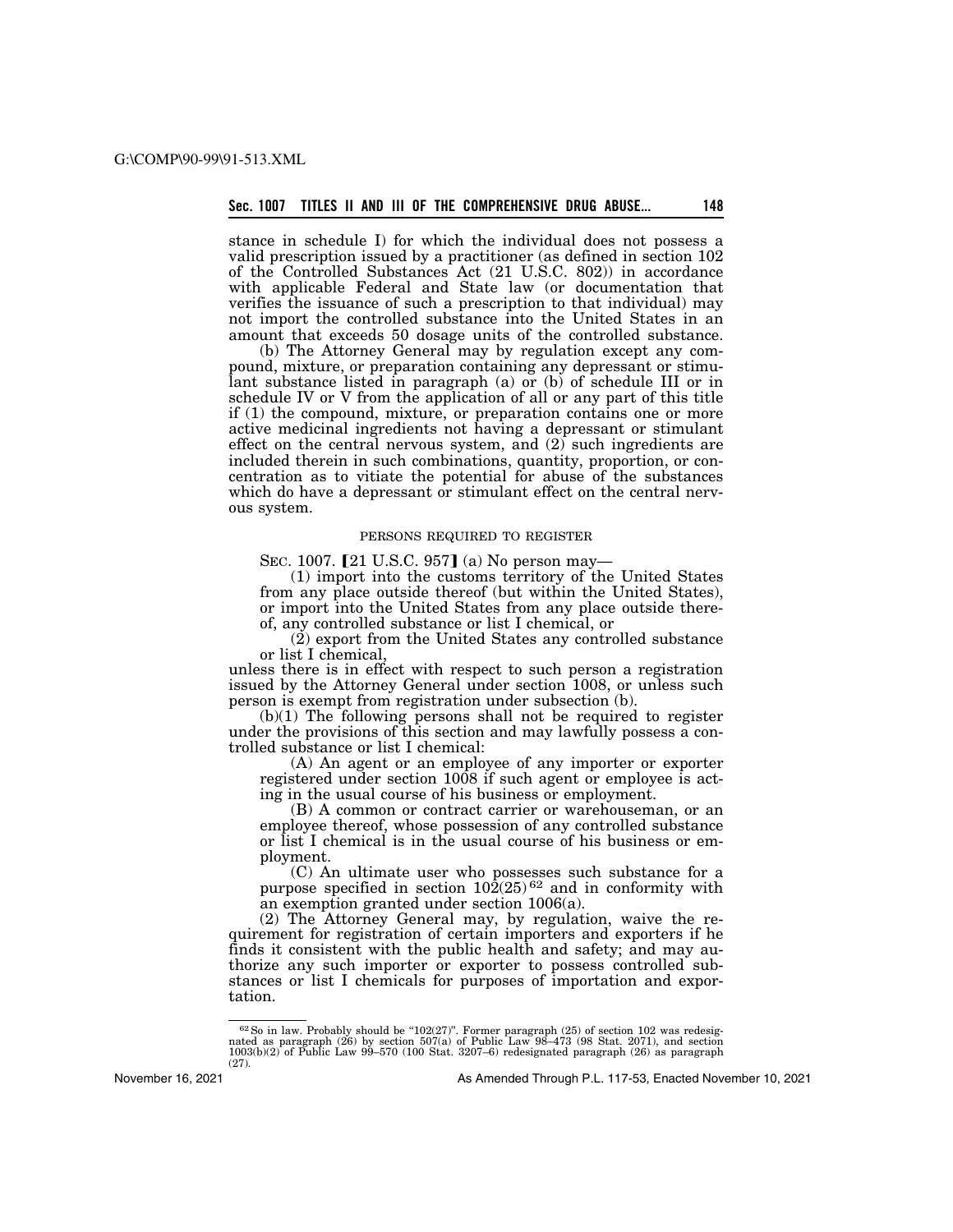# Sec. 1007 TITLES II AND III OF THE COMPREHENSIVE DRUG ABUSE... 148

stance in schedule I) for which the individual does not possess a valid prescription issued by a practitioner (as defined in section 102 of the Controlled Substances Act (21 U.S.C. 802)) in accordance with applicable Federal and State law (or documentation that verifies the issuance of such a prescription to that individual) may not import the controlled substance into the United States in an amount that exceeds 50 dosage units of the controlled substance.

(b) The Attorney General may by regulation except any compound, mixture, or preparation containing any depressant or stimulant substance listed in paragraph (a) or (b) of schedule III or in schedule IV or V from the application of all or any part of this title if (1) the compound, mixture, or preparation contains one or more active medicinal ingredients not having a depressant or stimulant effect on the central nervous system, and  $(2)$  such ingredients are included therein in such combinations, quantity, proportion, or concentration as to vitiate the potential for abuse of the substances which do have a depressant or stimulant effect on the central nervous system.

### PERSONS REQUIRED TO REGISTER

SEC. 1007.  $[21 \text{ U.S.C. } 957]$  (a) No person may—

(1) import into the customs territory of the United States from any place outside thereof (but within the United States), or import into the United States from any place outside thereof, any controlled substance or list I chemical, or

(2) export from the United States any controlled substance or list I chemical,

unless there is in effect with respect to such person a registration issued by the Attorney General under section 1008, or unless such person is exempt from registration under subsection (b).

(b)(1) The following persons shall not be required to register under the provisions of this section and may lawfully possess a controlled substance or list I chemical:

(A) An agent or an employee of any importer or exporter registered under section 1008 if such agent or employee is acting in the usual course of his business or employment.

(B) A common or contract carrier or warehouseman, or an employee thereof, whose possession of any controlled substance or list I chemical is in the usual course of his business or employment.

(C) An ultimate user who possesses such substance for a purpose specified in section  $10\overline{2}(25)^{62}$  and in conformity with an exemption granted under section 1006(a).

(2) The Attorney General may, by regulation, waive the requirement for registration of certain importers and exporters if he finds it consistent with the public health and safety; and may authorize any such importer or exporter to possess controlled substances or list I chemicals for purposes of importation and exportation.

 $62$  So in law. Probably should be "102(27)". Former paragraph (25) of section 102 was redesignated as paragraph (26) by section 507(a) of Public Law 98-473 (98 Stat. 2071), and section 1003(b)(2) of Public Law 99-570 (10 (27).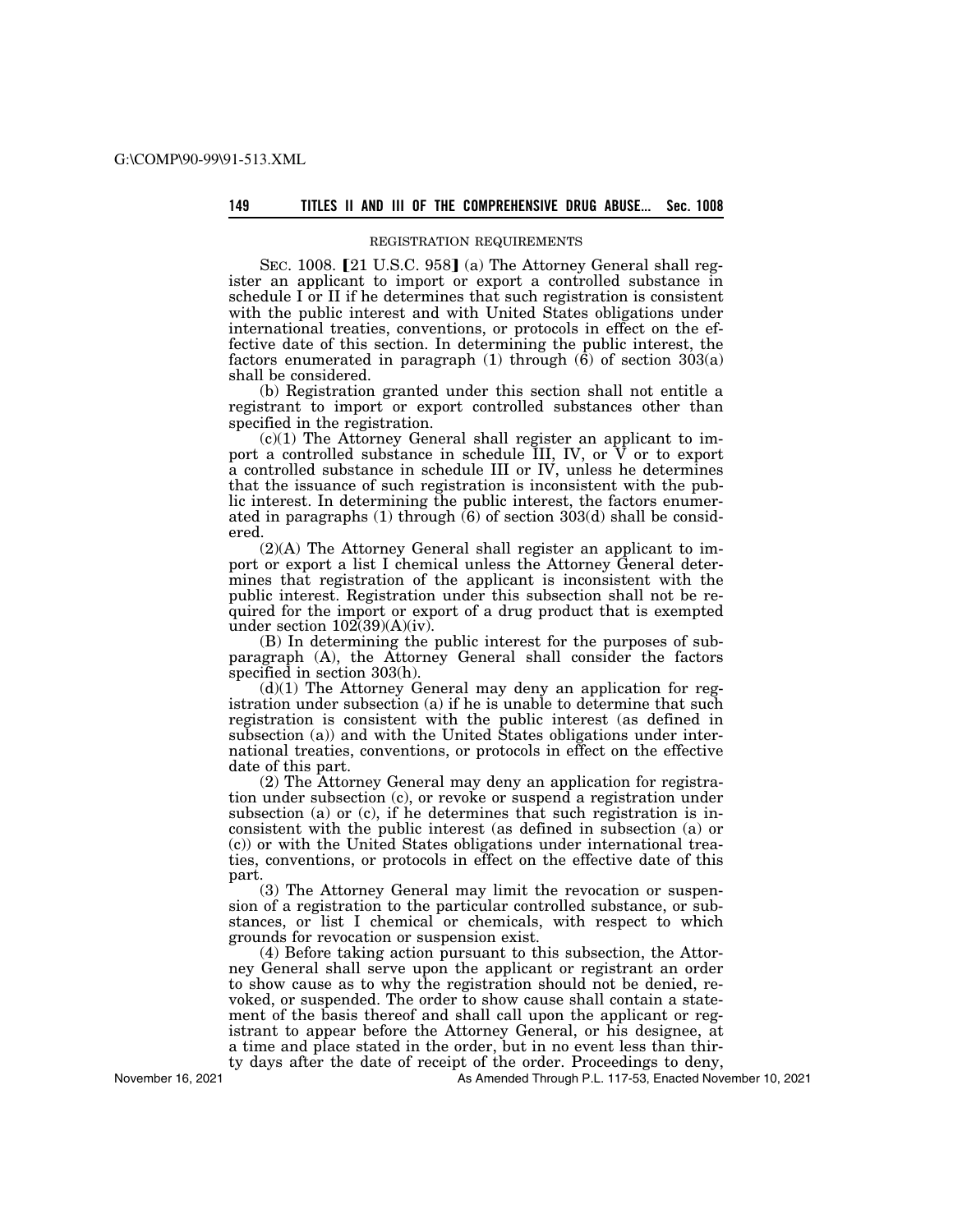#### REGISTRATION REQUIREMENTS

SEC. 1008. [21 U.S.C. 958] (a) The Attorney General shall register an applicant to import or export a controlled substance in schedule I or II if he determines that such registration is consistent with the public interest and with United States obligations under international treaties, conventions, or protocols in effect on the effective date of this section. In determining the public interest, the factors enumerated in paragraph  $(1)$  through  $(6)$  of section  $303(a)$ shall be considered.

(b) Registration granted under this section shall not entitle a registrant to import or export controlled substances other than specified in the registration.

 $(c)(1)$  The Attorney General shall register an applicant to import a controlled substance in schedule III, IV, or V or to export a controlled substance in schedule III or IV, unless he determines that the issuance of such registration is inconsistent with the public interest. In determining the public interest, the factors enumerated in paragraphs (1) through (6) of section 303(d) shall be considered.

(2)(A) The Attorney General shall register an applicant to import or export a list I chemical unless the Attorney General determines that registration of the applicant is inconsistent with the public interest. Registration under this subsection shall not be required for the import or export of a drug product that is exempted under section  $102(39)(A)(iv)$ .

(B) In determining the public interest for the purposes of subparagraph (A), the Attorney General shall consider the factors specified in section 303(h).

 $(d)(1)$  The Attorney General may deny an application for registration under subsection (a) if he is unable to determine that such registration is consistent with the public interest (as defined in subsection (a)) and with the United States obligations under international treaties, conventions, or protocols in effect on the effective date of this part.

(2) The Attorney General may deny an application for registration under subsection (c), or revoke or suspend a registration under subsection (a) or (c), if he determines that such registration is inconsistent with the public interest (as defined in subsection (a) or (c)) or with the United States obligations under international treaties, conventions, or protocols in effect on the effective date of this part.

(3) The Attorney General may limit the revocation or suspension of a registration to the particular controlled substance, or substances, or list I chemical or chemicals, with respect to which grounds for revocation or suspension exist.

(4) Before taking action pursuant to this subsection, the Attorney General shall serve upon the applicant or registrant an order to show cause as to why the registration should not be denied, revoked, or suspended. The order to show cause shall contain a statement of the basis thereof and shall call upon the applicant or registrant to appear before the Attorney General, or his designee, at a time and place stated in the order, but in no event less than thirty days after the date of receipt of the order. Proceedings to deny,

November 16, 2021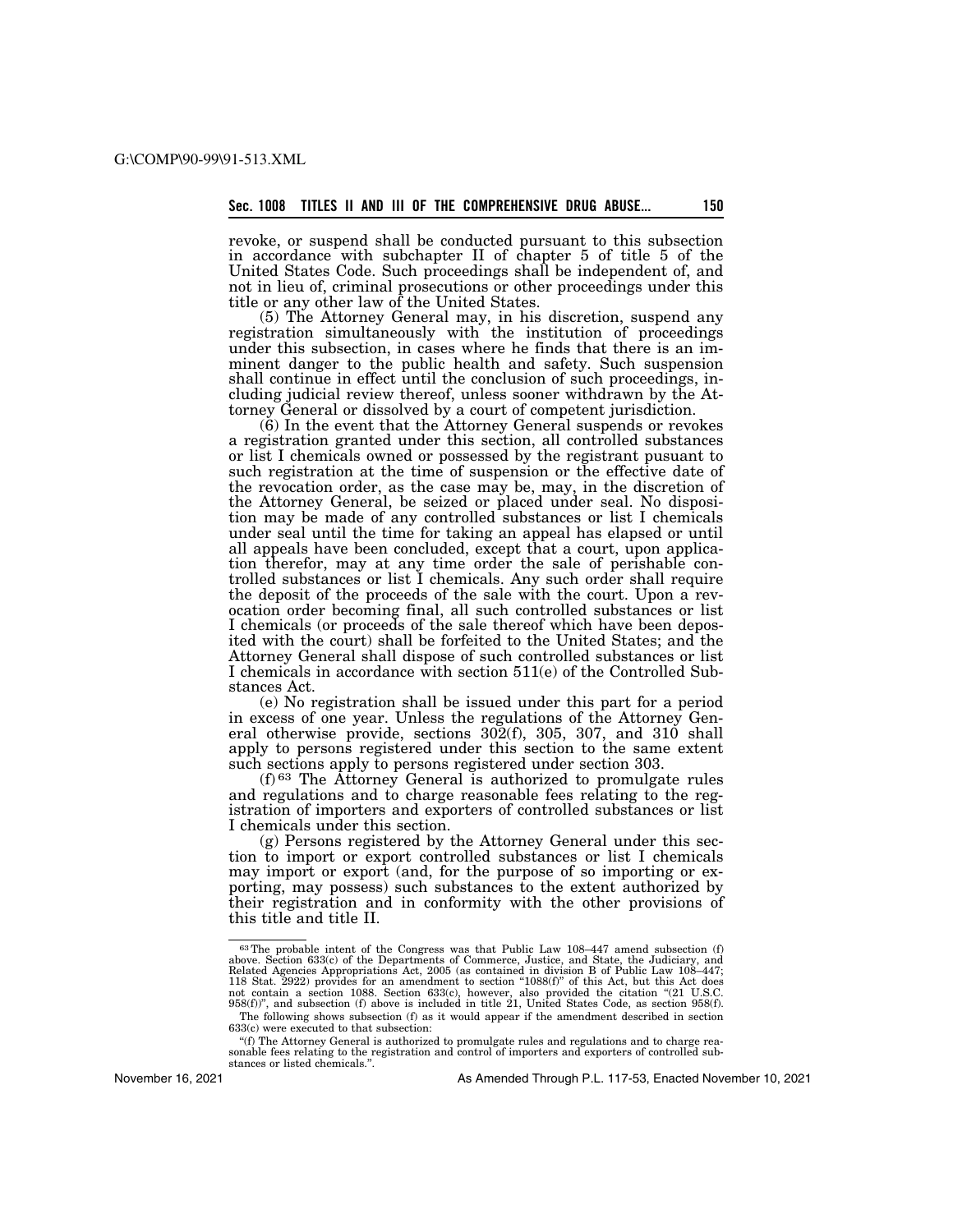revoke, or suspend shall be conducted pursuant to this subsection in accordance with subchapter II of chapter 5 of title 5 of the United States Code. Such proceedings shall be independent of, and not in lieu of, criminal prosecutions or other proceedings under this title or any other law of the United States.

(5) The Attorney General may, in his discretion, suspend any registration simultaneously with the institution of proceedings under this subsection, in cases where he finds that there is an imminent danger to the public health and safety. Such suspension shall continue in effect until the conclusion of such proceedings, including judicial review thereof, unless sooner withdrawn by the Attorney General or dissolved by a court of competent jurisdiction.

(6) In the event that the Attorney General suspends or revokes a registration granted under this section, all controlled substances or list I chemicals owned or possessed by the registrant pusuant to such registration at the time of suspension or the effective date of the revocation order, as the case may be, may, in the discretion of the Attorney General, be seized or placed under seal. No disposition may be made of any controlled substances or list I chemicals under seal until the time for taking an appeal has elapsed or until all appeals have been concluded, except that a court, upon application therefor, may at any time order the sale of perishable controlled substances or list I chemicals. Any such order shall require the deposit of the proceeds of the sale with the court. Upon a revocation order becoming final, all such controlled substances or list I chemicals (or proceeds of the sale thereof which have been deposited with the court) shall be forfeited to the United States; and the Attorney General shall dispose of such controlled substances or list I chemicals in accordance with section 511(e) of the Controlled Substances Act.

(e) No registration shall be issued under this part for a period in excess of one year. Unless the regulations of the Attorney General otherwise provide, sections  $302(f)$ ,  $305$ ,  $307$ , and  $310$  shall apply to persons registered under this section to the same extent such sections apply to persons registered under section 303.

(f) 63 The Attorney General is authorized to promulgate rules and regulations and to charge reasonable fees relating to the registration of importers and exporters of controlled substances or list I chemicals under this section.

(g) Persons registered by the Attorney General under this section to import or export controlled substances or list I chemicals may import or export (and, for the purpose of so importing or exporting, may possess) such substances to the extent authorized by their registration and in conformity with the other provisions of this title and title II.

November 16, 2021

<sup>&</sup>lt;sup>63</sup>The probable intent of the Congress was that Public Law 108–447 amend subsection (f) above. Section 633(c) of the Departments of Commerce, Justice, and State, the Judiciary, and Related Agencies Appropriations Act, 2005 (as contained in division B of Public Law 108–447;<br>118 Stat. 2922) provides for an amendment to section "1088(f)" of this Act, but this Act does<br>not contain a section 1088. Section

The following shows subsection (f) as it would appear if the amendment described in section 633(c) were executed to that subsection:

<sup>&#</sup>x27;'(f) The Attorney General is authorized to promulgate rules and regulations and to charge rea-sonable fees relating to the registration and control of importers and exporters of controlled substances or listed chemicals.''.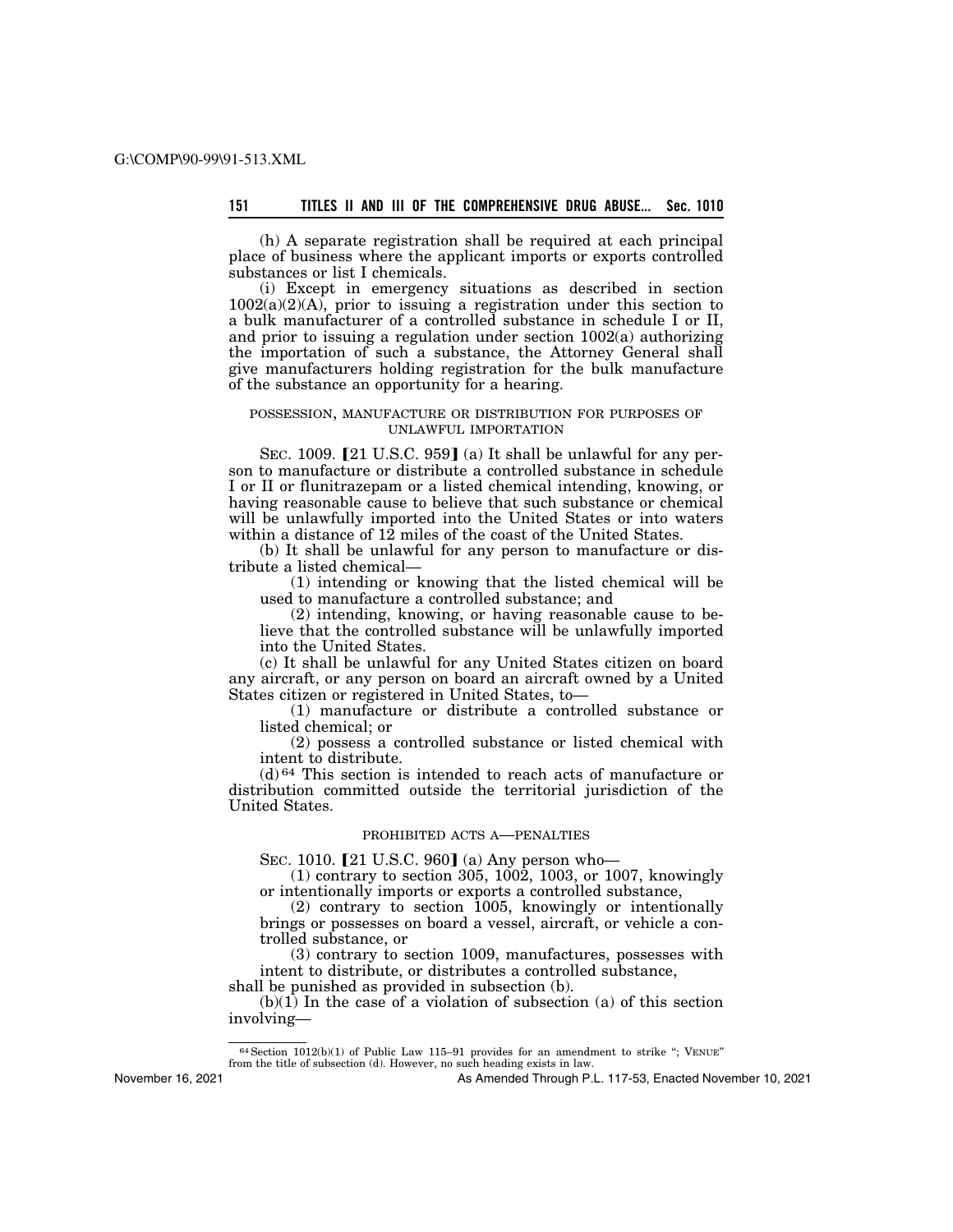(h) A separate registration shall be required at each principal place of business where the applicant imports or exports controlled substances or list I chemicals.

(i) Except in emergency situations as described in section  $1002(a)(2)(A)$ , prior to issuing a registration under this section to a bulk manufacturer of a controlled substance in schedule I or II, and prior to issuing a regulation under section 1002(a) authorizing the importation of such a substance, the Attorney General shall give manufacturers holding registration for the bulk manufacture of the substance an opportunity for a hearing.

### POSSESSION, MANUFACTURE OR DISTRIBUTION FOR PURPOSES OF UNLAWFUL IMPORTATION

SEC. 1009.  $[21 \text{ U.S.C. } 959]$  (a) It shall be unlawful for any person to manufacture or distribute a controlled substance in schedule I or II or flunitrazepam or a listed chemical intending, knowing, or having reasonable cause to believe that such substance or chemical will be unlawfully imported into the United States or into waters within a distance of 12 miles of the coast of the United States.

(b) It shall be unlawful for any person to manufacture or distribute a listed chemical—

(1) intending or knowing that the listed chemical will be used to manufacture a controlled substance; and

(2) intending, knowing, or having reasonable cause to believe that the controlled substance will be unlawfully imported into the United States.

(c) It shall be unlawful for any United States citizen on board any aircraft, or any person on board an aircraft owned by a United States citizen or registered in United States, to—

(1) manufacture or distribute a controlled substance or listed chemical; or

(2) possess a controlled substance or listed chemical with intent to distribute.

 $(d)$ <sup>64</sup> This section is intended to reach acts of manufacture or distribution committed outside the territorial jurisdiction of the United States.

#### PROHIBITED ACTS A—PENALTIES

SEC. 1010.  $[21 \text{ U.S.C. } 960]$  (a) Any person who-

 $(1)$  contrary to section 305, 1002, 1003, or 1007, knowingly or intentionally imports or exports a controlled substance,

(2) contrary to section 1005, knowingly or intentionally brings or possesses on board a vessel, aircraft, or vehicle a controlled substance, or

(3) contrary to section 1009, manufactures, possesses with intent to distribute, or distributes a controlled substance, shall be punished as provided in subsection (b).

 $(b)(1)$  In the case of a violation of subsection (a) of this section involving—

November 16, 2021

 $64$  Section 1012(b)(1) of Public Law 115–91 provides for an amendment to strike "; VENUE" from the title of subsection (d). However, no such heading exists in law.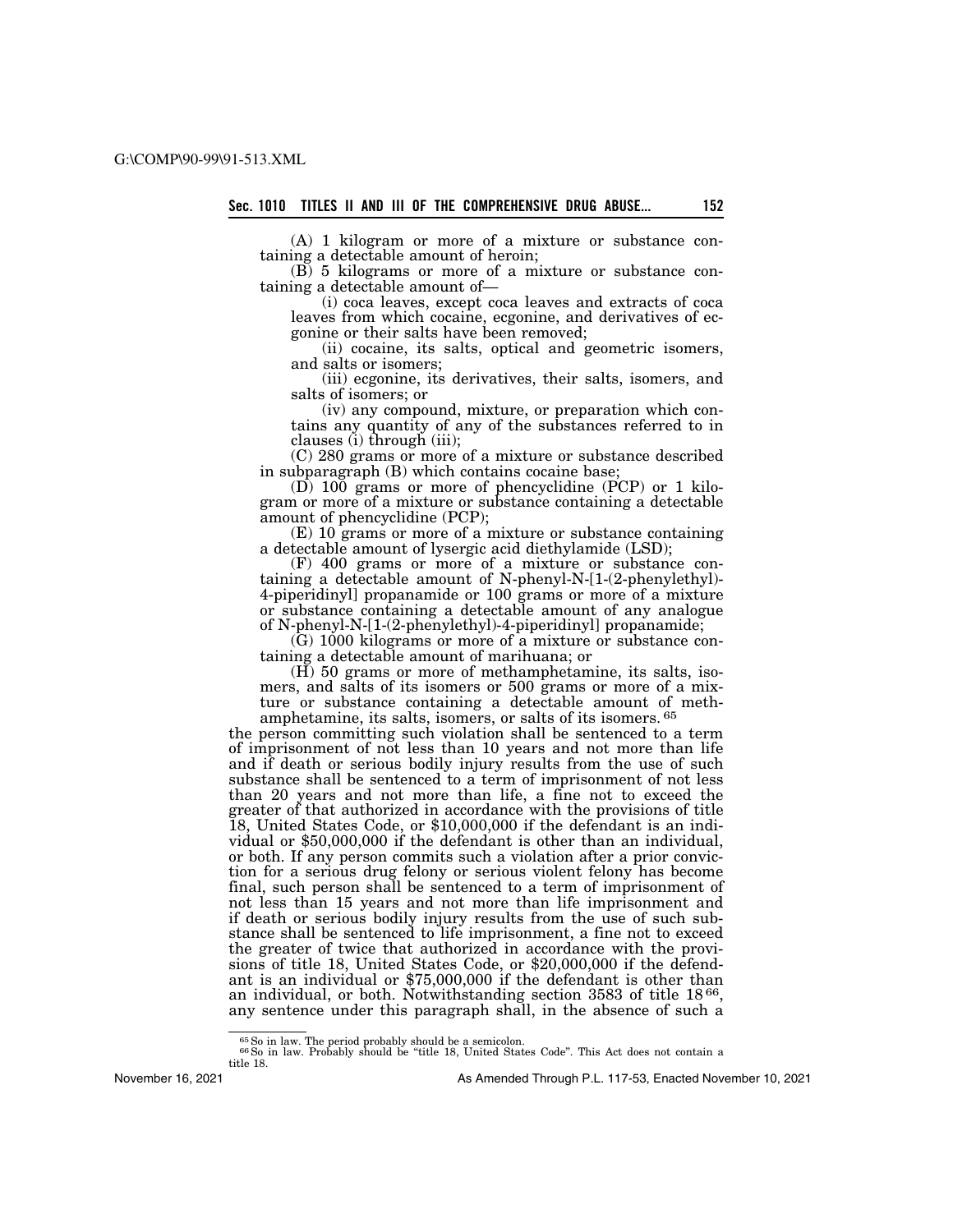# **Sec. 1010 TITLES II AND III OF THE COMPREHENSIVE DRUG ABUSE... 152**

(A) 1 kilogram or more of a mixture or substance containing a detectable amount of heroin;

(B) 5 kilograms or more of a mixture or substance containing a detectable amount of—

(i) coca leaves, except coca leaves and extracts of coca leaves from which cocaine, ecgonine, and derivatives of ecgonine or their salts have been removed;

(ii) cocaine, its salts, optical and geometric isomers, and salts or isomers;

(iii) ecgonine, its derivatives, their salts, isomers, and salts of isomers; or

(iv) any compound, mixture, or preparation which contains any quantity of any of the substances referred to in clauses (i) through (iii);

(C) 280 grams or more of a mixture or substance described in subparagraph (B) which contains cocaine base;

(D) 100 grams or more of phencyclidine (PCP) or 1 kilogram or more of a mixture or substance containing a detectable amount of phencyclidine (PCP);

(E) 10 grams or more of a mixture or substance containing a detectable amount of lysergic acid diethylamide (LSD);

(F) 400 grams or more of a mixture or substance containing a detectable amount of N-phenyl-N-[1-(2-phenylethyl)- 4-piperidinyl] propanamide or 100 grams or more of a mixture or substance containing a detectable amount of any analogue of N-phenyl-N-[1-(2-phenylethyl)-4-piperidinyl] propanamide;

(G) 1000 kilograms or more of a mixture or substance containing a detectable amount of marihuana; or

(H) 50 grams or more of methamphetamine, its salts, isomers, and salts of its isomers or 500 grams or more of a mixture or substance containing a detectable amount of methamphetamine, its salts, isomers, or salts of its isomers. 65

the person committing such violation shall be sentenced to a term of imprisonment of not less than 10 years and not more than life and if death or serious bodily injury results from the use of such substance shall be sentenced to a term of imprisonment of not less than 20 years and not more than life, a fine not to exceed the greater of that authorized in accordance with the provisions of title 18, United States Code, or \$10,000,000 if the defendant is an individual or \$50,000,000 if the defendant is other than an individual, or both. If any person commits such a violation after a prior conviction for a serious drug felony or serious violent felony has become final, such person shall be sentenced to a term of imprisonment of not less than 15 years and not more than life imprisonment and if death or serious bodily injury results from the use of such substance shall be sentenced to life imprisonment, a fine not to exceed the greater of twice that authorized in accordance with the provisions of title 18, United States Code, or \$20,000,000 if the defendant is an individual or \$75,000,000 if the defendant is other than an individual, or both. Notwithstanding section  $3583$  of title  $18\,^{66}$ , any sentence under this paragraph shall, in the absence of such a

November 16, 2021

 $\frac{65}{65}$ So in law. The period probably should be a semicolon.<br> $\frac{66}{50}$  in law. Probably should be "title 18, United States Code". This Act does not contain a title 18.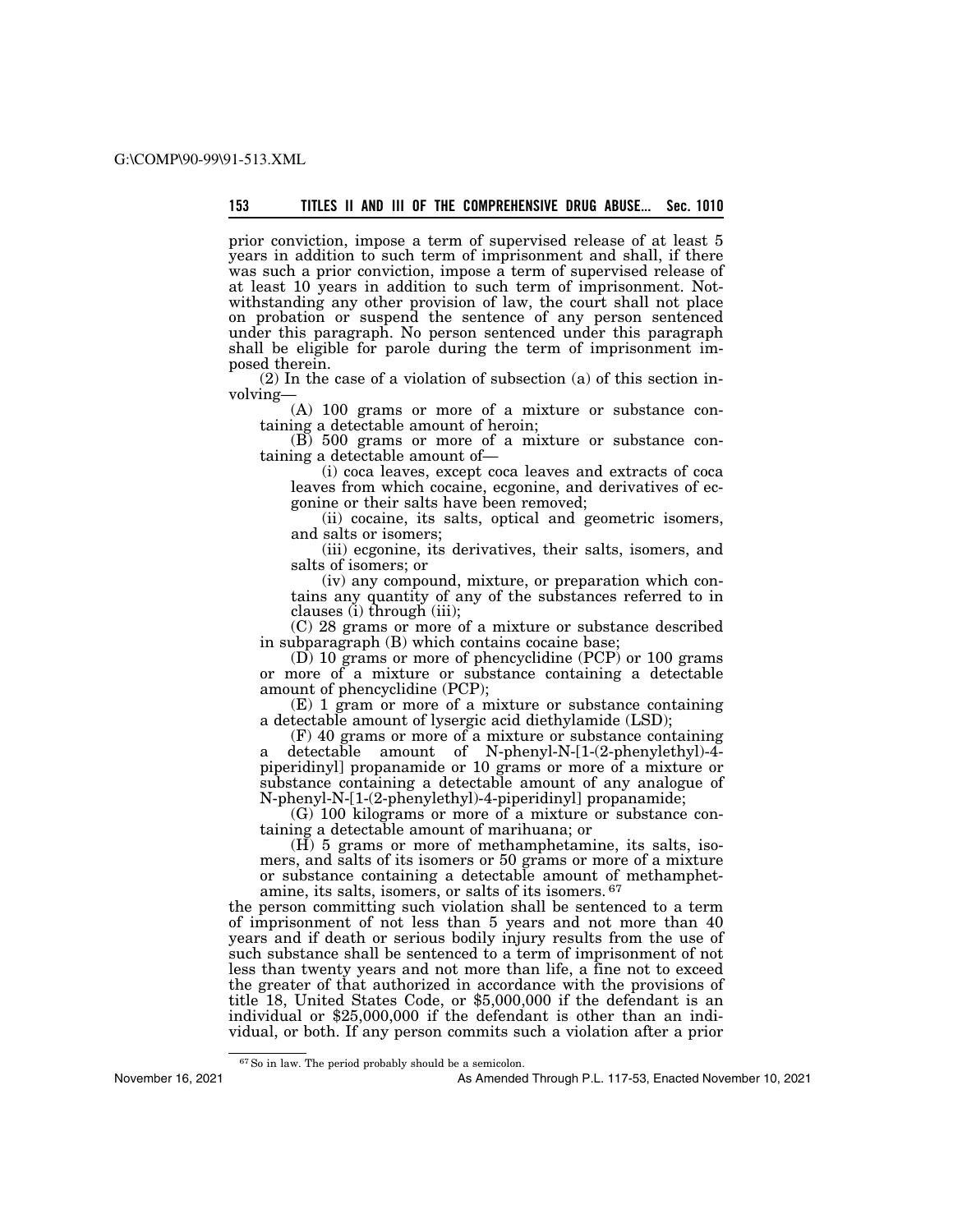prior conviction, impose a term of supervised release of at least 5 years in addition to such term of imprisonment and shall, if there was such a prior conviction, impose a term of supervised release of at least 10 years in addition to such term of imprisonment. Notwithstanding any other provision of law, the court shall not place on probation or suspend the sentence of any person sentenced under this paragraph. No person sentenced under this paragraph shall be eligible for parole during the term of imprisonment imposed therein.

(2) In the case of a violation of subsection (a) of this section involving—

(A) 100 grams or more of a mixture or substance containing a detectable amount of heroin;

(B) 500 grams or more of a mixture or substance containing a detectable amount of—

(i) coca leaves, except coca leaves and extracts of coca leaves from which cocaine, ecgonine, and derivatives of ecgonine or their salts have been removed;

(ii) cocaine, its salts, optical and geometric isomers, and salts or isomers;

(iii) ecgonine, its derivatives, their salts, isomers, and salts of isomers; or

(iv) any compound, mixture, or preparation which contains any quantity of any of the substances referred to in clauses (i) through (iii);

(C) 28 grams or more of a mixture or substance described in subparagraph (B) which contains cocaine base;

(D) 10 grams or more of phencyclidine (PCP) or 100 grams or more of a mixture or substance containing a detectable amount of phencyclidine (PCP);

(E) 1 gram or more of a mixture or substance containing a detectable amount of lysergic acid diethylamide (LSD);

(F) 40 grams or more of a mixture or substance containing a detectable amount of N-phenyl-N-[1-(2-phenylethyl)-4 piperidinyl] propanamide or 10 grams or more of a mixture or substance containing a detectable amount of any analogue of N-phenyl-N-[1-(2-phenylethyl)-4-piperidinyl] propanamide;

(G) 100 kilograms or more of a mixture or substance containing a detectable amount of marihuana; or

(H) 5 grams or more of methamphetamine, its salts, isomers, and salts of its isomers or 50 grams or more of a mixture or substance containing a detectable amount of methamphetamine, its salts, isomers, or salts of its isomers. 67

the person committing such violation shall be sentenced to a term of imprisonment of not less than 5 years and not more than 40 years and if death or serious bodily injury results from the use of such substance shall be sentenced to a term of imprisonment of not less than twenty years and not more than life, a fine not to exceed the greater of that authorized in accordance with the provisions of title 18, United States Code, or \$5,000,000 if the defendant is an individual or \$25,000,000 if the defendant is other than an individual, or both. If any person commits such a violation after a prior

November 16, 2021

<sup>67</sup>So in law. The period probably should be a semicolon.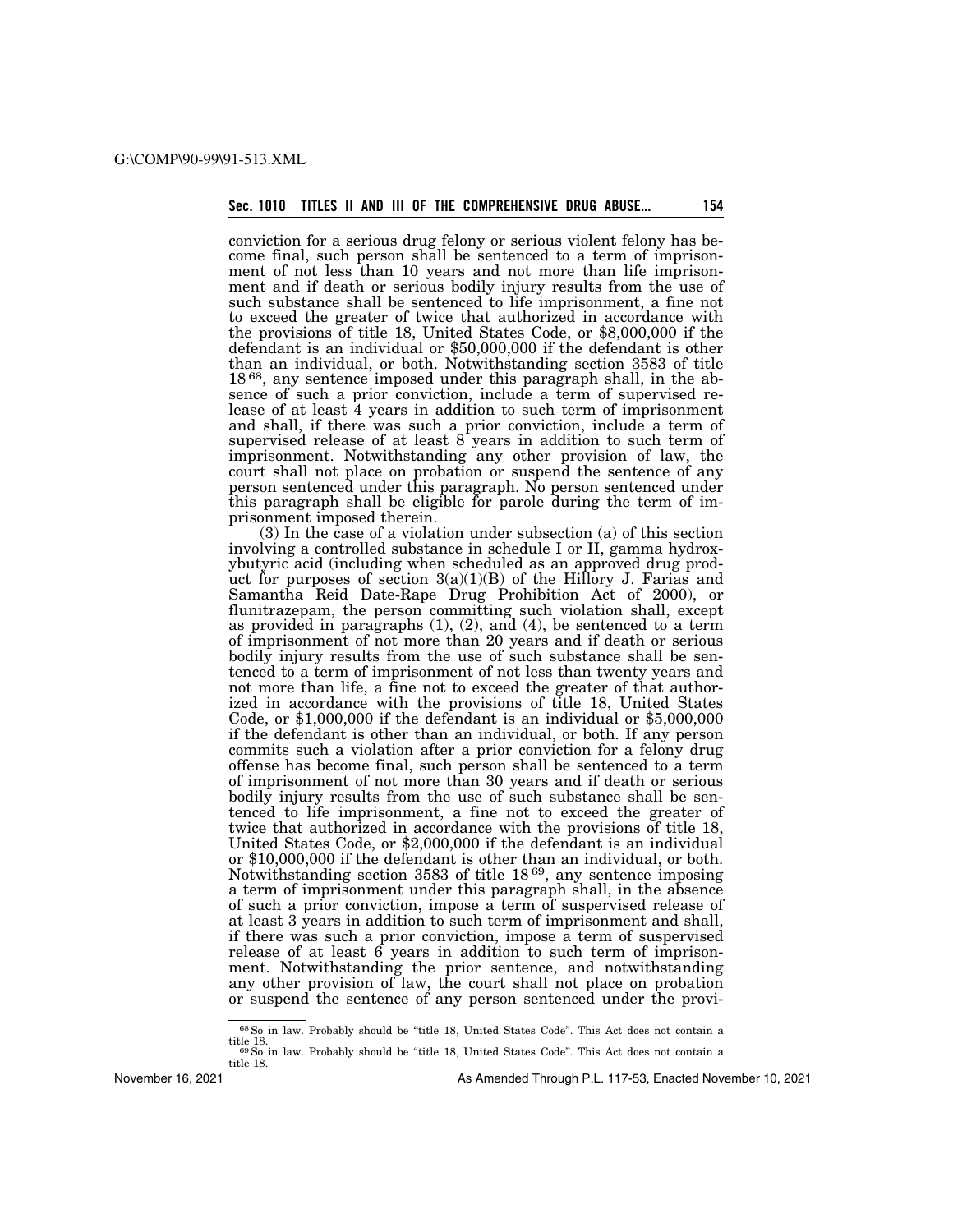# Sec. 1010 TITLES II AND III OF THE COMPREHENSIVE DRUG ABUSE... **154**

conviction for a serious drug felony or serious violent felony has become final, such person shall be sentenced to a term of imprisonment of not less than 10 years and not more than life imprisonment and if death or serious bodily injury results from the use of such substance shall be sentenced to life imprisonment, a fine not to exceed the greater of twice that authorized in accordance with the provisions of title 18, United States Code, or \$8,000,000 if the defendant is an individual or \$50,000,000 if the defendant is other than an individual, or both. Notwithstanding section 3583 of title 18 68, any sentence imposed under this paragraph shall, in the absence of such a prior conviction, include a term of supervised release of at least  $\overline{4}$  years in addition to such term of imprisonment and shall, if there was such a prior conviction, include a term of supervised release of at least 8 years in addition to such term of imprisonment. Notwithstanding any other provision of law, the court shall not place on probation or suspend the sentence of any person sentenced under this paragraph. No person sentenced under this paragraph shall be eligible for parole during the term of imprisonment imposed therein.

(3) In the case of a violation under subsection (a) of this section involving a controlled substance in schedule I or II, gamma hydroxybutyric acid (including when scheduled as an approved drug product for purposes of section  $3(a)(1)(B)$  of the Hillory J. Farias and Samantha Reid Date-Rape Drug Prohibition Act of 2000), or flunitrazepam, the person committing such violation shall, except as provided in paragraphs (1), (2), and (4), be sentenced to a term of imprisonment of not more than 20 years and if death or serious bodily injury results from the use of such substance shall be sentenced to a term of imprisonment of not less than twenty years and not more than life, a fine not to exceed the greater of that authorized in accordance with the provisions of title 18, United States Code, or \$1,000,000 if the defendant is an individual or \$5,000,000 if the defendant is other than an individual, or both. If any person commits such a violation after a prior conviction for a felony drug offense has become final, such person shall be sentenced to a term of imprisonment of not more than 30 years and if death or serious bodily injury results from the use of such substance shall be sentenced to life imprisonment, a fine not to exceed the greater of twice that authorized in accordance with the provisions of title 18, United States Code, or \$2,000,000 if the defendant is an individual or \$10,000,000 if the defendant is other than an individual, or both. Notwithstanding section 3583 of title 18 69, any sentence imposing a term of imprisonment under this paragraph shall, in the absence of such a prior conviction, impose a term of suspervised release of at least 3 years in addition to such term of imprisonment and shall, if there was such a prior conviction, impose a term of suspervised release of at least 6 years in addition to such term of imprisonment. Notwithstanding the prior sentence, and notwithstanding any other provision of law, the court shall not place on probation or suspend the sentence of any person sentenced under the provi-

November 16, 2021

<sup>68</sup>So in law. Probably should be ''title 18, United States Code''. This Act does not contain a

title 18.<br>
<sup>69</sup>So in law. Probably should be "title 18, United States Code". This Act does not contain a title 18.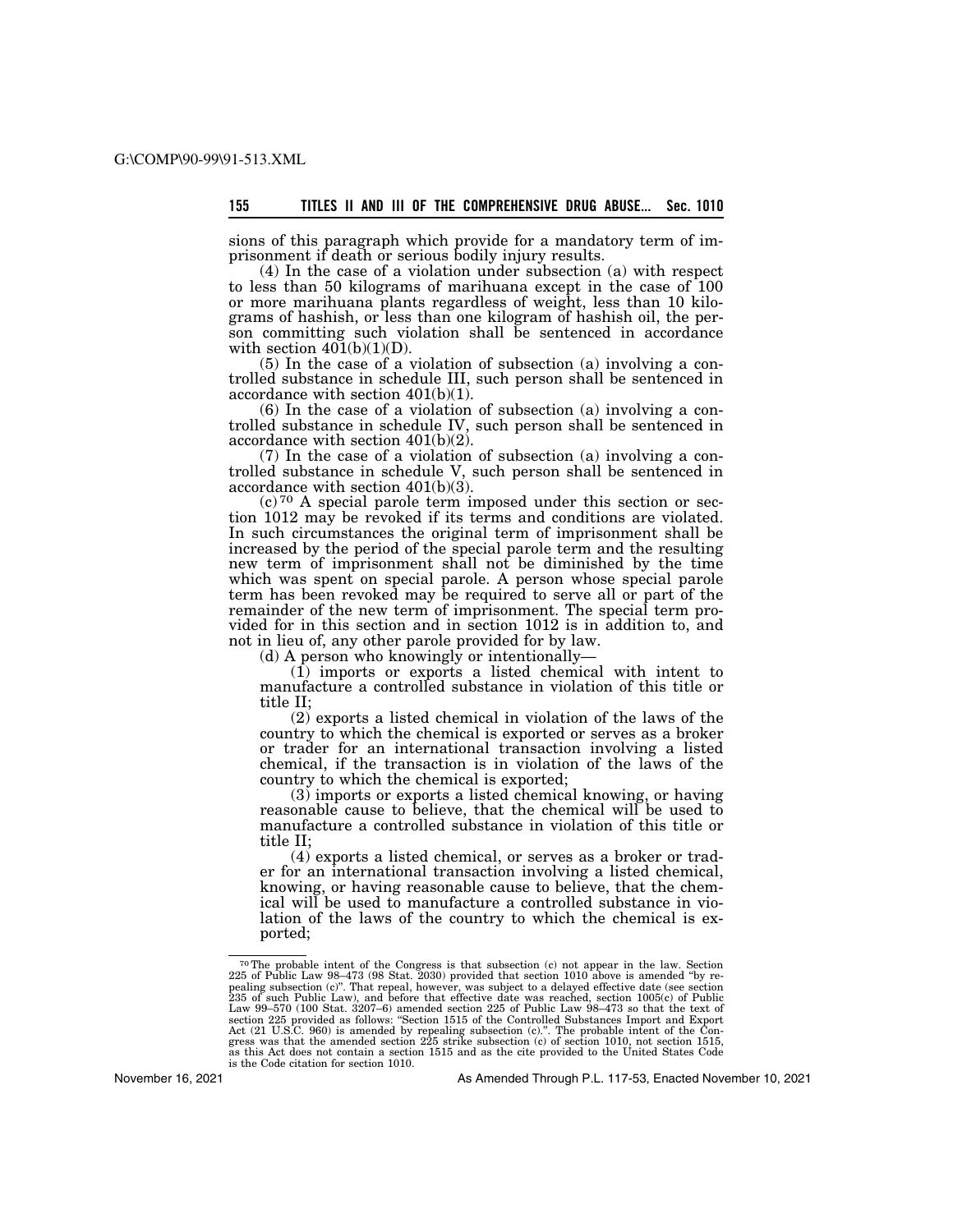sions of this paragraph which provide for a mandatory term of imprisonment if death or serious bodily injury results.

(4) In the case of a violation under subsection (a) with respect to less than 50 kilograms of marihuana except in the case of 100 or more marihuana plants regardless of weight, less than 10 kilograms of hashish, or less than one kilogram of hashish oil, the person committing such violation shall be sentenced in accordance with section  $401(b)(1)(D)$ .

(5) In the case of a violation of subsection (a) involving a controlled substance in schedule III, such person shall be sentenced in accordance with section 401(b)(1).

(6) In the case of a violation of subsection (a) involving a controlled substance in schedule IV, such person shall be sentenced in accordance with section 401(b)(2).

(7) In the case of a violation of subsection (a) involving a controlled substance in schedule V, such person shall be sentenced in accordance with section 401(b)(3).

 $(c)$ <sup>70</sup> A special parole term imposed under this section or section 1012 may be revoked if its terms and conditions are violated. In such circumstances the original term of imprisonment shall be increased by the period of the special parole term and the resulting new term of imprisonment shall not be diminished by the time which was spent on special parole. A person whose special parole term has been revoked may be required to serve all or part of the remainder of the new term of imprisonment. The special term provided for in this section and in section 1012 is in addition to, and not in lieu of, any other parole provided for by law.

(d) A person who knowingly or intentionally—

(1) imports or exports a listed chemical with intent to manufacture a controlled substance in violation of this title or title II;

(2) exports a listed chemical in violation of the laws of the country to which the chemical is exported or serves as a broker or trader for an international transaction involving a listed chemical, if the transaction is in violation of the laws of the country to which the chemical is exported;

(3) imports or exports a listed chemical knowing, or having reasonable cause to believe, that the chemical will be used to manufacture a controlled substance in violation of this title or title II;

(4) exports a listed chemical, or serves as a broker or trader for an international transaction involving a listed chemical, knowing, or having reasonable cause to believe, that the chemical will be used to manufacture a controlled substance in violation of the laws of the country to which the chemical is exported;

November 16, 2021

<sup>&</sup>lt;sup>70</sup>The probable intent of the Congress is that subsection (c) not appear in the law. Section 225 of Public Law 98–473 (98 Stat. 2030) provided that section 1010 above is amended "by re-<br>pealing subsection (c)". That repe is the Code citation for section 1010.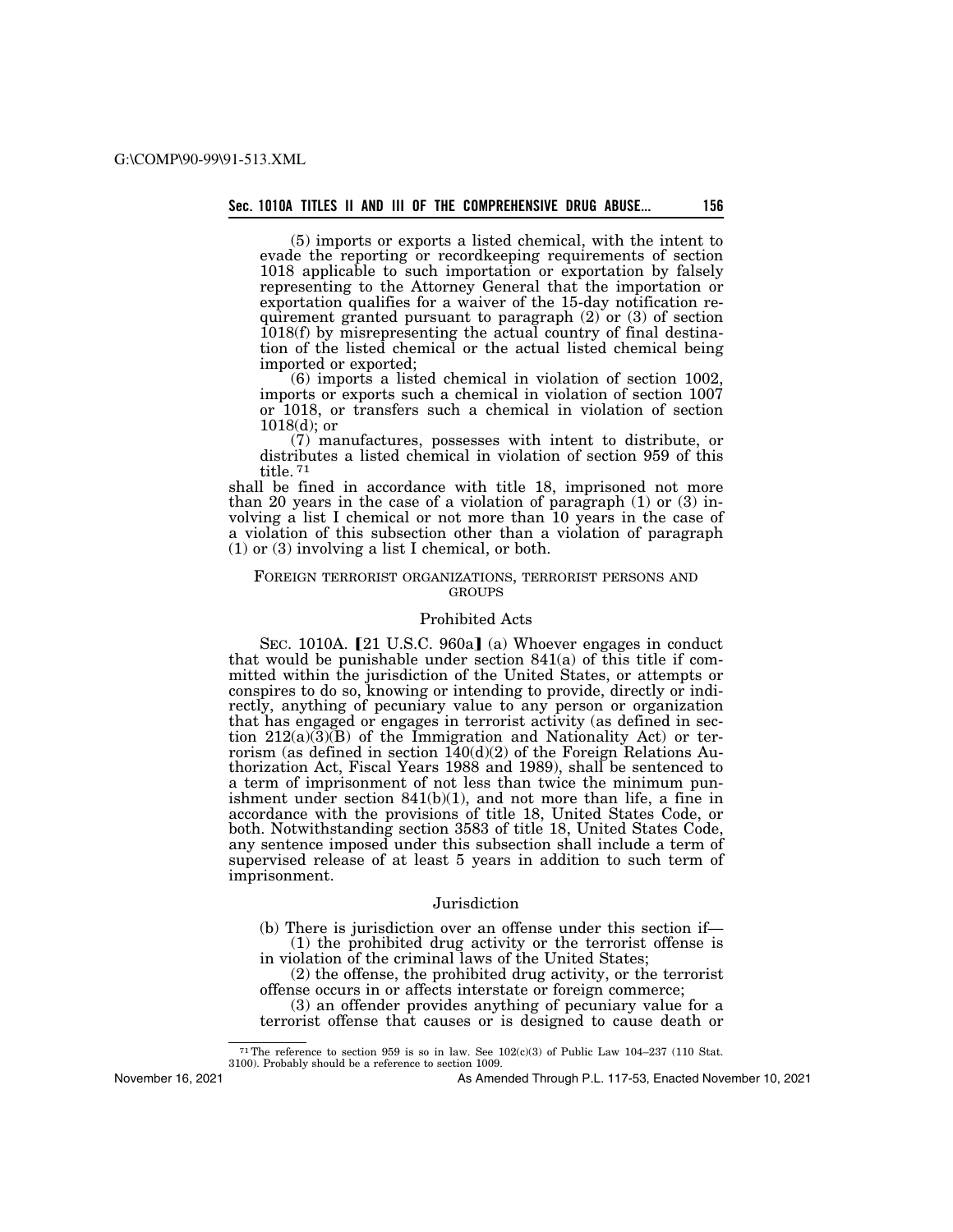# Sec. 1010A TITLES II AND III OF THE COMPREHENSIVE DRUG ABUSE... **156**

(5) imports or exports a listed chemical, with the intent to evade the reporting or recordkeeping requirements of section 1018 applicable to such importation or exportation by falsely representing to the Attorney General that the importation or exportation qualifies for a waiver of the 15-day notification requirement granted pursuant to paragraph (2) or (3) of section 1018(f) by misrepresenting the actual country of final destination of the listed chemical or the actual listed chemical being imported or exported;

(6) imports a listed chemical in violation of section 1002, imports or exports such a chemical in violation of section 1007 or 1018, or transfers such a chemical in violation of section  $1018(d)$ ; or

(7) manufactures, possesses with intent to distribute, or distributes a listed chemical in violation of section 959 of this title. 71

shall be fined in accordance with title 18, imprisoned not more than 20 years in the case of a violation of paragraph  $(1)$  or  $(3)$  involving a list I chemical or not more than 10 years in the case of a violation of this subsection other than a violation of paragraph (1) or (3) involving a list I chemical, or both.

### FOREIGN TERRORIST ORGANIZATIONS, TERRORIST PERSONS AND GROUPS

### Prohibited Acts

SEC. 1010A. [21 U.S.C. 960a] (a) Whoever engages in conduct that would be punishable under section 841(a) of this title if committed within the jurisdiction of the United States, or attempts or conspires to do so, knowing or intending to provide, directly or indirectly, anything of pecuniary value to any person or organization that has engaged or engages in terrorist activity (as defined in section 212(a)(3)(B) of the Immigration and Nationality Act) or terrorism (as defined in section  $140(d)(2)$  of the Foreign Relations Authorization Act, Fiscal Years 1988 and 1989), shall be sentenced to a term of imprisonment of not less than twice the minimum punishment under section 841(b)(1), and not more than life, a fine in accordance with the provisions of title 18, United States Code, or both. Notwithstanding section 3583 of title 18, United States Code, any sentence imposed under this subsection shall include a term of supervised release of at least 5 years in addition to such term of imprisonment.

#### Jurisdiction

(b) There is jurisdiction over an offense under this section if— (1) the prohibited drug activity or the terrorist offense is in violation of the criminal laws of the United States;

(2) the offense, the prohibited drug activity, or the terrorist offense occurs in or affects interstate or foreign commerce;

(3) an offender provides anything of pecuniary value for a terrorist offense that causes or is designed to cause death or

3100). Probably should be a reference to section 1009.

November 16, 2021

<sup>&</sup>lt;sup>71</sup>The reference to section 959 is so in law. See  $102(c)(3)$  of Public Law 104–237 (110 Stat.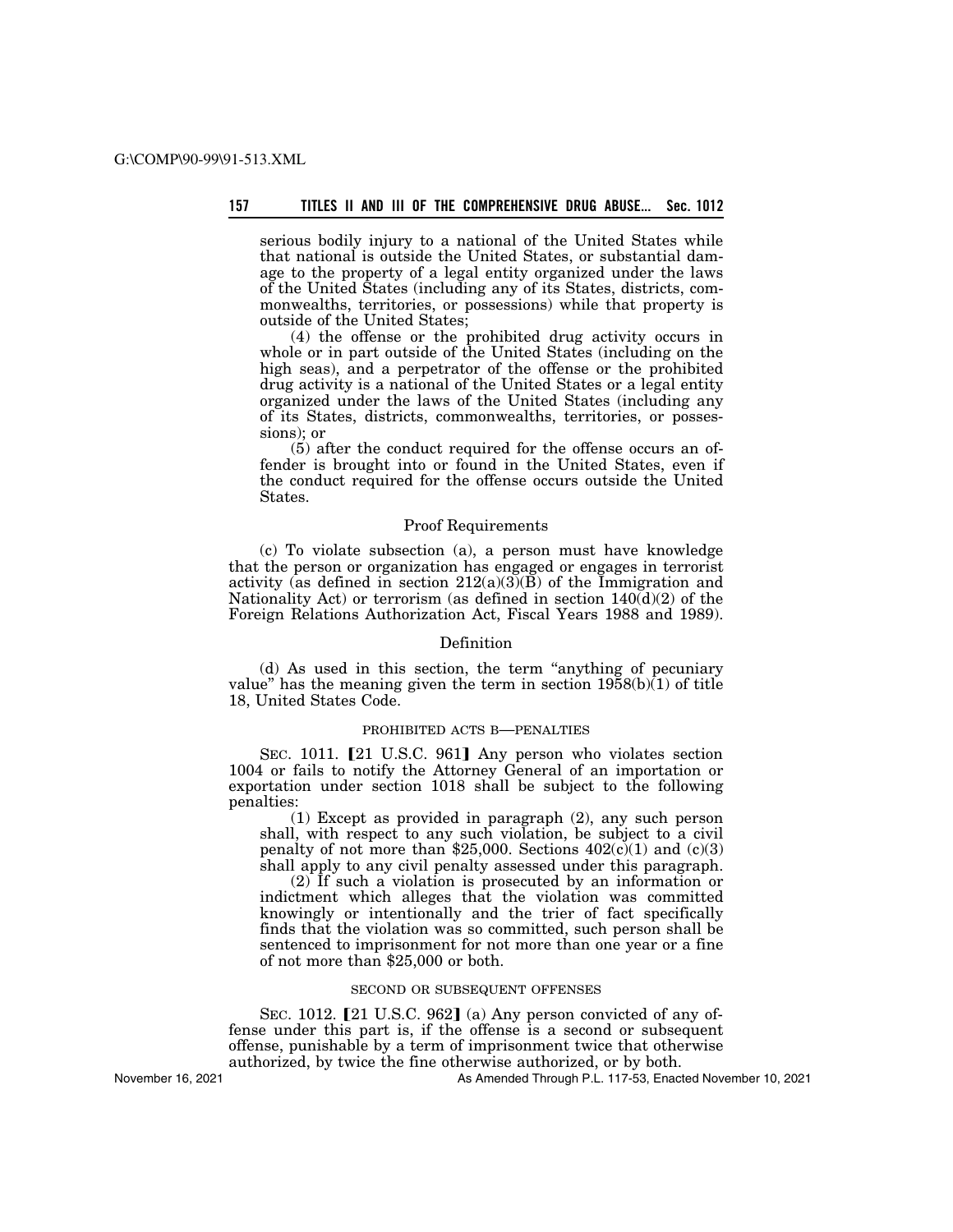serious bodily injury to a national of the United States while that national is outside the United States, or substantial damage to the property of a legal entity organized under the laws of the United States (including any of its States, districts, commonwealths, territories, or possessions) while that property is outside of the United States;

(4) the offense or the prohibited drug activity occurs in whole or in part outside of the United States (including on the high seas), and a perpetrator of the offense or the prohibited drug activity is a national of the United States or a legal entity organized under the laws of the United States (including any of its States, districts, commonwealths, territories, or possessions); or

(5) after the conduct required for the offense occurs an offender is brought into or found in the United States, even if the conduct required for the offense occurs outside the United States.

# Proof Requirements

(c) To violate subsection (a), a person must have knowledge that the person or organization has engaged or engages in terrorist activity (as defined in section  $212(a)(3)(\overline{B})$  of the Immigration and Nationality Act) or terrorism (as defined in section  $140(d)(2)$  of the Foreign Relations Authorization Act, Fiscal Years 1988 and 1989).

#### Definition

(d) As used in this section, the term ''anything of pecuniary value" has the meaning given the term in section  $1958(b)(1)$  of title 18, United States Code.

#### PROHIBITED ACTS B—PENALTIES

SEC. 1011. [21 U.S.C. 961] Any person who violates section 1004 or fails to notify the Attorney General of an importation or exportation under section 1018 shall be subject to the following penalties:

(1) Except as provided in paragraph (2), any such person shall, with respect to any such violation, be subject to a civil penalty of not more than \$25,000. Sections  $402(c)(1)$  and  $(c)(3)$ shall apply to any civil penalty assessed under this paragraph.

(2) If such a violation is prosecuted by an information or indictment which alleges that the violation was committed knowingly or intentionally and the trier of fact specifically finds that the violation was so committed, such person shall be sentenced to imprisonment for not more than one year or a fine of not more than \$25,000 or both.

#### SECOND OR SUBSEQUENT OFFENSES

SEC. 1012.  $[21 \text{ U.S.C. } 962]$  (a) Any person convicted of any offense under this part is, if the offense is a second or subsequent offense, punishable by a term of imprisonment twice that otherwise authorized, by twice the fine otherwise authorized, or by both.

November 16, 2021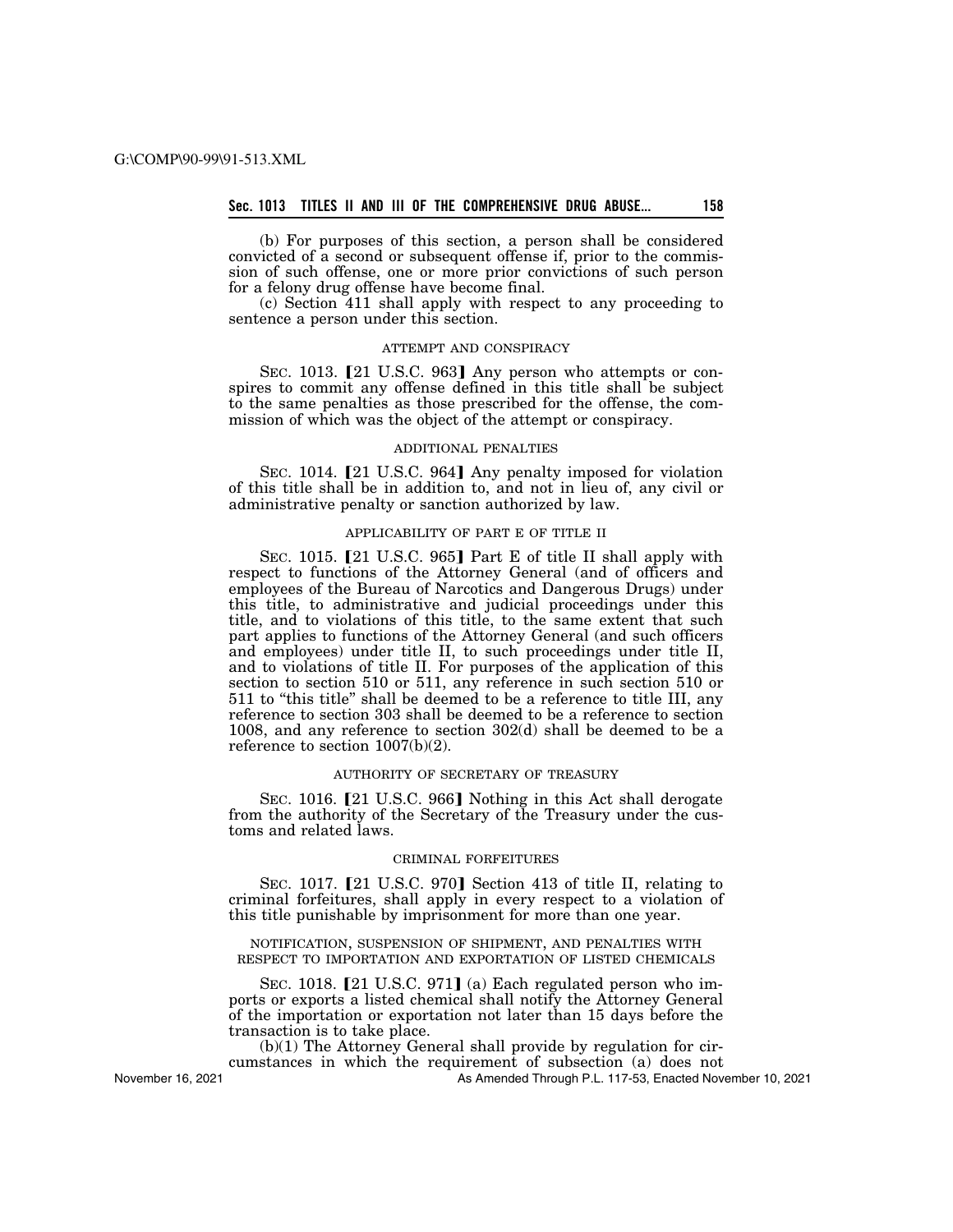#### **Sec. 1013 TITLES II AND III OF THE COMPREHENSIVE DRUG ABUSE... 158**

(b) For purposes of this section, a person shall be considered convicted of a second or subsequent offense if, prior to the commission of such offense, one or more prior convictions of such person for a felony drug offense have become final.

(c) Section 411 shall apply with respect to any proceeding to sentence a person under this section.

### ATTEMPT AND CONSPIRACY

SEC. 1013. [21 U.S.C. 963] Any person who attempts or conspires to commit any offense defined in this title shall be subject to the same penalties as those prescribed for the offense, the commission of which was the object of the attempt or conspiracy.

### ADDITIONAL PENALTIES

SEC. 1014. [21 U.S.C. 964] Any penalty imposed for violation of this title shall be in addition to, and not in lieu of, any civil or administrative penalty or sanction authorized by law.

### APPLICABILITY OF PART E OF TITLE II

SEC. 1015.  $[21 \text{ U.S.C. } 965]$  Part E of title II shall apply with respect to functions of the Attorney General (and of officers and employees of the Bureau of Narcotics and Dangerous Drugs) under this title, to administrative and judicial proceedings under this title, and to violations of this title, to the same extent that such part applies to functions of the Attorney General (and such officers and employees) under title II, to such proceedings under title II, and to violations of title II. For purposes of the application of this section to section 510 or 511, any reference in such section 510 or 511 to "this title" shall be deemed to be a reference to title III, any reference to section 303 shall be deemed to be a reference to section 1008, and any reference to section 302(d) shall be deemed to be a reference to section 1007(b)(2).

#### AUTHORITY OF SECRETARY OF TREASURY

SEC. 1016. [21 U.S.C. 966] Nothing in this Act shall derogate from the authority of the Secretary of the Treasury under the customs and related laws.

### CRIMINAL FORFEITURES

SEC. 1017.  $[21 \text{ U.S.C. } 970]$  Section 413 of title II, relating to criminal forfeitures, shall apply in every respect to a violation of this title punishable by imprisonment for more than one year.

### NOTIFICATION, SUSPENSION OF SHIPMENT, AND PENALTIES WITH RESPECT TO IMPORTATION AND EXPORTATION OF LISTED CHEMICALS

SEC. 1018.  $[21 \text{ U.S.C. } 971]$  (a) Each regulated person who imports or exports a listed chemical shall notify the Attorney General of the importation or exportation not later than 15 days before the transaction is to take place.

(b)(1) The Attorney General shall provide by regulation for cir-

cumstances in which the requirement of subsection (a) does not

As Amended Through P.L. 117-53, Enacted November 10, 2021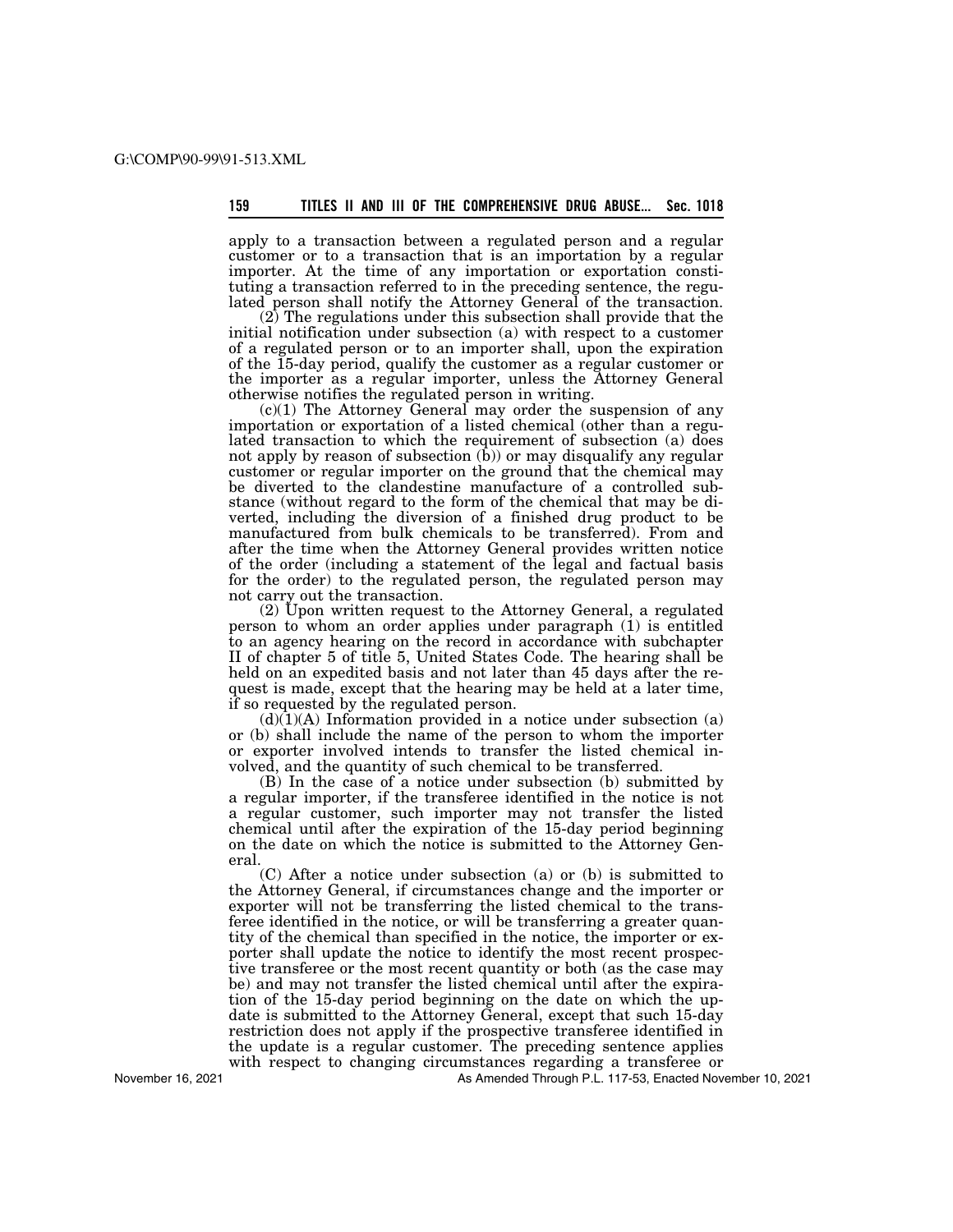apply to a transaction between a regulated person and a regular customer or to a transaction that is an importation by a regular importer. At the time of any importation or exportation constituting a transaction referred to in the preceding sentence, the regulated person shall notify the Attorney General of the transaction.

(2) The regulations under this subsection shall provide that the initial notification under subsection (a) with respect to a customer of a regulated person or to an importer shall, upon the expiration of the 15-day period, qualify the customer as a regular customer or the importer as a regular importer, unless the Attorney General otherwise notifies the regulated person in writing.

(c)(1) The Attorney General may order the suspension of any importation or exportation of a listed chemical (other than a regulated transaction to which the requirement of subsection (a) does not apply by reason of subsection  $(b)$  or may disqualify any regular customer or regular importer on the ground that the chemical may be diverted to the clandestine manufacture of a controlled substance (without regard to the form of the chemical that may be diverted, including the diversion of a finished drug product to be manufactured from bulk chemicals to be transferred). From and after the time when the Attorney General provides written notice of the order (including a statement of the legal and factual basis for the order) to the regulated person, the regulated person may not carry out the transaction.

(2) Upon written request to the Attorney General, a regulated person to whom an order applies under paragraph (1) is entitled to an agency hearing on the record in accordance with subchapter II of chapter 5 of title 5, United States Code. The hearing shall be held on an expedited basis and not later than 45 days after the request is made, except that the hearing may be held at a later time, if so requested by the regulated person.

 $(d)(1)(A)$  Information provided in a notice under subsection (a) or (b) shall include the name of the person to whom the importer or exporter involved intends to transfer the listed chemical involved, and the quantity of such chemical to be transferred.

(B) In the case of a notice under subsection (b) submitted by a regular importer, if the transferee identified in the notice is not a regular customer, such importer may not transfer the listed chemical until after the expiration of the 15-day period beginning on the date on which the notice is submitted to the Attorney General.

(C) After a notice under subsection (a) or (b) is submitted to the Attorney General, if circumstances change and the importer or exporter will not be transferring the listed chemical to the transferee identified in the notice, or will be transferring a greater quantity of the chemical than specified in the notice, the importer or exporter shall update the notice to identify the most recent prospective transferee or the most recent quantity or both (as the case may be) and may not transfer the listed chemical until after the expiration of the 15-day period beginning on the date on which the update is submitted to the Attorney General, except that such 15-day restriction does not apply if the prospective transferee identified in the update is a regular customer. The preceding sentence applies with respect to changing circumstances regarding a transferee or

November 16, 2021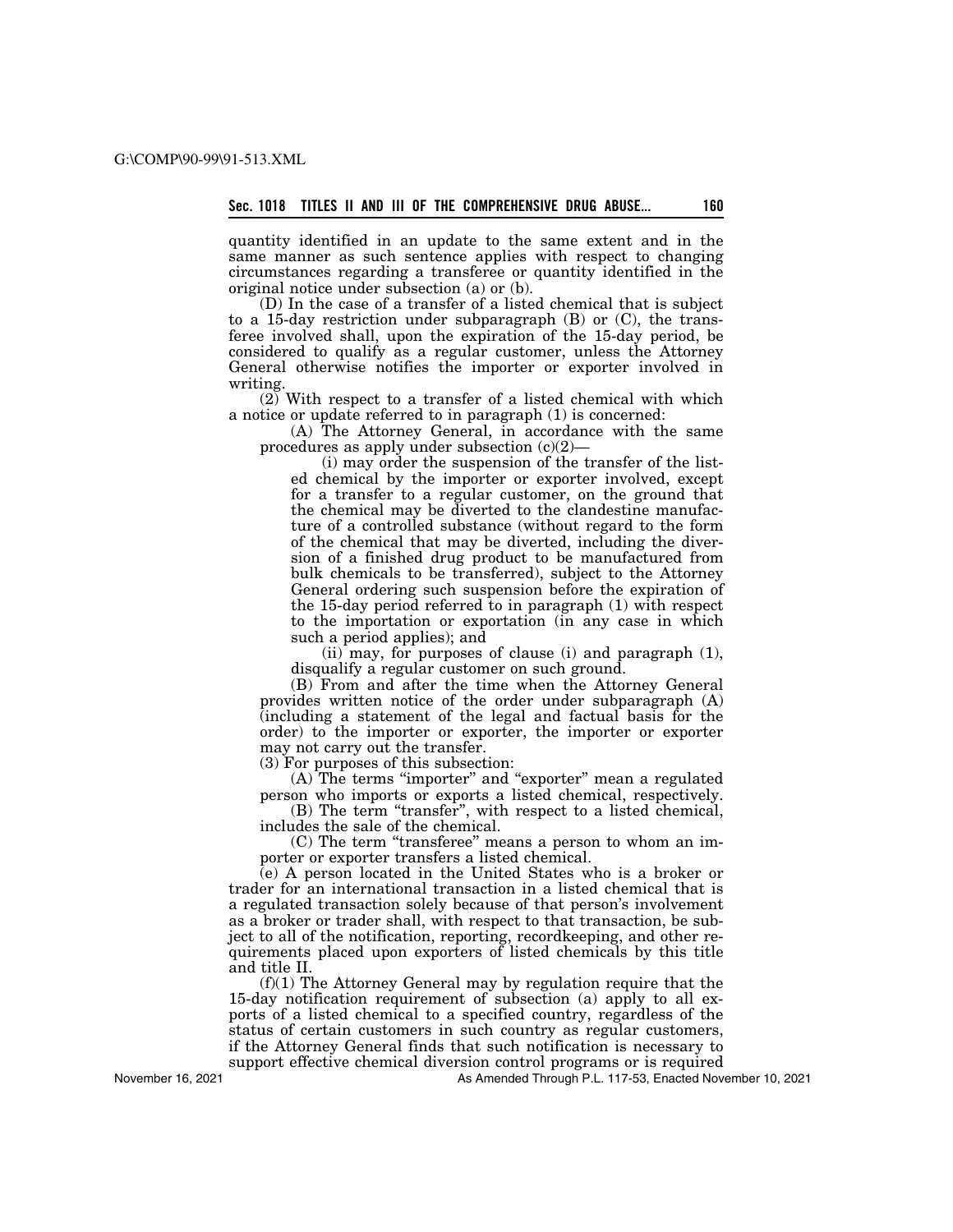quantity identified in an update to the same extent and in the same manner as such sentence applies with respect to changing circumstances regarding a transferee or quantity identified in the original notice under subsection (a) or (b).

(D) In the case of a transfer of a listed chemical that is subject to a 15-day restriction under subparagraph (B) or (C), the transferee involved shall, upon the expiration of the 15-day period, be considered to qualify as a regular customer, unless the Attorney General otherwise notifies the importer or exporter involved in writing.

(2) With respect to a transfer of a listed chemical with which a notice or update referred to in paragraph (1) is concerned:

(A) The Attorney General, in accordance with the same procedures as apply under subsection  $(c)(2)$ —

(i) may order the suspension of the transfer of the listed chemical by the importer or exporter involved, except for a transfer to a regular customer, on the ground that the chemical may be diverted to the clandestine manufacture of a controlled substance (without regard to the form of the chemical that may be diverted, including the diversion of a finished drug product to be manufactured from bulk chemicals to be transferred), subject to the Attorney General ordering such suspension before the expiration of the 15-day period referred to in paragraph (1) with respect to the importation or exportation (in any case in which such a period applies); and

 $(ii)$  may, for purposes of clause (i) and paragraph  $(1)$ , disqualify a regular customer on such ground.

(B) From and after the time when the Attorney General provides written notice of the order under subparagraph (A) (including a statement of the legal and factual basis for the order) to the importer or exporter, the importer or exporter may not carry out the transfer.

(3) For purposes of this subsection:

(A) The terms ''importer'' and ''exporter'' mean a regulated person who imports or exports a listed chemical, respectively.

(B) The term ''transfer'', with respect to a listed chemical, includes the sale of the chemical.

(C) The term ''transferee'' means a person to whom an importer or exporter transfers a listed chemical.

(e) A person located in the United States who is a broker or trader for an international transaction in a listed chemical that is a regulated transaction solely because of that person's involvement as a broker or trader shall, with respect to that transaction, be subject to all of the notification, reporting, recordkeeping, and other requirements placed upon exporters of listed chemicals by this title and title II.

(f)(1) The Attorney General may by regulation require that the 15-day notification requirement of subsection (a) apply to all exports of a listed chemical to a specified country, regardless of the status of certain customers in such country as regular customers, if the Attorney General finds that such notification is necessary to support effective chemical diversion control programs or is required

November 16, 2021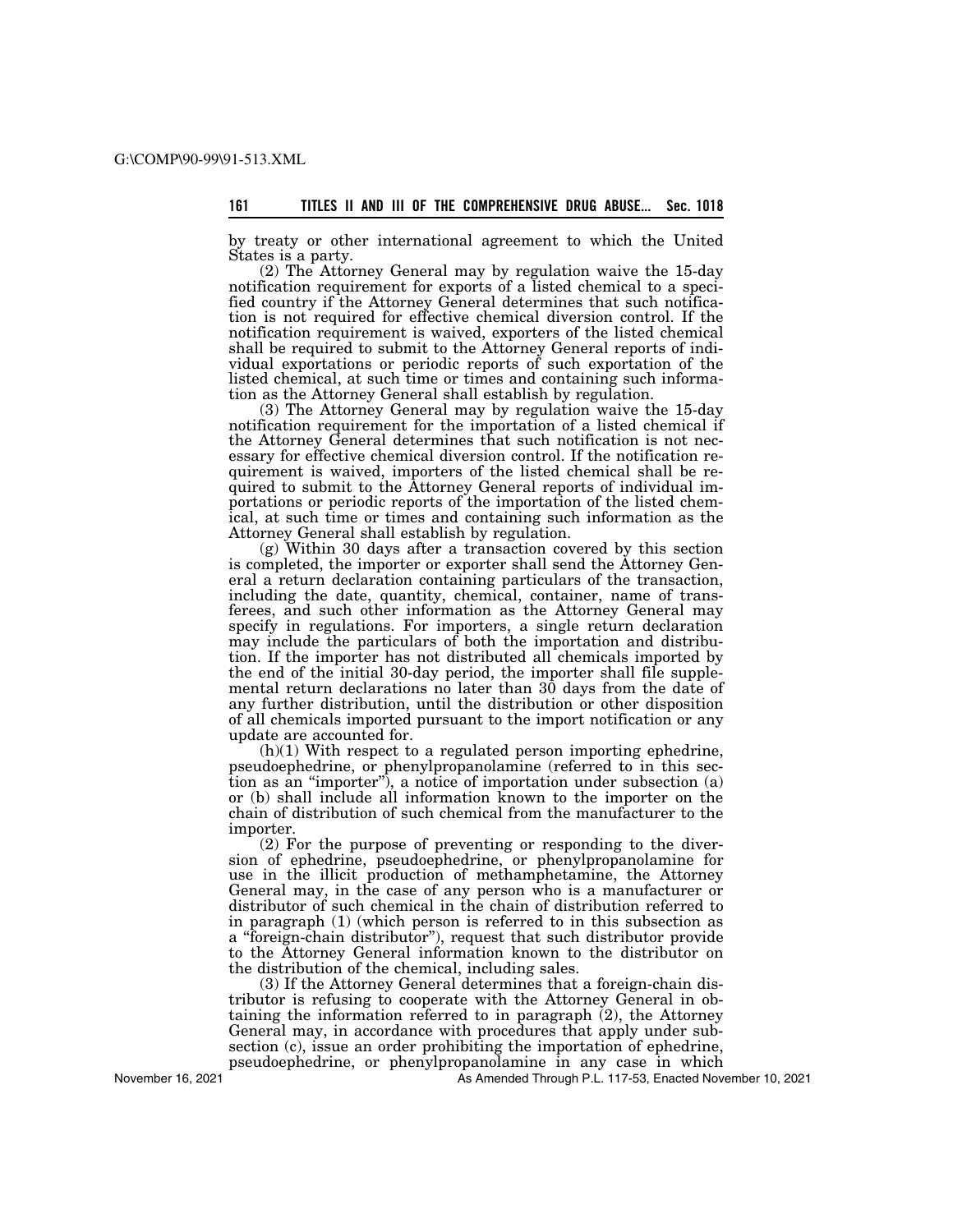by treaty or other international agreement to which the United States is a party.

(2) The Attorney General may by regulation waive the 15-day notification requirement for exports of a listed chemical to a specified country if the Attorney General determines that such notification is not required for effective chemical diversion control. If the notification requirement is waived, exporters of the listed chemical shall be required to submit to the Attorney General reports of individual exportations or periodic reports of such exportation of the listed chemical, at such time or times and containing such information as the Attorney General shall establish by regulation.

(3) The Attorney General may by regulation waive the 15-day notification requirement for the importation of a listed chemical if the Attorney General determines that such notification is not necessary for effective chemical diversion control. If the notification requirement is waived, importers of the listed chemical shall be required to submit to the Attorney General reports of individual importations or periodic reports of the importation of the listed chemical, at such time or times and containing such information as the Attorney General shall establish by regulation.

(g) Within 30 days after a transaction covered by this section is completed, the importer or exporter shall send the Attorney General a return declaration containing particulars of the transaction, including the date, quantity, chemical, container, name of transferees, and such other information as the Attorney General may specify in regulations. For importers, a single return declaration may include the particulars of both the importation and distribution. If the importer has not distributed all chemicals imported by the end of the initial 30-day period, the importer shall file supplemental return declarations no later than 30 days from the date of any further distribution, until the distribution or other disposition of all chemicals imported pursuant to the import notification or any update are accounted for.

 $(h)(1)$  With respect to a regulated person importing ephedrine, pseudoephedrine, or phenylpropanolamine (referred to in this section as an ''importer''), a notice of importation under subsection (a) or (b) shall include all information known to the importer on the chain of distribution of such chemical from the manufacturer to the importer.

(2) For the purpose of preventing or responding to the diversion of ephedrine, pseudoephedrine, or phenylpropanolamine for use in the illicit production of methamphetamine, the Attorney General may, in the case of any person who is a manufacturer or distributor of such chemical in the chain of distribution referred to in paragraph (1) (which person is referred to in this subsection as a ''foreign-chain distributor''), request that such distributor provide to the Attorney General information known to the distributor on the distribution of the chemical, including sales.

(3) If the Attorney General determines that a foreign-chain distributor is refusing to cooperate with the Attorney General in obtaining the information referred to in paragraph (2), the Attorney General may, in accordance with procedures that apply under subsection (c), issue an order prohibiting the importation of ephedrine, pseudoephedrine, or phenylpropanolamine in any case in which

November 16, 2021